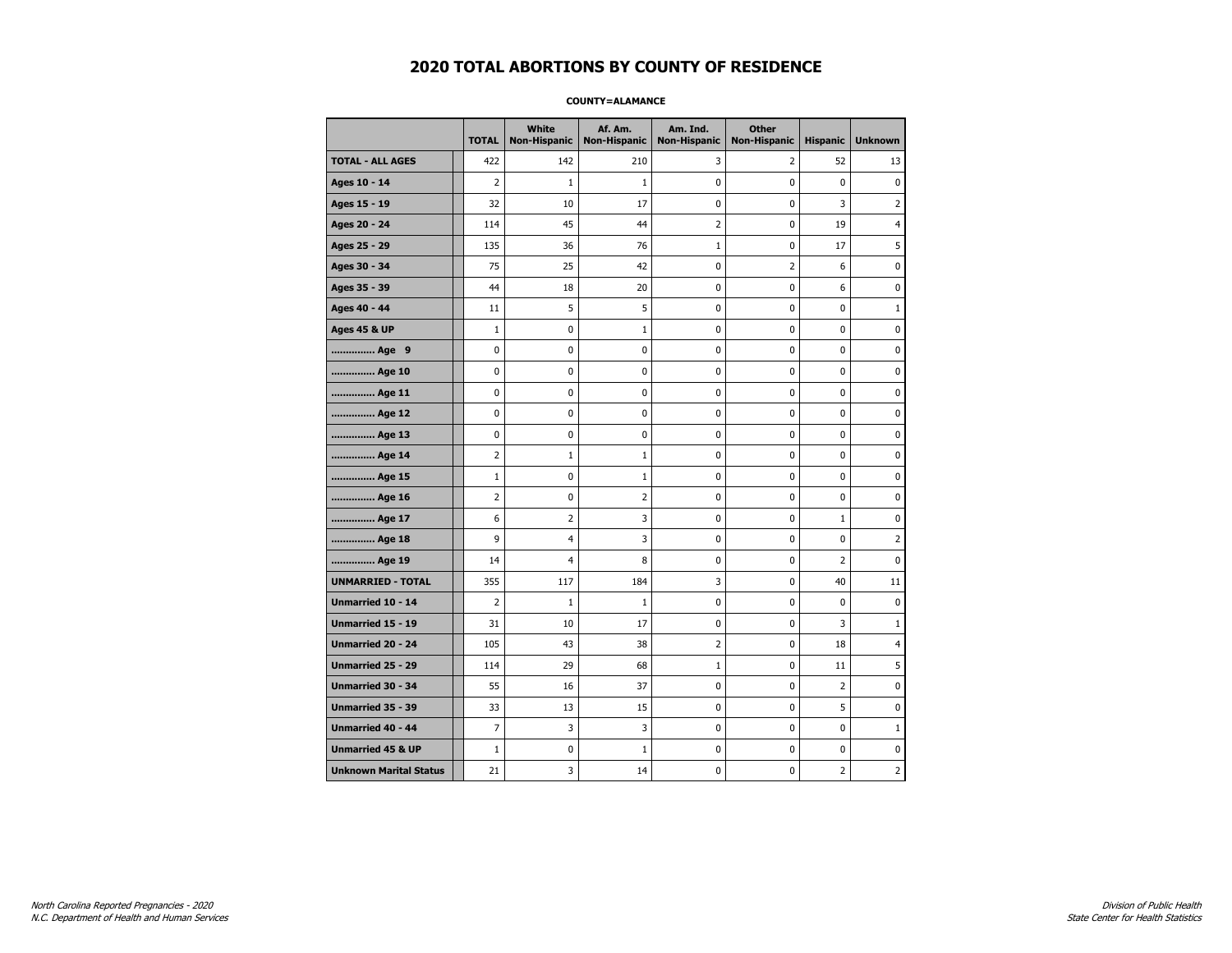### **COUNTY=ALAMANCE**

|                               | <b>TOTAL</b>   | White<br>Non-Hispanic   | Af. Am.<br><b>Non-Hispanic</b> | Am. Ind.<br><b>Non-Hispanic</b> | <b>Other</b><br><b>Non-Hispanic</b> | <b>Hispanic</b> | <b>Unknown</b> |
|-------------------------------|----------------|-------------------------|--------------------------------|---------------------------------|-------------------------------------|-----------------|----------------|
| <b>TOTAL - ALL AGES</b>       | 422            | 142                     | 210                            | 3                               | 2                                   | 52              | 13             |
| Ages 10 - 14                  | 2              | $\mathbf{1}$            | $\mathbf{1}$                   | 0                               | 0                                   | $\pmb{0}$       | $\pmb{0}$      |
| Ages 15 - 19                  | 32             | 10                      | 17                             | $\mathbf 0$                     | 0                                   | 3               | $\overline{2}$ |
| Ages 20 - 24                  | 114            | 45                      | 44                             | $\overline{2}$                  | 0                                   | 19              | 4              |
| Ages 25 - 29                  | 135            | 36                      | 76                             | $\mathbf 1$                     | 0                                   | 17              | 5              |
| Ages 30 - 34                  | 75             | 25                      | 42                             | $\pmb{0}$                       | $\overline{2}$                      | 6               | 0              |
| Ages 35 - 39                  | 44             | 18                      | 20                             | 0                               | 0                                   | 6               | 0              |
| Ages 40 - 44                  | 11             | 5                       | 5                              | 0                               | 0                                   | 0               | $\mathbf{1}$   |
| <b>Ages 45 &amp; UP</b>       | $\mathbf 1$    | 0                       | $\mathbf{1}$                   | 0                               | 0                                   | 0               | 0              |
| Age 9                         | 0              | 0                       | 0                              | 0                               | 0                                   | 0               | 0              |
| Age 10                        | 0              | 0                       | $\mathbf 0$                    | $\mathbf 0$                     | 0                                   | $\mathbf 0$     | $\mathbf 0$    |
| Age 11                        | 0              | 0                       | $\mathbf 0$                    | $\mathbf 0$                     | 0                                   | $\mathbf 0$     | 0              |
| Age 12                        | 0              | 0                       | $\pmb{0}$                      | 0                               | 0                                   | 0               | 0              |
| Age 13                        | 0              | 0                       | 0                              | 0                               | 0                                   | 0               | 0              |
| Age 14                        | $\overline{2}$ | $\mathbf{1}$            | 1                              | 0                               | 0                                   | $\mathbf 0$     | 0              |
| Age 15                        | $\mathbf{1}$   | 0                       | 1                              | 0                               | 0                                   | 0               | 0              |
| Age 16                        | $\overline{2}$ | 0                       | 2                              | $\mathbf 0$                     | 0                                   | $\mathbf 0$     | 0              |
| Age 17                        | 6              | $\overline{2}$          | 3                              | 0                               | 0                                   | $\mathbf{1}$    | 0              |
| Age 18                        | 9              | $\overline{4}$          | 3                              | $\mathbf 0$                     | 0                                   | $\mathbf 0$     | $\overline{2}$ |
| Age 19                        | 14             | $\overline{\mathbf{4}}$ | 8                              | $\pmb{0}$                       | 0                                   | $\overline{2}$  | $\pmb{0}$      |
| <b>UNMARRIED - TOTAL</b>      | 355            | 117                     | 184                            | 3                               | 0                                   | 40              | 11             |
| Unmarried 10 - 14             | $\overline{2}$ | $1\,$                   | $\mathbf{1}$                   | $\mathbf 0$                     | 0                                   | 0               | 0              |
| Unmarried 15 - 19             | 31             | 10                      | 17                             | 0                               | 0                                   | 3               | $\mathbf{1}$   |
| Unmarried 20 - 24             | 105            | 43                      | 38                             | $\overline{2}$                  | 0                                   | 18              | 4              |
| <b>Unmarried 25 - 29</b>      | 114            | 29                      | 68                             | $\mathbf{1}$                    | 0                                   | 11              | 5              |
| <b>Unmarried 30 - 34</b>      | 55             | 16                      | 37                             | $\mathbf 0$                     | 0                                   | $\overline{2}$  | 0              |
| Unmarried 35 - 39             | 33             | 13                      | 15                             | $\pmb{0}$                       | 0                                   | 5               | $\pmb{0}$      |
| <b>Unmarried 40 - 44</b>      | 7              | 3                       | 3                              | 0                               | 0                                   | 0               | $1\,$          |
| <b>Unmarried 45 &amp; UP</b>  | $\mathbf 1$    | 0                       | 1                              | 0                               | 0                                   | 0               | 0              |
| <b>Unknown Marital Status</b> | 21             | 3                       | 14                             | 0                               | 0                                   | 2               | 2              |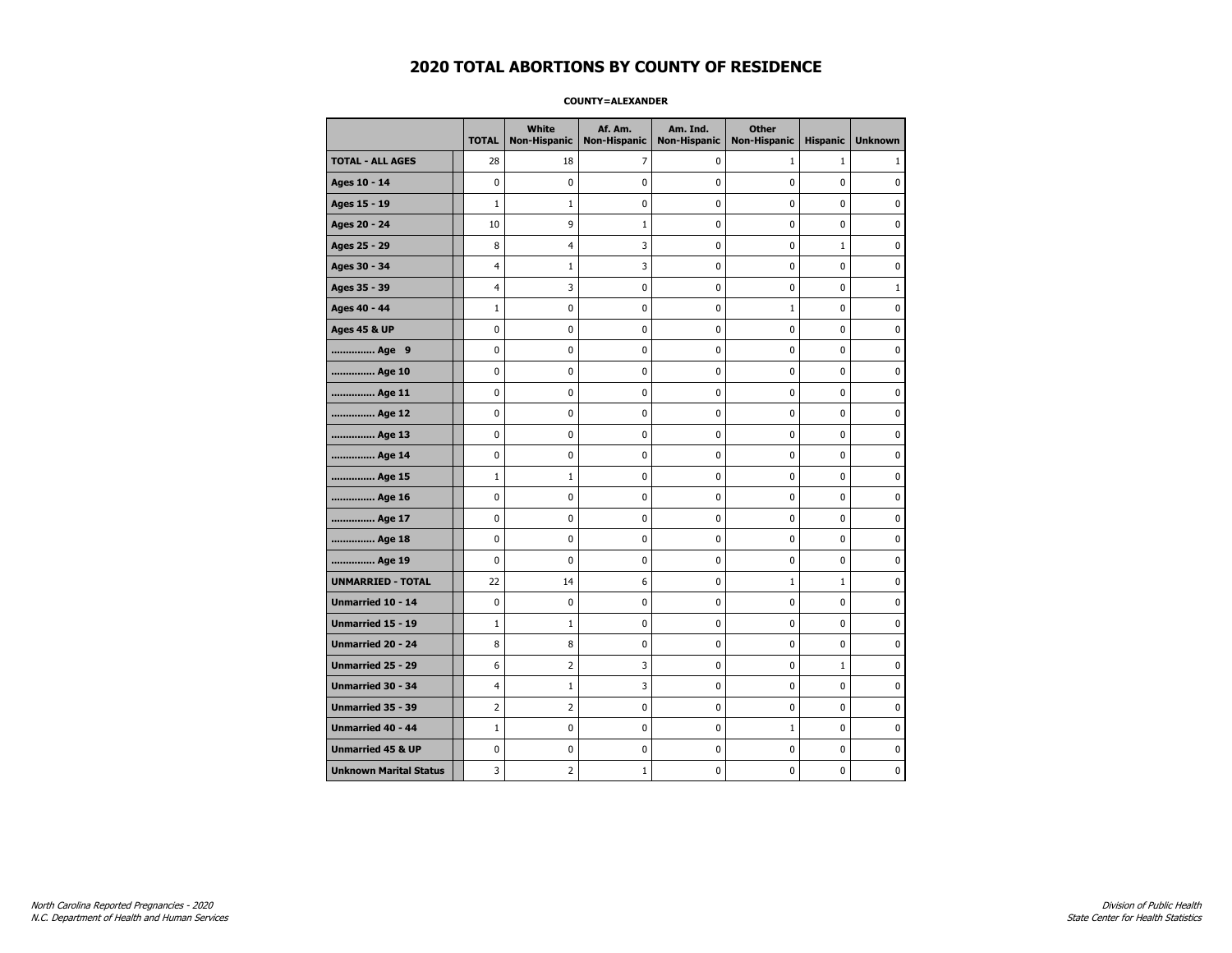### **COUNTY=ALEXANDER**

|                               | <b>TOTAL</b>   | White<br>Non-Hispanic | Af. Am.     | Am. Ind.<br>Non-Hispanic   Non-Hispanic | <b>Other</b><br><b>Non-Hispanic</b> | <b>Hispanic</b> | <b>Unknown</b> |
|-------------------------------|----------------|-----------------------|-------------|-----------------------------------------|-------------------------------------|-----------------|----------------|
| <b>TOTAL - ALL AGES</b>       | 28             | 18                    | 7           | 0                                       | $\mathbf{1}$                        | $\mathbf{1}$    | 1              |
| Ages 10 - 14                  | $\mathbf 0$    | $\mathbf 0$           | $\mathbf 0$ | 0                                       | $\mathbf 0$                         | $\mathbf 0$     | 0              |
| Ages 15 - 19                  | $\mathbf{1}$   | $\mathbf{1}$          | $\mathbf 0$ | $\mathbf 0$                             | $\mathbf 0$                         | $\mathbf{0}$    | 0              |
| Ages 20 - 24                  | 10             | 9                     | $1\,$       | $\pmb{0}$                               | $\pmb{0}$                           | 0               | 0              |
| Ages 25 - 29                  | 8              | 4                     | 3           | 0                                       | $\mathbf 0$                         | $\mathbf 1$     | $\pmb{0}$      |
| Ages 30 - 34                  | $\overline{4}$ | $\mathbf{1}$          | 3           | 0                                       | $\mathbf 0$                         | $\mathbf 0$     | 0              |
| Ages 35 - 39                  | $\overline{4}$ | 3                     | $\mathbf 0$ | 0                                       | $\mathbf 0$                         | $\mathbf 0$     | $\mathbf{1}$   |
| Ages 40 - 44                  | $1\,$          | 0                     | $\mathbf 0$ | 0                                       | $\mathbf{1}$                        | $\mathbf 0$     | 0              |
| <b>Ages 45 &amp; UP</b>       | $\mathbf 0$    | 0                     | $\mathbf 0$ | $\mathbf 0$                             | $\mathbf 0$                         | $\mathbf 0$     | 0              |
| Age 9                         | $\mathbf 0$    | $\pmb{0}$             | $\pmb{0}$   | $\pmb{0}$                               | $\mathbf 0$                         | $\mathbf 0$     | 0              |
| Age 10                        | $\mathbf 0$    | 0                     | $\pmb{0}$   | 0                                       | 0                                   | 0               | 0              |
| Age 11                        | $\mathbf 0$    | 0                     | 0           | 0                                       | 0                                   | 0               | 0              |
| Age 12                        | 0              | 0                     | 0           | 0                                       | 0                                   | 0               | 0              |
| Age 13                        | $\mathbf 0$    | 0                     | $\mathbf 0$ | $\mathbf 0$                             | $\mathbf 0$                         | $\mathbf 0$     | 0              |
| Age 14                        | $\mathbf 0$    | 0                     | $\mathbf 0$ | $\pmb{0}$                               | $\mathbf 0$                         | $\mathbf 0$     | 0              |
| Age 15                        | $1\,$          | $\mathbf{1}$          | $\pmb{0}$   | 0                                       | $\pmb{0}$                           | 0               | 0              |
| Age 16                        | 0              | 0                     | 0           | 0                                       | 0                                   | 0               | 0              |
| Age 17                        | $\mathbf 0$    | 0                     | $\mathbf 0$ | 0                                       | $\mathbf 0$                         | $\mathbf 0$     | 0              |
| Age 18                        | $\mathbf 0$    | 0                     | $\mathbf 0$ | 0                                       | 0                                   | 0               | 0              |
| Age 19                        | $\mathbf 0$    | 0                     | $\mathbf 0$ | $\mathbf 0$                             | $\mathbf 0$                         | $\mathbf 0$     | 0              |
| <b>UNMARRIED - TOTAL</b>      | 22             | 14                    | 6           | $\pmb{0}$                               | $\mathbf{1}$                        | $\mathbf 1$     | 0              |
| Unmarried 10 - 14             | $\pmb{0}$      | 0                     | $\pmb{0}$   | $\pmb{0}$                               | $\pmb{0}$                           | $\pmb{0}$       | 0              |
| Unmarried 15 - 19             | $1\,$          | $\mathbf{1}$          | 0           | 0                                       | 0                                   | 0               | 0              |
| Unmarried 20 - 24             | 8              | 8                     | 0           | 0                                       | 0                                   | 0               | 0              |
| Unmarried 25 - 29             | 6              | $\overline{2}$        | 3           | $\mathbf 0$                             | $\mathbf 0$                         | $\mathbf{1}$    | 0              |
| <b>Unmarried 30 - 34</b>      | 4              | $1\,$                 | 3           | $\pmb{0}$                               | $\mathbf 0$                         | $\mathbf 0$     | 0              |
| Unmarried 35 - 39             | $\overline{2}$ | $\overline{2}$        | $\pmb{0}$   | 0                                       | 0                                   | 0               | $\pmb{0}$      |
| <b>Unmarried 40 - 44</b>      | $1\,$          | $\mathbf 0$           | $\pmb{0}$   | 0                                       | $\mathbf{1}$                        | $\mathbf 0$     | 0              |
| <b>Unmarried 45 &amp; UP</b>  | 0              | 0                     | 0           | 0                                       | 0                                   | 0               | 0              |
| <b>Unknown Marital Status</b> | 3              | $\overline{2}$        | 1           | 0                                       | $\mathbf 0$                         | $\mathbf 0$     | 0              |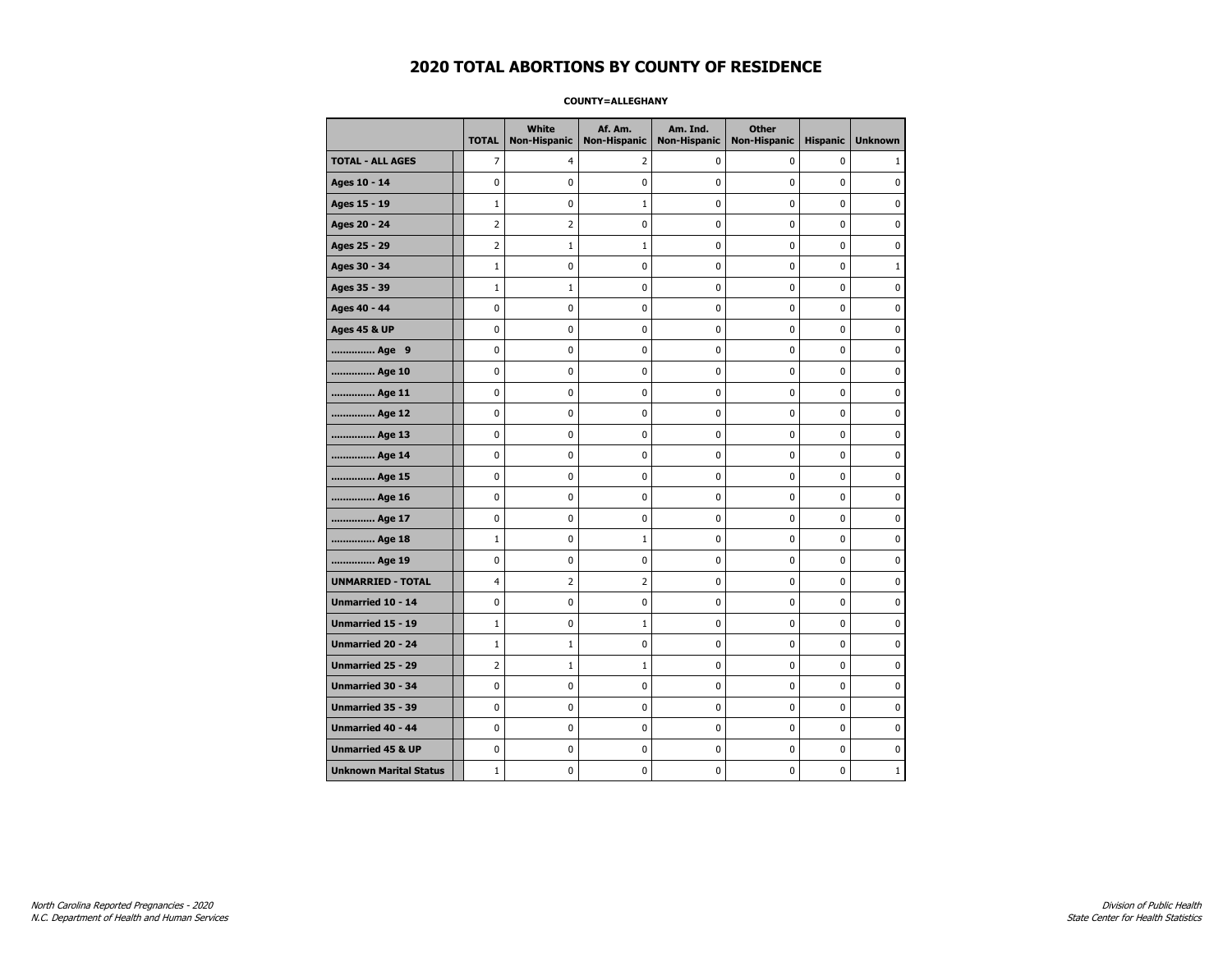### **COUNTY=ALLEGHANY**

|                               | <b>TOTAL</b>   | White<br>Non-Hispanic | Af. Am.<br><b>Non-Hispanic</b> | Am. Ind.<br><b>Non-Hispanic</b> | <b>Other</b><br><b>Non-Hispanic</b> | <b>Hispanic</b> | <b>Unknown</b> |
|-------------------------------|----------------|-----------------------|--------------------------------|---------------------------------|-------------------------------------|-----------------|----------------|
| <b>TOTAL - ALL AGES</b>       | $\overline{7}$ | 4                     | 2                              | 0                               | 0                                   | 0               | 1              |
| Ages 10 - 14                  | 0              | 0                     | 0                              | $\mathbf 0$                     | 0                                   | 0               | $\mathbf 0$    |
| Ages 15 - 19                  | $\mathbf{1}$   | 0                     | $\mathbf{1}$                   | $\mathbf 0$                     | $\mathbf 0$                         | 0               | 0              |
| Ages 20 - 24                  | $\overline{2}$ | $\overline{2}$        | $\mathbf 0$                    | $\mathbf 0$                     | $\mathbf 0$                         | 0               | 0              |
| Ages 25 - 29                  | $\overline{2}$ | $1\,$                 | $\mathbf{1}$                   | 0                               | $\pmb{0}$                           | 0               | 0              |
| Ages 30 - 34                  | $\mathbf{1}$   | 0                     | 0                              | 0                               | 0                                   | 0               | $\mathbf{1}$   |
| Ages 35 - 39                  | $\mathbf{1}$   | $\mathbf{1}$          | 0                              | 0                               | 0                                   | 0               | 0              |
| Ages 40 - 44                  | $\mathbf 0$    | 0                     | 0                              | 0                               | 0                                   | 0               | 0              |
| <b>Ages 45 &amp; UP</b>       | 0              | 0                     | 0                              | 0                               | 0                                   | 0               | 0              |
| Age 9                         | 0              | 0                     | 0                              | $\mathbf 0$                     | $\mathbf 0$                         | 0               | 0              |
| Age 10                        | $\mathbf 0$    | 0                     | 0                              | $\mathbf 0$                     | $\mathbf 0$                         | 0               | $\mathbf 0$    |
| Age 11                        | $\pmb{0}$      | 0                     | 0                              | 0                               | $\pmb{0}$                           | 0               | 0              |
| Age 12                        | 0              | 0                     | 0                              | 0                               | $\pmb{0}$                           | 0               | 0              |
| Age 13                        | $\mathbf 0$    | 0                     | 0                              | $\mathbf 0$                     | $\mathbf 0$                         | $\mathbf 0$     | 0              |
| Age 14                        | 0              | 0                     | 0                              | 0                               | 0                                   | 0               | 0              |
| Age 15                        | 0              | 0                     | 0                              | 0                               | 0                                   | 0               | 0              |
| Age 16                        | 0              | 0                     | 0                              | 0                               | 0                                   | 0               | 0              |
| Age 17                        | 0              | 0                     | 0                              | 0                               | 0                                   | 0               | 0              |
| Age 18                        | $\mathbf{1}$   | 0                     | 1                              | 0                               | $\pmb{0}$                           | 0               | $\pmb{0}$      |
| Age 19                        | $\pmb{0}$      | 0                     | 0                              | 0                               | $\pmb{0}$                           | 0               | 0              |
| <b>UNMARRIED - TOTAL</b>      | 4              | $\overline{2}$        | 2                              | 0                               | 0                                   | 0               | 0              |
| Unmarried 10 - 14             | $\mathbf 0$    | 0                     | 0                              | 0                               | 0                                   | 0               | $\mathbf 0$    |
| Unmarried 15 - 19             | $\mathbf{1}$   | 0                     | $\mathbf{1}$                   | 0                               | $\mathbf 0$                         | 0               | 0              |
| Unmarried 20 - 24             | $\mathbf{1}$   | $\mathbf{1}$          | 0                              | 0                               | 0                                   | 0               | 0              |
| <b>Unmarried 25 - 29</b>      | $\overline{2}$ | $\mathbf{1}$          | 1                              | $\mathbf 0$                     | 0                                   | 0               | 0              |
| Unmarried 30 - 34             | $\pmb{0}$      | $\pmb{0}$             | $\bf{0}$                       | $\pmb{0}$                       | $\pmb{0}$                           | 0               | $\pmb{0}$      |
| Unmarried 35 - 39             | 0              | 0                     | 0                              | $\pmb{0}$                       | $\pmb{0}$                           | 0               | 0              |
| <b>Unmarried 40 - 44</b>      | 0              | 0                     | 0                              | 0                               | 0                                   | 0               | $\mathbf 0$    |
| <b>Unmarried 45 &amp; UP</b>  | 0              | 0                     | 0                              | 0                               | 0                                   | 0               | 0              |
| <b>Unknown Marital Status</b> | $\mathbf{1}$   | 0                     | 0                              | 0                               | 0                                   | 0               | $\mathbf 1$    |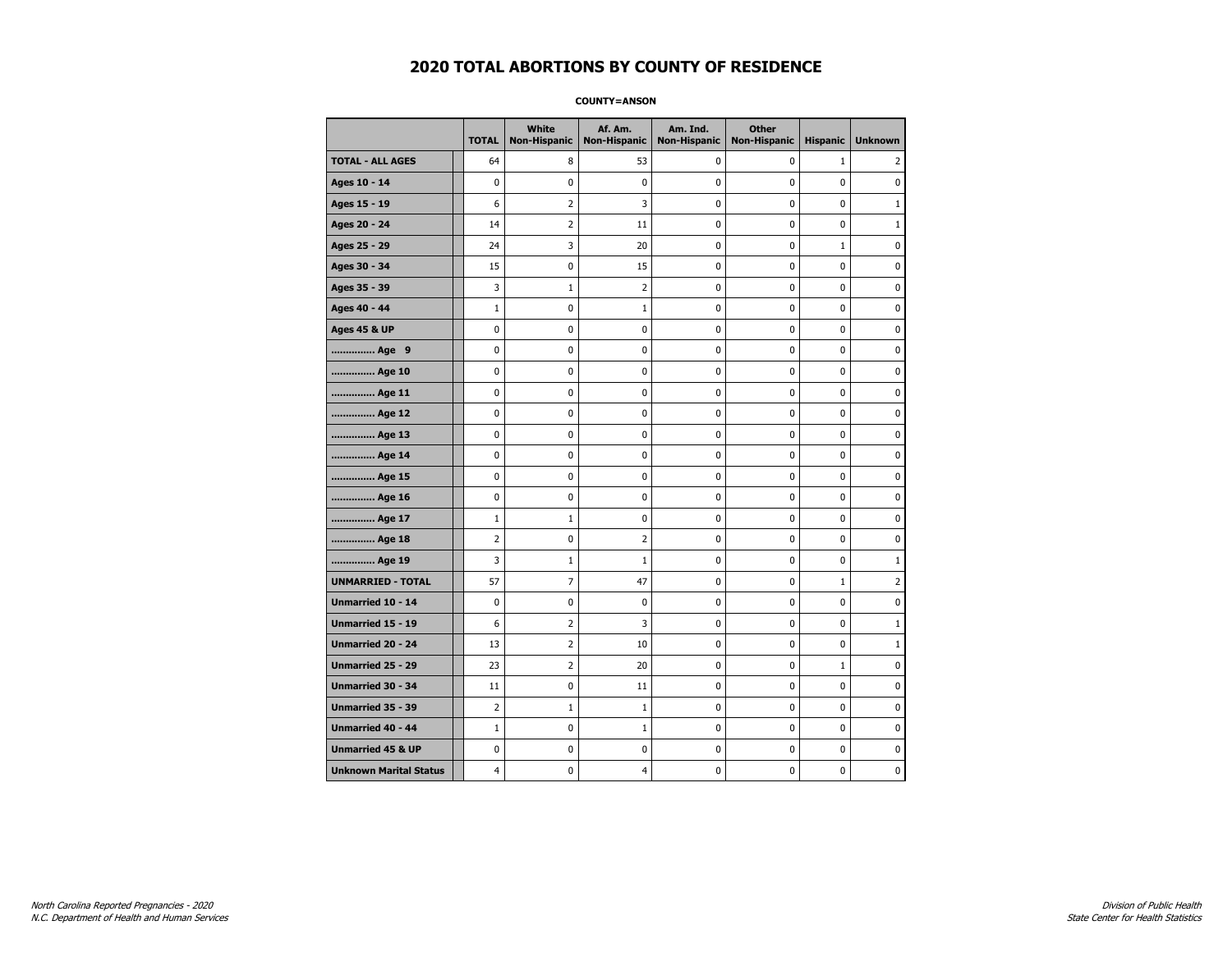**COUNTY=ANSON** 

|                               | <b>TOTAL</b>   | White<br><b>Non-Hispanic</b> | Af. Am.<br><b>Non-Hispanic</b> | Am. Ind.<br><b>Non-Hispanic</b> | <b>Other</b><br><b>Non-Hispanic</b> | <b>Hispanic</b> | <b>Unknown</b> |
|-------------------------------|----------------|------------------------------|--------------------------------|---------------------------------|-------------------------------------|-----------------|----------------|
| <b>TOTAL - ALL AGES</b>       | 64             | 8                            | 53                             | 0                               | 0                                   | $\mathbf{1}$    | 2              |
| Ages 10 - 14                  | 0              | 0                            | 0                              | $\mathbf 0$                     | 0                                   | 0               | 0              |
| Ages 15 - 19                  | 6              | $\overline{2}$               | 3                              | 0                               | $\pmb{0}$                           | 0               | $1\,$          |
| Ages 20 - 24                  | 14             | 2                            | 11                             | 0                               | 0                                   | 0               | $\mathbf{1}$   |
| Ages 25 - 29                  | 24             | 3                            | 20                             | 0                               | $\mathbf 0$                         | $\mathbf 1$     | $\pmb{0}$      |
| Ages 30 - 34                  | 15             | 0                            | 15                             | 0                               | 0                                   | 0               | $\mathbf 0$    |
| Ages 35 - 39                  | 3              | 1                            | 2                              | 0                               | 0                                   | 0               | 0              |
| Ages 40 - 44                  | $\mathbf{1}$   | 0                            | 1                              | 0                               | 0                                   | 0               | 0              |
| <b>Ages 45 &amp; UP</b>       | 0              | 0                            | 0                              | 0                               | 0                                   | 0               | $\mathbf 0$    |
| Age 9                         | 0              | 0                            | 0                              | 0                               | $\pmb{0}$                           | 0               | $\pmb{0}$      |
| Age 10                        | 0              | 0                            | 0                              | 0                               | 0                                   | 0               | 0              |
| Age 11                        | 0              | 0                            | 0                              | 0                               | 0                                   | 0               | 0              |
| Age 12                        | 0              | 0                            | 0                              | 0                               | 0                                   | 0               | $\mathbf 0$    |
| Age 13                        | 0              | 0                            | 0                              | 0                               | $\pmb{0}$                           | 0               | 0              |
| Age 14                        | 0              | 0                            | 0                              | 0                               | 0                                   | 0               | 0              |
| Age 15                        | 0              | $\mathbf 0$                  | 0                              | 0                               | $\mathbf 0$                         | 0               | $\mathbf 0$    |
| Age 16                        | 0              | $\mathbf 0$                  | 0                              | 0                               | $\mathbf 0$                         | 0               | $\mathbf 0$    |
| Age 17                        | $\mathbf{1}$   | $\mathbf{1}$                 | 0                              | 0                               | 0                                   | 0               | 0              |
| Age 18                        | $\overline{2}$ | 0                            | 2                              | 0                               | $\pmb{0}$                           | 0               | 0              |
| Age 19                        | 3              | 1                            | $\mathbf{1}$                   | 0                               | 0                                   | 0               | $\mathbf{1}$   |
| <b>UNMARRIED - TOTAL</b>      | 57             | $\overline{7}$               | 47                             | 0                               | $\mathbf 0$                         | $\mathbf{1}$    | $\overline{2}$ |
| Unmarried 10 - 14             | 0              | 0                            | 0                              | 0                               | $\pmb{0}$                           | 0               | 0              |
| <b>Unmarried 15 - 19</b>      | 6              | 2                            | 3                              | 0                               | 0                                   | 0               | $\mathbf{1}$   |
| <b>Unmarried 20 - 24</b>      | 13             | 2                            | 10                             | 0                               | $\mathbf 0$                         | 0               | $\mathbf{1}$   |
| Unmarried 25 - 29             | 23             | 2                            | 20                             | 0                               | $\pmb{0}$                           | $\mathbf 1$     | 0              |
| Unmarried 30 - 34             | 11             | 0                            | 11                             | 0                               | 0                                   | 0               | 0              |
| Unmarried 35 - 39             | 2              | $\mathbf{1}$                 | 1                              | 0                               | 0                                   | 0               | 0              |
| <b>Unmarried 40 - 44</b>      | $\mathbf{1}$   | $\mathbf 0$                  | $\mathbf{1}$                   | 0                               | 0                                   | 0               | $\mathbf 0$    |
| <b>Unmarried 45 &amp; UP</b>  | 0              | 0                            | 0                              | 0                               | $\pmb{0}$                           | 0               | 0              |
| <b>Unknown Marital Status</b> | 4              | 0                            | 4                              | 0                               | 0                                   | 0               | 0              |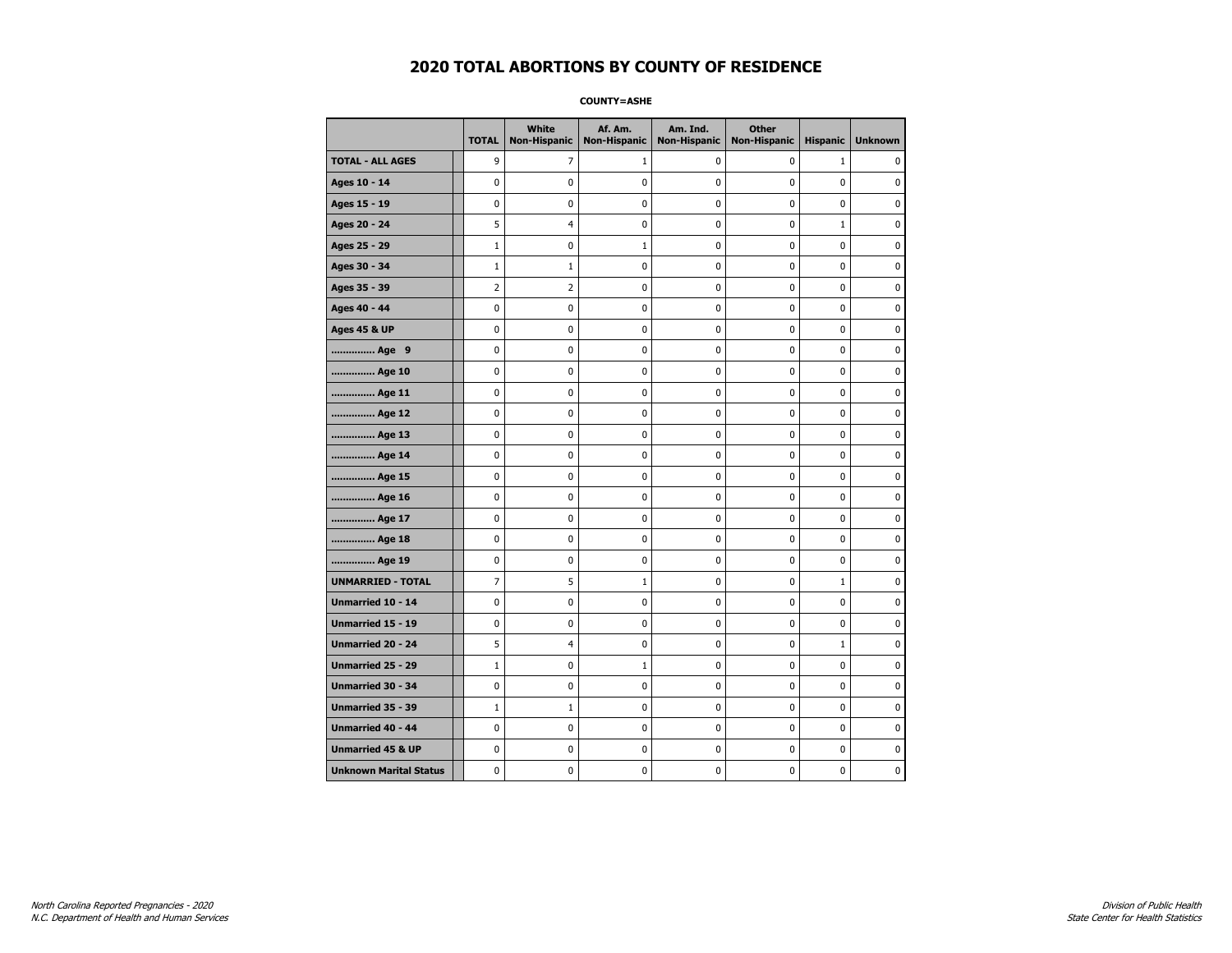**COUNTY=ASHE** 

|                               | <b>TOTAL</b>   | <b>White</b><br><b>Non-Hispanic</b> | Af. Am.<br><b>Non-Hispanic</b> | Am. Ind.<br><b>Non-Hispanic</b> | <b>Other</b><br><b>Non-Hispanic</b> | <b>Hispanic</b> | <b>Unknown</b> |
|-------------------------------|----------------|-------------------------------------|--------------------------------|---------------------------------|-------------------------------------|-----------------|----------------|
| <b>TOTAL - ALL AGES</b>       | 9              | 7                                   | 1                              | 0                               | 0                                   | $\mathbf{1}$    | 0              |
| Ages 10 - 14                  | $\mathbf 0$    | 0                                   | 0                              | 0                               | 0                                   | 0               | 0              |
| Ages 15 - 19                  | $\pmb{0}$      | 0                                   | 0                              | 0                               | 0                                   | 0               | 0              |
| Ages 20 - 24                  | 5              | 4                                   | 0                              | 0                               | 0                                   | $\mathbf{1}$    | 0              |
| Ages 25 - 29                  | $\mathbf{1}$   | $\mathbf 0$                         | 1                              | 0                               | 0                                   | 0               | 0              |
| Ages 30 - 34                  | $\mathbf{1}$   | $\mathbf{1}$                        | 0                              | 0                               | 0                                   | 0               | 0              |
| Ages 35 - 39                  | $\overline{2}$ | $\overline{2}$                      | 0                              | 0                               | 0                                   | 0               | 0              |
| Ages 40 - 44                  | 0              | 0                                   | 0                              | 0                               | 0                                   | 0               | $\pmb{0}$      |
| <b>Ages 45 &amp; UP</b>       | 0              | 0                                   | 0                              | 0                               | 0                                   | 0               | 0              |
| Age 9                         | $\mathbf 0$    | $\mathbf 0$                         | 0                              | 0                               | 0                                   | 0               | 0              |
| Age 10                        | 0              | 0                                   | 0                              | 0                               | 0                                   | 0               | 0              |
| Age 11                        | 0              | 0                                   | 0                              | 0                               | 0                                   | 0               | 0              |
| Age 12                        | 0              | 0                                   | 0                              | 0                               | 0                                   | 0               | 0              |
| Age 13                        | 0              | 0                                   | 0                              | 0                               | 0                                   | 0               | 0              |
| Age 14                        | $\mathbf 0$    | 0                                   | 0                              | $\pmb{0}$                       | 0                                   | 0               | 0              |
| Age 15                        | $\pmb{0}$      | 0                                   | 0                              | 0                               | 0                                   | 0               | $\pmb{0}$      |
| Age 16                        | 0              | 0                                   | 0                              | 0                               | 0                                   | 0               | 0              |
| Age 17                        | 0              | 0                                   | 0                              | 0                               | 0                                   | 0               | 0              |
| Age 18                        | $\mathbf 0$    | 0                                   | 0                              | 0                               | 0                                   | 0               | $\mathbf 0$    |
| Age 19                        | $\pmb{0}$      | 0                                   | 0                              | $\pmb{0}$                       | 0                                   | $\pmb{0}$       | 0              |
| <b>UNMARRIED - TOTAL</b>      | 7              | 5                                   | 1                              | 0                               | 0                                   | $\mathbf 1$     | 0              |
| Unmarried 10 - 14             | 0              | 0                                   | 0                              | 0                               | 0                                   | 0               | 0              |
| <b>Unmarried 15 - 19</b>      | 0              | 0                                   | 0                              | 0                               | 0                                   | 0               | 0              |
| Unmarried 20 - 24             | 5              | 4                                   | $\pmb{0}$                      | 0                               | 0                                   | $\mathbf 1$     | $\pmb{0}$      |
| <b>Unmarried 25 - 29</b>      | $\mathbf{1}$   | 0                                   | $\mathbf 1$                    | 0                               | 0                                   | 0               | 0              |
| Unmarried 30 - 34             | 0              | 0                                   | 0                              | 0                               | 0                                   | 0               | 0              |
| Unmarried 35 - 39             | $\mathbf{1}$   | $\mathbf{1}$                        | 0                              | 0                               | 0                                   | 0               | $\mathbf 0$    |
| <b>Unmarried 40 - 44</b>      | 0              | 0                                   | 0                              | 0                               | 0                                   | 0               | 0              |
| <b>Unmarried 45 &amp; UP</b>  | 0              | 0                                   | 0                              | 0                               | 0                                   | 0               | 0              |
| <b>Unknown Marital Status</b> | 0              | 0                                   | 0                              | 0                               | 0                                   | 0               | 0              |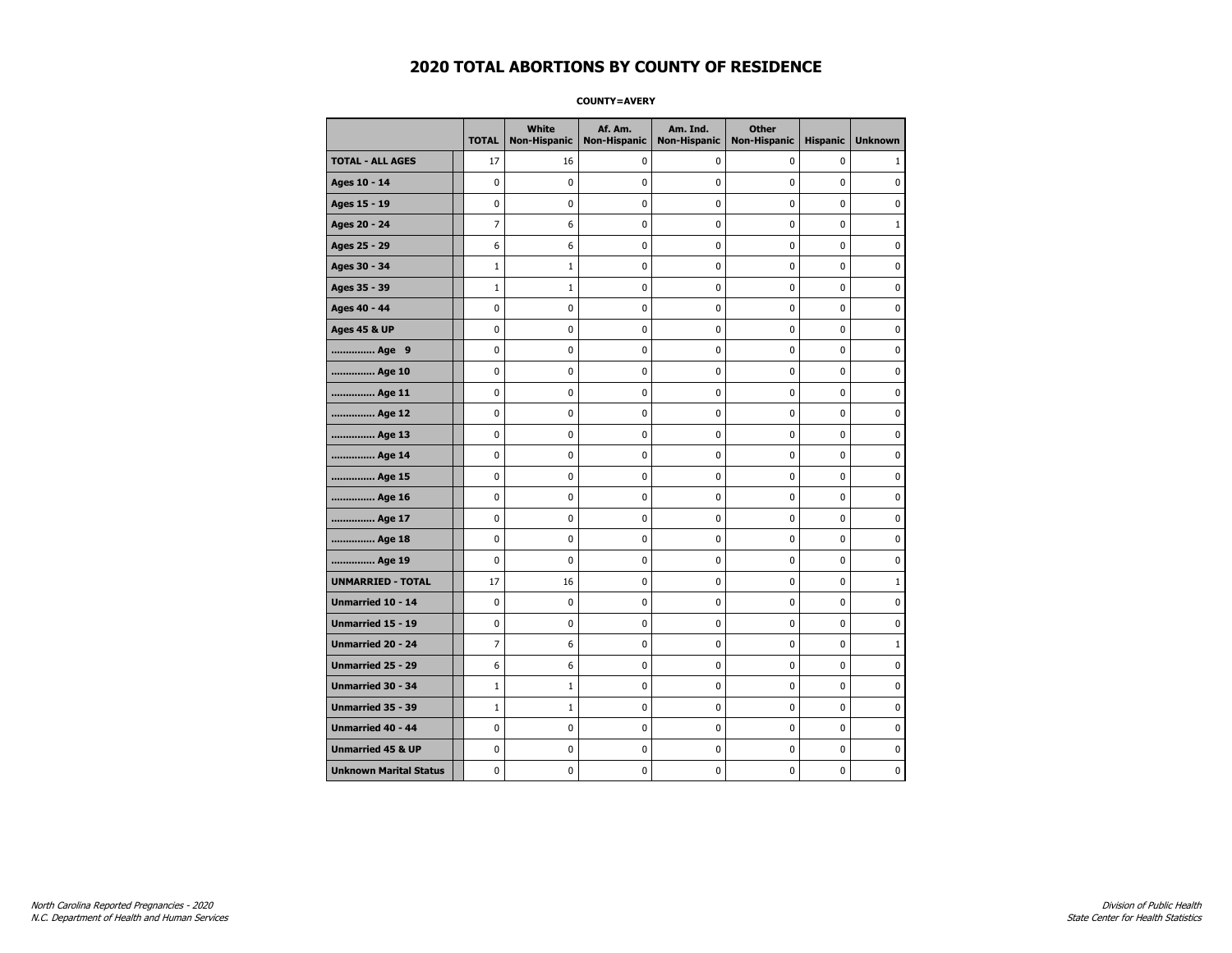**COUNTY=AVERY** 

|                               | <b>TOTAL</b>   | White<br>Non-Hispanic | Af. Am.<br><b>Non-Hispanic</b> | Am. Ind.<br><b>Non-Hispanic</b> | <b>Other</b><br><b>Non-Hispanic</b> | <b>Hispanic</b> | <b>Unknown</b> |
|-------------------------------|----------------|-----------------------|--------------------------------|---------------------------------|-------------------------------------|-----------------|----------------|
| <b>TOTAL - ALL AGES</b>       | 17             | 16                    | 0                              | 0                               | 0                                   | 0               | 1              |
| Ages 10 - 14                  | 0              | $\mathbf 0$           | 0                              | 0                               | 0                                   | 0               | 0              |
| Ages 15 - 19                  | 0              | 0                     | 0                              | 0                               | $\pmb{0}$                           | 0               | 0              |
| Ages 20 - 24                  | $\overline{7}$ | 6                     | $\pmb{0}$                      | 0                               | $\mathbf 0$                         | 0               | $\mathbf{1}$   |
| Ages 25 - 29                  | 6              | 6                     | $\pmb{0}$                      | 0                               | $\pmb{0}$                           | 0               | $\pmb{0}$      |
| Ages 30 - 34                  | $\mathbf 1$    | $\mathbf 1$           | 0                              | 0                               | 0                                   | 0               | 0              |
| Ages 35 - 39                  | $\mathbf{1}$   | $\mathbf{1}$          | 0                              | 0                               | 0                                   | 0               | 0              |
| Ages 40 - 44                  | 0              | 0                     | 0                              | 0                               | $\mathbf 0$                         | 0               | $\pmb{0}$      |
| <b>Ages 45 &amp; UP</b>       | 0              | 0                     | 0                              | 0                               | 0                                   | 0               | $\mathbf 0$    |
| Age 9                         | 0              | 0                     | 0                              | 0                               | $\mathbf 0$                         | 0               | $\mathbf 0$    |
| Age 10                        | 0              | 0                     | $\pmb{0}$                      | 0                               | $\pmb{0}$                           | 0               | 0              |
| Age 11                        | 0              | 0                     | 0                              | 0                               | 0                                   | 0               | $\mathbf 0$    |
| Age 12                        | 0              | 0                     | 0                              | 0                               | 0                                   | 0               | 0              |
| Age 13                        | 0              | 0                     | 0                              | 0                               | 0                                   | 0               | $\mathbf 0$    |
| Age 14                        | 0              | 0                     | 0                              | 0                               | $\mathbf 0$                         | 0               | $\mathbf 0$    |
| Age 15                        | 0              | 0                     | $\pmb{0}$                      | 0                               | $\pmb{0}$                           | 0               | $\pmb{0}$      |
| Age 16                        | 0              | 0                     | $\pmb{0}$                      | 0                               | $\pmb{0}$                           | 0               | $\mathbf 0$    |
| Age 17                        | 0              | 0                     | 0                              | 0                               | 0                                   | 0               | 0              |
| Age 18                        | 0              | 0                     | $\pmb{0}$                      | 0                               | $\pmb{0}$                           | 0               | $\pmb{0}$      |
| Age 19                        | 0              | 0                     | 0                              | 0                               | 0                                   | 0               | $\mathbf 0$    |
| <b>UNMARRIED - TOTAL</b>      | 17             | 16                    | 0                              | 0                               | $\mathbf 0$                         | 0               | $\mathbf{1}$   |
| Unmarried 10 - 14             | 0              | 0                     | $\pmb{0}$                      | 0                               | $\pmb{0}$                           | 0               | 0              |
| Unmarried 15 - 19             | 0              | 0                     | $\pmb{0}$                      | 0                               | $\pmb{0}$                           | 0               | $\pmb{0}$      |
| Unmarried 20 - 24             | 7              | 6                     | 0                              | 0                               | 0                                   | 0               | $\mathbf{1}$   |
| <b>Unmarried 25 - 29</b>      | 6              | 6                     | 0                              | 0                               | 0                                   | 0               | 0              |
| <b>Unmarried 30 - 34</b>      | $\mathbf{1}$   | $1\,$                 | $\mathbf 0$                    | 0                               | $\mathbf 0$                         | 0               | $\mathbf 0$    |
| Unmarried 35 - 39             | $\mathbf{1}$   | $\mathbf{1}$          | 0                              | 0                               | $\mathbf 0$                         | 0               | $\mathbf 0$    |
| Unmarried 40 - 44             | 0              | 0                     | $\pmb{0}$                      | 0                               | $\pmb{0}$                           | 0               | 0              |
| <b>Unmarried 45 &amp; UP</b>  | 0              | 0                     | 0                              | 0                               | 0                                   | 0               | 0              |
| <b>Unknown Marital Status</b> | 0              | 0                     | 0                              | 0                               | 0                                   | 0               | $\mathbf 0$    |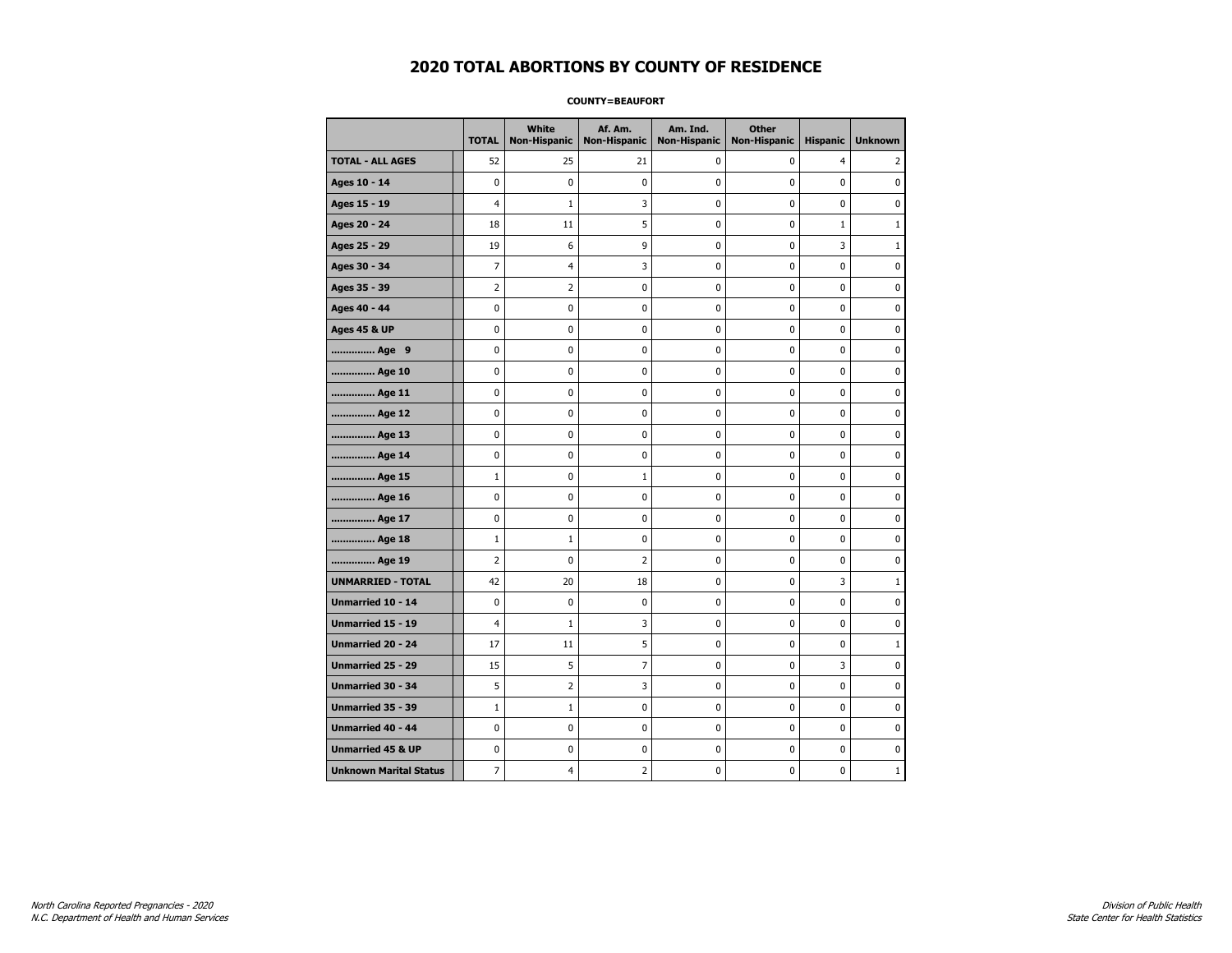### **COUNTY=BEAUFORT**

|                               | <b>TOTAL</b>   | White<br>Non-Hispanic | Af. Am.<br><b>Non-Hispanic</b> | Am. Ind.<br><b>Non-Hispanic</b> | <b>Other</b><br><b>Non-Hispanic</b> | <b>Hispanic</b> | <b>Unknown</b> |
|-------------------------------|----------------|-----------------------|--------------------------------|---------------------------------|-------------------------------------|-----------------|----------------|
| <b>TOTAL - ALL AGES</b>       | 52             | 25                    | 21                             | 0                               | 0                                   | $\overline{4}$  | 2              |
| Ages 10 - 14                  | $\mathbf 0$    | $\mathbf 0$           | $\mathbf 0$                    | $\mathbf 0$                     | $\mathbf 0$                         | $\mathbf 0$     | 0              |
| Ages 15 - 19                  | $\overline{4}$ | $\mathbf{1}$          | 3                              | $\mathbf 0$                     | $\mathbf 0$                         | $\mathbf 0$     | 0              |
| Ages 20 - 24                  | 18             | 11                    | 5                              | $\pmb{0}$                       | $\pmb{0}$                           | $\mathbf 1$     | $\mathbf 1$    |
| Ages 25 - 29                  | 19             | 6                     | 9                              | 0                               | $\pmb{0}$                           | 3               | 1              |
| Ages 30 - 34                  | 7              | 4                     | 3                              | 0                               | 0                                   | 0               | 0              |
| Ages 35 - 39                  | $\overline{2}$ | $\mathbf 2$           | $\pmb{0}$                      | 0                               | $\mathbf 0$                         | $\mathbf 0$     | 0              |
| Ages 40 - 44                  | $\mathbf 0$    | 0                     | $\mathbf 0$                    | 0                               | $\mathbf 0$                         | $\mathbf 0$     | 0              |
| <b>Ages 45 &amp; UP</b>       | $\mathbf 0$    | 0                     | $\mathbf 0$                    | $\mathbf 0$                     | $\mathbf 0$                         | $\mathbf 0$     | 0              |
| Age 9                         | $\pmb{0}$      | 0                     | $\pmb{0}$                      | 0                               | 0                                   | 0               | 0              |
| Age 10                        | $\mathbf 0$    | 0                     | $\mathbf 0$                    | 0                               | $\mathbf 0$                         | $\mathbf 0$     | 0              |
| Age 11                        | 0              | 0                     | 0                              | 0                               | 0                                   | 0               | 0              |
| Age 12                        | $\mathbf 0$    | 0                     | $\pmb{0}$                      | 0                               | 0                                   | 0               | 0              |
| Age 13                        | $\mathbf 0$    | 0                     | $\mathbf 0$                    | $\mathbf 0$                     | $\mathbf 0$                         | $\mathbf 0$     | 0              |
| Age 14                        | $\mathbf 0$    | $\mathbf 0$           | $\mathbf 0$                    | $\mathbf 0$                     | $\mathbf 0$                         | $\mathbf 0$     | 0              |
| Age 15                        | $1\,$          | 0                     | $1\,$                          | $\pmb{0}$                       | $\pmb{0}$                           | $\pmb{0}$       | 0              |
| Age 16                        | 0              | 0                     | $\pmb{0}$                      | 0                               | 0                                   | 0               | 0              |
| Age 17                        | $\mathbf 0$    | 0                     | 0                              | 0                               | $\mathbf 0$                         | $\mathbf 0$     | 0              |
| Age 18                        | $1\,$          | $\mathbf{1}$          | $\mathbf 0$                    | 0                               | 0                                   | $\mathbf 0$     | 0              |
| Age 19                        | $\overline{2}$ | 0                     | $\overline{2}$                 | $\mathbf 0$                     | $\mathbf 0$                         | $\mathbf 0$     | 0              |
| <b>UNMARRIED - TOTAL</b>      | 42             | 20                    | 18                             | 0                               | $\mathbf 0$                         | 3               | 1              |
| Unmarried 10 - 14             | $\mathbf 0$    | 0                     | $\pmb{0}$                      | $\pmb{0}$                       | $\mathbf 0$                         | $\mathbf 0$     | 0              |
| Unmarried 15 - 19             | $\overline{4}$ | $\mathbf{1}$          | 3                              | 0                               | 0                                   | 0               | 0              |
| <b>Unmarried 20 - 24</b>      | 17             | 11                    | 5                              | 0                               | 0                                   | 0               | $\mathbf{1}$   |
| <b>Unmarried 25 - 29</b>      | 15             | 5                     | $\overline{7}$                 | $\mathbf 0$                     | $\mathbf 0$                         | 3               | 0              |
| <b>Unmarried 30 - 34</b>      | 5              | $\overline{2}$        | 3                              | 0                               | 0                                   | 0               | 0              |
| Unmarried 35 - 39             | $\mathbf 1$    | $1\,$                 | $\pmb{0}$                      | $\pmb{0}$                       | $\pmb{0}$                           | $\pmb{0}$       | 0              |
| Unmarried 40 - 44             | 0              | 0                     | $\pmb{0}$                      | 0                               | $\pmb{0}$                           | 0               | 0              |
| <b>Unmarried 45 &amp; UP</b>  | 0              | 0                     | 0                              | 0                               | $\mathbf 0$                         | $\mathbf 0$     | 0              |
| <b>Unknown Marital Status</b> | 7              | 4                     | 2                              | 0                               | $\mathbf 0$                         | 0               | $\mathbf{1}$   |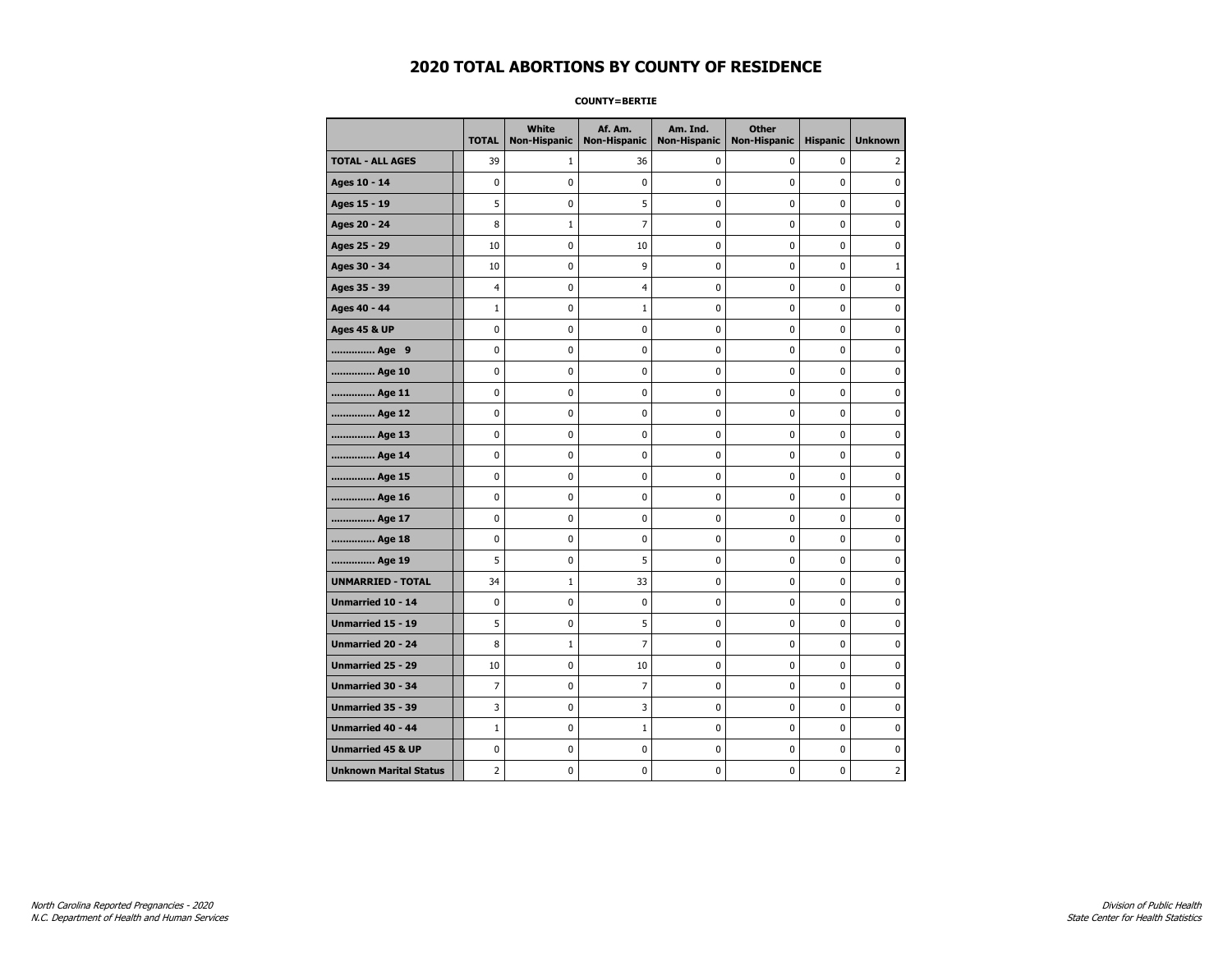**COUNTY=BERTIE** 

|                               | <b>TOTAL</b> | White<br><b>Non-Hispanic</b> | Af. Am.<br><b>Non-Hispanic</b> | Am. Ind.<br><b>Non-Hispanic</b> | <b>Other</b><br><b>Non-Hispanic</b> | <b>Hispanic</b> | <b>Unknown</b> |
|-------------------------------|--------------|------------------------------|--------------------------------|---------------------------------|-------------------------------------|-----------------|----------------|
| <b>TOTAL - ALL AGES</b>       | 39           | 1                            | 36                             | 0                               | 0                                   | 0               | 2              |
| Ages 10 - 14                  | 0            | 0                            | 0                              | 0                               | 0                                   | 0               | 0              |
| Ages 15 - 19                  | 5            | 0                            | 5                              | 0                               | $\pmb{0}$                           | 0               | 0              |
| Ages 20 - 24                  | 8            | $\mathbf{1}$                 | $\overline{7}$                 | 0                               | 0                                   | 0               | 0              |
| Ages 25 - 29                  | 10           | 0                            | 10                             | 0                               | 0                                   | 0               | $\mathbf 0$    |
| Ages 30 - 34                  | 10           | 0                            | 9                              | 0                               | $\pmb{0}$                           | 0               | $\mathbf{1}$   |
| Ages 35 - 39                  | 4            | 0                            | 4                              | 0                               | 0                                   | 0               | $\mathbf 0$    |
| Ages 40 - 44                  | $\mathbf{1}$ | 0                            | $1\,$                          | 0                               | $\pmb{0}$                           | 0               | $\pmb{0}$      |
| <b>Ages 45 &amp; UP</b>       | 0            | 0                            | 0                              | 0                               | 0                                   | 0               | 0              |
| Age 9                         | 0            | 0                            | 0                              | 0                               | 0                                   | 0               | 0              |
| Age 10                        | 0            | 0                            | 0                              | 0                               | $\mathbf 0$                         | 0               | $\mathbf 0$    |
| Age 11                        | 0            | 0                            | $\pmb{0}$                      | 0                               | $\pmb{0}$                           | 0               | $\pmb{0}$      |
| Age 12                        | 0            | 0                            | 0                              | 0                               | 0                                   | 0               | 0              |
| Age 13                        | 0            | 0                            | 0                              | 0                               | 0                                   | 0               | $\mathbf 0$    |
| Age 14                        | 0            | 0                            | 0                              | 0                               | $\mathbf 0$                         | 0               | $\mathbf 0$    |
| Age 15                        | 0            | 0                            | $\pmb{0}$                      | 0                               | $\pmb{0}$                           | 0               | $\pmb{0}$      |
| Age 16                        | 0            | 0                            | 0                              | 0                               | 0                                   | 0               | 0              |
| Age 17                        | 0            | 0                            | 0                              | 0                               | 0                                   | 0               | 0              |
| Age 18                        | 0            | 0                            | 0                              | 0                               | $\mathbf 0$                         | 0               | $\mathbf 0$    |
| Age 19                        | 5            | 0                            | 5                              | 0                               | $\pmb{0}$                           | 0               | $\pmb{0}$      |
| <b>UNMARRIED - TOTAL</b>      | 34           | $\mathbf{1}$                 | 33                             | 0                               | 0                                   | 0               | 0              |
| Unmarried 10 - 14             | 0            | 0                            | 0                              | 0                               | $\pmb{0}$                           | 0               | $\mathbf 0$    |
| <b>Unmarried 15 - 19</b>      | 5            | 0                            | 5                              | 0                               | 0                                   | 0               | $\mathbf 0$    |
| Unmarried 20 - 24             | 8            | $1\,$                        | $\overline{7}$                 | 0                               | $\pmb{0}$                           | 0               | $\pmb{0}$      |
| <b>Unmarried 25 - 29</b>      | 10           | 0                            | 10                             | 0                               | 0                                   | 0               | 0              |
| Unmarried 30 - 34             | 7            | 0                            | $\overline{7}$                 | 0                               | 0                                   | 0               | 0              |
| Unmarried 35 - 39             | 3            | 0                            | 3                              | 0                               | $\pmb{0}$                           | 0               | $\mathbf 0$    |
| Unmarried 40 - 44             | $\mathbf{1}$ | 0                            | $1\,$                          | 0                               | $\pmb{0}$                           | 0               | 0              |
| <b>Unmarried 45 &amp; UP</b>  | 0            | 0                            | 0                              | 0                               | $\pmb{0}$                           | 0               | $\pmb{0}$      |
| <b>Unknown Marital Status</b> | 2            | 0                            | 0                              | 0                               | 0                                   | 0               | 2              |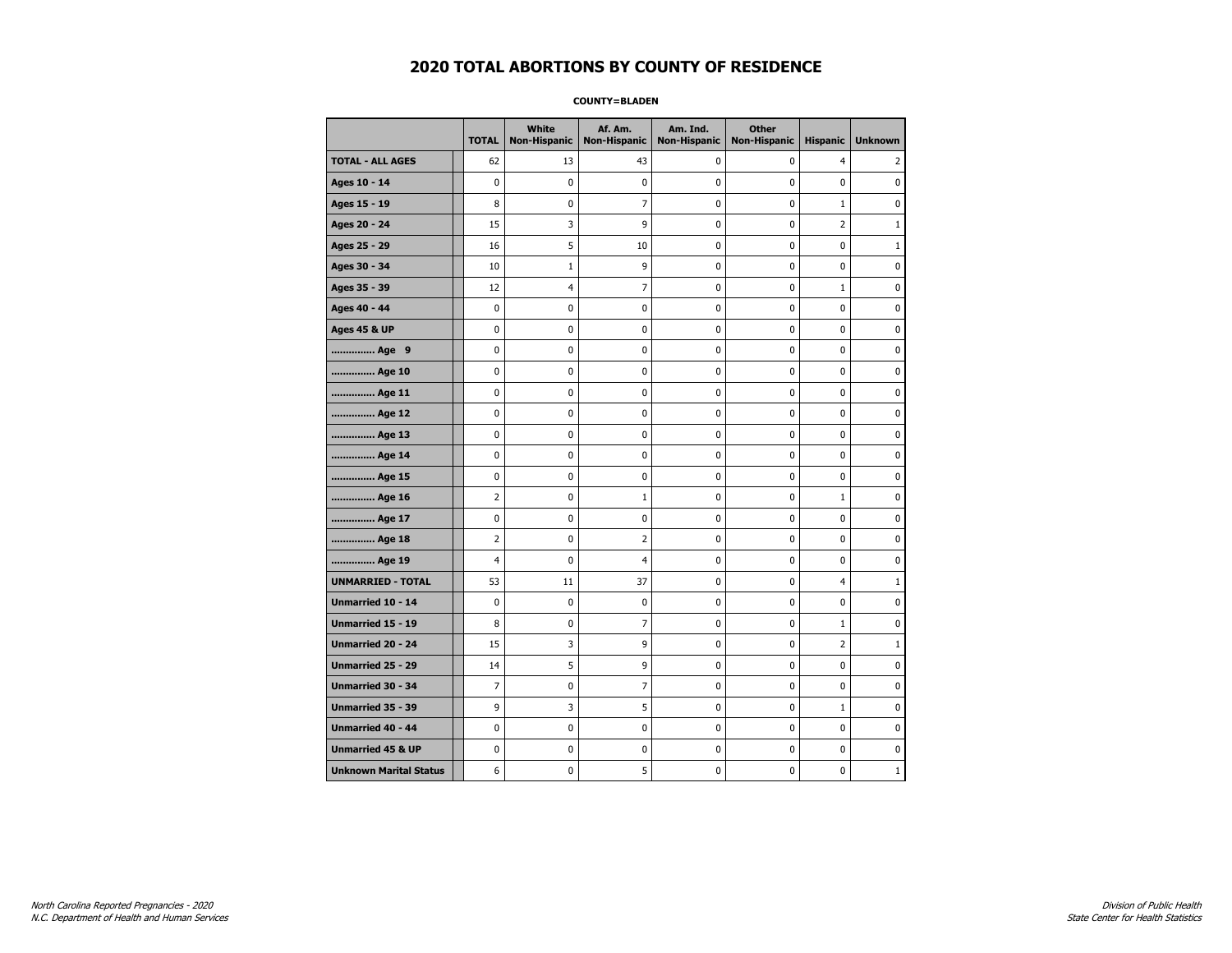**COUNTY=BLADEN** 

|                               | <b>TOTAL</b>   | <b>White</b><br><b>Non-Hispanic</b> | Af. Am.<br><b>Non-Hispanic</b> | Am. Ind.<br><b>Non-Hispanic</b> | <b>Other</b><br><b>Non-Hispanic</b> | <b>Hispanic</b> | <b>Unknown</b> |
|-------------------------------|----------------|-------------------------------------|--------------------------------|---------------------------------|-------------------------------------|-----------------|----------------|
| <b>TOTAL - ALL AGES</b>       | 62             | 13                                  | 43                             | 0                               | 0                                   | $\overline{4}$  | 2              |
| Ages 10 - 14                  | 0              | $\mathbf 0$                         | 0                              | 0                               | 0                                   | 0               | 0              |
| Ages 15 - 19                  | 8              | $\mathbf 0$                         | $\overline{7}$                 | 0                               | 0                                   | $\mathbf{1}$    | 0              |
| Ages 20 - 24                  | 15             | 3                                   | 9                              | 0                               | 0                                   | 2               | $1\,$          |
| Ages 25 - 29                  | 16             | 5                                   | 10                             | 0                               | 0                                   | 0               | $\mathbf{1}$   |
| Ages 30 - 34                  | 10             | $\mathbf{1}$                        | 9                              | 0                               | 0                                   | 0               | 0              |
| Ages 35 - 39                  | 12             | 4                                   | 7                              | 0                               | 0                                   | $\mathbf{1}$    | 0              |
| Ages 40 - 44                  | 0              | $\mathbf 0$                         | 0                              | 0                               | 0                                   | $\mathbf 0$     | $\mathbf 0$    |
| <b>Ages 45 &amp; UP</b>       | 0              | 0                                   | $\pmb{0}$                      | 0                               | 0                                   | $\pmb{0}$       | $\pmb{0}$      |
| Age 9                         | 0              | 0                                   | 0                              | 0                               | 0                                   | 0               | 0              |
| Age 10                        | 0              | 0                                   | 0                              | 0                               | 0                                   | 0               | 0              |
| Age 11                        | 0              | $\mathbf 0$                         | 0                              | 0                               | 0                                   | 0               | $\mathbf 0$    |
| Age 12                        | 0              | 0                                   | 0                              | 0                               | 0                                   | 0               | $\mathbf 0$    |
| Age 13                        | 0              | 0                                   | 0                              | 0                               | 0                                   | 0               | 0              |
| Age 14                        | 0              | 0                                   | 0                              | 0                               | 0                                   | 0               | 0              |
| Age 15                        | 0              | $\mathbf 0$                         | 0                              | 0                               | 0                                   | 0               | $\mathbf 0$    |
| Age 16                        | $\overline{2}$ | $\mathbf 0$                         | 1                              | 0                               | 0                                   | $\mathbf{1}$    | $\mathbf 0$    |
| Age 17                        | 0              | $\mathbf 0$                         | 0                              | 0                               | 0                                   | 0               | $\mathbf 0$    |
| Age 18                        | $\overline{2}$ | $\pmb{0}$                           | $\overline{2}$                 | 0                               | 0                                   | 0               | $\pmb{0}$      |
| Age 19                        | 4              | 0                                   | 4                              | 0                               | 0                                   | 0               | 0              |
| <b>UNMARRIED - TOTAL</b>      | 53             | 11                                  | 37                             | 0                               | 0                                   | 4               | $\mathbf{1}$   |
| Unmarried 10 - 14             | 0              | $\mathbf 0$                         | 0                              | 0                               | 0                                   | 0               | $\mathbf 0$    |
| Unmarried 15 - 19             | 8              | $\mathbf 0$                         | $\overline{7}$                 | 0                               | 0                                   | $\mathbf{1}$    | $\mathbf 0$    |
| Unmarried 20 - 24             | 15             | 3                                   | 9                              | 0                               | 0                                   | 2               | $1\,$          |
| Unmarried 25 - 29             | 14             | 5                                   | 9                              | 0                               | 0                                   | 0               | 0              |
| Unmarried 30 - 34             | $\overline{7}$ | 0                                   | 7                              | 0                               | 0                                   | 0               | $\mathbf 0$    |
| Unmarried 35 - 39             | 9              | 3                                   | 5                              | 0                               | 0                                   | $\mathbf 1$     | $\mathbf 0$    |
| Unmarried 40 - 44             | 0              | $\pmb{0}$                           | $\pmb{0}$                      | 0                               | 0                                   | 0               | 0              |
| <b>Unmarried 45 &amp; UP</b>  | 0              | 0                                   | 0                              | 0                               | 0                                   | 0               | 0              |
| <b>Unknown Marital Status</b> | 6              | 0                                   | 5                              | 0                               | 0                                   | 0               | $\mathbf{1}$   |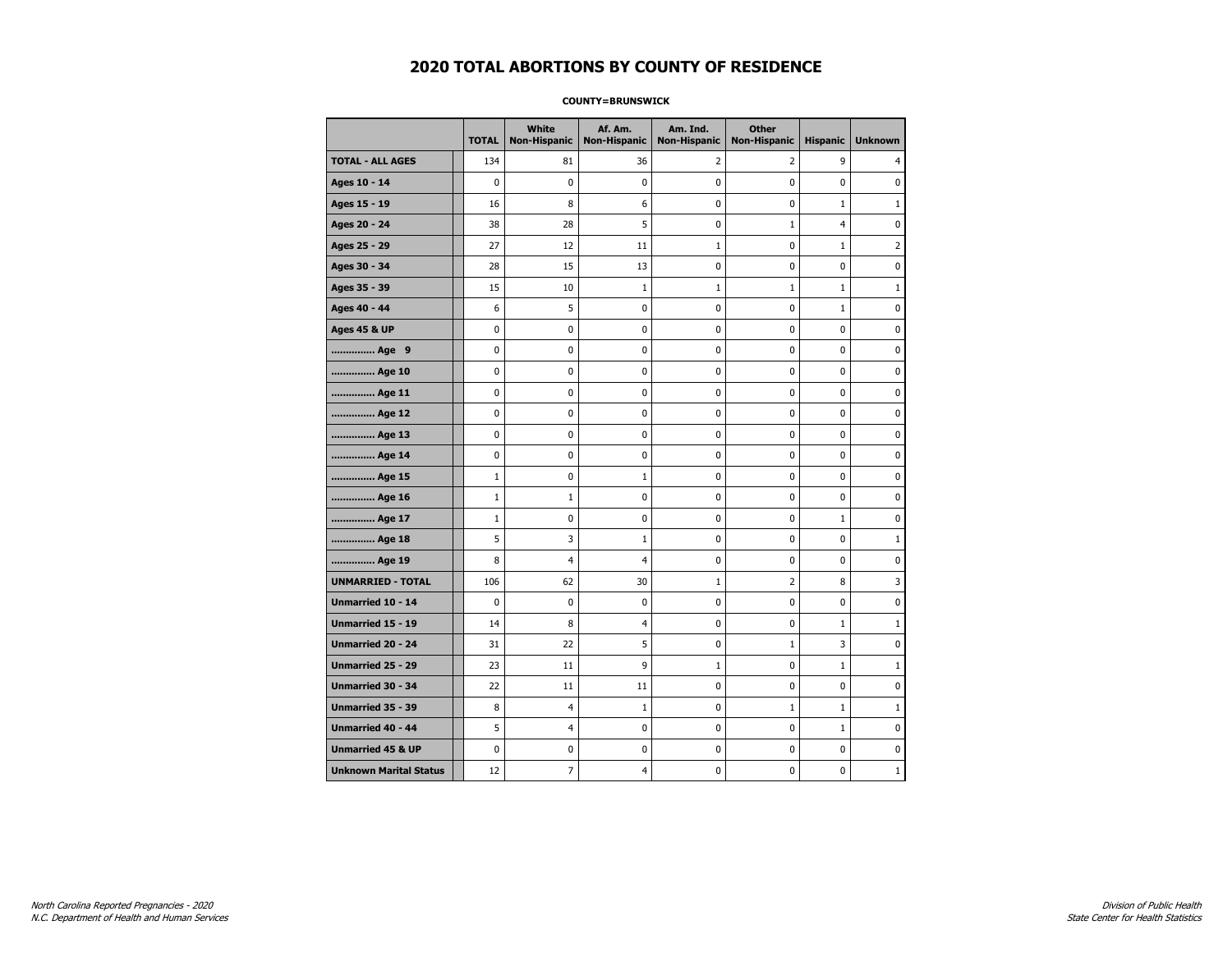### **COUNTY=BRUNSWICK**

|                               | <b>TOTAL</b> | White<br><b>Non-Hispanic</b> | Af. Am.<br><b>Non-Hispanic</b> | Am. Ind.<br><b>Non-Hispanic</b> | <b>Other</b><br><b>Non-Hispanic</b> | <b>Hispanic</b> | <b>Unknown</b> |
|-------------------------------|--------------|------------------------------|--------------------------------|---------------------------------|-------------------------------------|-----------------|----------------|
| <b>TOTAL - ALL AGES</b>       | 134          | 81                           | 36                             | 2                               | $\overline{2}$                      | 9               | 4              |
| Ages 10 - 14                  | $\mathbf 0$  | $\mathbf 0$                  | $\mathbf 0$                    | $\mathbf 0$                     | $\mathbf 0$                         | $\mathbf 0$     | 0              |
| Ages 15 - 19                  | 16           | 8                            | 6                              | $\pmb{0}$                       | $\pmb{0}$                           | $\mathbf 1$     | $\mathbf 1$    |
| Ages 20 - 24                  | 38           | 28                           | 5                              | 0                               | $\mathbf{1}$                        | $\overline{4}$  | 0              |
| Ages 25 - 29                  | 27           | 12                           | 11                             | $\mathbf 1$                     | $\mathbf 0$                         | $\mathbf{1}$    | $\overline{2}$ |
| Ages 30 - 34                  | 28           | 15                           | 13                             | $\mathbf 0$                     | $\mathbf 0$                         | $\mathbf 0$     | 0              |
| Ages 35 - 39                  | 15           | 10                           | $\mathbf 1$                    | $\mathbf{1}$                    | $\mathbf{1}$                        | $\mathbf 1$     | $\mathbf{1}$   |
| Ages 40 - 44                  | 6            | 5                            | 0                              | 0                               | 0                                   | $\mathbf{1}$    | 0              |
| <b>Ages 45 &amp; UP</b>       | $\mathbf 0$  | 0                            | $\mathbf 0$                    | 0                               | 0                                   | $\mathbf 0$     | 0              |
| Age 9                         | $\mathbf 0$  | 0                            | $\mathbf 0$                    | $\pmb{0}$                       | $\mathbf 0$                         | $\mathbf 0$     | 0              |
| Age 10                        | $\pmb{0}$    | 0                            | $\pmb{0}$                      | $\pmb{0}$                       | $\pmb{0}$                           | $\pmb{0}$       | 0              |
| Age 11                        | 0            | 0                            | $\pmb{0}$                      | 0                               | 0                                   | 0               | 0              |
| Age 12                        | 0            | 0                            | $\pmb{0}$                      | 0                               | 0                                   | 0               | 0              |
| Age 13                        | $\mathbf 0$  | 0                            | $\mathbf 0$                    | $\mathbf 0$                     | $\mathbf 0$                         | $\mathbf 0$     | 0              |
| Age 14                        | $\pmb{0}$    | 0                            | $\pmb{0}$                      | $\pmb{0}$                       | $\pmb{0}$                           | 0               | 0              |
| Age 15                        | $1\,$        | 0                            | 1                              | $\pmb{0}$                       | $\pmb{0}$                           | 0               | 0              |
| Age 16                        | $\mathbf{1}$ | $\mathbf{1}$                 | 0                              | 0                               | $\mathbf 0$                         | 0               | 0              |
| Age 17                        | $\mathbf{1}$ | 0                            | $\mathbf 0$                    | $\mathbf 0$                     | $\mathbf 0$                         | $\mathbf{1}$    | 0              |
| Age 18                        | 5            | 3                            | $\mathbf{1}$                   | 0                               | $\mathbf 0$                         | $\mathbf 0$     | $\mathbf{1}$   |
| Age 19                        | 8            | 4                            | $\overline{4}$                 | $\pmb{0}$                       | $\pmb{0}$                           | $\pmb{0}$       | 0              |
| <b>UNMARRIED - TOTAL</b>      | 106          | 62                           | 30                             | 1                               | $\overline{2}$                      | 8               | 3              |
| Unmarried 10 - 14             | $\mathbf 0$  | 0                            | $\mathbf 0$                    | 0                               | $\mathbf 0$                         | $\mathbf 0$     | 0              |
| Unmarried 15 - 19             | 14           | 8                            | $\overline{4}$                 | $\mathbf 0$                     | $\mathbf 0$                         | $\mathbf 1$     | $\mathbf{1}$   |
| <b>Unmarried 20 - 24</b>      | 31           | 22                           | 5                              | 0                               | $\mathbf{1}$                        | 3               | 0              |
| Unmarried 25 - 29             | 23           | 11                           | 9                              | $\mathbf{1}$                    | 0                                   | $\mathbf{1}$    | $\mathbf{1}$   |
| <b>Unmarried 30 - 34</b>      | 22           | 11                           | 11                             | $\pmb{0}$                       | $\mathbf 0$                         | $\mathbf 0$     | 0              |
| Unmarried 35 - 39             | 8            | $\overline{4}$               | $\mathbf{1}$                   | 0                               | $\mathbf{1}$                        | $\mathbf{1}$    | $\mathbf{1}$   |
| <b>Unmarried 40 - 44</b>      | 5            | 4                            | $\pmb{0}$                      | $\pmb{0}$                       | $\mathbf 0$                         | $\mathbf{1}$    | $\pmb{0}$      |
| <b>Unmarried 45 &amp; UP</b>  | $\mathbf 0$  | 0                            | 0                              | 0                               | 0                                   | 0               | 0              |
| <b>Unknown Marital Status</b> | 12           | 7                            | 4                              | 0                               | $\mathbf 0$                         | 0               | 1              |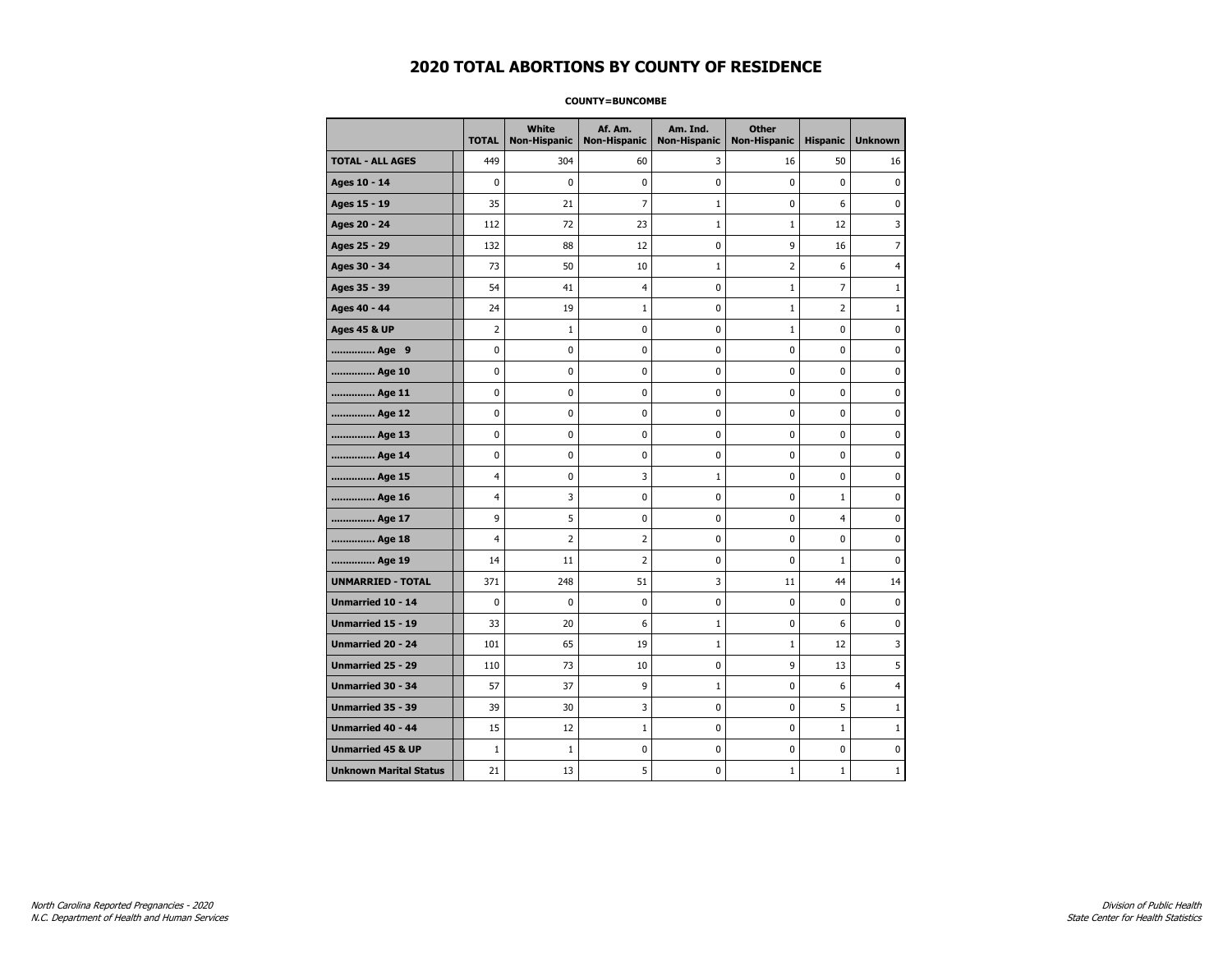#### **COUNTY=BUNCOMBE**

|                               | <b>TOTAL</b>   | <b>White</b><br>Non-Hispanic | Af. Am.<br><b>Non-Hispanic</b> | Am. Ind.<br><b>Non-Hispanic</b> | <b>Other</b><br><b>Non-Hispanic</b> | <b>Hispanic</b> | <b>Unknown</b> |
|-------------------------------|----------------|------------------------------|--------------------------------|---------------------------------|-------------------------------------|-----------------|----------------|
| <b>TOTAL - ALL AGES</b>       | 449            | 304                          | 60                             | 3                               | 16                                  | 50              | 16             |
| Ages 10 - 14                  | $\Omega$       | 0                            | $\mathbf 0$                    | $\mathbf 0$                     | $\Omega$                            | $\mathbf 0$     | $\pmb{0}$      |
| Ages 15 - 19                  | 35             | 21                           | $\overline{7}$                 | $\mathbf{1}$                    | $\mathbf 0$                         | 6               | 0              |
| Ages 20 - 24                  | 112            | 72                           | 23                             | $1\,$                           | $\mathbf{1}$                        | 12              | 3              |
| Ages 25 - 29                  | 132            | 88                           | 12                             | $\pmb{0}$                       | 9                                   | 16              | 7              |
| Ages 30 - 34                  | 73             | 50                           | 10                             | $\mathbf{1}$                    | 2                                   | 6               | 4              |
| Ages 35 - 39                  | 54             | 41                           | $\overline{4}$                 | 0                               | $\mathbf{1}$                        | 7               | $\mathbf{1}$   |
| Ages 40 - 44                  | 24             | 19                           | $\mathbf{1}$                   | 0                               | $\mathbf{1}$                        | 2               | 1              |
| <b>Ages 45 &amp; UP</b>       | $\overline{2}$ | $\mathbf{1}$                 | $\mathbf 0$                    | $\mathbf 0$                     | $\mathbf{1}$                        | $\mathbf 0$     | 0              |
| Age 9                         | $\mathbf 0$    | 0                            | $\mathbf 0$                    | 0                               | $\mathbf 0$                         | $\mathbf 0$     | $\mathbf 0$    |
| Age 10                        | $\mathbf 0$    | 0                            | $\mathbf 0$                    | $\mathbf 0$                     | $\mathbf 0$                         | $\mathbf 0$     | 0              |
| Age 11                        | $\pmb{0}$      | 0                            | $\pmb{0}$                      | $\pmb{0}$                       | $\pmb{0}$                           | 0               | 0              |
| Age 12                        | $\mathbf 0$    | 0                            | $\pmb{0}$                      | 0                               | $\mathbf 0$                         | 0               | 0              |
| Age 13                        | $\mathbf 0$    | 0                            | $\mathbf 0$                    | $\mathbf 0$                     | $\mathbf 0$                         | $\mathbf 0$     | 0              |
| Age 14                        | 0              | 0                            | 0                              | 0                               | 0                                   | 0               | 0              |
| Age 15                        | 4              | 0                            | 3                              | $\mathbf{1}$                    | $\mathbf 0$                         | 0               | 0              |
| Age 16                        | $\overline{4}$ | 3                            | $\mathbf 0$                    | $\mathbf 0$                     | $\mathbf 0$                         | $\mathbf{1}$    | 0              |
| Age 17                        | 9              | 5                            | $\mathbf 0$                    | $\mathbf 0$                     | $\mathbf 0$                         | $\overline{4}$  | 0              |
| Age 18                        | 4              | $\overline{2}$               | $\overline{2}$                 | 0                               | $\pmb{0}$                           | 0               | 0              |
| Age 19                        | 14             | 11                           | $\overline{2}$                 | 0                               | 0                                   | $\mathbf 1$     | 0              |
| <b>UNMARRIED - TOTAL</b>      | 371            | 248                          | 51                             | 3                               | 11                                  | 44              | 14             |
| Unmarried 10 - 14             | $\mathbf 0$    | 0                            | $\pmb{0}$                      | 0                               | $\mathbf 0$                         | $\mathbf 0$     | 0              |
| Unmarried 15 - 19             | 33             | 20                           | 6                              | $\mathbf{1}$                    | 0                                   | 6               | 0              |
| <b>Unmarried 20 - 24</b>      | 101            | 65                           | 19                             | $\mathbf{1}$                    | $\mathbf{1}$                        | 12              | 3              |
| <b>Unmarried 25 - 29</b>      | 110            | 73                           | 10                             | $\mathbf 0$                     | 9                                   | 13              | 5              |
| Unmarried 30 - 34             | 57             | 37                           | 9                              | $\mathbf 1$                     | $\pmb{0}$                           | 6               | 4              |
| Unmarried 35 - 39             | 39             | 30                           | 3                              | 0                               | 0                                   | 5               | 1              |
| Unmarried 40 - 44             | 15             | 12                           | 1                              | $\mathbf 0$                     | $\mathbf 0$                         | $\mathbf{1}$    | $\mathbf{1}$   |
| <b>Unmarried 45 &amp; UP</b>  | $\mathbf{1}$   | $\mathbf{1}$                 | 0                              | 0                               | 0                                   | 0               | 0              |
| <b>Unknown Marital Status</b> | 21             | 13                           | 5                              | 0                               | 1                                   | $\mathbf{1}$    | 1              |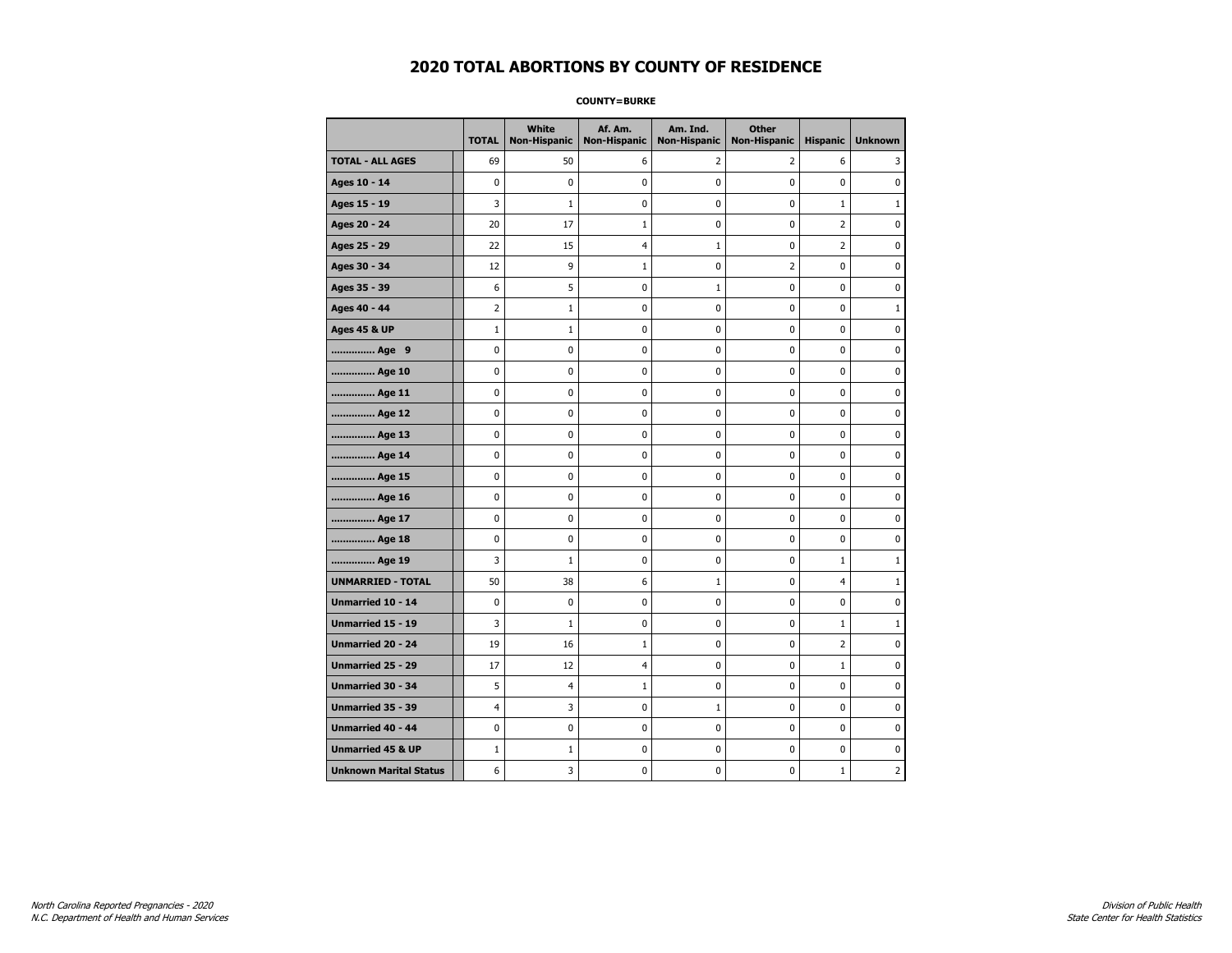**COUNTY=BURKE** 

|                               | <b>TOTAL</b>   | White<br>Non-Hispanic | Af. Am.<br><b>Non-Hispanic</b> | Am. Ind.<br><b>Non-Hispanic</b> | <b>Other</b><br><b>Non-Hispanic</b> | <b>Hispanic</b> | <b>Unknown</b> |
|-------------------------------|----------------|-----------------------|--------------------------------|---------------------------------|-------------------------------------|-----------------|----------------|
| <b>TOTAL - ALL AGES</b>       | 69             | 50                    | 6                              | 2                               | $\overline{2}$                      | 6               | 3              |
| Ages 10 - 14                  | 0              | $\mathbf 0$           | 0                              | 0                               | 0                                   | 0               | 0              |
| Ages 15 - 19                  | 3              | $\mathbf{1}$          | 0                              | 0                               | $\pmb{0}$                           | $\mathbf{1}$    | $\mathbf{1}$   |
| Ages 20 - 24                  | 20             | 17                    | $\mathbf{1}$                   | 0                               | $\mathbf 0$                         | $\overline{2}$  | $\mathbf 0$    |
| Ages 25 - 29                  | 22             | 15                    | $\overline{4}$                 | $\mathbf 1$                     | $\pmb{0}$                           | $\overline{2}$  | $\pmb{0}$      |
| Ages 30 - 34                  | 12             | 9                     | $1\,$                          | 0                               | $\overline{2}$                      | 0               | 0              |
| Ages 35 - 39                  | 6              | 5                     | 0                              | $\mathbf{1}$                    | 0                                   | 0               | 0              |
| Ages 40 - 44                  | $\overline{2}$ | $\mathbf{1}$          | 0                              | 0                               | $\mathbf 0$                         | 0               | $\mathbf{1}$   |
| <b>Ages 45 &amp; UP</b>       | $\mathbf{1}$   | $\mathbf{1}$          | 0                              | 0                               | 0                                   | 0               | $\mathbf 0$    |
| Age 9                         | 0              | 0                     | 0                              | 0                               | $\mathbf 0$                         | 0               | $\mathbf 0$    |
| Age 10                        | 0              | 0                     | $\pmb{0}$                      | 0                               | $\pmb{0}$                           | 0               | 0              |
| Age 11                        | 0              | 0                     | 0                              | 0                               | 0                                   | 0               | $\mathbf 0$    |
| Age 12                        | 0              | 0                     | 0                              | 0                               | 0                                   | 0               | 0              |
| Age 13                        | 0              | 0                     | 0                              | 0                               | 0                                   | 0               | $\mathbf 0$    |
| Age 14                        | 0              | 0                     | 0                              | 0                               | $\mathbf 0$                         | 0               | $\mathbf 0$    |
| Age 15                        | 0              | 0                     | $\pmb{0}$                      | 0                               | $\pmb{0}$                           | 0               | $\pmb{0}$      |
| Age 16                        | 0              | 0                     | $\pmb{0}$                      | 0                               | $\pmb{0}$                           | 0               | $\mathbf 0$    |
| Age 17                        | 0              | 0                     | 0                              | 0                               | 0                                   | 0               | 0              |
| Age 18                        | 0              | 0                     | $\pmb{0}$                      | 0                               | $\pmb{0}$                           | 0               | $\pmb{0}$      |
| Age 19                        | 3              | $\mathbf{1}$          | 0                              | 0                               | 0                                   | $\mathbf{1}$    | $\mathbf{1}$   |
| <b>UNMARRIED - TOTAL</b>      | 50             | 38                    | 6                              | $\mathbf{1}$                    | $\mathbf 0$                         | 4               | $\mathbf{1}$   |
| Unmarried 10 - 14             | 0              | 0                     | $\pmb{0}$                      | 0                               | $\pmb{0}$                           | 0               | 0              |
| Unmarried 15 - 19             | 3              | $1\,$                 | 0                              | 0                               | $\pmb{0}$                           | $\mathbf{1}$    | $\mathbf{1}$   |
| Unmarried 20 - 24             | 19             | 16                    | $\mathbf{1}$                   | 0                               | 0                                   | $\overline{2}$  | 0              |
| <b>Unmarried 25 - 29</b>      | 17             | 12                    | $\overline{4}$                 | 0                               | 0                                   | $\mathbf 1$     | 0              |
| <b>Unmarried 30 - 34</b>      | 5              | 4                     | $\mathbf{1}$                   | 0                               | $\mathbf 0$                         | 0               | $\mathbf 0$    |
| Unmarried 35 - 39             | 4              | 3                     | 0                              | $\mathbf 1$                     | $\mathbf 0$                         | 0               | $\mathbf 0$    |
| Unmarried 40 - 44             | 0              | 0                     | $\pmb{0}$                      | 0                               | $\pmb{0}$                           | 0               | 0              |
| <b>Unmarried 45 &amp; UP</b>  | $\mathbf 1$    | $\mathbf 1$           | 0                              | 0                               | 0                                   | 0               | 0              |
| <b>Unknown Marital Status</b> | 6              | 3                     | 0                              | 0                               | 0                                   | $\mathbf{1}$    | 2              |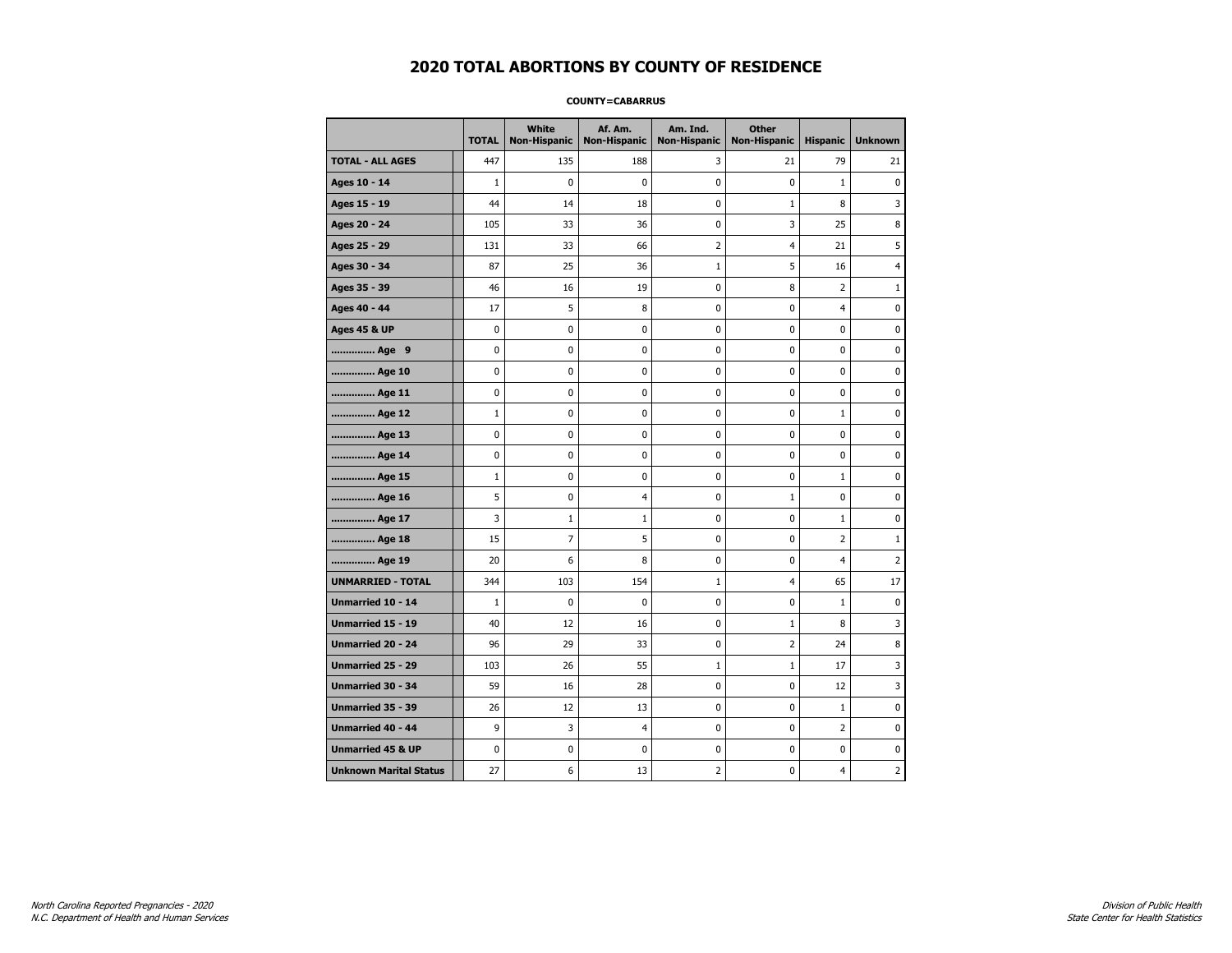### **COUNTY=CABARRUS**

|                               | <b>TOTAL</b> | White<br>Non-Hispanic | Af. Am.<br><b>Non-Hispanic</b> | Am. Ind.<br><b>Non-Hispanic</b> | <b>Other</b><br><b>Non-Hispanic</b> | <b>Hispanic</b> | <b>Unknown</b> |
|-------------------------------|--------------|-----------------------|--------------------------------|---------------------------------|-------------------------------------|-----------------|----------------|
| <b>TOTAL - ALL AGES</b>       | 447          | 135                   | 188                            | 3                               | 21                                  | 79              | 21             |
| Ages 10 - 14                  | $\mathbf{1}$ | $\mathbf 0$           | $\mathbf 0$                    | $\mathbf 0$                     | 0                                   | $\mathbf{1}$    | $\mathbf 0$    |
| Ages 15 - 19                  | 44           | 14                    | 18                             | 0                               | $\mathbf{1}$                        | 8               | 3              |
| Ages 20 - 24                  | 105          | 33                    | 36                             | $\pmb{0}$                       | 3                                   | 25              | 8              |
| Ages 25 - 29                  | 131          | 33                    | 66                             | $\overline{2}$                  | 4                                   | 21              | 5              |
| Ages 30 - 34                  | 87           | 25                    | 36                             | $\mathbf{1}$                    | 5                                   | 16              | 4              |
| Ages 35 - 39                  | 46           | 16                    | 19                             | $\mathbf 0$                     | 8                                   | $\overline{2}$  | 1              |
| Ages 40 - 44                  | 17           | 5                     | 8                              | 0                               | 0                                   | $\overline{4}$  | 0              |
| <b>Ages 45 &amp; UP</b>       | 0            | 0                     | 0                              | $\pmb{0}$                       | 0                                   | $\pmb{0}$       | 0              |
| Age 9                         | 0            | 0                     | 0                              | 0                               | 0                                   | 0               | 0              |
| Age 10                        | 0            | 0                     | $\mathbf 0$                    | $\mathbf 0$                     | 0                                   | $\mathbf 0$     | 0              |
| Age 11                        | 0            | 0                     | $\mathbf 0$                    | $\pmb{0}$                       | 0                                   | $\mathbf 0$     | 0              |
| Age 12                        | $\mathbf 1$  | 0                     | $\pmb{0}$                      | 0                               | 0                                   | $\mathbf 1$     | 0              |
| Age 13                        | 0            | $\mathbf 0$           | $\mathbf 0$                    | 0                               | 0                                   | 0               | 0              |
| Age 14                        | 0            | 0                     | 0                              | 0                               | 0                                   | 0               | 0              |
| Age 15                        | $\mathbf{1}$ | 0                     | $\mathbf 0$                    | 0                               | 0                                   | $\mathbf{1}$    | 0              |
| Age 16                        | 5            | 0                     | $\overline{4}$                 | $\mathbf 0$                     | $1\,$                               | $\mathbf 0$     | 0              |
| Age 17                        | 3            | $\mathbf{1}$          | 1                              | $\pmb{0}$                       | 0                                   | 1               | $\bf{0}$       |
| Age 18                        | 15           | 7                     | 5                              | 0                               | 0                                   | 2               | $\mathbf 1$    |
| Age 19                        | 20           | 6                     | 8                              | 0                               | 0                                   | $\overline{4}$  | $\overline{2}$ |
| <b>UNMARRIED - TOTAL</b>      | 344          | 103                   | 154                            | $\mathbf{1}$                    | 4                                   | 65              | 17             |
| Unmarried 10 - 14             | $\mathbf{1}$ | 0                     | $\mathbf 0$                    | $\mathbf 0$                     | 0                                   | $\mathbf{1}$    | 0              |
| Unmarried 15 - 19             | 40           | 12                    | 16                             | $\pmb{0}$                       | $\mathbf 1$                         | 8               | 3              |
| Unmarried 20 - 24             | 96           | 29                    | 33                             | 0                               | 2                                   | 24              | 8              |
| Unmarried 25 - 29             | 103          | 26                    | 55                             | $\mathbf{1}$                    | $\mathbf{1}$                        | 17              | 3              |
| Unmarried 30 - 34             | 59           | 16                    | 28                             | $\pmb{0}$                       | 0                                   | 12              | 3              |
| <b>Unmarried 35 - 39</b>      | 26           | 12                    | 13                             | 0                               | 0                                   | $\mathbf{1}$    | 0              |
| Unmarried 40 - 44             | 9            | 3                     | $\overline{4}$                 | $\pmb{0}$                       | 0                                   | $\overline{2}$  | $\mathbf 0$    |
| <b>Unmarried 45 &amp; UP</b>  | 0            | 0                     | 0                              | 0                               | 0                                   | 0               | 0              |
| <b>Unknown Marital Status</b> | 27           | 6                     | 13                             | $\overline{2}$                  | 0                                   | 4               | 2              |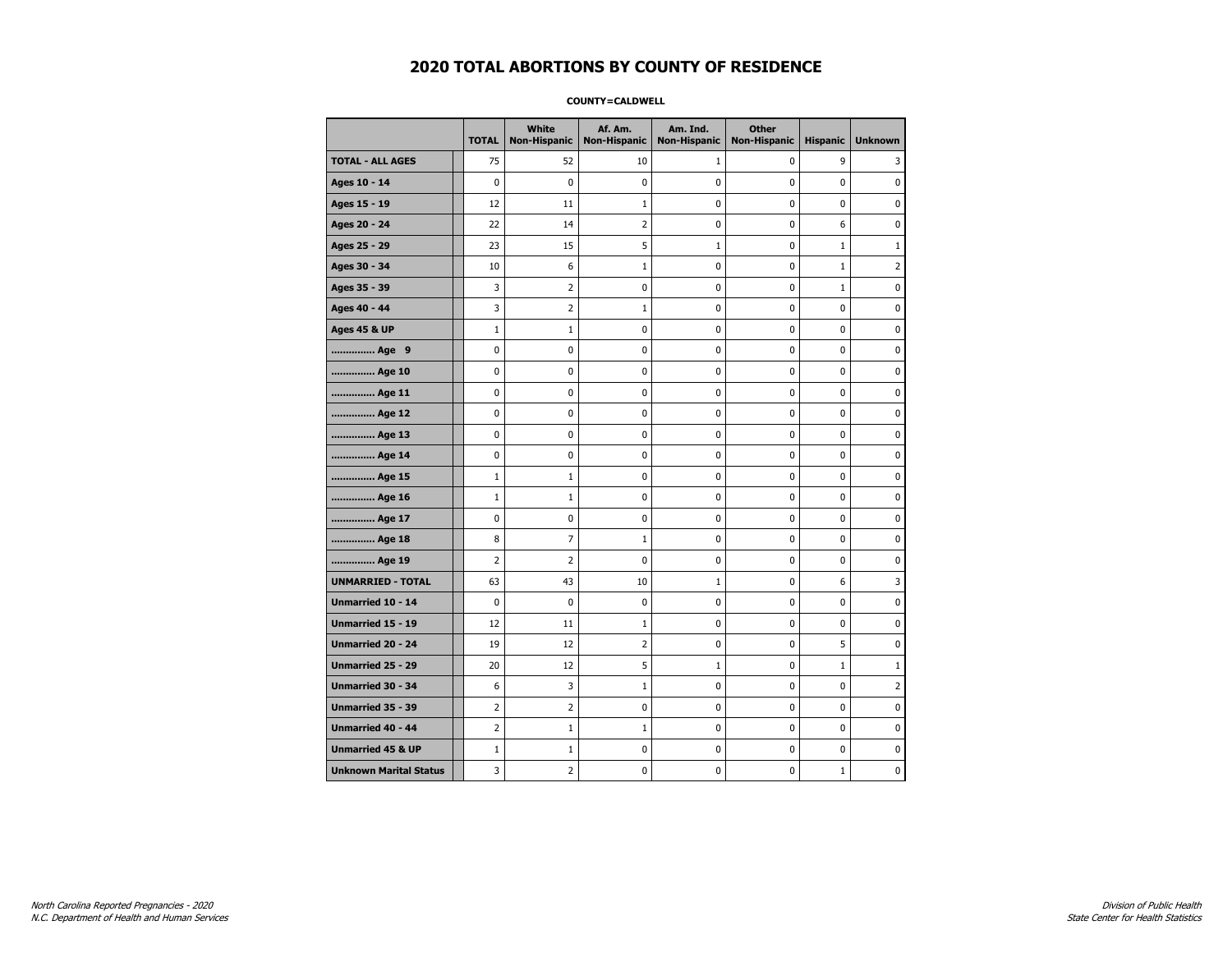### **COUNTY=CALDWELL**

|                               | <b>TOTAL</b>   | White<br><b>Non-Hispanic</b> | Af. Am.<br><b>Non-Hispanic</b> | Am. Ind.<br><b>Non-Hispanic</b> | <b>Other</b><br><b>Non-Hispanic</b> | <b>Hispanic</b> | <b>Unknown</b> |
|-------------------------------|----------------|------------------------------|--------------------------------|---------------------------------|-------------------------------------|-----------------|----------------|
| <b>TOTAL - ALL AGES</b>       | 75             | 52                           | 10                             | 1                               | 0                                   | 9               | 3              |
| Ages 10 - 14                  | 0              | $\mathbf 0$                  | 0                              | 0                               | 0                                   | 0               | $\mathbf 0$    |
| Ages 15 - 19                  | 12             | 11                           | $\mathbf{1}$                   | 0                               | $\pmb{0}$                           | 0               | $\pmb{0}$      |
| Ages 20 - 24                  | 22             | 14                           | $\overline{2}$                 | 0                               | $\pmb{0}$                           | 6               | $\pmb{0}$      |
| Ages 25 - 29                  | 23             | 15                           | 5                              | $\mathbf 1$                     | 0                                   | $\mathbf{1}$    | $\mathbf{1}$   |
| Ages 30 - 34                  | 10             | 6                            | 1                              | 0                               | $\pmb{0}$                           | $\mathbf 1$     | $\overline{2}$ |
| Ages 35 - 39                  | 3              | 2                            | 0                              | 0                               | 0                                   | $\mathbf{1}$    | $\mathbf 0$    |
| Ages 40 - 44                  | 3              | 2                            | $\mathbf 1$                    | 0                               | $\pmb{0}$                           | 0               | 0              |
| <b>Ages 45 &amp; UP</b>       | $1\,$          | 1                            | 0                              | 0                               | $\pmb{0}$                           | 0               | 0              |
| Age 9                         | 0              | 0                            | 0                              | 0                               | 0                                   | 0               | 0              |
| Age 10                        | 0              | 0                            | 0                              | 0                               | $\mathbf 0$                         | 0               | $\mathbf 0$    |
| Age 11                        | 0              | $\mathbf 0$                  | 0                              | 0                               | $\pmb{0}$                           | 0               | $\mathbf 0$    |
| Age 12                        | 0              | 0                            | 0                              | 0                               | 0                                   | 0               | 0              |
| Age 13                        | 0              | 0                            | 0                              | 0                               | 0                                   | 0               | 0              |
| Age 14                        | 0              | 0                            | 0                              | 0                               | 0                                   | 0               | 0              |
| Age 15                        | $\mathbf{1}$   | 1                            | 0                              | 0                               | 0                                   | 0               | 0              |
| Age 16                        | $\mathbf{1}$   | 1                            | 0                              | 0                               | $\mathbf 0$                         | 0               | $\mathbf 0$    |
| Age 17                        | 0              | 0                            | 0                              | 0                               | $\pmb{0}$                           | 0               | 0              |
| Age 18                        | 8              | 7                            | 1                              | 0                               | 0                                   | 0               | 0              |
| Age 19                        | 2              | 2                            | 0                              | 0                               | 0                                   | 0               | 0              |
| <b>UNMARRIED - TOTAL</b>      | 63             | 43                           | 10                             | $\mathbf{1}$                    | 0                                   | 6               | 3              |
| Unmarried 10 - 14             | 0              | $\mathbf 0$                  | 0                              | 0                               | $\mathbf 0$                         | 0               | $\mathbf 0$    |
| Unmarried 15 - 19             | 12             | 11                           | $\mathbf 1$                    | 0                               | $\pmb{0}$                           | 0               | 0              |
| Unmarried 20 - 24             | 19             | 12                           | 2                              | 0                               | 0                                   | 5               | 0              |
| Unmarried 25 - 29             | 20             | 12                           | 5                              | $\mathbf 1$                     | 0                                   | $\mathbf 1$     | $\mathbf{1}$   |
| <b>Unmarried 30 - 34</b>      | 6              | 3                            | $\mathbf{1}$                   | 0                               | $\pmb{0}$                           | 0               | $\overline{2}$ |
| <b>Unmarried 35 - 39</b>      | $\overline{2}$ | $\overline{2}$               | 0                              | 0                               | 0                                   | 0               | 0              |
| <b>Unmarried 40 - 44</b>      | $\overline{2}$ | $\mathbf{1}$                 | $\mathbf{1}$                   | 0                               | $\pmb{0}$                           | 0               | $\pmb{0}$      |
| <b>Unmarried 45 &amp; UP</b>  | $\mathbf{1}$   | 1                            | 0                              | 0                               | 0                                   | 0               | 0              |
| <b>Unknown Marital Status</b> | 3              | $\overline{2}$               | 0                              | 0                               | 0                                   | $\mathbf{1}$    | 0              |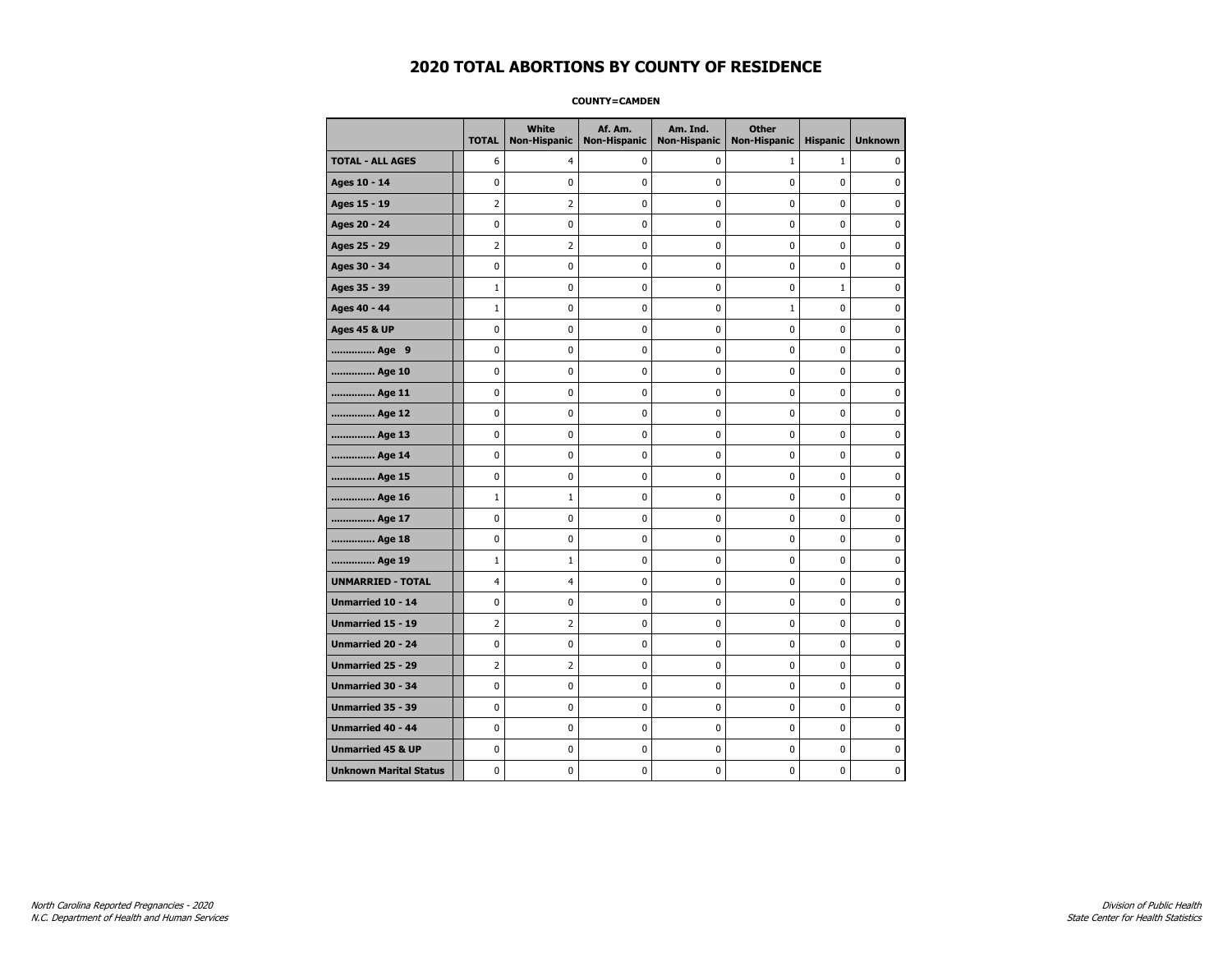**COUNTY=CAMDEN** 

|                               | <b>TOTAL</b>   | <b>White</b><br>Non-Hispanic | Af. Am.<br><b>Non-Hispanic</b> | Am. Ind.<br><b>Non-Hispanic</b> | <b>Other</b><br><b>Non-Hispanic</b> | <b>Hispanic</b> | <b>Unknown</b> |
|-------------------------------|----------------|------------------------------|--------------------------------|---------------------------------|-------------------------------------|-----------------|----------------|
| <b>TOTAL - ALL AGES</b>       | 6              | 4                            | 0                              | 0                               | $\mathbf{1}$                        | $\mathbf{1}$    | 0              |
| Ages 10 - 14                  | $\mathbf 0$    | 0                            | 0                              | $\mathbf{0}$                    | 0                                   | $\mathbf 0$     | 0              |
| Ages 15 - 19                  | $\overline{2}$ | $\overline{2}$               | 0                              | $\pmb{0}$                       | 0                                   | 0               | 0              |
| Ages 20 - 24                  | 0              | 0                            | 0                              | 0                               | 0                                   | 0               | 0              |
| Ages 25 - 29                  | $\overline{2}$ | $\overline{2}$               | 0                              | $\mathbf 0$                     | $\mathbf 0$                         | 0               | 0              |
| Ages 30 - 34                  | $\mathbf 0$    | 0                            | 0                              | 0                               | 0                                   | 0               | 0              |
| Ages 35 - 39                  | $\mathbf{1}$   | 0                            | 0                              | $\mathbf 0$                     | 0                                   | $\mathbf{1}$    | 0              |
| Ages 40 - 44                  | $\mathbf{1}$   | $\mathbf 0$                  | 0                              | 0                               | $\mathbf{1}$                        | 0               | $\bf{0}$       |
| <b>Ages 45 &amp; UP</b>       | 0              | 0                            | 0                              | 0                               | 0                                   | 0               | 0              |
| Age 9                         | $\mathbf 0$    | 0                            | 0                              | 0                               | $\mathbf 0$                         | 0               | 0              |
| Age 10                        | 0              | 0                            | 0                              | $\mathbf 0$                     | 0                                   | 0               | 0              |
| Age 11                        | $\mathbf 0$    | $\mathbf 0$                  | 0                              | 0                               | 0                                   | 0               | 0              |
| Age 12                        | 0              | 0                            | 0                              | 0                               | 0                                   | 0               | 0              |
| Age 13                        | $\mathbf 0$    | 0                            | 0                              | 0                               | 0                                   | 0               | 0              |
| Age 14                        | 0              | 0                            | 0                              | 0                               | 0                                   | 0               | 0              |
| Age 15                        | $\pmb{0}$      | 0                            | $\pmb{0}$                      | 0                               | 0                                   | 0               | $\pmb{0}$      |
| Age 16                        | $\mathbf{1}$   | 1                            | 0                              | 0                               | 0                                   | $\mathbf 0$     | 0              |
| Age 17                        | $\mathbf 0$    | 0                            | 0                              | 0                               | 0                                   | 0               | 0              |
| Age 18                        | 0              | 0                            | 0                              | $\mathbf 0$                     | $\mathbf 0$                         | 0               | $\mathbf 0$    |
| Age 19                        | $\mathbf{1}$   | $\mathbf 1$                  | 0                              | 0                               | $\pmb{0}$                           | 0               | 0              |
| <b>UNMARRIED - TOTAL</b>      | 4              | 4                            | 0                              | $\pmb{0}$                       | 0                                   | 0               | 0              |
| Unmarried 10 - 14             | 0              | 0                            | 0                              | 0                               | 0                                   | 0               | 0              |
| <b>Unmarried 15 - 19</b>      | $\overline{2}$ | $\overline{2}$               | 0                              | 0                               | 0                                   | 0               | 0              |
| Unmarried 20 - 24             | $\pmb{0}$      | $\pmb{0}$                    | $\pmb{0}$                      | $\pmb{0}$                       | $\pmb{0}$                           | 0               | $\pmb{0}$      |
| Unmarried 25 - 29             | 2              | $\overline{2}$               | 0                              | 0                               | 0                                   | 0               | 0              |
| Unmarried 30 - 34             | $\mathbf 0$    | 0                            | 0                              | 0                               | 0                                   | 0               | 0              |
| Unmarried 35 - 39             | $\mathbf 0$    | 0                            | $\mathbf 0$                    | 0                               | $\mathbf 0$                         | 0               | $\mathbf 0$    |
| Unmarried 40 - 44             | $\pmb{0}$      | 0                            | 0                              | 0                               | 0                                   | 0               | 0              |
| <b>Unmarried 45 &amp; UP</b>  | $\mathbf 0$    | 0                            | 0                              | 0                               | 0                                   | 0               | 0              |
| <b>Unknown Marital Status</b> | 0              | 0                            | 0                              | 0                               | 0                                   | 0               | 0              |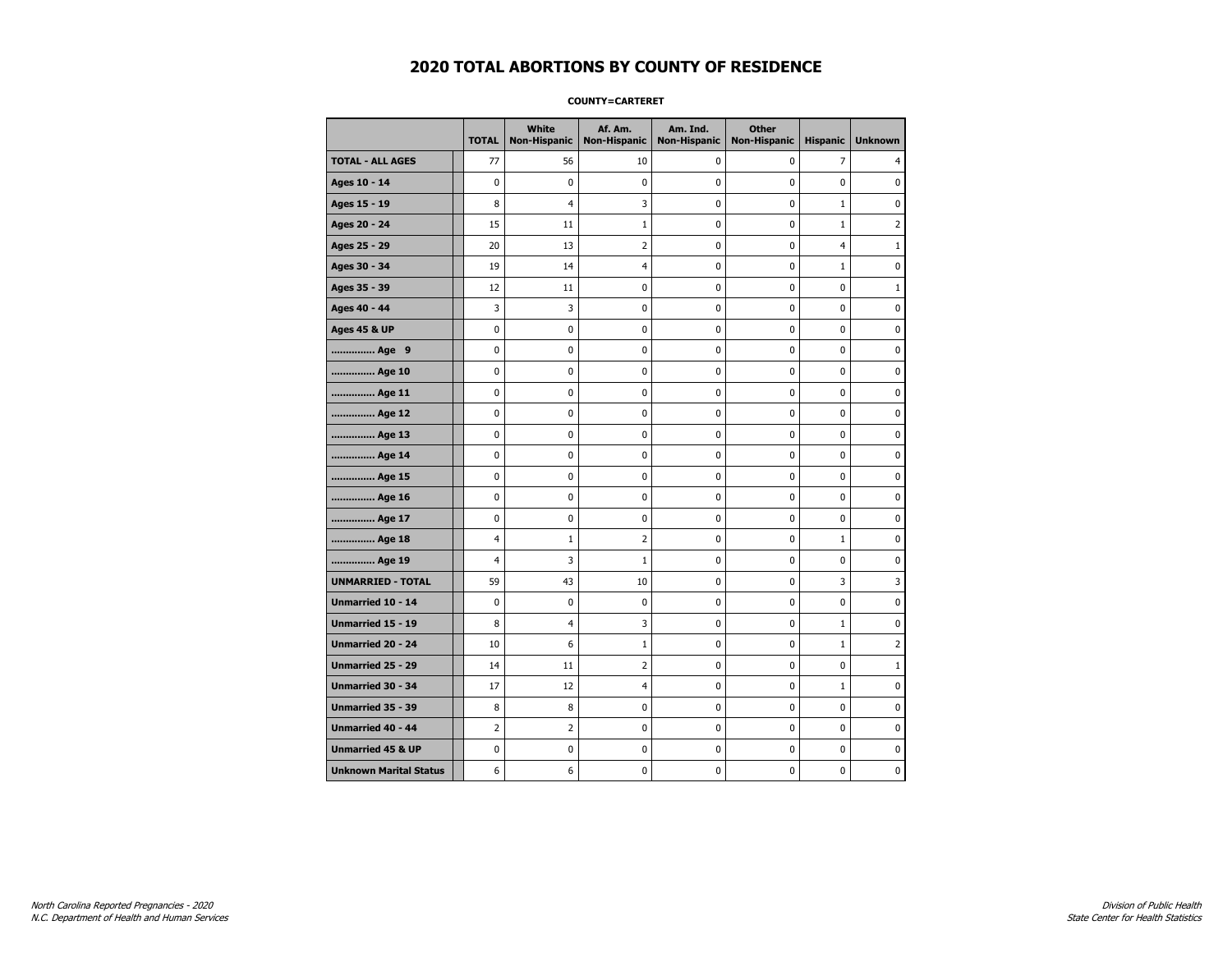### **COUNTY=CARTERET**

|                               | <b>TOTAL</b>   | White<br>Non-Hispanic | Af. Am.<br><b>Non-Hispanic</b> | Am. Ind.<br><b>Non-Hispanic</b> | <b>Other</b><br><b>Non-Hispanic</b> | <b>Hispanic</b> | <b>Unknown</b> |
|-------------------------------|----------------|-----------------------|--------------------------------|---------------------------------|-------------------------------------|-----------------|----------------|
| <b>TOTAL - ALL AGES</b>       | 77             | 56                    | 10                             | 0                               | 0                                   | 7               | 4              |
| Ages 10 - 14                  | $\mathbf 0$    | $\mathbf 0$           | $\mathbf 0$                    | $\mathbf 0$                     | $\mathbf 0$                         | $\mathbf 0$     | 0              |
| Ages 15 - 19                  | 8              | $\overline{4}$        | 3                              | $\mathbf 0$                     | $\mathbf 0$                         | $\mathbf{1}$    | 0              |
| Ages 20 - 24                  | 15             | 11                    | $\mathbf{1}$                   | $\pmb{0}$                       | $\pmb{0}$                           | $\mathbf 1$     | 2              |
| Ages 25 - 29                  | 20             | 13                    | $\overline{2}$                 | 0                               | $\pmb{0}$                           | 4               | $\mathbf 1$    |
| Ages 30 - 34                  | 19             | 14                    | 4                              | 0                               | 0                                   | $\mathbf{1}$    | 0              |
| Ages 35 - 39                  | 12             | 11                    | $\pmb{0}$                      | 0                               | $\mathbf 0$                         | $\mathbf 0$     | 1              |
| Ages 40 - 44                  | 3              | 3                     | $\mathbf 0$                    | 0                               | $\mathbf 0$                         | $\mathbf 0$     | 0              |
| <b>Ages 45 &amp; UP</b>       | $\mathbf 0$    | 0                     | $\mathbf 0$                    | $\mathbf 0$                     | $\mathbf 0$                         | $\mathbf 0$     | 0              |
| Age 9                         | $\pmb{0}$      | 0                     | $\pmb{0}$                      | 0                               | 0                                   | 0               | 0              |
| Age 10                        | $\mathbf 0$    | 0                     | $\mathbf 0$                    | 0                               | $\mathbf 0$                         | $\mathbf 0$     | 0              |
| Age 11                        | 0              | 0                     | 0                              | 0                               | 0                                   | 0               | 0              |
| Age 12                        | 0              | 0                     | $\pmb{0}$                      | 0                               | 0                                   | 0               | 0              |
| Age 13                        | $\mathbf 0$    | 0                     | $\mathbf 0$                    | $\mathbf 0$                     | $\mathbf 0$                         | $\mathbf 0$     | 0              |
| Age 14                        | $\mathbf 0$    | $\mathbf 0$           | $\mathbf 0$                    | $\mathbf 0$                     | $\mathbf 0$                         | $\mathbf 0$     | 0              |
| Age 15                        | $\pmb{0}$      | 0                     | $\pmb{0}$                      | $\pmb{0}$                       | $\pmb{0}$                           | $\pmb{0}$       | 0              |
| Age 16                        | 0              | 0                     | $\pmb{0}$                      | 0                               | 0                                   | 0               | 0              |
| Age 17                        | $\mathbf 0$    | 0                     | 0                              | 0                               | $\mathbf 0$                         | $\mathbf 0$     | 0              |
| Age 18                        | $\overline{4}$ | $\mathbf{1}$          | $\overline{2}$                 | 0                               | 0                                   | $\mathbf{1}$    | 0              |
| Age 19                        | $\overline{4}$ | 3                     | 1                              | $\mathbf 0$                     | $\mathbf 0$                         | $\mathbf 0$     | 0              |
| <b>UNMARRIED - TOTAL</b>      | 59             | 43                    | 10                             | 0                               | $\mathbf 0$                         | 3               | 3              |
| Unmarried 10 - 14             | $\mathbf 0$    | 0                     | $\pmb{0}$                      | $\pmb{0}$                       | $\mathbf 0$                         | $\mathbf 0$     | 0              |
| Unmarried 15 - 19             | 8              | 4                     | 3                              | 0                               | 0                                   | $\mathbf{1}$    | 0              |
| Unmarried 20 - 24             | 10             | 6                     | 1                              | 0                               | 0                                   | $\mathbf{1}$    | 2              |
| <b>Unmarried 25 - 29</b>      | 14             | 11                    | $\overline{2}$                 | $\mathbf 0$                     | $\mathbf 0$                         | $\mathbf 0$     | $1\,$          |
| <b>Unmarried 30 - 34</b>      | 17             | 12                    | $\overline{4}$                 | 0                               | 0                                   | $\mathbf 1$     | 0              |
| Unmarried 35 - 39             | 8              | 8                     | $\pmb{0}$                      | $\pmb{0}$                       | $\pmb{0}$                           | $\pmb{0}$       | 0              |
| Unmarried 40 - 44             | $\overline{2}$ | $\overline{2}$        | $\pmb{0}$                      | 0                               | $\pmb{0}$                           | 0               | 0              |
| <b>Unmarried 45 &amp; UP</b>  | $\mathbf 0$    | 0                     | 0                              | 0                               | $\mathbf 0$                         | $\mathbf 0$     | 0              |
| <b>Unknown Marital Status</b> | 6              | 6                     | $\pmb{0}$                      | 0                               | $\mathbf 0$                         | 0               | 0              |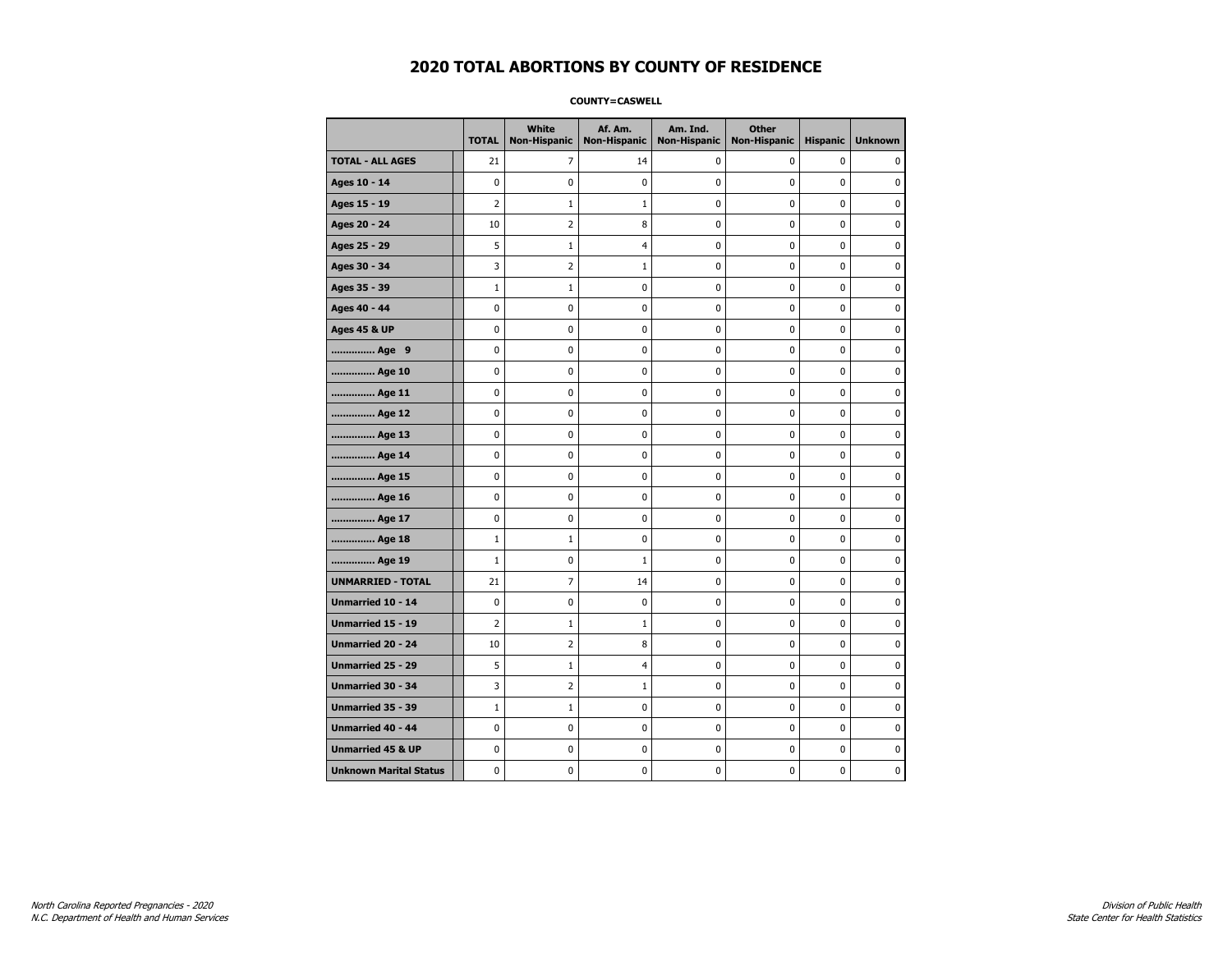**COUNTY=CASWELL** 

|                               | <b>TOTAL</b>   | White<br><b>Non-Hispanic</b> | Af. Am.<br><b>Non-Hispanic</b> | Am. Ind.<br><b>Non-Hispanic</b> | <b>Other</b><br><b>Non-Hispanic</b> | <b>Hispanic</b> | <b>Unknown</b> |
|-------------------------------|----------------|------------------------------|--------------------------------|---------------------------------|-------------------------------------|-----------------|----------------|
| <b>TOTAL - ALL AGES</b>       | 21             | $\overline{7}$               | 14                             | 0                               | 0                                   | 0               | $\mathbf{0}$   |
| Ages 10 - 14                  | 0              | 0                            | 0                              | $\mathbf 0$                     | 0                                   | 0               | 0              |
| Ages 15 - 19                  | $\overline{2}$ | $\mathbf{1}$                 | $\mathbf{1}$                   | 0                               | $\mathbf 0$                         | 0               | $\mathbf 0$    |
| Ages 20 - 24                  | 10             | 2                            | 8                              | 0                               | $\pmb{0}$                           | 0               | $\pmb{0}$      |
| Ages 25 - 29                  | 5              | 1                            | 4                              | 0                               | 0                                   | 0               | 0              |
| Ages 30 - 34                  | 3              | 2                            | $\mathbf{1}$                   | 0                               | $\pmb{0}$                           | 0               | 0              |
| Ages 35 - 39                  | $\mathbf{1}$   | 1                            | 0                              | 0                               | 0                                   | 0               | 0              |
| Ages 40 - 44                  | 0              | 0                            | 0                              | 0                               | $\mathbf 0$                         | 0               | $\mathbf 0$    |
| <b>Ages 45 &amp; UP</b>       | 0              | 0                            | 0                              | 0                               | $\pmb{0}$                           | 0               | 0              |
| Age 9                         | 0              | 0                            | 0                              | 0                               | 0                                   | 0               | 0              |
| Age 10                        | 0              | 0                            | 0                              | 0                               | $\pmb{0}$                           | 0               | 0              |
| Age 11                        | 0              | 0                            | 0                              | 0                               | $\mathbf 0$                         | 0               | $\mathbf 0$    |
| Age 12                        | 0              | 0                            | 0                              | 0                               | $\mathbf 0$                         | 0               | $\mathbf 0$    |
| Age 13                        | 0              | 0                            | 0                              | 0                               | $\pmb{0}$                           | 0               | 0              |
| Age 14                        | 0              | 0                            | 0                              | 0                               | 0                                   | 0               | 0              |
| Age 15                        | 0              | 0                            | 0                              | 0                               | 0                                   | 0               | $\mathbf 0$    |
| Age 16                        | 0              | 0                            | 0                              | 0                               | $\mathbf 0$                         | 0               | $\mathbf 0$    |
| Age 17                        | 0              | 0                            | 0                              | 0                               | 0                                   | 0               | $\mathbf 0$    |
| Age 18                        | $\mathbf{1}$   | $\mathbf{1}$                 | 0                              | 0                               | $\mathbf 0$                         | 0               | $\pmb{0}$      |
| Age 19                        | $\mathbf{1}$   | 0                            | $\mathbf{1}$                   | 0                               | 0                                   | 0               | 0              |
| <b>UNMARRIED - TOTAL</b>      | 21             | 7                            | 14                             | 0                               | 0                                   | 0               | 0              |
| Unmarried 10 - 14             | 0              | 0                            | 0                              | 0                               | $\mathbf 0$                         | 0               | $\mathbf 0$    |
| Unmarried 15 - 19             | $\overline{2}$ | $\mathbf{1}$                 | $\mathbf 1$                    | 0                               | $\pmb{0}$                           | 0               | $\pmb{0}$      |
| <b>Unmarried 20 - 24</b>      | 10             | 2                            | 8                              | 0                               | 0                                   | 0               | 0              |
| Unmarried 25 - 29             | 5              | 1                            | 4                              | 0                               | 0                                   | 0               | 0              |
| <b>Unmarried 30 - 34</b>      | 3              | 2                            | $\mathbf{1}$                   | 0                               | 0                                   | 0               | $\mathbf 0$    |
| <b>Unmarried 35 - 39</b>      | $1\,$          | $\mathbf{1}$                 | 0                              | 0                               | $\mathbf 0$                         | 0               | $\mathbf 0$    |
| Unmarried 40 - 44             | 0              | 0                            | 0                              | 0                               | $\pmb{0}$                           | 0               | 0              |
| <b>Unmarried 45 &amp; UP</b>  | 0              | 0                            | 0                              | 0                               | 0                                   | 0               | 0              |
| <b>Unknown Marital Status</b> | 0              | 0                            | 0                              | 0                               | 0                                   | 0               | 0              |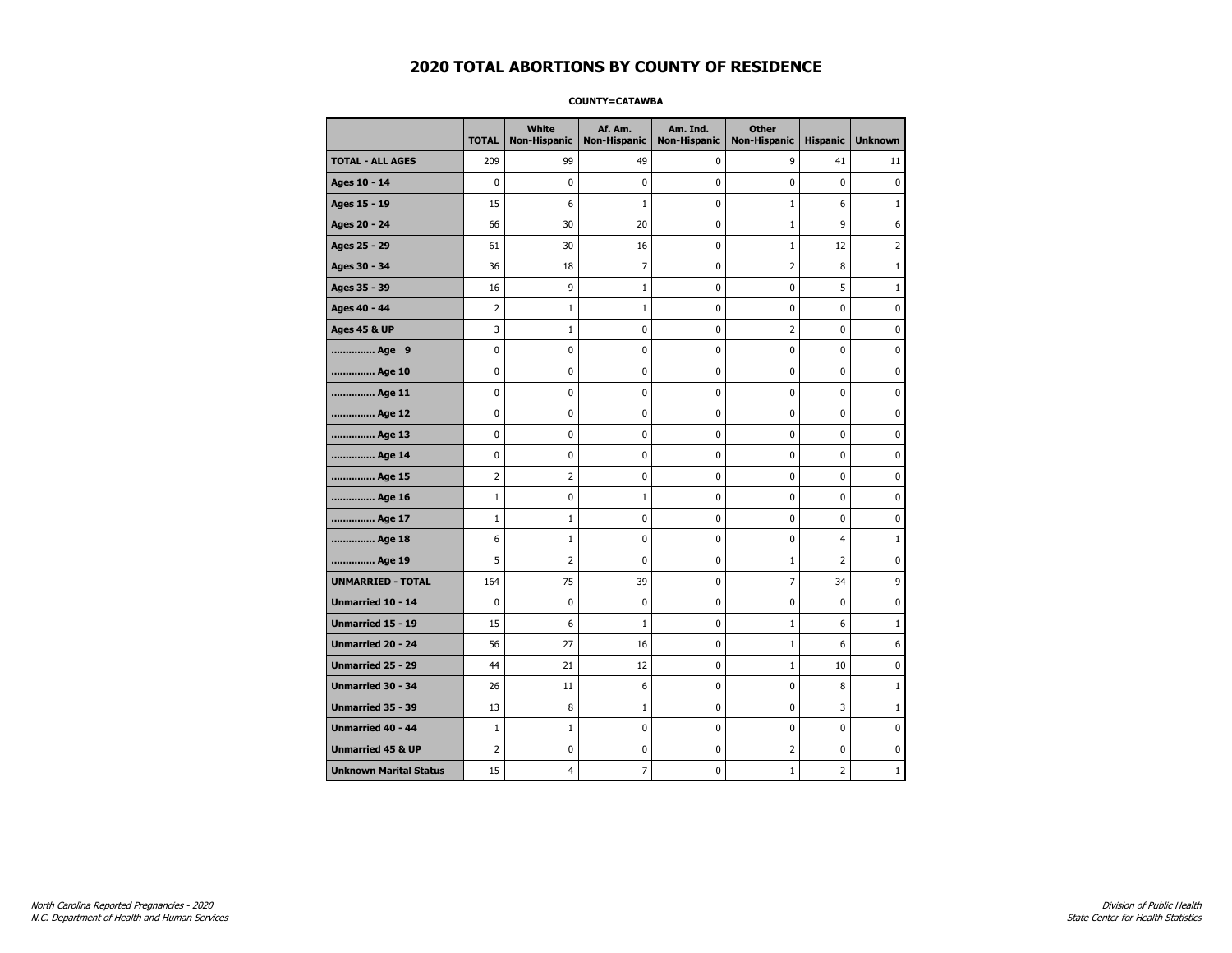#### **COUNTY=CATAWBA**

|                               | <b>TOTAL</b>   | White<br><b>Non-Hispanic</b> | Af. Am.<br><b>Non-Hispanic</b> | Am. Ind.<br><b>Non-Hispanic</b> | <b>Other</b><br><b>Non-Hispanic</b> | <b>Hispanic</b> | <b>Unknown</b> |
|-------------------------------|----------------|------------------------------|--------------------------------|---------------------------------|-------------------------------------|-----------------|----------------|
| <b>TOTAL - ALL AGES</b>       | 209            | 99                           | 49                             | 0                               | 9                                   | 41              | 11             |
| Ages 10 - 14                  | $\mathbf 0$    | $\mathbf 0$                  | $\pmb{0}$                      | 0                               | $\mathbf 0$                         | $\mathbf 0$     | $\pmb{0}$      |
| Ages 15 - 19                  | 15             | 6                            | $1\,$                          | $\mathbf 0$                     | $\mathbf{1}$                        | 6               | $\mathbf{1}$   |
| Ages 20 - 24                  | 66             | 30                           | 20                             | $\mathbf 0$                     | $\mathbf{1}$                        | 9               | 6              |
| Ages 25 - 29                  | 61             | 30                           | 16                             | $\pmb{0}$                       | $\mathbf{1}$                        | 12              | $\overline{2}$ |
| Ages 30 - 34                  | 36             | 18                           | $\overline{7}$                 | $\pmb{0}$                       | $\overline{2}$                      | 8               | $1\,$          |
| Ages 35 - 39                  | 16             | 9                            | 1                              | 0                               | $\mathbf 0$                         | 5               | 1              |
| Ages 40 - 44                  | $\overline{2}$ | $\mathbf{1}$                 | $\mathbf{1}$                   | 0                               | 0                                   | 0               | 0              |
| <b>Ages 45 &amp; UP</b>       | 3              | $\mathbf{1}$                 | $\pmb{0}$                      | 0                               | $\overline{2}$                      | 0               | 0              |
| Age 9                         | $\mathbf 0$    | 0                            | $\pmb{0}$                      | 0                               | $\mathbf 0$                         | 0               | 0              |
| Age 10                        | $\mathbf 0$    | 0                            | $\mathbf 0$                    | $\mathbf 0$                     | $\mathbf 0$                         | $\mathbf 0$     | 0              |
| Age 11                        | $\mathbf 0$    | 0                            | $\mathbf 0$                    | $\mathbf 0$                     | $\mathbf 0$                         | $\mathbf 0$     | 0              |
| Age 12                        | $\pmb{0}$      | 0                            | $\pmb{0}$                      | 0                               | 0                                   | 0               | 0              |
| Age 13                        | 0              | 0                            | $\pmb{0}$                      | 0                               | 0                                   | 0               | 0              |
| Age 14                        | $\mathbf 0$    | 0                            | $\mathbf 0$                    | 0                               | $\mathbf 0$                         | $\mathbf 0$     | 0              |
| Age 15                        | $\overline{2}$ | 2                            | 0                              | 0                               | 0                                   | 0               | 0              |
| Age 16                        | $1\,$          | 0                            | 1                              | $\mathbf 0$                     | $\mathbf 0$                         | $\mathbf 0$     | 0              |
| Age 17                        | $\mathbf{1}$   | $\mathbf 1$                  | $\mathbf 0$                    | 0                               | $\mathbf 0$                         | $\mathbf 0$     | 0              |
| Age 18                        | 6              | $\mathbf{1}$                 | $\mathbf 0$                    | $\mathbf 0$                     | $\mathbf 0$                         | $\overline{4}$  | $\mathbf{1}$   |
| Age 19                        | 5              | $\overline{2}$               | $\pmb{0}$                      | $\pmb{0}$                       | $1\,$                               | $\mathbf 2$     | 0              |
| <b>UNMARRIED - TOTAL</b>      | 164            | 75                           | 39                             | $\pmb{0}$                       | $\overline{7}$                      | 34              | 9              |
| Unmarried 10 - 14             | $\mathbf 0$    | 0                            | $\mathbf 0$                    | $\mathbf 0$                     | $\mathbf 0$                         | $\mathbf 0$     | 0              |
| Unmarried 15 - 19             | 15             | 6                            | $\mathbf{1}$                   | 0                               | $\mathbf{1}$                        | 6               | $\mathbf{1}$   |
| Unmarried 20 - 24             | 56             | 27                           | 16                             | 0                               | $\mathbf{1}$                        | 6               | 6              |
| Unmarried 25 - 29             | 44             | 21                           | 12                             | $\mathbf 0$                     | $\mathbf{1}$                        | 10              | 0              |
| <b>Unmarried 30 - 34</b>      | 26             | 11                           | 6                              | $\mathbf 0$                     | $\mathbf 0$                         | 8               | $\mathbf{1}$   |
| Unmarried 35 - 39             | 13             | 8                            | $1\,$                          | $\pmb{0}$                       | $\pmb{0}$                           | 3               | 1              |
| Unmarried 40 - 44             | $1\,$          | $1\,$                        | $\pmb{0}$                      | 0                               | 0                                   | 0               | 0              |
| <b>Unmarried 45 &amp; UP</b>  | $\overline{2}$ | 0                            | 0                              | 0                               | 2                                   | 0               | 0              |
| <b>Unknown Marital Status</b> | 15             | 4                            | 7                              | 0                               | 1                                   | 2               | $\mathbf{1}$   |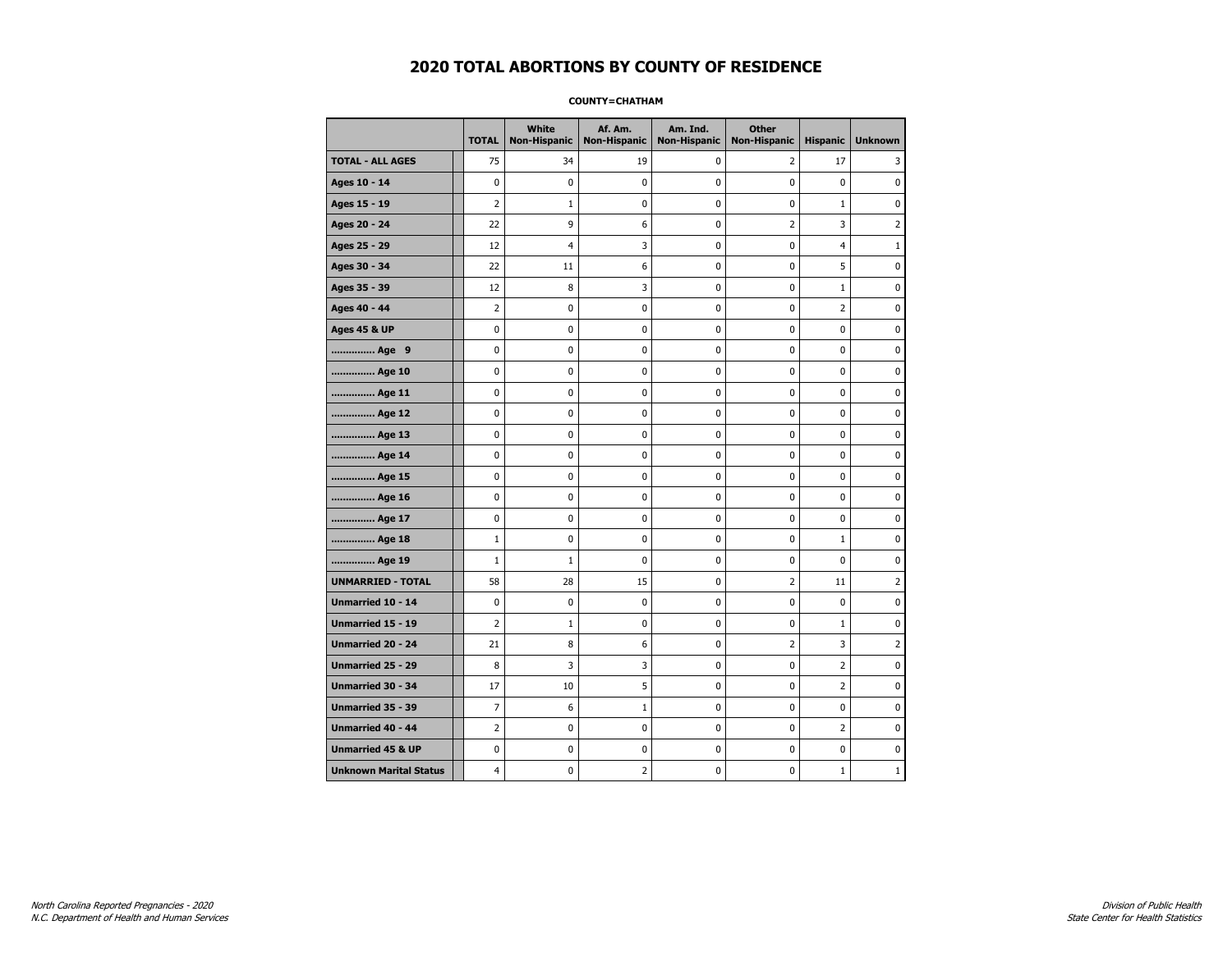#### **COUNTY=CHATHAM**

|                               | <b>TOTAL</b>   | White<br>Non-Hispanic | Af. Am.<br><b>Non-Hispanic</b> | Am. Ind.<br><b>Non-Hispanic</b> | <b>Other</b><br><b>Non-Hispanic</b> | <b>Hispanic</b> | <b>Unknown</b> |
|-------------------------------|----------------|-----------------------|--------------------------------|---------------------------------|-------------------------------------|-----------------|----------------|
| <b>TOTAL - ALL AGES</b>       | 75             | 34                    | 19                             | 0                               | 2                                   | 17              | 3              |
| Ages 10 - 14                  | 0              | $\mathbf 0$           | $\pmb{0}$                      | 0                               | $\mathbf 0$                         | $\mathbf 0$     | 0              |
| Ages 15 - 19                  | $\overline{2}$ | $1\,$                 | $\mathbf 0$                    | $\mathbf 0$                     | $\mathbf 0$                         | $\mathbf 1$     | 0              |
| Ages 20 - 24                  | 22             | 9                     | 6                              | $\mathbf 0$                     | $\overline{2}$                      | 3               | $\overline{2}$ |
| Ages 25 - 29                  | 12             | 4                     | 3                              | $\pmb{0}$                       | $\pmb{0}$                           | 4               | $\mathbf{1}$   |
| Ages 30 - 34                  | 22             | 11                    | 6                              | $\pmb{0}$                       | $\pmb{0}$                           | 5               | 0              |
| Ages 35 - 39                  | 12             | 8                     | 3                              | 0                               | $\mathbf 0$                         | $\mathbf{1}$    | 0              |
| Ages 40 - 44                  | $\overline{2}$ | 0                     | $\pmb{0}$                      | 0                               | 0                                   | $\overline{2}$  | 0              |
| <b>Ages 45 &amp; UP</b>       | 0              | 0                     | $\pmb{0}$                      | 0                               | 0                                   | 0               | 0              |
| Age 9                         | $\mathbf 0$    | 0                     | $\mathbf 0$                    | 0                               | $\mathbf 0$                         | 0               | 0              |
| Age 10                        | $\mathbf 0$    | 0                     | $\mathbf 0$                    | $\mathbf 0$                     | $\mathbf 0$                         | $\mathbf 0$     | 0              |
| Age 11                        | $\mathbf 0$    | 0                     | $\mathbf 0$                    | $\mathbf 0$                     | $\mathbf 0$                         | $\mathbf 0$     | 0              |
| Age 12                        | $\pmb{0}$      | 0                     | $\pmb{0}$                      | 0                               | 0                                   | 0               | 0              |
| Age 13                        | 0              | 0                     | $\pmb{0}$                      | 0                               | 0                                   | 0               | 0              |
| Age 14                        | $\mathbf 0$    | 0                     | $\mathbf 0$                    | 0                               | $\mathbf 0$                         | $\mathbf 0$     | 0              |
| Age 15                        | 0              | 0                     | 0                              | 0                               | 0                                   | 0               | 0              |
| Age 16                        | $\mathbf 0$    | 0                     | $\mathbf 0$                    | $\mathbf 0$                     | $\mathbf 0$                         | $\mathbf 0$     | 0              |
| Age 17                        | $\mathbf 0$    | 0                     | $\mathbf 0$                    | 0                               | $\mathbf 0$                         | $\mathbf 0$     | 0              |
| Age 18                        | $\mathbf{1}$   | 0                     | $\mathbf 0$                    | $\mathbf 0$                     | $\mathbf 0$                         | $\mathbf{1}$    | 0              |
| Age 19                        | $1\,$          | $1\,$                 | $\pmb{0}$                      | $\pmb{0}$                       | $\pmb{0}$                           | $\pmb{0}$       | 0              |
| <b>UNMARRIED - TOTAL</b>      | 58             | 28                    | 15                             | $\pmb{0}$                       | $\overline{2}$                      | 11              | $\overline{2}$ |
| Unmarried 10 - 14             | $\mathbf 0$    | 0                     | $\pmb{0}$                      | $\mathbf 0$                     | $\mathbf 0$                         | $\mathbf 0$     | 0              |
| Unmarried 15 - 19             | $\overline{2}$ | $\mathbf{1}$          | 0                              | 0                               | 0                                   | $\mathbf 1$     | 0              |
| Unmarried 20 - 24             | 21             | 8                     | 6                              | 0                               | $\overline{2}$                      | 3               | $\overline{2}$ |
| Unmarried 25 - 29             | 8              | 3                     | 3                              | $\mathbf 0$                     | $\mathbf 0$                         | $\overline{2}$  | 0              |
| <b>Unmarried 30 - 34</b>      | 17             | 10                    | 5                              | $\mathbf 0$                     | $\mathbf 0$                         | $\overline{2}$  | 0              |
| Unmarried 35 - 39             | $\overline{7}$ | 6                     | $1\,$                          | $\pmb{0}$                       | $\pmb{0}$                           | $\pmb{0}$       | $\pmb{0}$      |
| Unmarried 40 - 44             | $\overline{2}$ | 0                     | $\pmb{0}$                      | 0                               | 0                                   | $\overline{2}$  | 0              |
| <b>Unmarried 45 &amp; UP</b>  | $\mathbf 0$    | 0                     | 0                              | $\mathbf 0$                     | 0                                   | 0               | 0              |
| <b>Unknown Marital Status</b> | 4              | 0                     | 2                              | 0                               | $\mathbf 0$                         | $\mathbf{1}$    | $\mathbf{1}$   |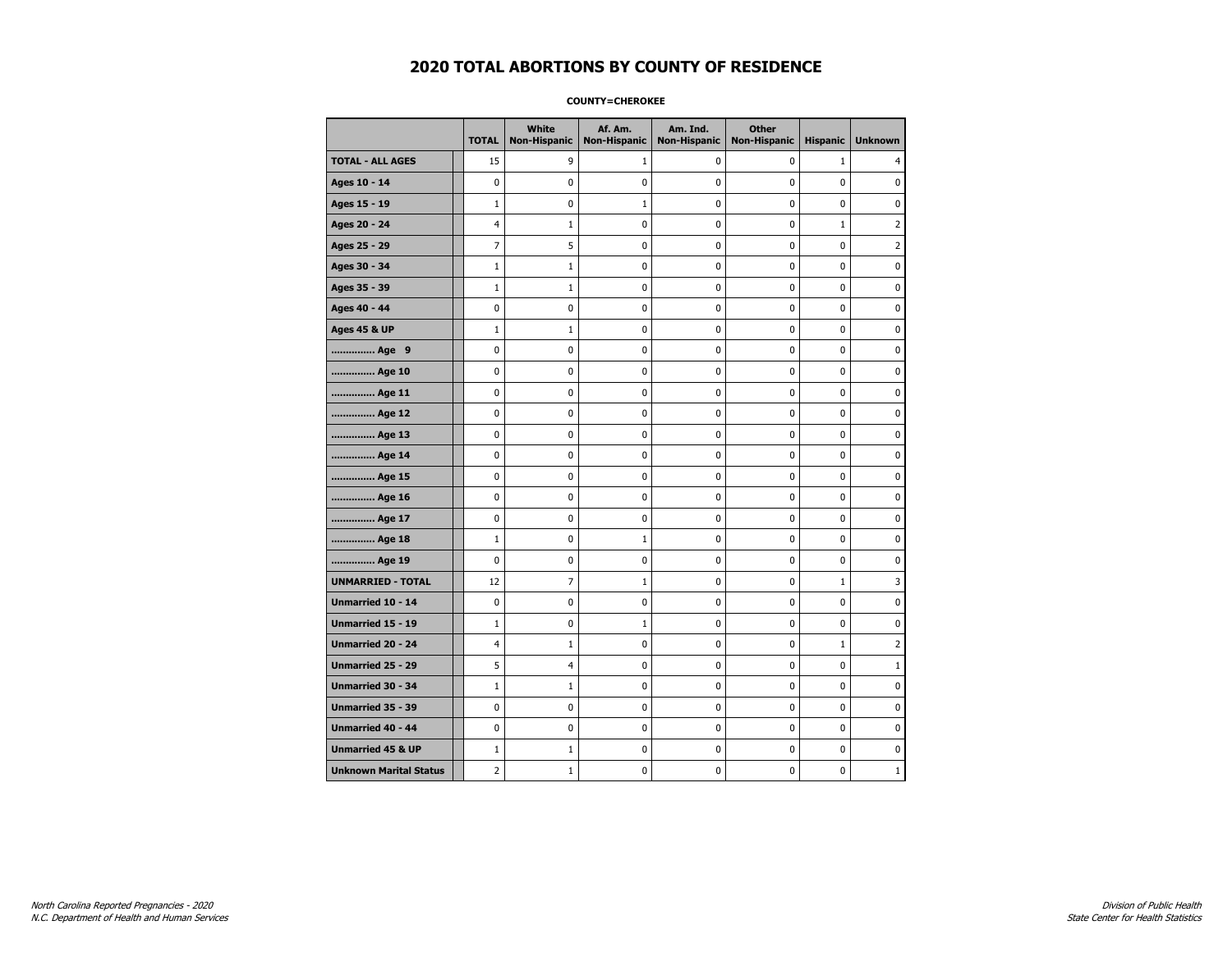#### **COUNTY=CHEROKEE**

|                               | <b>TOTAL</b>   | White<br>Non-Hispanic | Af. Am.<br><b>Non-Hispanic</b> | Am. Ind.<br><b>Non-Hispanic</b> | <b>Other</b><br><b>Non-Hispanic</b> | <b>Hispanic</b> | <b>Unknown</b> |
|-------------------------------|----------------|-----------------------|--------------------------------|---------------------------------|-------------------------------------|-----------------|----------------|
| <b>TOTAL - ALL AGES</b>       | 15             | 9                     | 1                              | 0                               | 0                                   | $\mathbf{1}$    | 4              |
| Ages 10 - 14                  | 0              | $\mathbf 0$           | $\mathbf 0$                    | 0                               | 0                                   | $\mathbf 0$     | 0              |
| Ages 15 - 19                  | $\mathbf 1$    | 0                     | $\mathbf{1}$                   | $\mathbf 0$                     | 0                                   | 0               | $\mathbf 0$    |
| Ages 20 - 24                  | 4              | $1\,$                 | $\mathbf 0$                    | $\pmb{0}$                       | 0                                   | $\mathbf{1}$    | $\overline{2}$ |
| Ages 25 - 29                  | 7              | 5                     | $\mathbf 0$                    | $\pmb{0}$                       | 0                                   | $\pmb{0}$       | $\overline{2}$ |
| Ages 30 - 34                  | $\mathbf 1$    | $\mathbf{1}$          | 0                              | 0                               | 0                                   | 0               | 0              |
| Ages 35 - 39                  | $\mathbf 1$    | $\mathbf{1}$          | 0                              | 0                               | 0                                   | $\mathbf 0$     | 0              |
| Ages 40 - 44                  | 0              | 0                     | $\mathbf 0$                    | 0                               | 0                                   | $\mathbf 0$     | $\mathbf 0$    |
| <b>Ages 45 &amp; UP</b>       | $\mathbf 1$    | $\mathbf{1}$          | $\mathbf 0$                    | $\mathbf 0$                     | 0                                   | $\mathbf 0$     | 0              |
| Age 9                         | 0              | 0                     | 0                              | 0                               | 0                                   | 0               | 0              |
| Age 10                        | 0              | 0                     | $\mathbf 0$                    | 0                               | 0                                   | $\mathbf 0$     | 0              |
| Age 11                        | 0              | 0                     | 0                              | 0                               | 0                                   | 0               | 0              |
| Age 12                        | 0              | 0                     | $\pmb{0}$                      | 0                               | 0                                   | 0               | 0              |
| Age 13                        | 0              | 0                     | $\mathbf 0$                    | $\mathbf 0$                     | 0                                   | 0               | $\mathbf 0$    |
| Age 14                        | $\mathbf 0$    | $\mathbf 0$           | $\mathbf 0$                    | $\mathbf 0$                     | 0                                   | $\mathbf 0$     | 0              |
| Age 15                        | 0              | 0                     | $\mathbf 0$                    | $\pmb{0}$                       | 0                                   | $\pmb{0}$       | $\pmb{0}$      |
| Age 16                        | 0              | 0                     | 0                              | 0                               | 0                                   | 0               | 0              |
| Age 17                        | 0              | 0                     | 0                              | 0                               | 0                                   | $\mathbf 0$     | 0              |
| Age 18                        | $1\,$          | 0                     | 1                              | 0                               | 0                                   | 0               | $\mathbf 0$    |
| Age 19                        | 0              | 0                     | $\mathbf 0$                    | $\mathbf 0$                     | 0                                   | $\mathbf 0$     | 0              |
| <b>UNMARRIED - TOTAL</b>      | 12             | $\overline{7}$        | 1                              | 0                               | 0                                   | $\mathbf{1}$    | 3              |
| Unmarried 10 - 14             | 0              | $\mathbf 0$           | $\mathbf 0$                    | $\pmb{0}$                       | 0                                   | 0               | $\pmb{0}$      |
| Unmarried 15 - 19             | $\mathbf{1}$   | 0                     | $\mathbf{1}$                   | 0                               | 0                                   | 0               | 0              |
| Unmarried 20 - 24             | 4              | $\mathbf{1}$          | 0                              | 0                               | 0                                   | $\mathbf{1}$    | $\overline{2}$ |
| <b>Unmarried 25 - 29</b>      | 5              | $\overline{4}$        | $\mathbf 0$                    | $\mathbf 0$                     | 0                                   | 0               | $1\,$          |
| <b>Unmarried 30 - 34</b>      | $\mathbf 1$    | $1\,$                 | $\mathbf 0$                    | 0                               | 0                                   | $\mathbf 0$     | 0              |
| Unmarried 35 - 39             | 0              | $\pmb{0}$             | $\pmb{0}$                      | $\pmb{0}$                       | $\pmb{0}$                           | $\pmb{0}$       | $\pmb{0}$      |
| Unmarried 40 - 44             | 0              | 0                     | 0                              | 0                               | 0                                   | 0               | 0              |
| <b>Unmarried 45 &amp; UP</b>  | $\mathbf 1$    | $\mathbf{1}$          | 0                              | $\mathbf 0$                     | 0                                   | $\mathbf 0$     | 0              |
| <b>Unknown Marital Status</b> | $\overline{2}$ | $\mathbf{1}$          | 0                              | 0                               | 0                                   | 0               | $\mathbf{1}$   |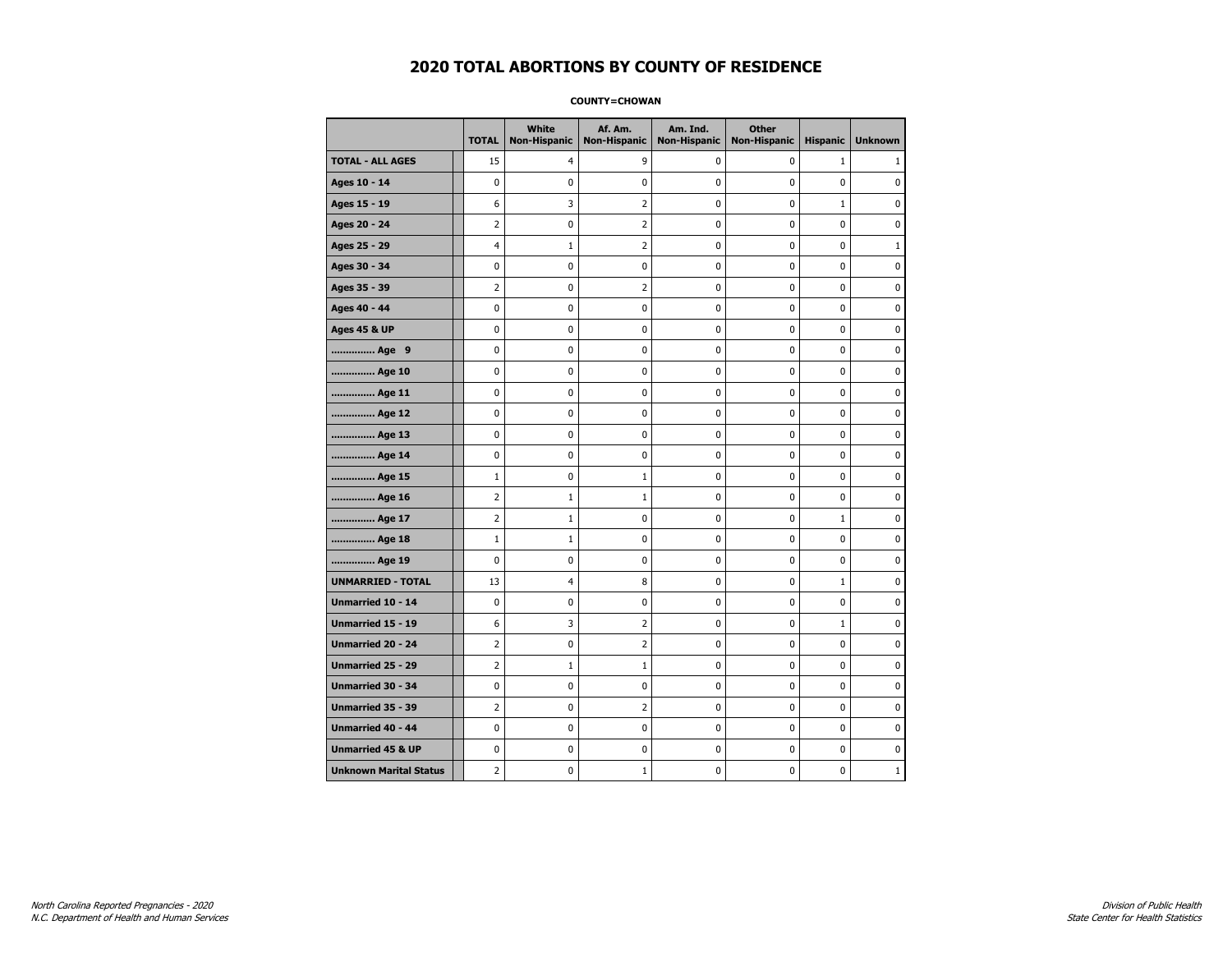#### **COUNTY=CHOWAN**

|                               | <b>TOTAL</b>   | White<br><b>Non-Hispanic</b> | Af. Am.<br><b>Non-Hispanic</b> | Am. Ind.<br><b>Non-Hispanic</b> | <b>Other</b><br><b>Non-Hispanic</b> | <b>Hispanic</b> | <b>Unknown</b> |
|-------------------------------|----------------|------------------------------|--------------------------------|---------------------------------|-------------------------------------|-----------------|----------------|
| <b>TOTAL - ALL AGES</b>       | 15             | 4                            | 9                              | 0                               | 0                                   | $\mathbf{1}$    | 1              |
| Ages 10 - 14                  | 0              | 0                            | $\mathbf 0$                    | 0                               | 0                                   | $\mathbf 0$     | 0              |
| Ages 15 - 19                  | 6              | 3                            | $\overline{2}$                 | $\mathbf 0$                     | 0                                   | $\mathbf{1}$    | 0              |
| Ages 20 - 24                  | $\overline{2}$ | 0                            | $\overline{2}$                 | $\pmb{0}$                       | 0                                   | $\mathbf 0$     | 0              |
| Ages 25 - 29                  | $\overline{4}$ | $\mathbf{1}$                 | $\overline{2}$                 | $\mathbf 0$                     | 0                                   | 0               | $\mathbf{1}$   |
| Ages 30 - 34                  | 0              | $\mathbf 0$                  | $\mathbf 0$                    | $\pmb{0}$                       | 0                                   | 0               | $\pmb{0}$      |
| Ages 35 - 39                  | $\overline{2}$ | $\pmb{0}$                    | $\overline{2}$                 | $\pmb{0}$                       | 0                                   | 0               | 0              |
| Ages 40 - 44                  | 0              | 0                            | 0                              | 0                               | 0                                   | $\mathbf 0$     | 0              |
| <b>Ages 45 &amp; UP</b>       | 0              | 0                            | 0                              | 0                               | 0                                   | 0               | 0              |
| Age 9                         | 0              | 0                            | $\mathbf 0$                    | 0                               | 0                                   | $\mathbf 0$     | 0              |
| Age 10                        | 0              | 0                            | $\mathbf 0$                    | 0                               | 0                                   | $\mathbf 0$     | $\mathbf 0$    |
| Age 11                        | 0              | 0                            | $\mathbf 0$                    | $\mathbf 0$                     | 0                                   | $\mathbf 0$     | 0              |
| Age 12                        | 0              | 0                            | $\mathbf 0$                    | 0                               | 0                                   | 0               | 0              |
| Age 13                        | 0              | 0                            | $\mathbf 0$                    | $\mathbf 0$                     | 0                                   | $\mathbf 0$     | $\mathbf 0$    |
| Age 14                        | 0              | 0                            | $\mathbf 0$                    | 0                               | 0                                   | $\mathbf 0$     | 0              |
| Age 15                        | $\mathbf 1$    | 0                            | 1                              | $\pmb{0}$                       | $\pmb{0}$                           | 0               | 0              |
| Age 16                        | $\overline{2}$ | $1\,$                        | $\mathbf{1}$                   | 0                               | 0                                   | 0               | 0              |
| Age 17                        | $\overline{2}$ | $\mathbf{1}$                 | $\mathbf{0}$                   | 0                               | 0                                   | $\mathbf{1}$    | 0              |
| Age 18                        | $\mathbf{1}$   | $\mathbf{1}$                 | 0                              | 0                               | 0                                   | 0               | 0              |
| Age 19                        | 0              | 0                            | 0                              | 0                               | 0                                   | $\mathbf 0$     | 0              |
| <b>UNMARRIED - TOTAL</b>      | 13             | 4                            | 8                              | 0                               | 0                                   | $\mathbf{1}$    | 0              |
| Unmarried 10 - 14             | 0              | 0                            | $\mathbf 0$                    | $\mathbf 0$                     | 0                                   | 0               | 0              |
| Unmarried 15 - 19             | 6              | 3                            | $\overline{2}$                 | $\pmb{0}$                       | 0                                   | $\mathbf{1}$    | 0              |
| <b>Unmarried 20 - 24</b>      | $\overline{2}$ | 0                            | $\overline{2}$                 | 0                               | 0                                   | 0               | 0              |
| Unmarried 25 - 29             | $\overline{2}$ | $\mathbf 1$                  | $\mathbf 1$                    | $\pmb{0}$                       | 0                                   | 0               | $\mathbf 0$    |
| Unmarried 30 - 34             | 0              | 0                            | 0                              | $\pmb{0}$                       | 0                                   | 0               | 0              |
| Unmarried 35 - 39             | 2              | 0                            | $\overline{2}$                 | 0                               | 0                                   | 0               | 0              |
| Unmarried 40 - 44             | 0              | 0                            | 0                              | 0                               | 0                                   | 0               | 0              |
| <b>Unmarried 45 &amp; UP</b>  | 0              | 0                            | 0                              | $\mathbf 0$                     | 0                                   | $\mathbf 0$     | 0              |
| <b>Unknown Marital Status</b> | $\overline{2}$ | 0                            | 1                              | 0                               | 0                                   | 0               | $\mathbf{1}$   |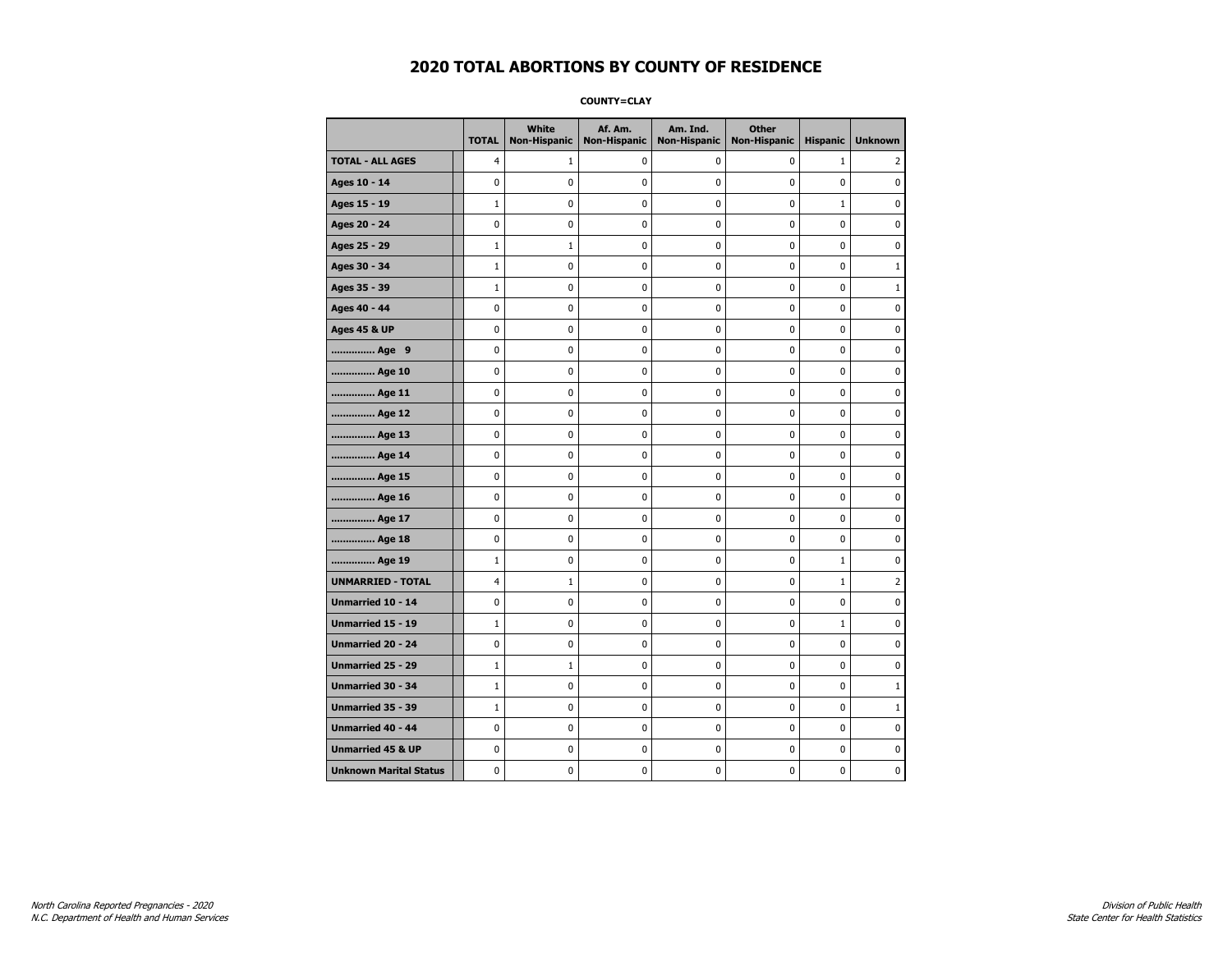**COUNTY=CLAY** 

|                               | <b>TOTAL</b>   | <b>White</b><br><b>Non-Hispanic</b> | Af. Am.<br><b>Non-Hispanic</b> | Am. Ind.<br><b>Non-Hispanic</b> | <b>Other</b><br><b>Non-Hispanic</b> | <b>Hispanic</b> | <b>Unknown</b> |
|-------------------------------|----------------|-------------------------------------|--------------------------------|---------------------------------|-------------------------------------|-----------------|----------------|
| <b>TOTAL - ALL AGES</b>       | $\overline{4}$ | 1                                   | 0                              | 0                               | 0                                   | $\mathbf{1}$    | 2              |
| Ages 10 - 14                  | $\mathbf 0$    | 0                                   | 0                              | 0                               | 0                                   | 0               | 0              |
| Ages 15 - 19                  | $\mathbf{1}$   | 0                                   | 0                              | 0                               | 0                                   | $\mathbf{1}$    | 0              |
| Ages 20 - 24                  | 0              | 0                                   | 0                              | 0                               | 0                                   | 0               | 0              |
| Ages 25 - 29                  | $\mathbf{1}$   | $\mathbf{1}$                        | 0                              | 0                               | 0                                   | 0               | $\mathbf 0$    |
| Ages 30 - 34                  | $\mathbf{1}$   | 0                                   | 0                              | 0                               | 0                                   | 0               | $\mathbf{1}$   |
| Ages 35 - 39                  | $\mathbf{1}$   | 0                                   | 0                              | 0                               | 0                                   | 0               | $\mathbf{1}$   |
| Ages 40 - 44                  | 0              | 0                                   | 0                              | 0                               | 0                                   | 0               | $\pmb{0}$      |
| <b>Ages 45 &amp; UP</b>       | 0              | 0                                   | 0                              | 0                               | 0                                   | 0               | 0              |
| Age 9                         | $\mathbf 0$    | $\mathbf 0$                         | 0                              | 0                               | 0                                   | 0               | 0              |
| Age 10                        | 0              | 0                                   | 0                              | 0                               | 0                                   | 0               | 0              |
| Age 11                        | 0              | 0                                   | 0                              | 0                               | 0                                   | 0               | 0              |
| Age 12                        | 0              | 0                                   | 0                              | 0                               | 0                                   | 0               | 0              |
| Age 13                        | 0              | 0                                   | 0                              | 0                               | 0                                   | 0               | 0              |
| Age 14                        | 0              | 0                                   | 0                              | 0                               | 0                                   | 0               | 0              |
| Age 15                        | 0              | 0                                   | 0                              | 0                               | 0                                   | 0               | $\pmb{0}$      |
| Age 16                        | 0              | 0                                   | 0                              | 0                               | 0                                   | 0               | 0              |
| Age 17                        | 0              | 0                                   | 0                              | 0                               | 0                                   | 0               | 0              |
| Age 18                        | 0              | 0                                   | 0                              | 0                               | 0                                   | 0               | $\mathbf 0$    |
| Age 19                        | $\mathbf 1$    | 0                                   | 0                              | 0                               | 0                                   | $\mathbf 1$     | 0              |
| <b>UNMARRIED - TOTAL</b>      | 4              | 1                                   | 0                              | 0                               | 0                                   | $\mathbf 1$     | $\overline{2}$ |
| Unmarried 10 - 14             | 0              | 0                                   | 0                              | 0                               | 0                                   | 0               | 0              |
| <b>Unmarried 15 - 19</b>      | $\mathbf{1}$   | 0                                   | 0                              | 0                               | 0                                   | $\mathbf{1}$    | 0              |
| <b>Unmarried 20 - 24</b>      | $\pmb{0}$      | 0                                   | $\pmb{0}$                      | 0                               | 0                                   | 0               | $\pmb{0}$      |
| <b>Unmarried 25 - 29</b>      | $\mathbf{1}$   | $1\,$                               | 0                              | 0                               | 0                                   | 0               | 0              |
| Unmarried 30 - 34             | $\mathbf{1}$   | 0                                   | 0                              | 0                               | 0                                   | 0               | $\mathbf{1}$   |
| Unmarried 35 - 39             | $\mathbf{1}$   | $\mathbf 0$                         | 0                              | 0                               | 0                                   | 0               | $\mathbf{1}$   |
| <b>Unmarried 40 - 44</b>      | 0              | 0                                   | 0                              | 0                               | 0                                   | 0               | 0              |
| <b>Unmarried 45 &amp; UP</b>  | 0              | 0                                   | 0                              | 0                               | 0                                   | 0               | 0              |
| <b>Unknown Marital Status</b> | 0              | 0                                   | 0                              | 0                               | 0                                   | 0               | 0              |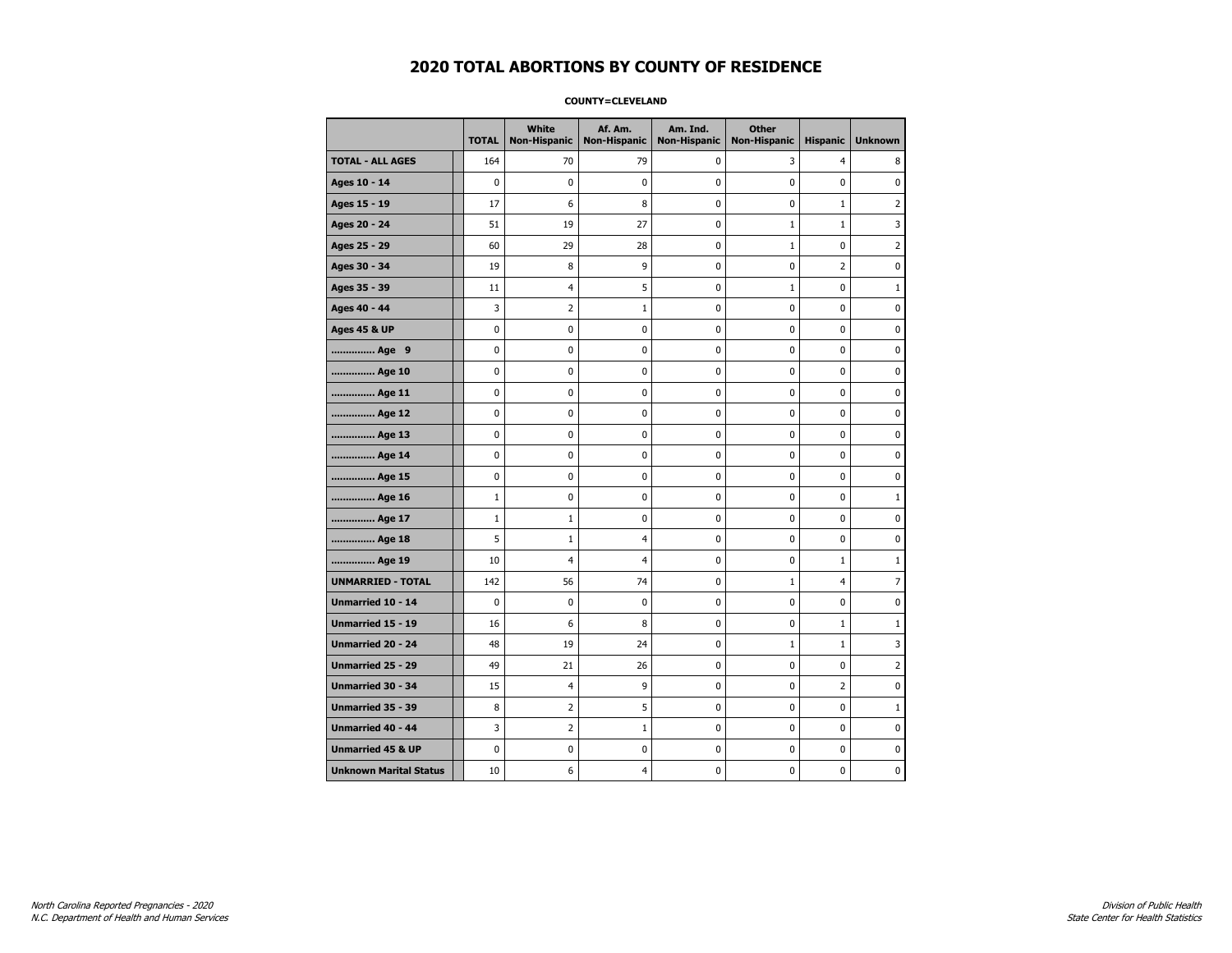### **COUNTY=CLEVELAND**

|                               | <b>TOTAL</b> | White<br><b>Non-Hispanic</b> | Af. Am.<br><b>Non-Hispanic</b> | Am. Ind.<br><b>Non-Hispanic</b> | <b>Other</b><br><b>Non-Hispanic</b> | <b>Hispanic</b> | <b>Unknown</b> |
|-------------------------------|--------------|------------------------------|--------------------------------|---------------------------------|-------------------------------------|-----------------|----------------|
| <b>TOTAL - ALL AGES</b>       | 164          | 70                           | 79                             | 0                               | 3                                   | $\overline{4}$  | 8              |
| Ages 10 - 14                  | 0            | $\pmb{0}$                    | 0                              | 0                               | 0                                   | 0               | 0              |
| Ages 15 - 19                  | 17           | 6                            | 8                              | $\mathbf 0$                     | 0                                   | 1               | $\overline{2}$ |
| Ages 20 - 24                  | 51           | 19                           | 27                             | 0                               | $1\,$                               | $\mathbf{1}$    | 3              |
| Ages 25 - 29                  | 60           | 29                           | 28                             | 0                               | 1                                   | 0               | $\overline{2}$ |
| Ages 30 - 34                  | 19           | 8                            | 9                              | 0                               | 0                                   | $\overline{2}$  | 0              |
| Ages 35 - 39                  | 11           | 4                            | 5                              | 0                               | $\mathbf{1}$                        | 0               | 1              |
| Ages 40 - 44                  | 3            | 2                            | $\mathbf{1}$                   | 0                               | 0                                   | 0               | 0              |
| <b>Ages 45 &amp; UP</b>       | 0            | 0                            | $\mathbf 0$                    | 0                               | 0                                   | $\mathbf 0$     | 0              |
| Age 9                         | $\mathbf 0$  | 0                            | $\mathbf 0$                    | 0                               | 0                                   | 0               | 0              |
| Age 10                        | 0            | 0                            | $\mathbf 0$                    | $\mathbf 0$                     | 0                                   | $\mathbf 0$     | 0              |
| Age 11                        | 0            | $\pmb{0}$                    | 0                              | $\pmb{0}$                       | 0                                   | $\pmb{0}$       | $\pmb{0}$      |
| Age 12                        | 0            | 0                            | $\pmb{0}$                      | 0                               | 0                                   | 0               | 0              |
| Age 13                        | 0            | 0                            | $\mathbf 0$                    | 0                               | 0                                   | $\mathbf 0$     | 0              |
| Age 14                        | 0            | 0                            | 0                              | 0                               | 0                                   | 0               | 0              |
| Age 15                        | 0            | 0                            | 0                              | 0                               | 0                                   | 0               | 0              |
| Age 16                        | $\mathbf 1$  | 0                            | $\mathbf 0$                    | $\mathbf 0$                     | 0                                   | $\mathbf 0$     | $\mathbf{1}$   |
| Age 17                        | $\mathbf 1$  | $\mathbf{1}$                 | $\mathbf 0$                    | $\mathbf 0$                     | 0                                   | $\mathbf 0$     | 0              |
| Age 18                        | 5            | $\mathbf{1}$                 | $\overline{4}$                 | $\mathbf 0$                     | 0                                   | $\mathbf{0}$    | 0              |
| Age 19                        | 10           | $\overline{4}$               | 4                              | $\pmb{0}$                       | $\pmb{0}$                           | $\mathbf 1$     | $\mathbf{1}$   |
| <b>UNMARRIED - TOTAL</b>      | 142          | 56                           | 74                             | 0                               | $1\,$                               | 4               | 7              |
| Unmarried 10 - 14             | 0            | 0                            | $\mathbf 0$                    | 0                               | 0                                   | $\mathbf 0$     | 0              |
| Unmarried 15 - 19             | 16           | 6                            | 8                              | 0                               | 0                                   | $\mathbf{1}$    | $\mathbf{1}$   |
| Unmarried 20 - 24             | 48           | 19                           | 24                             | 0                               | $\mathbf{1}$                        | $\mathbf{1}$    | 3              |
| <b>Unmarried 25 - 29</b>      | 49           | 21                           | 26                             | $\mathbf 0$                     | 0                                   | $\mathbf 0$     | $\overline{2}$ |
| Unmarried 30 - 34             | 15           | $\overline{\mathcal{A}}$     | 9                              | 0                               | 0                                   | $\overline{2}$  | 0              |
| Unmarried 35 - 39             | 8            | $\overline{2}$               | 5                              | $\pmb{0}$                       | $\pmb{0}$                           | $\pmb{0}$       | $\mathbf 1$    |
| Unmarried 40 - 44             | 3            | 2                            | $\mathbf{1}$                   | 0                               | 0                                   | 0               | 0              |
| <b>Unmarried 45 &amp; UP</b>  | 0            | 0                            | 0                              | 0                               | 0                                   | 0               | 0              |
| <b>Unknown Marital Status</b> | 10           | 6                            | 4                              | 0                               | 0                                   | 0               | 0              |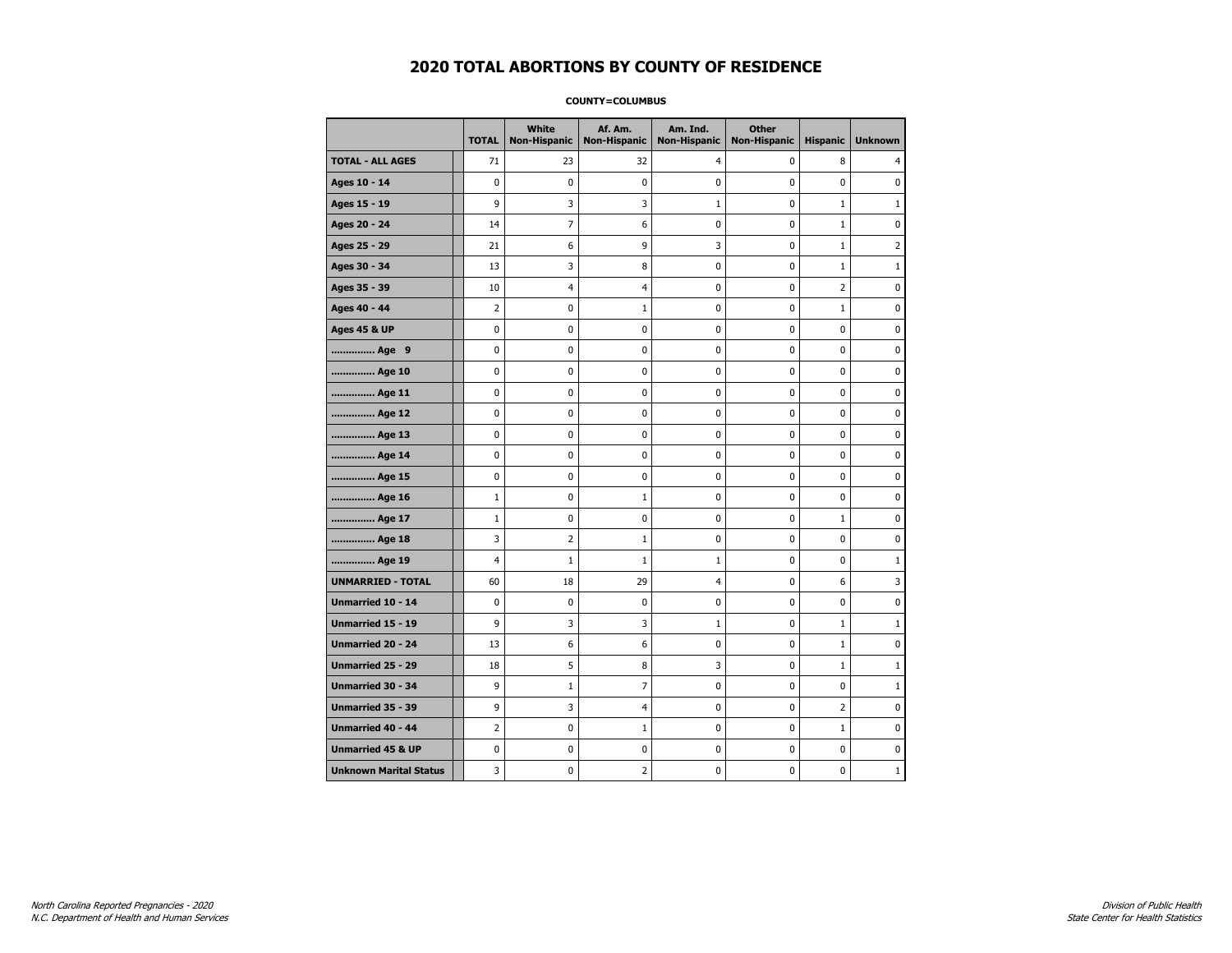#### **COUNTY=COLUMBUS**

|                               | <b>TOTAL</b>   | White<br>Non-Hispanic | Af. Am.<br><b>Non-Hispanic</b> | Am. Ind.<br><b>Non-Hispanic</b> | <b>Other</b><br><b>Non-Hispanic</b> | <b>Hispanic</b> | <b>Unknown</b> |
|-------------------------------|----------------|-----------------------|--------------------------------|---------------------------------|-------------------------------------|-----------------|----------------|
| <b>TOTAL - ALL AGES</b>       | 71             | 23                    | 32                             | 4                               | 0                                   | 8               | 4              |
| Ages 10 - 14                  | $\mathbf 0$    | 0                     | 0                              | 0                               | $\mathbf 0$                         | 0               | 0              |
| Ages 15 - 19                  | 9              | 3                     | 3                              | 1                               | $\mathbf 0$                         | $\mathbf{1}$    | $\mathbf{1}$   |
| Ages 20 - 24                  | 14             | $\overline{7}$        | 6                              | 0                               | 0                                   | $\mathbf{1}$    | 0              |
| Ages 25 - 29                  | 21             | 6                     | 9                              | 3                               | $\pmb{0}$                           | 1               | $\overline{2}$ |
| Ages 30 - 34                  | 13             | 3                     | 8                              | 0                               | 0                                   | $\mathbf{1}$    | $1\,$          |
| Ages 35 - 39                  | 10             | 4                     | 4                              | 0                               | 0                                   | $\overline{2}$  | 0              |
| Ages 40 - 44                  | $\overline{2}$ | 0                     | 1                              | 0                               | 0                                   | $\mathbf{1}$    | 0              |
| <b>Ages 45 &amp; UP</b>       | $\mathbf 0$    | 0                     | 0                              | 0                               | 0                                   | 0               | 0              |
| Age 9                         | 0              | 0                     | 0                              | 0                               | 0                                   | 0               | 0              |
| Age 10                        | $\mathbf 0$    | 0                     | 0                              | $\mathbf 0$                     | 0                                   | 0               | 0              |
| Age 11                        | $\pmb{0}$      | $\pmb{0}$             | $\bf{0}$                       | $\pmb{0}$                       | $\pmb{0}$                           | 0               | 0              |
| Age 12                        | $\pmb{0}$      | 0                     | 0                              | 0                               | 0                                   | 0               | 0              |
| Age 13                        | $\mathbf 0$    | 0                     | 0                              | $\mathbf 0$                     | 0                                   | 0               | 0              |
| Age 14                        | 0              | 0                     | 0                              | 0                               | 0                                   | 0               | 0              |
| Age 15                        | $\mathbf 0$    | 0                     | 0                              | 0                               | $\mathbf 0$                         | 0               | 0              |
| Age 16                        | $\mathbf{1}$   | 0                     | 1                              | 0                               | $\mathbf 0$                         | 0               | 0              |
| Age 17                        | $\mathbf{1}$   | 0                     | 0                              | $\mathbf 0$                     | 0                                   | $\mathbf{1}$    | 0              |
| Age 18                        | 3              | $\overline{2}$        | $\mathbf{1}$                   | $\mathbf 0$                     | 0                                   | $\mathbf 0$     | 0              |
| Age 19                        | $\overline{4}$ | $1\,$                 | $\mathbf{1}$                   | $\mathbf 1$                     | 0                                   | 0               | $\mathbf{1}$   |
| <b>UNMARRIED - TOTAL</b>      | 60             | 18                    | 29                             | 4                               | 0                                   | 6               | 3              |
| Unmarried 10 - 14             | $\mathbf 0$    | 0                     | 0                              | 0                               | $\mathbf 0$                         | 0               | 0              |
| Unmarried 15 - 19             | 9              | 3                     | 3                              | 1                               | 0                                   | $\mathbf{1}$    | $\mathbf{1}$   |
| Unmarried 20 - 24             | 13             | 6                     | 6                              | 0                               | 0                                   | $\mathbf{1}$    | 0              |
| <b>Unmarried 25 - 29</b>      | 18             | 5                     | 8                              | 3                               | 0                                   | $\mathbf{1}$    | $1\,$          |
| Unmarried 30 - 34             | 9              | $1\,$                 | $\overline{7}$                 | 0                               | $\pmb{0}$                           | 0               | $\mathbf{1}$   |
| Unmarried 35 - 39             | 9              | 3                     | 4                              | $\pmb{0}$                       | $\pmb{0}$                           | $\overline{2}$  | $\pmb{0}$      |
| Unmarried 40 - 44             | 2              | 0                     | 1                              | 0                               | 0                                   | $\mathbf{1}$    | 0              |
| <b>Unmarried 45 &amp; UP</b>  | $\mathbf 0$    | 0                     | 0                              | 0                               | 0                                   | 0               | 0              |
| <b>Unknown Marital Status</b> | 3              | 0                     | 2                              | 0                               | 0                                   | 0               | $\mathbf{1}$   |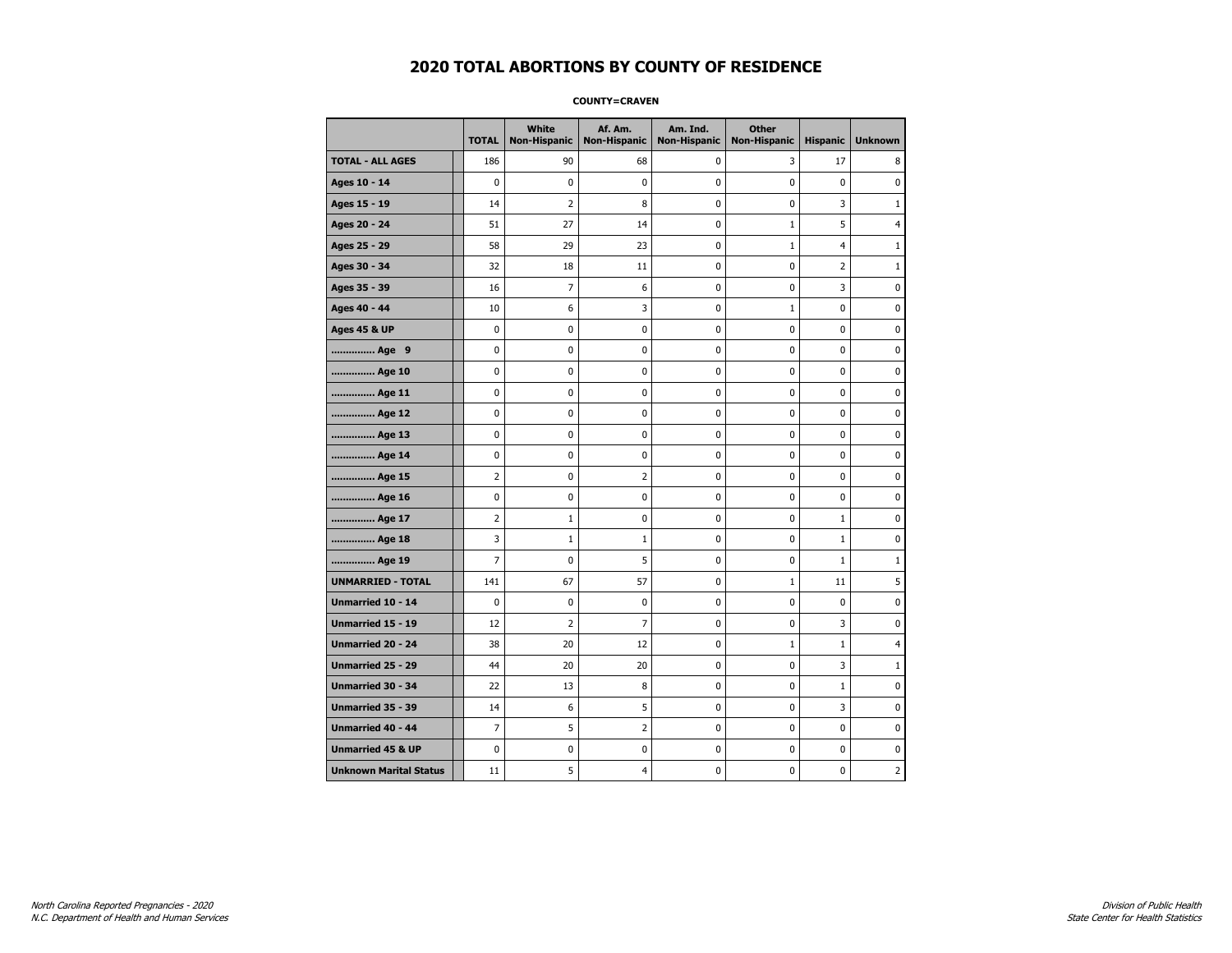### **COUNTY=CRAVEN**

|                               | <b>TOTAL</b>   | <b>White</b><br><b>Non-Hispanic</b> | Af. Am.<br><b>Non-Hispanic</b> | Am. Ind.<br><b>Non-Hispanic</b> | <b>Other</b><br><b>Non-Hispanic</b> | <b>Hispanic</b> | <b>Unknown</b> |
|-------------------------------|----------------|-------------------------------------|--------------------------------|---------------------------------|-------------------------------------|-----------------|----------------|
| <b>TOTAL - ALL AGES</b>       | 186            | 90                                  | 68                             | 0                               | 3                                   | 17              | 8              |
| Ages 10 - 14                  | $\mathbf 0$    | $\mathbf 0$                         | $\mathbf 0$                    | $\mathbf 0$                     | $\mathbf 0$                         | $\mathbf 0$     | 0              |
| Ages 15 - 19                  | 14             | $\overline{2}$                      | 8                              | $\pmb{0}$                       | $\pmb{0}$                           | 3               | $1\,$          |
| Ages 20 - 24                  | 51             | 27                                  | 14                             | $\pmb{0}$                       | $\mathbf{1}$                        | 5               | 4              |
| Ages 25 - 29                  | 58             | 29                                  | 23                             | 0                               | $\mathbf{1}$                        | 4               | 1              |
| Ages 30 - 34                  | 32             | 18                                  | 11                             | $\mathbf 0$                     | $\mathbf 0$                         | 2               | $\mathbf{1}$   |
| Ages 35 - 39                  | 16             | $\overline{7}$                      | 6                              | $\mathbf 0$                     | $\mathbf 0$                         | 3               | $\mathbf 0$    |
| Ages 40 - 44                  | 10             | 6                                   | 3                              | 0                               | $\mathbf{1}$                        | 0               | 0              |
| <b>Ages 45 &amp; UP</b>       | 0              | 0                                   | $\pmb{0}$                      | $\pmb{0}$                       | $\pmb{0}$                           | 0               | 0              |
| Age 9                         | $\mathbf 0$    | 0                                   | 0                              | 0                               | $\mathbf 0$                         | 0               | 0              |
| Age 10                        | $\mathbf 0$    | 0                                   | $\mathbf 0$                    | $\mathbf 0$                     | $\mathbf 0$                         | $\mathbf 0$     | 0              |
| Age 11                        | $\mathbf 0$    | 0                                   | $\mathbf 0$                    | $\pmb{0}$                       | $\mathbf 0$                         | $\mathbf 0$     | 0              |
| Age 12                        | $\pmb{0}$      | 0                                   | $\pmb{0}$                      | 0                               | 0                                   | 0               | 0              |
| Age 13                        | $\mathbf 0$    | 0                                   | $\mathbf 0$                    | 0                               | $\mathbf 0$                         | $\mathbf 0$     | 0              |
| Age 14                        | 0              | 0                                   | $\pmb{0}$                      | 0                               | 0                                   | 0               | 0              |
| Age 15                        | $\overline{2}$ | 0                                   | $\overline{2}$                 | 0                               | $\mathbf 0$                         | 0               | 0              |
| Age 16                        | $\mathbf 0$    | 0                                   | $\mathbf 0$                    | $\mathbf 0$                     | $\mathbf 0$                         | $\mathbf 0$     | 0              |
| Age 17                        | $\overline{2}$ | $\mathbf 1$                         | 0                              | $\pmb{0}$                       | $\mathbf 0$                         | $\mathbf 1$     | 0              |
| Age 18                        | 3              | $\mathbf{1}$                        | $1\,$                          | 0                               | 0                                   | $\mathbf 1$     | 0              |
| Age 19                        | $\overline{7}$ | 0                                   | 5                              | 0                               | $\mathbf 0$                         | $\mathbf 1$     | $\mathbf{1}$   |
| <b>UNMARRIED - TOTAL</b>      | 141            | 67                                  | 57                             | $\pmb{0}$                       | $\mathbf{1}$                        | 11              | 5              |
| Unmarried 10 - 14             | $\mathbf 0$    | 0                                   | $\mathbf 0$                    | $\mathbf 0$                     | $\mathbf 0$                         | $\mathbf 0$     | 0              |
| Unmarried 15 - 19             | 12             | $\overline{2}$                      | $\overline{7}$                 | $\pmb{0}$                       | $\pmb{0}$                           | 3               | 0              |
| Unmarried 20 - 24             | 38             | 20                                  | 12                             | 0                               | $\mathbf{1}$                        | $\mathbf{1}$    | 4              |
| Unmarried 25 - 29             | 44             | 20                                  | 20                             | 0                               | $\mathbf 0$                         | 3               | $\mathbf 1$    |
| <b>Unmarried 30 - 34</b>      | 22             | 13                                  | 8                              | $\pmb{0}$                       | $\pmb{0}$                           | $1\,$           | 0              |
| <b>Unmarried 35 - 39</b>      | 14             | 6                                   | 5                              | $\mathbf 0$                     | $\mathbf 0$                         | 3               | $\pmb{0}$      |
| <b>Unmarried 40 - 44</b>      | $\overline{7}$ | 5                                   | $\overline{2}$                 | $\pmb{0}$                       | $\pmb{0}$                           | $\mathbf 0$     | 0              |
| <b>Unmarried 45 &amp; UP</b>  | 0              | 0                                   | 0                              | 0                               | 0                                   | 0               | 0              |
| <b>Unknown Marital Status</b> | 11             | 5                                   | 4                              | 0                               | $\mathbf 0$                         | $\mathbf 0$     | $\overline{2}$ |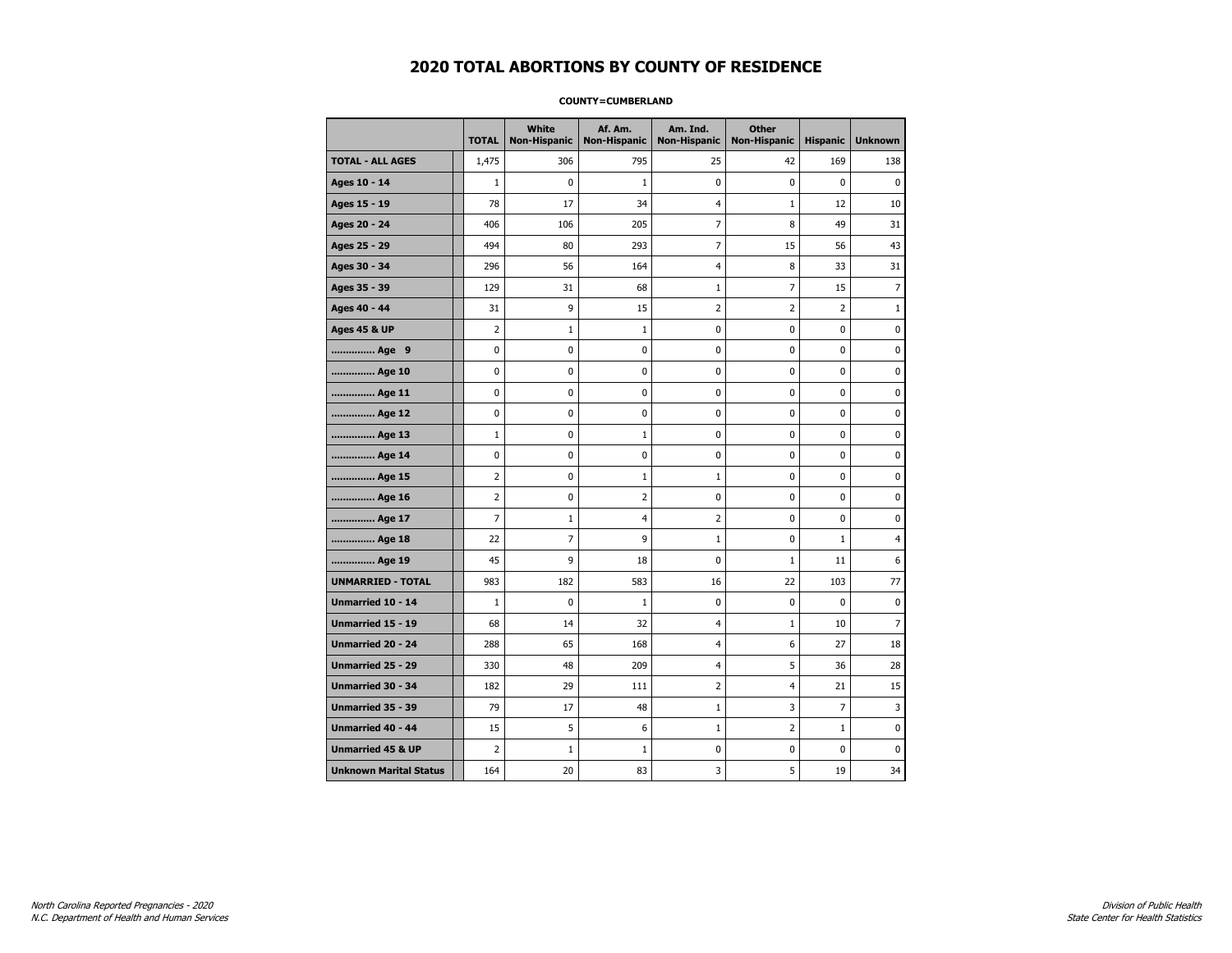### **COUNTY=CUMBERLAND**

|                               | <b>TOTAL</b>   | White<br><b>Non-Hispanic</b> | Af. Am.<br><b>Non-Hispanic</b> | Am. Ind.<br><b>Non-Hispanic</b> | <b>Other</b><br><b>Non-Hispanic</b> | <b>Hispanic</b> | <b>Unknown</b> |
|-------------------------------|----------------|------------------------------|--------------------------------|---------------------------------|-------------------------------------|-----------------|----------------|
| <b>TOTAL - ALL AGES</b>       | 1,475          | 306                          | 795                            | 25                              | 42                                  | 169             | 138            |
| Ages 10 - 14                  | $\mathbf{1}$   | 0                            | $\mathbf{1}$                   | 0                               | 0                                   | 0               | $\pmb{0}$      |
| Ages 15 - 19                  | 78             | 17                           | 34                             | $\overline{4}$                  | 1                                   | 12              | 10             |
| Ages 20 - 24                  | 406            | 106                          | 205                            | $\overline{7}$                  | 8                                   | 49              | 31             |
| Ages 25 - 29                  | 494            | 80                           | 293                            | 7                               | 15                                  | 56              | 43             |
| Ages 30 - 34                  | 296            | 56                           | 164                            | $\overline{4}$                  | 8                                   | 33              | 31             |
| Ages 35 - 39                  | 129            | 31                           | 68                             | 1                               | 7                                   | 15              | 7              |
| Ages 40 - 44                  | 31             | 9                            | 15                             | $\overline{2}$                  | 2                                   | $\overline{2}$  | $\mathbf{1}$   |
| <b>Ages 45 &amp; UP</b>       | $\overline{2}$ | $\mathbf{1}$                 | $\mathbf{1}$                   | $\mathbf 0$                     | 0                                   | $\mathbf 0$     | 0              |
| Age 9                         | 0              | 0                            | $\mathbf 0$                    | 0                               | 0                                   | $\mathbf 0$     | 0              |
| Age 10                        | 0              | $\mathbf 0$                  | $\mathbf 0$                    | $\pmb{0}$                       | 0                                   | $\pmb{0}$       | $\pmb{0}$      |
| Age 11                        | 0              | 0                            | 0                              | 0                               | 0                                   | 0               | 0              |
| Age 12                        | 0              | 0                            | $\pmb{0}$                      | 0                               | 0                                   | 0               | 0              |
| Age 13                        | $\mathbf 1$    | 0                            | $\mathbf{1}$                   | 0                               | 0                                   | 0               | 0              |
| Age 14                        | 0              | 0                            | $\mathbf 0$                    | 0                               | 0                                   | $\mathbf 0$     | 0              |
| Age 15                        | 2              | 0                            | $\mathbf{1}$                   | $\mathbf 1$                     | 0                                   | 0               | 0              |
| Age 16                        | $\overline{2}$ | 0                            | $\overline{2}$                 | 0                               | 0                                   | $\mathbf 0$     | 0              |
| Age 17                        | $\overline{7}$ | $\mathbf{1}$                 | 4                              | $\overline{2}$                  | 0                                   | 0               | 0              |
| Age 18                        | 22             | $\overline{7}$               | 9                              | $\mathbf{1}$                    | 0                                   | $\mathbf{1}$    | $\overline{4}$ |
| Age 19                        | 45             | 9                            | 18                             | 0                               | $\mathbf{1}$                        | 11              | 6              |
| <b>UNMARRIED - TOTAL</b>      | 983            | 182                          | 583                            | 16                              | 22                                  | 103             | 77             |
| Unmarried 10 - 14             | $\mathbf{1}$   | 0                            | $\mathbf{1}$                   | $\mathbf 0$                     | 0                                   | $\mathbf{0}$    | $\mathbf 0$    |
| Unmarried 15 - 19             | 68             | 14                           | 32                             | $\overline{4}$                  | $\mathbf{1}$                        | 10              | $\overline{7}$ |
| Unmarried 20 - 24             | 288            | 65                           | 168                            | $\overline{4}$                  | 6                                   | 27              | 18             |
| <b>Unmarried 25 - 29</b>      | 330            | 48                           | 209                            | $\overline{4}$                  | 5                                   | 36              | 28             |
| Unmarried 30 - 34             | 182            | 29                           | 111                            | $\overline{2}$                  | 4                                   | 21              | 15             |
| Unmarried 35 - 39             | 79             | 17                           | 48                             | $\mathbf{1}$                    | 3                                   | $\overline{7}$  | 3              |
| Unmarried 40 - 44             | 15             | 5                            | 6                              | $\mathbf{1}$                    | 2                                   | $\mathbf{1}$    | 0              |
| <b>Unmarried 45 &amp; UP</b>  | $\overline{2}$ | $\mathbf{1}$                 | 1                              | 0                               | 0                                   | 0               | 0              |
| <b>Unknown Marital Status</b> | 164            | 20                           | 83                             | 3                               | 5                                   | 19              | 34             |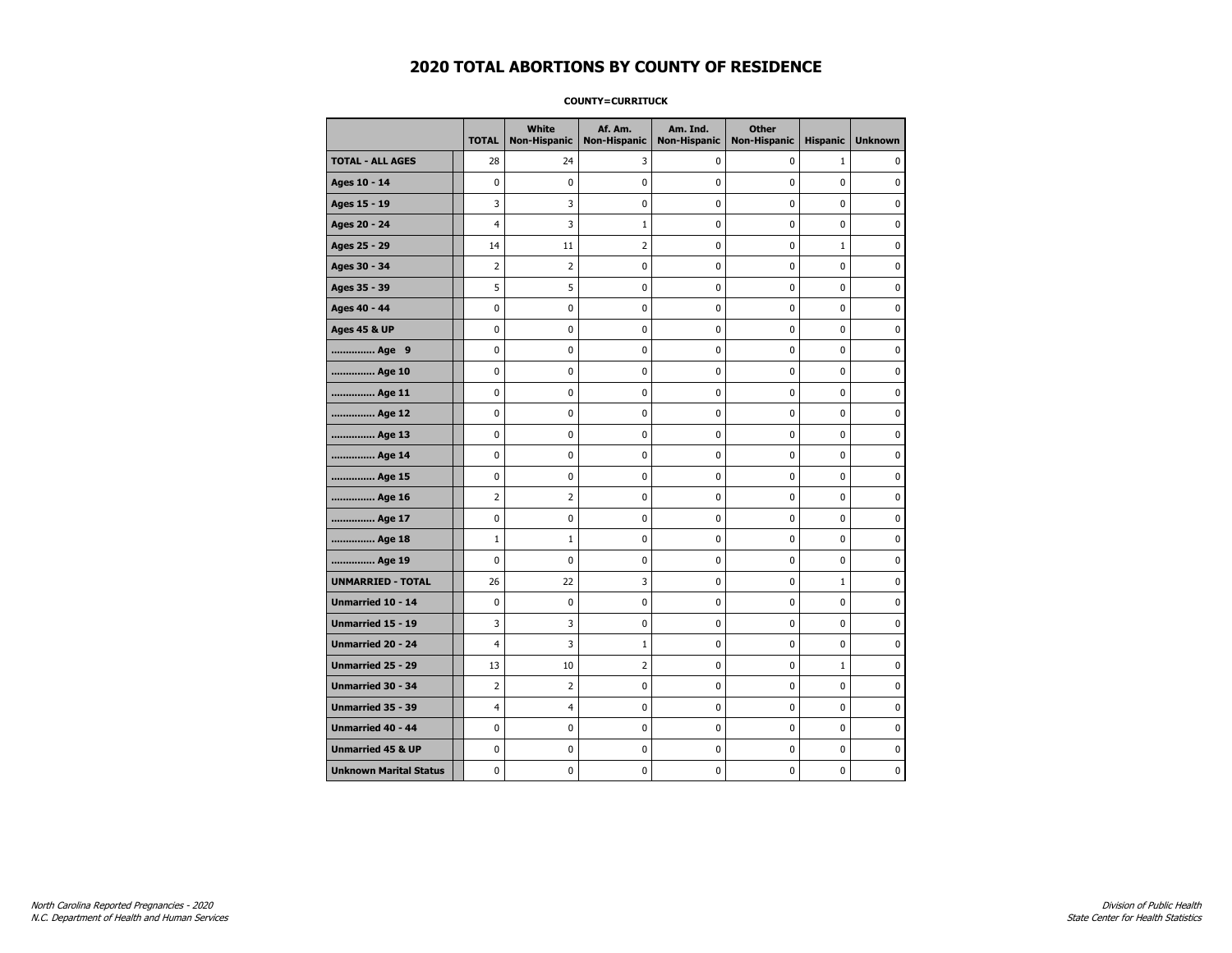### **COUNTY=CURRITUCK**

|                               | <b>TOTAL</b>   | <b>White</b><br>Non-Hispanic | Af. Am.<br><b>Non-Hispanic</b> | Am. Ind.<br><b>Non-Hispanic</b> | <b>Other</b><br>Non-Hispanic | <b>Hispanic</b> | <b>Unknown</b> |
|-------------------------------|----------------|------------------------------|--------------------------------|---------------------------------|------------------------------|-----------------|----------------|
| <b>TOTAL - ALL AGES</b>       | 28             | 24                           | 3                              | 0                               | 0                            | $\mathbf{1}$    | 0              |
| Ages 10 - 14                  | $\mathbf 0$    | 0                            | 0                              | $\mathbf 0$                     | $\mathbf 0$                  | $\mathbf 0$     | $\mathbf 0$    |
| Ages 15 - 19                  | 3              | 3                            | 0                              | 0                               | 0                            | 0               | $\pmb{0}$      |
| Ages 20 - 24                  | 4              | 3                            | $\mathbf{1}$                   | $\pmb{0}$                       | $\pmb{0}$                    | 0               | 0              |
| Ages 25 - 29                  | 14             | 11                           | 2                              | 0                               | $\mathbf 0$                  | 1               | 0              |
| Ages 30 - 34                  | $\overline{2}$ | $\overline{2}$               | 0                              | 0                               | $\mathbf 0$                  | 0               | 0              |
| Ages 35 - 39                  | 5              | 5                            | 0                              | $\mathbf 0$                     | 0                            | 0               | 0              |
| Ages 40 - 44                  | $\pmb{0}$      | 0                            | 0                              | 0                               | 0                            | 0               | 0              |
| <b>Ages 45 &amp; UP</b>       | $\pmb{0}$      | 0                            | $\pmb{0}$                      | $\pmb{0}$                       | $\pmb{0}$                    | 0               | 0              |
| Age 9                         | 0              | 0                            | 0                              | 0                               | 0                            | 0               | 0              |
| Age 10                        | $\mathbf 0$    | 0                            | 0                              | $\mathbf 0$                     | 0                            | 0               | 0              |
| Age 11                        | $\mathbf 0$    | 0                            | $\mathbf 0$                    | $\mathbf 0$                     | $\mathbf 0$                  | 0               | 0              |
| Age 12                        | $\pmb{0}$      | 0                            | 0                              | 0                               | 0                            | 0               | 0              |
| Age 13                        | 0              | 0                            | 0                              | 0                               | 0                            | 0               | 0              |
| Age 14                        | 0              | 0                            | 0                              | 0                               | 0                            | 0               | 0              |
| Age 15                        | $\mathbf 0$    | 0                            | 0                              | 0                               | $\mathbf 0$                  | 0               | 0              |
| Age 16                        | $\overline{2}$ | $\overline{2}$               | 0                              | $\mathbf 0$                     | 0                            | 0               | 0              |
| Age 17                        | 0              | $\mathbf 0$                  | 0                              | 0                               | 0                            | 0               | 0              |
| Age 18                        | $1\,$          | $\mathbf{1}$                 | 0                              | $\pmb{0}$                       | 0                            | 0               | 0              |
| Age 19                        | $\mathbf 0$    | 0                            | 0                              | 0                               | 0                            | 0               | 0              |
| <b>UNMARRIED - TOTAL</b>      | 26             | 22                           | 3                              | 0                               | 0                            | $\mathbf{1}$    | 0              |
| Unmarried 10 - 14             | $\mathbf 0$    | 0                            | 0                              | $\mathbf 0$                     | 0                            | 0               | 0              |
| Unmarried 15 - 19             | 3              | 3                            | $\bf{0}$                       | $\pmb{0}$                       | $\pmb{0}$                    | 0               | $\pmb{0}$      |
| Unmarried 20 - 24             | $\overline{4}$ | 3                            | $\mathbf{1}$                   | 0                               | 0                            | 0               | 0              |
| Unmarried 25 - 29             | 13             | 10                           | 2                              | 0                               | 0                            | $\mathbf{1}$    | 0              |
| <b>Unmarried 30 - 34</b>      | $\overline{2}$ | $\overline{2}$               | $\bf{0}$                       | $\pmb{0}$                       | $\pmb{0}$                    | 0               | 0              |
| <b>Unmarried 35 - 39</b>      | 4              | $\overline{4}$               | 0                              | 0                               | $\mathbf 0$                  | 0               | 0              |
| <b>Unmarried 40 - 44</b>      | 0              | $\mathbf 0$                  | 0                              | 0                               | 0                            | 0               | $\pmb{0}$      |
| <b>Unmarried 45 &amp; UP</b>  | 0              | 0                            | 0                              | 0                               | 0                            | 0               | 0              |
| <b>Unknown Marital Status</b> | 0              | 0                            | 0                              | 0                               | 0                            | 0               | 0              |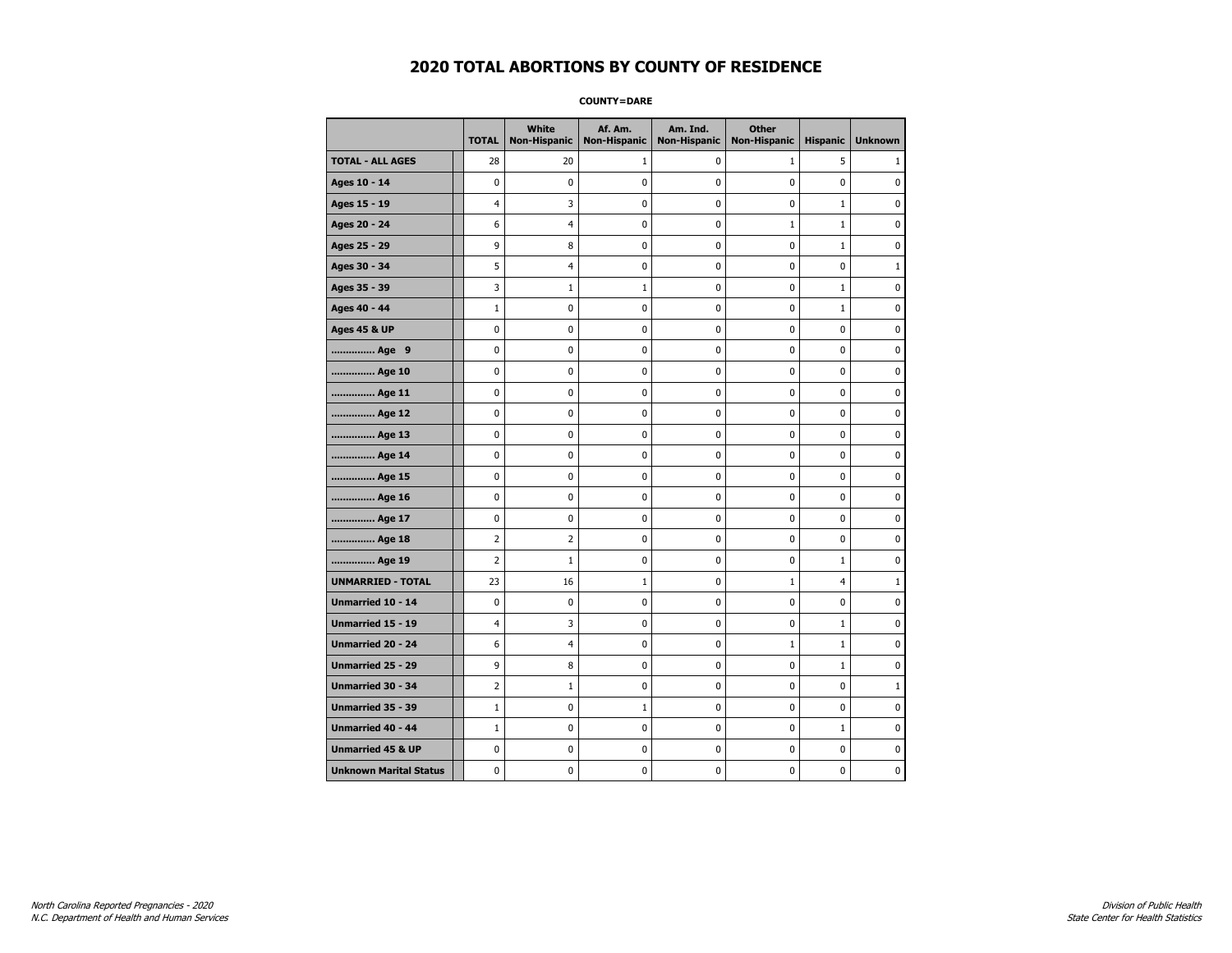**COUNTY=DARE** 

|                               | <b>TOTAL</b>   | <b>White</b><br><b>Non-Hispanic</b> | Af. Am.<br><b>Non-Hispanic</b> | Am. Ind.<br><b>Non-Hispanic</b> | <b>Other</b><br><b>Non-Hispanic</b> | <b>Hispanic</b> | <b>Unknown</b> |
|-------------------------------|----------------|-------------------------------------|--------------------------------|---------------------------------|-------------------------------------|-----------------|----------------|
| <b>TOTAL - ALL AGES</b>       | 28             | 20                                  | 1                              | 0                               | $\mathbf{1}$                        | 5               | 1              |
| Ages 10 - 14                  | $\mathbf 0$    | $\mathbf 0$                         | 0                              | 0                               | 0                                   | 0               | 0              |
| Ages 15 - 19                  | $\overline{4}$ | 3                                   | 0                              | 0                               | 0                                   | $\mathbf{1}$    | $\mathbf 0$    |
| Ages 20 - 24                  | 6              | 4                                   | 0                              | 0                               | $1\,$                               | 1               | 0              |
| Ages 25 - 29                  | 9              | 8                                   | 0                              | 0                               | 0                                   | $\mathbf{1}$    | 0              |
| Ages 30 - 34                  | 5              | 4                                   | 0                              | 0                               | 0                                   | 0               | $\mathbf{1}$   |
| Ages 35 - 39                  | 3              | 1                                   | $\mathbf{1}$                   | 0                               | 0                                   | $\mathbf{1}$    | 0              |
| Ages 40 - 44                  | $\mathbf{1}$   | 0                                   | 0                              | 0                               | 0                                   | $\mathbf{1}$    | $\mathbf 0$    |
| <b>Ages 45 &amp; UP</b>       | 0              | 0                                   | 0                              | 0                               | 0                                   | 0               | 0              |
| Age 9                         | $\mathbf 0$    | 0                                   | 0                              | 0                               | 0                                   | 0               | 0              |
| Age 10                        | 0              | 0                                   | 0                              | 0                               | 0                                   | 0               | 0              |
| Age 11                        | 0              | 0                                   | 0                              | 0                               | 0                                   | 0               | 0              |
| Age 12                        | $\mathbf 0$    | 0                                   | 0                              | 0                               | 0                                   | 0               | $\mathbf 0$    |
| Age 13                        | $\pmb{0}$      | 0                                   | 0                              | 0                               | 0                                   | 0               | 0              |
| Age 14                        | 0              | 0                                   | 0                              | 0                               | 0                                   | 0               | 0              |
| Age 15                        | 0              | $\mathbf 0$                         | 0                              | 0                               | 0                                   | 0               | 0              |
| Age 16                        | 0              | 0                                   | 0                              | 0                               | 0                                   | 0               | 0              |
| Age 17                        | 0              | 0                                   | 0                              | 0                               | 0                                   | 0               | 0              |
| Age 18                        | $\overline{2}$ | $\overline{2}$                      | 0                              | 0                               | 0                                   | 0               | $\pmb{0}$      |
| Age 19                        | $\overline{2}$ | $\mathbf{1}$                        | 0                              | 0                               | 0                                   | $\mathbf{1}$    | 0              |
| <b>UNMARRIED - TOTAL</b>      | 23             | 16                                  | $\mathbf{1}$                   | 0                               | $\mathbf{1}$                        | 4               | $\mathbf{1}$   |
| Unmarried 10 - 14             | $\mathbf 0$    | $\mathbf 0$                         | 0                              | 0                               | 0                                   | 0               | 0              |
| <b>Unmarried 15 - 19</b>      | $\overline{4}$ | 3                                   | 0                              | 0                               | 0                                   | $\mathbf{1}$    | 0              |
| Unmarried 20 - 24             | 6              | 4                                   | $\pmb{0}$                      | 0                               | $1\,$                               | $\mathbf 1$     | $\pmb{0}$      |
| <b>Unmarried 25 - 29</b>      | 9              | 8                                   | 0                              | 0                               | 0                                   | $\mathbf{1}$    | 0              |
| <b>Unmarried 30 - 34</b>      | 2              | $\mathbf{1}$                        | 0                              | 0                               | 0                                   | 0               | $\mathbf{1}$   |
| Unmarried 35 - 39             | $\mathbf{1}$   | $\mathbf 0$                         | $\mathbf 1$                    | 0                               | 0                                   | 0               | $\mathbf 0$    |
| <b>Unmarried 40 - 44</b>      | $\mathbf{1}$   | $\pmb{0}$                           | $\pmb{0}$                      | 0                               | 0                                   | $\mathbf{1}$    | $\pmb{0}$      |
| <b>Unmarried 45 &amp; UP</b>  | 0              | 0                                   | 0                              | 0                               | 0                                   | 0               | 0              |
| <b>Unknown Marital Status</b> | 0              | 0                                   | 0                              | 0                               | 0                                   | 0               | 0              |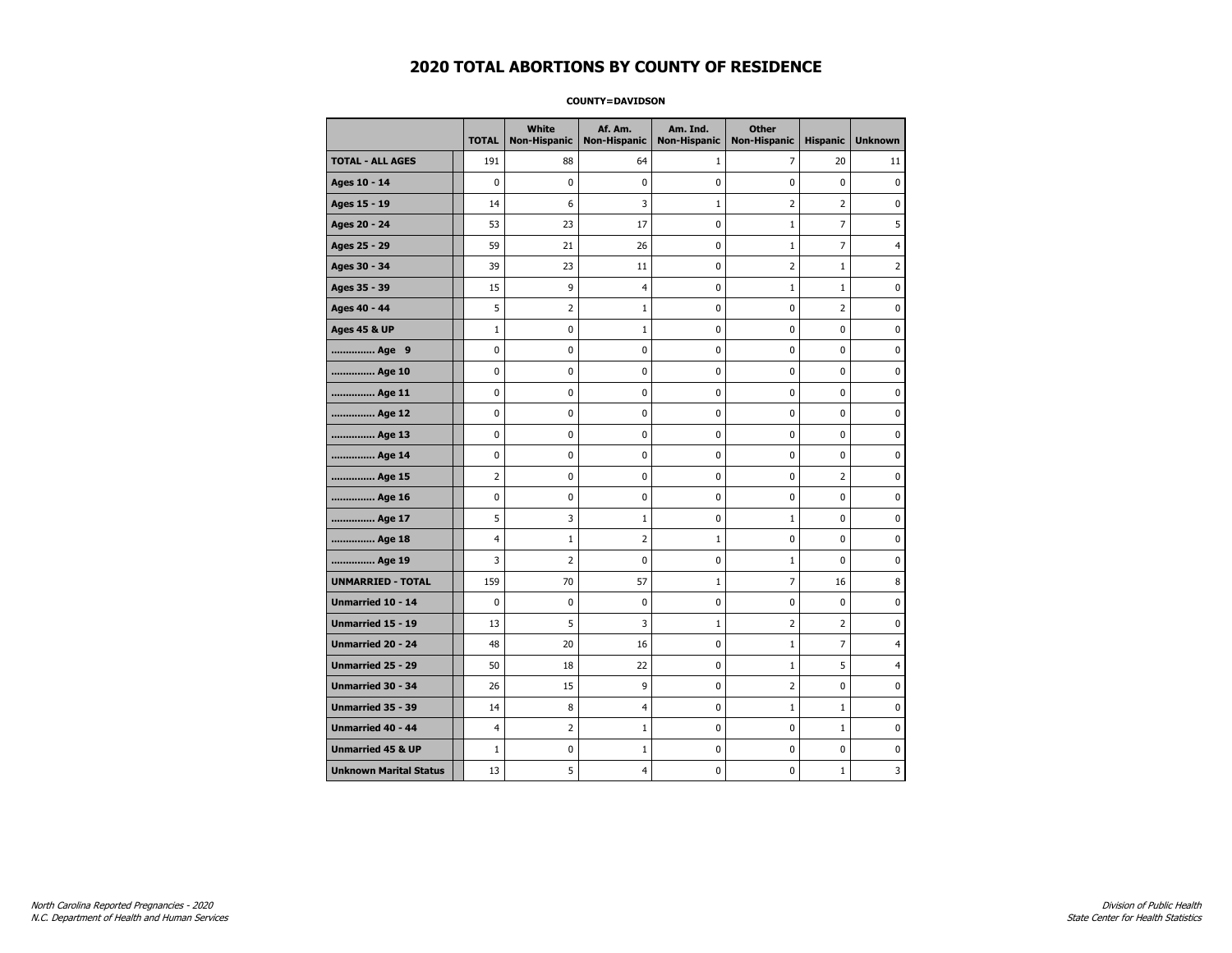#### **COUNTY=DAVIDSON**

|                               | <b>TOTAL</b>   | White<br><b>Non-Hispanic</b> | Af. Am.<br><b>Non-Hispanic</b> | Am. Ind.<br><b>Non-Hispanic</b> | <b>Other</b><br><b>Non-Hispanic</b> | <b>Hispanic</b> | <b>Unknown</b> |
|-------------------------------|----------------|------------------------------|--------------------------------|---------------------------------|-------------------------------------|-----------------|----------------|
| <b>TOTAL - ALL AGES</b>       | 191            | 88                           | 64                             | 1                               | 7                                   | 20              | 11             |
| Ages 10 - 14                  | $\mathbf 0$    | 0                            | $\mathbf 0$                    | 0                               | 0                                   | $\mathbf 0$     | $\pmb{0}$      |
| Ages 15 - 19                  | 14             | 6                            | 3                              | $\mathbf{1}$                    | $\overline{2}$                      | $\overline{2}$  | 0              |
| Ages 20 - 24                  | 53             | 23                           | 17                             | 0                               | $\mathbf 1$                         | $\overline{7}$  | 5              |
| Ages 25 - 29                  | 59             | 21                           | 26                             | 0                               | $1\,$                               | 7               | 4              |
| Ages 30 - 34                  | 39             | 23                           | 11                             | 0                               | $\overline{2}$                      | $\mathbf{1}$    | 2              |
| Ages 35 - 39                  | 15             | 9                            | $\overline{4}$                 | 0                               | $1\,$                               | $\mathbf{1}$    | 0              |
| Ages 40 - 44                  | 5              | $\overline{2}$               | $\mathbf{1}$                   | 0                               | 0                                   | 2               | 0              |
| <b>Ages 45 &amp; UP</b>       | $\mathbf{1}$   | 0                            | $\mathbf{1}$                   | $\mathbf 0$                     | 0                                   | $\mathbf 0$     | 0              |
| Age 9                         | 0              | 0                            | 0                              | $\pmb{0}$                       | 0                                   | 0               | $\pmb{0}$      |
| Age 10                        | 0              | 0                            | $\pmb{0}$                      | 0                               | 0                                   | 0               | 0              |
| Age 11                        | 0              | 0                            | 0                              | 0                               | 0                                   | $\mathbf 0$     | 0              |
| Age 12                        | 0              | 0                            | 0                              | 0                               | 0                                   | 0               | 0              |
| Age 13                        | 0              | 0                            | $\mathbf 0$                    | $\mathbf 0$                     | 0                                   | $\mathbf 0$     | $\mathbf 0$    |
| Age 14                        | 0              | 0                            | $\mathbf 0$                    | 0                               | $\mathbf 0$                         | $\mathbf 0$     | 0              |
| Age 15                        | $\overline{2}$ | 0                            | $\pmb{0}$                      | 0                               | $\pmb{0}$                           | $\overline{2}$  | 0              |
| Age 16                        | 0              | 0                            | 0                              | 0                               | 0                                   | 0               | 0              |
| Age 17                        | 5              | 3                            | $\mathbf{1}$                   | 0                               | $\mathbf{1}$                        | $\mathbf 0$     | 0              |
| Age 18                        | 4              | $\mathbf{1}$                 | $\overline{2}$                 | $\mathbf{1}$                    | 0                                   | $\pmb{0}$       | 0              |
| Age 19                        | 3              | $\overline{2}$               | $\mathbf 0$                    | 0                               | $1\,$                               | $\mathbf 0$     | 0              |
| <b>UNMARRIED - TOTAL</b>      | 159            | 70                           | 57                             | $\mathbf{1}$                    | $\overline{7}$                      | 16              | 8              |
| Unmarried 10 - 14             | 0              | 0                            | 0                              | 0                               | 0                                   | $\pmb{0}$       | $\pmb{0}$      |
| Unmarried 15 - 19             | 13             | 5                            | 3                              | $\mathbf{1}$                    | 2                                   | $\overline{2}$  | 0              |
| Unmarried 20 - 24             | 48             | 20                           | 16                             | 0                               | $\mathbf{1}$                        | 7               | $\overline{4}$ |
| Unmarried 25 - 29             | 50             | 18                           | 22                             | $\mathbf 0$                     | $\mathbf{1}$                        | 5               | 4              |
| <b>Unmarried 30 - 34</b>      | 26             | 15                           | 9                              | $\pmb{0}$                       | $\overline{2}$                      | $\mathbf 0$     | $\mathbf 0$    |
| Unmarried 35 - 39             | 14             | 8                            | $\overline{4}$                 | 0                               | $1\,$                               | $\mathbf{1}$    | 0              |
| Unmarried 40 - 44             | $\overline{4}$ | $\overline{2}$               | 1                              | 0                               | 0                                   | $\mathbf{1}$    | 0              |
| <b>Unmarried 45 &amp; UP</b>  | $\mathbf{1}$   | 0                            | $\mathbf{1}$                   | 0                               | 0                                   | 0               | 0              |
| <b>Unknown Marital Status</b> | 13             | 5                            | 4                              | $\mathbf 0$                     | 0                                   | $\mathbf{1}$    | 3              |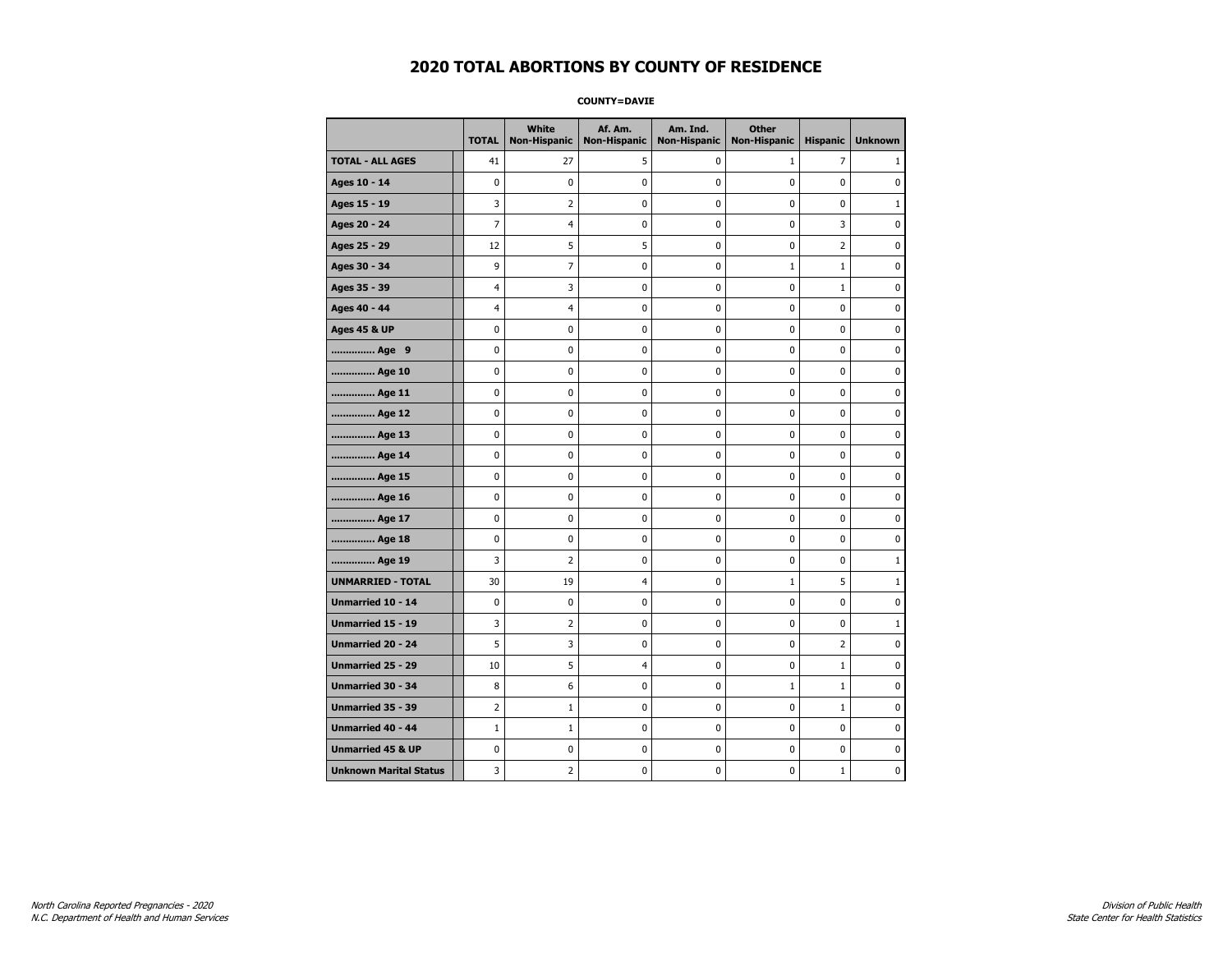**COUNTY=DAVIE** 

|                               | <b>TOTAL</b>   | White<br>Non-Hispanic | Af. Am.<br><b>Non-Hispanic</b> | Am. Ind.<br><b>Non-Hispanic</b> | <b>Other</b><br><b>Non-Hispanic</b> | <b>Hispanic</b> | <b>Unknown</b> |
|-------------------------------|----------------|-----------------------|--------------------------------|---------------------------------|-------------------------------------|-----------------|----------------|
| <b>TOTAL - ALL AGES</b>       | 41             | 27                    | 5                              | 0                               | $\mathbf{1}$                        | $\overline{7}$  | 1              |
| Ages 10 - 14                  | 0              | $\mathbf 0$           | 0                              | 0                               | 0                                   | 0               | 0              |
| Ages 15 - 19                  | 3              | $\overline{2}$        | 0                              | 0                               | $\pmb{0}$                           | 0               | $\mathbf{1}$   |
| Ages 20 - 24                  | $\overline{7}$ | 4                     | 0                              | 0                               | $\mathbf 0$                         | 3               | $\mathbf 0$    |
| Ages 25 - 29                  | 12             | 5                     | 5                              | 0                               | $\pmb{0}$                           | $\overline{2}$  | $\pmb{0}$      |
| Ages 30 - 34                  | 9              | 7                     | 0                              | 0                               | $\mathbf 1$                         | $\mathbf 1$     | 0              |
| Ages 35 - 39                  | 4              | 3                     | 0                              | 0                               | 0                                   | $\mathbf{1}$    | 0              |
| Ages 40 - 44                  | $\overline{4}$ | 4                     | 0                              | 0                               | $\mathbf 0$                         | 0               | $\pmb{0}$      |
| <b>Ages 45 &amp; UP</b>       | 0              | 0                     | 0                              | 0                               | 0                                   | 0               | $\mathbf 0$    |
| Age 9                         | 0              | 0                     | 0                              | 0                               | $\mathbf 0$                         | 0               | $\mathbf 0$    |
| Age 10                        | 0              | 0                     | $\pmb{0}$                      | 0                               | $\pmb{0}$                           | 0               | 0              |
| Age 11                        | 0              | 0                     | 0                              | 0                               | 0                                   | 0               | $\mathbf 0$    |
| Age 12                        | 0              | 0                     | 0                              | 0                               | 0                                   | 0               | 0              |
| Age 13                        | 0              | 0                     | 0                              | 0                               | 0                                   | 0               | $\mathbf 0$    |
| Age 14                        | 0              | 0                     | 0                              | 0                               | $\mathbf 0$                         | 0               | $\mathbf 0$    |
| Age 15                        | 0              | 0                     | $\pmb{0}$                      | 0                               | $\pmb{0}$                           | 0               | $\pmb{0}$      |
| Age 16                        | 0              | 0                     | $\pmb{0}$                      | 0                               | $\pmb{0}$                           | 0               | $\mathbf 0$    |
| Age 17                        | 0              | 0                     | 0                              | 0                               | 0                                   | 0               | 0              |
| Age 18                        | 0              | 0                     | $\pmb{0}$                      | 0                               | $\pmb{0}$                           | 0               | $\pmb{0}$      |
| Age 19                        | 3              | 2                     | 0                              | 0                               | 0                                   | 0               | $\mathbf{1}$   |
| <b>UNMARRIED - TOTAL</b>      | 30             | 19                    | $\overline{4}$                 | 0                               | $1\,$                               | 5               | $\mathbf{1}$   |
| Unmarried 10 - 14             | 0              | 0                     | 0                              | 0                               | $\pmb{0}$                           | 0               | 0              |
| Unmarried 15 - 19             | 3              | 2                     | $\pmb{0}$                      | 0                               | $\pmb{0}$                           | 0               | $\mathbf{1}$   |
| Unmarried 20 - 24             | 5              | 3                     | 0                              | 0                               | 0                                   | $\overline{2}$  | 0              |
| <b>Unmarried 25 - 29</b>      | 10             | 5                     | $\overline{4}$                 | 0                               | 0                                   | $\mathbf 1$     | 0              |
| <b>Unmarried 30 - 34</b>      | 8              | 6                     | $\mathbf 0$                    | 0                               | $\mathbf{1}$                        | $\mathbf{1}$    | $\mathbf 0$    |
| Unmarried 35 - 39             | 2              | $\mathbf{1}$          | 0                              | 0                               | $\mathbf 0$                         | $\mathbf{1}$    | $\mathbf 0$    |
| Unmarried 40 - 44             | $\mathbf{1}$   | $1\,$                 | $\pmb{0}$                      | 0                               | $\pmb{0}$                           | 0               | 0              |
| <b>Unmarried 45 &amp; UP</b>  | 0              | 0                     | 0                              | 0                               | 0                                   | 0               | 0              |
| <b>Unknown Marital Status</b> | 3              | $\overline{2}$        | 0                              | 0                               | 0                                   | $\mathbf{1}$    | $\mathbf 0$    |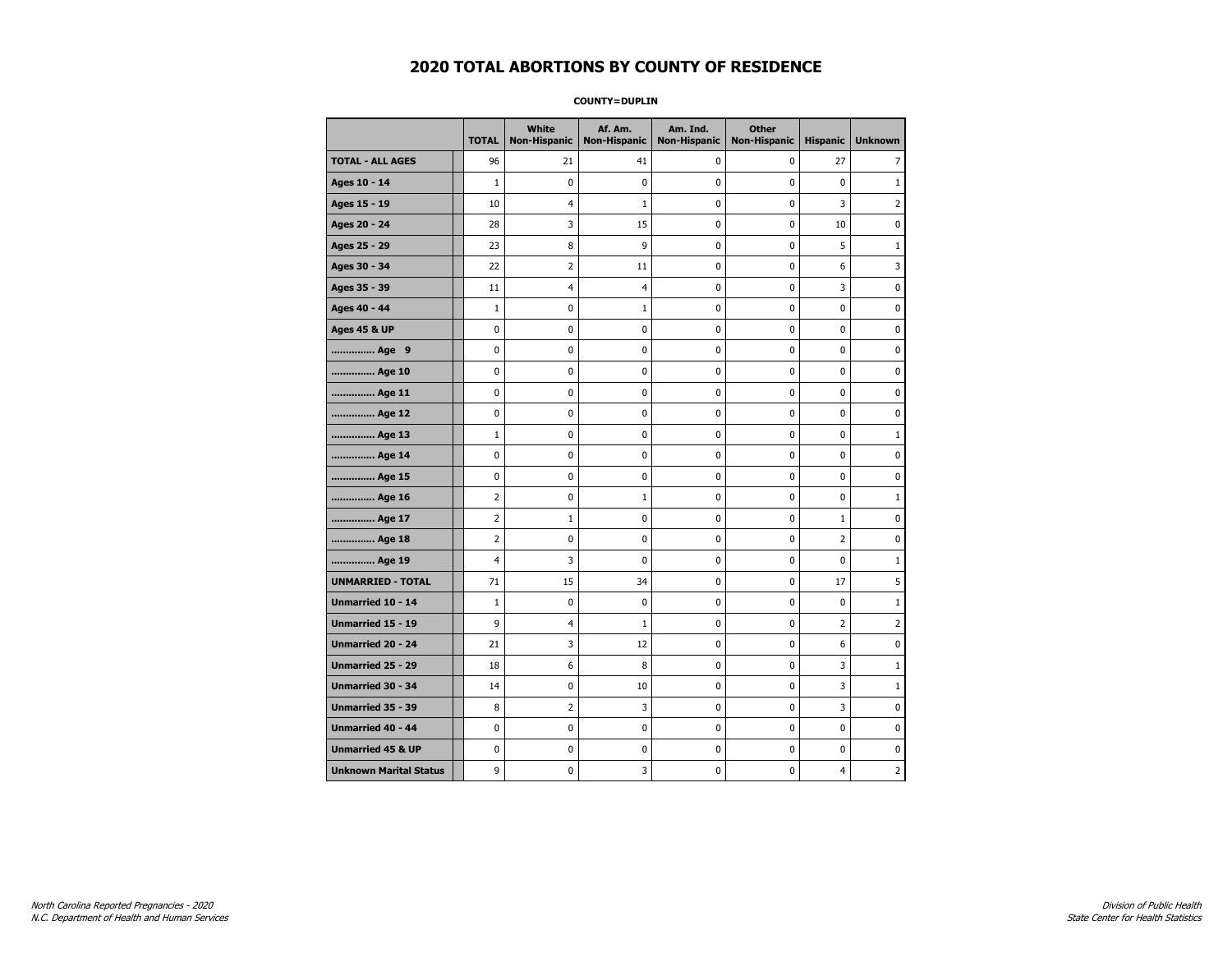**COUNTY=DUPLIN** 

|                               | <b>TOTAL</b>   | White<br><b>Non-Hispanic</b> | Af. Am.<br><b>Non-Hispanic</b> | Am. Ind.<br><b>Non-Hispanic</b> | <b>Other</b><br><b>Non-Hispanic</b> | <b>Hispanic</b> | <b>Unknown</b> |
|-------------------------------|----------------|------------------------------|--------------------------------|---------------------------------|-------------------------------------|-----------------|----------------|
| <b>TOTAL - ALL AGES</b>       | 96             | 21                           | 41                             | $\mathbf 0$                     | 0                                   | 27              | 7              |
| Ages 10 - 14                  | $\mathbf{1}$   | $\mathbf 0$                  | 0                              | $\mathbf 0$                     | 0                                   | $\mathbf 0$     | $\mathbf{1}$   |
| Ages 15 - 19                  | 10             | 4                            | $\mathbf{1}$                   | 0                               | $\pmb{0}$                           | 3               | $\overline{2}$ |
| Ages 20 - 24                  | 28             | 3                            | 15                             | 0                               | 0                                   | 10              | 0              |
| Ages 25 - 29                  | 23             | 8                            | 9                              | 0                               | 0                                   | 5               | $\mathbf{1}$   |
| Ages 30 - 34                  | 22             | 2                            | 11                             | 0                               | $\pmb{0}$                           | 6               | 3              |
| Ages 35 - 39                  | 11             | 4                            | 4                              | 0                               | 0                                   | 3               | $\mathbf 0$    |
| Ages 40 - 44                  | $\mathbf{1}$   | 0                            | $\mathbf{1}$                   | 0                               | $\pmb{0}$                           | 0               | $\pmb{0}$      |
| <b>Ages 45 &amp; UP</b>       | 0              | 0                            | 0                              | 0                               | 0                                   | 0               | 0              |
| Age 9                         | 0              | 0                            | 0                              | 0                               | 0                                   | 0               | 0              |
| Age 10                        | 0              | 0                            | 0                              | 0                               | $\mathbf 0$                         | 0               | $\mathbf 0$    |
| Age 11                        | 0              | 0                            | 0                              | 0                               | $\pmb{0}$                           | 0               | $\pmb{0}$      |
| Age 12                        | 0              | 0                            | 0                              | 0                               | 0                                   | 0               | 0              |
| Age 13                        | $\mathbf{1}$   | 0                            | 0                              | 0                               | 0                                   | 0               | $\mathbf{1}$   |
| Age 14                        | 0              | 0                            | 0                              | 0                               | $\pmb{0}$                           | 0               | $\mathbf 0$    |
| Age 15                        | 0              | 0                            | 0                              | 0                               | $\pmb{0}$                           | 0               | $\pmb{0}$      |
| Age 16                        | 2              | 0                            | 1                              | 0                               | 0                                   | 0               | $\mathbf{1}$   |
| Age 17                        | 2              | 1                            | 0                              | 0                               | 0                                   | $\mathbf{1}$    | 0              |
| Age 18                        | $\overline{2}$ | 0                            | 0                              | 0                               | $\mathbf 0$                         | $\overline{2}$  | $\mathbf 0$    |
| Age 19                        | 4              | 3                            | 0                              | 0                               | $\pmb{0}$                           | 0               | $1\,$          |
| <b>UNMARRIED - TOTAL</b>      | 71             | 15                           | 34                             | 0                               | 0                                   | 17              | 5              |
| Unmarried 10 - 14             | $\mathbf{1}$   | 0                            | 0                              | 0                               | $\pmb{0}$                           | 0               | $\mathbf{1}$   |
| <b>Unmarried 15 - 19</b>      | 9              | 4                            | $\mathbf{1}$                   | 0                               | 0                                   | $\overline{2}$  | $\overline{2}$ |
| Unmarried 20 - 24             | 21             | 3                            | 12                             | 0                               | $\pmb{0}$                           | 6               | 0              |
| Unmarried 25 - 29             | 18             | 6                            | 8                              | 0                               | 0                                   | 3               | $\mathbf{1}$   |
| Unmarried 30 - 34             | 14             | 0                            | 10                             | 0                               | 0                                   | 3               | $\mathbf{1}$   |
| Unmarried 35 - 39             | 8              | 2                            | 3                              | 0                               | $\pmb{0}$                           | 3               | $\mathbf 0$    |
| Unmarried 40 - 44             | 0              | 0                            | 0                              | 0                               | 0                                   | 0               | 0              |
| <b>Unmarried 45 &amp; UP</b>  | 0              | 0                            | 0                              | 0                               | $\pmb{0}$                           | 0               | 0              |
| <b>Unknown Marital Status</b> | 9              | 0                            | 3                              | 0                               | 0                                   | 4               | 2              |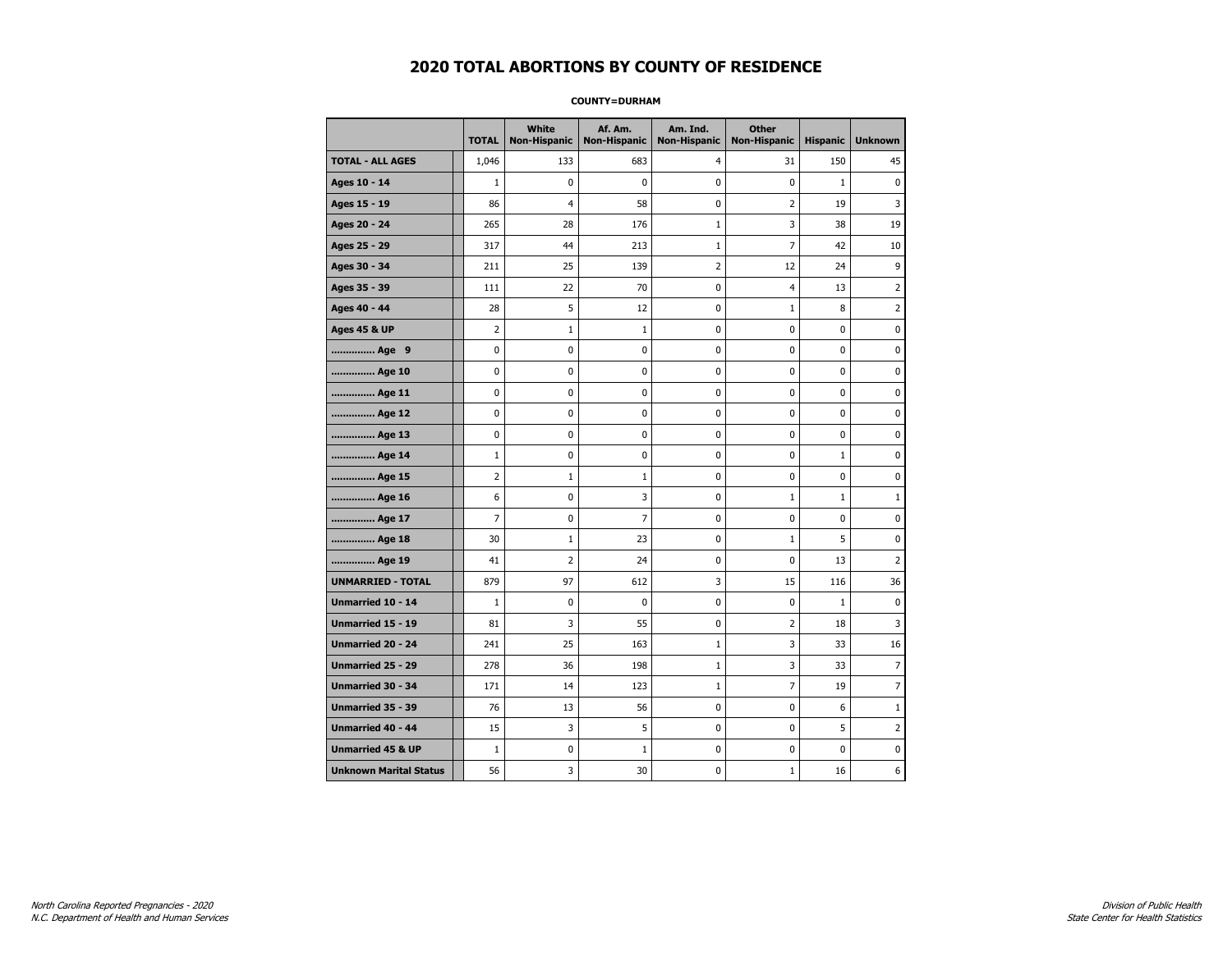#### **COUNTY=DURHAM**

|                               | <b>TOTAL</b>   | <b>White</b><br><b>Non-Hispanic</b> | Af. Am.<br><b>Non-Hispanic</b> | Am. Ind.<br><b>Non-Hispanic</b> | <b>Other</b><br><b>Non-Hispanic</b> | <b>Hispanic</b> | <b>Unknown</b> |
|-------------------------------|----------------|-------------------------------------|--------------------------------|---------------------------------|-------------------------------------|-----------------|----------------|
| <b>TOTAL - ALL AGES</b>       | 1,046          | 133                                 | 683                            | 4                               | 31                                  | 150             | 45             |
| Ages 10 - 14                  | $\mathbf{1}$   | 0                                   | $\Omega$                       | $\mathbf 0$                     | $\Omega$                            | $\mathbf{1}$    | 0              |
| Ages 15 - 19                  | 86             | $\overline{4}$                      | 58                             | $\mathbf 0$                     | $\overline{2}$                      | 19              | 3              |
| Ages 20 - 24                  | 265            | 28                                  | 176                            | $1\,$                           | 3                                   | 38              | 19             |
| Ages 25 - 29                  | 317            | 44                                  | 213                            | $\mathbf{1}$                    | 7                                   | 42              | 10             |
| Ages 30 - 34                  | 211            | 25                                  | 139                            | 2                               | 12                                  | 24              | 9              |
| Ages 35 - 39                  | 111            | 22                                  | 70                             | 0                               | 4                                   | 13              | 2              |
| Ages 40 - 44                  | 28             | 5                                   | 12                             | 0                               | $\mathbf{1}$                        | 8               | $\overline{2}$ |
| <b>Ages 45 &amp; UP</b>       | $\overline{2}$ | $\mathbf{1}$                        | $\mathbf{1}$                   | $\mathbf 0$                     | $\mathbf 0$                         | $\mathbf 0$     | 0              |
| Age 9                         | $\mathbf 0$    | 0                                   | $\mathbf 0$                    | 0                               | $\mathbf 0$                         | $\mathbf 0$     | $\mathbf 0$    |
| Age 10                        | $\mathbf 0$    | 0                                   | $\mathbf 0$                    | $\mathbf 0$                     | $\mathbf 0$                         | $\mathbf 0$     | 0              |
| Age 11                        | $\pmb{0}$      | 0                                   | $\pmb{0}$                      | $\pmb{0}$                       | $\pmb{0}$                           | 0               | 0              |
| Age 12                        | $\mathbf 0$    | 0                                   | $\pmb{0}$                      | 0                               | $\mathbf 0$                         | 0               | 0              |
| Age 13                        | $\mathbf 0$    | 0                                   | $\mathbf 0$                    | $\mathbf 0$                     | $\mathbf 0$                         | $\mathbf 0$     | 0              |
| Age 14                        | $\mathbf{1}$   | 0                                   | 0                              | 0                               | 0                                   | $\mathbf{1}$    | 0              |
| Age 15                        | 2              | $\mathbf{1}$                        | 1                              | 0                               | $\mathbf 0$                         | 0               | 0              |
| Age 16                        | 6              | 0                                   | 3                              | $\mathbf 0$                     | $\mathbf{1}$                        | $\mathbf{1}$    | $\mathbf{1}$   |
| Age 17                        | $\overline{7}$ | $\mathbf 0$                         | $\overline{7}$                 | $\mathbf 0$                     | $\mathbf 0$                         | $\mathbf 0$     | 0              |
| Age 18                        | 30             | $\mathbf{1}$                        | 23                             | 0                               | $\mathbf{1}$                        | 5               | 0              |
| Age 19                        | 41             | $\overline{2}$                      | 24                             | 0                               | 0                                   | 13              | $\overline{2}$ |
| <b>UNMARRIED - TOTAL</b>      | 879            | 97                                  | 612                            | 3                               | 15                                  | 116             | 36             |
| Unmarried 10 - 14             | $\mathbf{1}$   | 0                                   | $\mathbf 0$                    | 0                               | $\mathbf 0$                         | $\mathbf 1$     | 0              |
| Unmarried 15 - 19             | 81             | 3                                   | 55                             | 0                               | $\overline{2}$                      | 18              | 3              |
| <b>Unmarried 20 - 24</b>      | 241            | 25                                  | 163                            | $\mathbf{1}$                    | 3                                   | 33              | 16             |
| <b>Unmarried 25 - 29</b>      | 278            | 36                                  | 198                            | $\mathbf{1}$                    | 3                                   | 33              | $\overline{7}$ |
| Unmarried 30 - 34             | 171            | 14                                  | 123                            | $\mathbf 1$                     | $\overline{7}$                      | 19              | $\overline{7}$ |
| Unmarried 35 - 39             | 76             | 13                                  | 56                             | 0                               | 0                                   | 6               | $\mathbf 1$    |
| Unmarried 40 - 44             | 15             | 3                                   | 5                              | 0                               | $\mathbf 0$                         | 5               | 2              |
| <b>Unmarried 45 &amp; UP</b>  | $\mathbf{1}$   | 0                                   | $\mathbf{1}$                   | 0                               | 0                                   | 0               | 0              |
| <b>Unknown Marital Status</b> | 56             | 3                                   | 30                             | 0                               | 1                                   | 16              | 6              |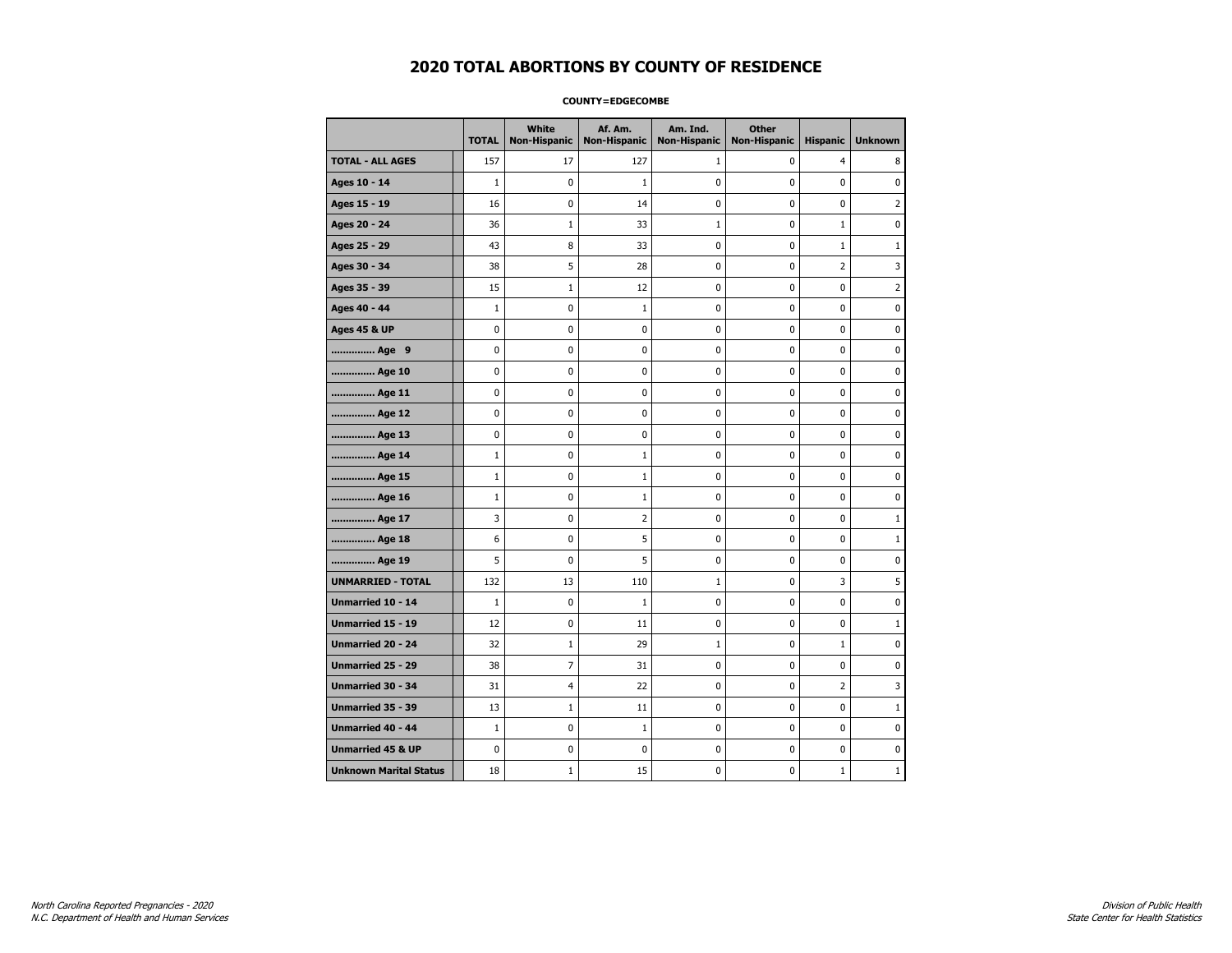### **COUNTY=EDGECOMBE**

|                               | <b>TOTAL</b> | <b>White</b><br>Non-Hispanic | Af. Am.<br><b>Non-Hispanic</b> | Am. Ind.<br><b>Non-Hispanic</b> | <b>Other</b><br><b>Non-Hispanic</b> | <b>Hispanic</b> | <b>Unknown</b> |
|-------------------------------|--------------|------------------------------|--------------------------------|---------------------------------|-------------------------------------|-----------------|----------------|
| <b>TOTAL - ALL AGES</b>       | 157          | 17                           | 127                            | 1                               | 0                                   | $\overline{4}$  | 8              |
| Ages 10 - 14                  | $\mathbf{1}$ | 0                            | $\mathbf{1}$                   | $\mathbf 0$                     | $\mathbf 0$                         | $\mathbf 0$     | $\mathbf 0$    |
| Ages 15 - 19                  | 16           | $\pmb{0}$                    | 14                             | 0                               | 0                                   | 0               | $\overline{2}$ |
| Ages 20 - 24                  | 36           | $1\,$                        | 33                             | $\mathbf{1}$                    | 0                                   | $\mathbf{1}$    | 0              |
| Ages 25 - 29                  | 43           | 8                            | 33                             | 0                               | 0                                   | 1               | $\mathbf{1}$   |
| Ages 30 - 34                  | 38           | 5                            | 28                             | 0                               | 0                                   | $\overline{2}$  | 3              |
| Ages 35 - 39                  | 15           | $\mathbf{1}$                 | 12                             | $\mathbf 0$                     | 0                                   | 0               | 2              |
| Ages 40 - 44                  | $\mathbf 1$  | 0                            | $\mathbf{1}$                   | 0                               | 0                                   | 0               | 0              |
| <b>Ages 45 &amp; UP</b>       | $\pmb{0}$    | 0                            | $\pmb{0}$                      | $\pmb{0}$                       | $\pmb{0}$                           | 0               | 0              |
| Age 9                         | 0            | 0                            | 0                              | 0                               | 0                                   | 0               | 0              |
| Age 10                        | $\mathbf 0$  | 0                            | 0                              | $\mathbf 0$                     | 0                                   | 0               | 0              |
| Age 11                        | $\mathbf 0$  | 0                            | $\mathbf 0$                    | $\mathbf 0$                     | $\mathbf 0$                         | 0               | 0              |
| Age 12                        | $\pmb{0}$    | 0                            | 0                              | 0                               | 0                                   | 0               | 0              |
| Age 13                        | 0            | 0                            | 0                              | $\mathbf 0$                     | 0                                   | 0               | 0              |
| Age 14                        | $\mathbf{1}$ | 0                            | $\mathbf{1}$                   | 0                               | 0                                   | 0               | 0              |
| Age 15                        | $\mathbf{1}$ | 0                            | 1                              | 0                               | $\mathbf 0$                         | 0               | 0              |
| Age 16                        | $\mathbf{1}$ | 0                            | $\mathbf{1}$                   | $\mathbf 0$                     | 0                                   | 0               | 0              |
| Age 17                        | 3            | $\mathbf 0$                  | $\overline{2}$                 | 0                               | 0                                   | 0               | $\mathbf{1}$   |
| Age 18                        | 6            | 0                            | 5                              | $\pmb{0}$                       | 0                                   | 0               | $\mathbf 1$    |
| Age 19                        | 5            | 0                            | 5                              | 0                               | 0                                   | 0               | 0              |
| <b>UNMARRIED - TOTAL</b>      | 132          | 13                           | 110                            | $\mathbf{1}$                    | 0                                   | 3               | 5              |
| Unmarried 10 - 14             | $\mathbf{1}$ | 0                            | $\mathbf{1}$                   | $\mathbf 0$                     | 0                                   | 0               | $\mathbf 0$    |
| Unmarried 15 - 19             | 12           | 0                            | 11                             | $\pmb{0}$                       | $\pmb{0}$                           | 0               | $\mathbf 1$    |
| <b>Unmarried 20 - 24</b>      | 32           | $\mathbf{1}$                 | 29                             | 1                               | 0                                   | 1               | 0              |
| Unmarried 25 - 29             | 38           | 7                            | 31                             | 0                               | 0                                   | $\mathbf 0$     | 0              |
| <b>Unmarried 30 - 34</b>      | 31           | 4                            | 22                             | $\pmb{0}$                       | $\pmb{0}$                           | $\overline{2}$  | 3              |
| <b>Unmarried 35 - 39</b>      | 13           | $\mathbf{1}$                 | 11                             | 0                               | $\mathbf 0$                         | 0               | $\mathbf{1}$   |
| <b>Unmarried 40 - 44</b>      | $\mathbf{1}$ | $\mathbf 0$                  | $\mathbf{1}$                   | 0                               | 0                                   | 0               | $\pmb{0}$      |
| <b>Unmarried 45 &amp; UP</b>  | $\mathbf 0$  | 0                            | 0                              | 0                               | 0                                   | 0               | 0              |
| <b>Unknown Marital Status</b> | 18           | 1                            | 15                             | 0                               | 0                                   | $\mathbf{1}$    | 1              |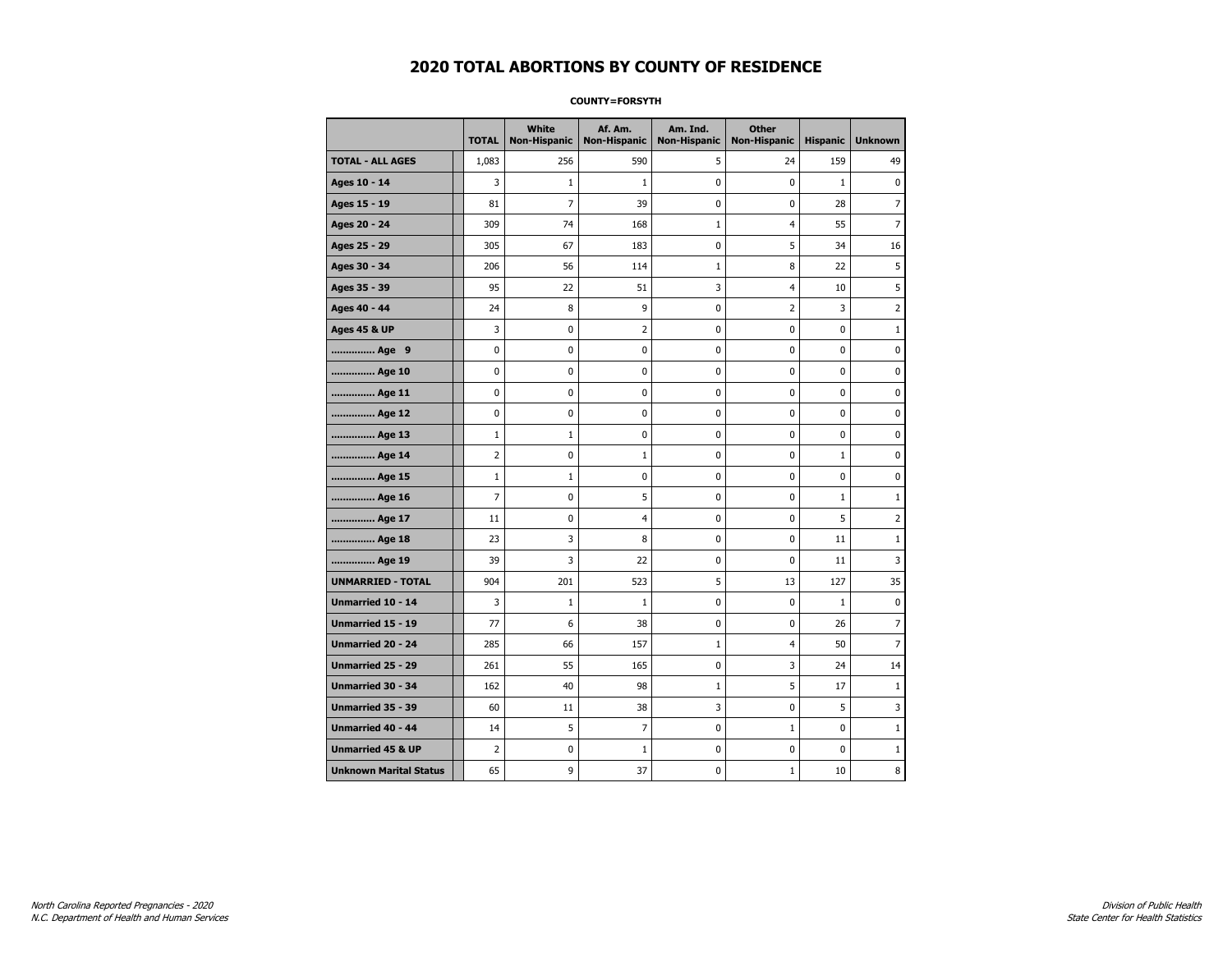### **COUNTY=FORSYTH**

|                               | <b>TOTAL</b>   | <b>White</b><br>Non-Hispanic | Af. Am.<br><b>Non-Hispanic</b> | Am. Ind.<br><b>Non-Hispanic</b> | <b>Other</b><br><b>Non-Hispanic</b> | <b>Hispanic</b> | <b>Unknown</b> |
|-------------------------------|----------------|------------------------------|--------------------------------|---------------------------------|-------------------------------------|-----------------|----------------|
| <b>TOTAL - ALL AGES</b>       | 1,083          | 256                          | 590                            | 5                               | 24                                  | 159             | 49             |
| Ages 10 - 14                  | 3              | $\mathbf{1}$                 | $\mathbf{1}$                   | 0                               | $\mathbf 0$                         | $\mathbf{1}$    | 0              |
| Ages 15 - 19                  | 81             | $\overline{7}$               | 39                             | $\mathbf 0$                     | $\mathbf 0$                         | 28              | 7              |
| Ages 20 - 24                  | 309            | 74                           | 168                            | $\mathbf{1}$                    | $\overline{4}$                      | 55              | $\overline{7}$ |
| Ages 25 - 29                  | 305            | 67                           | 183                            | 0                               | 5                                   | 34              | 16             |
| Ages 30 - 34                  | 206            | 56                           | 114                            | $1\,$                           | 8                                   | 22              | 5              |
| Ages 35 - 39                  | 95             | 22                           | 51                             | 3                               | 4                                   | 10              | 5              |
| Ages 40 - 44                  | 24             | 8                            | 9                              | 0                               | 2                                   | 3               | 2              |
| <b>Ages 45 &amp; UP</b>       | 3              | 0                            | $\overline{2}$                 | 0                               | 0                                   | 0               | $\mathbf{1}$   |
| Age 9                         | 0              | 0                            | 0                              | 0                               | 0                                   | 0               | 0              |
| Age 10                        | 0              | 0                            | 0                              | $\mathbf 0$                     | $\mathbf 0$                         | $\mathbf 0$     | 0              |
| Age 11                        | 0              | 0                            | 0                              | $\mathbf 0$                     | $\mathbf 0$                         | $\mathbf 0$     | 0              |
| Age 12                        | $\pmb{0}$      | 0                            | 0                              | 0                               | 0                                   | 0               | 0              |
| Age 13                        | $\mathbf 1$    | $\mathbf 1$                  | 0                              | 0                               | 0                                   | 0               | 0              |
| Age 14                        | $\overline{2}$ | 0                            | 1                              | 0                               | 0                                   | $\mathbf{1}$    | 0              |
| Age 15                        | $\mathbf{1}$   | $\mathbf{1}$                 | 0                              | 0                               | 0                                   | 0               | 0              |
| Age 16                        | $\overline{7}$ | 0                            | 5                              | 0                               | $\mathbf 0$                         | $\mathbf{1}$    | $1\,$          |
| Age 17                        | 11             | 0                            | $\overline{4}$                 | 0                               | $\mathbf 0$                         | 5               | 2              |
| Age 18                        | 23             | 3                            | 8                              | $\mathbf 0$                     | $\mathbf 0$                         | 11              | $\mathbf{1}$   |
| Age 19                        | 39             | 3                            | 22                             | $\pmb{0}$                       | $\pmb{0}$                           | 11              | 3              |
| <b>UNMARRIED - TOTAL</b>      | 904            | 201                          | 523                            | 5                               | 13                                  | 127             | 35             |
| Unmarried 10 - 14             | 3              | $1\,$                        | $\mathbf 1$                    | 0                               | $\mathbf 0$                         | $\mathbf{1}$    | 0              |
| Unmarried 15 - 19             | 77             | 6                            | 38                             | 0                               | 0                                   | 26              | 7              |
| Unmarried 20 - 24             | 285            | 66                           | 157                            | $\mathbf{1}$                    | 4                                   | 50              | $\overline{7}$ |
| <b>Unmarried 25 - 29</b>      | 261            | 55                           | 165                            | 0                               | 3                                   | 24              | 14             |
| <b>Unmarried 30 - 34</b>      | 162            | 40                           | 98                             | $\mathbf{1}$                    | 5                                   | 17              | $\mathbf{1}$   |
| Unmarried 35 - 39             | 60             | 11                           | 38                             | 3                               | $\pmb{0}$                           | 5               | 3              |
| Unmarried 40 - 44             | 14             | 5                            | 7                              | 0                               | $1\,$                               | 0               | $1\,$          |
| <b>Unmarried 45 &amp; UP</b>  | $\overline{2}$ | 0                            | 1                              | 0                               | 0                                   | 0               | 1              |
| <b>Unknown Marital Status</b> | 65             | 9                            | 37                             | 0                               | $\mathbf{1}$                        | 10              | 8              |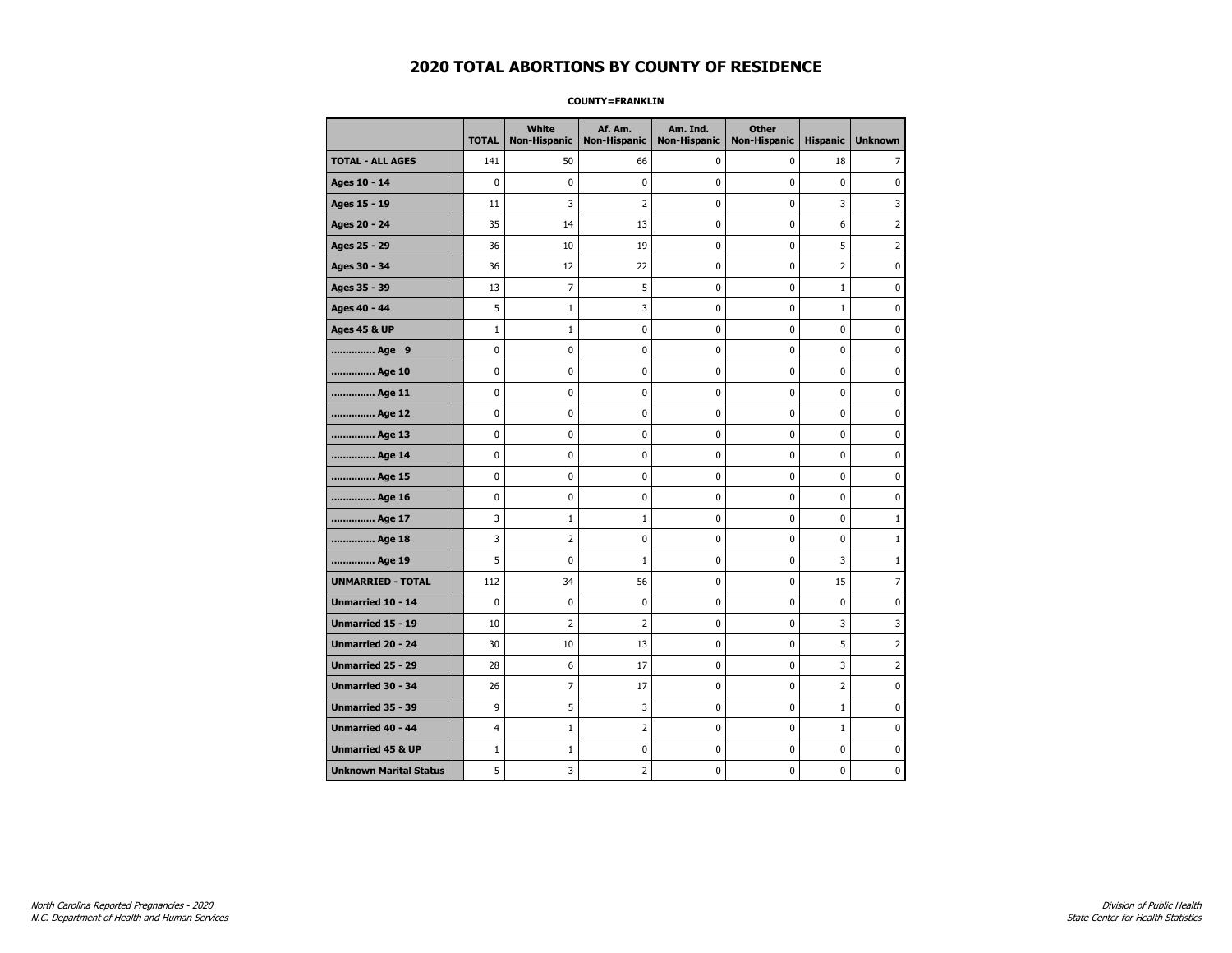#### **COUNTY=FRANKLIN**

|                               | <b>TOTAL</b> | White<br>Non-Hispanic | Af. Am.<br><b>Non-Hispanic</b> | Am. Ind.<br><b>Non-Hispanic</b> | <b>Other</b><br><b>Non-Hispanic</b> | <b>Hispanic</b> | <b>Unknown</b> |
|-------------------------------|--------------|-----------------------|--------------------------------|---------------------------------|-------------------------------------|-----------------|----------------|
| <b>TOTAL - ALL AGES</b>       | 141          | 50                    | 66                             | 0                               | 0                                   | 18              | 7              |
| Ages 10 - 14                  | 0            | $\pmb{0}$             | $\pmb{0}$                      | 0                               | 0                                   | $\pmb{0}$       | 0              |
| Ages 15 - 19                  | 11           | 3                     | $\overline{2}$                 | $\mathbf 0$                     | 0                                   | 3               | 3              |
| Ages 20 - 24                  | 35           | 14                    | 13                             | $\mathbf 0$                     | 0                                   | 6               | $\overline{2}$ |
| Ages 25 - 29                  | 36           | 10                    | 19                             | $\pmb{0}$                       | 0                                   | 5               | $\overline{2}$ |
| Ages 30 - 34                  | 36           | 12                    | 22                             | $\pmb{0}$                       | 0                                   | $\overline{2}$  | 0              |
| Ages 35 - 39                  | 13           | 7                     | 5                              | 0                               | 0                                   | 1               | 0              |
| Ages 40 - 44                  | 5            | $\mathbf{1}$          | 3                              | 0                               | 0                                   | $\mathbf{1}$    | 0              |
| <b>Ages 45 &amp; UP</b>       | $\mathbf 1$  | $\mathbf{1}$          | 0                              | 0                               | 0                                   | 0               | 0              |
| Age 9                         | 0            | 0                     | 0                              | 0                               | 0                                   | 0               | 0              |
| Age 10                        | 0            | 0                     | $\mathbf 0$                    | $\mathbf 0$                     | 0                                   | 0               | $\mathbf 0$    |
| Age 11                        | 0            | 0                     | $\mathbf 0$                    | $\mathbf 0$                     | 0                                   | $\mathbf 0$     | 0              |
| Age 12                        | 0            | 0                     | $\pmb{0}$                      | 0                               | 0                                   | 0               | 0              |
| Age 13                        | 0            | 0                     | 0                              | 0                               | 0                                   | 0               | 0              |
| Age 14                        | 0            | 0                     | $\mathbf 0$                    | 0                               | 0                                   | $\mathbf 0$     | 0              |
| Age 15                        | 0            | 0                     | 0                              | 0                               | 0                                   | 0               | 0              |
| Age 16                        | 0            | 0                     | $\mathbf 0$                    | $\mathbf 0$                     | 0                                   | $\mathbf 0$     | 0              |
| Age 17                        | 3            | $\mathbf{1}$          | 1                              | 0                               | 0                                   | 0               | $\mathbf{1}$   |
| Age 18                        | 3            | $\overline{2}$        | $\mathbf 0$                    | $\mathbf 0$                     | 0                                   | $\mathbf 0$     | $\mathbf{1}$   |
| Age 19                        | 5            | $\pmb{0}$             | $\mathbf 1$                    | $\pmb{0}$                       | $\pmb{0}$                           | 3               | $\mathbf{1}$   |
| <b>UNMARRIED - TOTAL</b>      | 112          | 34                    | 56                             | $\pmb{0}$                       | 0                                   | 15              | 7              |
| Unmarried 10 - 14             | 0            | 0                     | $\mathbf 0$                    | $\mathbf 0$                     | 0                                   | $\mathbf 0$     | 0              |
| Unmarried 15 - 19             | 10           | $\overline{2}$        | $\overline{2}$                 | 0                               | 0                                   | 3               | 3              |
| Unmarried 20 - 24             | 30           | 10                    | 13                             | 0                               | 0                                   | 5               | $\overline{2}$ |
| Unmarried 25 - 29             | 28           | 6                     | 17                             | $\mathbf 0$                     | 0                                   | 3               | $\overline{2}$ |
| <b>Unmarried 30 - 34</b>      | 26           | $\overline{7}$        | 17                             | $\mathbf 0$                     | 0                                   | $\overline{2}$  | 0              |
| Unmarried 35 - 39             | 9            | 5                     | 3                              | $\pmb{0}$                       | 0                                   | $\mathbf 1$     | $\pmb{0}$      |
| Unmarried 40 - 44             | 4            | $1\,$                 | $\overline{2}$                 | 0                               | 0                                   | $\mathbf 1$     | 0              |
| <b>Unmarried 45 &amp; UP</b>  | $\mathbf{1}$ | $\mathbf{1}$          | 0                              | 0                               | 0                                   | 0               | 0              |
| <b>Unknown Marital Status</b> | 5            | 3                     | $\overline{2}$                 | 0                               | 0                                   | 0               | 0              |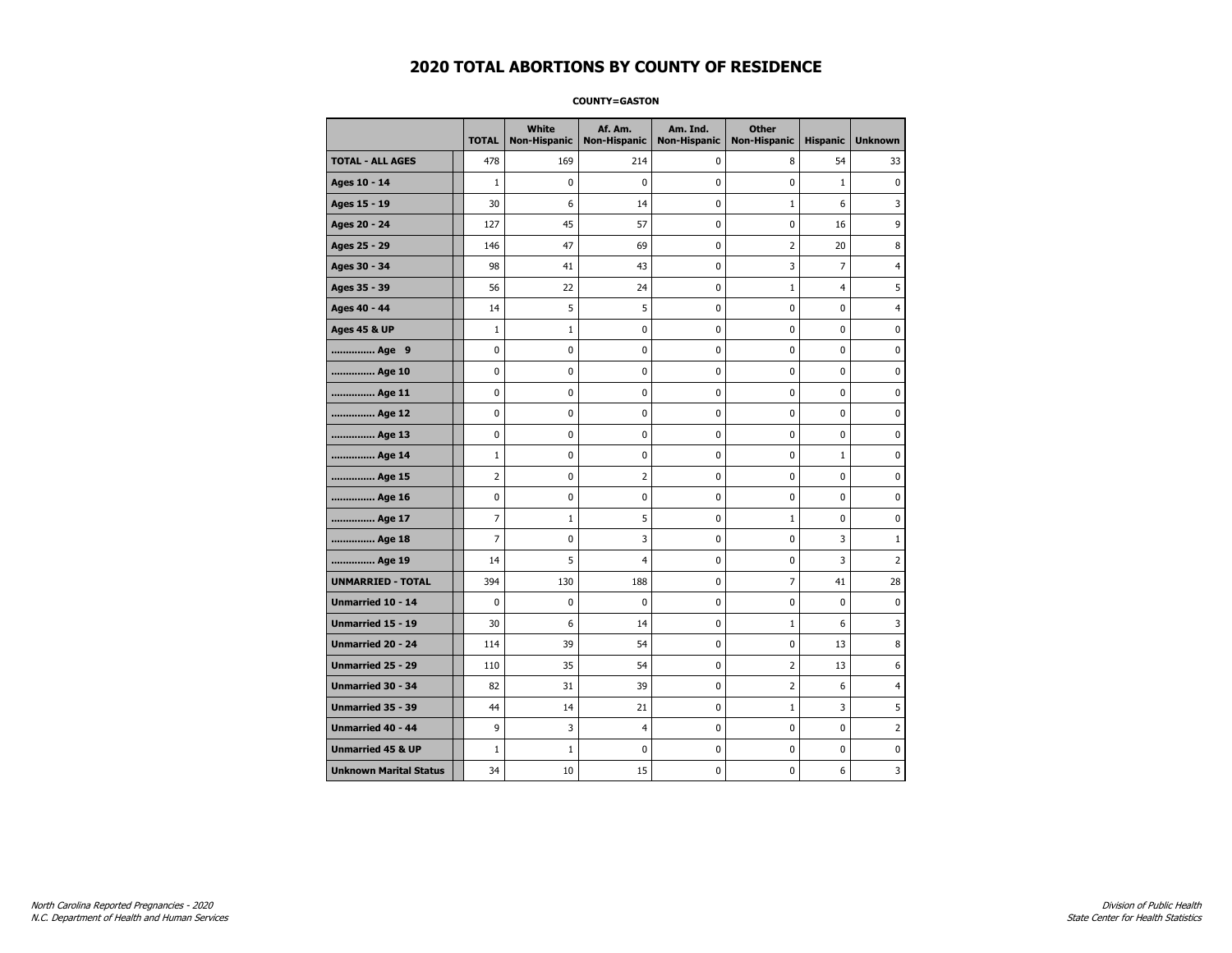#### **COUNTY=GASTON**

|                               | <b>TOTAL</b>   | <b>White</b><br>Non-Hispanic | Af. Am.<br><b>Non-Hispanic</b> | Am. Ind.<br><b>Non-Hispanic</b> | <b>Other</b><br><b>Non-Hispanic</b> | <b>Hispanic</b> | <b>Unknown</b> |
|-------------------------------|----------------|------------------------------|--------------------------------|---------------------------------|-------------------------------------|-----------------|----------------|
| <b>TOTAL - ALL AGES</b>       | 478            | 169                          | 214                            | 0                               | 8                                   | 54              | 33             |
| Ages 10 - 14                  | $\mathbf{1}$   | 0                            | 0                              | 0                               | $\mathbf 0$                         | $\mathbf{1}$    | $\mathbf{0}$   |
| Ages 15 - 19                  | 30             | 6                            | 14                             | $\mathbf 0$                     | $1\,$                               | 6               | 3              |
| Ages 20 - 24                  | 127            | 45                           | 57                             | $\pmb{0}$                       | $\pmb{0}$                           | 16              | 9              |
| Ages 25 - 29                  | 146            | 47                           | 69                             | 0                               | $\overline{2}$                      | 20              | 8              |
| Ages 30 - 34                  | 98             | 41                           | 43                             | 0                               | 3                                   | 7               | 4              |
| Ages 35 - 39                  | 56             | 22                           | 24                             | 0                               | $\mathbf 1$                         | $\overline{4}$  | 5              |
| Ages 40 - 44                  | 14             | 5                            | 5                              | 0                               | $\mathbf 0$                         | $\mathbf 0$     | 4              |
| <b>Ages 45 &amp; UP</b>       | $\mathbf{1}$   | $\mathbf 1$                  | 0                              | 0                               | 0                                   | $\mathbf 0$     | 0              |
| Age 9                         | $\pmb{0}$      | 0                            | 0                              | 0                               | $\pmb{0}$                           | 0               | 0              |
| Age 10                        | $\mathbf 0$    | 0                            | 0                              | 0                               | $\mathbf 0$                         | $\mathbf 0$     | 0              |
| Age 11                        | 0              | 0                            | 0                              | 0                               | 0                                   | 0               | 0              |
| Age 12                        | 0              | 0                            | 0                              | 0                               | 0                                   | 0               | 0              |
| Age 13                        | 0              | 0                            | 0                              | $\mathbf 0$                     | $\mathbf 0$                         | $\mathbf 0$     | 0              |
| Age 14                        | $\mathbf{1}$   | 0                            | $\mathbf 0$                    | $\mathbf 0$                     | $\mathbf 0$                         | $\mathbf{1}$    | $\mathbf 0$    |
| Age 15                        | $\overline{2}$ | 0                            | $\mathbf 2$                    | 0                               | $\pmb{0}$                           | 0               | 0              |
| Age 16                        | 0              | 0                            | 0                              | 0                               | 0                                   | 0               | 0              |
| Age 17                        | $\overline{7}$ | 1                            | 5                              | 0                               | $\mathbf 1$                         | $\mathbf 0$     | 0              |
| Age 18                        | 7              | 0                            | 3                              | 0                               | 0                                   | 3               | $\mathbf{1}$   |
| Age 19                        | 14             | 5                            | 4                              | 0                               | 0                                   | 3               | $\overline{2}$ |
| <b>UNMARRIED - TOTAL</b>      | 394            | 130                          | 188                            | 0                               | $\overline{7}$                      | 41              | 28             |
| Unmarried 10 - 14             | $\mathbf 0$    | 0                            | 0                              | 0                               | $\pmb{0}$                           | $\mathbf 0$     | 0              |
| Unmarried 15 - 19             | 30             | 6                            | 14                             | 0                               | $\mathbf{1}$                        | 6               | 3              |
| Unmarried 20 - 24             | 114            | 39                           | 54                             | 0                               | 0                                   | 13              | 8              |
| <b>Unmarried 25 - 29</b>      | 110            | 35                           | 54                             | $\mathbf 0$                     | $\overline{2}$                      | 13              | 6              |
| Unmarried 30 - 34             | 82             | 31                           | 39                             | 0                               | $\overline{2}$                      | 6               | 4              |
| Unmarried 35 - 39             | 44             | 14                           | 21                             | $\pmb{0}$                       | $1\,$                               | 3               | 5              |
| Unmarried 40 - 44             | 9              | 3                            | $\overline{4}$                 | 0                               | $\pmb{0}$                           | 0               | 2              |
| <b>Unmarried 45 &amp; UP</b>  | $\mathbf{1}$   | $\mathbf{1}$                 | 0                              | 0                               | 0                                   | $\mathbf 0$     | 0              |
| <b>Unknown Marital Status</b> | 34             | 10                           | 15                             | 0                               | 0                                   | 6               | 3              |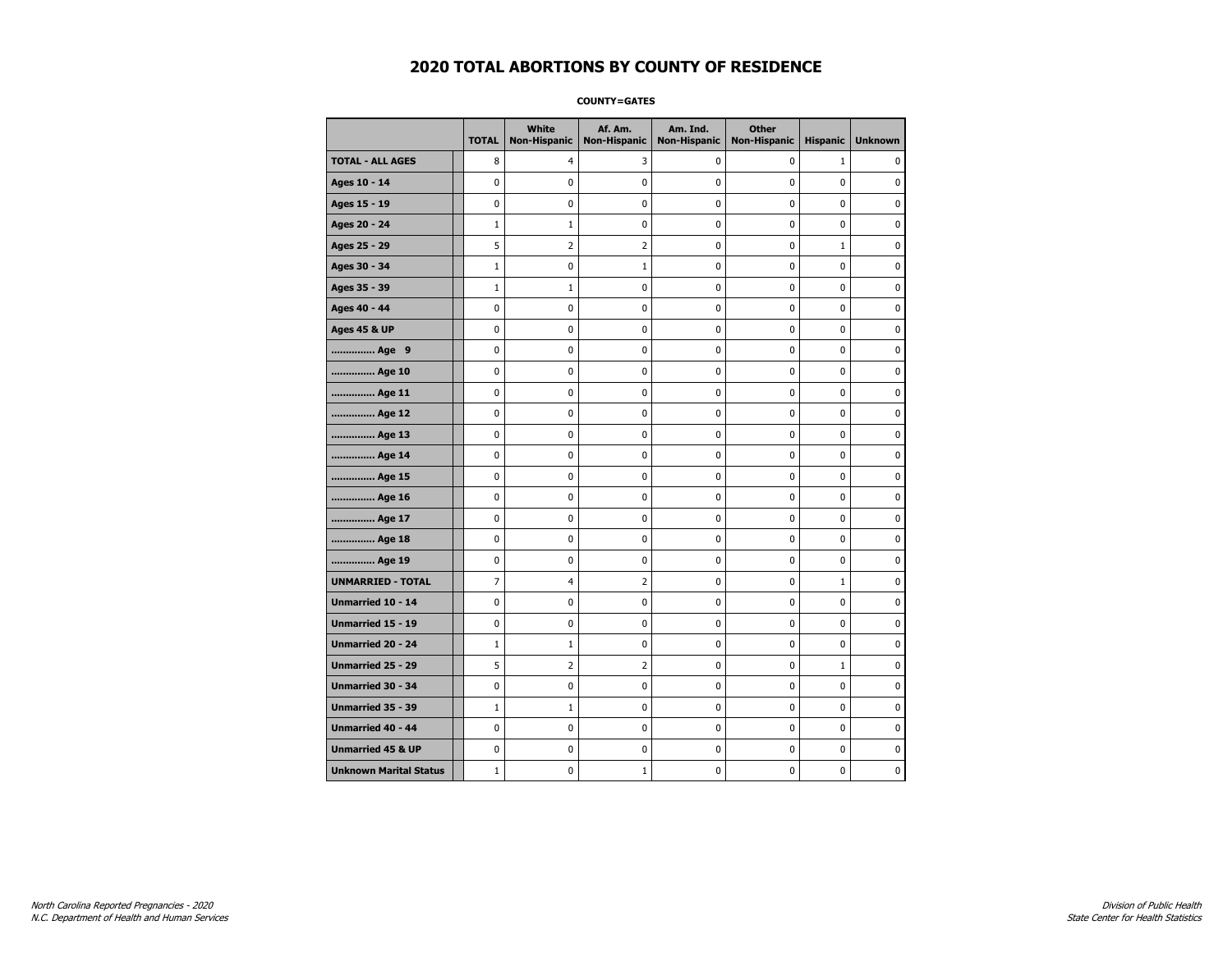**COUNTY=GATES** 

|                               | <b>TOTAL</b> | White<br><b>Non-Hispanic</b> | Af. Am.<br><b>Non-Hispanic</b> | Am. Ind.<br><b>Non-Hispanic</b> | <b>Other</b><br><b>Non-Hispanic</b> | <b>Hispanic</b> | <b>Unknown</b> |
|-------------------------------|--------------|------------------------------|--------------------------------|---------------------------------|-------------------------------------|-----------------|----------------|
| <b>TOTAL - ALL AGES</b>       | 8            | 4                            | 3                              | 0                               | 0                                   | $\mathbf{1}$    | $\mathbf{0}$   |
| Ages 10 - 14                  | 0            | 0                            | 0                              | 0                               | 0                                   | 0               | 0              |
| Ages 15 - 19                  | 0            | 0                            | 0                              | 0                               | $\mathbf 0$                         | 0               | $\mathbf 0$    |
| Ages 20 - 24                  | $\mathbf{1}$ | $1\,$                        | $\pmb{0}$                      | 0                               | $\pmb{0}$                           | 0               | $\pmb{0}$      |
| Ages 25 - 29                  | 5            | 2                            | $\overline{2}$                 | 0                               | 0                                   | $\mathbf{1}$    | 0              |
| Ages 30 - 34                  | $\mathbf{1}$ | 0                            | $1\,$                          | 0                               | $\pmb{0}$                           | 0               | 0              |
| Ages 35 - 39                  | $\mathbf{1}$ | 1                            | 0                              | 0                               | 0                                   | 0               | 0              |
| Ages 40 - 44                  | 0            | 0                            | 0                              | 0                               | $\mathbf 0$                         | 0               | $\mathbf 0$    |
| Ages 45 & UP                  | 0            | 0                            | 0                              | 0                               | $\pmb{0}$                           | 0               | 0              |
| Age 9                         | 0            | 0                            | 0                              | 0                               | 0                                   | 0               | 0              |
| Age 10                        | 0            | 0                            | 0                              | 0                               | $\mathbf 0$                         | 0               | $\mathbf 0$    |
| Age 11                        | 0            | 0                            | 0                              | 0                               | $\mathbf 0$                         | 0               | $\mathbf 0$    |
| Age 12                        | 0            | 0                            | 0                              | 0                               | $\mathbf 0$                         | 0               | $\mathbf 0$    |
| Age 13                        | 0            | 0                            | $\pmb{0}$                      | 0                               | $\pmb{0}$                           | 0               | 0              |
| Age 14                        | 0            | 0                            | 0                              | 0                               | 0                                   | 0               | 0              |
| Age 15                        | 0            | 0                            | 0                              | 0                               | 0                                   | 0               | $\mathbf 0$    |
| Age 16                        | 0            | 0                            | 0                              | 0                               | $\mathbf 0$                         | 0               | $\mathbf 0$    |
| Age 17                        | 0            | 0                            | 0                              | 0                               | 0                                   | 0               | $\mathbf 0$    |
| Age 18                        | 0            | 0                            | 0                              | 0                               | $\mathbf 0$                         | 0               | $\mathbf 0$    |
| Age 19                        | 0            | 0                            | 0                              | 0                               | 0                                   | 0               | 0              |
| <b>UNMARRIED - TOTAL</b>      | 7            | 4                            | $\overline{2}$                 | 0                               | 0                                   | $\mathbf{1}$    | 0              |
| Unmarried 10 - 14             | 0            | 0                            | 0                              | 0                               | $\mathbf 0$                         | 0               | $\mathbf 0$    |
| Unmarried 15 - 19             | 0            | 0                            | $\pmb{0}$                      | 0                               | $\pmb{0}$                           | 0               | $\pmb{0}$      |
| <b>Unmarried 20 - 24</b>      | $\mathbf{1}$ | $1\,$                        | 0                              | 0                               | 0                                   | 0               | 0              |
| Unmarried 25 - 29             | 5            | 2                            | $\overline{2}$                 | 0                               | 0                                   | $\mathbf 1$     | 0              |
| Unmarried 30 - 34             | 0            | 0                            | 0                              | 0                               | 0                                   | 0               | $\mathbf 0$    |
| <b>Unmarried 35 - 39</b>      | $\mathbf{1}$ | $\mathbf{1}$                 | 0                              | 0                               | $\mathbf 0$                         | 0               | $\mathbf 0$    |
| Unmarried 40 - 44             | 0            | 0                            | 0                              | 0                               | $\pmb{0}$                           | 0               | 0              |
| <b>Unmarried 45 &amp; UP</b>  | 0            | 0                            | 0                              | 0                               | 0                                   | 0               | $\mathbf 0$    |
| <b>Unknown Marital Status</b> | $\mathbf{1}$ | 0                            | $1\,$                          | 0                               | 0                                   | 0               | $\mathbf 0$    |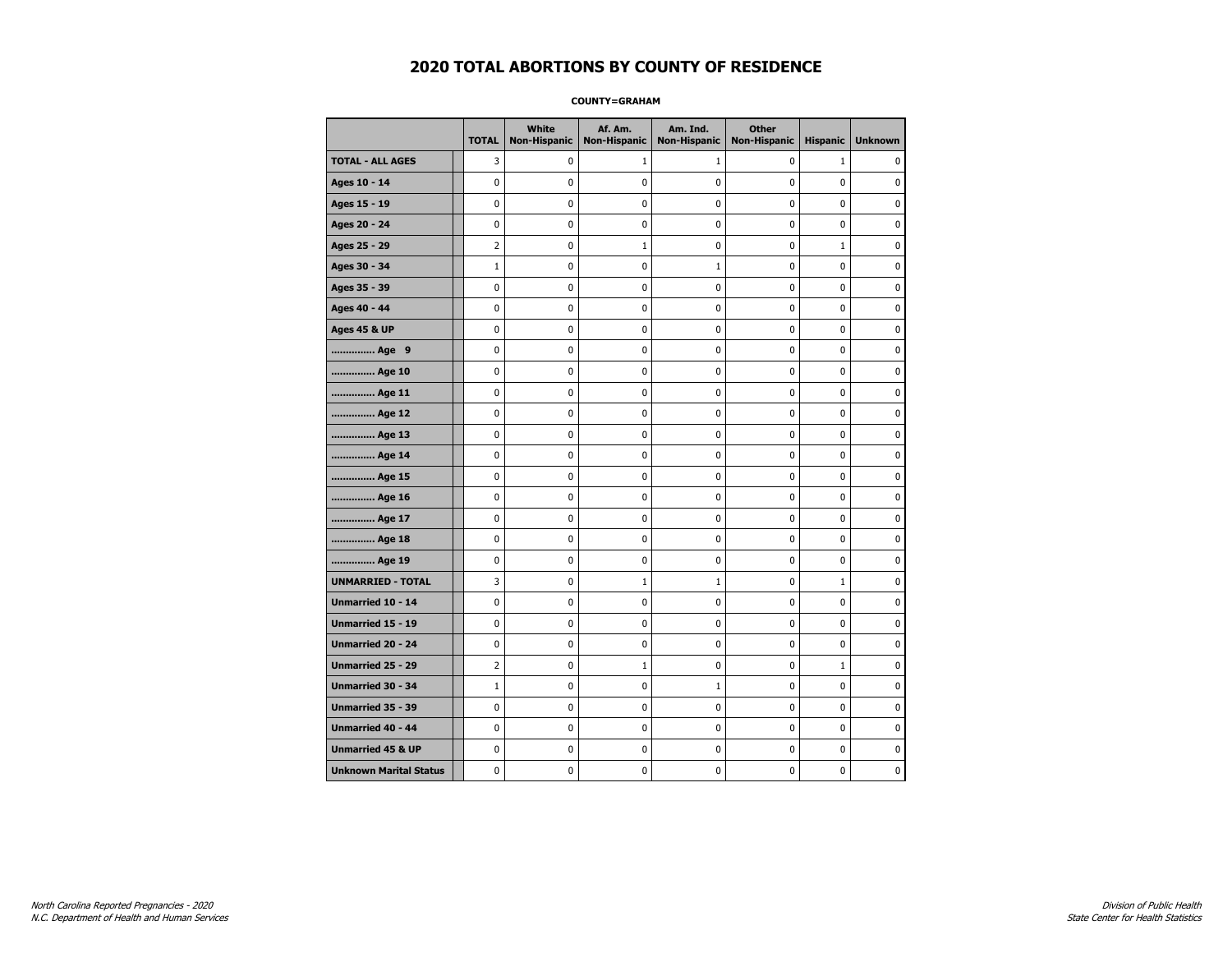#### **COUNTY=GRAHAM**

|                               | <b>TOTAL</b>   | <b>White</b><br><b>Non-Hispanic</b> | Af. Am.<br><b>Non-Hispanic</b> | Am. Ind.<br><b>Non-Hispanic</b> | <b>Other</b><br><b>Non-Hispanic</b> | <b>Hispanic</b> | <b>Unknown</b> |
|-------------------------------|----------------|-------------------------------------|--------------------------------|---------------------------------|-------------------------------------|-----------------|----------------|
| <b>TOTAL - ALL AGES</b>       | 3              | 0                                   | 1                              | $\mathbf{1}$                    | 0                                   | $\mathbf{1}$    | 0              |
| Ages 10 - 14                  | $\mathbf 0$    | $\mathbf 0$                         | $\mathbf 0$                    | 0                               | $\mathbf 0$                         | $\mathbf 0$     | 0              |
| Ages 15 - 19                  | $\mathbf 0$    | $\mathbf{0}$                        | $\mathbf 0$                    | $\mathbf 0$                     | $\mathbf 0$                         | $\mathbf{0}$    | 0              |
| Ages 20 - 24                  | $\pmb{0}$      | 0                                   | $\pmb{0}$                      | $\pmb{0}$                       | $\pmb{0}$                           | 0               | 0              |
| Ages 25 - 29                  | $\overline{2}$ | 0                                   | 1                              | 0                               | 0                                   | $\mathbf 1$     | $\pmb{0}$      |
| Ages 30 - 34                  | $1\,$          | 0                                   | 0                              | $\mathbf{1}$                    | $\mathbf 0$                         | $\mathbf 0$     | 0              |
| Ages 35 - 39                  | $\mathbf 0$    | 0                                   | $\mathbf 0$                    | 0                               | $\mathbf 0$                         | $\mathbf 0$     | 0              |
| Ages 40 - 44                  | $\mathbf 0$    | 0                                   | $\mathbf 0$                    | 0                               | $\mathbf 0$                         | $\mathbf 0$     | 0              |
| <b>Ages 45 &amp; UP</b>       | $\mathbf 0$    | 0                                   | $\mathbf 0$                    | $\mathbf 0$                     | $\mathbf 0$                         | $\mathbf 0$     | 0              |
| Age 9                         | $\mathbf 0$    | $\pmb{0}$                           | $\pmb{0}$                      | $\pmb{0}$                       | $\mathbf 0$                         | $\mathbf 0$     | 0              |
| Age 10                        | $\mathbf 0$    | 0                                   | $\pmb{0}$                      | 0                               | 0                                   | 0               | 0              |
| Age 11                        | $\mathbf 0$    | 0                                   | 0                              | 0                               | 0                                   | 0               | 0              |
| Age 12                        | $\mathbf 0$    | 0                                   | 0                              | 0                               | 0                                   | 0               | 0              |
| Age 13                        | $\mathbf 0$    | 0                                   | $\mathbf 0$                    | $\mathbf 0$                     | $\mathbf 0$                         | $\mathbf 0$     | 0              |
| Age 14                        | $\mathbf 0$    | 0                                   | $\mathbf 0$                    | $\pmb{0}$                       | $\mathbf 0$                         | $\mathbf 0$     | 0              |
| Age 15                        | $\pmb{0}$      | 0                                   | $\pmb{0}$                      | $\pmb{0}$                       | $\pmb{0}$                           | 0               | 0              |
| Age 16                        | $\mathbf 0$    | 0                                   | 0                              | 0                               | 0                                   | 0               | 0              |
| Age 17                        | $\mathbf 0$    | 0                                   | $\mathbf 0$                    | 0                               | $\mathbf 0$                         | $\mathbf 0$     | 0              |
| Age 18                        | $\mathbf 0$    | 0                                   | $\mathbf 0$                    | 0                               | 0                                   | 0               | 0              |
| Age 19                        | $\mathbf 0$    | 0                                   | $\mathbf 0$                    | $\mathbf 0$                     | $\mathbf 0$                         | $\mathbf 0$     | 0              |
| <b>UNMARRIED - TOTAL</b>      | 3              | 0                                   | $\mathbf{1}$                   | $\mathbf{1}$                    | $\mathbf 0$                         | $\mathbf 1$     | 0              |
| Unmarried 10 - 14             | $\pmb{0}$      | 0                                   | $\pmb{0}$                      | $\pmb{0}$                       | $\pmb{0}$                           | $\pmb{0}$       | 0              |
| Unmarried 15 - 19             | 0              | 0                                   | 0                              | 0                               | 0                                   | 0               | 0              |
| Unmarried 20 - 24             | 0              | 0                                   | 0                              | 0                               | 0                                   | 0               | 0              |
| Unmarried 25 - 29             | $\overline{2}$ | 0                                   | $\mathbf{1}$                   | $\mathbf 0$                     | $\mathbf 0$                         | $\mathbf{1}$    | 0              |
| <b>Unmarried 30 - 34</b>      | $\mathbf 1$    | $\mathbf 0$                         | $\mathbf 0$                    | $1\,$                           | $\mathbf 0$                         | $\mathbf 0$     | 0              |
| Unmarried 35 - 39             | 0              | 0                                   | $\pmb{0}$                      | 0                               | 0                                   | 0               | $\pmb{0}$      |
| <b>Unmarried 40 - 44</b>      | $\mathbf 0$    | $\mathbf 0$                         | $\pmb{0}$                      | 0                               | $\mathbf 0$                         | $\mathbf 0$     | 0              |
| <b>Unmarried 45 &amp; UP</b>  | 0              | 0                                   | 0                              | 0                               | 0                                   | 0               | 0              |
| <b>Unknown Marital Status</b> | $\mathbf 0$    | 0                                   | $\mathbf 0$                    | 0                               | $\mathbf 0$                         | $\mathbf 0$     | 0              |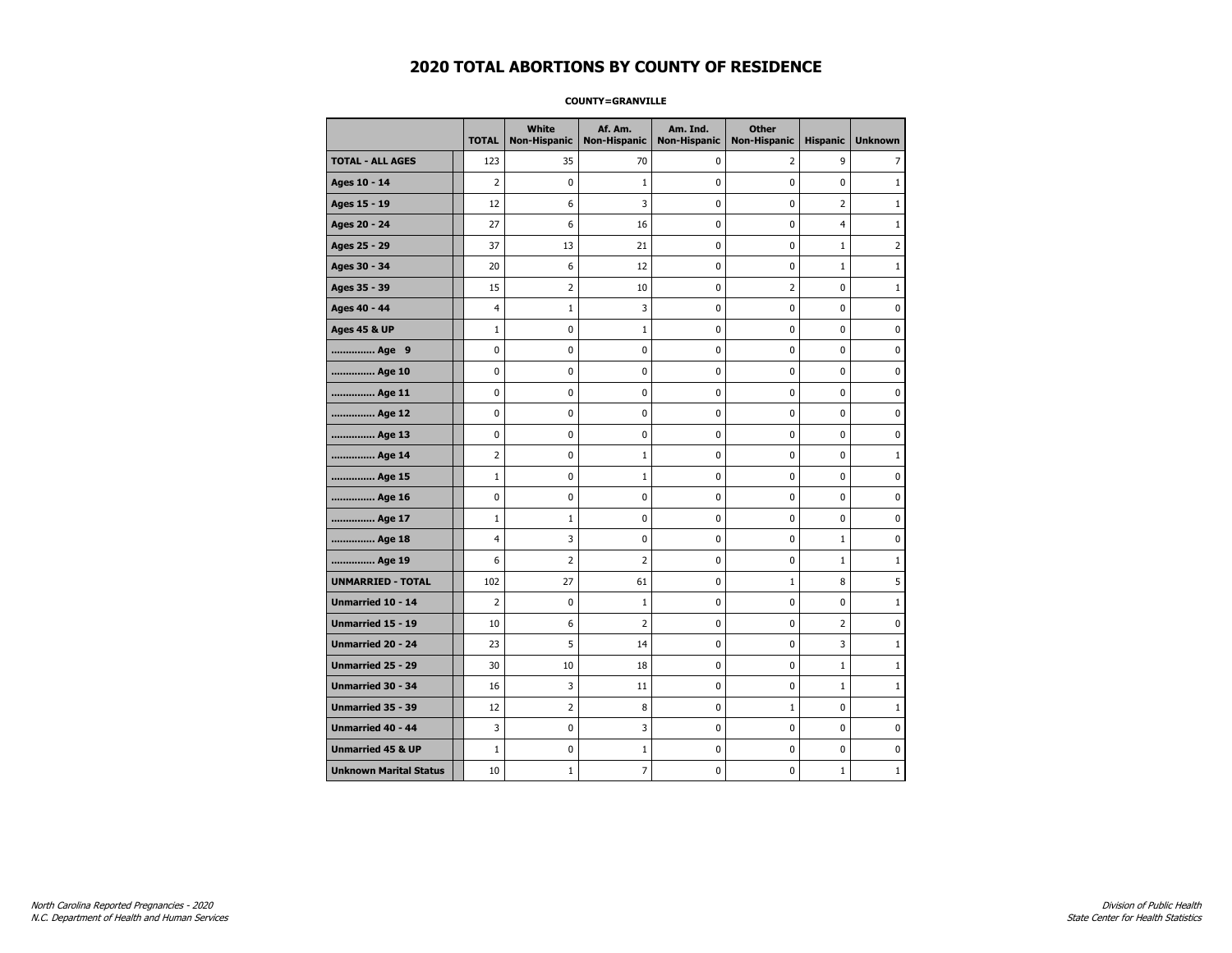#### **COUNTY=GRANVILLE**

|                               | <b>TOTAL</b>   | <b>White</b><br><b>Non-Hispanic</b> | Af. Am.<br><b>Non-Hispanic</b> | Am. Ind.<br><b>Non-Hispanic</b> | <b>Other</b><br><b>Non-Hispanic</b> | <b>Hispanic</b> | <b>Unknown</b> |
|-------------------------------|----------------|-------------------------------------|--------------------------------|---------------------------------|-------------------------------------|-----------------|----------------|
| <b>TOTAL - ALL AGES</b>       | 123            | 35                                  | 70                             | 0                               | $\overline{2}$                      | 9               | 7              |
| Ages 10 - 14                  | 2              | 0                                   | 1                              | 0                               | 0                                   | 0               | $\mathbf{1}$   |
| Ages 15 - 19                  | 12             | 6                                   | 3                              | 0                               | 0                                   | $\overline{2}$  | $\mathbf{1}$   |
| Ages 20 - 24                  | 27             | 6                                   | 16                             | 0                               | 0                                   | 4               | $\mathbf{1}$   |
| Ages 25 - 29                  | 37             | 13                                  | 21                             | 0                               | $\pmb{0}$                           | $\mathbf 1$     | $\overline{2}$ |
| Ages 30 - 34                  | 20             | 6                                   | 12                             | 0                               | $\pmb{0}$                           | $\mathbf 1$     | $\mathbf{1}$   |
| Ages 35 - 39                  | 15             | 2                                   | 10                             | 0                               | 2                                   | 0               | $\mathbf{1}$   |
| Ages 40 - 44                  | 4              | 1                                   | 3                              | 0                               | 0                                   | 0               | 0              |
| <b>Ages 45 &amp; UP</b>       | $\mathbf{1}$   | 0                                   | $\mathbf{1}$                   | 0                               | 0                                   | 0               | $\mathbf 0$    |
| Age 9                         | 0              | 0                                   | 0                              | 0                               | 0                                   | 0               | $\mathbf 0$    |
| Age 10                        | 0              | 0                                   | 0                              | 0                               | $\mathbf 0$                         | 0               | $\mathbf 0$    |
| Age 11                        | 0              | $\pmb{0}$                           | 0                              | 0                               | $\pmb{0}$                           | 0               | 0              |
| Age 12                        | 0              | 0                                   | 0                              | 0                               | 0                                   | 0               | 0              |
| Age 13                        | 0              | 0                                   | 0                              | 0                               | 0                                   | 0               | 0              |
| Age 14                        | 2              | 0                                   | $\mathbf{1}$                   | 0                               | 0                                   | 0               | $\mathbf{1}$   |
| Age 15                        | $\mathbf{1}$   | 0                                   | 1                              | 0                               | 0                                   | 0               | 0              |
| Age 16                        | 0              | 0                                   | 0                              | 0                               | $\pmb{0}$                           | 0               | 0              |
| Age 17                        | $\mathbf{1}$   | 1                                   | 0                              | 0                               | 0                                   | 0               | $\mathbf 0$    |
| Age 18                        | 4              | 3                                   | 0                              | 0                               | 0                                   | $\mathbf{1}$    | $\mathbf 0$    |
| Age 19                        | 6              | $\overline{2}$                      | 2                              | 0                               | $\pmb{0}$                           | $\mathbf{1}$    | $\mathbf{1}$   |
| <b>UNMARRIED - TOTAL</b>      | 102            | 27                                  | 61                             | 0                               | $1\,$                               | 8               | 5              |
| Unmarried 10 - 14             | $\overline{2}$ | $\mathbf 0$                         | 1                              | 0                               | 0                                   | 0               | $\mathbf{1}$   |
| Unmarried 15 - 19             | 10             | 6                                   | 2                              | 0                               | 0                                   | $\overline{2}$  | 0              |
| Unmarried 20 - 24             | 23             | 5                                   | 14                             | 0                               | 0                                   | 3               | $\mathbf{1}$   |
| <b>Unmarried 25 - 29</b>      | 30             | 10                                  | 18                             | 0                               | $\mathbf 0$                         | $\mathbf{1}$    | $\mathbf{1}$   |
| Unmarried 30 - 34             | 16             | 3                                   | 11                             | 0                               | 0                                   | $\mathbf 1$     | $\mathbf{1}$   |
| Unmarried 35 - 39             | 12             | $\overline{2}$                      | 8                              | 0                               | $1\,$                               | 0               | $1\,$          |
| Unmarried 40 - 44             | 3              | 0                                   | 3                              | 0                               | 0                                   | 0               | 0              |
| <b>Unmarried 45 &amp; UP</b>  | $\mathbf{1}$   | 0                                   | 1                              | 0                               | 0                                   | 0               | 0              |
| <b>Unknown Marital Status</b> | 10             | 1                                   | 7                              | 0                               | 0                                   | $\mathbf{1}$    | $\mathbf{1}$   |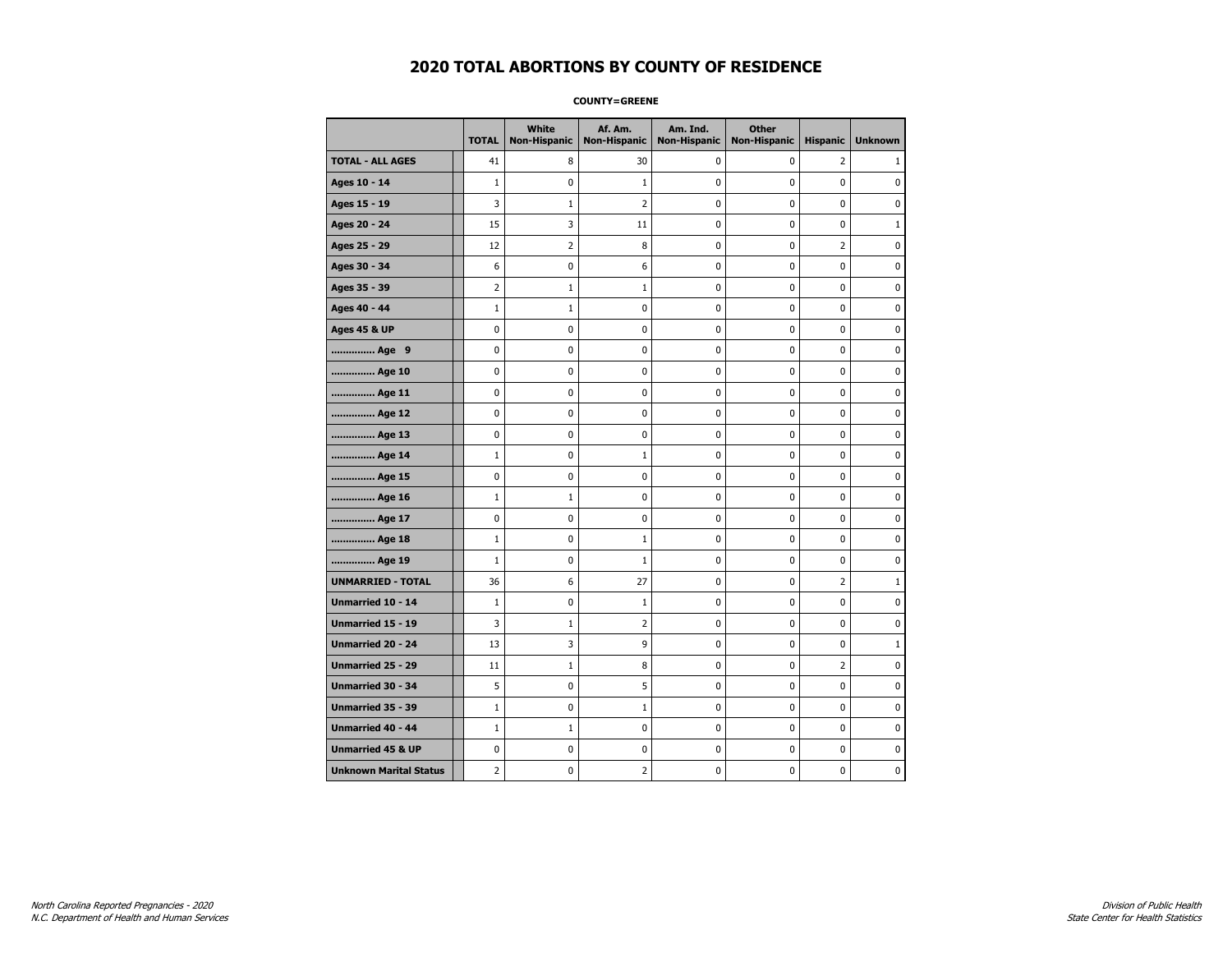**COUNTY=GREENE** 

|                               | <b>TOTAL</b>   | White<br><b>Non-Hispanic</b> | Af. Am.<br><b>Non-Hispanic</b> | Am. Ind.<br><b>Non-Hispanic</b> | <b>Other</b><br><b>Non-Hispanic</b> | <b>Hispanic</b> | <b>Unknown</b> |
|-------------------------------|----------------|------------------------------|--------------------------------|---------------------------------|-------------------------------------|-----------------|----------------|
| <b>TOTAL - ALL AGES</b>       | 41             | 8                            | 30                             | $\mathbf 0$                     | 0                                   | $\overline{2}$  | 1              |
| Ages 10 - 14                  | $\mathbf{1}$   | 0                            | 1                              | $\mathbf 0$                     | 0                                   | 0               | 0              |
| Ages 15 - 19                  | 3              | $\mathbf{1}$                 | 2                              | 0                               | $\pmb{0}$                           | 0               | 0              |
| Ages 20 - 24                  | 15             | 3                            | 11                             | 0                               | 0                                   | 0               | $1\,$          |
| Ages 25 - 29                  | 12             | 2                            | 8                              | 0                               | 0                                   | $\overline{2}$  | $\mathbf 0$    |
| Ages 30 - 34                  | 6              | 0                            | 6                              | 0                               | $\pmb{0}$                           | 0               | $\mathbf 0$    |
| Ages 35 - 39                  | $\overline{2}$ | $\mathbf{1}$                 | $\mathbf{1}$                   | 0                               | 0                                   | 0               | $\mathbf 0$    |
| Ages 40 - 44                  | $\mathbf{1}$   | $\mathbf{1}$                 | 0                              | 0                               | $\pmb{0}$                           | 0               | $\pmb{0}$      |
| <b>Ages 45 &amp; UP</b>       | 0              | 0                            | 0                              | 0                               | 0                                   | 0               | 0              |
| Age 9                         | 0              | 0                            | 0                              | 0                               | 0                                   | 0               | 0              |
| Age 10                        | 0              | 0                            | 0                              | 0                               | $\mathbf 0$                         | 0               | $\mathbf 0$    |
| Age 11                        | 0              | 0                            | 0                              | 0                               | $\pmb{0}$                           | 0               | 0              |
| Age 12                        | 0              | 0                            | 0                              | 0                               | 0                                   | 0               | 0              |
| Age 13                        | 0              | 0                            | 0                              | 0                               | 0                                   | 0               | $\mathbf 0$    |
| Age 14                        | $\mathbf{1}$   | 0                            | 1                              | 0                               | $\pmb{0}$                           | 0               | $\mathbf 0$    |
| Age 15                        | 0              | 0                            | 0                              | 0                               | $\pmb{0}$                           | 0               | $\pmb{0}$      |
| Age 16                        | $\mathbf{1}$   | 1                            | 0                              | 0                               | 0                                   | 0               | 0              |
| Age 17                        | 0              | 0                            | 0                              | 0                               | 0                                   | 0               | 0              |
| Age 18                        | $\mathbf{1}$   | 0                            | 1                              | 0                               | $\mathbf 0$                         | 0               | $\mathbf 0$    |
| Age 19                        | $\mathbf{1}$   | 0                            | $\mathbf 1$                    | 0                               | $\pmb{0}$                           | 0               | 0              |
| <b>UNMARRIED - TOTAL</b>      | 36             | 6                            | 27                             | 0                               | 0                                   | $\overline{2}$  | $1\,$          |
| Unmarried 10 - 14             | $\mathbf{1}$   | 0                            | 1                              | 0                               | $\pmb{0}$                           | 0               | 0              |
| <b>Unmarried 15 - 19</b>      | 3              | $\mathbf{1}$                 | $\overline{2}$                 | 0                               | 0                                   | 0               | $\mathbf 0$    |
| Unmarried 20 - 24             | 13             | 3                            | 9                              | 0                               | $\pmb{0}$                           | 0               | $\mathbf{1}$   |
| Unmarried 25 - 29             | 11             | $\mathbf{1}$                 | 8                              | 0                               | 0                                   | $\overline{2}$  | 0              |
| Unmarried 30 - 34             | 5              | 0                            | 5                              | 0                               | 0                                   | 0               | 0              |
| Unmarried 35 - 39             | $\mathbf{1}$   | 0                            | 1                              | 0                               | $\pmb{0}$                           | 0               | $\mathbf 0$    |
| Unmarried 40 - 44             | $1\,$          | $\mathbf{1}$                 | 0                              | 0                               | $\pmb{0}$                           | 0               | 0              |
| <b>Unmarried 45 &amp; UP</b>  | 0              | 0                            | 0                              | 0                               | $\pmb{0}$                           | 0               | 0              |
| <b>Unknown Marital Status</b> | 2              | 0                            | 2                              | 0                               | 0                                   | 0               | 0              |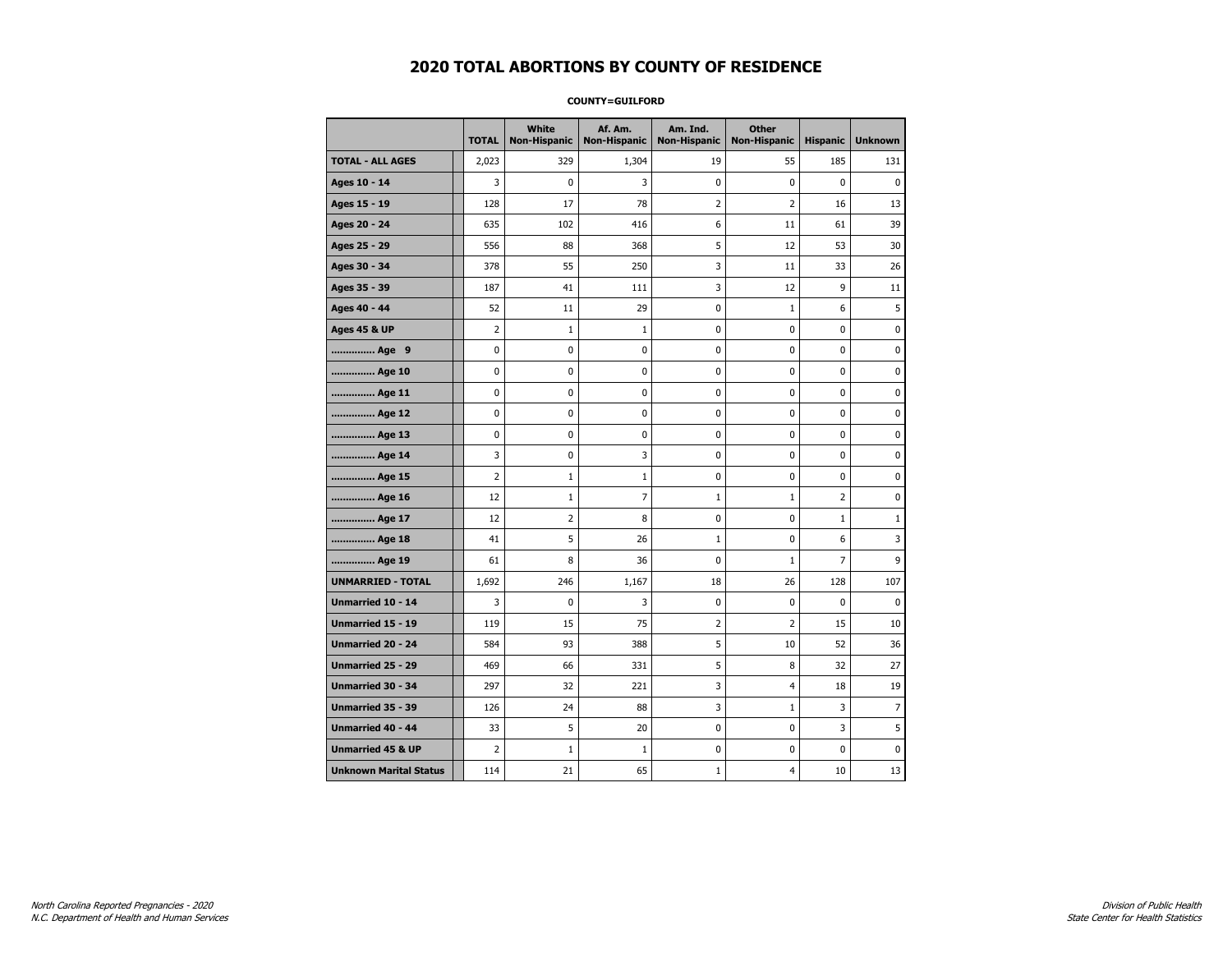#### **COUNTY=GUILFORD**

|                               | <b>TOTAL</b>   | <b>White</b><br><b>Non-Hispanic</b> | Af. Am.<br><b>Non-Hispanic</b> | Am. Ind.<br><b>Non-Hispanic</b> | <b>Other</b><br><b>Non-Hispanic</b> | <b>Hispanic</b> | <b>Unknown</b> |
|-------------------------------|----------------|-------------------------------------|--------------------------------|---------------------------------|-------------------------------------|-----------------|----------------|
| <b>TOTAL - ALL AGES</b>       | 2,023          | 329                                 | 1,304                          | 19                              | 55                                  | 185             | 131            |
| Ages 10 - 14                  | 3              | 0                                   | 3                              | $\pmb{0}$                       | $\mathbf 0$                         | $\mathbf 0$     | $\mathbf 0$    |
| Ages 15 - 19                  | 128            | 17                                  | 78                             | $\overline{2}$                  | $\overline{2}$                      | 16              | 13             |
| Ages 20 - 24                  | 635            | 102                                 | 416                            | 6                               | 11                                  | 61              | 39             |
| Ages 25 - 29                  | 556            | 88                                  | 368                            | 5                               | 12                                  | 53              | 30             |
| Ages 30 - 34                  | 378            | 55                                  | 250                            | 3                               | 11                                  | 33              | 26             |
| Ages 35 - 39                  | 187            | 41                                  | 111                            | 3                               | 12                                  | 9               | 11             |
| Ages 40 - 44                  | 52             | 11                                  | 29                             | 0                               | $\mathbf{1}$                        | 6               | 5              |
| <b>Ages 45 &amp; UP</b>       | $\overline{2}$ | $\mathbf 1$                         | $\mathbf{1}$                   | 0                               | 0                                   | $\mathbf 0$     | 0              |
| Age 9                         | $\pmb{0}$      | 0                                   | 0                              | $\pmb{0}$                       | $\pmb{0}$                           | 0               | 0              |
| Age 10                        | $\mathbf 0$    | 0                                   | 0                              | 0                               | $\mathbf 0$                         | $\mathbf 0$     | 0              |
| Age 11                        | 0              | 0                                   | 0                              | 0                               | 0                                   | 0               | 0              |
| Age 12                        | 0              | 0                                   | 0                              | 0                               | 0                                   | 0               | 0              |
| Age 13                        | 0              | $\mathbf 0$                         | 0                              | $\mathbf 0$                     | $\mathbf 0$                         | $\mathbf 0$     | 0              |
| Age 14                        | 3              | 0                                   | 3                              | $\mathbf 0$                     | $\mathbf 0$                         | $\mathbf 0$     | $\mathbf 0$    |
| Age 15                        | $\overline{2}$ | $\mathbf 1$                         | $\mathbf 1$                    | 0                               | $\pmb{0}$                           | 0               | 0              |
| Age 16                        | 12             | $\mathbf 1$                         | 7                              | $1\,$                           | $1\,$                               | $\overline{2}$  | 0              |
| Age 17                        | 12             | 2                                   | 8                              | 0                               | 0                                   | $\mathbf{1}$    | 1              |
| Age 18                        | 41             | 5                                   | 26                             | $\mathbf{1}$                    | 0                                   | 6               | 3              |
| Age 19                        | 61             | 8                                   | 36                             | 0                               | $\mathbf{1}$                        | $\overline{7}$  | 9              |
| <b>UNMARRIED - TOTAL</b>      | 1,692          | 246                                 | 1,167                          | 18                              | 26                                  | 128             | 107            |
| Unmarried 10 - 14             | 3              | 0                                   | 3                              | 0                               | $\pmb{0}$                           | $\mathbf 0$     | $\mathbf 0$    |
| Unmarried 15 - 19             | 119            | 15                                  | 75                             | 2                               | 2                                   | 15              | 10             |
| Unmarried 20 - 24             | 584            | 93                                  | 388                            | 5                               | 10                                  | 52              | 36             |
| <b>Unmarried 25 - 29</b>      | 469            | 66                                  | 331                            | 5                               | 8                                   | 32              | 27             |
| Unmarried 30 - 34             | 297            | 32                                  | 221                            | 3                               | $\overline{4}$                      | 18              | 19             |
| Unmarried 35 - 39             | 126            | 24                                  | 88                             | 3                               | $\mathbf{1}$                        | 3               | $\overline{7}$ |
| Unmarried 40 - 44             | 33             | 5                                   | 20                             | 0                               | $\pmb{0}$                           | 3               | 5              |
| <b>Unmarried 45 &amp; UP</b>  | $\overline{2}$ | $\mathbf{1}$                        | 1                              | 0                               | 0                                   | 0               | 0              |
| <b>Unknown Marital Status</b> | 114            | 21                                  | 65                             | $\mathbf{1}$                    | 4                                   | 10              | 13             |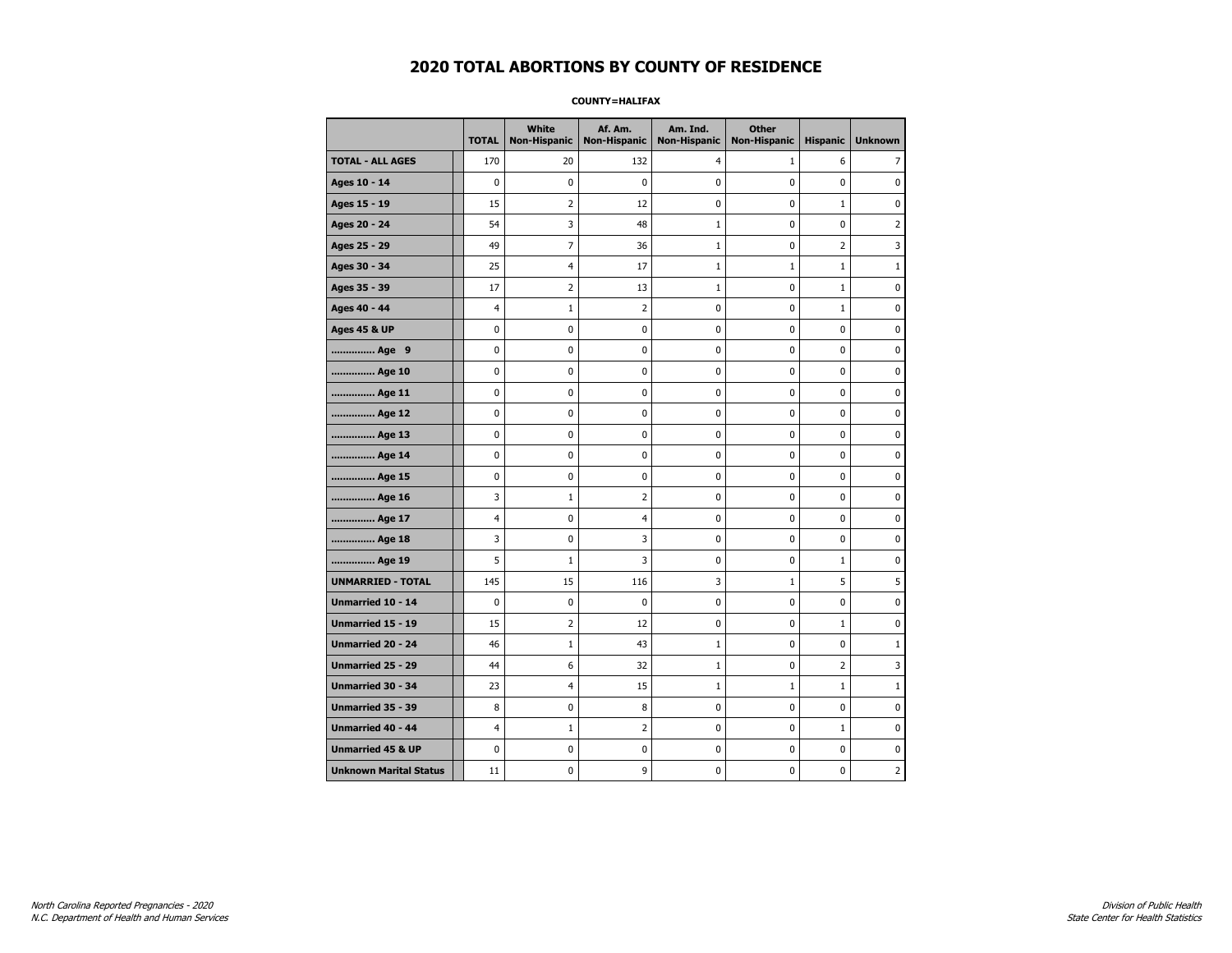#### **COUNTY=HALIFAX**

|                               | <b>TOTAL</b> | <b>White</b><br>Non-Hispanic | Af. Am.<br><b>Non-Hispanic</b> | Am. Ind.<br><b>Non-Hispanic</b> | <b>Other</b><br><b>Non-Hispanic</b> | <b>Hispanic</b> | <b>Unknown</b> |
|-------------------------------|--------------|------------------------------|--------------------------------|---------------------------------|-------------------------------------|-----------------|----------------|
| <b>TOTAL - ALL AGES</b>       | 170          | 20                           | 132                            | $\overline{4}$                  | $\mathbf{1}$                        | 6               | 7              |
| Ages 10 - 14                  | $\mathbf 0$  | 0                            | 0                              | 0                               | $\mathbf 0$                         | 0               | 0              |
| Ages 15 - 19                  | 15           | $\overline{2}$               | 12                             | $\mathbf 0$                     | 0                                   | $\mathbf{1}$    | $\mathbf 0$    |
| Ages 20 - 24                  | 54           | 3                            | 48                             | $\mathbf{1}$                    | 0                                   | 0               | $\overline{2}$ |
| Ages 25 - 29                  | 49           | $\overline{7}$               | 36                             | 1                               | $\mathbf 0$                         | $\overline{2}$  | 3              |
| Ages 30 - 34                  | 25           | 4                            | 17                             | $\mathbf{1}$                    | $\mathbf{1}$                        | $\mathbf{1}$    | $\mathbf{1}$   |
| Ages 35 - 39                  | 17           | 2                            | 13                             | 1                               | 0                                   | 1               | 0              |
| Ages 40 - 44                  | 4            | $\mathbf{1}$                 | 2                              | 0                               | 0                                   | $\mathbf{1}$    | $\mathbf 0$    |
| <b>Ages 45 &amp; UP</b>       | $\mathbf 0$  | 0                            | 0                              | $\mathbf 0$                     | $\mathbf 0$                         | 0               | 0              |
| Age 9                         | 0            | 0                            | 0                              | 0                               | $\pmb{0}$                           | 0               | 0              |
| Age 10                        | $\mathbf 0$  | 0                            | 0                              | 0                               | $\mathbf 0$                         | 0               | 0              |
| Age 11                        | 0            | 0                            | 0                              | 0                               | 0                                   | 0               | 0              |
| Age 12                        | $\mathbf 0$  | 0                            | 0                              | 0                               | 0                                   | 0               | 0              |
| Age 13                        | 0            | 0                            | 0                              | $\mathbf 0$                     | 0                                   | 0               | $\mathbf 0$    |
| Age 14                        | 0            | 0                            | 0                              | 0                               | 0                                   | 0               | $\mathbf 0$    |
| Age 15                        | $\pmb{0}$    | 0                            | $\bf{0}$                       | $\pmb{0}$                       | $\pmb{0}$                           | 0               | $\pmb{0}$      |
| Age 16                        | 3            | $1\,$                        | 2                              | 0                               | 0                                   | 0               | 0              |
| Age 17                        | 4            | 0                            | 4                              | 0                               | 0                                   | 0               | 0              |
| Age 18                        | 3            | 0                            | 3                              | 0                               | 0                                   | $\mathbf 0$     | $\mathbf 0$    |
| Age 19                        | 5            | $\mathbf{1}$                 | 3                              | 0                               | 0                                   | $\mathbf{1}$    | 0              |
| <b>UNMARRIED - TOTAL</b>      | 145          | 15                           | 116                            | 3                               | $1\,$                               | 5               | 5              |
| Unmarried 10 - 14             | $\mathbf 0$  | 0                            | 0                              | 0                               | $\mathbf 0$                         | 0               | $\pmb{0}$      |
| Unmarried 15 - 19             | 15           | 2                            | 12                             | 0                               | 0                                   | $\mathbf{1}$    | 0              |
| Unmarried 20 - 24             | 46           | $\mathbf{1}$                 | 43                             | 1                               | 0                                   | 0               | $\mathbf{1}$   |
| <b>Unmarried 25 - 29</b>      | 44           | 6                            | 32                             | $\mathbf{1}$                    | 0                                   | $\overline{2}$  | 3              |
| <b>Unmarried 30 - 34</b>      | 23           | $\overline{4}$               | 15                             | $\mathbf{1}$                    | $1\,$                               | $\mathbf{1}$    | $\mathbf{1}$   |
| Unmarried 35 - 39             | 8            | 0                            | 8                              | $\pmb{0}$                       | $\pmb{0}$                           | 0               | $\pmb{0}$      |
| <b>Unmarried 40 - 44</b>      | 4            | $\mathbf{1}$                 | 2                              | 0                               | 0                                   | $\mathbf{1}$    | 0              |
| <b>Unmarried 45 &amp; UP</b>  | $\mathbf 0$  | 0                            | 0                              | 0                               | 0                                   | 0               | 0              |
| <b>Unknown Marital Status</b> | 11           | 0                            | 9                              | 0                               | 0                                   | 0               | 2              |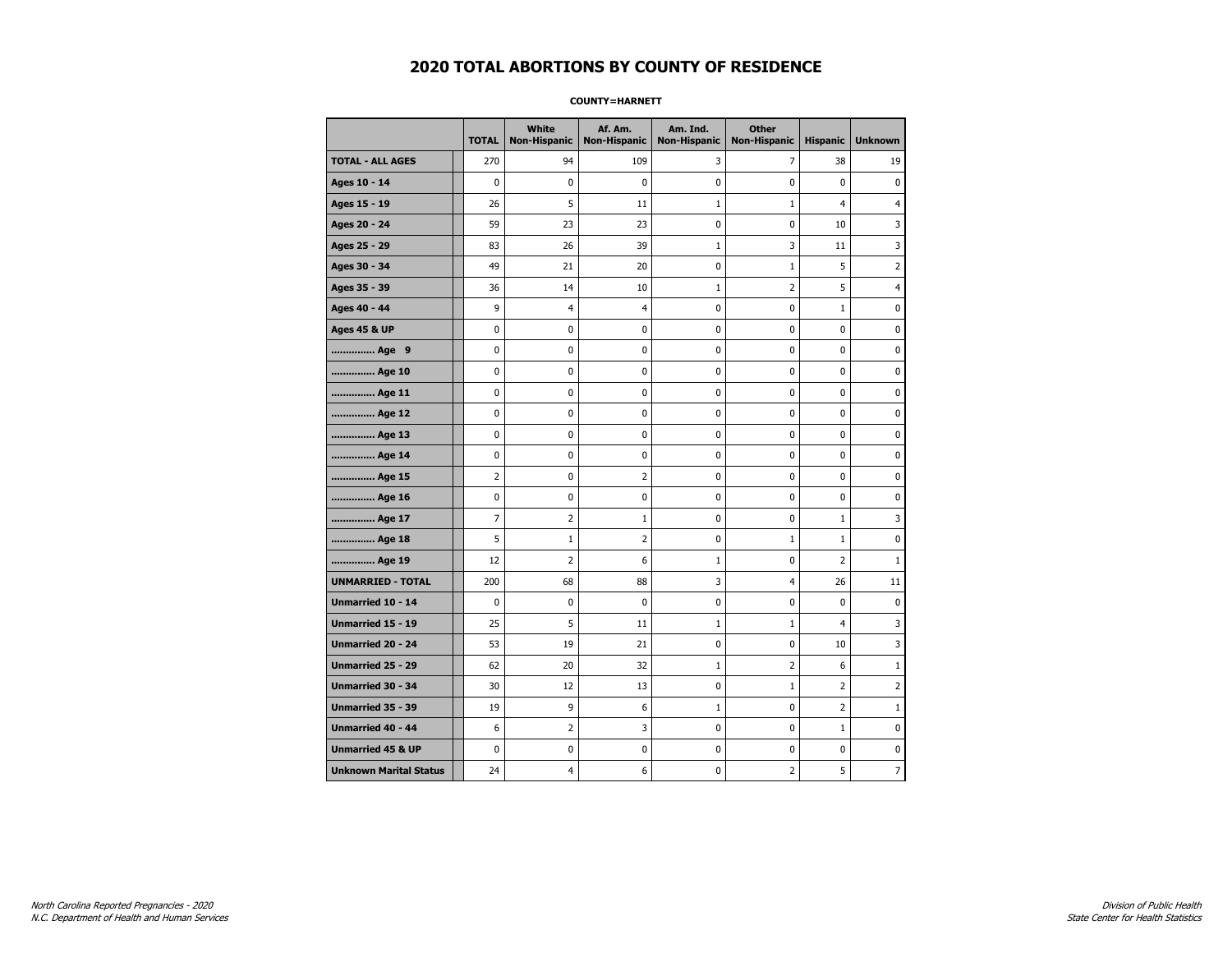#### **COUNTY=HARNETT**

|                               | <b>TOTAL</b>   | <b>White</b><br><b>Non-Hispanic</b> | Af. Am.<br><b>Non-Hispanic</b> | Am. Ind.<br><b>Non-Hispanic</b> | <b>Other</b><br><b>Non-Hispanic</b> | <b>Hispanic</b> | <b>Unknown</b> |
|-------------------------------|----------------|-------------------------------------|--------------------------------|---------------------------------|-------------------------------------|-----------------|----------------|
| <b>TOTAL - ALL AGES</b>       | 270            | 94                                  | 109                            | 3                               | 7                                   | 38              | 19             |
| Ages 10 - 14                  | $\mathbf 0$    | 0                                   | $\pmb{0}$                      | 0                               | 0                                   | $\mathbf 0$     | 0              |
| Ages 15 - 19                  | 26             | 5                                   | 11                             | $\mathbf{1}$                    | $\mathbf{1}$                        | $\overline{4}$  | $\overline{4}$ |
| Ages 20 - 24                  | 59             | 23                                  | 23                             | 0                               | 0                                   | 10              | 3              |
| Ages 25 - 29                  | 83             | 26                                  | 39                             | $\mathbf{1}$                    | 3                                   | 11              | 3              |
| Ages 30 - 34                  | 49             | 21                                  | 20                             | $\mathbf 0$                     | $\mathbf{1}$                        | 5               | 2              |
| Ages 35 - 39                  | 36             | 14                                  | 10                             | $\mathbf{1}$                    | $\overline{2}$                      | 5               | 4              |
| Ages 40 - 44                  | 9              | 4                                   | $\overline{4}$                 | 0                               | 0                                   | $1\,$           | 0              |
| <b>Ages 45 &amp; UP</b>       | 0              | 0                                   | 0                              | 0                               | 0                                   | 0               | 0              |
| Age 9                         | $\mathbf 0$    | 0                                   | 0                              | 0                               | $\mathbf 0$                         | 0               | 0              |
| Age 10                        | $\mathbf 0$    | 0                                   | $\mathbf 0$                    | $\mathbf 0$                     | $\mathbf 0$                         | $\mathbf 0$     | 0              |
| Age 11                        | 0              | 0                                   | 0                              | 0                               | 0                                   | 0               | 0              |
| Age 12                        | $\mathbf 0$    | 0                                   | $\pmb{0}$                      | 0                               | 0                                   | 0               | 0              |
| Age 13                        | $\mathbf 0$    | 0                                   | $\mathbf 0$                    | $\mathbf 0$                     | $\mathbf 0$                         | $\mathbf 0$     | 0              |
| Age 14                        | $\mathbf 0$    | 0                                   | $\mathbf 0$                    | $\mathbf 0$                     | $\mathbf 0$                         | $\mathbf 0$     | 0              |
| Age 15                        | $\overline{2}$ | 0                                   | $\overline{2}$                 | $\pmb{0}$                       | $\pmb{0}$                           | $\pmb{0}$       | 0              |
| Age 16                        | $\pmb{0}$      | 0                                   | $\pmb{0}$                      | $\pmb{0}$                       | $\pmb{0}$                           | 0               | 0              |
| Age 17                        | $\overline{7}$ | $\overline{2}$                      | $\mathbf{1}$                   | 0                               | $\mathbf 0$                         | $\mathbf 1$     | 3              |
| Age 18                        | 5              | $\mathbf{1}$                        | 2                              | 0                               | $\mathbf{1}$                        | $\mathbf{1}$    | 0              |
| Age 19                        | 12             | $\overline{2}$                      | 6                              | $\mathbf 1$                     | 0                                   | $\overline{2}$  | $\mathbf{1}$   |
| <b>UNMARRIED - TOTAL</b>      | 200            | 68                                  | 88                             | 3                               | 4                                   | 26              | 11             |
| Unmarried 10 - 14             | $\mathbf 0$    | 0                                   | $\mathbf 0$                    | $\pmb{0}$                       | $\mathbf 0$                         | $\mathbf 0$     | $\mathbf 0$    |
| Unmarried 15 - 19             | 25             | 5                                   | 11                             | $\mathbf{1}$                    | $\mathbf{1}$                        | 4               | 3              |
| <b>Unmarried 20 - 24</b>      | 53             | 19                                  | 21                             | 0                               | $\mathbf 0$                         | 10              | 3              |
| Unmarried 25 - 29             | 62             | 20                                  | 32                             | $\mathbf 1$                     | $\overline{2}$                      | 6               | $1\,$          |
| Unmarried 30 - 34             | 30             | 12                                  | 13                             | $\pmb{0}$                       | $\mathbf{1}$                        | $\overline{2}$  | 2              |
| Unmarried 35 - 39             | 19             | 9                                   | 6                              | $\mathbf 1$                     | 0                                   | $\overline{2}$  | $\mathbf 1$    |
| Unmarried 40 - 44             | 6              | 2                                   | 3                              | 0                               | 0                                   | $\mathbf{1}$    | 0              |
| <b>Unmarried 45 &amp; UP</b>  | $\mathbf 0$    | 0                                   | 0                              | 0                               | 0                                   | 0               | 0              |
| <b>Unknown Marital Status</b> | 24             | 4                                   | 6                              | 0                               | 2                                   | 5               | 7              |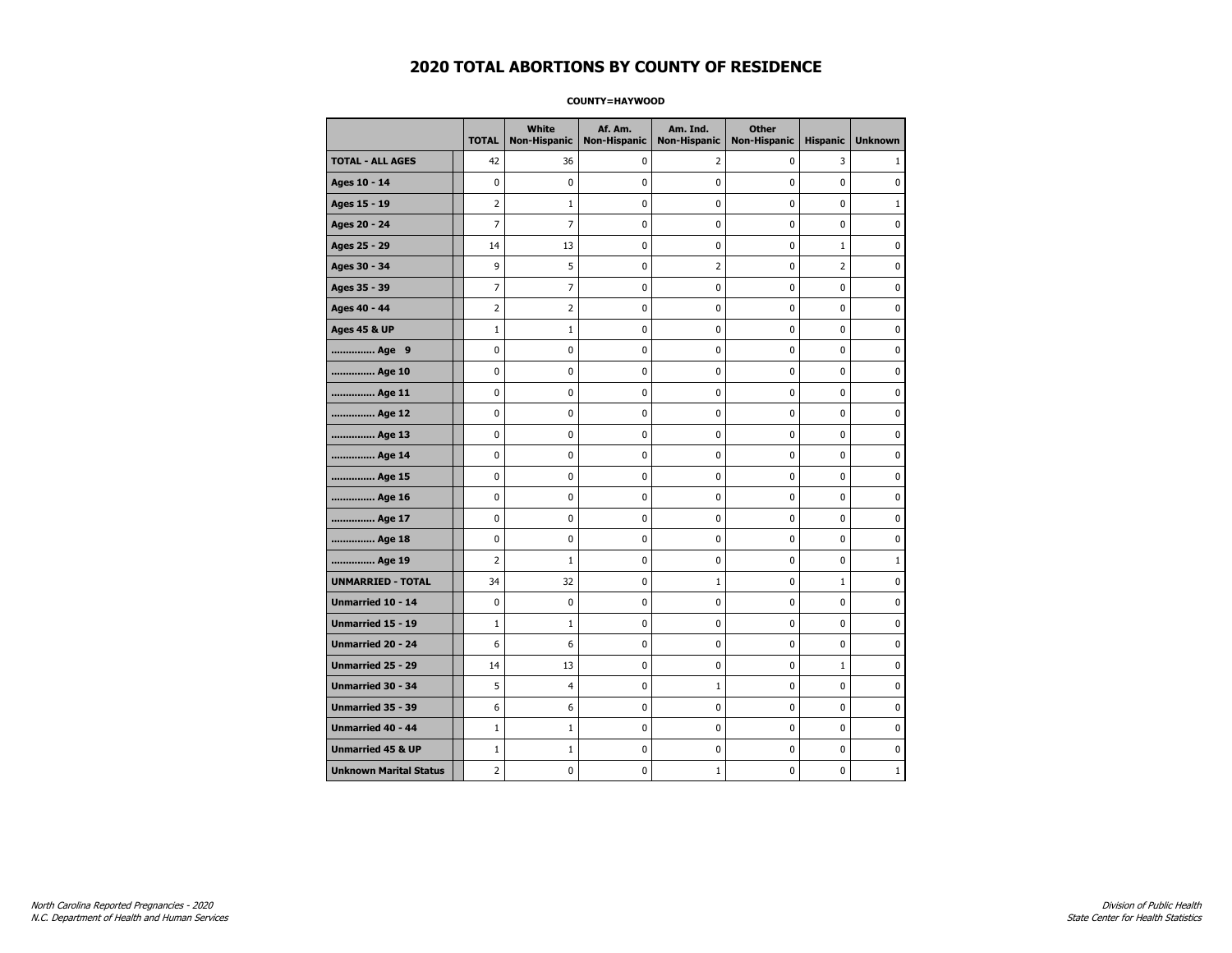#### **COUNTY=HAYWOOD**

|                               | <b>TOTAL</b>   | <b>White</b><br>Non-Hispanic | Af. Am.<br><b>Non-Hispanic</b> | Am. Ind.<br><b>Non-Hispanic</b> | <b>Other</b><br><b>Non-Hispanic</b> | <b>Hispanic</b> | <b>Unknown</b> |
|-------------------------------|----------------|------------------------------|--------------------------------|---------------------------------|-------------------------------------|-----------------|----------------|
| <b>TOTAL - ALL AGES</b>       | 42             | 36                           | 0                              | 2                               | 0                                   | 3               | 1              |
| Ages 10 - 14                  | $\mathbf 0$    | $\mathbf 0$                  | $\pmb{0}$                      | 0                               | $\mathbf 0$                         | $\mathbf 0$     | 0              |
| Ages 15 - 19                  | $\overline{2}$ | $1\,$                        | $\mathbf 0$                    | $\mathbf 0$                     | $\mathbf 0$                         | $\mathbf 0$     | $\mathbf{1}$   |
| Ages 20 - 24                  | $\overline{7}$ | $\overline{7}$               | $\mathbf 0$                    | $\mathbf 0$                     | $\mathbf 0$                         | $\mathbf 0$     | 0              |
| Ages 25 - 29                  | 14             | 13                           | $\pmb{0}$                      | $\pmb{0}$                       | $\pmb{0}$                           | $\mathbf 1$     | 0              |
| Ages 30 - 34                  | 9              | 5                            | $\pmb{0}$                      | $\overline{2}$                  | $\pmb{0}$                           | $\overline{2}$  | 0              |
| Ages 35 - 39                  | $\overline{7}$ | $\overline{7}$               | 0                              | 0                               | $\mathbf 0$                         | $\mathbf 0$     | 0              |
| Ages 40 - 44                  | $\overline{2}$ | $\overline{2}$               | $\pmb{0}$                      | 0                               | 0                                   | $\mathbf 0$     | 0              |
| <b>Ages 45 &amp; UP</b>       | $1\,$          | $\mathbf{1}$                 | $\pmb{0}$                      | 0                               | 0                                   | 0               | 0              |
| Age 9                         | $\mathbf 0$    | 0                            | $\mathbf 0$                    | 0                               | $\mathbf 0$                         | 0               | 0              |
| Age 10                        | $\mathbf 0$    | 0                            | $\mathbf 0$                    | $\mathbf 0$                     | $\mathbf 0$                         | $\mathbf 0$     | 0              |
| Age 11                        | $\mathbf 0$    | 0                            | $\mathbf 0$                    | $\mathbf 0$                     | $\mathbf 0$                         | $\mathbf 0$     | 0              |
| Age 12                        | $\pmb{0}$      | 0                            | $\pmb{0}$                      | 0                               | 0                                   | 0               | 0              |
| Age 13                        | 0              | 0                            | $\pmb{0}$                      | 0                               | 0                                   | 0               | 0              |
| Age 14                        | $\mathbf 0$    | 0                            | $\mathbf 0$                    | 0                               | $\mathbf 0$                         | $\mathbf 0$     | 0              |
| Age 15                        | 0              | 0                            | 0                              | 0                               | 0                                   | 0               | 0              |
| Age 16                        | $\mathbf 0$    | 0                            | $\mathbf 0$                    | $\mathbf 0$                     | $\mathbf 0$                         | $\mathbf 0$     | 0              |
| Age 17                        | $\mathbf 0$    | 0                            | $\mathbf 0$                    | $\mathbf 0$                     | $\mathbf 0$                         | $\mathbf 0$     | 0              |
| Age 18                        | $\mathbf 0$    | 0                            | $\mathbf 0$                    | $\mathbf 0$                     | $\mathbf 0$                         | $\mathbf 0$     | 0              |
| Age 19                        | $\overline{2}$ | $1\,$                        | $\pmb{0}$                      | $\pmb{0}$                       | $\pmb{0}$                           | $\pmb{0}$       | $\mathbf 1$    |
| <b>UNMARRIED - TOTAL</b>      | 34             | 32                           | $\pmb{0}$                      | $\mathbf{1}$                    | $\pmb{0}$                           | $\mathbf 1$     | 0              |
| Unmarried 10 - 14             | $\mathbf 0$    | 0                            | $\mathbf 0$                    | 0                               | $\mathbf 0$                         | $\mathbf 0$     | 0              |
| Unmarried 15 - 19             | $1\,$          | $\mathbf{1}$                 | 0                              | 0                               | 0                                   | 0               | 0              |
| Unmarried 20 - 24             | 6              | 6                            | $\mathbf 0$                    | 0                               | $\mathbf 0$                         | $\mathbf 0$     | 0              |
| Unmarried 25 - 29             | 14             | 13                           | $\mathbf 0$                    | $\mathbf 0$                     | $\mathbf 0$                         | $\mathbf{1}$    | 0              |
| <b>Unmarried 30 - 34</b>      | 5              | $\overline{4}$               | $\mathbf 0$                    | $\mathbf{1}$                    | $\mathbf 0$                         | $\mathbf 0$     | 0              |
| Unmarried 35 - 39             | 6              | 6                            | $\pmb{0}$                      | $\pmb{0}$                       | $\pmb{0}$                           | $\pmb{0}$       | $\pmb{0}$      |
| Unmarried 40 - 44             | $1\,$          | $1\,$                        | $\pmb{0}$                      | 0                               | 0                                   | 0               | 0              |
| <b>Unmarried 45 &amp; UP</b>  | $1\,$          | 1                            | 0                              | $\mathbf 0$                     | 0                                   | $\mathbf 0$     | 0              |
| <b>Unknown Marital Status</b> | $\overline{2}$ | 0                            | $\pmb{0}$                      | $\mathbf{1}$                    | $\mathbf 0$                         | 0               | $\mathbf{1}$   |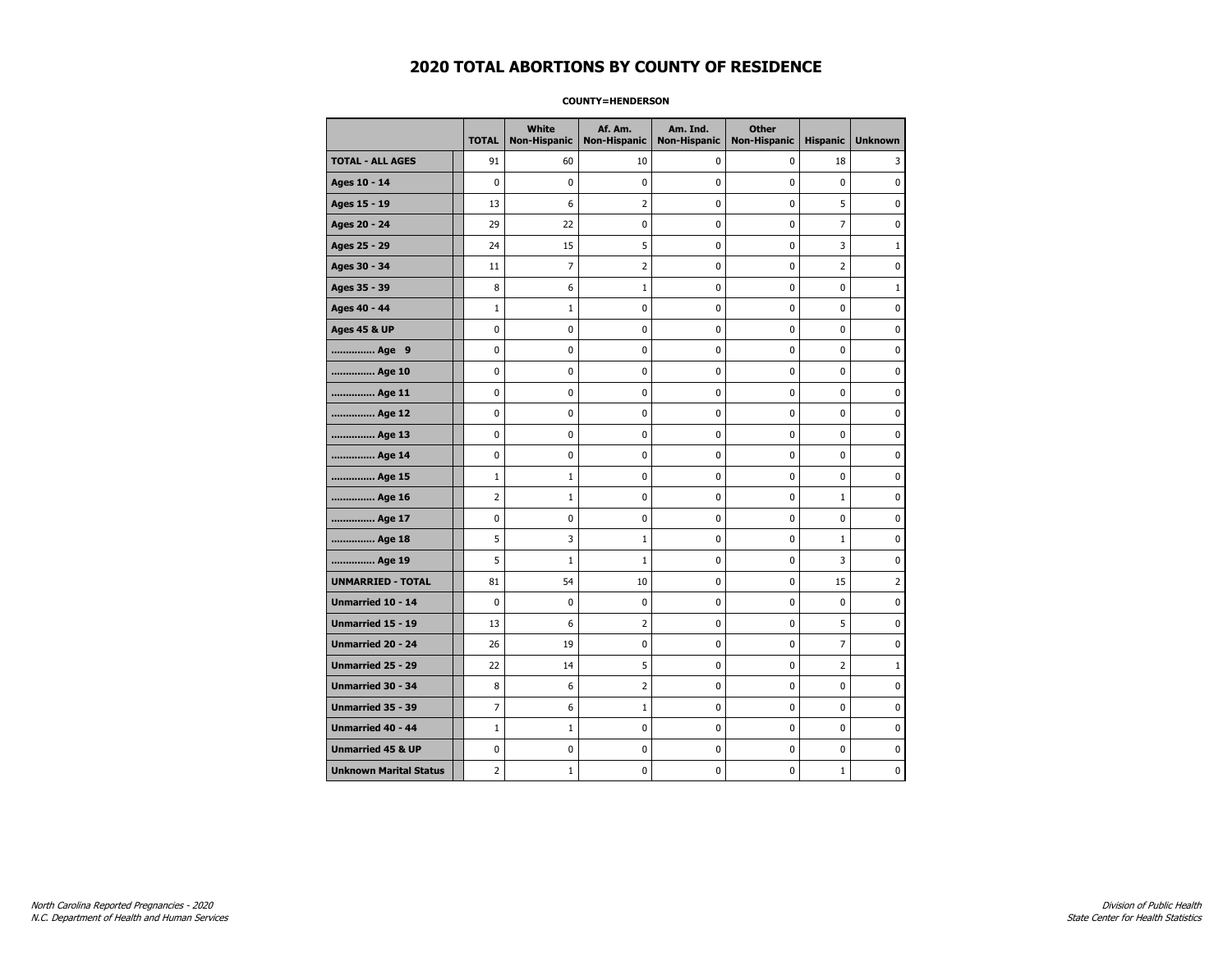#### **COUNTY=HENDERSON**

|                               | <b>TOTAL</b>   | <b>White</b><br><b>Non-Hispanic</b> | Af. Am.<br><b>Non-Hispanic</b> | Am. Ind.<br><b>Non-Hispanic</b> | <b>Other</b><br><b>Non-Hispanic</b> | <b>Hispanic</b> | <b>Unknown</b> |
|-------------------------------|----------------|-------------------------------------|--------------------------------|---------------------------------|-------------------------------------|-----------------|----------------|
| <b>TOTAL - ALL AGES</b>       | 91             | 60                                  | 10                             | 0                               | $\mathbf 0$                         | 18              | 3              |
| Ages 10 - 14                  | $\mathbf 0$    | $\mathbf 0$                         | $\mathbf 0$                    | $\mathbf 0$                     | $\mathbf 0$                         | $\mathbf 0$     | 0              |
| Ages 15 - 19                  | 13             | 6                                   | $\overline{2}$                 | $\pmb{0}$                       | $\pmb{0}$                           | 5               | 0              |
| Ages 20 - 24                  | 29             | 22                                  | $\pmb{0}$                      | $\pmb{0}$                       | $\pmb{0}$                           | $\overline{7}$  | 0              |
| Ages 25 - 29                  | 24             | 15                                  | 5                              | 0                               | 0                                   | 3               | 1              |
| Ages 30 - 34                  | 11             | $\overline{7}$                      | $\overline{2}$                 | $\mathbf 0$                     | $\mathbf 0$                         | $\overline{2}$  | 0              |
| Ages 35 - 39                  | 8              | 6                                   | 1                              | $\mathbf 0$                     | $\mathbf 0$                         | $\mathbf 0$     | 1              |
| Ages 40 - 44                  | $1\,$          | $\mathbf{1}$                        | $\pmb{0}$                      | 0                               | $\pmb{0}$                           | 0               | 0              |
| <b>Ages 45 &amp; UP</b>       | $\pmb{0}$      | 0                                   | $\pmb{0}$                      | $\pmb{0}$                       | $\pmb{0}$                           | 0               | 0              |
| Age 9                         | $\mathbf 0$    | 0                                   | 0                              | 0                               | $\mathbf 0$                         | 0               | 0              |
| Age 10                        | $\mathbf 0$    | 0                                   | $\mathbf 0$                    | $\mathbf 0$                     | $\mathbf 0$                         | $\mathbf 0$     | 0              |
| Age 11                        | $\mathbf 0$    | 0                                   | $\mathbf 0$                    | $\pmb{0}$                       | $\mathbf 0$                         | $\mathbf 0$     | 0              |
| Age 12                        | $\pmb{0}$      | 0                                   | $\pmb{0}$                      | 0                               | 0                                   | 0               | 0              |
| Age 13                        | $\mathbf 0$    | 0                                   | $\mathbf 0$                    | 0                               | $\mathbf 0$                         | $\mathbf 0$     | 0              |
| Age 14                        | 0              | 0                                   | $\pmb{0}$                      | 0                               | 0                                   | 0               | 0              |
| Age 15                        | $1\,$          | $\mathbf{1}$                        | $\pmb{0}$                      | 0                               | $\mathbf 0$                         | 0               | 0              |
| Age 16                        | $\overline{2}$ | $\mathbf{1}$                        | $\mathbf 0$                    | $\mathbf 0$                     | $\mathbf 0$                         | $\mathbf{1}$    | 0              |
| Age 17                        | $\pmb{0}$      | 0                                   | 0                              | $\pmb{0}$                       | $\mathbf 0$                         | $\pmb{0}$       | 0              |
| Age 18                        | 5              | 3                                   | $1\,$                          | 0                               | 0                                   | $1\,$           | 0              |
| Age 19                        | 5              | $\mathbf{1}$                        | 1                              | 0                               | 0                                   | 3               | 0              |
| <b>UNMARRIED - TOTAL</b>      | 81             | 54                                  | 10                             | $\pmb{0}$                       | $\mathbf 0$                         | 15              | 2              |
| Unmarried 10 - 14             | $\mathbf 0$    | 0                                   | $\mathbf 0$                    | $\mathbf 0$                     | $\mathbf 0$                         | $\mathbf 0$     | 0              |
| Unmarried 15 - 19             | 13             | 6                                   | $\mathbf 2$                    | $\pmb{0}$                       | $\pmb{0}$                           | 5               | 0              |
| Unmarried 20 - 24             | 26             | 19                                  | 0                              | 0                               | 0                                   | 7               | 0              |
| Unmarried 25 - 29             | 22             | 14                                  | 5                              | 0                               | $\mathbf 0$                         | $\overline{2}$  | $1\,$          |
| <b>Unmarried 30 - 34</b>      | 8              | 6                                   | $\overline{2}$                 | $\pmb{0}$                       | $\pmb{0}$                           | $\pmb{0}$       | 0              |
| <b>Unmarried 35 - 39</b>      | $\overline{7}$ | 6                                   | $\mathbf{1}$                   | $\mathbf 0$                     | $\mathbf 0$                         | $\mathbf 0$     | $\pmb{0}$      |
| <b>Unmarried 40 - 44</b>      | $\mathbf 1$    | $\mathbf 1$                         | $\pmb{0}$                      | $\pmb{0}$                       | $\pmb{0}$                           | $\mathbf 0$     | 0              |
| <b>Unmarried 45 &amp; UP</b>  | 0              | 0                                   | 0                              | 0                               | 0                                   | 0               | 0              |
| <b>Unknown Marital Status</b> | $\overline{2}$ | $\mathbf{1}$                        | $\mathbf 0$                    | 0                               | $\mathbf 0$                         | $\mathbf{1}$    | 0              |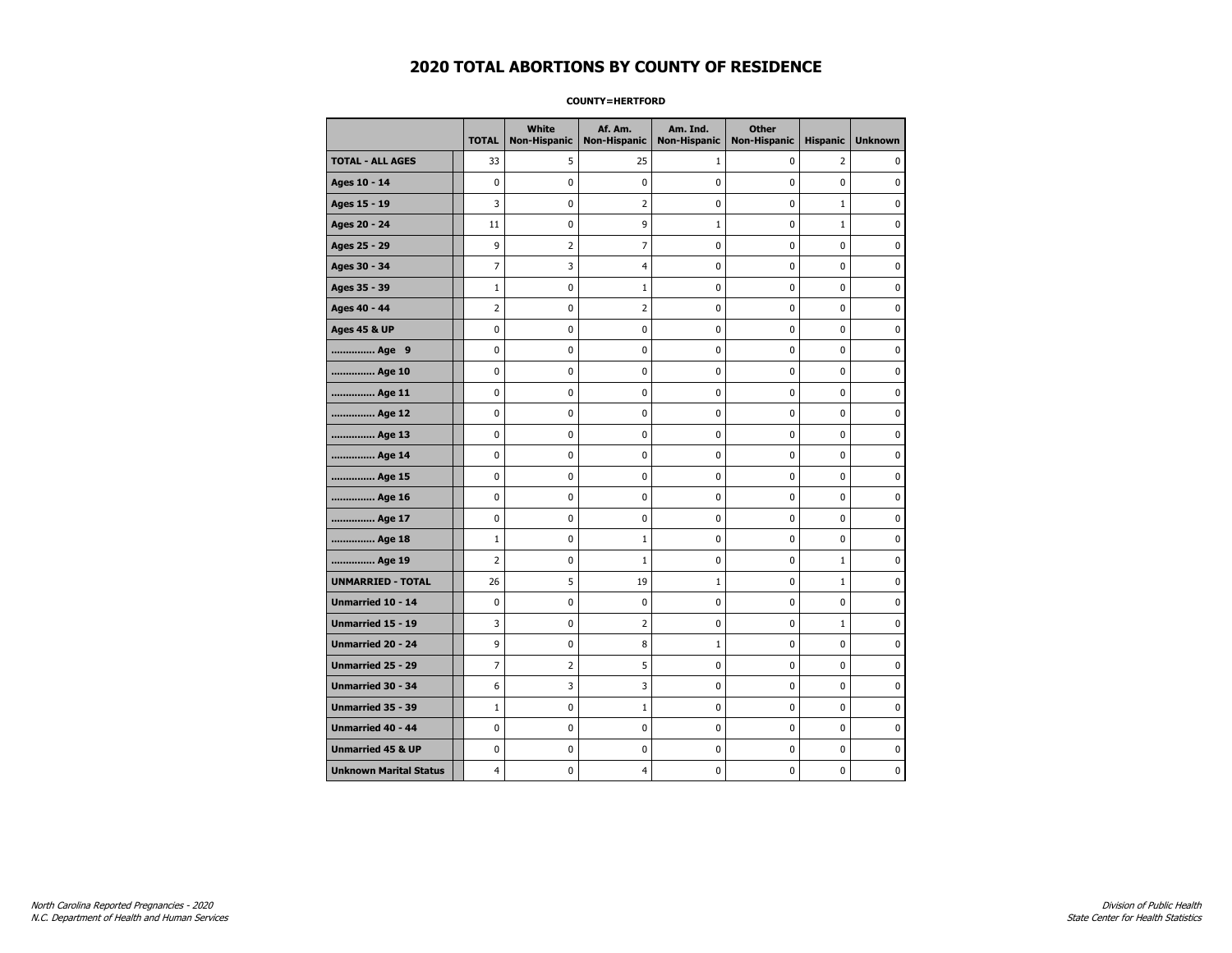#### **COUNTY=HERTFORD**

|                               | <b>TOTAL</b>   | White<br>Non-Hispanic | Af. Am.<br><b>Non-Hispanic</b> | Am. Ind.<br><b>Non-Hispanic</b> | <b>Other</b><br><b>Non-Hispanic</b> | <b>Hispanic</b> | <b>Unknown</b> |
|-------------------------------|----------------|-----------------------|--------------------------------|---------------------------------|-------------------------------------|-----------------|----------------|
| <b>TOTAL - ALL AGES</b>       | 33             | 5                     | 25                             | 1                               | 0                                   | 2               | 0              |
| Ages 10 - 14                  | 0              | $\mathbf 0$           | $\mathbf 0$                    | $\mathbf 0$                     | 0                                   | $\mathbf 0$     | $\mathbf 0$    |
| Ages 15 - 19                  | 3              | $\mathbf 0$           | $\overline{2}$                 | $\pmb{0}$                       | 0                                   | $\mathbf{1}$    | $\pmb{0}$      |
| Ages 20 - 24                  | 11             | 0                     | 9                              | $1\,$                           | 0                                   | $\mathbf{1}$    | 0              |
| Ages 25 - 29                  | 9              | 2                     | 7                              | 0                               | 0                                   | 0               | 0              |
| Ages 30 - 34                  | $\overline{7}$ | 3                     | $\overline{4}$                 | 0                               | 0                                   | $\mathbf 0$     | 0              |
| Ages 35 - 39                  | $\mathbf 1$    | 0                     | 1                              | $\mathbf 0$                     | 0                                   | $\mathbf 0$     | 0              |
| Ages 40 - 44                  | $\overline{2}$ | 0                     | $\overline{2}$                 | 0                               | $\pmb{0}$                           | 0               | 0              |
| <b>Ages 45 &amp; UP</b>       | 0              | 0                     | $\pmb{0}$                      | $\pmb{0}$                       | 0                                   | $\pmb{0}$       | 0              |
| Age 9                         | 0              | 0                     | 0                              | 0                               | 0                                   | 0               | 0              |
| Age 10                        | 0              | 0                     | $\mathbf 0$                    | $\mathbf 0$                     | 0                                   | $\mathbf 0$     | 0              |
| Age 11                        | 0              | 0                     | $\mathbf 0$                    | $\pmb{0}$                       | 0                                   | $\mathbf 0$     | 0              |
| Age 12                        | 0              | 0                     | $\pmb{0}$                      | 0                               | 0                                   | 0               | 0              |
| Age 13                        | 0              | 0                     | $\mathbf 0$                    | $\mathbf 0$                     | 0                                   | 0               | 0              |
| Age 14                        | 0              | 0                     | 0                              | 0                               | 0                                   | 0               | 0              |
| Age 15                        | 0              | 0                     | $\mathbf 0$                    | 0                               | 0                                   | $\mathbf 0$     | 0              |
| Age 16                        | 0              | 0                     | $\mathbf 0$                    | $\mathbf 0$                     | 0                                   | 0               | 0              |
| Age 17                        | $\mathbf 0$    | 0                     | 0                              | $\pmb{0}$                       | 0                                   | 0               | 0              |
| Age 18                        | $1\,$          | 0                     | $\mathbf{1}$                   | 0                               | 0                                   | 0               | 0              |
| Age 19                        | $\overline{2}$ | 0                     | $\mathbf{1}$                   | 0                               | 0                                   | $\mathbf{1}$    | 0              |
| <b>UNMARRIED - TOTAL</b>      | 26             | 5                     | 19                             | $\mathbf{1}$                    | 0                                   | $\mathbf{1}$    | 0              |
| Unmarried 10 - 14             | 0              | 0                     | $\mathbf 0$                    | $\mathbf 0$                     | 0                                   | 0               | 0              |
| Unmarried 15 - 19             | 3              | $\pmb{0}$             | $\mathbf 2$                    | $\pmb{0}$                       | 0                                   | $\mathbf 1$     | $\pmb{0}$      |
| Unmarried 20 - 24             | 9              | 0                     | 8                              | $\mathbf{1}$                    | 0                                   | 0               | 0              |
| Unmarried 25 - 29             | $\overline{7}$ | $\overline{2}$        | 5                              | 0                               | 0                                   | $\mathbf 0$     | 0              |
| Unmarried 30 - 34             | 6              | 3                     | 3                              | $\pmb{0}$                       | 0                                   | $\mathbf 0$     | 0              |
| <b>Unmarried 35 - 39</b>      | $\mathbf{1}$   | 0                     | $\mathbf{1}$                   | 0                               | 0                                   | $\mathbf 0$     | 0              |
| Unmarried 40 - 44             | 0              | $\bf{0}$              | $\mathbf 0$                    | $\pmb{0}$                       | 0                                   | 0               | $\bf{0}$       |
| <b>Unmarried 45 &amp; UP</b>  | 0              | 0                     | 0                              | 0                               | 0                                   | 0               | 0              |
| <b>Unknown Marital Status</b> | 4              | $\mathbf 0$           | 4                              | $\pmb{0}$                       | 0                                   | 0               | 0              |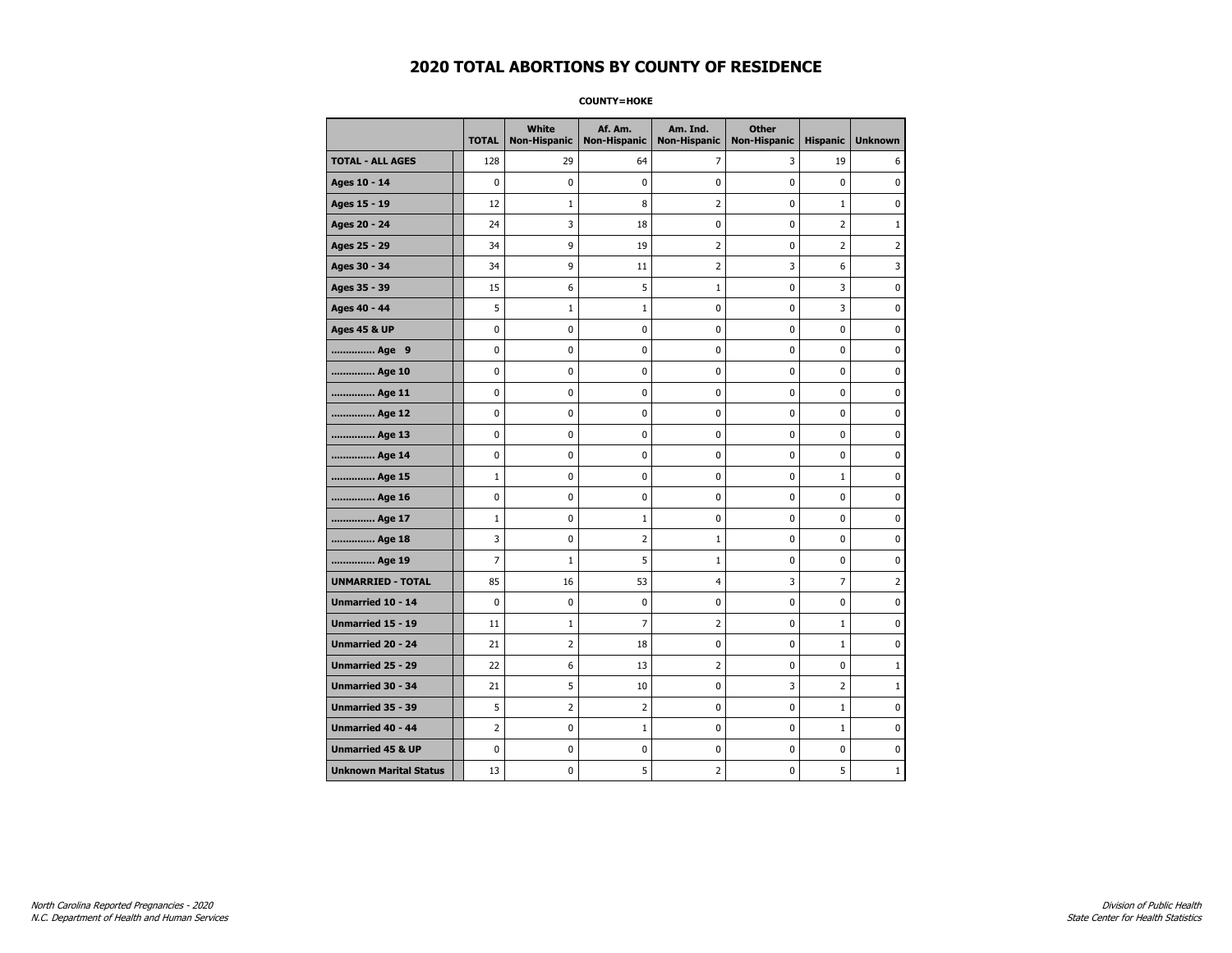**COUNTY=HOKE** 

|                               | <b>TOTAL</b>   | White<br><b>Non-Hispanic</b> | Af. Am.<br><b>Non-Hispanic</b> | Am. Ind.<br><b>Non-Hispanic</b> | <b>Other</b><br><b>Non-Hispanic</b> | <b>Hispanic</b> | <b>Unknown</b> |
|-------------------------------|----------------|------------------------------|--------------------------------|---------------------------------|-------------------------------------|-----------------|----------------|
| <b>TOTAL - ALL AGES</b>       | 128            | 29                           | 64                             | 7                               | 3                                   | 19              | 6              |
| Ages 10 - 14                  | $\mathbf 0$    | $\mathbf 0$                  | 0                              | 0                               | 0                                   | 0               | 0              |
| Ages 15 - 19                  | 12             | $\mathbf{1}$                 | 8                              | $\overline{2}$                  | 0                                   | $\mathbf{1}$    | $\mathbf 0$    |
| Ages 20 - 24                  | 24             | 3                            | 18                             | 0                               | $\mathbf 0$                         | $\overline{2}$  | $\mathbf{1}$   |
| Ages 25 - 29                  | 34             | 9                            | 19                             | $\overline{2}$                  | $\pmb{0}$                           | $\overline{2}$  | $\overline{2}$ |
| Ages 30 - 34                  | 34             | 9                            | 11                             | 2                               | 3                                   | 6               | 3              |
| Ages 35 - 39                  | 15             | 6                            | 5                              | $\mathbf 1$                     | 0                                   | 3               | 0              |
| Ages 40 - 44                  | 5              | $\mathbf{1}$                 | 1                              | 0                               | $\mathbf 0$                         | 3               | $\pmb{0}$      |
| <b>Ages 45 &amp; UP</b>       | 0              | 0                            | 0                              | 0                               | 0                                   | 0               | $\mathbf 0$    |
| Age 9                         | 0              | 0                            | 0                              | 0                               | $\mathbf 0$                         | 0               | $\mathbf 0$    |
| Age 10                        | 0              | 0                            | 0                              | 0                               | $\pmb{0}$                           | 0               | 0              |
| Age 11                        | 0              | 0                            | 0                              | 0                               | 0                                   | 0               | $\mathbf 0$    |
| Age 12                        | 0              | 0                            | 0                              | 0                               | 0                                   | 0               | 0              |
| Age 13                        | 0              | 0                            | 0                              | 0                               | 0                                   | 0               | $\mathbf 0$    |
| Age 14                        | 0              | 0                            | 0                              | 0                               | $\pmb{0}$                           | 0               | $\mathbf 0$    |
| Age 15                        | $\mathbf{1}$   | 0                            | 0                              | 0                               | $\pmb{0}$                           | $\mathbf 1$     | 0              |
| Age 16                        | 0              | $\mathbf 0$                  | 0                              | 0                               | $\pmb{0}$                           | 0               | 0              |
| Age 17                        | $\mathbf{1}$   | 0                            | 1                              | 0                               | 0                                   | 0               | 0              |
| Age 18                        | 3              | 0                            | 2                              | $\mathbf 1$                     | $\pmb{0}$                           | 0               | $\pmb{0}$      |
| Age 19                        | 7              | 1                            | 5                              | $\mathbf{1}$                    | 0                                   | 0               | $\mathbf 0$    |
| <b>UNMARRIED - TOTAL</b>      | 85             | 16                           | 53                             | $\overline{4}$                  | 3                                   | $\overline{7}$  | $\overline{2}$ |
| Unmarried 10 - 14             | 0              | 0                            | 0                              | 0                               | $\pmb{0}$                           | 0               | 0              |
| Unmarried 15 - 19             | 11             | 1                            | 7                              | $\overline{2}$                  | $\pmb{0}$                           | $\mathbf{1}$    | $\pmb{0}$      |
| Unmarried 20 - 24             | 21             | 2                            | 18                             | 0                               | 0                                   | $\mathbf{1}$    | 0              |
| Unmarried 25 - 29             | 22             | 6                            | 13                             | $\overline{2}$                  | 0                                   | 0               | $\mathbf{1}$   |
| <b>Unmarried 30 - 34</b>      | 21             | 5                            | 10                             | 0                               | 3                                   | 2               | $\mathbf{1}$   |
| <b>Unmarried 35 - 39</b>      | 5              | 2                            | 2                              | 0                               | $\mathbf 0$                         | $\mathbf 1$     | $\mathbf 0$    |
| <b>Unmarried 40 - 44</b>      | $\overline{2}$ | $\pmb{0}$                    | $\mathbf{1}$                   | 0                               | $\pmb{0}$                           | $\mathbf 1$     | 0              |
| <b>Unmarried 45 &amp; UP</b>  | 0              | 0                            | 0                              | 0                               | 0                                   | 0               | 0              |
| <b>Unknown Marital Status</b> | 13             | 0                            | 5                              | 2                               | 0                                   | 5               | $\mathbf{1}$   |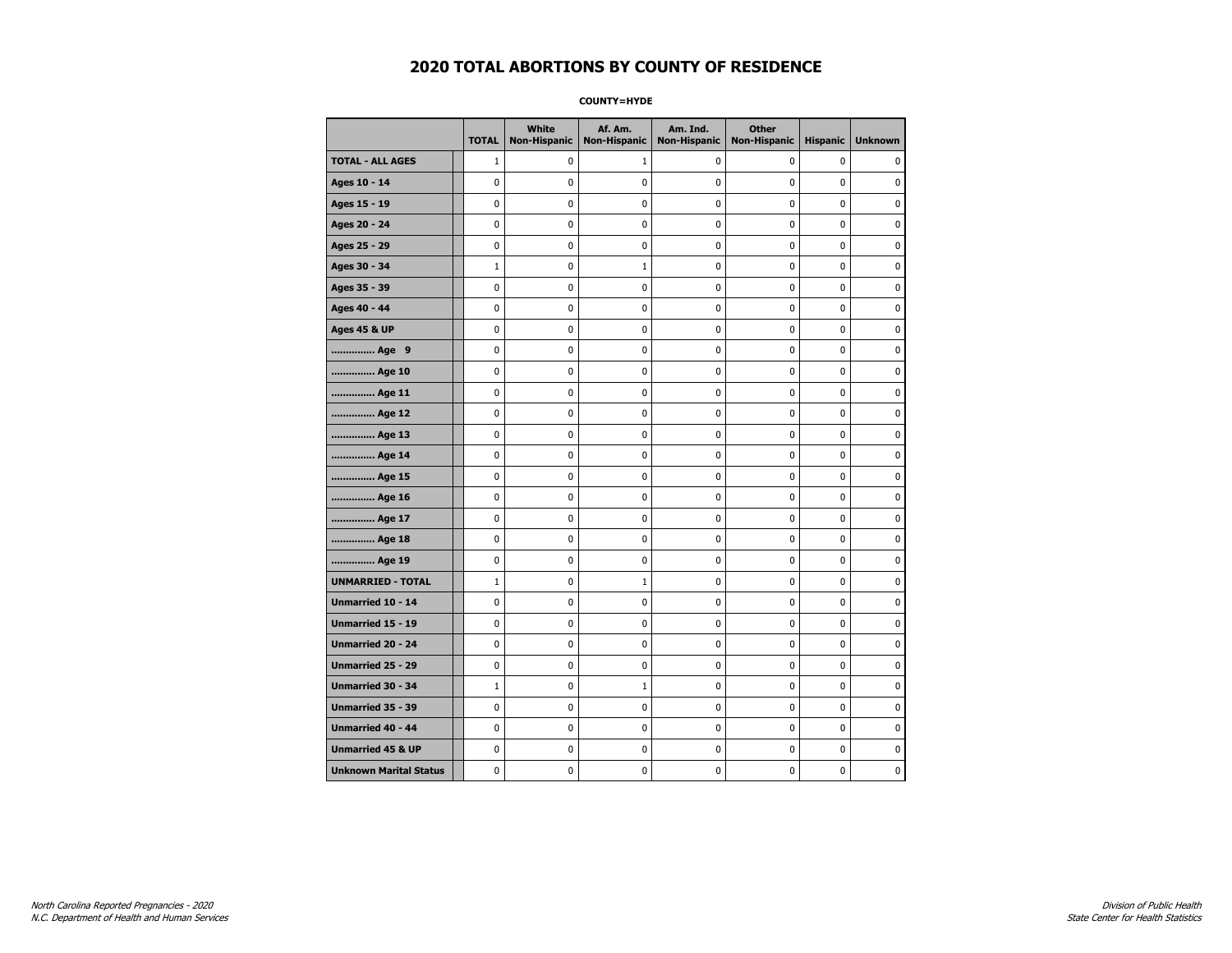**COUNTY=HYDE** 

|                               | <b>TOTAL</b> | White<br>Non-Hispanic | Af. Am.<br><b>Non-Hispanic</b> | Am. Ind.<br><b>Non-Hispanic</b> | <b>Other</b><br><b>Non-Hispanic</b> | <b>Hispanic</b> | <b>Unknown</b> |
|-------------------------------|--------------|-----------------------|--------------------------------|---------------------------------|-------------------------------------|-----------------|----------------|
| <b>TOTAL - ALL AGES</b>       | $\mathbf{1}$ | 0                     | 1                              | 0                               | 0                                   | 0               | $\mathbf{0}$   |
| Ages 10 - 14                  | 0            | 0                     | 0                              | 0                               | 0                                   | 0               | 0              |
| Ages 15 - 19                  | 0            | 0                     | 0                              | 0                               | $\pmb{0}$                           | 0               | $\mathbf 0$    |
| Ages 20 - 24                  | 0            | 0                     | $\pmb{0}$                      | 0                               | $\mathbf 0$                         | 0               | $\mathbf 0$    |
| Ages 25 - 29                  | 0            | 0                     | $\pmb{0}$                      | 0                               | $\pmb{0}$                           | 0               | $\pmb{0}$      |
| Ages 30 - 34                  | $\mathbf 1$  | 0                     | $1\,$                          | 0                               | 0                                   | 0               | 0              |
| Ages 35 - 39                  | 0            | 0                     | 0                              | 0                               | 0                                   | 0               | 0              |
| Ages 40 - 44                  | 0            | 0                     | 0                              | 0                               | $\mathbf 0$                         | 0               | $\pmb{0}$      |
| <b>Ages 45 &amp; UP</b>       | 0            | 0                     | 0                              | 0                               | 0                                   | 0               | $\mathbf 0$    |
| Age 9                         | 0            | 0                     | 0                              | 0                               | $\mathbf 0$                         | 0               | $\mathbf 0$    |
| Age 10                        | 0            | 0                     | $\pmb{0}$                      | 0                               | $\pmb{0}$                           | 0               | 0              |
| Age 11                        | 0            | 0                     | 0                              | 0                               | 0                                   | 0               | $\mathbf 0$    |
| Age 12                        | 0            | 0                     | 0                              | 0                               | 0                                   | 0               | 0              |
| Age 13                        | 0            | 0                     | 0                              | 0                               | 0                                   | 0               | $\mathbf 0$    |
| Age 14                        | 0            | 0                     | 0                              | 0                               | $\mathbf 0$                         | 0               | $\mathbf 0$    |
| Age 15                        | 0            | 0                     | $\pmb{0}$                      | 0                               | $\pmb{0}$                           | 0               | $\pmb{0}$      |
| Age 16                        | 0            | 0                     | $\pmb{0}$                      | 0                               | $\pmb{0}$                           | 0               | $\mathbf 0$    |
| Age 17                        | 0            | 0                     | 0                              | 0                               | 0                                   | 0               | 0              |
| Age 18                        | 0            | 0                     | $\pmb{0}$                      | 0                               | $\pmb{0}$                           | 0               | $\pmb{0}$      |
| Age 19                        | 0            | 0                     | 0                              | 0                               | 0                                   | 0               | $\mathbf 0$    |
| <b>UNMARRIED - TOTAL</b>      | $\mathbf{1}$ | 0                     | $\mathbf{1}$                   | 0                               | $\mathbf 0$                         | 0               | $\mathbf 0$    |
| Unmarried 10 - 14             | 0            | 0                     | $\pmb{0}$                      | 0                               | $\pmb{0}$                           | 0               | 0              |
| Unmarried 15 - 19             | 0            | 0                     | $\pmb{0}$                      | 0                               | $\pmb{0}$                           | 0               | $\mathbf 0$    |
| <b>Unmarried 20 - 24</b>      | 0            | 0                     | 0                              | 0                               | 0                                   | 0               | 0              |
| Unmarried 25 - 29             | 0            | 0                     | 0                              | 0                               | 0                                   | 0               | 0              |
| <b>Unmarried 30 - 34</b>      | $\mathbf{1}$ | 0                     | $1\,$                          | 0                               | $\mathbf 0$                         | 0               | $\mathbf 0$    |
| Unmarried 35 - 39             | 0            | 0                     | 0                              | 0                               | $\mathbf 0$                         | 0               | $\mathbf 0$    |
| Unmarried 40 - 44             | 0            | 0                     | $\pmb{0}$                      | 0                               | $\pmb{0}$                           | 0               | 0              |
| <b>Unmarried 45 &amp; UP</b>  | 0            | 0                     | 0                              | 0                               | 0                                   | 0               | 0              |
| <b>Unknown Marital Status</b> | 0            | 0                     | 0                              | 0                               | 0                                   | 0               | $\mathbf 0$    |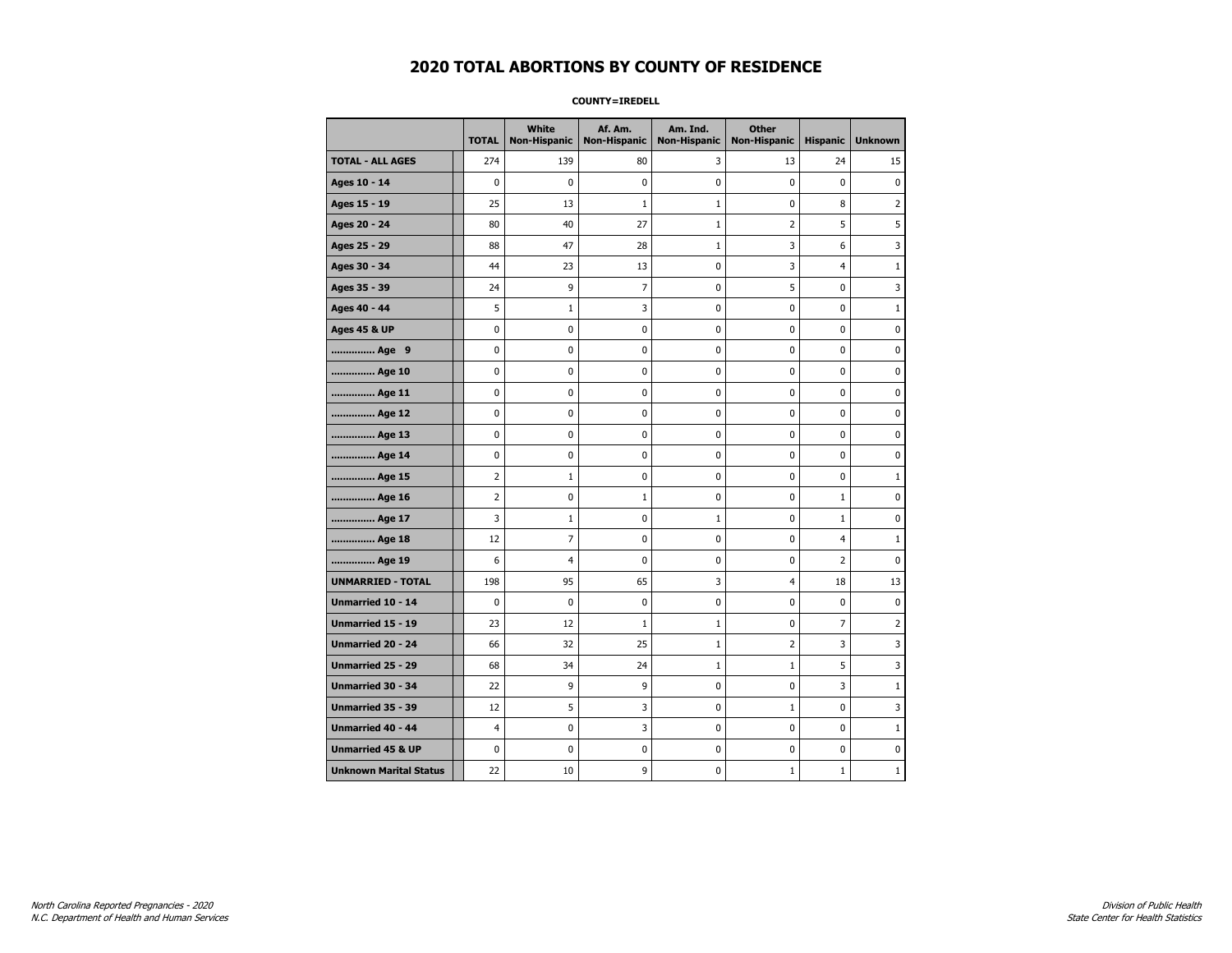**COUNTY=IREDELL** 

|                               | <b>TOTAL</b>   | White<br><b>Non-Hispanic</b> | Af. Am.<br><b>Non-Hispanic</b> | Am. Ind.<br><b>Non-Hispanic</b> | <b>Other</b><br><b>Non-Hispanic</b> | <b>Hispanic</b> | <b>Unknown</b> |
|-------------------------------|----------------|------------------------------|--------------------------------|---------------------------------|-------------------------------------|-----------------|----------------|
| <b>TOTAL - ALL AGES</b>       | 274            | 139                          | 80                             | 3                               | 13                                  | 24              | 15             |
| Ages 10 - 14                  | 0              | 0                            | $\mathbf 0$                    | $\mathbf 0$                     | 0                                   | $\mathbf 0$     | 0              |
| Ages 15 - 19                  | 25             | 13                           | $\mathbf 1$                    | $\mathbf 1$                     | 0                                   | 8               | $\overline{2}$ |
| Ages 20 - 24                  | 80             | 40                           | 27                             | $\mathbf{1}$                    | 2                                   | 5               | 5              |
| Ages 25 - 29                  | 88             | 47                           | 28                             | $\mathbf{1}$                    | 3                                   | 6               | 3              |
| Ages 30 - 34                  | 44             | 23                           | 13                             | 0                               | 3                                   | $\overline{4}$  | $\mathbf{1}$   |
| Ages 35 - 39                  | 24             | 9                            | $\overline{7}$                 | $\mathbf 0$                     | 5                                   | 0               | 3              |
| Ages 40 - 44                  | 5              | $1\,$                        | 3                              | 0                               | 0                                   | 0               | $\mathbf 1$    |
| <b>Ages 45 &amp; UP</b>       | 0              | 0                            | $\mathbf 0$                    | 0                               | 0                                   | $\mathbf 0$     | 0              |
| Age 9                         | 0              | 0                            | 0                              | 0                               | 0                                   | 0               | 0              |
| Age 10                        | 0              | 0                            | $\mathbf 0$                    | $\mathbf 0$                     | 0                                   | 0               | 0              |
| Age 11                        | 0              | 0                            | 0                              | 0                               | 0                                   | 0               | 0              |
| Age 12                        | 0              | 0                            | 0                              | 0                               | 0                                   | 0               | 0              |
| Age 13                        | 0              | 0                            | 0                              | 0                               | 0                                   | 0               | 0              |
| Age 14                        | 0              | 0                            | 0                              | 0                               | 0                                   | 0               | 0              |
| Age 15                        | $\overline{2}$ | $\mathbf{1}$                 | 0                              | $\pmb{0}$                       | 0                                   | 0               | $\mathbf{1}$   |
| Age 16                        | 2              | 0                            | $\mathbf 1$                    | 0                               | 0                                   | $\mathbf 1$     | 0              |
| Age 17                        | 3              | 1                            | $\pmb{0}$                      | 1                               | 0                                   | 1               | 0              |
| Age 18                        | 12             | $\overline{7}$               | $\mathbf 0$                    | $\mathbf 0$                     | 0                                   | $\overline{4}$  | $1\,$          |
| Age 19                        | 6              | 4                            | 0                              | $\pmb{0}$                       | 0                                   | 2               | 0              |
| <b>UNMARRIED - TOTAL</b>      | 198            | 95                           | 65                             | 3                               | 4                                   | 18              | 13             |
| Unmarried 10 - 14             | 0              | 0                            | 0                              | 0                               | 0                                   | 0               | 0              |
| Unmarried 15 - 19             | 23             | 12                           | $\mathbf{1}$                   | 1                               | 0                                   | $\overline{7}$  | 2              |
| Unmarried 20 - 24             | 66             | 32                           | 25                             | $\mathbf{1}$                    | 2                                   | 3               | 3              |
| Unmarried 25 - 29             | 68             | 34                           | 24                             | $1\,$                           | $1\,$                               | 5               | 3              |
| Unmarried 30 - 34             | 22             | 9                            | 9                              | 0                               | 0                                   | 3               | 1              |
| Unmarried 35 - 39             | 12             | 5                            | 3                              | 0                               | $\mathbf{1}$                        | $\mathbf 0$     | 3              |
| <b>Unmarried 40 - 44</b>      | $\overline{4}$ | $\mathbf 0$                  | 3                              | $\mathbf 0$                     | 0                                   | $\mathbf 0$     | $\mathbf{1}$   |
| <b>Unmarried 45 &amp; UP</b>  | 0              | 0                            | $\pmb{0}$                      | 0                               | 0                                   | 0               | 0              |
| <b>Unknown Marital Status</b> | 22             | 10                           | 9                              | 0                               | $\mathbf{1}$                        | $\mathbf{1}$    | $\mathbf{1}$   |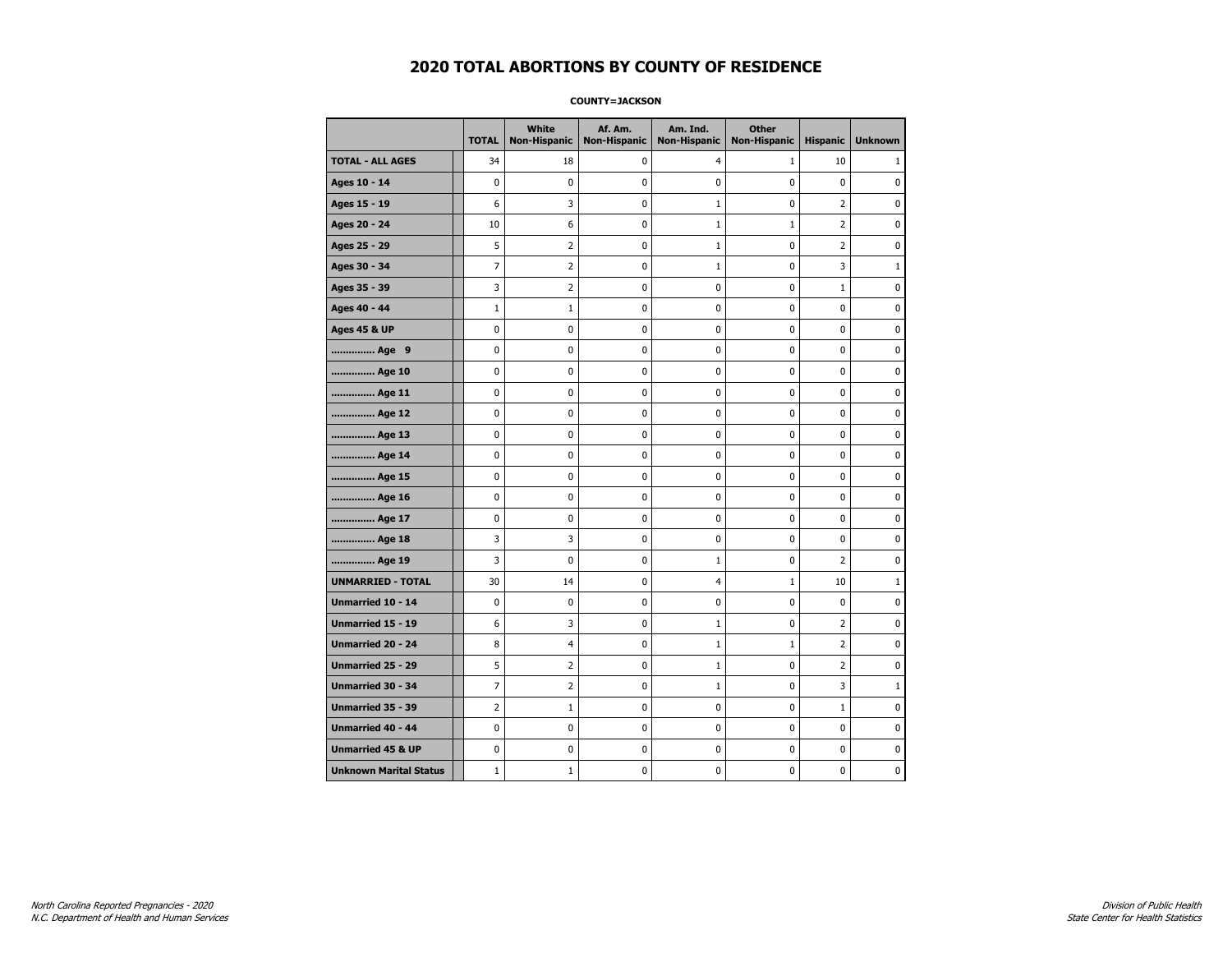#### **COUNTY=JACKSON**

|                               | <b>TOTAL</b>   | <b>White</b><br>Non-Hispanic | Af. Am.<br><b>Non-Hispanic</b> | Am. Ind.<br><b>Non-Hispanic</b> | <b>Other</b><br><b>Non-Hispanic</b> | <b>Hispanic</b> | <b>Unknown</b> |
|-------------------------------|----------------|------------------------------|--------------------------------|---------------------------------|-------------------------------------|-----------------|----------------|
| <b>TOTAL - ALL AGES</b>       | 34             | 18                           | 0                              | $\overline{4}$                  | $\mathbf{1}$                        | 10              | 1              |
| Ages 10 - 14                  | $\mathbf 0$    | $\mathbf 0$                  | $\mathbf 0$                    | $\mathbf 0$                     | $\mathbf 0$                         | $\mathbf 0$     | 0              |
| Ages 15 - 19                  | 6              | 3                            | $\mathbf 0$                    | $\mathbf 1$                     | $\mathbf 0$                         | $\overline{2}$  | 0              |
| Ages 20 - 24                  | 10             | 6                            | $\pmb{0}$                      | $\mathbf 1$                     | $\mathbf{1}$                        | $\overline{2}$  | 0              |
| Ages 25 - 29                  | 5              | $\overline{2}$               | $\pmb{0}$                      | $\mathbf 1$                     | $\mathbf 0$                         | $\overline{2}$  | 0              |
| Ages 30 - 34                  | $\overline{7}$ | $\overline{2}$               | $\mathbf 0$                    | $\mathbf{1}$                    | $\mathbf 0$                         | 3               | $\mathbf{1}$   |
| Ages 35 - 39                  | 3              | $\overline{2}$               | $\pmb{0}$                      | $\pmb{0}$                       | $\mathbf 0$                         | $\mathbf 1$     | 0              |
| Ages 40 - 44                  | $\mathbf{1}$   | $\mathbf{1}$                 | 0                              | 0                               | 0                                   | 0               | 0              |
| <b>Ages 45 &amp; UP</b>       | $\mathbf 0$    | 0                            | $\mathbf 0$                    | 0                               | $\mathbf 0$                         | $\mathbf 0$     | 0              |
| Age 9                         | $\mathbf 0$    | 0                            | $\mathbf 0$                    | $\pmb{0}$                       | $\mathbf 0$                         | $\mathbf 0$     | 0              |
| Age 10                        | $\pmb{0}$      | 0                            | $\pmb{0}$                      | $\pmb{0}$                       | $\pmb{0}$                           | $\pmb{0}$       | 0              |
| Age 11                        | 0              | 0                            | $\pmb{0}$                      | 0                               | 0                                   | 0               | 0              |
| Age 12                        | 0              | 0                            | $\pmb{0}$                      | 0                               | 0                                   | 0               | 0              |
| Age 13                        | $\mathbf 0$    | 0                            | $\mathbf 0$                    | $\mathbf 0$                     | $\mathbf 0$                         | $\mathbf 0$     | 0              |
| Age 14                        | $\pmb{0}$      | 0                            | $\pmb{0}$                      | $\pmb{0}$                       | $\pmb{0}$                           | 0               | 0              |
| Age 15                        | $\pmb{0}$      | 0                            | $\pmb{0}$                      | $\pmb{0}$                       | $\pmb{0}$                           | $\pmb{0}$       | $\pmb{0}$      |
| Age 16                        | $\mathbf 0$    | 0                            | $\pmb{0}$                      | 0                               | $\mathbf 0$                         | $\mathbf 0$     | 0              |
| Age 17                        | $\mathbf 0$    | 0                            | $\mathbf 0$                    | $\mathbf 0$                     | $\mathbf 0$                         | $\mathbf 0$     | 0              |
| Age 18                        | 3              | 3                            | $\mathbf 0$                    | 0                               | $\mathbf 0$                         | $\mathbf 0$     | 0              |
| Age 19                        | 3              | $\pmb{0}$                    | $\pmb{0}$                      | $\mathbf 1$                     | $\pmb{0}$                           | $\overline{2}$  | 0              |
| <b>UNMARRIED - TOTAL</b>      | 30             | 14                           | $\pmb{0}$                      | $\overline{4}$                  | $\mathbf{1}$                        | 10              | 1              |
| Unmarried 10 - 14             | $\mathbf 0$    | 0                            | $\mathbf 0$                    | 0                               | $\mathbf 0$                         | $\mathbf 0$     | 0              |
| Unmarried 15 - 19             | 6              | 3                            | $\mathbf 0$                    | $\mathbf 1$                     | $\mathbf 0$                         | $\overline{2}$  | 0              |
| Unmarried 20 - 24             | 8              | 4                            | 0                              | $\mathbf 1$                     | $\mathbf{1}$                        | $\mathbf 2$     | 0              |
| Unmarried 25 - 29             | 5              | $\overline{2}$               | $\pmb{0}$                      | $\mathbf{1}$                    | 0                                   | $\overline{2}$  | 0              |
| <b>Unmarried 30 - 34</b>      | $\overline{7}$ | $\overline{2}$               | $\pmb{0}$                      | $\mathbf 1$                     | $\mathbf 0$                         | 3               | $\mathbf{1}$   |
| <b>Unmarried 35 - 39</b>      | $\overline{2}$ | $\mathbf{1}$                 | $\mathbf 0$                    | 0                               | $\mathbf 0$                         | $\mathbf{1}$    | 0              |
| Unmarried 40 - 44             | $\mathbf 0$    | $\mathbf 0$                  | $\pmb{0}$                      | $\pmb{0}$                       | $\mathbf 0$                         | $\mathbf 0$     | $\pmb{0}$      |
| <b>Unmarried 45 &amp; UP</b>  | 0              | 0                            | 0                              | 0                               | 0                                   | 0               | 0              |
| <b>Unknown Marital Status</b> | $1\,$          | $\mathbf{1}$                 | $\pmb{0}$                      | 0                               | $\mathbf 0$                         | 0               | 0              |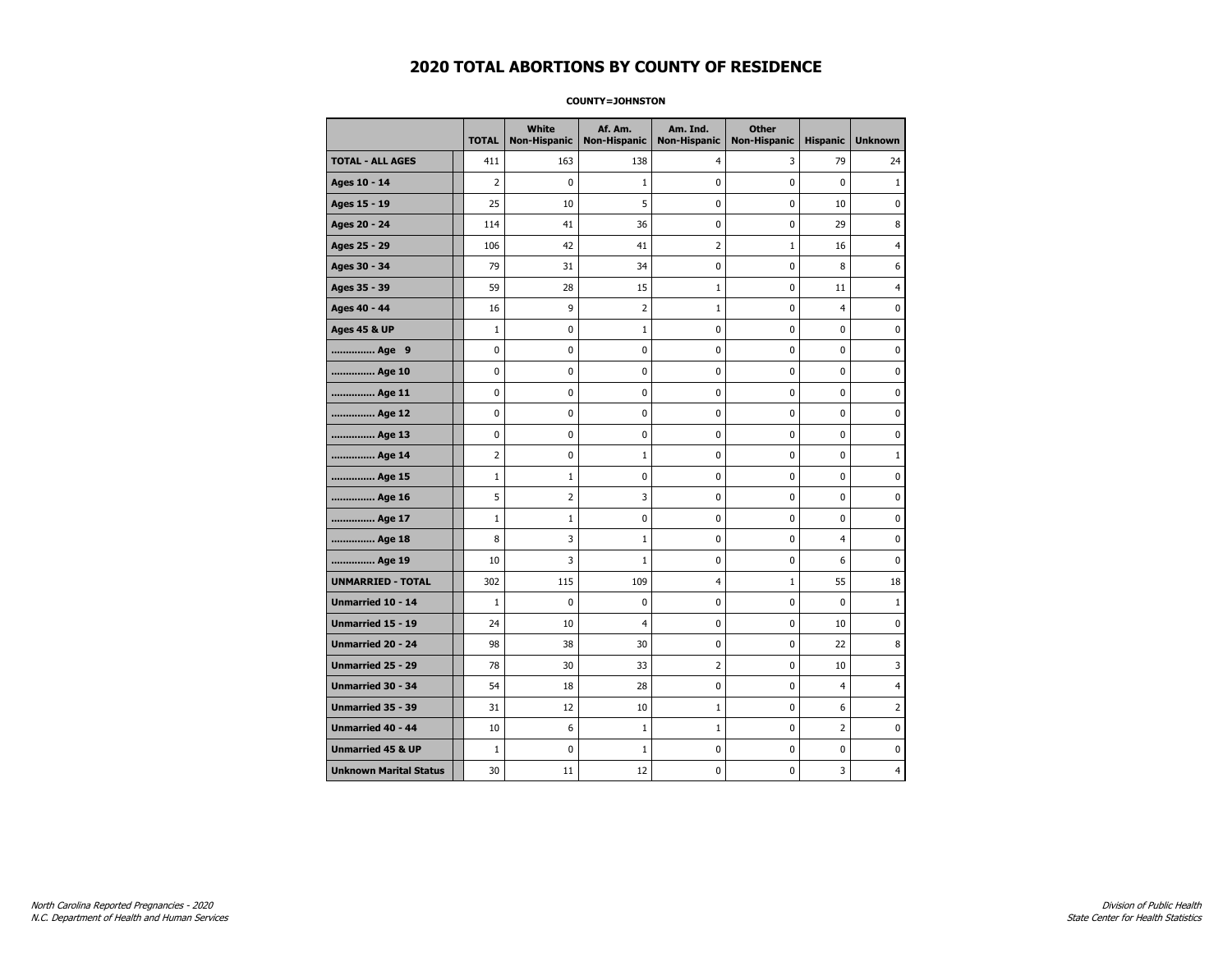#### **COUNTY=JOHNSTON**

|                               | <b>TOTAL</b> | White<br><b>Non-Hispanic</b> | Af. Am.<br><b>Non-Hispanic</b> | Am. Ind.<br><b>Non-Hispanic</b> | <b>Other</b><br><b>Non-Hispanic</b> | <b>Hispanic</b> | <b>Unknown</b> |
|-------------------------------|--------------|------------------------------|--------------------------------|---------------------------------|-------------------------------------|-----------------|----------------|
| <b>TOTAL - ALL AGES</b>       | 411          | 163                          | 138                            | 4                               | 3                                   | 79              | 24             |
| Ages 10 - 14                  | 2            | 0                            | $\mathbf{1}$                   | 0                               | 0                                   | 0               | $\mathbf{1}$   |
| Ages 15 - 19                  | 25           | 10                           | 5                              | $\mathbf 0$                     | 0                                   | 10              | $\mathbf 0$    |
| Ages 20 - 24                  | 114          | 41                           | 36                             | 0                               | 0                                   | 29              | 8              |
| Ages 25 - 29                  | 106          | 42                           | 41                             | $\overline{2}$                  | 1                                   | 16              | 4              |
| Ages 30 - 34                  | 79           | 31                           | 34                             | 0                               | 0                                   | 8               | 6              |
| Ages 35 - 39                  | 59           | 28                           | 15                             | $\mathbf{1}$                    | 0                                   | 11              | $\overline{4}$ |
| Ages 40 - 44                  | 16           | 9                            | 2                              | $\mathbf{1}$                    | 0                                   | 4               | 0              |
| <b>Ages 45 &amp; UP</b>       | $\mathbf 1$  | 0                            | $\mathbf{1}$                   | 0                               | 0                                   | 0               | 0              |
| Age 9                         | $\mathbf 0$  | 0                            | $\mathbf 0$                    | 0                               | 0                                   | $\mathbf 0$     | 0              |
| Age 10                        | 0            | 0                            | $\mathbf 0$                    | $\mathbf 0$                     | 0                                   | $\mathbf 0$     | $\mathbf 0$    |
| Age 11                        | 0            | $\pmb{0}$                    | 0                              | $\pmb{0}$                       | 0                                   | $\pmb{0}$       | $\pmb{0}$      |
| Age 12                        | 0            | 0                            | $\pmb{0}$                      | 0                               | 0                                   | 0               | 0              |
| Age 13                        | 0            | 0                            | $\mathbf 0$                    | 0                               | 0                                   | $\mathbf 0$     | 0              |
| Age 14                        | 2            | 0                            | $\mathbf{1}$                   | 0                               | 0                                   | 0               | $\mathbf{1}$   |
| Age 15                        | $\mathbf 1$  | 1                            | 0                              | 0                               | 0                                   | 0               | 0              |
| Age 16                        | 5            | $\overline{2}$               | 3                              | $\mathbf 0$                     | 0                                   | $\mathbf 0$     | 0              |
| Age 17                        | $\mathbf{1}$ | $\mathbf{1}$                 | $\mathbf 0$                    | $\mathbf 0$                     | 0                                   | $\mathbf 0$     | $\mathbf 0$    |
| Age 18                        | 8            | 3                            | $\mathbf{1}$                   | $\mathbf 0$                     | 0                                   | $\overline{4}$  | 0              |
| Age 19                        | 10           | 3                            | 1                              | $\pmb{0}$                       | $\pmb{0}$                           | 6               | 0              |
| <b>UNMARRIED - TOTAL</b>      | 302          | 115                          | 109                            | $\overline{4}$                  | $1\,$                               | 55              | 18             |
| Unmarried 10 - 14             | $1\,$        | 0                            | 0                              | 0                               | 0                                   | $\mathbf 0$     | $\mathbf{1}$   |
| Unmarried 15 - 19             | 24           | 10                           | 4                              | 0                               | 0                                   | 10              | 0              |
| Unmarried 20 - 24             | 98           | 38                           | 30                             | 0                               | 0                                   | 22              | 8              |
| <b>Unmarried 25 - 29</b>      | 78           | 30                           | 33                             | $\overline{2}$                  | 0                                   | 10              | 3              |
| Unmarried 30 - 34             | 54           | 18                           | 28                             | $\pmb{0}$                       | 0                                   | $\overline{4}$  | $\overline{4}$ |
| Unmarried 35 - 39             | 31           | 12                           | 10                             | $\mathbf 1$                     | $\pmb{0}$                           | 6               | $\overline{2}$ |
| Unmarried 40 - 44             | 10           | 6                            | $\mathbf{1}$                   | $\mathbf{1}$                    | 0                                   | 2               | 0              |
| <b>Unmarried 45 &amp; UP</b>  | $\mathbf{1}$ | $\mathbf 0$                  | $\mathbf{1}$                   | 0                               | 0                                   | 0               | 0              |
| <b>Unknown Marital Status</b> | 30           | 11                           | 12                             | 0                               | 0                                   | 3               | 4              |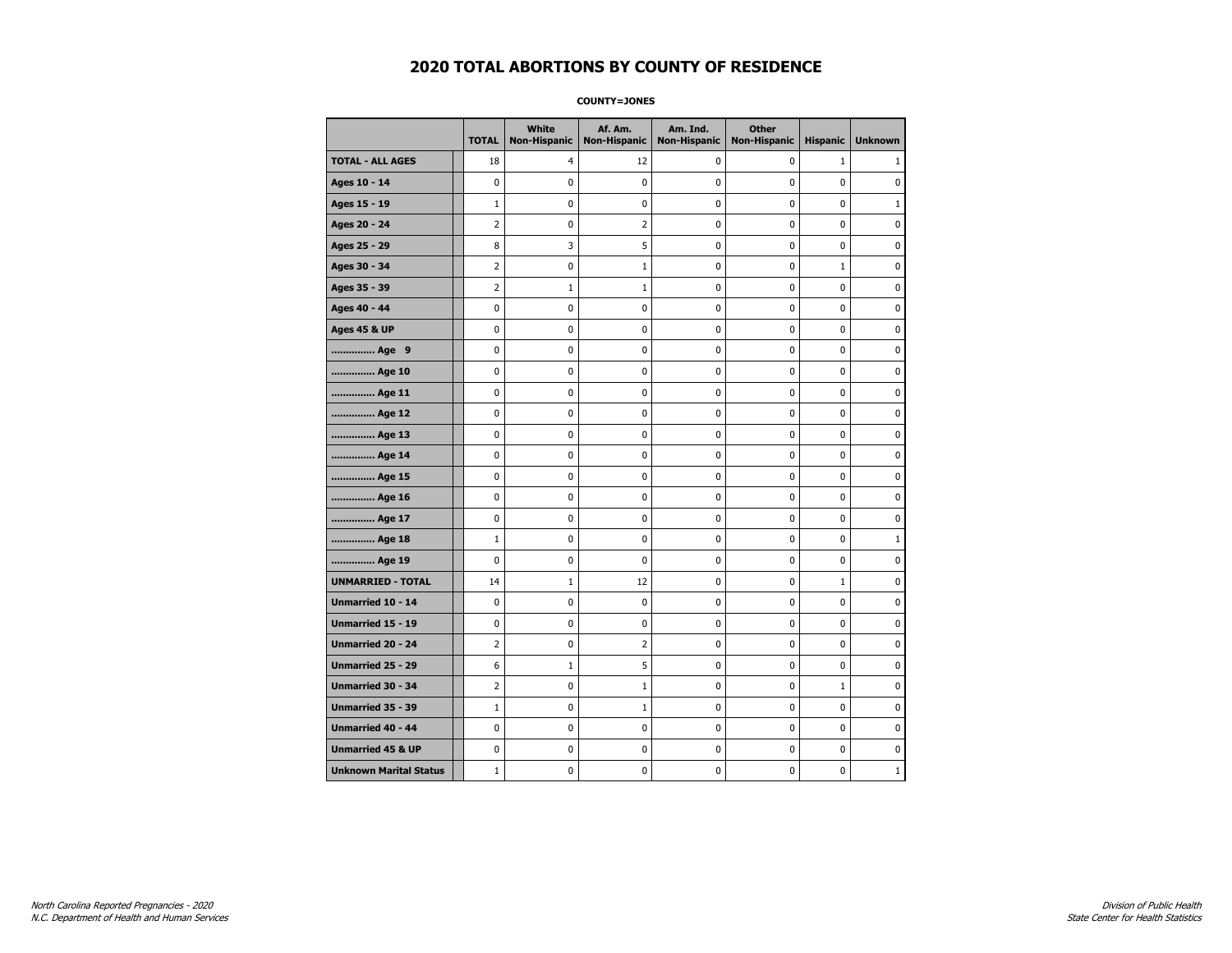**COUNTY=JONES** 

|                               | <b>TOTAL</b>   | White<br>Non-Hispanic | Af. Am.<br><b>Non-Hispanic</b> | Am. Ind.<br><b>Non-Hispanic</b> | <b>Other</b><br><b>Non-Hispanic</b> | <b>Hispanic</b> | <b>Unknown</b> |
|-------------------------------|----------------|-----------------------|--------------------------------|---------------------------------|-------------------------------------|-----------------|----------------|
| <b>TOTAL - ALL AGES</b>       | 18             | 4                     | 12                             | 0                               | 0                                   | $\mathbf{1}$    | 1              |
| Ages 10 - 14                  | 0              | 0                     | 0                              | 0                               | 0                                   | 0               | 0              |
| Ages 15 - 19                  | $\mathbf{1}$   | 0                     | 0                              | 0                               | $\pmb{0}$                           | 0               | $\mathbf{1}$   |
| Ages 20 - 24                  | $\overline{2}$ | 0                     | $\overline{2}$                 | 0                               | $\mathbf 0$                         | 0               | $\mathbf 0$    |
| Ages 25 - 29                  | 8              | 3                     | 5                              | 0                               | $\pmb{0}$                           | 0               | $\pmb{0}$      |
| Ages 30 - 34                  | 2              | 0                     | $1\,$                          | 0                               | 0                                   | $\mathbf 1$     | 0              |
| Ages 35 - 39                  | 2              | $\mathbf{1}$          | $\mathbf{1}$                   | 0                               | 0                                   | 0               | 0              |
| Ages 40 - 44                  | 0              | 0                     | 0                              | 0                               | $\mathbf 0$                         | 0               | $\pmb{0}$      |
| <b>Ages 45 &amp; UP</b>       | 0              | 0                     | 0                              | 0                               | 0                                   | 0               | $\mathbf 0$    |
| Age 9                         | 0              | 0                     | 0                              | 0                               | $\mathbf 0$                         | 0               | $\mathbf 0$    |
| Age 10                        | 0              | 0                     | $\pmb{0}$                      | 0                               | $\pmb{0}$                           | 0               | 0              |
| Age 11                        | 0              | 0                     | 0                              | 0                               | 0                                   | 0               | $\mathbf 0$    |
| Age 12                        | 0              | 0                     | 0                              | 0                               | 0                                   | 0               | 0              |
| Age 13                        | 0              | 0                     | 0                              | 0                               | 0                                   | 0               | $\mathbf 0$    |
| Age 14                        | 0              | 0                     | 0                              | 0                               | $\mathbf 0$                         | 0               | $\mathbf 0$    |
| Age 15                        | 0              | 0                     | $\pmb{0}$                      | 0                               | $\pmb{0}$                           | 0               | $\pmb{0}$      |
| Age 16                        | 0              | 0                     | $\pmb{0}$                      | 0                               | $\pmb{0}$                           | 0               | $\mathbf 0$    |
| Age 17                        | 0              | 0                     | 0                              | 0                               | 0                                   | 0               | 0              |
| Age 18                        | $\mathbf{1}$   | 0                     | $\pmb{0}$                      | 0                               | $\pmb{0}$                           | 0               | $\mathbf{1}$   |
| Age 19                        | 0              | 0                     | 0                              | 0                               | 0                                   | 0               | $\mathbf 0$    |
| <b>UNMARRIED - TOTAL</b>      | 14             | $\mathbf{1}$          | 12                             | 0                               | $\mathbf 0$                         | 1               | $\mathbf 0$    |
| Unmarried 10 - 14             | 0              | 0                     | $\pmb{0}$                      | 0                               | $\pmb{0}$                           | 0               | 0              |
| Unmarried 15 - 19             | 0              | 0                     | 0                              | 0                               | $\pmb{0}$                           | 0               | $\pmb{0}$      |
| <b>Unmarried 20 - 24</b>      | 2              | 0                     | 2                              | 0                               | 0                                   | 0               | 0              |
| <b>Unmarried 25 - 29</b>      | 6              | $\mathbf{1}$          | 5                              | 0                               | 0                                   | 0               | 0              |
| <b>Unmarried 30 - 34</b>      | $\overline{2}$ | 0                     | $1\,$                          | 0                               | $\mathbf 0$                         | $\mathbf{1}$    | $\mathbf 0$    |
| Unmarried 35 - 39             | $\mathbf{1}$   | 0                     | $1\,$                          | 0                               | $\mathbf 0$                         | 0               | $\mathbf 0$    |
| Unmarried 40 - 44             | 0              | 0                     | $\pmb{0}$                      | 0                               | $\pmb{0}$                           | 0               | 0              |
| <b>Unmarried 45 &amp; UP</b>  | 0              | 0                     | 0                              | 0                               | 0                                   | 0               | 0              |
| <b>Unknown Marital Status</b> | $\mathbf{1}$   | 0                     | 0                              | 0                               | 0                                   | 0               | $\mathbf{1}$   |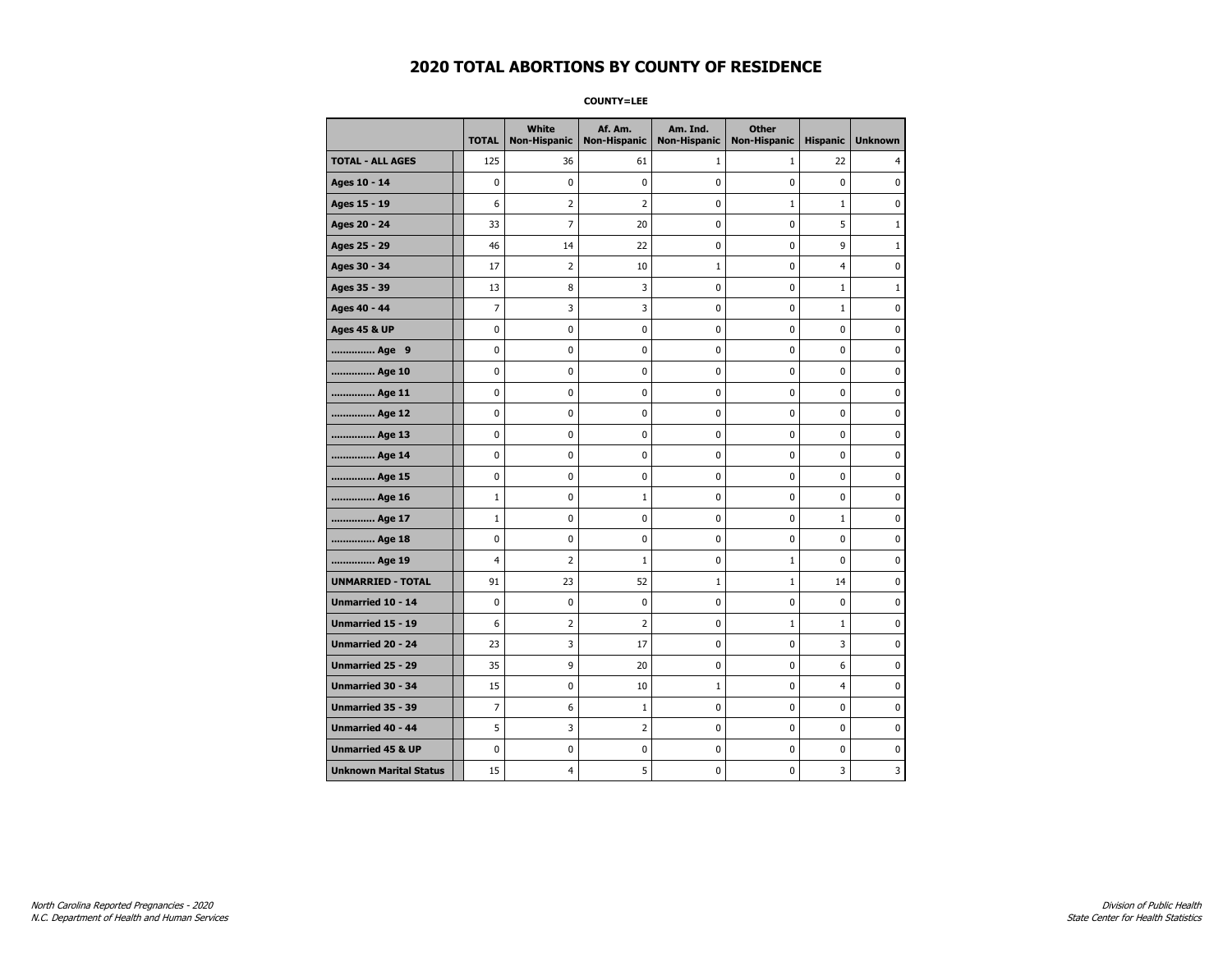**COUNTY=LEE** 

|                               | <b>TOTAL</b>   | White<br><b>Non-Hispanic</b> | Af. Am.<br><b>Non-Hispanic</b> | Am. Ind.<br><b>Non-Hispanic</b> | <b>Other</b><br><b>Non-Hispanic</b> | <b>Hispanic</b> | <b>Unknown</b> |
|-------------------------------|----------------|------------------------------|--------------------------------|---------------------------------|-------------------------------------|-----------------|----------------|
| <b>TOTAL - ALL AGES</b>       | 125            | 36                           | 61                             | $\mathbf{1}$                    | $\mathbf{1}$                        | 22              | 4              |
| Ages 10 - 14                  | $\mathbf 0$    | $\mathbf 0$                  | 0                              | 0                               | 0                                   | $\mathbf 0$     | 0              |
| Ages 15 - 19                  | 6              | 2                            | 2                              | 0                               | $\mathbf{1}$                        | $\mathbf{1}$    | 0              |
| Ages 20 - 24                  | 33             | 7                            | 20                             | 0                               | 0                                   | 5               | $\mathbf{1}$   |
| Ages 25 - 29                  | 46             | 14                           | 22                             | 0                               | 0                                   | 9               | $1\,$          |
| Ages 30 - 34                  | 17             | 2                            | 10                             | $\mathbf 1$                     | 0                                   | 4               | 0              |
| Ages 35 - 39                  | 13             | 8                            | 3                              | 0                               | 0                                   | $\mathbf{1}$    | $\mathbf{1}$   |
| Ages 40 - 44                  | $\overline{7}$ | 3                            | 3                              | 0                               | 0                                   | $\mathbf{1}$    | $\mathbf 0$    |
| <b>Ages 45 &amp; UP</b>       | 0              | 0                            | 0                              | 0                               | 0                                   | 0               | 0              |
| Age 9                         | 0              | 0                            | 0                              | 0                               | 0                                   | 0               | 0              |
| Age 10                        | 0              | 0                            | 0                              | 0                               | 0                                   | 0               | 0              |
| Age 11                        | 0              | 0                            | 0                              | 0                               | 0                                   | 0               | 0              |
| Age 12                        | $\mathbf 0$    | 0                            | 0                              | 0                               | 0                                   | 0               | 0              |
| Age 13                        | $\pmb{0}$      | 0                            | 0                              | 0                               | 0                                   | 0               | 0              |
| Age 14                        | 0              | 0                            | 0                              | 0                               | 0                                   | 0               | 0              |
| Age 15                        | 0              | $\mathbf 0$                  | 0                              | 0                               | 0                                   | 0               | 0              |
| Age 16                        | $\mathbf{1}$   | 0                            | $\mathbf{1}$                   | 0                               | 0                                   | 0               | 0              |
| Age 17                        | $\mathbf{1}$   | 0                            | 0                              | 0                               | 0                                   | $\mathbf{1}$    | 0              |
| Age 18                        | 0              | 0                            | 0                              | 0                               | 0                                   | 0               | $\pmb{0}$      |
| Age 19                        | 4              | 2                            | $\mathbf{1}$                   | 0                               | $\mathbf{1}$                        | 0               | 0              |
| <b>UNMARRIED - TOTAL</b>      | 91             | 23                           | 52                             | $\mathbf 1$                     | $\mathbf{1}$                        | 14              | 0              |
| Unmarried 10 - 14             | $\mathbf 0$    | 0                            | 0                              | 0                               | 0                                   | 0               | 0              |
| <b>Unmarried 15 - 19</b>      | 6              | $\overline{2}$               | $\overline{2}$                 | 0                               | $\mathbf{1}$                        | $\mathbf{1}$    | 0              |
| <b>Unmarried 20 - 24</b>      | 23             | 3                            | 17                             | 0                               | 0                                   | 3               | $\pmb{0}$      |
| <b>Unmarried 25 - 29</b>      | 35             | 9                            | 20                             | 0                               | 0                                   | 6               | 0              |
| <b>Unmarried 30 - 34</b>      | 15             | 0                            | 10                             | $\mathbf 1$                     | 0                                   | 4               | 0              |
| Unmarried 35 - 39             | $\overline{7}$ | 6                            | $\mathbf{1}$                   | 0                               | 0                                   | 0               | $\mathbf 0$    |
| <b>Unmarried 40 - 44</b>      | 5              | 3                            | $\overline{2}$                 | $\pmb{0}$                       | 0                                   | 0               | $\pmb{0}$      |
| <b>Unmarried 45 &amp; UP</b>  | 0              | 0                            | 0                              | 0                               | 0                                   | 0               | 0              |
| <b>Unknown Marital Status</b> | 15             | 4                            | 5                              | 0                               | 0                                   | 3               | 3              |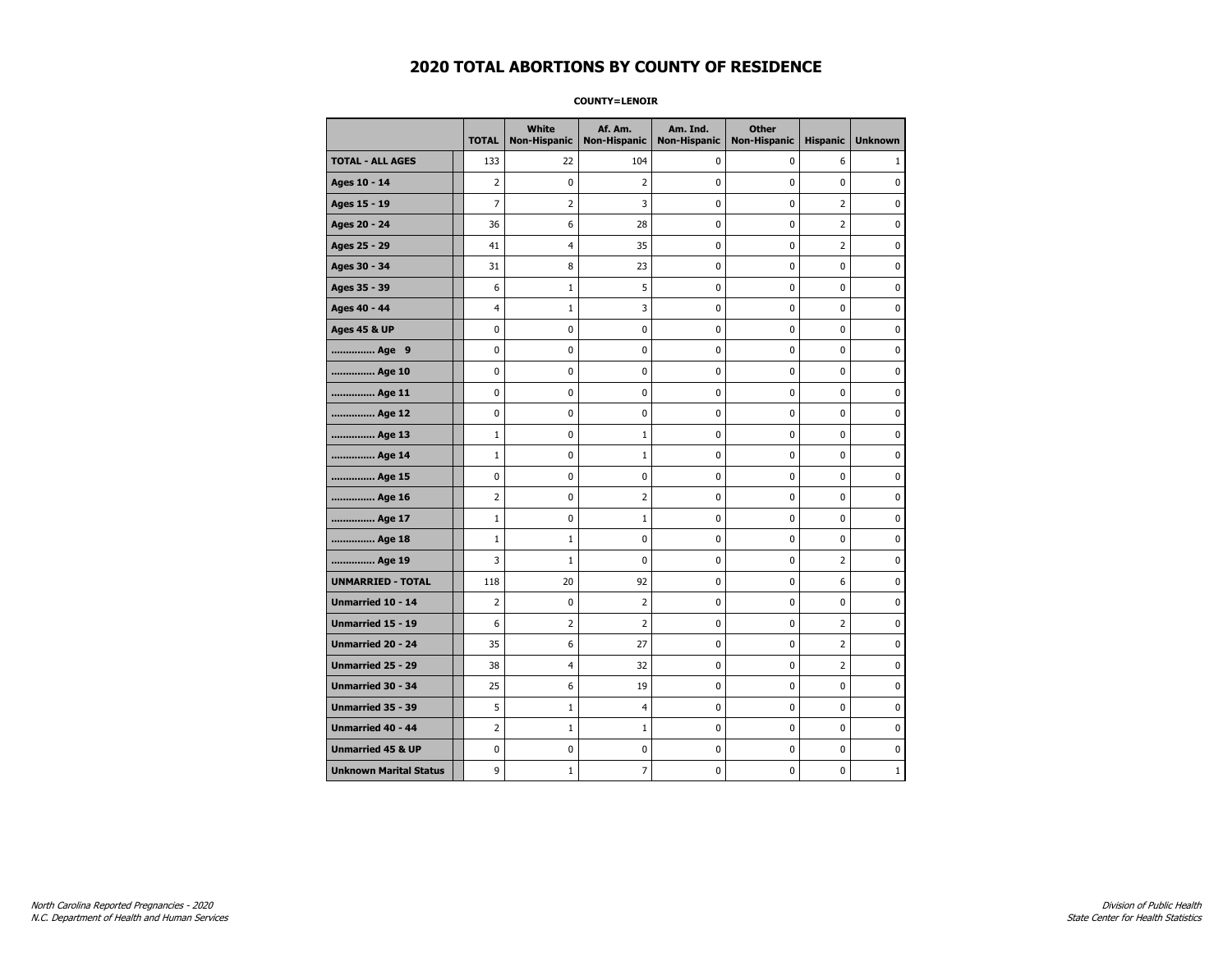**COUNTY=LENOIR** 

|                               | <b>TOTAL</b>   | White<br><b>Non-Hispanic</b> | Af. Am.<br><b>Non-Hispanic</b> | Am. Ind.<br><b>Non-Hispanic</b> | <b>Other</b><br><b>Non-Hispanic</b> | <b>Hispanic</b>         | <b>Unknown</b> |
|-------------------------------|----------------|------------------------------|--------------------------------|---------------------------------|-------------------------------------|-------------------------|----------------|
| <b>TOTAL - ALL AGES</b>       | 133            | 22                           | 104                            | 0                               | 0                                   | 6                       | 1              |
| Ages 10 - 14                  | 2              | $\mathbf 0$                  | 2                              | $\mathbf 0$                     | 0                                   | 0                       | 0              |
| Ages 15 - 19                  | $\overline{7}$ | 2                            | 3                              | 0                               | 0                                   | $\overline{2}$          | $\mathbf 0$    |
| Ages 20 - 24                  | 36             | 6                            | 28                             | 0                               | 0                                   | $\overline{\mathbf{c}}$ | 0              |
| Ages 25 - 29                  | 41             | 4                            | 35                             | 0                               | 0                                   | $\overline{2}$          | 0              |
| Ages 30 - 34                  | 31             | 8                            | 23                             | 0                               | 0                                   | 0                       | 0              |
| Ages 35 - 39                  | 6              | 1                            | 5                              | 0                               | 0                                   | 0                       | 0              |
| Ages 40 - 44                  | 4              | 1                            | 3                              | 0                               | $\mathbf 0$                         | $\mathbf 0$             | $\mathbf 0$    |
| <b>Ages 45 &amp; UP</b>       | $\pmb{0}$      | 0                            | 0                              | 0                               | $\pmb{0}$                           | $\pmb{0}$               | $\pmb{0}$      |
| Age 9                         | 0              | 0                            | 0                              | 0                               | 0                                   | 0                       | 0              |
| Age 10                        | 0              | 0                            | 0                              | 0                               | 0                                   | 0                       | 0              |
| Age 11                        | 0              | 0                            | 0                              | 0                               | 0                                   | 0                       | $\mathbf 0$    |
| Age 12                        | 0              | 0                            | 0                              | 0                               | 0                                   | 0                       | $\mathbf 0$    |
| Age 13                        | $\mathbf{1}$   | 0                            | 1                              | 0                               | $\pmb{0}$                           | 0                       | 0              |
| Age 14                        | $\mathbf{1}$   | 0                            | $\mathbf{1}$                   | 0                               | 0                                   | 0                       | 0              |
| Age 15                        | 0              | 0                            | 0                              | 0                               | 0                                   | 0                       | $\mathbf 0$    |
| Age 16                        | $\overline{2}$ | 0                            | 2                              | 0                               | $\pmb{0}$                           | 0                       | $\mathbf 0$    |
| Age 17                        | $\mathbf{1}$   | 0                            | $\mathbf{1}$                   | 0                               | 0                                   | 0                       | $\mathbf 0$    |
| Age 18                        | $\mathbf{1}$   | $\mathbf{1}$                 | 0                              | 0                               | $\pmb{0}$                           | 0                       | $\pmb{0}$      |
| Age 19                        | 3              | 1                            | 0                              | 0                               | 0                                   | $\overline{2}$          | 0              |
| <b>UNMARRIED - TOTAL</b>      | 118            | 20                           | 92                             | 0                               | 0                                   | 6                       | 0              |
| Unmarried 10 - 14             | $\overline{2}$ | $\mathbf 0$                  | 2                              | 0                               | $\pmb{0}$                           | 0                       | $\mathbf 0$    |
| <b>Unmarried 15 - 19</b>      | 6              | $\overline{2}$               | $\overline{2}$                 | 0                               | 0                                   | $\overline{2}$          | $\mathbf 0$    |
| Unmarried 20 - 24             | 35             | 6                            | 27                             | 0                               | $\pmb{0}$                           | 2                       | $\pmb{0}$      |
| Unmarried 25 - 29             | 38             | 4                            | 32                             | 0                               | 0                                   | $\overline{2}$          | 0              |
| <b>Unmarried 30 - 34</b>      | 25             | 6                            | 19                             | 0                               | $\pmb{0}$                           | 0                       | $\mathbf 0$    |
| Unmarried 35 - 39             | 5              | 1                            | 4                              | 0                               | 0                                   | 0                       | $\mathbf 0$    |
| <b>Unmarried 40 - 44</b>      | $\overline{2}$ | $\mathbf{1}$                 | $\mathbf 1$                    | 0                               | $\pmb{0}$                           | 0                       | 0              |
| <b>Unmarried 45 &amp; UP</b>  | 0              | 0                            | 0                              | 0                               | 0                                   | 0                       | 0              |
| <b>Unknown Marital Status</b> | 9              | $\mathbf{1}$                 | $\overline{7}$                 | 0                               | 0                                   | 0                       | $\mathbf{1}$   |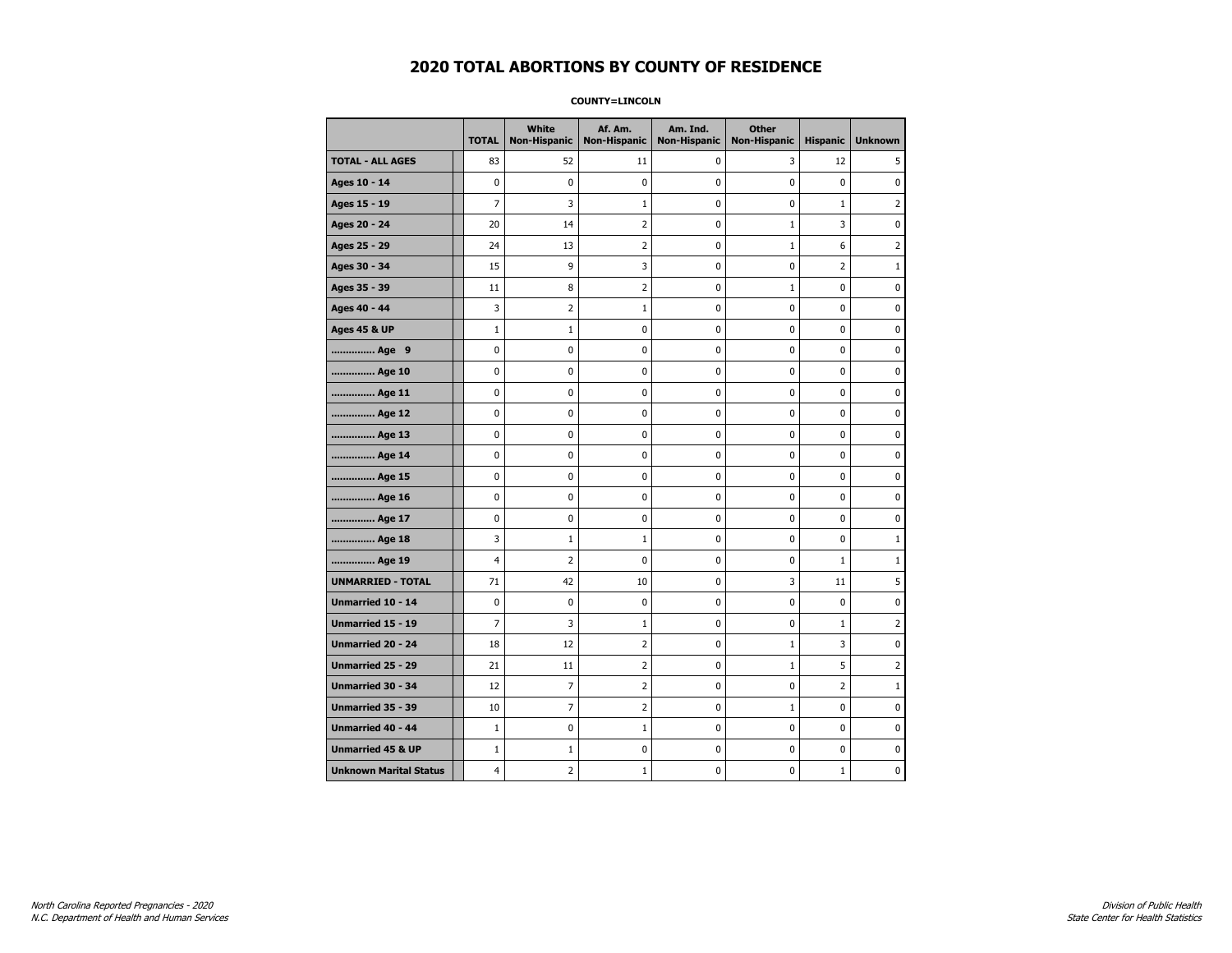#### **COUNTY=LINCOLN**

|                               | <b>TOTAL</b>   | <b>White</b><br>Non-Hispanic | Af. Am.<br><b>Non-Hispanic</b> | Am. Ind.<br><b>Non-Hispanic</b> | <b>Other</b><br><b>Non-Hispanic</b> | <b>Hispanic</b> | <b>Unknown</b> |
|-------------------------------|----------------|------------------------------|--------------------------------|---------------------------------|-------------------------------------|-----------------|----------------|
| <b>TOTAL - ALL AGES</b>       | 83             | 52                           | 11                             | $\mathbf 0$                     | 3                                   | 12              | 5              |
| Ages 10 - 14                  | $\mathbf 0$    | $\mathbf 0$                  | $\mathbf 0$                    | 0                               | $\mathbf 0$                         | $\mathbf 0$     | 0              |
| Ages 15 - 19                  | $\overline{7}$ | 3                            | 1                              | $\mathbf 0$                     | $\mathbf 0$                         | $\mathbf{1}$    | $\overline{2}$ |
| Ages 20 - 24                  | 20             | 14                           | $\overline{2}$                 | $\pmb{0}$                       | $\mathbf{1}$                        | 3               | 0              |
| Ages 25 - 29                  | 24             | 13                           | 2                              | 0                               | $\mathbf{1}$                        | 6               | 2              |
| Ages 30 - 34                  | 15             | 9                            | 3                              | 0                               | $\mathbf 0$                         | $\overline{2}$  | $\mathbf{1}$   |
| Ages 35 - 39                  | 11             | 8                            | $\overline{2}$                 | 0                               | $\mathbf{1}$                        | $\mathbf 0$     | 0              |
| Ages 40 - 44                  | 3              | $\overline{2}$               | $\mathbf{1}$                   | $\mathbf 0$                     | $\mathbf 0$                         | $\mathbf 0$     | 0              |
| <b>Ages 45 &amp; UP</b>       | $\mathbf 1$    | $\mathbf 1$                  | $\pmb{0}$                      | $\pmb{0}$                       | $\pmb{0}$                           | $\pmb{0}$       | 0              |
| Age 9                         | 0              | 0                            | 0                              | 0                               | 0                                   | 0               | 0              |
| Age 10                        | $\mathbf 0$    | 0                            | $\mathbf 0$                    | $\pmb{0}$                       | $\mathbf 0$                         | $\mathbf 0$     | 0              |
| Age 11                        | $\mathbf 0$    | 0                            | $\mathbf 0$                    | 0                               | 0                                   | $\mathbf 0$     | 0              |
| Age 12                        | $\pmb{0}$      | 0                            | $\pmb{0}$                      | 0                               | 0                                   | 0               | 0              |
| Age 13                        | 0              | 0                            | $\pmb{0}$                      | 0                               | 0                                   | 0               | 0              |
| Age 14                        | $\mathbf 0$    | 0                            | $\mathbf 0$                    | 0                               | $\mathbf 0$                         | $\mathbf 0$     | 0              |
| Age 15                        | $\mathbf 0$    | 0                            | $\pmb{0}$                      | 0                               | $\mathbf 0$                         | 0               | 0              |
| Age 16                        | $\mathbf 0$    | 0                            | $\mathbf 0$                    | $\mathbf 0$                     | $\mathbf 0$                         | $\mathbf 0$     | 0              |
| Age 17                        | $\mathbf 0$    | 0                            | $\pmb{0}$                      | 0                               | $\mathbf 0$                         | $\mathbf 0$     | 0              |
| Age 18                        | 3              | $1\,$                        | $1\,$                          | 0                               | $\pmb{0}$                           | 0               | $1\,$          |
| Age 19                        | 4              | $\overline{2}$               | 0                              | 0                               | 0                                   | $\mathbf{1}$    | 1              |
| <b>UNMARRIED - TOTAL</b>      | 71             | 42                           | 10                             | 0                               | 3                                   | 11              | 5              |
| Unmarried 10 - 14             | $\mathbf 0$    | 0                            | $\mathbf 0$                    | $\mathbf 0$                     | $\mathbf 0$                         | $\mathbf 0$     | 0              |
| Unmarried 15 - 19             | $\overline{7}$ | 3                            | $\mathbf 1$                    | 0                               | $\pmb{0}$                           | $\mathbf 1$     | 2              |
| <b>Unmarried 20 - 24</b>      | 18             | 12                           | 2                              | 0                               | 1                                   | 3               | 0              |
| Unmarried 25 - 29             | 21             | 11                           | $\overline{2}$                 | $\mathbf 0$                     | $\mathbf{1}$                        | 5               | 2              |
| Unmarried 30 - 34             | 12             | 7                            | $\overline{2}$                 | 0                               | 0                                   | $\overline{2}$  | $\mathbf{1}$   |
| <b>Unmarried 35 - 39</b>      | 10             | $\overline{7}$               | $\overline{2}$                 | $\pmb{0}$                       | $\mathbf{1}$                        | $\mathbf 0$     | 0              |
| <b>Unmarried 40 - 44</b>      | $1\,$          | 0                            | $\mathbf{1}$                   | 0                               | $\pmb{0}$                           | 0               | 0              |
| <b>Unmarried 45 &amp; UP</b>  | $1\,$          | $\mathbf{1}$                 | 0                              | 0                               | $\mathbf 0$                         | 0               | 0              |
| <b>Unknown Marital Status</b> | 4              | 2                            | $\mathbf{1}$                   | 0                               | 0                                   | $\mathbf 1$     | 0              |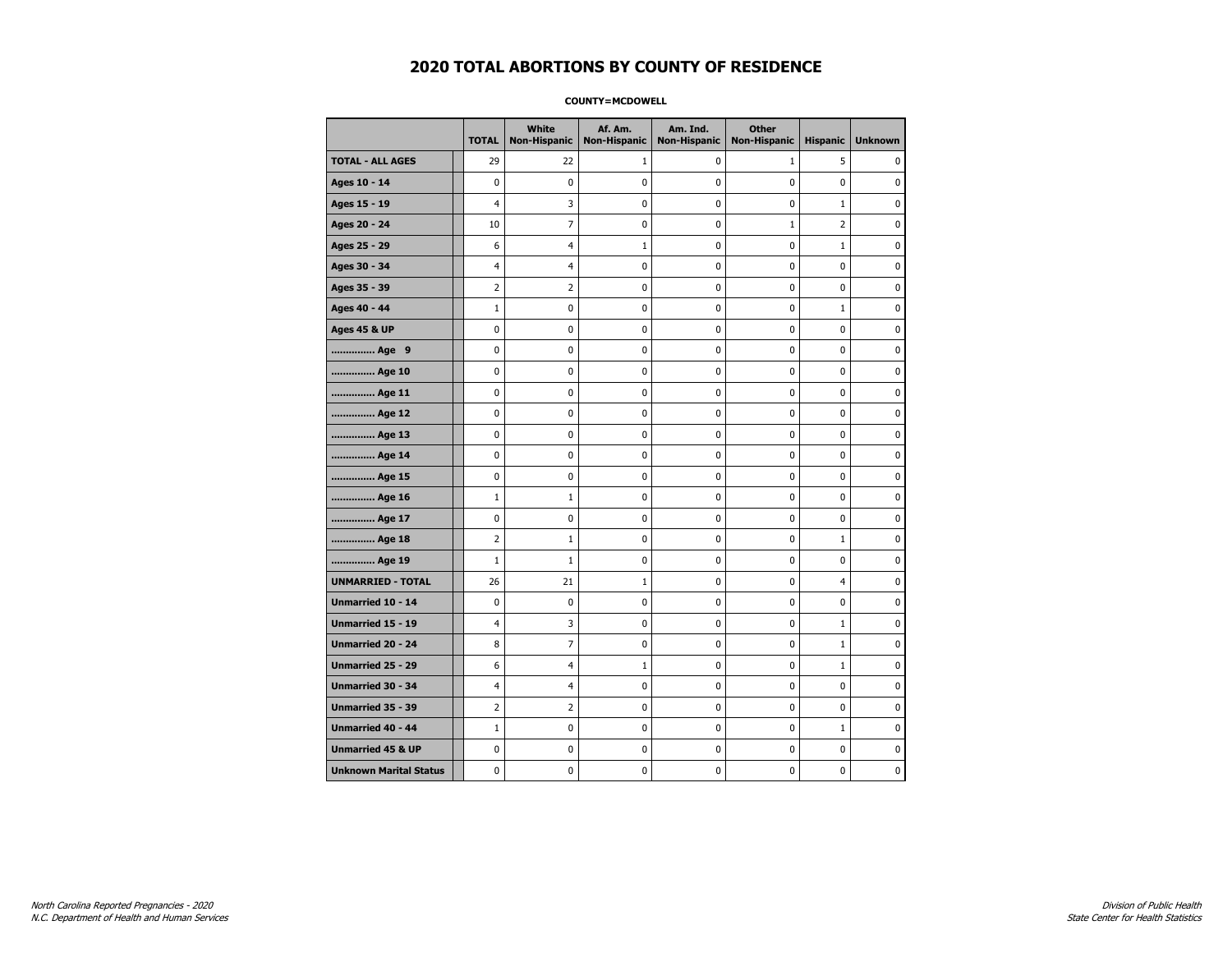#### **COUNTY=MCDOWELL**

|                               | <b>TOTAL</b>   | <b>White</b><br>Non-Hispanic | Af. Am.<br><b>Non-Hispanic</b> | Am. Ind.<br><b>Non-Hispanic</b> | <b>Other</b><br><b>Non-Hispanic</b> | <b>Hispanic</b> | <b>Unknown</b> |
|-------------------------------|----------------|------------------------------|--------------------------------|---------------------------------|-------------------------------------|-----------------|----------------|
| <b>TOTAL - ALL AGES</b>       | 29             | 22                           | 1                              | 0                               | $\mathbf{1}$                        | 5               | 0              |
| Ages 10 - 14                  | $\mathbf 0$    | 0                            | 0                              | $\mathbf 0$                     | 0                                   | 0               | 0              |
| Ages 15 - 19                  | 4              | 3                            | 0                              | $\mathbf 0$                     | $\mathbf 0$                         | $\mathbf{1}$    | 0              |
| Ages 20 - 24                  | 10             | $\overline{7}$               | $\mathbf 0$                    | $\mathbf 0$                     | $1\,$                               | $\overline{2}$  | 0              |
| Ages 25 - 29                  | 6              | 4                            | $\mathbf{1}$                   | 0                               | $\pmb{0}$                           | $\mathbf{1}$    | 0              |
| Ages 30 - 34                  | 4              | 4                            | 0                              | 0                               | 0                                   | 0               | 0              |
| Ages 35 - 39                  | 2              | $\overline{2}$               | 0                              | 0                               | 0                                   | 0               | 0              |
| Ages 40 - 44                  | $\mathbf{1}$   | 0                            | 0                              | 0                               | 0                                   | 1               | 0              |
| <b>Ages 45 &amp; UP</b>       | 0              | 0                            | 0                              | 0                               | 0                                   | 0               | 0              |
| Age 9                         | 0              | 0                            | 0                              | $\mathbf 0$                     | $\mathbf 0$                         | 0               | 0              |
| Age 10                        | $\mathbf 0$    | 0                            | 0                              | $\mathbf 0$                     | $\mathbf 0$                         | 0               | $\mathbf 0$    |
| Age 11                        | $\pmb{0}$      | 0                            | 0                              | 0                               | $\pmb{0}$                           | 0               | 0              |
| Age 12                        | 0              | 0                            | 0                              | 0                               | 0                                   | 0               | 0              |
| Age 13                        | $\mathbf 0$    | 0                            | 0                              | $\mathbf 0$                     | $\mathbf 0$                         | $\mathbf 0$     | 0              |
| Age 14                        | 0              | 0                            | 0                              | 0                               | 0                                   | 0               | 0              |
| Age 15                        | 0              | 0                            | 0                              | 0                               | 0                                   | 0               | 0              |
| Age 16                        | $\mathbf{1}$   | $1\,$                        | 0                              | 0                               | 0                                   | 0               | 0              |
| Age 17                        | $\mathbf 0$    | $\mathbf 0$                  | 0                              | 0                               | 0                                   | 0               | 0              |
| Age 18                        | $\overline{2}$ | $\mathbf{1}$                 | $\bf{0}$                       | 0                               | $\pmb{0}$                           | $\mathbf{1}$    | $\pmb{0}$      |
| Age 19                        | $\mathbf{1}$   | $1\,$                        | 0                              | 0                               | $\pmb{0}$                           | 0               | 0              |
| <b>UNMARRIED - TOTAL</b>      | 26             | 21                           | 1                              | 0                               | 0                                   | 4               | 0              |
| Unmarried 10 - 14             | $\mathbf 0$    | 0                            | 0                              | 0                               | 0                                   | 0               | $\mathbf 0$    |
| Unmarried 15 - 19             | 4              | 3                            | 0                              | 0                               | $\mathbf 0$                         | $\mathbf{1}$    | 0              |
| Unmarried 20 - 24             | 8              | $\overline{7}$               | 0                              | 0                               | 0                                   | $\mathbf{1}$    | 0              |
| <b>Unmarried 25 - 29</b>      | 6              | $\overline{4}$               | 1                              | $\mathbf 0$                     | 0                                   | $\mathbf{1}$    | 0              |
| Unmarried 30 - 34             | 4              | 4                            | $\bf{0}$                       | $\pmb{0}$                       | $\pmb{0}$                           | 0               | 0              |
| Unmarried 35 - 39             | 2              | $\overline{2}$               | 0                              | $\pmb{0}$                       | $\pmb{0}$                           | 0               | 0              |
| <b>Unmarried 40 - 44</b>      | $\mathbf{1}$   | 0                            | 0                              | 0                               | 0                                   | $\mathbf{1}$    | $\mathbf 0$    |
| <b>Unmarried 45 &amp; UP</b>  | 0              | 0                            | 0                              | 0                               | 0                                   | 0               | 0              |
| <b>Unknown Marital Status</b> | 0              | 0                            | 0                              | 0                               | 0                                   | 0               | 0              |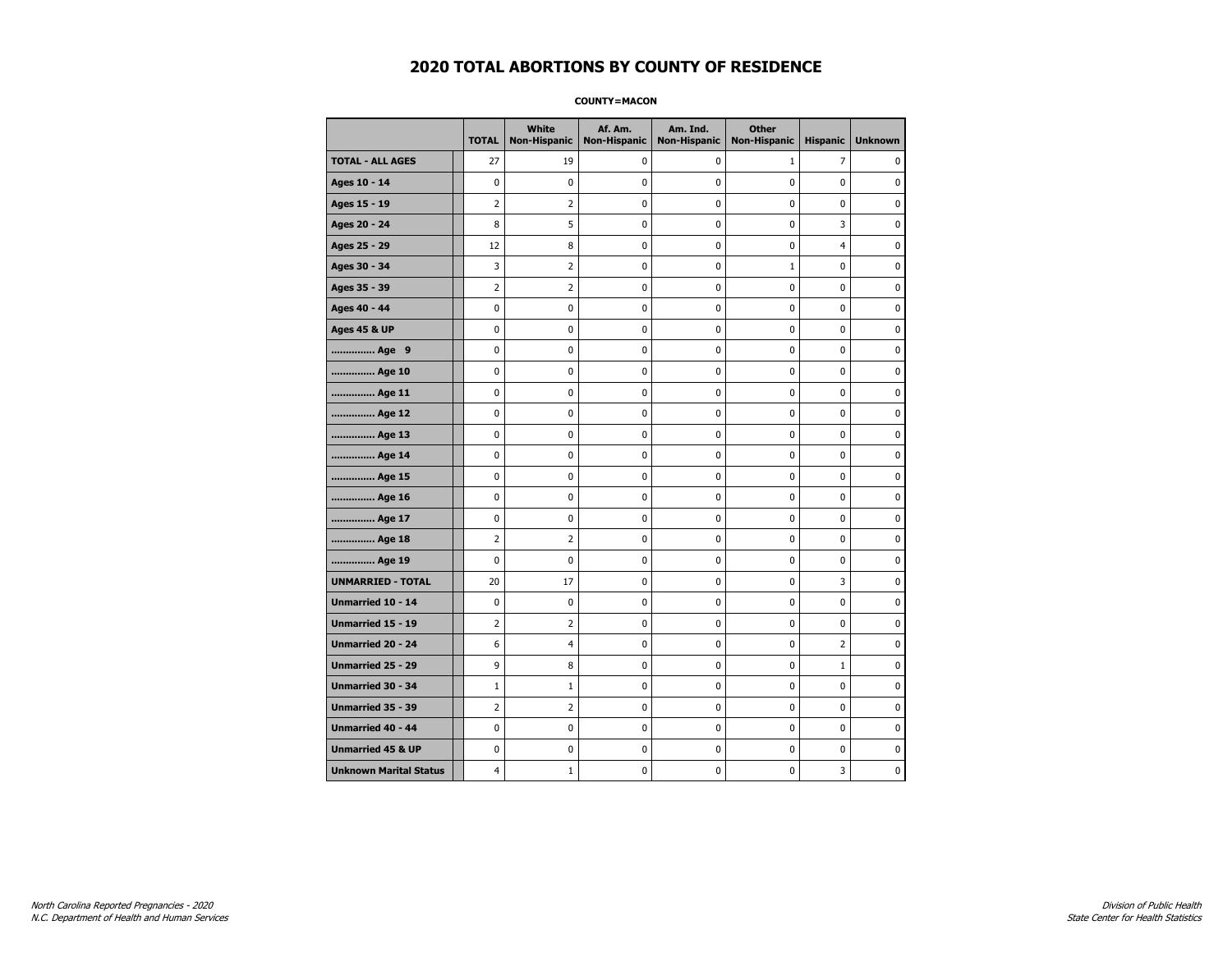**COUNTY=MACON** 

|                               | <b>TOTAL</b>   | White<br>Non-Hispanic | Af. Am.<br><b>Non-Hispanic</b> | Am. Ind.<br><b>Non-Hispanic</b> | <b>Other</b><br><b>Non-Hispanic</b> | <b>Hispanic</b> | <b>Unknown</b> |
|-------------------------------|----------------|-----------------------|--------------------------------|---------------------------------|-------------------------------------|-----------------|----------------|
| <b>TOTAL - ALL AGES</b>       | 27             | 19                    | 0                              | 0                               | $\mathbf{1}$                        | 7               | 0              |
| Ages 10 - 14                  | 0              | $\mathbf 0$           | 0                              | 0                               | 0                                   | 0               | 0              |
| Ages 15 - 19                  | $\overline{2}$ | 2                     | $\pmb{0}$                      | 0                               | $\pmb{0}$                           | 0               | 0              |
| Ages 20 - 24                  | 8              | 5                     | 0                              | 0                               | $\pmb{0}$                           | 3               | 0              |
| Ages 25 - 29                  | 12             | 8                     | 0                              | 0                               | 0                                   | $\overline{4}$  | $\mathbf 0$    |
| Ages 30 - 34                  | 3              | $\overline{2}$        | 0                              | 0                               | $1\,$                               | 0               | $\mathbf 0$    |
| Ages 35 - 39                  | $\overline{2}$ | $\overline{2}$        | 0                              | 0                               | 0                                   | 0               | $\mathbf 0$    |
| Ages 40 - 44                  | 0              | 0                     | $\pmb{0}$                      | 0                               | $\pmb{0}$                           | 0               | $\pmb{0}$      |
| <b>Ages 45 &amp; UP</b>       | 0              | 0                     | 0                              | 0                               | 0                                   | 0               | 0              |
| Age 9                         | 0              | 0                     | 0                              | 0                               | 0                                   | 0               | 0              |
| Age 10                        | 0              | 0                     | 0                              | 0                               | $\mathbf 0$                         | 0               | $\mathbf 0$    |
| Age 11                        | 0              | 0                     | $\pmb{0}$                      | 0                               | $\pmb{0}$                           | 0               | $\mathbf 0$    |
| Age 12                        | 0              | 0                     | 0                              | 0                               | 0                                   | 0               | 0              |
| Age 13                        | 0              | 0                     | 0                              | 0                               | 0                                   | 0               | $\mathbf 0$    |
| Age 14                        | 0              | 0                     | 0                              | 0                               | $\mathbf 0$                         | 0               | $\mathbf 0$    |
| Age 15                        | 0              | 0                     | $\pmb{0}$                      | 0                               | $\pmb{0}$                           | 0               | $\pmb{0}$      |
| Age 16                        | 0              | 0                     | 0                              | 0                               | 0                                   | 0               | 0              |
| Age 17                        | 0              | 0                     | 0                              | 0                               | 0                                   | 0               | 0              |
| Age 18                        | $\overline{2}$ | 2                     | 0                              | 0                               | $\mathbf 0$                         | 0               | $\mathbf 0$    |
| Age 19                        | 0              | 0                     | $\pmb{0}$                      | 0                               | $\pmb{0}$                           | 0               | $\pmb{0}$      |
| <b>UNMARRIED - TOTAL</b>      | 20             | 17                    | 0                              | 0                               | 0                                   | 3               | 0              |
| Unmarried 10 - 14             | 0              | 0                     | 0                              | 0                               | $\pmb{0}$                           | 0               | $\mathbf 0$    |
| <b>Unmarried 15 - 19</b>      | $\overline{2}$ | $\overline{2}$        | 0                              | 0                               | 0                                   | 0               | $\mathbf 0$    |
| Unmarried 20 - 24             | 6              | 4                     | $\pmb{0}$                      | 0                               | $\pmb{0}$                           | $\overline{2}$  | $\pmb{0}$      |
| Unmarried 25 - 29             | 9              | 8                     | 0                              | 0                               | 0                                   | $\mathbf 1$     | 0              |
| Unmarried 30 - 34             | $\mathbf{1}$   | $\mathbf{1}$          | 0                              | 0                               | 0                                   | 0               | 0              |
| Unmarried 35 - 39             | 2              | 2                     | $\pmb{0}$                      | 0                               | $\pmb{0}$                           | 0               | $\mathbf 0$    |
| Unmarried 40 - 44             | 0              | 0                     | 0                              | 0                               | $\pmb{0}$                           | 0               | 0              |
| <b>Unmarried 45 &amp; UP</b>  | 0              | 0                     | 0                              | 0                               | $\pmb{0}$                           | 0               | $\pmb{0}$      |
| <b>Unknown Marital Status</b> | 4              | $\mathbf{1}$          | 0                              | 0                               | 0                                   | 3               | 0              |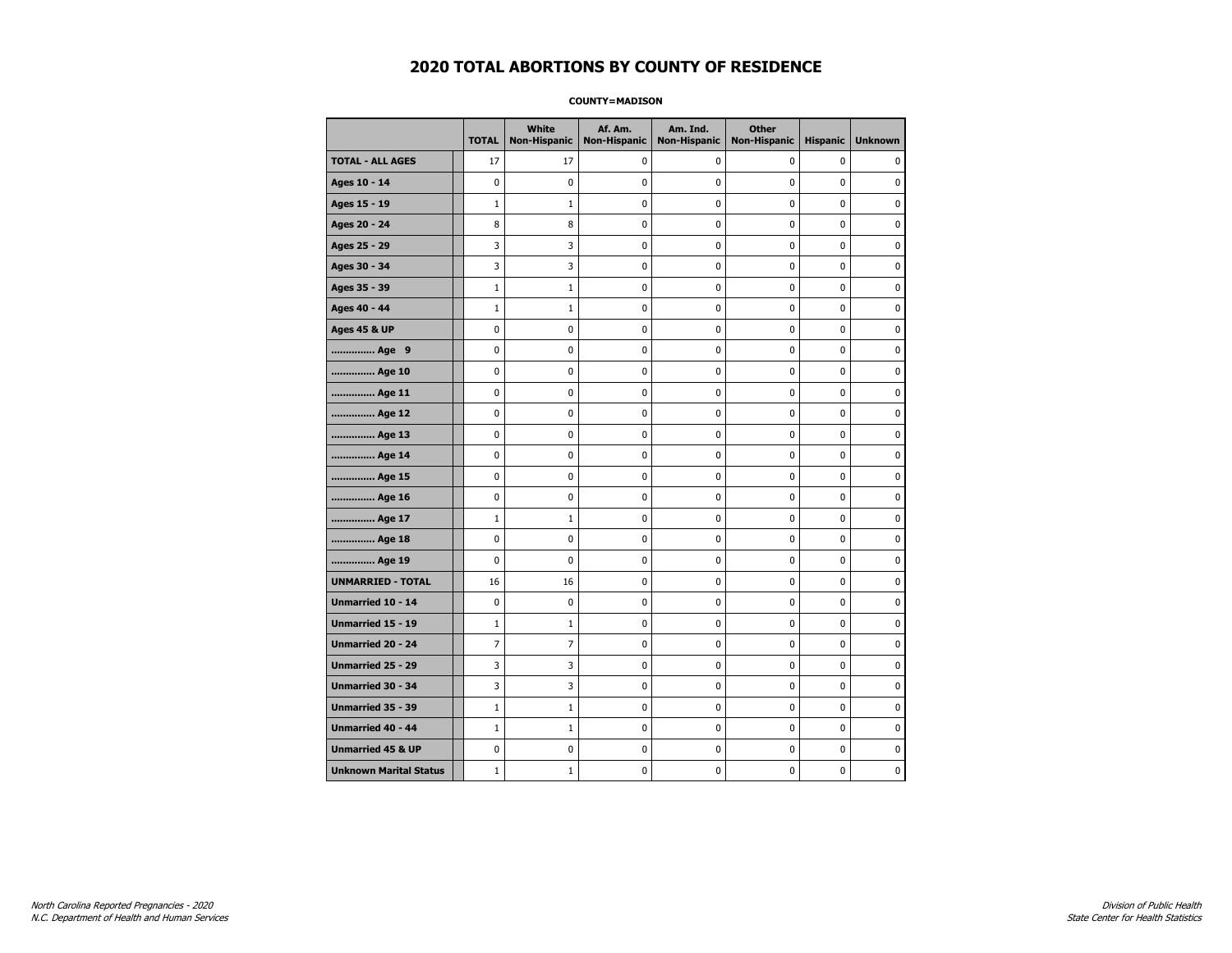#### **COUNTY=MADISON**

|                               | <b>TOTAL</b> | White<br>Non-Hispanic | Af. Am.<br><b>Non-Hispanic</b> | Am. Ind.<br><b>Non-Hispanic</b> | <b>Other</b><br><b>Non-Hispanic</b> | <b>Hispanic</b> | <b>Unknown</b> |
|-------------------------------|--------------|-----------------------|--------------------------------|---------------------------------|-------------------------------------|-----------------|----------------|
| <b>TOTAL - ALL AGES</b>       | 17           | 17                    | $\mathbf 0$                    | 0                               | 0                                   | $\mathbf 0$     | 0              |
| Ages 10 - 14                  | 0            | $\mathbf 0$           | $\mathbf 0$                    | $\mathbf 0$                     | 0                                   | $\mathbf 0$     | $\mathbf 0$    |
| Ages 15 - 19                  | $\mathbf 1$  | $1\,$                 | $\mathbf 0$                    | $\pmb{0}$                       | 0                                   | 0               | $\pmb{0}$      |
| Ages 20 - 24                  | 8            | 8                     | $\mathbf 0$                    | $\pmb{0}$                       | 0                                   | $\pmb{0}$       | 0              |
| Ages 25 - 29                  | 3            | 3                     | 0                              | 0                               | 0                                   | 0               | 0              |
| Ages 30 - 34                  | 3            | 3                     | $\mathbf 0$                    | 0                               | 0                                   | $\mathbf 0$     | 0              |
| Ages 35 - 39                  | $\mathbf 1$  | $\mathbf{1}$          | $\mathbf 0$                    | $\mathbf 0$                     | 0                                   | $\mathbf 0$     | 0              |
| Ages 40 - 44                  | $1\,$        | $\mathbf{1}$          | 0                              | 0                               | $\pmb{0}$                           | 0               | 0              |
| <b>Ages 45 &amp; UP</b>       | 0            | 0                     | 0                              | $\pmb{0}$                       | 0                                   | $\pmb{0}$       | 0              |
| Age 9                         | 0            | 0                     | 0                              | 0                               | 0                                   | 0               | 0              |
| Age 10                        | 0            | 0                     | $\mathbf 0$                    | $\mathbf 0$                     | 0                                   | $\mathbf 0$     | 0              |
| Age 11                        | 0            | 0                     | $\mathbf 0$                    | $\pmb{0}$                       | 0                                   | $\mathbf 0$     | 0              |
| Age 12                        | 0            | 0                     | $\pmb{0}$                      | 0                               | 0                                   | 0               | 0              |
| Age 13                        | 0            | 0                     | $\mathbf 0$                    | $\mathbf 0$                     | 0                                   | 0               | 0              |
| Age 14                        | 0            | 0                     | 0                              | 0                               | 0                                   | 0               | 0              |
| Age 15                        | 0            | 0                     | $\mathbf 0$                    | 0                               | 0                                   | $\mathbf 0$     | 0              |
| Age 16                        | 0            | 0                     | $\mathbf 0$                    | $\mathbf 0$                     | 0                                   | 0               | 0              |
| Age 17                        | $\mathbf 1$  | $1\,$                 | 0                              | $\pmb{0}$                       | 0                                   | 0               | 0              |
| Age 18                        | 0            | 0                     | 0                              | 0                               | 0                                   | 0               | 0              |
| Age 19                        | 0            | 0                     | 0                              | 0                               | 0                                   | 0               | 0              |
| <b>UNMARRIED - TOTAL</b>      | 16           | 16                    | $\mathbf 0$                    | $\pmb{0}$                       | 0                                   | 0               | 0              |
| Unmarried 10 - 14             | 0            | 0                     | $\mathbf 0$                    | $\mathbf 0$                     | 0                                   | $\mathbf 0$     | 0              |
| Unmarried 15 - 19             | $\mathbf 1$  | $\mathbf 1$           | 0                              | $\pmb{0}$                       | 0                                   | $\pmb{0}$       | $\pmb{0}$      |
| Unmarried 20 - 24             | 7            | 7                     | 0                              | 0                               | 0                                   | 0               | 0              |
| Unmarried 25 - 29             | 3            | 3                     | $\mathbf 0$                    | 0                               | 0                                   | $\mathbf 0$     | 0              |
| Unmarried 30 - 34             | 3            | 3                     | 0                              | $\pmb{0}$                       | 0                                   | $\pmb{0}$       | 0              |
| <b>Unmarried 35 - 39</b>      | $\mathbf{1}$ | $\mathbf{1}$          | $\mathbf 0$                    | 0                               | 0                                   | $\mathbf 0$     | 0              |
| Unmarried 40 - 44             | $\mathbf 1$  | $\mathbf 1$           | $\mathbf 0$                    | $\pmb{0}$                       | 0                                   | 0               | $\bf{0}$       |
| <b>Unmarried 45 &amp; UP</b>  | 0            | 0                     | 0                              | 0                               | 0                                   | 0               | 0              |
| <b>Unknown Marital Status</b> | $\mathbf{1}$ | $1\,$                 | 0                              | $\pmb{0}$                       | 0                                   | 0               | 0              |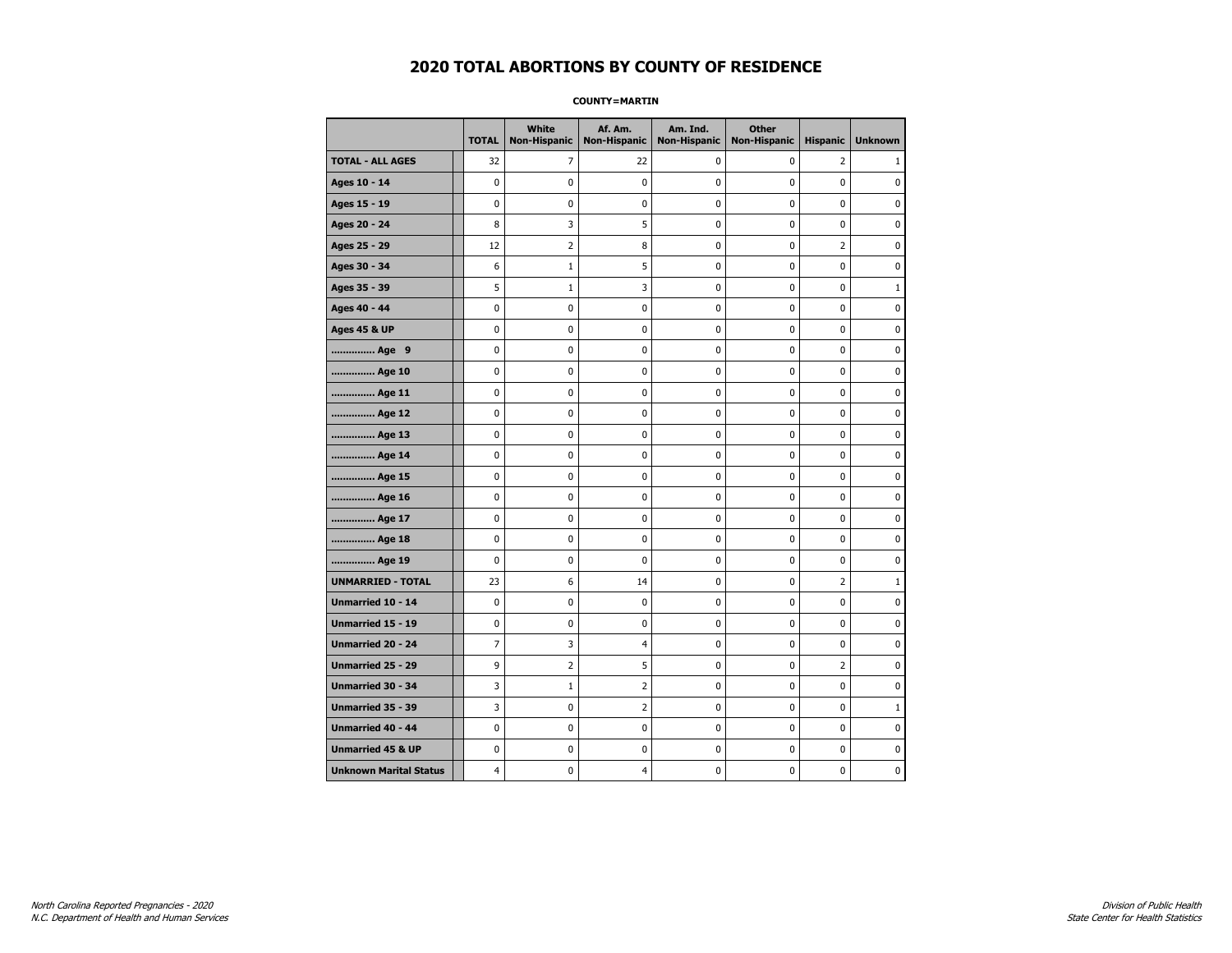**COUNTY=MARTIN** 

|                               | <b>TOTAL</b>   | White<br><b>Non-Hispanic</b> | Af. Am.<br><b>Non-Hispanic</b> | Am. Ind.<br><b>Non-Hispanic</b> | <b>Other</b><br><b>Non-Hispanic</b> | <b>Hispanic</b> | <b>Unknown</b> |
|-------------------------------|----------------|------------------------------|--------------------------------|---------------------------------|-------------------------------------|-----------------|----------------|
| <b>TOTAL - ALL AGES</b>       | 32             | 7                            | 22                             | 0                               | 0                                   | $\overline{2}$  | 1              |
| Ages 10 - 14                  | 0              | $\mathbf 0$                  | 0                              | 0                               | 0                                   | 0               | $\mathbf 0$    |
| Ages 15 - 19                  | 0              | $\pmb{0}$                    | $\pmb{0}$                      | 0                               | 0                                   | 0               | $\pmb{0}$      |
| Ages 20 - 24                  | 8              | 3                            | 5                              | 0                               | 0                                   | 0               | 0              |
| Ages 25 - 29                  | 12             | $\overline{2}$               | 8                              | 0                               | 0                                   | $\overline{2}$  | $\mathbf 0$    |
| Ages 30 - 34                  | 6              | $1\,$                        | 5                              | 0                               | 0                                   | 0               | $\mathbf 0$    |
| Ages 35 - 39                  | 5              | $\mathbf{1}$                 | 3                              | 0                               | 0                                   | 0               | $\mathbf{1}$   |
| Ages 40 - 44                  | 0              | 0                            | 0                              | 0                               | 0                                   | 0               | 0              |
| <b>Ages 45 &amp; UP</b>       | 0              | 0                            | 0                              | 0                               | 0                                   | 0               | $\mathbf 0$    |
| Age 9                         | 0              | 0                            | $\pmb{0}$                      | 0                               | 0                                   | 0               | $\pmb{0}$      |
| Age 10                        | 0              | 0                            | 0                              | 0                               | 0                                   | 0               | 0              |
| Age 11                        | 0              | $\mathbf 0$                  | 0                              | 0                               | 0                                   | 0               | 0              |
| Age 12                        | 0              | $\mathbf 0$                  | 0                              | 0                               | 0                                   | 0               | $\mathbf 0$    |
| Age 13                        | 0              | 0                            | 0                              | 0                               | 0                                   | 0               | 0              |
| Age 14                        | 0              | 0                            | 0                              | 0                               | 0                                   | 0               | 0              |
| Age 15                        | 0              | $\mathbf 0$                  | 0                              | 0                               | 0                                   | 0               | $\mathbf 0$    |
| Age 16                        | 0              | $\mathbf 0$                  | 0                              | 0                               | 0                                   | 0               | $\mathbf 0$    |
| Age 17                        | 0              | 0                            | 0                              | 0                               | 0                                   | 0               | 0              |
| Age 18                        | 0              | $\mathbf 0$                  | 0                              | 0                               | 0                                   | 0               | 0              |
| Age 19                        | 0              | 0                            | 0                              | 0                               | 0                                   | 0               | $\mathbf 0$    |
| <b>UNMARRIED - TOTAL</b>      | 23             | 6                            | 14                             | 0                               | 0                                   | $\overline{2}$  | $\mathbf{1}$   |
| Unmarried 10 - 14             | 0              | 0                            | 0                              | 0                               | 0                                   | 0               | 0              |
| Unmarried 15 - 19             | 0              | $\mathbf 0$                  | 0                              | 0                               | 0                                   | 0               | $\mathbf 0$    |
| <b>Unmarried 20 - 24</b>      | $\overline{7}$ | 3                            | 4                              | 0                               | 0                                   | 0               | $\mathbf 0$    |
| Unmarried 25 - 29             | 9              | 2                            | 5                              | 0                               | 0                                   | $\overline{2}$  | 0              |
| Unmarried 30 - 34             | 3              | $\mathbf{1}$                 | 2                              | 0                               | 0                                   | 0               | 0              |
| Unmarried 35 - 39             | 3              | 0                            | 2                              | 0                               | 0                                   | 0               | $\mathbf{1}$   |
| Unmarried 40 - 44             | 0              | $\mathbf 0$                  | 0                              | 0                               | 0                                   | 0               | $\mathbf 0$    |
| <b>Unmarried 45 &amp; UP</b>  | 0              | 0                            | 0                              | 0                               | 0                                   | 0               | 0              |
| <b>Unknown Marital Status</b> | 4              | 0                            | 4                              | 0                               | 0                                   | 0               | 0              |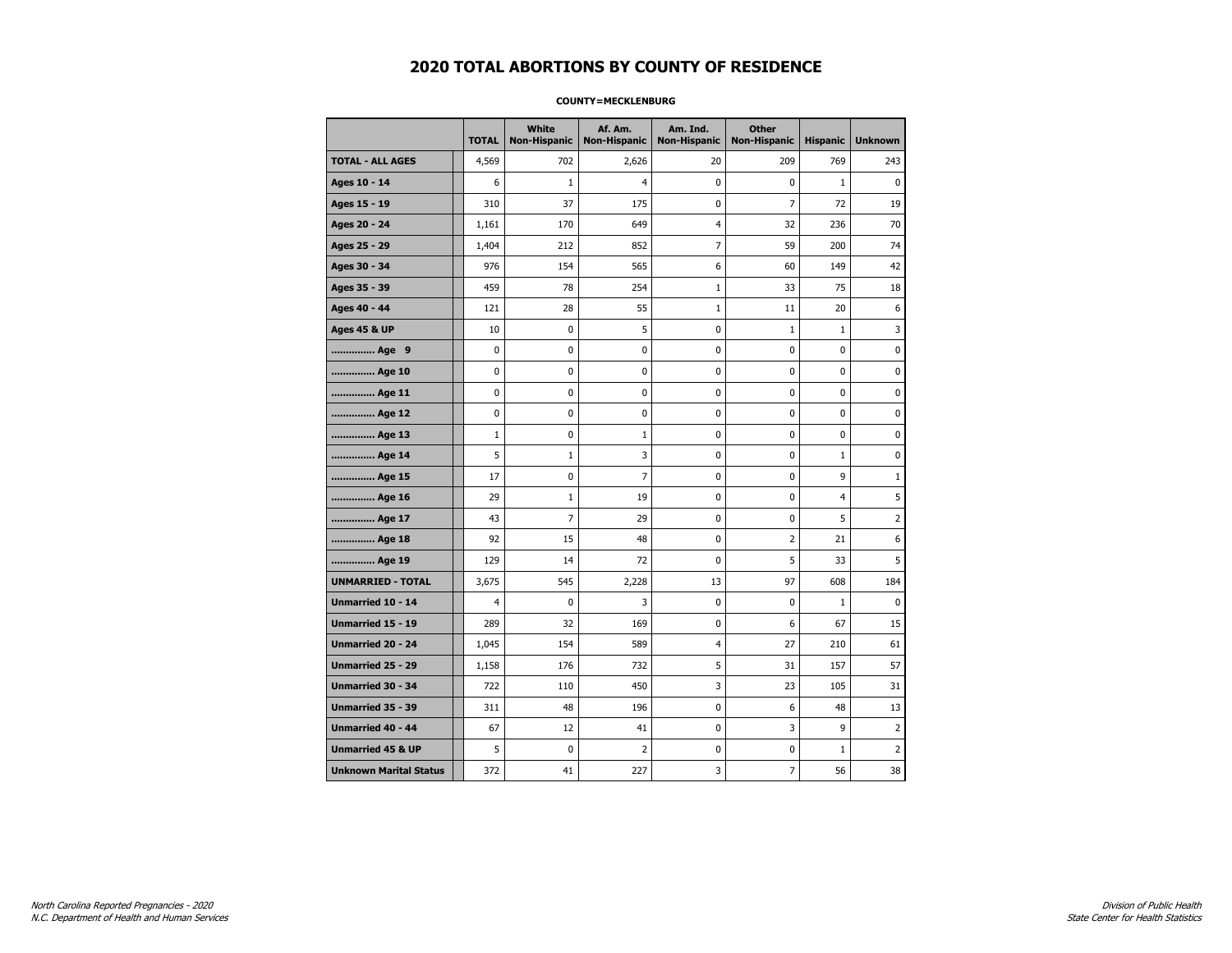#### **COUNTY=MECKLENBURG**

|                               | <b>TOTAL</b>   | <b>White</b><br><b>Non-Hispanic</b> | Af. Am.<br><b>Non-Hispanic</b> | Am. Ind.<br><b>Non-Hispanic</b> | <b>Other</b><br><b>Non-Hispanic</b> | <b>Hispanic</b> | <b>Unknown</b> |
|-------------------------------|----------------|-------------------------------------|--------------------------------|---------------------------------|-------------------------------------|-----------------|----------------|
| <b>TOTAL - ALL AGES</b>       | 4,569          | 702                                 | 2,626                          | 20                              | 209                                 | 769             | 243            |
| Ages 10 - 14                  | 6              | $\mathbf{1}$                        | 4                              | $\mathbf 0$                     | 0                                   | $\mathbf{1}$    | $\mathbf 0$    |
| Ages 15 - 19                  | 310            | 37                                  | 175                            | 0                               | $\overline{7}$                      | 72              | 19             |
| Ages 20 - 24                  | 1,161          | 170                                 | 649                            | 4                               | 32                                  | 236             | 70             |
| Ages 25 - 29                  | 1,404          | 212                                 | 852                            | 7                               | 59                                  | 200             | 74             |
| Ages 30 - 34                  | 976            | 154                                 | 565                            | 6                               | 60                                  | 149             | 42             |
| Ages 35 - 39                  | 459            | 78                                  | 254                            | 1                               | 33                                  | 75              | 18             |
| Ages 40 - 44                  | 121            | 28                                  | 55                             | $\mathbf{1}$                    | 11                                  | 20              | 6              |
| <b>Ages 45 &amp; UP</b>       | 10             | $\pmb{0}$                           | 5                              | 0                               | $1\,$                               | $\mathbf{1}$    | 3              |
| Age 9                         | 0              | 0                                   | 0                              | 0                               | 0                                   | 0               | 0              |
| Age 10                        | 0              | 0                                   | 0                              | 0                               | 0                                   | 0               | $\mathbf 0$    |
| Age 11                        | 0              | $\mathbf 0$                         | 0                              | 0                               | $\mathbf 0$                         | 0               | $\mathbf 0$    |
| Age 12                        | 0              | 0                                   | 0                              | 0                               | 0                                   | 0               | 0              |
| Age 13                        | $\mathbf{1}$   | 0                                   | $\mathbf{1}$                   | 0                               | 0                                   | 0               | 0              |
| Age 14                        | 5              | 1                                   | 3                              | 0                               | 0                                   | $\mathbf{1}$    | 0              |
| Age 15                        | 17             | 0                                   | $\overline{7}$                 | 0                               | 0                                   | 9               | $\mathbf{1}$   |
| Age 16                        | 29             | $\mathbf{1}$                        | 19                             | 0                               | $\mathbf 0$                         | $\overline{4}$  | 5              |
| Age 17                        | 43             | $\overline{7}$                      | 29                             | 0                               | 0                                   | 5               | $\overline{2}$ |
| Age 18                        | 92             | 15                                  | 48                             | 0                               | $\overline{2}$                      | 21              | 6              |
| Age 19                        | 129            | 14                                  | 72                             | 0                               | 5                                   | 33              | 5              |
| <b>UNMARRIED - TOTAL</b>      | 3,675          | 545                                 | 2,228                          | 13                              | 97                                  | 608             | 184            |
| Unmarried 10 - 14             | $\overline{4}$ | $\mathbf 0$                         | 3                              | 0                               | 0                                   | $\mathbf{1}$    | $\Omega$       |
| Unmarried 15 - 19             | 289            | 32                                  | 169                            | 0                               | 6                                   | 67              | 15             |
| Unmarried 20 - 24             | 1,045          | 154                                 | 589                            | 4                               | 27                                  | 210             | 61             |
| Unmarried 25 - 29             | 1,158          | 176                                 | 732                            | 5                               | 31                                  | 157             | 57             |
| <b>Unmarried 30 - 34</b>      | 722            | 110                                 | 450                            | 3                               | 23                                  | 105             | 31             |
| <b>Unmarried 35 - 39</b>      | 311            | 48                                  | 196                            | 0                               | 6                                   | 48              | 13             |
| <b>Unmarried 40 - 44</b>      | 67             | 12                                  | 41                             | 0                               | 3                                   | 9               | $\overline{2}$ |
| <b>Unmarried 45 &amp; UP</b>  | 5              | 0                                   | 2                              | 0                               | 0                                   | 1               | 2              |
| <b>Unknown Marital Status</b> | 372            | 41                                  | 227                            | 3                               | $\overline{7}$                      | 56              | 38             |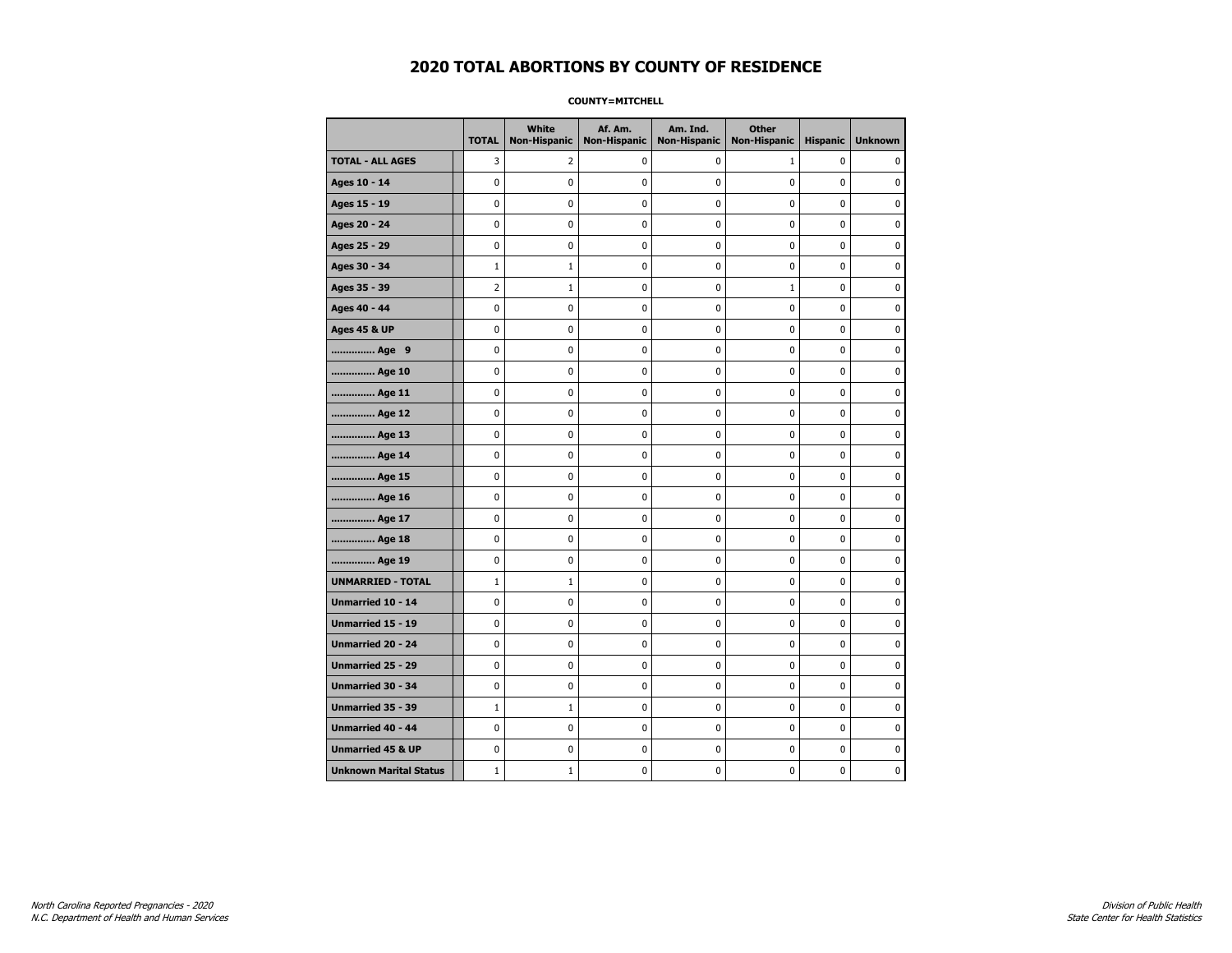**COUNTY=MITCHELL** 

|                               | <b>TOTAL</b> | White<br>Non-Hispanic | Af. Am.<br><b>Non-Hispanic</b> | Am. Ind.<br><b>Non-Hispanic</b> | <b>Other</b><br><b>Non-Hispanic</b> | <b>Hispanic</b> | <b>Unknown</b> |
|-------------------------------|--------------|-----------------------|--------------------------------|---------------------------------|-------------------------------------|-----------------|----------------|
| <b>TOTAL - ALL AGES</b>       | 3            | 2                     | 0                              | 0                               | $\mathbf{1}$                        | 0               | $\mathbf{0}$   |
| Ages 10 - 14                  | 0            | 0                     | 0                              | 0                               | 0                                   | 0               | 0              |
| Ages 15 - 19                  | 0            | 0                     | 0                              | 0                               | $\pmb{0}$                           | 0               | $\mathbf 0$    |
| Ages 20 - 24                  | 0            | 0                     | $\pmb{0}$                      | 0                               | $\mathbf 0$                         | 0               | $\mathbf 0$    |
| Ages 25 - 29                  | 0            | 0                     | $\pmb{0}$                      | 0                               | $\pmb{0}$                           | 0               | $\pmb{0}$      |
| Ages 30 - 34                  | $\mathbf 1$  | $\mathbf 1$           | 0                              | 0                               | 0                                   | 0               | 0              |
| Ages 35 - 39                  | 2            | $\mathbf{1}$          | 0                              | 0                               | $\mathbf{1}$                        | 0               | 0              |
| Ages 40 - 44                  | 0            | 0                     | 0                              | 0                               | $\mathbf 0$                         | 0               | $\pmb{0}$      |
| <b>Ages 45 &amp; UP</b>       | 0            | 0                     | 0                              | 0                               | 0                                   | 0               | $\mathbf 0$    |
| Age 9                         | 0            | 0                     | 0                              | 0                               | $\mathbf 0$                         | 0               | $\mathbf 0$    |
| Age 10                        | 0            | 0                     | $\pmb{0}$                      | 0                               | $\pmb{0}$                           | 0               | 0              |
| Age 11                        | 0            | 0                     | 0                              | 0                               | 0                                   | 0               | $\mathbf 0$    |
| Age 12                        | 0            | 0                     | 0                              | 0                               | 0                                   | 0               | 0              |
| Age 13                        | 0            | 0                     | 0                              | 0                               | 0                                   | 0               | $\mathbf 0$    |
| Age 14                        | 0            | 0                     | 0                              | 0                               | $\mathbf 0$                         | 0               | $\mathbf 0$    |
| Age 15                        | 0            | 0                     | $\pmb{0}$                      | 0                               | $\pmb{0}$                           | 0               | $\pmb{0}$      |
| Age 16                        | 0            | 0                     | $\pmb{0}$                      | 0                               | $\pmb{0}$                           | 0               | $\mathbf 0$    |
| Age 17                        | 0            | 0                     | 0                              | 0                               | 0                                   | 0               | 0              |
| Age 18                        | 0            | 0                     | $\pmb{0}$                      | 0                               | $\pmb{0}$                           | 0               | $\pmb{0}$      |
| Age 19                        | 0            | 0                     | 0                              | 0                               | 0                                   | 0               | $\mathbf 0$    |
| <b>UNMARRIED - TOTAL</b>      | $\mathbf{1}$ | $\mathbf{1}$          | 0                              | 0                               | $\mathbf 0$                         | 0               | $\mathbf 0$    |
| Unmarried 10 - 14             | 0            | 0                     | $\pmb{0}$                      | 0                               | $\pmb{0}$                           | 0               | 0              |
| Unmarried 15 - 19             | 0            | 0                     | $\pmb{0}$                      | 0                               | $\pmb{0}$                           | 0               | $\mathbf 0$    |
| Unmarried 20 - 24             | 0            | 0                     | 0                              | 0                               | 0                                   | 0               | 0              |
| Unmarried 25 - 29             | 0            | 0                     | 0                              | 0                               | 0                                   | 0               | 0              |
| <b>Unmarried 30 - 34</b>      | 0            | 0                     | 0                              | 0                               | $\mathbf 0$                         | 0               | $\mathbf 0$    |
| Unmarried 35 - 39             | $\mathbf{1}$ | $\mathbf{1}$          | 0                              | 0                               | $\mathbf 0$                         | 0               | $\mathbf 0$    |
| Unmarried 40 - 44             | 0            | 0                     | $\pmb{0}$                      | 0                               | $\pmb{0}$                           | 0               | 0              |
| <b>Unmarried 45 &amp; UP</b>  | 0            | 0                     | 0                              | 0                               | 0                                   | 0               | 0              |
| <b>Unknown Marital Status</b> | $\mathbf{1}$ | $1\,$                 | 0                              | 0                               | 0                                   | 0               | $\mathbf 0$    |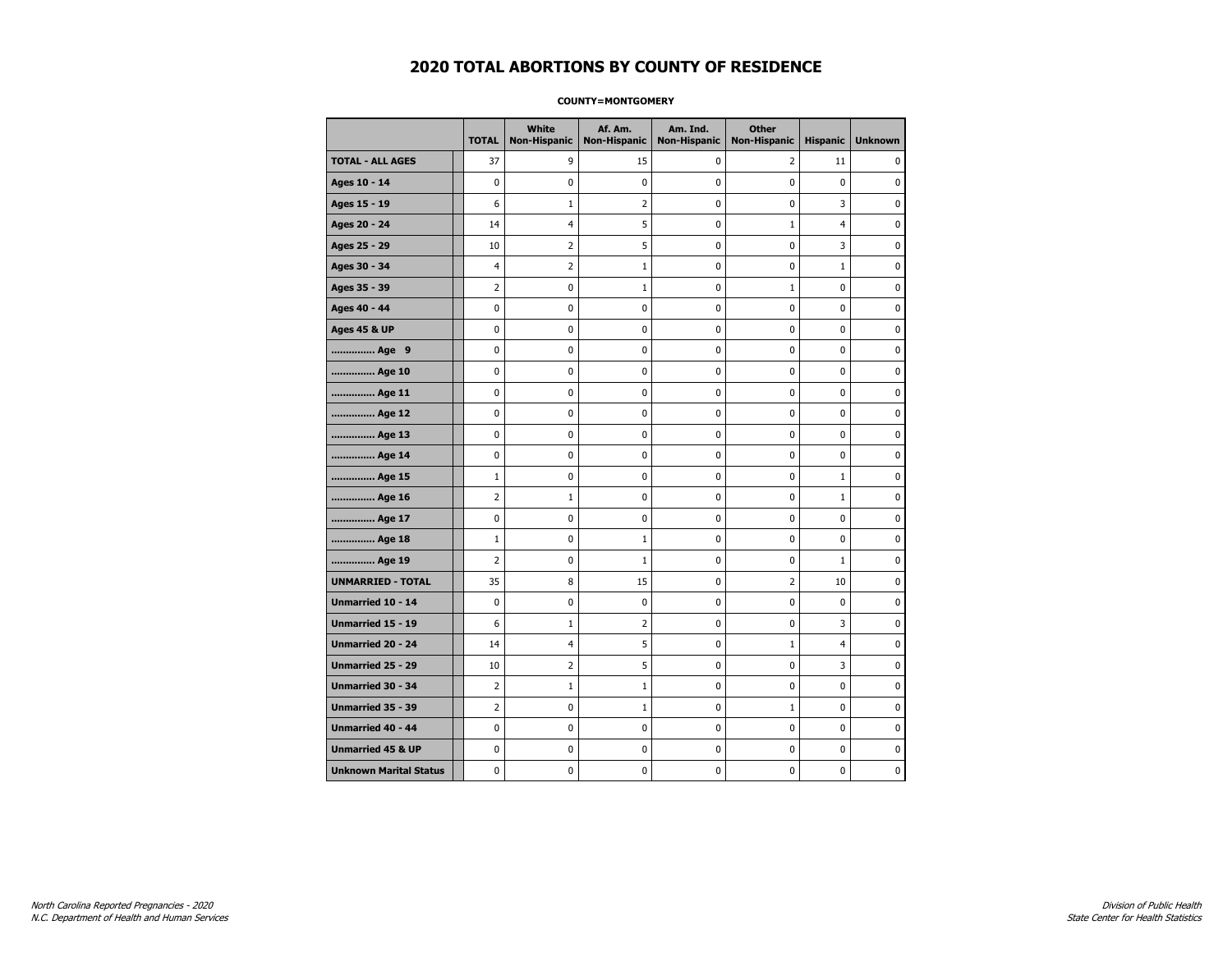#### **COUNTY=MONTGOMERY**

|                               | <b>TOTAL</b>   | White<br><b>Non-Hispanic</b> | Af. Am.<br><b>Non-Hispanic</b> | Am. Ind.<br><b>Non-Hispanic</b> | <b>Other</b><br><b>Non-Hispanic</b> | <b>Hispanic</b> | <b>Unknown</b> |
|-------------------------------|----------------|------------------------------|--------------------------------|---------------------------------|-------------------------------------|-----------------|----------------|
| <b>TOTAL - ALL AGES</b>       | 37             | 9                            | 15                             | 0                               | 2                                   | 11              | 0              |
| Ages 10 - 14                  | 0              | 0                            | $\pmb{0}$                      | 0                               | $\mathbf 0$                         | $\pmb{0}$       | 0              |
| Ages 15 - 19                  | 6              | $\mathbf{1}$                 | $\overline{2}$                 | $\mathbf 0$                     | 0                                   | 3               | $\mathbf 0$    |
| Ages 20 - 24                  | 14             | $\overline{4}$               | 5                              | 0                               | $\mathbf{1}$                        | $\overline{4}$  | 0              |
| Ages 25 - 29                  | 10             | $\overline{2}$               | 5                              | $\mathbf 0$                     | $\mathbf 0$                         | 3               | $\mathbf 0$    |
| Ages 30 - 34                  | $\overline{4}$ | $\overline{2}$               | $\mathbf{1}$                   | $\mathbf 0$                     | 0                                   | $\mathbf{1}$    | 0              |
| Ages 35 - 39                  | $\overline{2}$ | $\pmb{0}$                    | $\mathbf 1$                    | $\pmb{0}$                       | $1\,$                               | 0               | 0              |
| Ages 40 - 44                  | 0              | 0                            | 0                              | 0                               | $\pmb{0}$                           | $\pmb{0}$       | 0              |
| <b>Ages 45 &amp; UP</b>       | 0              | 0                            | 0                              | 0                               | 0                                   | 0               | 0              |
| Age 9                         | 0              | 0                            | 0                              | 0                               | 0                                   | 0               | 0              |
| Age 10                        | 0              | 0                            | $\mathbf 0$                    | $\mathbf 0$                     | 0                                   | $\mathbf 0$     | 0              |
| Age 11                        | 0              | 0                            | 0                              | 0                               | 0                                   | $\mathbf 0$     | 0              |
| Age 12                        | 0              | 0                            | 0                              | 0                               | 0                                   | 0               | 0              |
| Age 13                        | 0              | 0                            | $\mathbf 0$                    | $\mathbf 0$                     | 0                                   | $\mathbf 0$     | $\mathbf 0$    |
| Age 14                        | $\mathbf 0$    | 0                            | $\mathbf 0$                    | $\mathbf 0$                     | 0                                   | $\mathbf 0$     | 0              |
| Age 15                        | $\mathbf 1$    | 0                            | $\mathbf 0$                    | $\pmb{0}$                       | 0                                   | $\mathbf{1}$    | $\pmb{0}$      |
| Age 16                        | $\overline{2}$ | $1\,$                        | 0                              | $\pmb{0}$                       | 0                                   | $\mathbf{1}$    | 0              |
| Age 17                        | 0              | 0                            | $\mathbf 0$                    | 0                               | 0                                   | $\mathbf 0$     | 0              |
| Age 18                        | $\mathbf{1}$   | 0                            | 1                              | 0                               | 0                                   | 0               | 0              |
| Age 19                        | $\overline{2}$ | 0                            | $\mathbf{1}$                   | 0                               | 0                                   | 1               | 0              |
| <b>UNMARRIED - TOTAL</b>      | 35             | 8                            | 15                             | 0                               | 2                                   | 10              | 0              |
| Unmarried 10 - 14             | 0              | 0                            | $\mathbf 0$                    | $\mathbf 0$                     | $\mathbf 0$                         | $\mathbf{0}$    | 0              |
| Unmarried 15 - 19             | 6              | $\mathbf{1}$                 | $\overline{2}$                 | 0                               | 0                                   | 3               | 0              |
| <b>Unmarried 20 - 24</b>      | 14             | $\overline{4}$               | 5                              | 0                               | $\mathbf{1}$                        | $\overline{4}$  | 0              |
| <b>Unmarried 25 - 29</b>      | 10             | $\overline{2}$               | 5                              | $\pmb{0}$                       | 0                                   | 3               | $\bf{0}$       |
| Unmarried 30 - 34             | $\overline{2}$ | $1\,$                        | $\mathbf 1$                    | 0                               | 0                                   | 0               | 0              |
| Unmarried 35 - 39             | 2              | 0                            | $\mathbf 1$                    | 0                               | $1\,$                               | 0               | 0              |
| Unmarried 40 - 44             | 0              | 0                            | 0                              | 0                               | 0                                   | 0               | 0              |
| <b>Unmarried 45 &amp; UP</b>  | 0              | 0                            | 0                              | 0                               | 0                                   | 0               | 0              |
| <b>Unknown Marital Status</b> | 0              | 0                            | $\pmb{0}$                      | 0                               | 0                                   | 0               | 0              |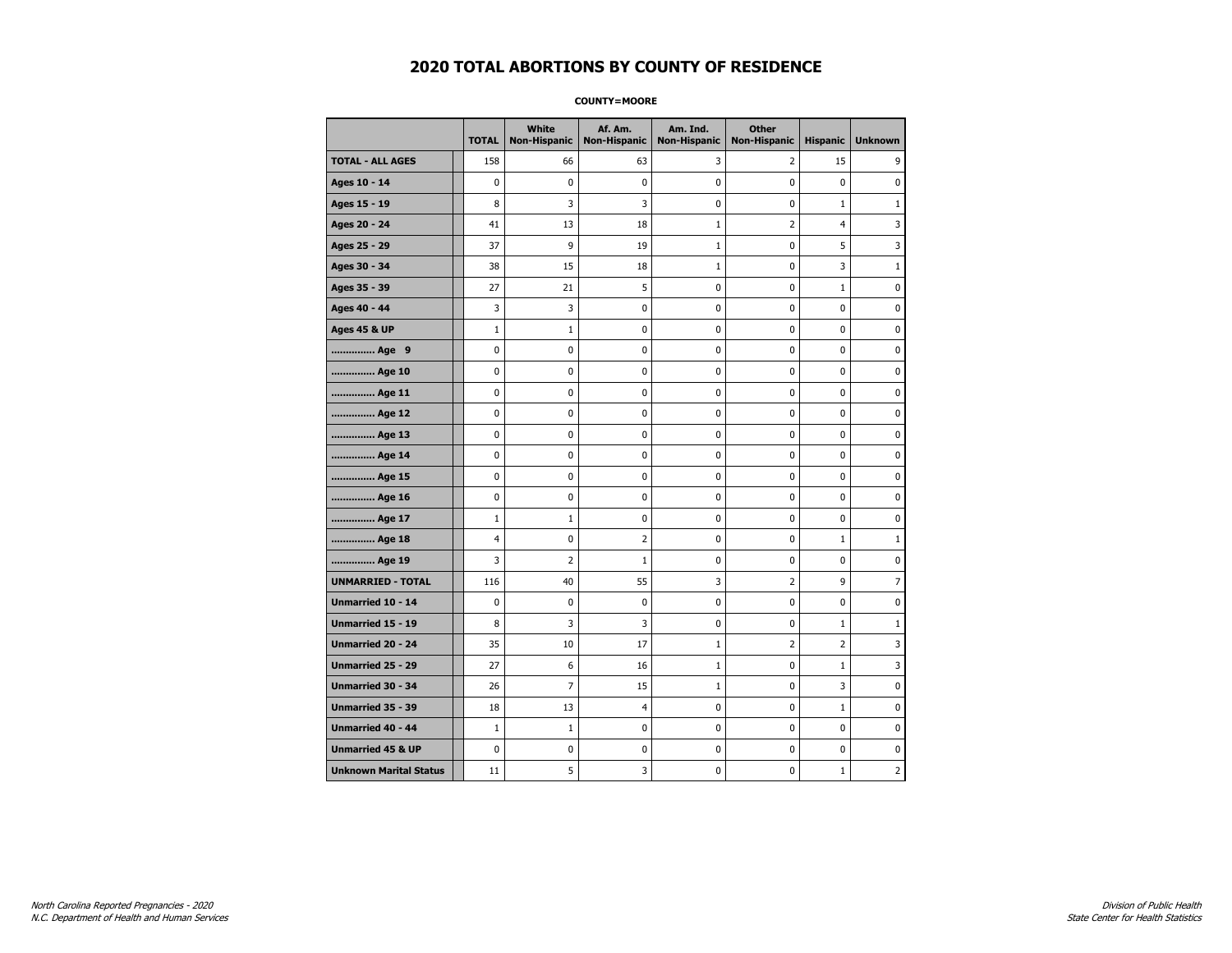**COUNTY=MOORE** 

|                               | <b>TOTAL</b> | White<br><b>Non-Hispanic</b> | Af. Am.<br><b>Non-Hispanic</b> | Am. Ind.<br><b>Non-Hispanic</b> | <b>Other</b><br><b>Non-Hispanic</b> | <b>Hispanic</b> | <b>Unknown</b> |
|-------------------------------|--------------|------------------------------|--------------------------------|---------------------------------|-------------------------------------|-----------------|----------------|
| <b>TOTAL - ALL AGES</b>       | 158          | 66                           | 63                             | 3                               | $\overline{2}$                      | 15              | 9              |
| Ages 10 - 14                  | 0            | $\mathbf 0$                  | 0                              | $\mathbf 0$                     | 0                                   | 0               | 0              |
| Ages 15 - 19                  | 8            | 3                            | 3                              | 0                               | $\pmb{0}$                           | $\mathbf{1}$    | $\mathbf{1}$   |
| Ages 20 - 24                  | 41           | 13                           | 18                             | $\mathbf 1$                     | $\overline{2}$                      | $\overline{4}$  | 3              |
| Ages 25 - 29                  | 37           | 9                            | 19                             | $\mathbf{1}$                    | 0                                   | 5               | 3              |
| Ages 30 - 34                  | 38           | 15                           | 18                             | $\mathbf{1}$                    | 0                                   | 3               | $\mathbf{1}$   |
| Ages 35 - 39                  | 27           | 21                           | 5                              | 0                               | 0                                   | $\mathbf{1}$    | $\mathbf 0$    |
| Ages 40 - 44                  | 3            | 3                            | 0                              | 0                               | $\pmb{0}$                           | 0               | $\pmb{0}$      |
| <b>Ages 45 &amp; UP</b>       | $\mathbf{1}$ | 1                            | 0                              | 0                               | 0                                   | 0               | 0              |
| Age 9                         | 0            | 0                            | 0                              | 0                               | 0                                   | 0               | 0              |
| Age 10                        | 0            | 0                            | 0                              | 0                               | $\mathbf 0$                         | 0               | $\mathbf 0$    |
| Age 11                        | 0            | 0                            | 0                              | 0                               | $\pmb{0}$                           | 0               | 0              |
| Age 12                        | 0            | 0                            | 0                              | 0                               | 0                                   | 0               | 0              |
| Age 13                        | 0            | 0                            | 0                              | 0                               | 0                                   | 0               | $\mathbf 0$    |
| Age 14                        | 0            | 0                            | 0                              | 0                               | $\pmb{0}$                           | 0               | $\mathbf 0$    |
| Age 15                        | 0            | 0                            | 0                              | 0                               | $\pmb{0}$                           | 0               | $\pmb{0}$      |
| Age 16                        | 0            | 0                            | 0                              | 0                               | 0                                   | 0               | 0              |
| Age 17                        | $\mathbf{1}$ | 1                            | 0                              | 0                               | 0                                   | 0               | 0              |
| Age 18                        | 4            | 0                            | $\overline{2}$                 | 0                               | 0                                   | $\mathbf{1}$    | $\mathbf{1}$   |
| Age 19                        | 3            | 2                            | $\mathbf 1$                    | 0                               | 0                                   | 0               | 0              |
| <b>UNMARRIED - TOTAL</b>      | 116          | 40                           | 55                             | 3                               | $\overline{2}$                      | 9               | $\overline{7}$ |
| Unmarried 10 - 14             | 0            | 0                            | 0                              | 0                               | $\pmb{0}$                           | 0               | 0              |
| <b>Unmarried 15 - 19</b>      | 8            | 3                            | 3                              | 0                               | 0                                   | $\mathbf{1}$    | $\mathbf{1}$   |
| <b>Unmarried 20 - 24</b>      | 35           | 10                           | 17                             | $\mathbf 1$                     | $\overline{2}$                      | $\overline{2}$  | 3              |
| Unmarried 25 - 29             | 27           | 6                            | 16                             | $\mathbf 1$                     | 0                                   | $\mathbf 1$     | 3              |
| Unmarried 30 - 34             | 26           | $\overline{7}$               | 15                             | $\mathbf{1}$                    | 0                                   | 3               | 0              |
| Unmarried 35 - 39             | 18           | 13                           | 4                              | 0                               | $\pmb{0}$                           | $\mathbf 1$     | $\mathbf 0$    |
| Unmarried 40 - 44             | $1\,$        | $\mathbf{1}$                 | 0                              | 0                               | 0                                   | 0               | 0              |
| <b>Unmarried 45 &amp; UP</b>  | 0            | 0                            | 0                              | 0                               | $\pmb{0}$                           | 0               | 0              |
| <b>Unknown Marital Status</b> | 11           | 5                            | 3                              | 0                               | 0                                   | $\mathbf{1}$    | 2              |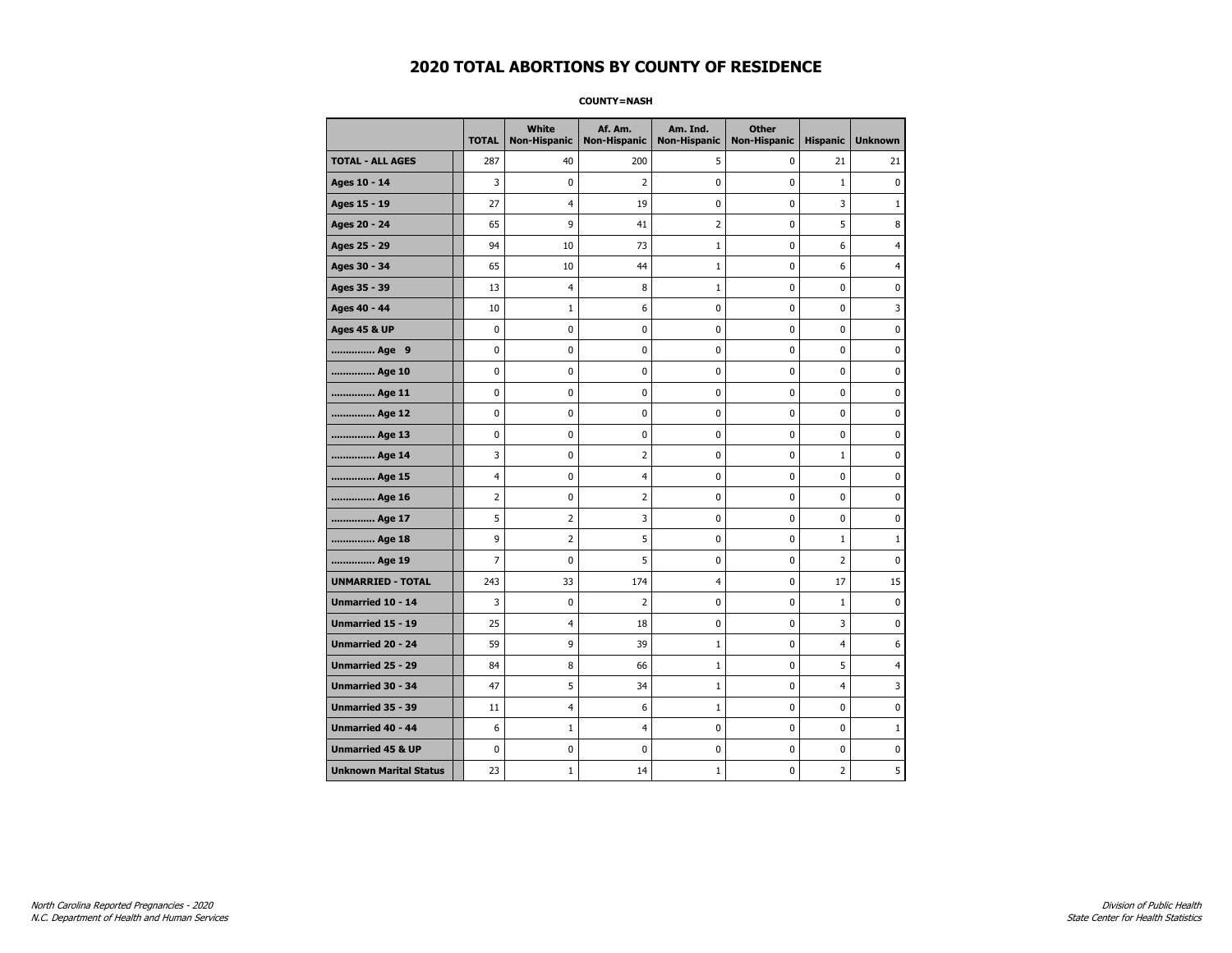**COUNTY=NASH** 

|                               | <b>TOTAL</b>   | White<br><b>Non-Hispanic</b> | Af. Am.<br><b>Non-Hispanic</b> | Am. Ind.<br><b>Non-Hispanic</b> | <b>Other</b><br><b>Non-Hispanic</b> | <b>Hispanic</b> | <b>Unknown</b> |
|-------------------------------|----------------|------------------------------|--------------------------------|---------------------------------|-------------------------------------|-----------------|----------------|
| <b>TOTAL - ALL AGES</b>       | 287            | 40                           | 200                            | 5                               | 0                                   | 21              | 21             |
| Ages 10 - 14                  | 3              | $\mathbf 0$                  | 2                              | 0                               | 0                                   | $\mathbf{1}$    | 0              |
| Ages 15 - 19                  | 27             | 4                            | 19                             | 0                               | 0                                   | 3               | $\mathbf{1}$   |
| Ages 20 - 24                  | 65             | 9                            | 41                             | $\overline{2}$                  | $\mathbf 0$                         | 5               | 8              |
| Ages 25 - 29                  | 94             | 10                           | 73                             | $\mathbf 1$                     | $\pmb{0}$                           | 6               | 4              |
| Ages 30 - 34                  | 65             | 10                           | 44                             | $\mathbf 1$                     | 0                                   | 6               | 4              |
| Ages 35 - 39                  | 13             | 4                            | 8                              | $\mathbf 1$                     | 0                                   | 0               | 0              |
| Ages 40 - 44                  | 10             | $\mathbf{1}$                 | 6                              | 0                               | $\mathbf 0$                         | 0               | 3              |
| <b>Ages 45 &amp; UP</b>       | 0              | 0                            | 0                              | 0                               | 0                                   | 0               | $\mathbf 0$    |
| Age 9                         | 0              | 0                            | 0                              | 0                               | $\mathbf 0$                         | 0               | $\mathbf 0$    |
| Age 10                        | 0              | 0                            | 0                              | 0                               | $\pmb{0}$                           | 0               | 0              |
| Age 11                        | 0              | 0                            | 0                              | 0                               | 0                                   | 0               | $\mathbf 0$    |
| Age 12                        | 0              | 0                            | 0                              | 0                               | 0                                   | 0               | 0              |
| Age 13                        | 0              | 0                            | 0                              | 0                               | 0                                   | 0               | $\mathbf 0$    |
| Age 14                        | 3              | 0                            | $\overline{2}$                 | 0                               | $\pmb{0}$                           | $\mathbf{1}$    | $\mathbf 0$    |
| Age 15                        | 4              | 0                            | 4                              | 0                               | $\pmb{0}$                           | 0               | $\pmb{0}$      |
| Age 16                        | $\overline{2}$ | $\pmb{0}$                    | 2                              | 0                               | $\pmb{0}$                           | 0               | $\mathbf 0$    |
| Age 17                        | 5              | 2                            | 3                              | 0                               | 0                                   | 0               | 0              |
| Age 18                        | 9              | $\overline{2}$               | 5                              | 0                               | $\pmb{0}$                           | $\mathbf 1$     | $\mathbf{1}$   |
| Age 19                        | 7              | 0                            | 5                              | 0                               | 0                                   | 2               | $\mathbf 0$    |
| <b>UNMARRIED - TOTAL</b>      | 243            | 33                           | 174                            | $\overline{4}$                  | $\mathbf 0$                         | 17              | 15             |
| Unmarried 10 - 14             | 3              | 0                            | $\overline{2}$                 | 0                               | $\pmb{0}$                           | $\mathbf 1$     | 0              |
| Unmarried 15 - 19             | 25             | 4                            | 18                             | 0                               | $\pmb{0}$                           | 3               | $\pmb{0}$      |
| <b>Unmarried 20 - 24</b>      | 59             | 9                            | 39                             | $\mathbf 1$                     | 0                                   | 4               | 6              |
| <b>Unmarried 25 - 29</b>      | 84             | 8                            | 66                             | $\mathbf{1}$                    | 0                                   | 5               | 4              |
| <b>Unmarried 30 - 34</b>      | 47             | 5                            | 34                             | $\mathbf 1$                     | $\mathbf 0$                         | 4               | 3              |
| <b>Unmarried 35 - 39</b>      | 11             | 4                            | 6                              | $\mathbf 1$                     | $\mathbf 0$                         | 0               | $\mathbf 0$    |
| <b>Unmarried 40 - 44</b>      | 6              | $\mathbf{1}$                 | 4                              | 0                               | $\pmb{0}$                           | 0               | $\mathbf{1}$   |
| <b>Unmarried 45 &amp; UP</b>  | 0              | 0                            | 0                              | 0                               | 0                                   | 0               | 0              |
| <b>Unknown Marital Status</b> | 23             | $\mathbf{1}$                 | 14                             | $\mathbf 1$                     | 0                                   | 2               | 5              |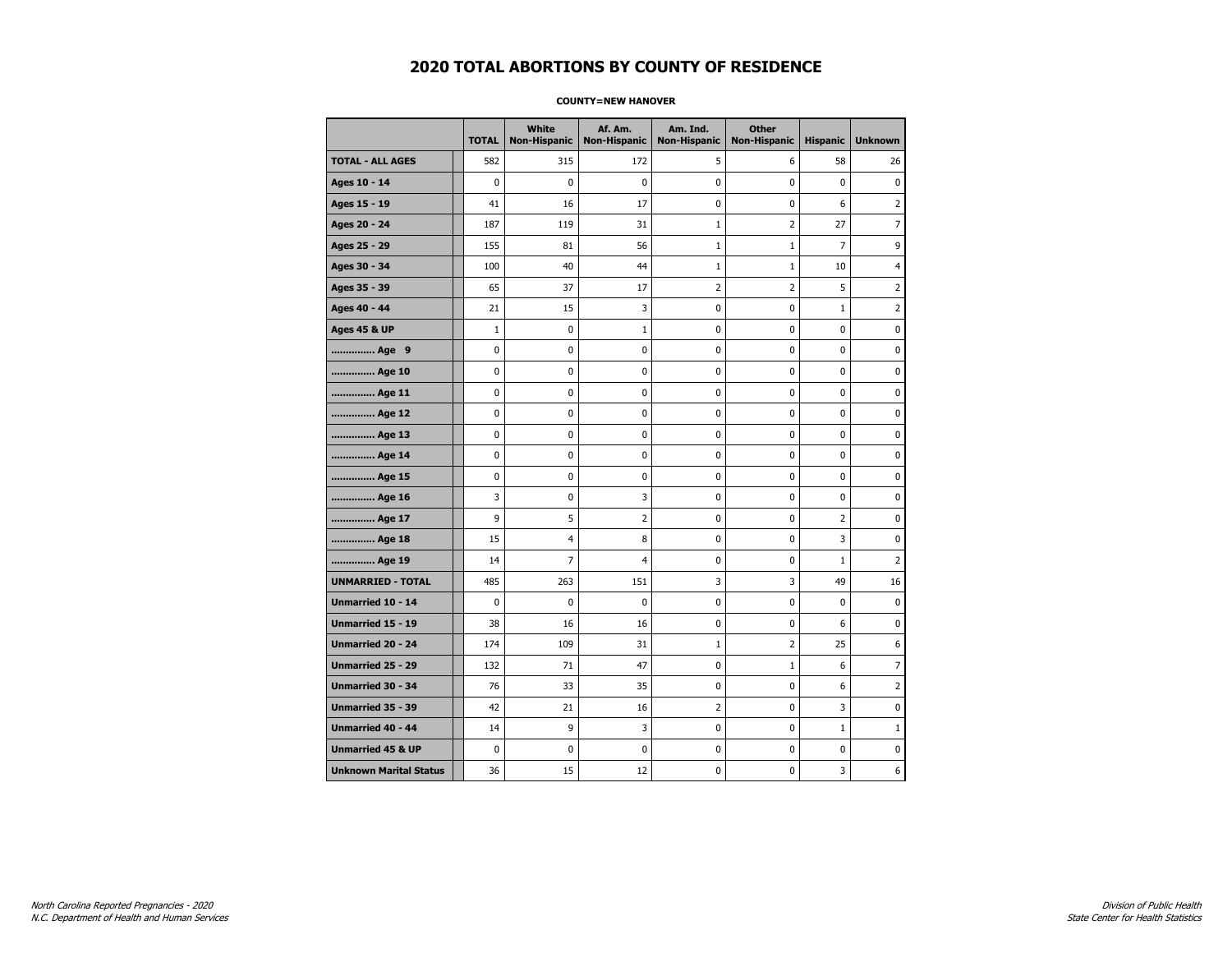#### **COUNTY=NEW HANOVER**

|                               | <b>TOTAL</b> | <b>White</b><br><b>Non-Hispanic</b> | Af. Am.<br><b>Non-Hispanic</b> | Am. Ind.<br><b>Non-Hispanic</b> | <b>Other</b><br><b>Non-Hispanic</b> | <b>Hispanic</b> | <b>Unknown</b> |
|-------------------------------|--------------|-------------------------------------|--------------------------------|---------------------------------|-------------------------------------|-----------------|----------------|
| <b>TOTAL - ALL AGES</b>       | 582          | 315                                 | 172                            | 5                               | 6                                   | 58              | 26             |
| Ages 10 - 14                  | 0            | $\mathbf 0$                         | 0                              | 0                               | 0                                   | 0               | 0              |
| Ages 15 - 19                  | 41           | 16                                  | 17                             | 0                               | $\pmb{0}$                           | 6               | $\overline{2}$ |
| Ages 20 - 24                  | 187          | 119                                 | 31                             | $\mathbf 1$                     | $\overline{2}$                      | 27              | $\overline{7}$ |
| Ages 25 - 29                  | 155          | 81                                  | 56                             | $\mathbf 1$                     | $\mathbf{1}$                        | 7               | 9              |
| Ages 30 - 34                  | 100          | 40                                  | 44                             | $\mathbf 1$                     | $1\,$                               | 10              | 4              |
| Ages 35 - 39                  | 65           | 37                                  | 17                             | $\overline{2}$                  | 2                                   | 5               | $\overline{2}$ |
| Ages 40 - 44                  | 21           | 15                                  | 3                              | 0                               | 0                                   | $\mathbf 1$     | $\overline{2}$ |
| <b>Ages 45 &amp; UP</b>       | $\mathbf 1$  | $\pmb{0}$                           | $\mathbf{1}$                   | 0                               | $\pmb{0}$                           | 0               | $\pmb{0}$      |
| Age 9                         | 0            | 0                                   | 0                              | 0                               | 0                                   | 0               | 0              |
| Age 10                        | 0            | 0                                   | 0                              | 0                               | 0                                   | 0               | $\mathbf 0$    |
| Age 11                        | 0            | 0                                   | 0                              | 0                               | $\pmb{0}$                           | 0               | $\mathbf 0$    |
| Age 12                        | 0            | 0                                   | 0                              | 0                               | 0                                   | 0               | 0              |
| Age 13                        | 0            | 0                                   | 0                              | 0                               | 0                                   | 0               | 0              |
| Age 14                        | 0            | 0                                   | 0                              | 0                               | 0                                   | 0               | 0              |
| Age 15                        | 0            | 0                                   | 0                              | 0                               | 0                                   | 0               | 0              |
| Age 16                        | 3            | 0                                   | 3                              | 0                               | $\mathbf 0$                         | 0               | $\mathbf 0$    |
| Age 17                        | 9            | 5                                   | 2                              | 0                               | $\pmb{0}$                           | $\overline{2}$  | 0              |
| Age 18                        | 15           | 4                                   | 8                              | 0                               | 0                                   | 3               | 0              |
| Age 19                        | 14           | $\overline{7}$                      | 4                              | 0                               | 0                                   | $\mathbf{1}$    | $\overline{2}$ |
| <b>UNMARRIED - TOTAL</b>      | 485          | 263                                 | 151                            | 3                               | 3                                   | 49              | 16             |
| Unmarried 10 - 14             | 0            | $\mathbf 0$                         | 0                              | 0                               | $\mathbf 0$                         | 0               | 0              |
| Unmarried 15 - 19             | 38           | 16                                  | 16                             | 0                               | $\pmb{0}$                           | 6               | $\pmb{0}$      |
| Unmarried 20 - 24             | 174          | 109                                 | 31                             | $\mathbf 1$                     | 2                                   | 25              | 6              |
| Unmarried 25 - 29             | 132          | 71                                  | 47                             | 0                               | $1\,$                               | 6               | $\overline{7}$ |
| <b>Unmarried 30 - 34</b>      | 76           | 33                                  | 35                             | 0                               | $\pmb{0}$                           | 6               | $\overline{2}$ |
| <b>Unmarried 35 - 39</b>      | 42           | 21                                  | 16                             | $\overline{2}$                  | 0                                   | 3               | 0              |
| <b>Unmarried 40 - 44</b>      | 14           | 9                                   | 3                              | 0                               | $\pmb{0}$                           | $\mathbf{1}$    | $\mathbf{1}$   |
| <b>Unmarried 45 &amp; UP</b>  | 0            | 0                                   | 0                              | 0                               | 0                                   | 0               | 0              |
| <b>Unknown Marital Status</b> | 36           | 15                                  | 12                             | 0                               | 0                                   | 3               | 6              |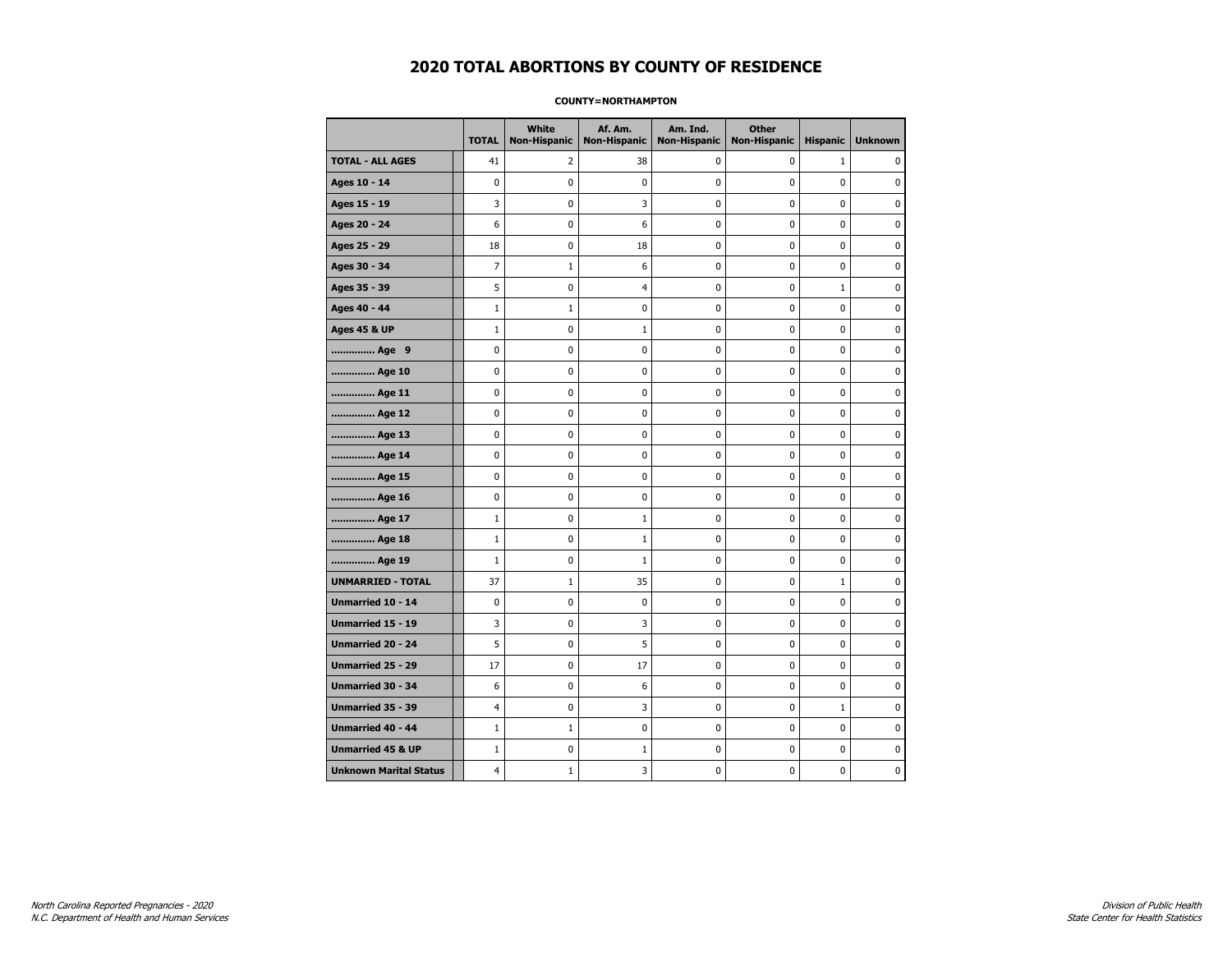#### **COUNTY=NORTHAMPTON**

|                               | <b>TOTAL</b>   | <b>White</b><br><b>Non-Hispanic</b> | Af. Am.<br><b>Non-Hispanic</b> | Am. Ind.<br><b>Non-Hispanic</b> | <b>Other</b><br><b>Non-Hispanic</b> | <b>Hispanic</b> | <b>Unknown</b> |
|-------------------------------|----------------|-------------------------------------|--------------------------------|---------------------------------|-------------------------------------|-----------------|----------------|
| <b>TOTAL - ALL AGES</b>       | 41             | 2                                   | 38                             | 0                               | 0                                   | $\mathbf{1}$    | $\Omega$       |
| Ages 10 - 14                  | 0              | $\mathbf 0$                         | 0                              | 0                               | 0                                   | 0               | $\mathbf 0$    |
| Ages 15 - 19                  | 3              | $\pmb{0}$                           | 3                              | 0                               | 0                                   | 0               | $\pmb{0}$      |
| Ages 20 - 24                  | 6              | 0                                   | 6                              | 0                               | 0                                   | 0               | $\pmb{0}$      |
| Ages 25 - 29                  | 18             | 0                                   | 18                             | 0                               | 0                                   | 0               | 0              |
| Ages 30 - 34                  | $\overline{7}$ | $\mathbf{1}$                        | 6                              | 0                               | 0                                   | 0               | 0              |
| Ages 35 - 39                  | 5              | $\mathbf 0$                         | $\overline{4}$                 | 0                               | 0                                   | $\mathbf{1}$    | $\mathbf 0$    |
| Ages 40 - 44                  | $1\,$          | $1\,$                               | 0                              | 0                               | 0                                   | 0               | 0              |
| <b>Ages 45 &amp; UP</b>       | $\mathbf 1$    | 0                                   | $\mathbf{1}$                   | 0                               | 0                                   | 0               | 0              |
| Age 9                         | 0              | 0                                   | 0                              | 0                               | 0                                   | 0               | 0              |
| Age 10                        | 0              | $\mathbf 0$                         | 0                              | 0                               | 0                                   | 0               | $\mathbf 0$    |
| Age 11                        | 0              | $\mathbf 0$                         | 0                              | 0                               | 0                                   | 0               | $\mathbf 0$    |
| Age 12                        | 0              | 0                                   | 0                              | 0                               | 0                                   | 0               | 0              |
| Age 13                        | 0              | $\mathbf 0$                         | 0                              | 0                               | 0                                   | 0               | 0              |
| Age 14                        | 0              | 0                                   | 0                              | 0                               | 0                                   | 0               | 0              |
| Age 15                        | 0              | 0                                   | 0                              | 0                               | 0                                   | 0               | 0              |
| Age 16                        | 0              | $\mathbf 0$                         | 0                              | 0                               | 0                                   | 0               | $\mathbf 0$    |
| Age 17                        | $\mathbf 1$    | $\pmb{0}$                           | $\mathbf{1}$                   | 0                               | 0                                   | 0               | 0              |
| Age 18                        | $1\,$          | 0                                   | $\mathbf{1}$                   | 0                               | 0                                   | 0               | 0              |
| Age 19                        | $\mathbf 1$    | 0                                   | $\mathbf{1}$                   | 0                               | 0                                   | 0               | 0              |
| <b>UNMARRIED - TOTAL</b>      | 37             | $\mathbf{1}$                        | 35                             | 0                               | 0                                   | $\mathbf 1$     | 0              |
| Unmarried 10 - 14             | 0              | $\mathbf 0$                         | 0                              | 0                               | 0                                   | 0               | $\mathbf 0$    |
| Unmarried 15 - 19             | 3              | $\pmb{0}$                           | 3                              | 0                               | 0                                   | 0               | 0              |
| Unmarried 20 - 24             | 5              | 0                                   | 5                              | 0                               | 0                                   | 0               | 0              |
| Unmarried 25 - 29             | 17             | $\mathbf 0$                         | 17                             | 0                               | 0                                   | 0               | 0              |
| Unmarried 30 - 34             | 6              | $\pmb{0}$                           | 6                              | 0                               | 0                                   | 0               | $\mathbf 0$    |
| <b>Unmarried 35 - 39</b>      | 4              | $\mathbf 0$                         | 3                              | 0                               | 0                                   | $\mathbf{1}$    | $\mathbf 0$    |
| Unmarried 40 - 44             | $1\,$          | $\mathbf 1$                         | $\bf{0}$                       | 0                               | 0                                   | $\mathbf 0$     | $\pmb{0}$      |
| <b>Unmarried 45 &amp; UP</b>  | $\mathbf{1}$   | 0                                   | 1                              | 0                               | 0                                   | 0               | 0              |
| <b>Unknown Marital Status</b> | 4              | $\mathbf{1}$                        | 3                              | 0                               | 0                                   | 0               | 0              |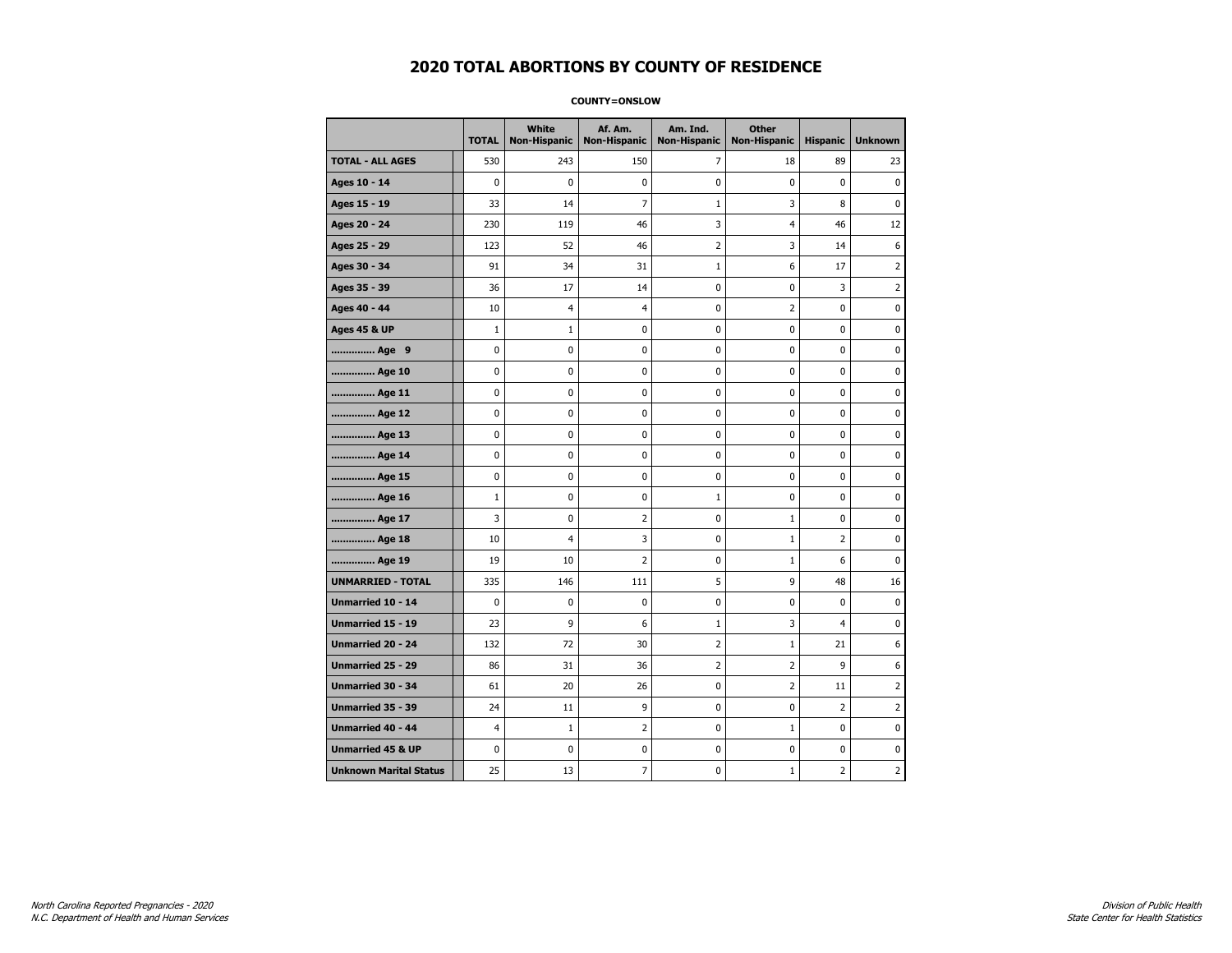#### **COUNTY=ONSLOW**

|                               | <b>TOTAL</b>   | <b>White</b><br>Non-Hispanic | Af. Am.<br><b>Non-Hispanic</b> | Am. Ind.<br><b>Non-Hispanic</b> | <b>Other</b><br><b>Non-Hispanic</b> | <b>Hispanic</b> | <b>Unknown</b> |
|-------------------------------|----------------|------------------------------|--------------------------------|---------------------------------|-------------------------------------|-----------------|----------------|
| <b>TOTAL - ALL AGES</b>       | 530            | 243                          | 150                            | 7                               | 18                                  | 89              | 23             |
| Ages 10 - 14                  | $\mathbf 0$    | 0                            | 0                              | 0                               | $\mathbf 0$                         | $\mathbf 0$     | $\mathbf 0$    |
| Ages 15 - 19                  | 33             | 14                           | $\overline{7}$                 | $\mathbf{1}$                    | 3                                   | 8               | 0              |
| Ages 20 - 24                  | 230            | 119                          | 46                             | 3                               | 4                                   | 46              | 12             |
| Ages 25 - 29                  | 123            | 52                           | 46                             | $\mathbf 2$                     | 3                                   | 14              | 6              |
| Ages 30 - 34                  | 91             | 34                           | 31                             | $\mathbf{1}$                    | 6                                   | 17              | 2              |
| Ages 35 - 39                  | 36             | 17                           | 14                             | 0                               | 0                                   | 3               | 2              |
| Ages 40 - 44                  | 10             | 4                            | $\overline{4}$                 | 0                               | $\overline{2}$                      | $\mathbf 0$     | 0              |
| <b>Ages 45 &amp; UP</b>       | $\mathbf 1$    | $\mathbf 1$                  | 0                              | 0                               | $\mathbf 0$                         | $\mathbf 0$     | 0              |
| Age 9                         | $\pmb{0}$      | 0                            | 0                              | 0                               | $\pmb{0}$                           | 0               | 0              |
| Age 10                        | $\mathbf 0$    | 0                            | 0                              | 0                               | $\mathbf 0$                         | $\mathbf 0$     | 0              |
| Age 11                        | 0              | 0                            | 0                              | 0                               | 0                                   | 0               | 0              |
| Age 12                        | 0              | 0                            | 0                              | 0                               | 0                                   | 0               | 0              |
| Age 13                        | 0              | $\mathbf 0$                  | 0                              | $\mathbf 0$                     | $\mathbf 0$                         | $\mathbf 0$     | 0              |
| Age 14                        | 0              | 0                            | $\mathbf 0$                    | $\mathbf 0$                     | $\mathbf 0$                         | $\mathbf 0$     | $\mathbf 0$    |
| Age 15                        | $\pmb{0}$      | 0                            | $\pmb{0}$                      | 0                               | $\pmb{0}$                           | 0               | 0              |
| Age 16                        | $\mathbf 1$    | 0                            | 0                              | $1\,$                           | 0                                   | 0               | 0              |
| Age 17                        | 3              | 0                            | $\overline{2}$                 | 0                               | $\mathbf{1}$                        | $\mathbf 0$     | 0              |
| Age 18                        | 10             | 4                            | 3                              | 0                               | $\mathbf{1}$                        | $\overline{2}$  | 0              |
| Age 19                        | 19             | 10                           | $\overline{2}$                 | 0                               | $1\,$                               | 6               | 0              |
| <b>UNMARRIED - TOTAL</b>      | 335            | 146                          | 111                            | 5                               | 9                                   | 48              | 16             |
| Unmarried 10 - 14             | $\mathbf 0$    | 0                            | $\bf{0}$                       | 0                               | $\pmb{0}$                           | $\mathbf 0$     | 0              |
| Unmarried 15 - 19             | 23             | 9                            | 6                              | $\mathbf{1}$                    | 3                                   | $\overline{4}$  | 0              |
| Unmarried 20 - 24             | 132            | 72                           | 30                             | 2                               | $\mathbf{1}$                        | 21              | 6              |
| <b>Unmarried 25 - 29</b>      | 86             | 31                           | 36                             | $\overline{2}$                  | $\overline{2}$                      | 9               | 6              |
| Unmarried 30 - 34             | 61             | 20                           | 26                             | 0                               | $\overline{2}$                      | 11              | 2              |
| Unmarried 35 - 39             | 24             | 11                           | 9                              | $\pmb{0}$                       | $\pmb{0}$                           | $\overline{2}$  | $\overline{2}$ |
| Unmarried 40 - 44             | $\overline{4}$ | $\mathbf 1$                  | $\overline{2}$                 | 0                               | $\mathbf 1$                         | 0               | 0              |
| <b>Unmarried 45 &amp; UP</b>  | $\mathbf 0$    | 0                            | 0                              | 0                               | 0                                   | 0               | 0              |
| <b>Unknown Marital Status</b> | 25             | 13                           | $\overline{7}$                 | 0                               | $\mathbf{1}$                        | 2               | 2              |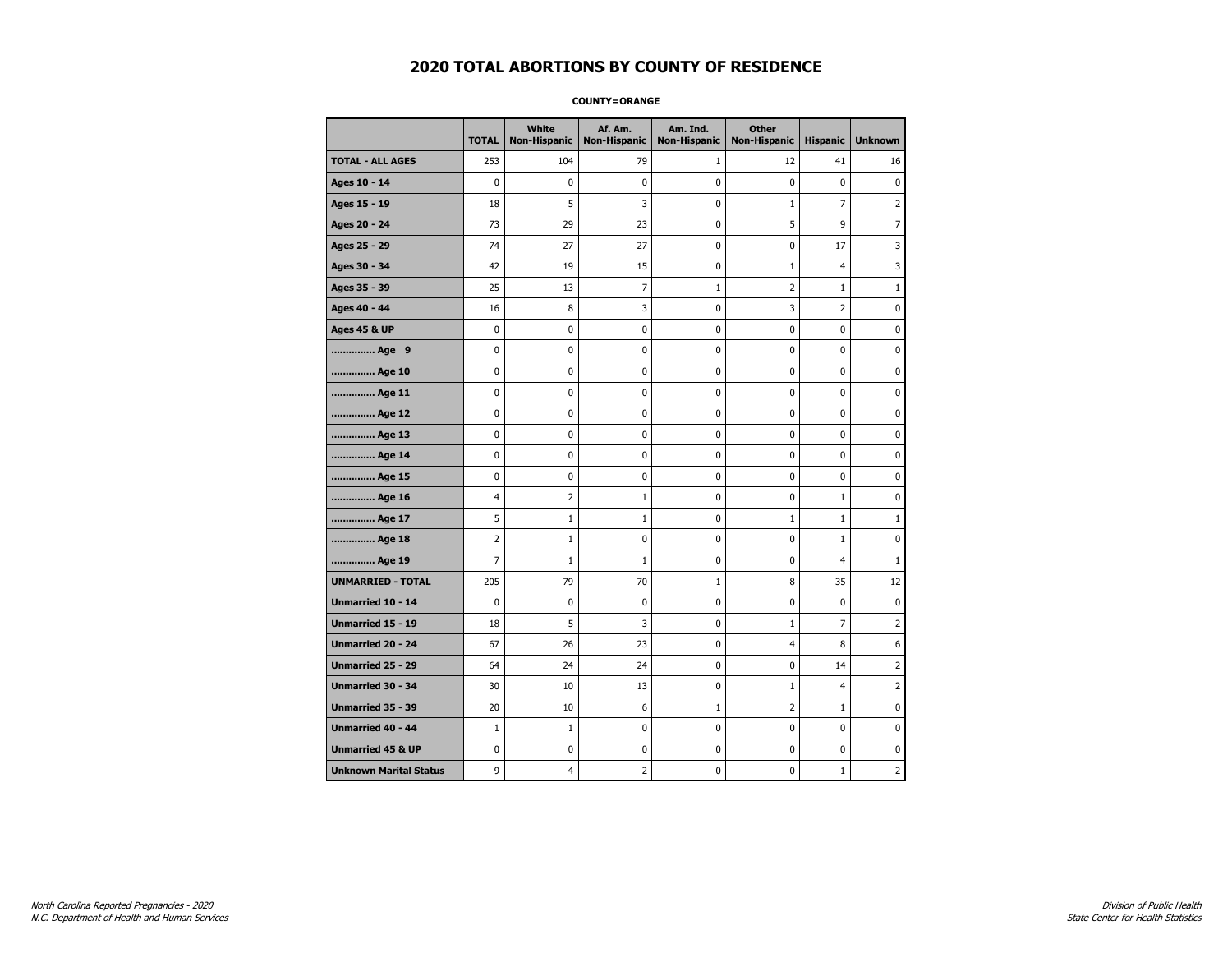#### **COUNTY=ORANGE**

|                               | <b>TOTAL</b>   | <b>White</b><br>Non-Hispanic | Af. Am.<br><b>Non-Hispanic</b> | Am. Ind.<br><b>Non-Hispanic</b> | <b>Other</b><br><b>Non-Hispanic</b> | <b>Hispanic</b> | <b>Unknown</b> |
|-------------------------------|----------------|------------------------------|--------------------------------|---------------------------------|-------------------------------------|-----------------|----------------|
| <b>TOTAL - ALL AGES</b>       | 253            | 104                          | 79                             | 1                               | 12                                  | 41              | 16             |
| Ages 10 - 14                  | $\mathbf 0$    | $\mathbf 0$                  | $\mathbf 0$                    | $\mathbf 0$                     | $\mathbf 0$                         | $\mathbf 0$     | $\mathbf 0$    |
| Ages 15 - 19                  | 18             | 5                            | 3                              | $\pmb{0}$                       | $\mathbf{1}$                        | $\overline{7}$  | $\overline{2}$ |
| Ages 20 - 24                  | 73             | 29                           | 23                             | $\pmb{0}$                       | 5                                   | 9               | $\overline{7}$ |
| Ages 25 - 29                  | 74             | 27                           | 27                             | 0                               | 0                                   | 17              | 3              |
| Ages 30 - 34                  | 42             | 19                           | 15                             | 0                               | $\mathbf{1}$                        | $\overline{4}$  | 3              |
| Ages 35 - 39                  | 25             | 13                           | $\overline{7}$                 | $\mathbf{1}$                    | $\overline{2}$                      | $\mathbf{1}$    | 1              |
| Ages 40 - 44                  | 16             | 8                            | 3                              | 0                               | 3                                   | $\overline{2}$  | 0              |
| <b>Ages 45 &amp; UP</b>       | 0              | 0                            | $\pmb{0}$                      | $\pmb{0}$                       | $\pmb{0}$                           | 0               | 0              |
| Age 9                         | $\mathbf 0$    | 0                            | 0                              | 0                               | $\mathbf 0$                         | 0               | 0              |
| Age 10                        | $\mathbf 0$    | 0                            | $\mathbf 0$                    | $\mathbf 0$                     | $\mathbf 0$                         | $\mathbf 0$     | 0              |
| Age 11                        | $\mathbf 0$    | 0                            | $\mathbf 0$                    | $\pmb{0}$                       | $\mathbf 0$                         | $\mathbf 0$     | 0              |
| Age 12                        | $\pmb{0}$      | 0                            | $\pmb{0}$                      | 0                               | 0                                   | 0               | 0              |
| Age 13                        | $\mathbf 0$    | 0                            | $\mathbf 0$                    | 0                               | $\mathbf 0$                         | $\mathbf 0$     | 0              |
| Age 14                        | 0              | 0                            | $\pmb{0}$                      | 0                               | 0                                   | 0               | 0              |
| Age 15                        | $\mathbf 0$    | 0                            | $\pmb{0}$                      | 0                               | $\mathbf 0$                         | 0               | 0              |
| Age 16                        | $\overline{4}$ | $\overline{2}$               | $\mathbf{1}$                   | $\mathbf 0$                     | $\mathbf 0$                         | $\mathbf{1}$    | 0              |
| Age 17                        | 5              | $\mathbf 1$                  | $\mathbf 1$                    | $\pmb{0}$                       | $\mathbf{1}$                        | $\mathbf{1}$    | $\mathbf{1}$   |
| Age 18                        | $\overline{2}$ | $\mathbf{1}$                 | $\pmb{0}$                      | 0                               | 0                                   | $\mathbf 1$     | 0              |
| Age 19                        | $\overline{7}$ | $\mathbf{1}$                 | 1                              | 0                               | $\mathbf 0$                         | 4               | $\mathbf{1}$   |
| <b>UNMARRIED - TOTAL</b>      | 205            | 79                           | 70                             | $\mathbf{1}$                    | 8                                   | 35              | 12             |
| Unmarried 10 - 14             | $\mathbf 0$    | 0                            | $\mathbf 0$                    | $\mathbf 0$                     | $\mathbf 0$                         | $\mathbf 0$     | 0              |
| Unmarried 15 - 19             | 18             | 5                            | 3                              | $\pmb{0}$                       | $\mathbf{1}$                        | $\overline{7}$  | $\overline{2}$ |
| Unmarried 20 - 24             | 67             | 26                           | 23                             | 0                               | 4                                   | 8               | 6              |
| Unmarried 25 - 29             | 64             | 24                           | 24                             | 0                               | $\mathbf 0$                         | 14              | $\overline{2}$ |
| <b>Unmarried 30 - 34</b>      | 30             | 10                           | 13                             | $\pmb{0}$                       | $\mathbf{1}$                        | 4               | 2              |
| <b>Unmarried 35 - 39</b>      | 20             | 10                           | 6                              | $\mathbf{1}$                    | $\overline{2}$                      | $\mathbf{1}$    | $\pmb{0}$      |
| <b>Unmarried 40 - 44</b>      | $1\,$          | $1\,$                        | $\pmb{0}$                      | $\pmb{0}$                       | $\pmb{0}$                           | $\mathbf 0$     | 0              |
| <b>Unmarried 45 &amp; UP</b>  | 0              | 0                            | 0                              | 0                               | 0                                   | 0               | 0              |
| <b>Unknown Marital Status</b> | 9              | 4                            | $\overline{2}$                 | 0                               | $\mathbf 0$                         | $\mathbf{1}$    | $\overline{2}$ |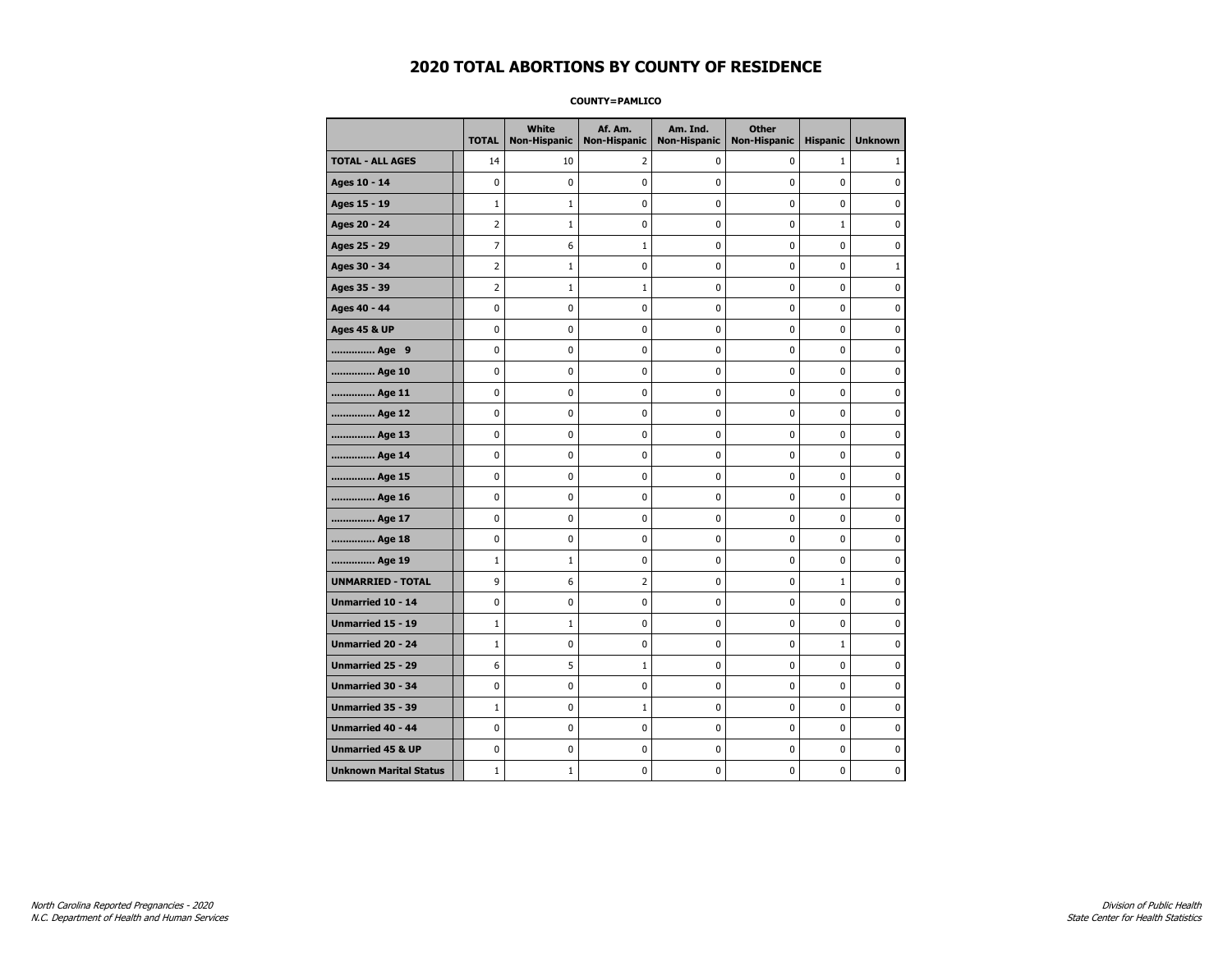**COUNTY=PAMLICO** 

|                               | <b>TOTAL</b>   | <b>White</b><br>Non-Hispanic | Af. Am.<br><b>Non-Hispanic</b> | Am. Ind.<br><b>Non-Hispanic</b> | <b>Other</b><br>Non-Hispanic | <b>Hispanic</b> | <b>Unknown</b> |
|-------------------------------|----------------|------------------------------|--------------------------------|---------------------------------|------------------------------|-----------------|----------------|
| <b>TOTAL - ALL AGES</b>       | 14             | 10                           | 2                              | 0                               | 0                            | $\mathbf{1}$    | 1              |
| Ages 10 - 14                  | 0              | $\mathbf 0$                  | 0                              | 0                               | 0                            | 0               | 0              |
| Ages 15 - 19                  | $\mathbf{1}$   | $\mathbf{1}$                 | 0                              | 0                               | 0                            | 0               | 0              |
| Ages 20 - 24                  | $\overline{2}$ | 1                            | 0                              | 0                               | 0                            | $\mathbf{1}$    | $\mathbf 0$    |
| Ages 25 - 29                  | $\overline{7}$ | 6                            | $\mathbf{1}$                   | 0                               | $\mathbf 0$                  | 0               | $\mathbf 0$    |
| Ages 30 - 34                  | $\overline{2}$ | 1                            | 0                              | 0                               | $\pmb{0}$                    | 0               | $\mathbf{1}$   |
| Ages 35 - 39                  | 2              | 1                            | 1                              | 0                               | 0                            | 0               | 0              |
| Ages 40 - 44                  | 0              | 0                            | 0                              | 0                               | 0                            | 0               | 0              |
| <b>Ages 45 &amp; UP</b>       | 0              | 0                            | 0                              | 0                               | 0                            | 0               | 0              |
| Age 9                         | 0              | 0                            | 0                              | 0                               | 0                            | 0               | 0              |
| Age 10                        | 0              | 0                            | 0                              | 0                               | $\mathbf 0$                  | 0               | $\mathbf 0$    |
| Age 11                        | 0              | 0                            | 0                              | 0                               | $\mathbf 0$                  | 0               | $\mathbf 0$    |
| Age 12                        | 0              | 0                            | 0                              | 0                               | $\pmb{0}$                    | 0               | $\pmb{0}$      |
| Age 13                        | 0              | 0                            | 0                              | 0                               | $\pmb{0}$                    | 0               | 0              |
| Age 14                        | 0              | 0                            | 0                              | 0                               | 0                            | 0               | 0              |
| Age 15                        | 0              | 0                            | 0                              | 0                               | 0                            | 0               | $\mathbf 0$    |
| Age 16                        | 0              | 0                            | 0                              | 0                               | $\pmb{0}$                    | 0               | $\mathbf 0$    |
| Age 17                        | 0              | 0                            | 0                              | 0                               | 0                            | 0               | 0              |
| Age 18                        | 0              | 0                            | 0                              | 0                               | $\mathbf 0$                  | 0               | $\mathbf 0$    |
| Age 19                        | $\mathbf{1}$   | $\mathbf{1}$                 | 0                              | 0                               | $\pmb{0}$                    | 0               | 0              |
| <b>UNMARRIED - TOTAL</b>      | 9              | 6                            | 2                              | 0                               | $\pmb{0}$                    | $\mathbf{1}$    | 0              |
| Unmarried 10 - 14             | 0              | 0                            | 0                              | 0                               | 0                            | 0               | 0              |
| <b>Unmarried 15 - 19</b>      | $\mathbf{1}$   | 1                            | 0                              | 0                               | 0                            | 0               | $\mathbf 0$    |
| <b>Unmarried 20 - 24</b>      | $\mathbf{1}$   | 0                            | 0                              | 0                               | 0                            | $\mathbf{1}$    | $\mathbf 0$    |
| <b>Unmarried 25 - 29</b>      | 6              | 5                            | $\mathbf{1}$                   | 0                               | 0                            | 0               | 0              |
| <b>Unmarried 30 - 34</b>      | 0              | 0                            | 0                              | 0                               | $\mathbf 0$                  | 0               | $\mathbf 0$    |
| Unmarried 35 - 39             | $\mathbf{1}$   | 0                            | $\mathbf{1}$                   | 0                               | $\pmb{0}$                    | 0               | 0              |
| <b>Unmarried 40 - 44</b>      | $\mathbf 0$    | $\pmb{0}$                    | 0                              | 0                               | $\pmb{0}$                    | 0               | 0              |
| <b>Unmarried 45 &amp; UP</b>  | 0              | 0                            | 0                              | 0                               | 0                            | 0               | 0              |
| <b>Unknown Marital Status</b> | $\mathbf{1}$   | $\mathbf{1}$                 | 0                              | 0                               | 0                            | 0               | $\mathbf 0$    |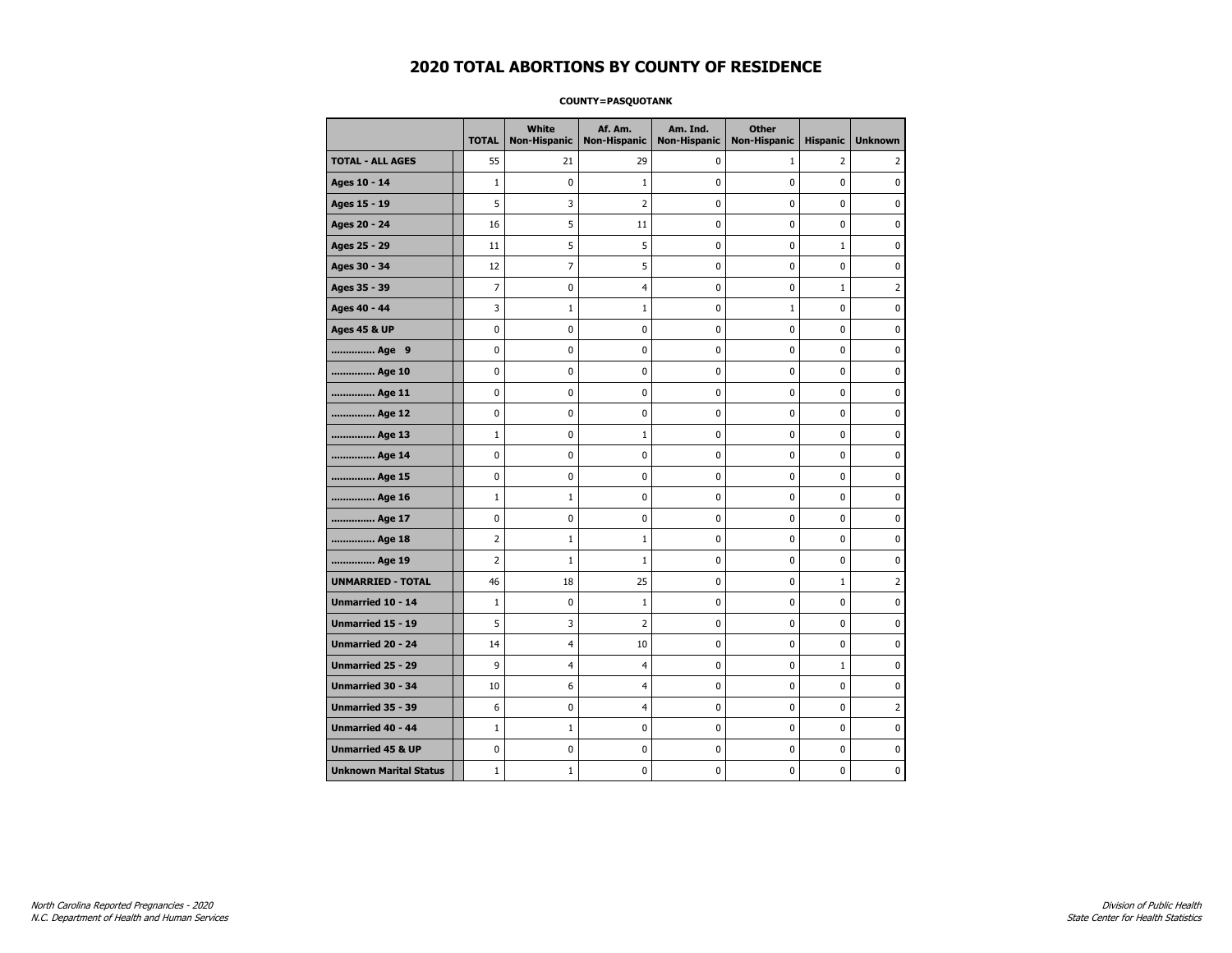### **COUNTY=PASQUOTANK**

|                               | <b>TOTAL</b>   | <b>White</b><br><b>Non-Hispanic</b> | Af. Am.<br><b>Non-Hispanic</b> | Am. Ind.<br><b>Non-Hispanic</b> | <b>Other</b><br><b>Non-Hispanic</b> | <b>Hispanic</b> | <b>Unknown</b> |
|-------------------------------|----------------|-------------------------------------|--------------------------------|---------------------------------|-------------------------------------|-----------------|----------------|
| <b>TOTAL - ALL AGES</b>       | 55             | 21                                  | 29                             | 0                               | 1                                   | $\overline{2}$  | 2              |
| Ages 10 - 14                  | $\mathbf{1}$   | $\pmb{0}$                           | 1                              | 0                               | 0                                   | 0               | 0              |
| Ages 15 - 19                  | 5              | 3                                   | $\overline{2}$                 | $\mathbf 0$                     | 0                                   | 0               | 0              |
| Ages 20 - 24                  | 16             | 5                                   | 11                             | 0                               | 0                                   | 0               | $\mathbf 0$    |
| Ages 25 - 29                  | 11             | 5                                   | 5                              | 0                               | 0                                   | $\mathbf{1}$    | $\mathbf 0$    |
| Ages 30 - 34                  | 12             | $\overline{7}$                      | 5                              | 0                               | 0                                   | 0               | $\mathbf 0$    |
| Ages 35 - 39                  | $\overline{7}$ | 0                                   | $\overline{4}$                 | 0                               | 0                                   | $\mathbf{1}$    | $\overline{2}$ |
| Ages 40 - 44                  | 3              | $\mathbf{1}$                        | $\mathbf 1$                    | 0                               | $1\,$                               | 0               | 0              |
| <b>Ages 45 &amp; UP</b>       | 0              | 0                                   | 0                              | 0                               | 0                                   | 0               | 0              |
| Age 9                         | 0              | 0                                   | 0                              | 0                               | 0                                   | 0               | 0              |
| Age 10                        | $\mathbf 0$    | 0                                   | 0                              | 0                               | 0                                   | 0               | $\mathbf 0$    |
| Age 11                        | 0              | 0                                   | 0                              | 0                               | 0                                   | 0               | $\mathbf 0$    |
| Age 12                        | 0              | 0                                   | 0                              | 0                               | 0                                   | 0               | 0              |
| Age 13                        | $\mathbf 1$    | 0                                   | $\mathbf 1$                    | $\mathbf 0$                     | 0                                   | 0               | $\mathbf 0$    |
| Age 14                        | $\mathbf 0$    | 0                                   | 0                              | $\mathbf 0$                     | 0                                   | 0               | $\mathbf 0$    |
| Age 15                        | $\pmb{0}$      | 0                                   | $\mathbf 0$                    | 0                               | 0                                   | 0               | $\pmb{0}$      |
| Age 16                        | $\mathbf 1$    | $1\,$                               | 0                              | 0                               | 0                                   | 0               | 0              |
| Age 17                        | $\mathbf 0$    | 0                                   | 0                              | 0                               | 0                                   | 0               | 0              |
| Age 18                        | 2              | $\mathbf{1}$                        | 1                              | 0                               | 0                                   | 0               | 0              |
| Age 19                        | $\overline{2}$ | $\mathbf{1}$                        | 1                              | 0                               | 0                                   | 0               | 0              |
| <b>UNMARRIED - TOTAL</b>      | 46             | 18                                  | 25                             | 0                               | 0                                   | $\mathbf{1}$    | $\overline{2}$ |
| Unmarried 10 - 14             | $\mathbf{1}$   | 0                                   | $\mathbf{1}$                   | 0                               | 0                                   | 0               | 0              |
| Unmarried 15 - 19             | 5              | 3                                   | $\overline{2}$                 | 0                               | 0                                   | 0               | $\mathbf 0$    |
| <b>Unmarried 20 - 24</b>      | 14             | $\overline{4}$                      | 10                             | 0                               | 0                                   | 0               | $\mathbf 0$    |
| <b>Unmarried 25 - 29</b>      | 9              | 4                                   | $\overline{4}$                 | 0                               | 0                                   | $\mathbf 1$     | $\pmb{0}$      |
| Unmarried 30 - 34             | 10             | 6                                   | $\overline{4}$                 | 0                               | 0                                   | 0               | 0              |
| Unmarried 35 - 39             | 6              | 0                                   | 4                              | 0                               | 0                                   | 0               | $\overline{2}$ |
| Unmarried 40 - 44             | $\mathbf{1}$   | $\mathbf{1}$                        | 0                              | 0                               | 0                                   | 0               | 0              |
| <b>Unmarried 45 &amp; UP</b>  | $\mathbf 0$    | 0                                   | 0                              | 0                               | 0                                   | 0               | 0              |
| <b>Unknown Marital Status</b> | $\mathbf{1}$   | $1\,$                               | 0                              | 0                               | 0                                   | 0               | 0              |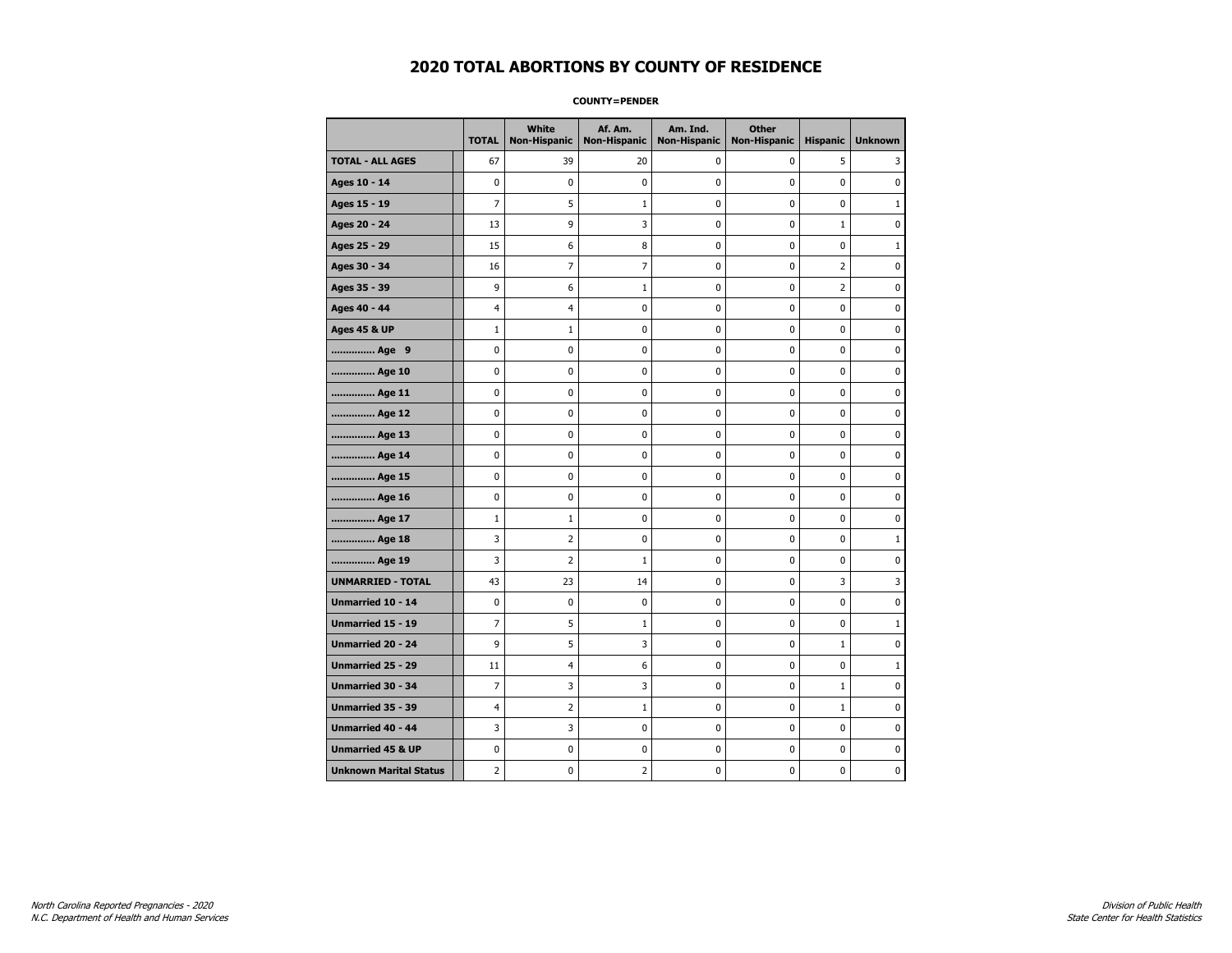#### **COUNTY=PENDER**

|                               | <b>TOTAL</b>   | White<br>Non-Hispanic | Af. Am.<br><b>Non-Hispanic</b> | Am. Ind.<br><b>Non-Hispanic</b> | <b>Other</b><br><b>Non-Hispanic</b> | <b>Hispanic</b> | <b>Unknown</b> |
|-------------------------------|----------------|-----------------------|--------------------------------|---------------------------------|-------------------------------------|-----------------|----------------|
| <b>TOTAL - ALL AGES</b>       | 67             | 39                    | 20                             | 0                               | 0                                   | 5               | 3              |
| Ages 10 - 14                  | 0              | $\mathbf 0$           | $\mathbf 0$                    | 0                               | 0                                   | $\mathbf 0$     | 0              |
| Ages 15 - 19                  | $\overline{7}$ | 5                     | $\mathbf 1$                    | $\mathbf 0$                     | 0                                   | 0               | $\mathbf{1}$   |
| Ages 20 - 24                  | 13             | 9                     | 3                              | $\pmb{0}$                       | 0                                   | $\mathbf{1}$    | 0              |
| Ages 25 - 29                  | 15             | 6                     | 8                              | $\pmb{0}$                       | 0                                   | $\pmb{0}$       | $\mathbf 1$    |
| Ages 30 - 34                  | 16             | 7                     | 7                              | 0                               | 0                                   | 2               | 0              |
| Ages 35 - 39                  | 9              | 6                     | 1                              | 0                               | 0                                   | 2               | 0              |
| Ages 40 - 44                  | $\overline{4}$ | $\overline{4}$        | $\mathbf 0$                    | 0                               | 0                                   | $\mathbf 0$     | $\mathbf 0$    |
| <b>Ages 45 &amp; UP</b>       | $\mathbf 1$    | $\mathbf{1}$          | $\mathbf 0$                    | $\mathbf 0$                     | 0                                   | $\mathbf 0$     | 0              |
| Age 9                         | 0              | 0                     | 0                              | 0                               | 0                                   | 0               | 0              |
| Age 10                        | 0              | 0                     | $\mathbf 0$                    | 0                               | 0                                   | $\mathbf 0$     | 0              |
| Age 11                        | 0              | 0                     | 0                              | 0                               | 0                                   | 0               | 0              |
| Age 12                        | 0              | 0                     | 0                              | 0                               | 0                                   | 0               | 0              |
| Age 13                        | 0              | 0                     | $\mathbf 0$                    | $\mathbf 0$                     | 0                                   | 0               | $\mathbf 0$    |
| Age 14                        | $\mathbf 0$    | 0                     | $\mathbf 0$                    | $\mathbf 0$                     | 0                                   | $\mathbf 0$     | $\mathbf 0$    |
| Age 15                        | 0              | 0                     | $\mathbf 0$                    | $\pmb{0}$                       | 0                                   | $\pmb{0}$       | $\pmb{0}$      |
| Age 16                        | 0              | 0                     | 0                              | 0                               | 0                                   | 0               | 0              |
| Age 17                        | $\mathbf{1}$   | $\mathbf{1}$          | $\mathbf 0$                    | 0                               | 0                                   | $\mathbf 0$     | 0              |
| Age 18                        | 3              | $\overline{2}$        | $\mathbf 0$                    | 0                               | 0                                   | 0               | $\mathbf{1}$   |
| Age 19                        | 3              | $\overline{2}$        | 1                              | $\mathbf 0$                     | 0                                   | $\mathbf 0$     | 0              |
| <b>UNMARRIED - TOTAL</b>      | 43             | 23                    | 14                             | 0                               | 0                                   | 3               | 3              |
| Unmarried 10 - 14             | 0              | 0                     | 0                              | $\pmb{0}$                       | 0                                   | 0               | $\pmb{0}$      |
| Unmarried 15 - 19             | 7              | 5                     | 1                              | 0                               | 0                                   | 0               | $\mathbf{1}$   |
| Unmarried 20 - 24             | 9              | 5                     | 3                              | 0                               | 0                                   | $\mathbf{1}$    | 0              |
| <b>Unmarried 25 - 29</b>      | 11             | $\overline{4}$        | 6                              | $\mathbf 0$                     | 0                                   | $\mathbf 0$     | $\mathbf{1}$   |
| <b>Unmarried 30 - 34</b>      | 7              | 3                     | 3                              | 0                               | 0                                   | $\mathbf{1}$    | 0              |
| Unmarried 35 - 39             | $\overline{4}$ | $\overline{2}$        | $\mathbf{1}$                   | $\pmb{0}$                       | $\pmb{0}$                           | $\mathbf{1}$    | $\pmb{0}$      |
| <b>Unmarried 40 - 44</b>      | 3              | 3                     | 0                              | 0                               | 0                                   | 0               | 0              |
| <b>Unmarried 45 &amp; UP</b>  | 0              | 0                     | 0                              | 0                               | 0                                   | 0               | 0              |
| <b>Unknown Marital Status</b> | $\overline{2}$ | 0                     | 2                              | 0                               | 0                                   | 0               | 0              |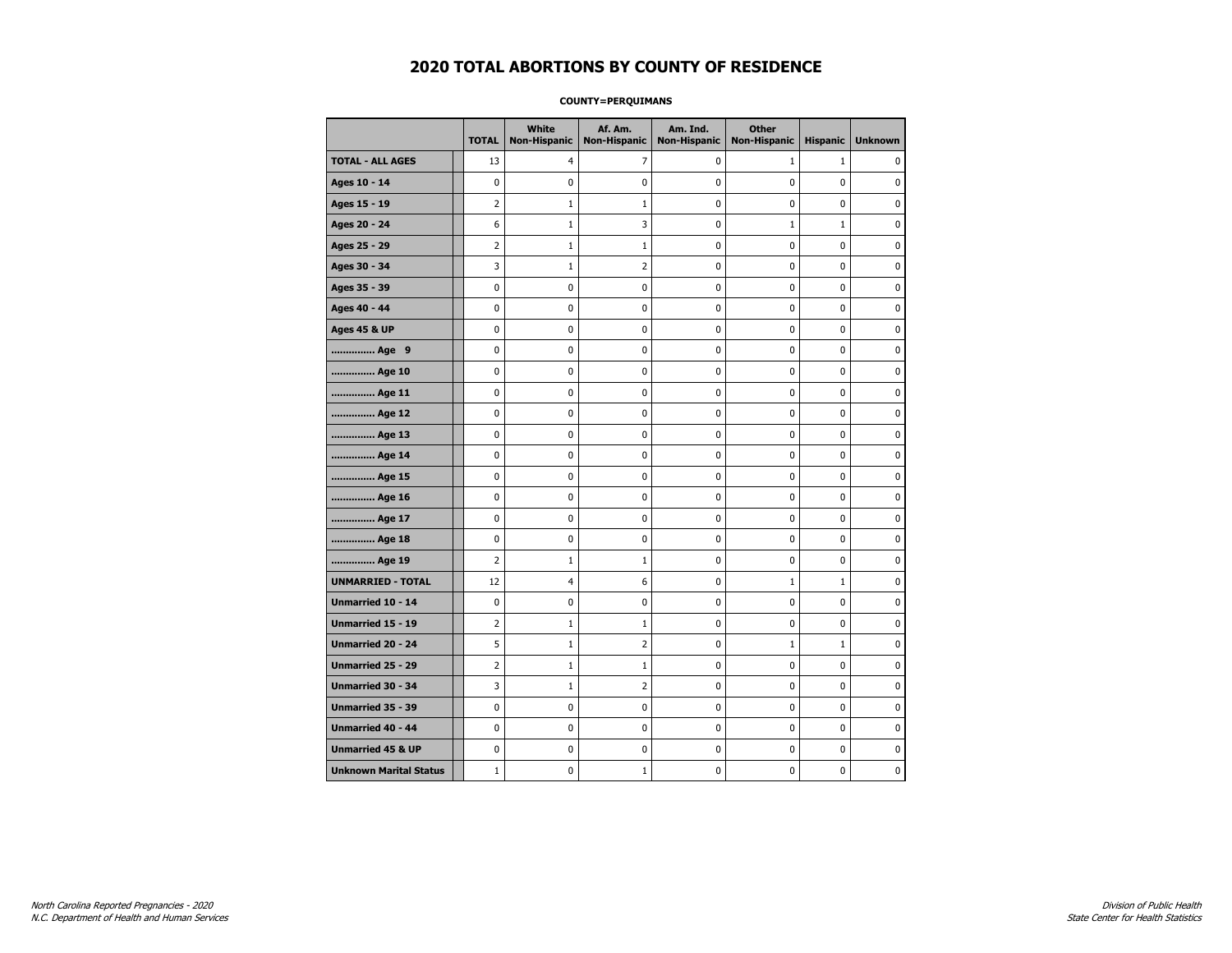### **COUNTY=PERQUIMANS**

|                               | <b>TOTAL</b>   | <b>White</b><br><b>Non-Hispanic</b> | Af. Am.<br><b>Non-Hispanic</b> | Am. Ind.<br><b>Non-Hispanic</b> | <b>Other</b><br><b>Non-Hispanic</b> | <b>Hispanic</b> | <b>Unknown</b> |
|-------------------------------|----------------|-------------------------------------|--------------------------------|---------------------------------|-------------------------------------|-----------------|----------------|
| <b>TOTAL - ALL AGES</b>       | 13             | 4                                   | 7                              | 0                               | $\mathbf{1}$                        | $\mathbf{1}$    | 0              |
| Ages 10 - 14                  | 0              | $\mathbf 0$                         | 0                              | 0                               | 0                                   | 0               | $\mathbf 0$    |
| Ages 15 - 19                  | $\overline{2}$ | $\mathbf{1}$                        | 1                              | 0                               | 0                                   | 0               | $\mathbf 0$    |
| Ages 20 - 24                  | 6              | $\mathbf 1$                         | 3                              | 0                               | $\mathbf 1$                         | $\mathbf 1$     | 0              |
| Ages 25 - 29                  | 2              | $\mathbf{1}$                        | 1                              | 0                               | 0                                   | 0               | 0              |
| Ages 30 - 34                  | 3              | $\mathbf{1}$                        | 2                              | 0                               | 0                                   | 0               | 0              |
| Ages 35 - 39                  | 0              | 0                                   | 0                              | 0                               | 0                                   | 0               | $\mathbf 0$    |
| Ages 40 - 44                  | 0              | $\mathbf 0$                         | 0                              | 0                               | 0                                   | 0               | $\mathbf 0$    |
| <b>Ages 45 &amp; UP</b>       | 0              | $\mathbf 0$                         | 0                              | 0                               | 0                                   | 0               | $\mathbf 0$    |
| Age 9                         | 0              | 0                                   | $\pmb{0}$                      | 0                               | 0                                   | 0               | $\pmb{0}$      |
| Age 10                        | 0              | 0                                   | 0                              | 0                               | 0                                   | 0               | 0              |
| Age 11                        | 0              | 0                                   | 0                              | 0                               | 0                                   | 0               | $\mathbf 0$    |
| Age 12                        | 0              | 0                                   | 0                              | 0                               | 0                                   | 0               | 0              |
| Age 13                        | 0              | $\mathbf 0$                         | 0                              | 0                               | 0                                   | 0               | $\mathbf 0$    |
| Age 14                        | 0              | $\mathbf 0$                         | 0                              | 0                               | 0                                   | 0               | $\mathbf 0$    |
| Age 15                        | 0              | 0                                   | 0                              | 0                               | 0                                   | 0               | 0              |
| Age 16                        | 0              | 0                                   | 0                              | 0                               | 0                                   | 0               | 0              |
| Age 17                        | 0              | $\mathbf 0$                         | 0                              | 0                               | 0                                   | 0               | $\mathbf 0$    |
| Age 18                        | 0              | 0                                   | 0                              | 0                               | 0                                   | 0               | 0              |
| Age 19                        | $\overline{2}$ | $\mathbf{1}$                        | $\mathbf{1}$                   | 0                               | 0                                   | 0               | $\mathbf 0$    |
| <b>UNMARRIED - TOTAL</b>      | 12             | 4                                   | 6                              | 0                               | $1\,$                               | $\mathbf 1$     | $\pmb{0}$      |
| Unmarried 10 - 14             | 0              | 0                                   | $\pmb{0}$                      | 0                               | 0                                   | 0               | $\pmb{0}$      |
| Unmarried 15 - 19             | 2              | 1                                   | 1                              | 0                               | 0                                   | 0               | 0              |
| Unmarried 20 - 24             | 5              | $\mathbf{1}$                        | 2                              | 0                               | $\mathbf{1}$                        | $\mathbf{1}$    | 0              |
| Unmarried 25 - 29             | $\overline{2}$ | $\mathbf{1}$                        | $\mathbf{1}$                   | 0                               | 0                                   | 0               | $\mathbf 0$    |
| <b>Unmarried 30 - 34</b>      | 3              | $1\,$                               | $\overline{2}$                 | 0                               | 0                                   | 0               | $\mathbf 0$    |
| Unmarried 35 - 39             | 0              | 0                                   | 0                              | 0                               | 0                                   | 0               | 0              |
| <b>Unmarried 40 - 44</b>      | 0              | 0                                   | 0                              | 0                               | 0                                   | 0               | $\mathbf 0$    |
| <b>Unmarried 45 &amp; UP</b>  | 0              | 0                                   | 0                              | 0                               | 0                                   | 0               | 0              |
| <b>Unknown Marital Status</b> | $1\,$          | 0                                   | 1                              | 0                               | 0                                   | 0               | 0              |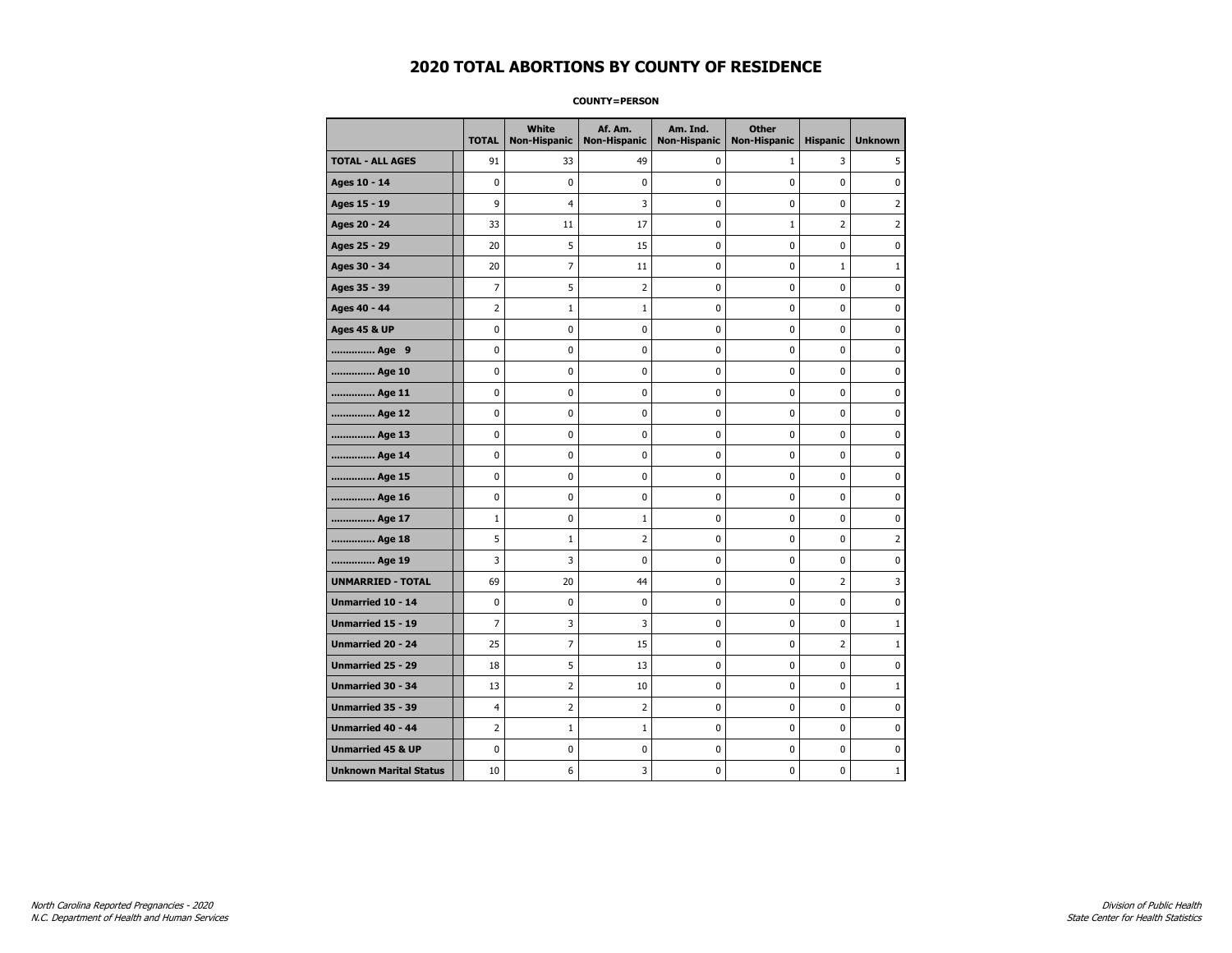#### **COUNTY=PERSON**

|                               | <b>TOTAL</b>   | White<br>Non-Hispanic | Af. Am.<br><b>Non-Hispanic</b> | Am. Ind.<br><b>Non-Hispanic</b> | <b>Other</b><br><b>Non-Hispanic</b> | <b>Hispanic</b> | <b>Unknown</b> |
|-------------------------------|----------------|-----------------------|--------------------------------|---------------------------------|-------------------------------------|-----------------|----------------|
| <b>TOTAL - ALL AGES</b>       | 91             | 33                    | 49                             | 0                               | $\mathbf{1}$                        | 3               | 5              |
| Ages 10 - 14                  | 0              | $\mathbf 0$           | $\mathbf 0$                    | $\mathbf 0$                     | 0                                   | $\mathbf 0$     | 0              |
| Ages 15 - 19                  | 9              | 4                     | 3                              | $\pmb{0}$                       | 0                                   | 0               | $\overline{2}$ |
| Ages 20 - 24                  | 33             | 11                    | 17                             | $\pmb{0}$                       | $1\,$                               | $\overline{2}$  | $\overline{2}$ |
| Ages 25 - 29                  | 20             | 5                     | 15                             | 0                               | 0                                   | 0               | 0              |
| Ages 30 - 34                  | 20             | $\overline{7}$        | 11                             | 0                               | 0                                   | $\mathbf{1}$    | $\mathbf{1}$   |
| Ages 35 - 39                  | 7              | 5                     | $\overline{2}$                 | $\mathbf 0$                     | 0                                   | $\mathbf 0$     | 0              |
| Ages 40 - 44                  | 2              | $\mathbf{1}$          | $\mathbf{1}$                   | 0                               | 0                                   | 0               | 0              |
| <b>Ages 45 &amp; UP</b>       | 0              | 0                     | 0                              | $\pmb{0}$                       | 0                                   | $\pmb{0}$       | 0              |
| Age 9                         | 0              | 0                     | 0                              | 0                               | 0                                   | 0               | 0              |
| Age 10                        | 0              | 0                     | $\mathbf 0$                    | $\mathbf 0$                     | 0                                   | $\mathbf 0$     | 0              |
| Age 11                        | 0              | 0                     | $\mathbf 0$                    | $\pmb{0}$                       | 0                                   | $\mathbf 0$     | 0              |
| Age 12                        | 0              | 0                     | $\pmb{0}$                      | 0                               | 0                                   | 0               | 0              |
| Age 13                        | 0              | 0                     | $\mathbf 0$                    | 0                               | 0                                   | 0               | 0              |
| Age 14                        | 0              | 0                     | 0                              | 0                               | 0                                   | 0               | 0              |
| Age 15                        | 0              | 0                     | $\mathbf 0$                    | 0                               | 0                                   | $\mathbf 0$     | 0              |
| Age 16                        | 0              | 0                     | 0                              | $\mathbf 0$                     | 0                                   | $\mathbf 0$     | 0              |
| Age 17                        | $\mathbf 1$    | 0                     | 1                              | $\pmb{0}$                       | 0                                   | 0               | 0              |
| Age 18                        | 5              | $\mathbf{1}$          | $\overline{2}$                 | 0                               | 0                                   | 0               | $\overline{2}$ |
| Age 19                        | 3              | 3                     | 0                              | 0                               | 0                                   | 0               | 0              |
| <b>UNMARRIED - TOTAL</b>      | 69             | 20                    | 44                             | 0                               | 0                                   | 2               | 3              |
| Unmarried 10 - 14             | 0              | 0                     | $\mathbf 0$                    | $\mathbf 0$                     | 0                                   | 0               | $\mathbf 0$    |
| Unmarried 15 - 19             | $\overline{7}$ | 3                     | 3                              | $\pmb{0}$                       | 0                                   | $\pmb{0}$       | $\mathbf 1$    |
| Unmarried 20 - 24             | 25             | 7                     | 15                             | 0                               | 0                                   | 2               | $\mathbf{1}$   |
| Unmarried 25 - 29             | 18             | 5                     | 13                             | 0                               | 0                                   | $\mathbf 0$     | 0              |
| Unmarried 30 - 34             | 13             | $\overline{2}$        | 10                             | $\pmb{0}$                       | 0                                   | $\pmb{0}$       | $\mathbf{1}$   |
| <b>Unmarried 35 - 39</b>      | $\overline{4}$ | $\overline{2}$        | $\overline{2}$                 | 0                               | 0                                   | $\mathbf 0$     | 0              |
| <b>Unmarried 40 - 44</b>      | $\overline{2}$ | $\mathbf 1$           | $\mathbf 1$                    | $\pmb{0}$                       | 0                                   | 0               | $\bf{0}$       |
| <b>Unmarried 45 &amp; UP</b>  | 0              | 0                     | 0                              | 0                               | 0                                   | 0               | 0              |
| <b>Unknown Marital Status</b> | 10             | 6                     | 3                              | $\pmb{0}$                       | 0                                   | 0               | $\mathbf 1$    |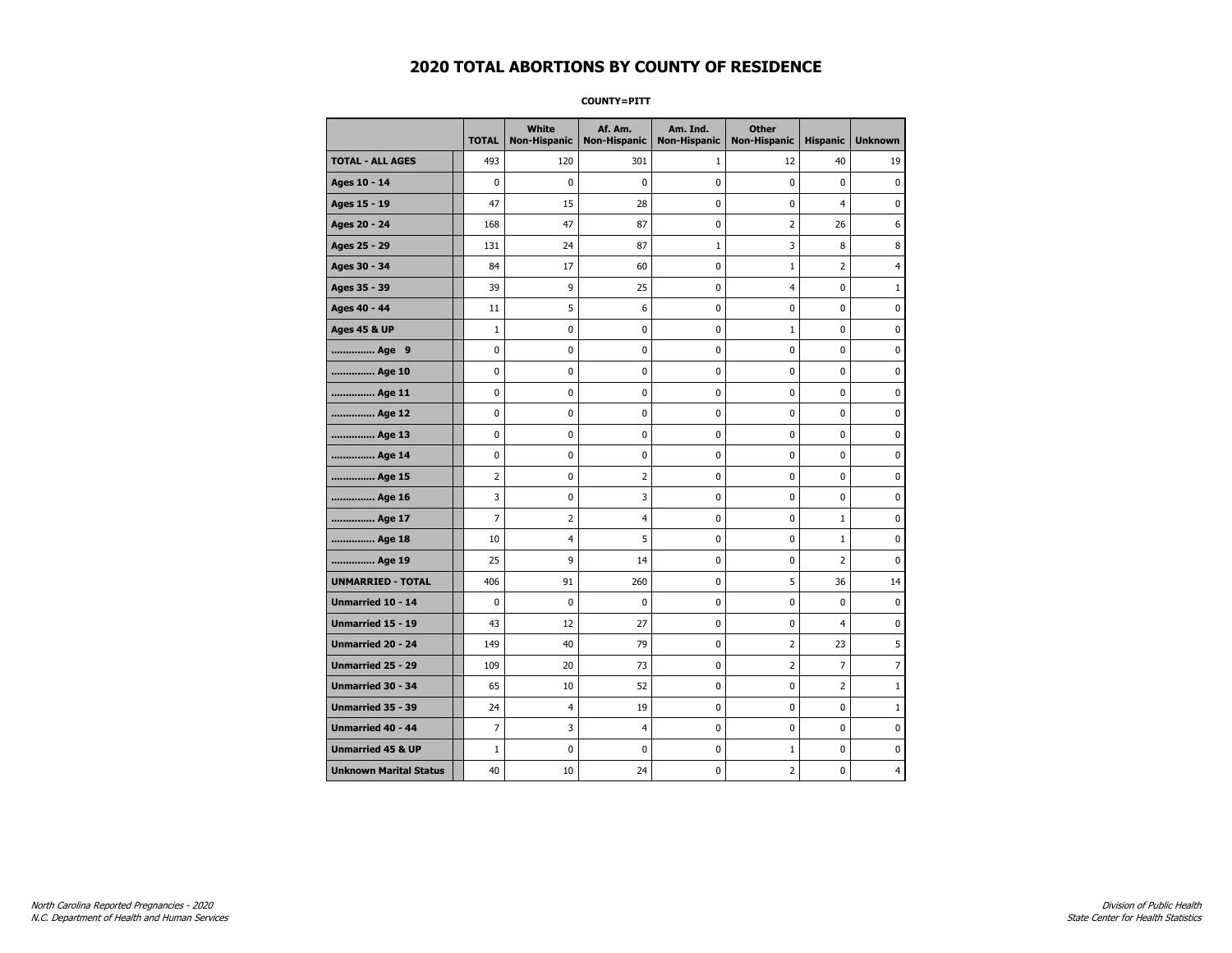**COUNTY=PITT** 

|                               | <b>TOTAL</b>   | <b>White</b><br><b>Non-Hispanic</b> | Af. Am.<br><b>Non-Hispanic</b> | Am. Ind.<br><b>Non-Hispanic</b> | <b>Other</b><br>Non-Hispanic | <b>Hispanic</b> | <b>Unknown</b> |
|-------------------------------|----------------|-------------------------------------|--------------------------------|---------------------------------|------------------------------|-----------------|----------------|
| <b>TOTAL - ALL AGES</b>       | 493            | 120                                 | 301                            | 1                               | 12                           | 40              | 19             |
| Ages 10 - 14                  | $\mathbf 0$    | $\mathbf{0}$                        | $\mathbf 0$                    | 0                               | $\mathbf{0}$                 | $\mathbf 0$     | $\pmb{0}$      |
| Ages 15 - 19                  | 47             | 15                                  | 28                             | $\mathbf 0$                     | 0                            | 4               | 0              |
| Ages 20 - 24                  | 168            | 47                                  | 87                             | 0                               | $\overline{2}$               | 26              | 6              |
| Ages 25 - 29                  | 131            | 24                                  | 87                             | $\mathbf{1}$                    | 3                            | 8               | 8              |
| Ages 30 - 34                  | 84             | 17                                  | 60                             | 0                               | $\mathbf{1}$                 | $\overline{2}$  | 4              |
| Ages 35 - 39                  | 39             | 9                                   | 25                             | 0                               | $\overline{\mathcal{A}}$     | 0               | 1              |
| Ages 40 - 44                  | 11             | 5                                   | 6                              | 0                               | $\mathbf 0$                  | $\mathbf 0$     | 0              |
| <b>Ages 45 &amp; UP</b>       | $\mathbf{1}$   | 0                                   | 0                              | 0                               | $\mathbf{1}$                 | 0               | 0              |
| Age 9                         | 0              | $\mathbf 0$                         | 0                              | $\mathbf 0$                     | $\mathbf{0}$                 | $\mathbf 0$     | 0              |
| Age 10                        | 0              | 0                                   | 0                              | 0                               | $\pmb{0}$                    | 0               | 0              |
| Age 11                        | 0              | 0                                   | 0                              | 0                               | 0                            | $\mathbf 0$     | 0              |
| Age 12                        | 0              | 0                                   | 0                              | 0                               | $\pmb{0}$                    | 0               | 0              |
| Age 13                        | 0              | $\mathbf 0$                         | 0                              | 0                               | 0                            | $\mathbf 0$     | 0              |
| Age 14                        | 0              | 0                                   | 0                              | 0                               | $\mathbf 0$                  | $\mathbf 0$     | 0              |
| Age 15                        | $\overline{2}$ | 0                                   | $\overline{2}$                 | $\pmb{0}$                       | $\pmb{0}$                    | $\pmb{0}$       | 0              |
| Age 16                        | 3              | $\pmb{0}$                           | 3                              | $\pmb{0}$                       | $\mathbf 0$                  | $\pmb{0}$       | 0              |
| Age 17                        | 7              | 2                                   | 4                              | 0                               | 0                            | $\mathbf{1}$    | 0              |
| Age 18                        | 10             | 4                                   | 5                              | 0                               | $\mathbf 0$                  | $\mathbf 1$     | 0              |
| Age 19                        | 25             | 9                                   | 14                             | 0                               | 0                            | 2               | 0              |
| <b>UNMARRIED - TOTAL</b>      | 406            | 91                                  | 260                            | $\mathbf 0$                     | 5                            | 36              | 14             |
| Unmarried 10 - 14             | 0              | $\pmb{0}$                           | 0                              | 0                               | $\pmb{0}$                    | 0               | 0              |
| Unmarried 15 - 19             | 43             | 12                                  | 27                             | 0                               | $\mathbf 0$                  | $\overline{4}$  | 0              |
| <b>Unmarried 20 - 24</b>      | 149            | 40                                  | 79                             | 0                               | $\overline{2}$               | 23              | 5              |
| <b>Unmarried 25 - 29</b>      | 109            | 20                                  | 73                             | 0                               | 2                            | $\overline{7}$  | 7              |
| <b>Unmarried 30 - 34</b>      | 65             | 10                                  | 52                             | 0                               | $\mathbf 0$                  | $\overline{2}$  | $1\,$          |
| Unmarried 35 - 39             | 24             | $\overline{4}$                      | 19                             | $\mathbf 0$                     | 0                            | $\mathbf 0$     | $\mathbf{1}$   |
| <b>Unmarried 40 - 44</b>      | $\overline{7}$ | 3                                   | 4                              | $\pmb{0}$                       | $\pmb{0}$                    | $\pmb{0}$       | $\pmb{0}$      |
| <b>Unmarried 45 &amp; UP</b>  | $\mathbf{1}$   | 0                                   | 0                              | 0                               | $\mathbf{1}$                 | 0               | 0              |
| <b>Unknown Marital Status</b> | 40             | 10                                  | 24                             | 0                               | $\overline{2}$               | 0               | 4              |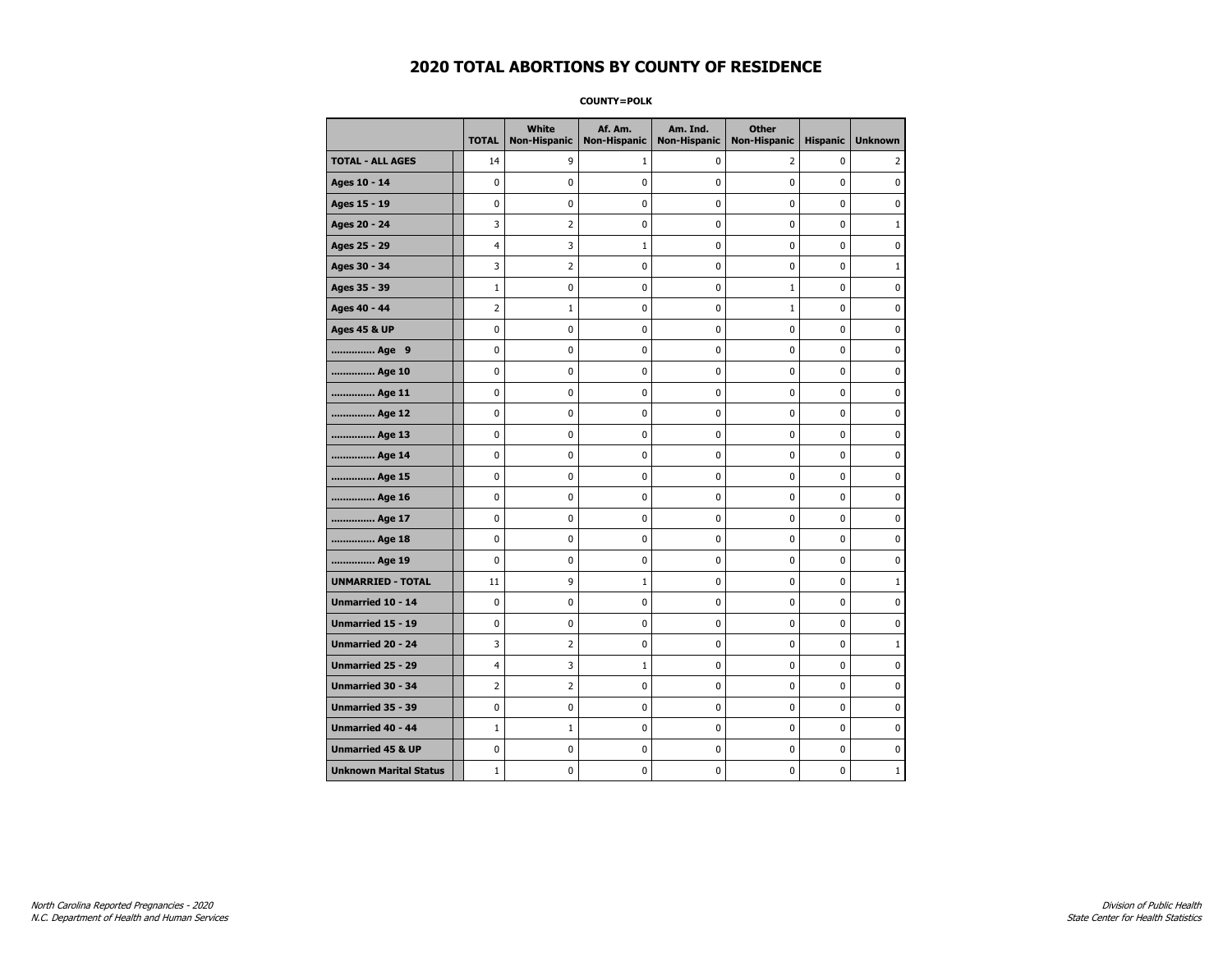**COUNTY=POLK** 

|                               | <b>TOTAL</b>   | White<br><b>Non-Hispanic</b> | Af. Am.<br><b>Non-Hispanic</b> | Am. Ind.<br><b>Non-Hispanic</b> | <b>Other</b><br>Non-Hispanic | <b>Hispanic</b> | <b>Unknown</b> |
|-------------------------------|----------------|------------------------------|--------------------------------|---------------------------------|------------------------------|-----------------|----------------|
| <b>TOTAL - ALL AGES</b>       | 14             | 9                            | 1                              | 0                               | $\overline{2}$               | 0               | 2              |
| Ages 10 - 14                  | 0              | 0                            | 0                              | 0                               | 0                            | 0               | 0              |
| Ages 15 - 19                  | 0              | 0                            | 0                              | 0                               | 0                            | 0               | 0              |
| Ages 20 - 24                  | 3              | 2                            | 0                              | 0                               | 0                            | 0               | $\mathbf{1}$   |
| Ages 25 - 29                  | 4              | 3                            | $\mathbf{1}$                   | 0                               | $\mathbf 0$                  | 0               | $\mathbf 0$    |
| Ages 30 - 34                  | 3              | $\overline{2}$               | 0                              | 0                               | $\pmb{0}$                    | 0               | $\mathbf{1}$   |
| Ages 35 - 39                  | $\mathbf{1}$   | 0                            | 0                              | 0                               | $1\,$                        | 0               | 0              |
| Ages 40 - 44                  | 2              | $\mathbf{1}$                 | 0                              | 0                               | $\mathbf{1}$                 | 0               | 0              |
| <b>Ages 45 &amp; UP</b>       | 0              | 0                            | 0                              | 0                               | 0                            | 0               | 0              |
| Age 9                         | 0              | 0                            | 0                              | 0                               | 0                            | 0               | 0              |
| Age 10                        | 0              | 0                            | 0                              | 0                               | $\mathbf 0$                  | 0               | $\mathbf 0$    |
| Age 11                        | 0              | 0                            | 0                              | 0                               | $\mathbf 0$                  | 0               | $\mathbf 0$    |
| Age 12                        | 0              | 0                            | 0                              | 0                               | $\pmb{0}$                    | 0               | $\pmb{0}$      |
| Age 13                        | 0              | 0                            | 0                              | 0                               | $\pmb{0}$                    | 0               | 0              |
| Age 14                        | 0              | 0                            | 0                              | 0                               | 0                            | 0               | 0              |
| Age 15                        | 0              | 0                            | 0                              | 0                               | 0                            | 0               | $\mathbf 0$    |
| Age 16                        | 0              | 0                            | 0                              | 0                               | $\pmb{0}$                    | 0               | $\mathbf 0$    |
| Age 17                        | 0              | 0                            | 0                              | 0                               | 0                            | 0               | 0              |
| Age 18                        | 0              | 0                            | 0                              | 0                               | $\mathbf 0$                  | 0               | $\mathbf 0$    |
| Age 19                        | 0              | 0                            | 0                              | 0                               | $\pmb{0}$                    | 0               | 0              |
| <b>UNMARRIED - TOTAL</b>      | 11             | 9                            | 1                              | 0                               | $\pmb{0}$                    | 0               | $1\,$          |
| Unmarried 10 - 14             | 0              | 0                            | 0                              | 0                               | 0                            | 0               | 0              |
| <b>Unmarried 15 - 19</b>      | 0              | 0                            | 0                              | 0                               | 0                            | 0               | $\mathbf 0$    |
| <b>Unmarried 20 - 24</b>      | 3              | $\overline{2}$               | 0                              | 0                               | 0                            | 0               | $\mathbf{1}$   |
| <b>Unmarried 25 - 29</b>      | 4              | 3                            | $\mathbf{1}$                   | 0                               | 0                            | 0               | 0              |
| <b>Unmarried 30 - 34</b>      | $\overline{2}$ | $\overline{2}$               | 0                              | 0                               | $\mathbf 0$                  | 0               | $\mathbf 0$    |
| Unmarried 35 - 39             | 0              | 0                            | 0                              | 0                               | $\pmb{0}$                    | 0               | 0              |
| <b>Unmarried 40 - 44</b>      | $\mathbf 1$    | $1\,$                        | 0                              | 0                               | $\pmb{0}$                    | 0               | 0              |
| <b>Unmarried 45 &amp; UP</b>  | 0              | 0                            | 0                              | 0                               | 0                            | 0               | 0              |
| <b>Unknown Marital Status</b> | $\mathbf{1}$   | 0                            | 0                              | 0                               | 0                            | 0               | $\mathbf{1}$   |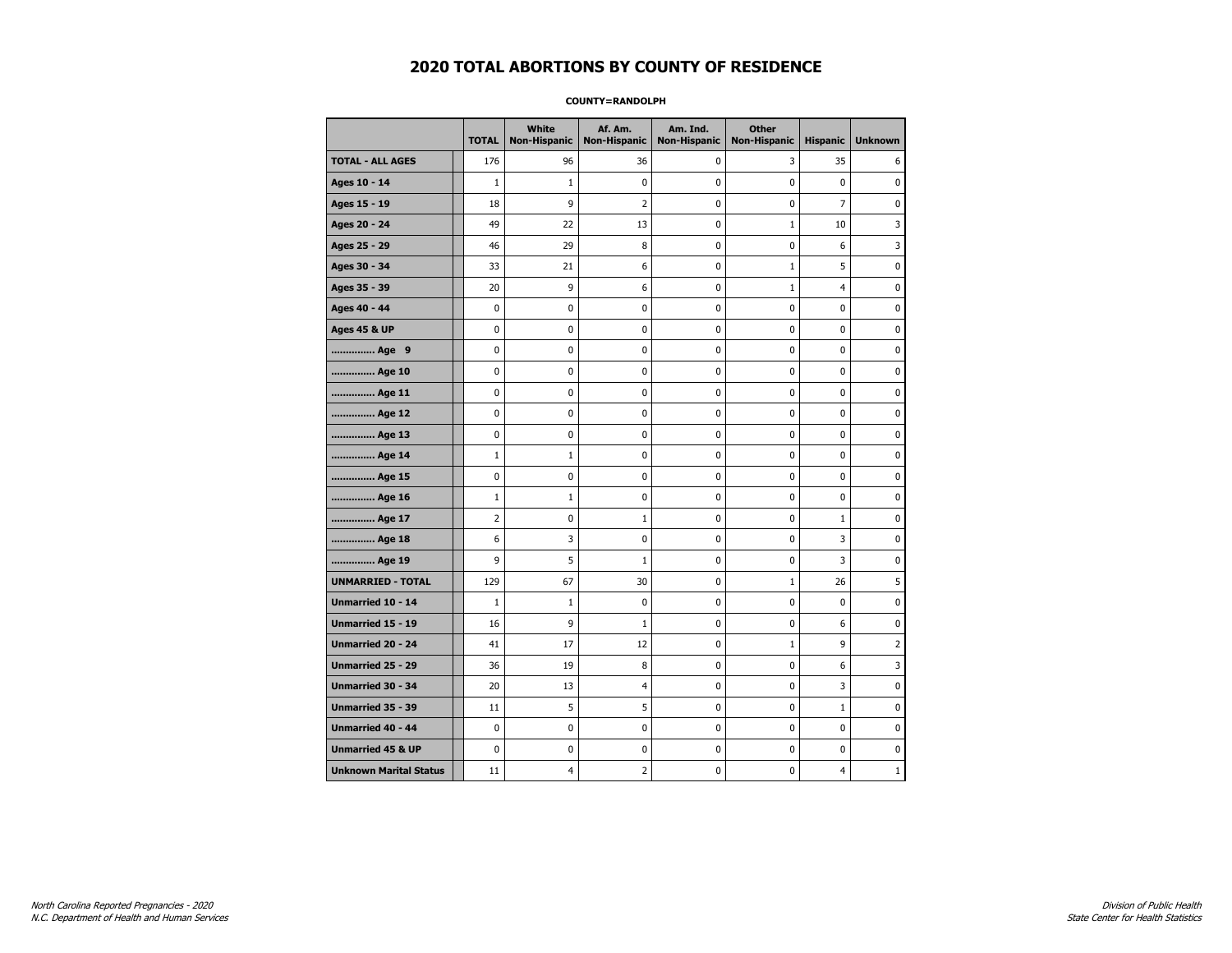#### **COUNTY=RANDOLPH**

|                               | <b>TOTAL</b>   | White<br>Non-Hispanic | Af. Am.<br><b>Non-Hispanic</b> | Am. Ind.<br><b>Non-Hispanic</b> | <b>Other</b><br><b>Non-Hispanic</b> | <b>Hispanic</b> | <b>Unknown</b> |
|-------------------------------|----------------|-----------------------|--------------------------------|---------------------------------|-------------------------------------|-----------------|----------------|
| <b>TOTAL - ALL AGES</b>       | 176            | 96                    | 36                             | 0                               | 3                                   | 35              | 6              |
| Ages 10 - 14                  | $\mathbf{1}$   | $\mathbf{1}$          | 0                              | 0                               | $\mathbf 0$                         | 0               | 0              |
| Ages 15 - 19                  | 18             | 9                     | $\overline{2}$                 | $\mathbf 0$                     | $\mathbf 0$                         | $\overline{7}$  | $\mathbf 0$    |
| Ages 20 - 24                  | 49             | 22                    | 13                             | 0                               | $1\,$                               | 10              | 3              |
| Ages 25 - 29                  | 46             | 29                    | 8                              | 0                               | $\pmb{0}$                           | 6               | 3              |
| Ages 30 - 34                  | 33             | 21                    | 6                              | 0                               | $\mathbf{1}$                        | 5               | 0              |
| Ages 35 - 39                  | 20             | 9                     | 6                              | 0                               | $\mathbf{1}$                        | 4               | 0              |
| Ages 40 - 44                  | 0              | 0                     | 0                              | 0                               | 0                                   | 0               | 0              |
| <b>Ages 45 &amp; UP</b>       | $\mathbf 0$    | 0                     | 0                              | 0                               | 0                                   | $\mathbf 0$     | 0              |
| Age 9                         | 0              | 0                     | 0                              | 0                               | 0                                   | 0               | 0              |
| Age 10                        | $\mathbf 0$    | 0                     | 0                              | $\mathbf 0$                     | 0                                   | 0               | 0              |
| Age 11                        | $\pmb{0}$      | 0                     | $\bf{0}$                       | $\pmb{0}$                       | $\pmb{0}$                           | 0               | $\pmb{0}$      |
| Age 12                        | $\mathbf 0$    | 0                     | 0                              | 0                               | 0                                   | 0               | 0              |
| Age 13                        | $\mathbf 0$    | 0                     | 0                              | $\mathbf 0$                     | 0                                   | 0               | 0              |
| Age 14                        | $\mathbf{1}$   | $\mathbf{1}$          | 0                              | 0                               | 0                                   | 0               | 0              |
| Age 15                        | $\mathbf 0$    | 0                     | 0                              | 0                               | $\mathbf 0$                         | 0               | 0              |
| Age 16                        | $\mathbf{1}$   | $\mathbf{1}$          | 0                              | 0                               | $\mathbf 0$                         | 0               | 0              |
| Age 17                        | $\overline{2}$ | 0                     | 1                              | $\mathbf 0$                     | 0                                   | 1               | $\mathbf 0$    |
| Age 18                        | 6              | 3                     | 0                              | $\mathbf{0}$                    | 0                                   | 3               | 0              |
| Age 19                        | 9              | 5                     | $\mathbf{1}$                   | $\pmb{0}$                       | 0                                   | 3               | 0              |
| <b>UNMARRIED - TOTAL</b>      | 129            | 67                    | 30                             | 0                               | $1\,$                               | 26              | 5              |
| Unmarried 10 - 14             | $\mathbf{1}$   | $\mathbf{1}$          | 0                              | 0                               | $\mathbf 0$                         | $\mathbf 0$     | 0              |
| Unmarried 15 - 19             | 16             | 9                     | $\mathbf{1}$                   | 0                               | 0                                   | 6               | 0              |
| <b>Unmarried 20 - 24</b>      | 41             | 17                    | 12                             | 0                               | $\mathbf{1}$                        | 9               | $\overline{2}$ |
| <b>Unmarried 25 - 29</b>      | 36             | 19                    | 8                              | $\mathbf 0$                     | 0                                   | 6               | 3              |
| Unmarried 30 - 34             | 20             | 13                    | 4                              | 0                               | $\pmb{0}$                           | 3               | 0              |
| Unmarried 35 - 39             | 11             | 5                     | 5                              | $\pmb{0}$                       | $\pmb{0}$                           | $\mathbf 1$     | $\pmb{0}$      |
| Unmarried 40 - 44             | 0              | 0                     | 0                              | 0                               | 0                                   | 0               | 0              |
| <b>Unmarried 45 &amp; UP</b>  | $\mathbf 0$    | 0                     | 0                              | 0                               | 0                                   | 0               | 0              |
| <b>Unknown Marital Status</b> | 11             | 4                     | 2                              | 0                               | 0                                   | 4               | $\mathbf{1}$   |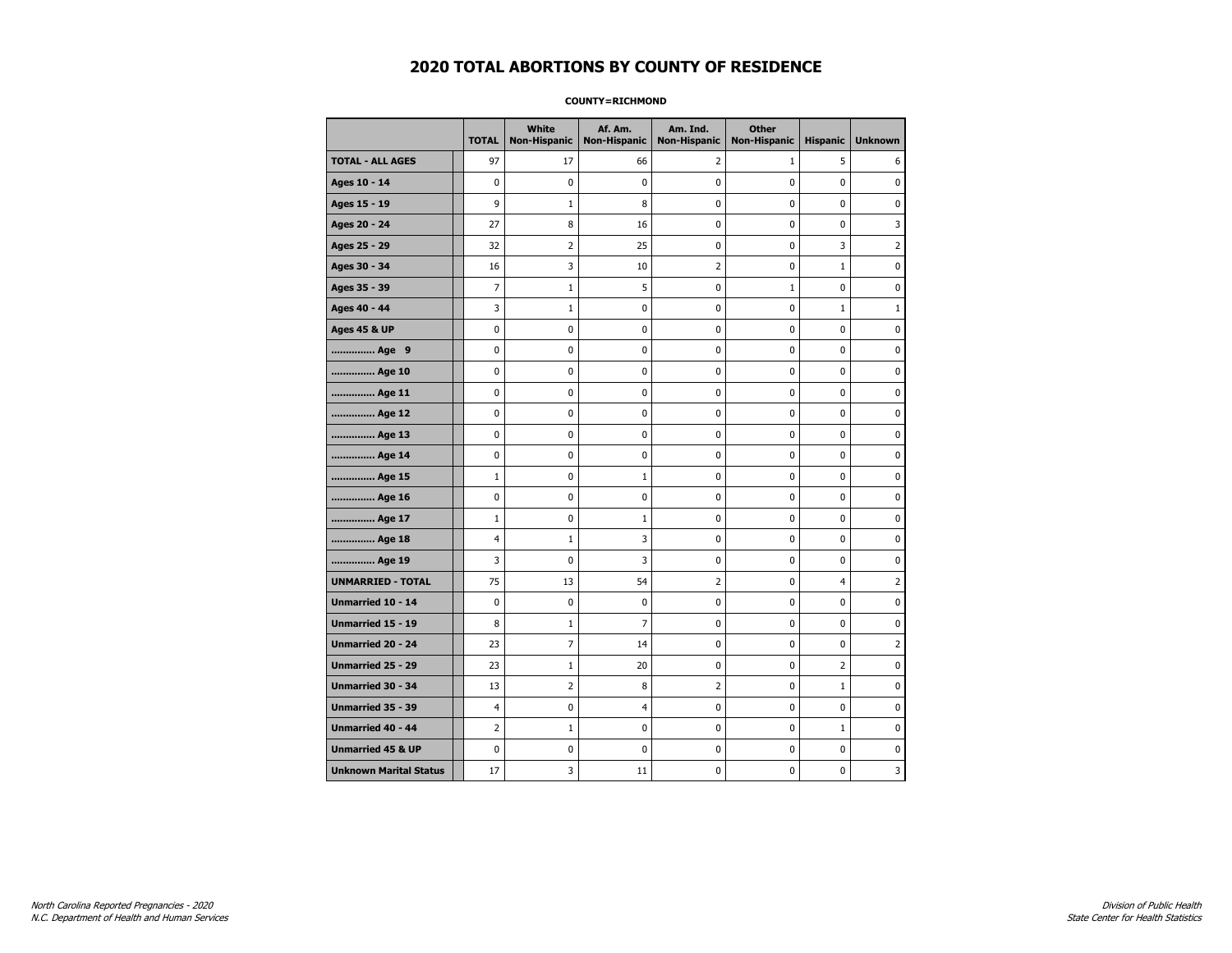**COUNTY=RICHMOND** 

|                               | <b>TOTAL</b>   | White<br><b>Non-Hispanic</b> | Af. Am.<br><b>Non-Hispanic</b> | Am. Ind.<br><b>Non-Hispanic</b> | <b>Other</b><br>Non-Hispanic | <b>Hispanic</b> | <b>Unknown</b> |
|-------------------------------|----------------|------------------------------|--------------------------------|---------------------------------|------------------------------|-----------------|----------------|
| <b>TOTAL - ALL AGES</b>       | 97             | 17                           | 66                             | 2                               | $\mathbf{1}$                 | 5               | 6              |
| Ages 10 - 14                  | $\mathbf 0$    | 0                            | 0                              | 0                               | 0                            | $\mathbf 0$     | 0              |
| Ages 15 - 19                  | 9              | $\mathbf{1}$                 | 8                              | $\mathbf 0$                     | $\mathbf 0$                  | 0               | $\mathbf 0$    |
| Ages 20 - 24                  | 27             | 8                            | 16                             | $\pmb{0}$                       | $\pmb{0}$                    | 0               | 3              |
| Ages 25 - 29                  | 32             | 2                            | 25                             | 0                               | 0                            | 3               | 2              |
| Ages 30 - 34                  | 16             | 3                            | 10                             | $\overline{2}$                  | $\pmb{0}$                    | $\mathbf 1$     | 0              |
| Ages 35 - 39                  | $\overline{7}$ | 1                            | 5                              | 0                               | $\mathbf{1}$                 | 0               | 0              |
| Ages 40 - 44                  | 3              | $\mathbf{1}$                 | 0                              | $\mathbf 0$                     | $\mathbf 0$                  | $\mathbf{1}$    | $\mathbf{1}$   |
| <b>Ages 45 &amp; UP</b>       | $\pmb{0}$      | $\pmb{0}$                    | 0                              | 0                               | 0                            | 0               | 0              |
| Age 9                         | 0              | 0                            | 0                              | 0                               | 0                            | 0               | 0              |
| Age 10                        | 0              | 0                            | 0                              | 0                               | 0                            | 0               | 0              |
| Age 11                        | 0              | 0                            | 0                              | $\mathbf 0$                     | $\mathbf 0$                  | 0               | $\mathbf 0$    |
| Age 12                        | $\mathbf 0$    | 0                            | 0                              | $\mathbf 0$                     | 0                            | 0               | $\mathbf 0$    |
| Age 13                        | 0              | 0                            | 0                              | 0                               | $\pmb{0}$                    | 0               | 0              |
| Age 14                        | 0              | 0                            | 0                              | 0                               | 0                            | 0               | 0              |
| Age 15                        | $\mathbf{1}$   | 0                            | $\mathbf{1}$                   | 0                               | 0                            | 0               | 0              |
| Age 16                        | $\mathbf 0$    | 0                            | 0                              | $\mathbf 0$                     | $\mathbf 0$                  | 0               | $\mathbf 0$    |
| Age 17                        | $\mathbf{1}$   | 0                            | $\mathbf{1}$                   | $\mathbf 0$                     | 0                            | 0               | $\mathbf 0$    |
| Age 18                        | 4              | $1\,$                        | 3                              | $\pmb{0}$                       | $\mathbf 0$                  | 0               | $\pmb{0}$      |
| Age 19                        | 3              | 0                            | 3                              | 0                               | 0                            | 0               | 0              |
| <b>UNMARRIED - TOTAL</b>      | 75             | 13                           | 54                             | $\overline{2}$                  | 0                            | $\overline{4}$  | $\overline{2}$ |
| Unmarried 10 - 14             | $\mathbf{0}$   | 0                            | 0                              | $\mathbf 0$                     | $\mathbf 0$                  | $\mathbf{0}$    | $\mathbf 0$    |
| Unmarried 15 - 19             | 8              | $1\,$                        | $\overline{7}$                 | $\pmb{0}$                       | $\pmb{0}$                    | $\mathbf 0$     | 0              |
| Unmarried 20 - 24             | 23             | 7                            | 14                             | 0                               | 0                            | 0               | $\overline{2}$ |
| Unmarried 25 - 29             | 23             | $\mathbf{1}$                 | 20                             | 0                               | 0                            | $\overline{2}$  | 0              |
| Unmarried 30 - 34             | 13             | 2                            | 8                              | 2                               | $\mathbf 0$                  | $\mathbf{1}$    | 0              |
| <b>Unmarried 35 - 39</b>      | 4              | 0                            | 4                              | 0                               | 0                            | 0               | $\mathbf 0$    |
| Unmarried 40 - 44             | 2              | $1\,$                        | 0                              | 0                               | $\pmb{0}$                    | $\mathbf 1$     | 0              |
| <b>Unmarried 45 &amp; UP</b>  | $\mathbf 0$    | 0                            | 0                              | 0                               | 0                            | 0               | $\mathbf 0$    |
| <b>Unknown Marital Status</b> | 17             | 3                            | 11                             | 0                               | 0                            | 0               | 3              |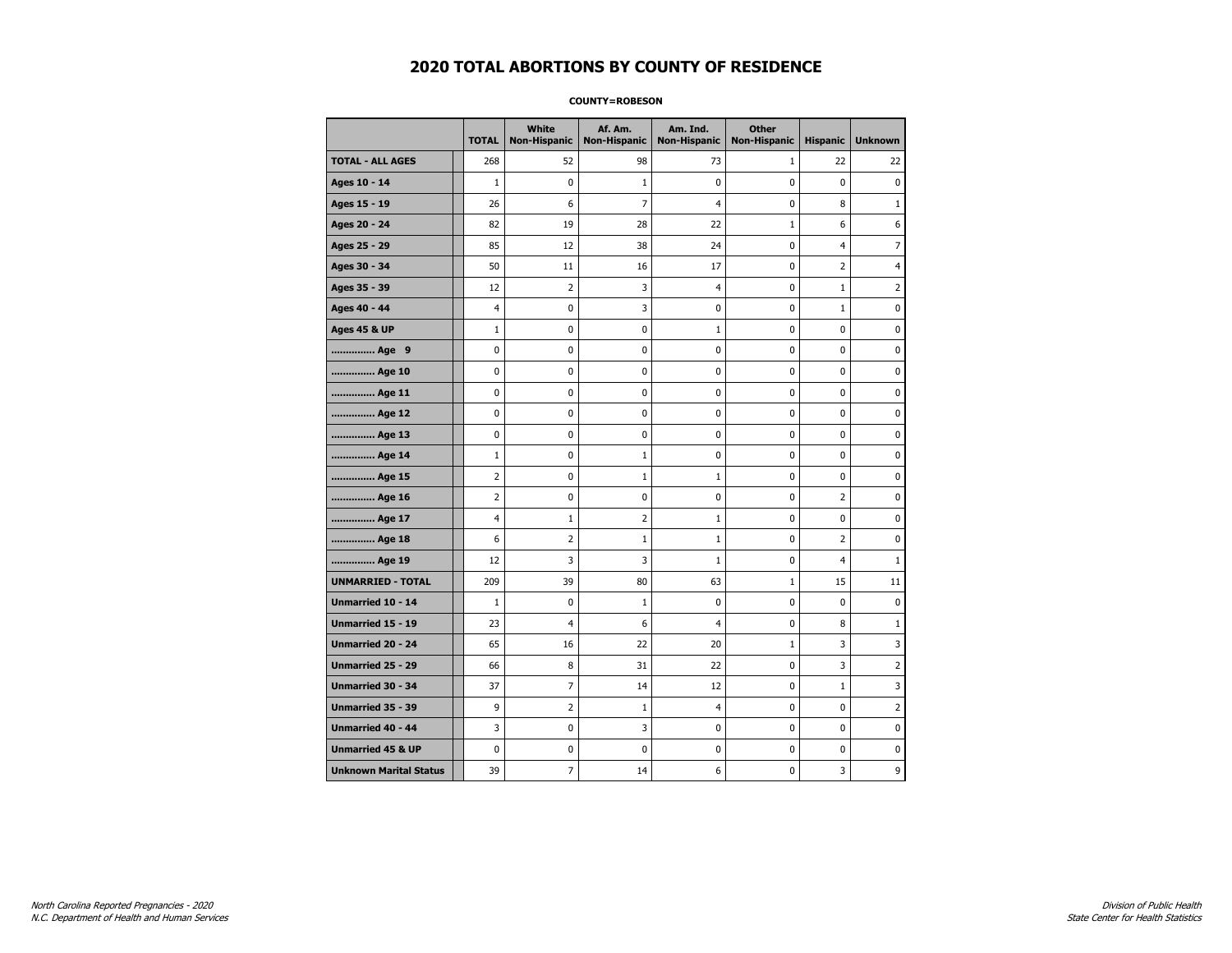#### **COUNTY=ROBESON**

|                               | <b>TOTAL</b>   | White<br>Non-Hispanic    | Af. Am.<br><b>Non-Hispanic</b> | Am. Ind.<br><b>Non-Hispanic</b> | <b>Other</b><br><b>Non-Hispanic</b> | <b>Hispanic</b> | <b>Unknown</b> |
|-------------------------------|----------------|--------------------------|--------------------------------|---------------------------------|-------------------------------------|-----------------|----------------|
| <b>TOTAL - ALL AGES</b>       | 268            | 52                       | 98                             | 73                              | $\mathbf{1}$                        | 22              | 22             |
| Ages 10 - 14                  | $\mathbf{1}$   | $\mathbf 0$              | $1\,$                          | $\mathbf 0$                     | $\mathbf 0$                         | $\mathbf 0$     | $\mathbf 0$    |
| Ages 15 - 19                  | 26             | 6                        | $\overline{7}$                 | $\overline{4}$                  | $\mathbf 0$                         | 8               | $\mathbf{1}$   |
| Ages 20 - 24                  | 82             | 19                       | 28                             | 22                              | $\mathbf{1}$                        | 6               | 6              |
| Ages 25 - 29                  | 85             | 12                       | 38                             | 24                              | 0                                   | $\overline{4}$  | 7              |
| Ages 30 - 34                  | 50             | 11                       | 16                             | 17                              | $\mathbf 0$                         | 2               | 4              |
| Ages 35 - 39                  | 12             | $\overline{2}$           | 3                              | $\overline{4}$                  | 0                                   | $\mathbf{1}$    | 2              |
| Ages 40 - 44                  | $\overline{4}$ | 0                        | 3                              | $\mathbf 0$                     | $\mathbf 0$                         | $\mathbf{1}$    | 0              |
| <b>Ages 45 &amp; UP</b>       | $\mathbf 1$    | $\pmb{0}$                | $\pmb{0}$                      | $\mathbf 1$                     | $\pmb{0}$                           | $\pmb{0}$       | 0              |
| Age 9                         | 0              | 0                        | 0                              | 0                               | 0                                   | 0               | 0              |
| Age 10                        | $\mathbf 0$    | 0                        | $\mathbf 0$                    | $\pmb{0}$                       | $\mathbf 0$                         | $\mathbf 0$     | 0              |
| Age 11                        | $\mathbf 0$    | $\mathbf 0$              | $\mathbf 0$                    | 0                               | 0                                   | $\mathbf 0$     | 0              |
| Age 12                        | $\pmb{0}$      | 0                        | $\pmb{0}$                      | 0                               | 0                                   | 0               | 0              |
| Age 13                        | 0              | 0                        | $\pmb{0}$                      | 0                               | 0                                   | 0               | 0              |
| Age 14                        | $\mathbf{1}$   | 0                        | 1                              | 0                               | $\mathbf 0$                         | $\mathbf 0$     | 0              |
| Age 15                        | $\overline{2}$ | 0                        | $\mathbf{1}$                   | $\mathbf{1}$                    | 0                                   | 0               | 0              |
| Age 16                        | $\overline{2}$ | 0                        | $\mathbf 0$                    | $\mathbf 0$                     | $\mathbf 0$                         | $\overline{2}$  | 0              |
| Age 17                        | $\overline{4}$ | $\mathbf 1$              | $\overline{2}$                 | 1                               | $\mathbf 0$                         | 0               | 0              |
| Age 18                        | 6              | $\overline{2}$           | $1\,$                          | $\mathbf 1$                     | 0                                   | $\overline{2}$  | 0              |
| Age 19                        | 12             | 3                        | 3                              | $\mathbf{1}$                    | 0                                   | 4               | $\mathbf{1}$   |
| <b>UNMARRIED - TOTAL</b>      | 209            | 39                       | 80                             | 63                              | 1                                   | 15              | 11             |
| Unmarried 10 - 14             | $\mathbf{1}$   | 0                        | 1                              | $\mathbf 0$                     | $\mathbf 0$                         | $\mathbf 0$     | 0              |
| Unmarried 15 - 19             | 23             | $\overline{\mathcal{A}}$ | 6                              | 4                               | $\pmb{0}$                           | 8               | $\mathbf 1$    |
| <b>Unmarried 20 - 24</b>      | 65             | 16                       | 22                             | 20                              | 1                                   | 3               | 3              |
| <b>Unmarried 25 - 29</b>      | 66             | 8                        | 31                             | 22                              | $\mathbf 0$                         | 3               | 2              |
| Unmarried 30 - 34             | 37             | 7                        | 14                             | 12                              | 0                                   | $\mathbf 1$     | 3              |
| <b>Unmarried 35 - 39</b>      | 9              | $\overline{2}$           | $\mathbf{1}$                   | $\overline{4}$                  | $\mathbf 0$                         | $\mathbf 0$     | $\overline{2}$ |
| <b>Unmarried 40 - 44</b>      | 3              | 0                        | 3                              | 0                               | $\pmb{0}$                           | 0               | 0              |
| <b>Unmarried 45 &amp; UP</b>  | $\mathbf 0$    | 0                        | 0                              | 0                               | $\mathbf 0$                         | 0               | 0              |
| <b>Unknown Marital Status</b> | 39             | 7                        | 14                             | 6                               | 0                                   | 3               | 9              |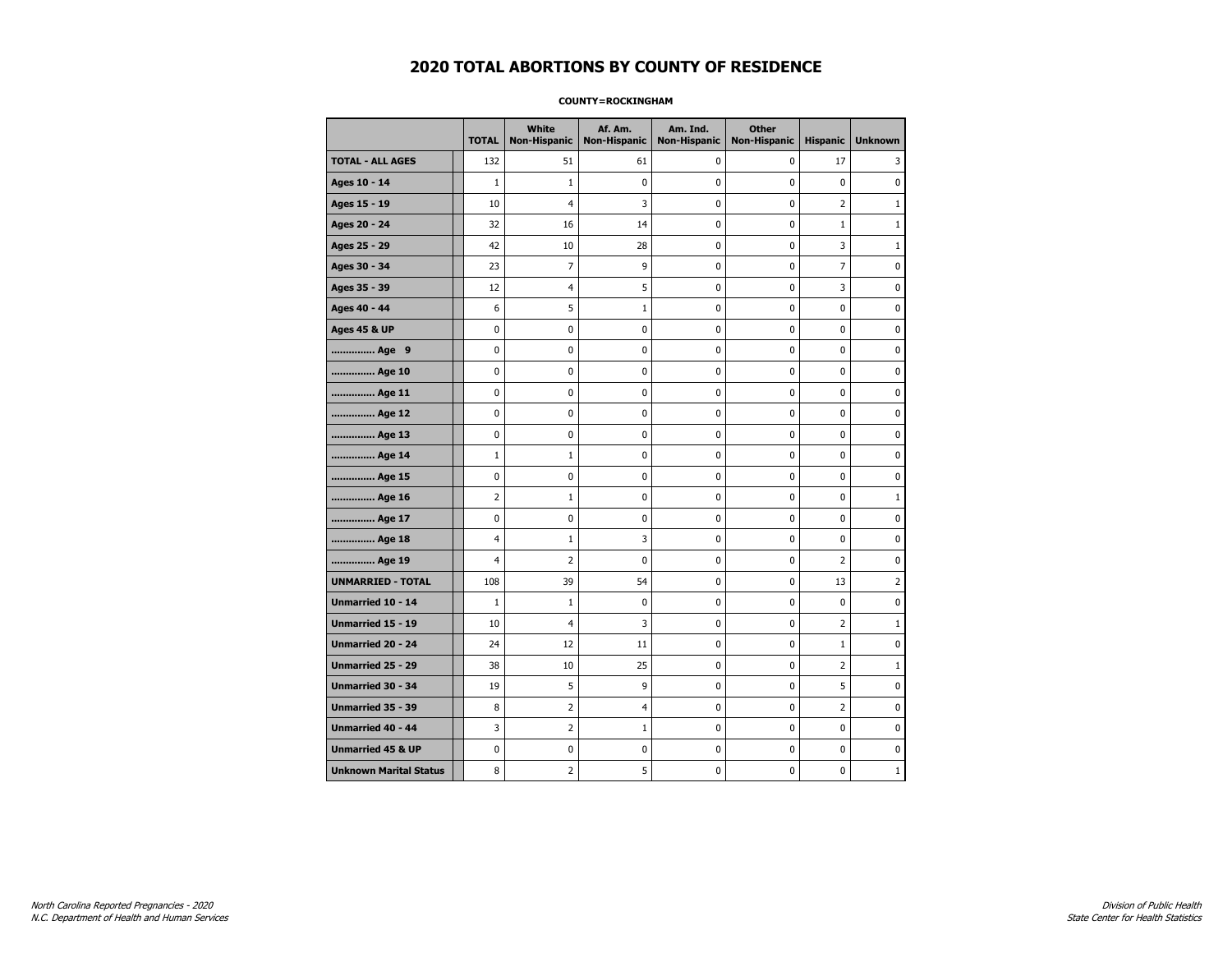#### **COUNTY=ROCKINGHAM**

|                               | <b>TOTAL</b>   | <b>White</b><br><b>Non-Hispanic</b> | Af. Am.<br><b>Non-Hispanic</b> | Am. Ind.<br><b>Non-Hispanic</b> | <b>Other</b><br><b>Non-Hispanic</b> | <b>Hispanic</b> | <b>Unknown</b> |
|-------------------------------|----------------|-------------------------------------|--------------------------------|---------------------------------|-------------------------------------|-----------------|----------------|
| <b>TOTAL - ALL AGES</b>       | 132            | 51                                  | 61                             | 0                               | 0                                   | 17              | 3              |
| Ages 10 - 14                  | $\mathbf{1}$   | $\mathbf{1}$                        | 0                              | 0                               | 0                                   | 0               | 0              |
| Ages 15 - 19                  | 10             | 4                                   | 3                              | 0                               | 0                                   | $\overline{2}$  | $\mathbf{1}$   |
| Ages 20 - 24                  | 32             | 16                                  | 14                             | 0                               | 0                                   | $\mathbf{1}$    | $\mathbf{1}$   |
| Ages 25 - 29                  | 42             | 10                                  | 28                             | 0                               | 0                                   | 3               | $\mathbf{1}$   |
| Ages 30 - 34                  | 23             | $\overline{7}$                      | 9                              | 0                               | $\pmb{0}$                           | $\overline{7}$  | $\pmb{0}$      |
| Ages 35 - 39                  | 12             | 4                                   | 5                              | 0                               | $\pmb{0}$                           | 3               | 0              |
| Ages 40 - 44                  | 6              | 5                                   | $\mathbf{1}$                   | 0                               | 0                                   | 0               | 0              |
| <b>Ages 45 &amp; UP</b>       | 0              | 0                                   | 0                              | 0                               | 0                                   | 0               | 0              |
| Age 9                         | 0              | 0                                   | 0                              | 0                               | 0                                   | 0               | 0              |
| Age 10                        | 0              | 0                                   | 0                              | 0                               | 0                                   | 0               | $\mathbf 0$    |
| Age 11                        | 0              | 0                                   | 0                              | 0                               | $\pmb{0}$                           | 0               | $\mathbf 0$    |
| Age 12                        | 0              | 0                                   | 0                              | 0                               | 0                                   | 0               | 0              |
| Age 13                        | 0              | 0                                   | 0                              | 0                               | $\mathbf 0$                         | 0               | $\mathbf 0$    |
| Age 14                        | $\mathbf{1}$   | 1                                   | 0                              | 0                               | 0                                   | 0               | $\mathbf 0$    |
| Age 15                        | 0              | 0                                   | 0                              | 0                               | $\pmb{0}$                           | 0               | 0              |
| Age 16                        | $\overline{2}$ | $\mathbf{1}$                        | 0                              | 0                               | $\pmb{0}$                           | 0               | $\mathbf{1}$   |
| Age 17                        | 0              | 0                                   | 0                              | 0                               | 0                                   | 0               | 0              |
| Age 18                        | 4              | 1                                   | 3                              | 0                               | 0                                   | 0               | 0              |
| Age 19                        | 4              | 2                                   | 0                              | 0                               | 0                                   | $\overline{2}$  | 0              |
| <b>UNMARRIED - TOTAL</b>      | 108            | 39                                  | 54                             | 0                               | 0                                   | 13              | $\overline{2}$ |
| Unmarried 10 - 14             | $\mathbf{1}$   | $\mathbf{1}$                        | 0                              | 0                               | $\mathbf 0$                         | 0               | $\mathbf 0$    |
| Unmarried 15 - 19             | 10             | 4                                   | 3                              | 0                               | $\pmb{0}$                           | $\overline{2}$  | $\mathbf{1}$   |
| <b>Unmarried 20 - 24</b>      | 24             | 12                                  | 11                             | 0                               | 0                                   | $\mathbf{1}$    | $\mathbf 0$    |
| Unmarried 25 - 29             | 38             | 10                                  | 25                             | 0                               | $\pmb{0}$                           | $\overline{2}$  | $\mathbf{1}$   |
| Unmarried 30 - 34             | 19             | 5                                   | 9                              | 0                               | $\pmb{0}$                           | 5               | 0              |
| Unmarried 35 - 39             | 8              | 2                                   | 4                              | 0                               | 0                                   | 2               | 0              |
| Unmarried 40 - 44             | 3              | 2                                   | 1                              | 0                               | 0                                   | 0               | 0              |
| <b>Unmarried 45 &amp; UP</b>  | 0              | 0                                   | 0                              | 0                               | 0                                   | 0               | 0              |
| <b>Unknown Marital Status</b> | 8              | $\overline{2}$                      | 5                              | 0                               | 0                                   | 0               | $\mathbf{1}$   |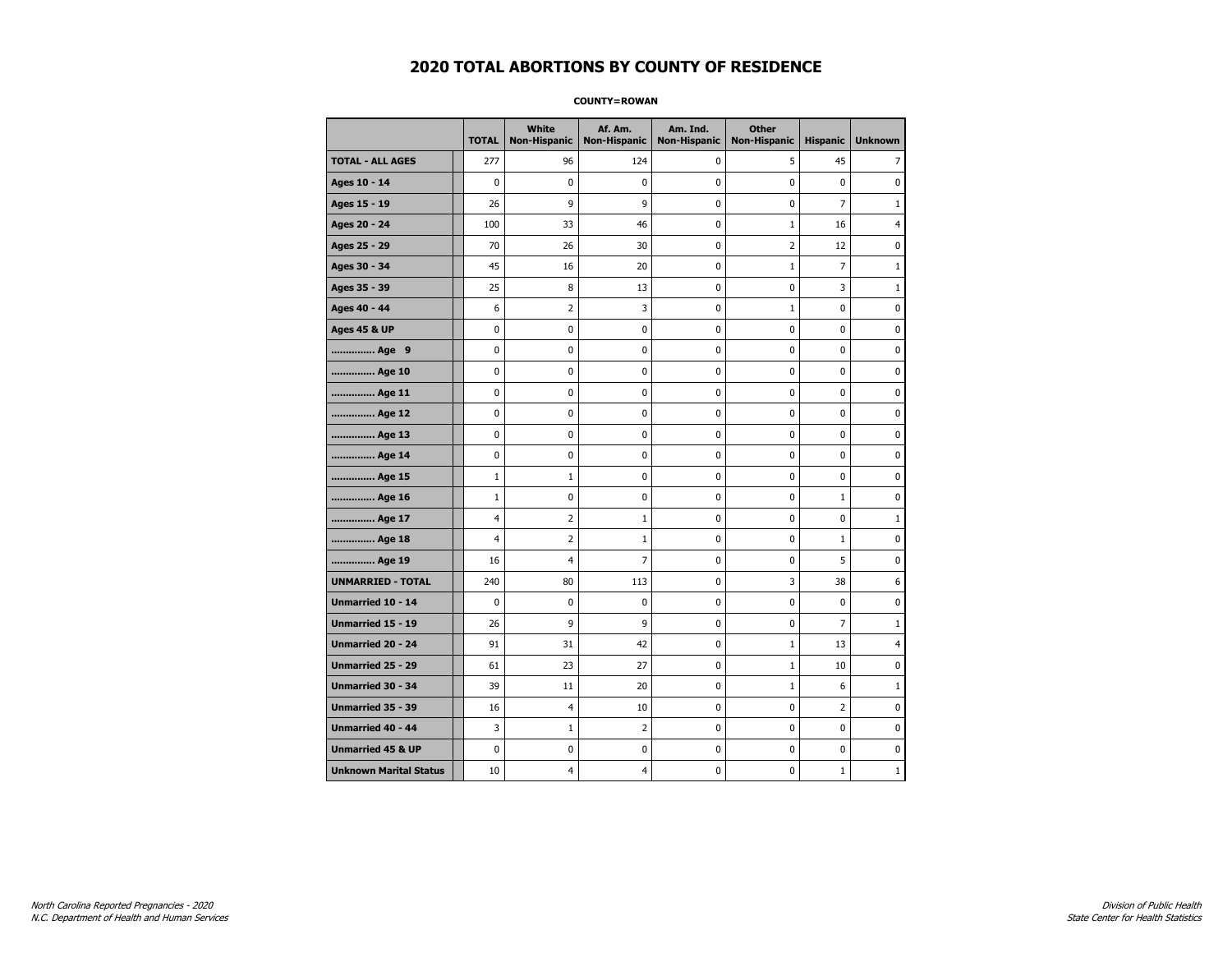**COUNTY=ROWAN** 

|                               | <b>TOTAL</b> | White<br><b>Non-Hispanic</b> | Af. Am.<br><b>Non-Hispanic</b> | Am. Ind.<br><b>Non-Hispanic</b> | <b>Other</b><br><b>Non-Hispanic</b> | <b>Hispanic</b> | <b>Unknown</b> |
|-------------------------------|--------------|------------------------------|--------------------------------|---------------------------------|-------------------------------------|-----------------|----------------|
| <b>TOTAL - ALL AGES</b>       | 277          | 96                           | 124                            | 0                               | 5                                   | 45              | 7              |
| Ages 10 - 14                  | 0            | $\mathbf 0$                  | 0                              | $\mathbf 0$                     | 0                                   | $\mathbf 0$     | 0              |
| Ages 15 - 19                  | 26           | 9                            | 9                              | 0                               | $\pmb{0}$                           | $\overline{7}$  | $\mathbf{1}$   |
| Ages 20 - 24                  | 100          | 33                           | 46                             | 0                               | $\mathbf{1}$                        | 16              | 4              |
| Ages 25 - 29                  | 70           | 26                           | 30                             | 0                               | $\overline{2}$                      | 12              | $\mathbf 0$    |
| Ages 30 - 34                  | 45           | 16                           | 20                             | 0                               | $\mathbf 1$                         | $\overline{7}$  | $\mathbf{1}$   |
| Ages 35 - 39                  | 25           | 8                            | 13                             | 0                               | 0                                   | 3               | $\mathbf{1}$   |
| Ages 40 - 44                  | 6            | $\overline{2}$               | 3                              | 0                               | $1\,$                               | 0               | 0              |
| <b>Ages 45 &amp; UP</b>       | 0            | 0                            | 0                              | 0                               | 0                                   | 0               | $\mathbf 0$    |
| Age 9                         | 0            | 0                            | 0                              | 0                               | $\pmb{0}$                           | 0               | 0              |
| Age 10                        | 0            | 0                            | 0                              | 0                               | 0                                   | 0               | 0              |
| Age 11                        | 0            | 0                            | 0                              | 0                               | 0                                   | 0               | $\mathbf 0$    |
| Age 12                        | 0            | 0                            | 0                              | 0                               | 0                                   | 0               | $\mathbf 0$    |
| Age 13                        | 0            | 0                            | 0                              | 0                               | $\pmb{0}$                           | 0               | 0              |
| Age 14                        | 0            | 0                            | 0                              | 0                               | 0                                   | 0               | 0              |
| Age 15                        | $\mathbf{1}$ | $\mathbf{1}$                 | 0                              | 0                               | 0                                   | 0               | $\mathbf 0$    |
| Age 16                        | $\mathbf{1}$ | 0                            | 0                              | 0                               | $\mathbf 0$                         | $\mathbf{1}$    | $\mathbf 0$    |
| Age 17                        | 4            | 2                            | 1                              | 0                               | 0                                   | 0               | $\mathbf{1}$   |
| Age 18                        | 4            | 2                            | 1                              | 0                               | 0                                   | $\mathbf{1}$    | 0              |
| Age 19                        | 16           | 4                            | $\overline{7}$                 | 0                               | 0                                   | 5               | $\mathbf 0$    |
| <b>UNMARRIED - TOTAL</b>      | 240          | 80                           | 113                            | 0                               | 3                                   | 38              | 6              |
| Unmarried 10 - 14             | 0            | 0                            | 0                              | 0                               | $\pmb{0}$                           | 0               | 0              |
| Unmarried 15 - 19             | 26           | 9                            | 9                              | 0                               | 0                                   | $\overline{7}$  | $\mathbf{1}$   |
| <b>Unmarried 20 - 24</b>      | 91           | 31                           | 42                             | 0                               | $\mathbf{1}$                        | 13              | $\overline{4}$ |
| <b>Unmarried 25 - 29</b>      | 61           | 23                           | 27                             | 0                               | $\mathbf 1$                         | 10              | $\pmb{0}$      |
| Unmarried 30 - 34             | 39           | 11                           | 20                             | 0                               | $\mathbf{1}$                        | 6               | $\mathbf{1}$   |
| <b>Unmarried 35 - 39</b>      | 16           | $\overline{4}$               | 10                             | 0                               | $\mathbf 0$                         | $\overline{2}$  | 0              |
| <b>Unmarried 40 - 44</b>      | 3            | 1                            | 2                              | 0                               | $\pmb{0}$                           | 0               | $\mathbf 0$    |
| <b>Unmarried 45 &amp; UP</b>  | 0            | 0                            | 0                              | 0                               | $\pmb{0}$                           | 0               | $\pmb{0}$      |
| <b>Unknown Marital Status</b> | 10           | 4                            | 4                              | 0                               | 0                                   | $\mathbf{1}$    | $\mathbf{1}$   |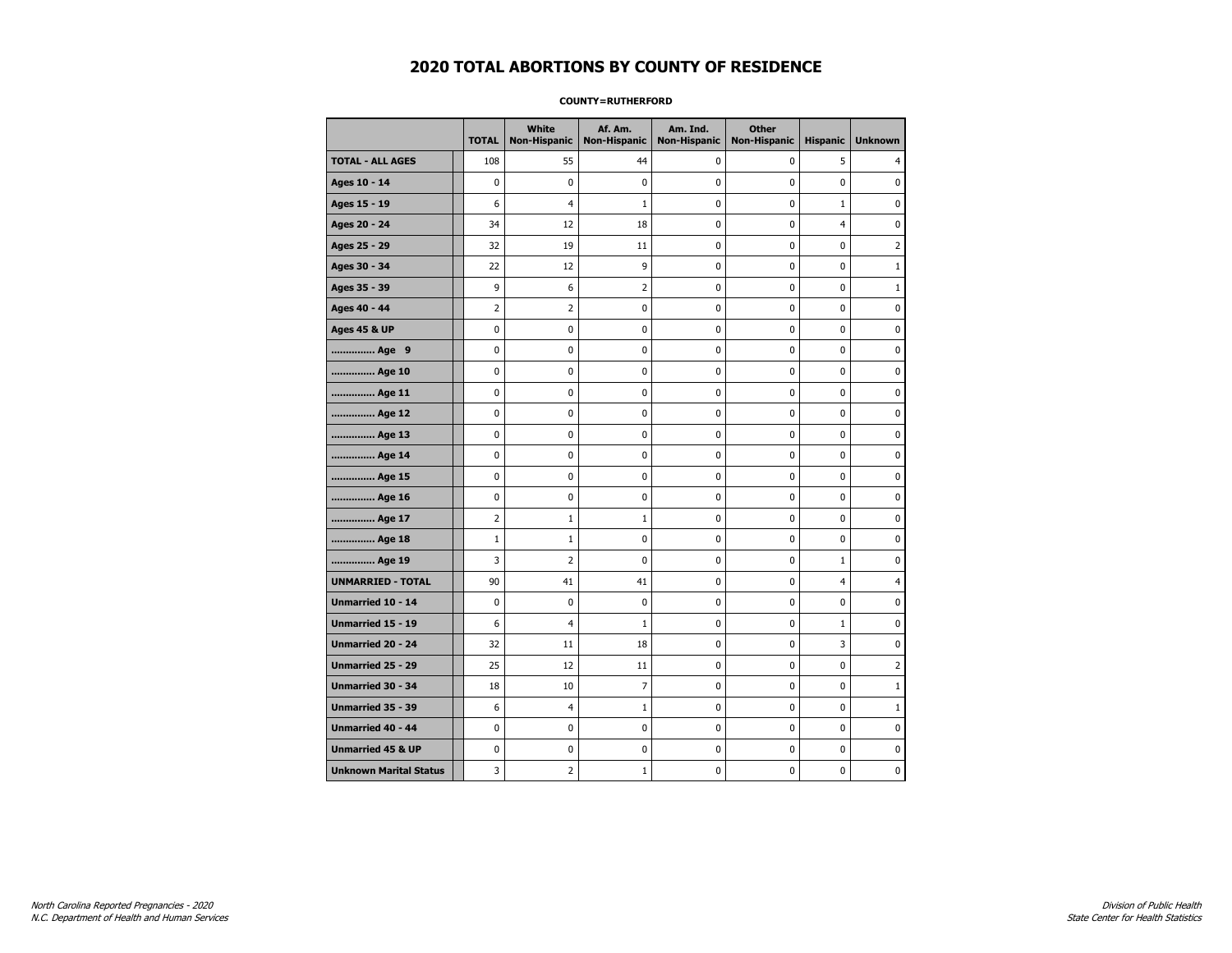#### **COUNTY=RUTHERFORD**

|                               | <b>TOTAL</b>   | <b>White</b><br>Non-Hispanic | Af. Am.<br><b>Non-Hispanic</b> | Am. Ind.<br><b>Non-Hispanic</b> | <b>Other</b><br><b>Non-Hispanic</b> | <b>Hispanic</b> | <b>Unknown</b> |
|-------------------------------|----------------|------------------------------|--------------------------------|---------------------------------|-------------------------------------|-----------------|----------------|
| <b>TOTAL - ALL AGES</b>       | 108            | 55                           | 44                             | 0                               | 0                                   | 5               | 4              |
| Ages 10 - 14                  | 0              | 0                            | $\pmb{0}$                      | 0                               | 0                                   | 0               | 0              |
| Ages 15 - 19                  | 6              | $\overline{4}$               | 1                              | $\mathbf 0$                     | 0                                   | $\mathbf 1$     | $\mathbf 0$    |
| Ages 20 - 24                  | 34             | 12                           | 18                             | 0                               | 0                                   | $\overline{4}$  | $\mathbf 0$    |
| Ages 25 - 29                  | 32             | 19                           | 11                             | 0                               | 0                                   | 0               | $\overline{2}$ |
| Ages 30 - 34                  | 22             | 12                           | 9                              | 0                               | 0                                   | 0               | $\mathbf{1}$   |
| Ages 35 - 39                  | 9              | 6                            | 2                              | 0                               | 0                                   | 0               | $\mathbf{1}$   |
| Ages 40 - 44                  | 2              | 2                            | 0                              | 0                               | 0                                   | 0               | 0              |
| <b>Ages 45 &amp; UP</b>       | $\mathbf 0$    | 0                            | 0                              | 0                               | 0                                   | 0               | 0              |
| Age 9                         | 0              | 0                            | 0                              | 0                               | 0                                   | 0               | 0              |
| Age 10                        | $\mathbf 0$    | 0                            | 0                              | 0                               | 0                                   | 0               | $\mathbf 0$    |
| Age 11                        | $\mathbf 0$    | 0                            | 0                              | $\mathbf 0$                     | 0                                   | 0               | $\mathbf 0$    |
| Age 12                        | 0              | 0                            | $\pmb{0}$                      | 0                               | 0                                   | 0               | 0              |
| Age 13                        | 0              | 0                            | 0                              | 0                               | 0                                   | 0               | 0              |
| Age 14                        | 0              | 0                            | 0                              | 0                               | 0                                   | 0               | $\mathbf 0$    |
| Age 15                        | 0              | 0                            | 0                              | 0                               | 0                                   | 0               | 0              |
| Age 16                        | $\mathbf 0$    | 0                            | 0                              | 0                               | 0                                   | 0               | $\mathbf 0$    |
| Age 17                        | $\overline{2}$ | $\mathbf{1}$                 | 1                              | 0                               | 0                                   | 0               | $\mathbf 0$    |
| Age 18                        | $\mathbf{1}$   | $\mathbf{1}$                 | $\mathbf 0$                    | $\mathbf 0$                     | 0                                   | 0               | $\mathbf 0$    |
| Age 19                        | 3              | $\mathbf 2$                  | $\mathbf 0$                    | $\pmb{0}$                       | 0                                   | $\mathbf 1$     | $\pmb{0}$      |
| <b>UNMARRIED - TOTAL</b>      | 90             | 41                           | 41                             | 0                               | 0                                   | $\overline{4}$  | 4              |
| Unmarried 10 - 14             | $\mathbf 0$    | 0                            | 0                              | 0                               | 0                                   | 0               | 0              |
| Unmarried 15 - 19             | 6              | 4                            | 1                              | 0                               | 0                                   | $\mathbf{1}$    | 0              |
| Unmarried 20 - 24             | 32             | 11                           | 18                             | 0                               | 0                                   | 3               | 0              |
| <b>Unmarried 25 - 29</b>      | 25             | 12                           | 11                             | $\mathbf 0$                     | 0                                   | 0               | $\overline{2}$ |
| <b>Unmarried 30 - 34</b>      | 18             | 10                           | $\overline{7}$                 | 0                               | 0                                   | 0               | $\mathbf{1}$   |
| Unmarried 35 - 39             | 6              | 4                            | $\mathbf 1$                    | 0                               | 0                                   | 0               | $1\,$          |
| <b>Unmarried 40 - 44</b>      | 0              | 0                            | 0                              | 0                               | 0                                   | 0               | 0              |
| <b>Unmarried 45 &amp; UP</b>  | 0              | 0                            | 0                              | 0                               | 0                                   | 0               | 0              |
| <b>Unknown Marital Status</b> | 3              | $\overline{2}$               | 1                              | 0                               | 0                                   | 0               | 0              |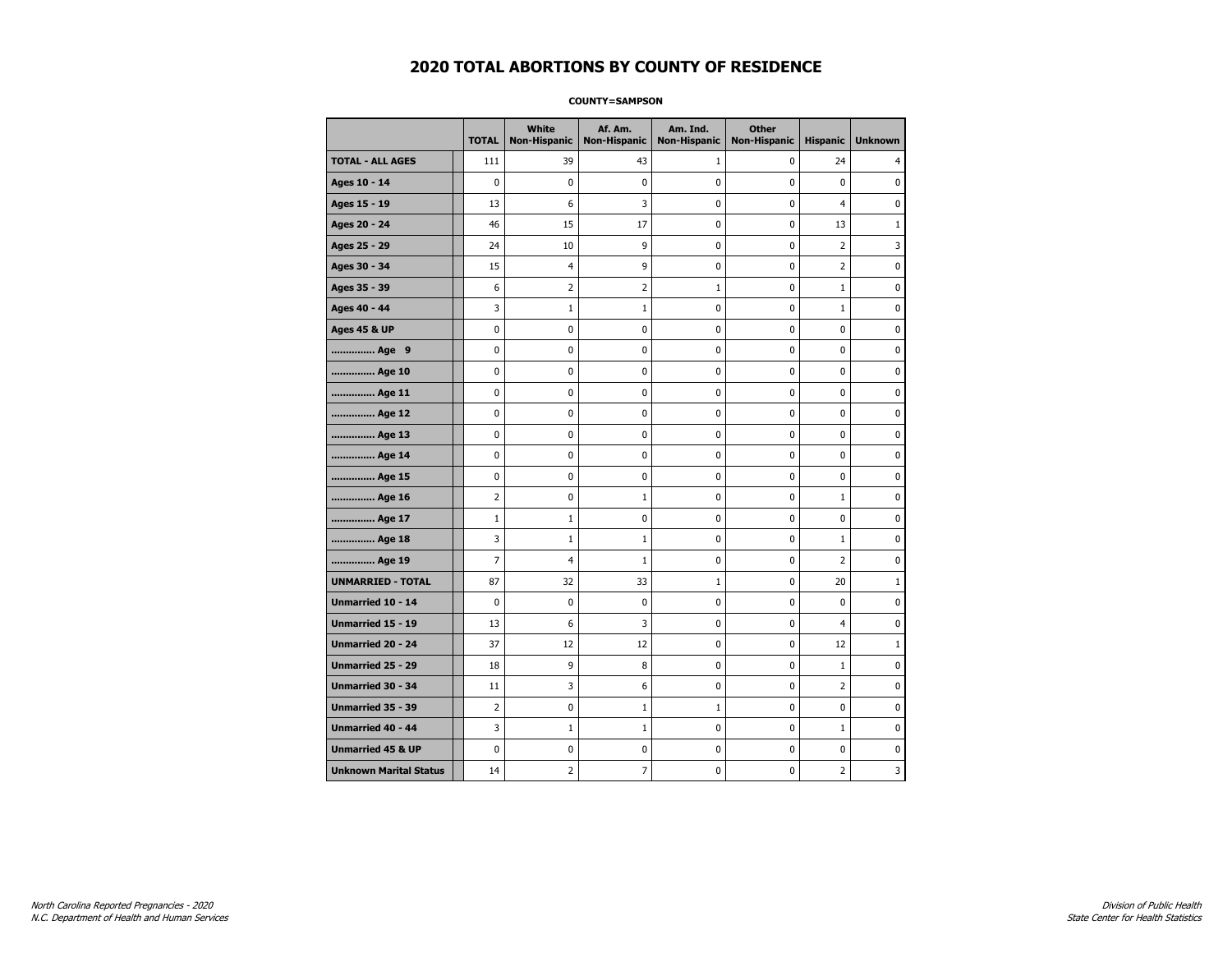#### **COUNTY=SAMPSON**

|                               | <b>TOTAL</b>   | White<br><b>Non-Hispanic</b> | Af. Am.<br><b>Non-Hispanic</b> | Am. Ind.<br><b>Non-Hispanic</b> | <b>Other</b><br><b>Non-Hispanic</b> | <b>Hispanic</b> | <b>Unknown</b> |
|-------------------------------|----------------|------------------------------|--------------------------------|---------------------------------|-------------------------------------|-----------------|----------------|
| <b>TOTAL - ALL AGES</b>       | 111            | 39                           | 43                             | 1                               | 0                                   | 24              | 4              |
| Ages 10 - 14                  | $\mathbf 0$    | $\mathbf 0$                  | $\mathbf 0$                    | $\mathbf 0$                     | $\mathbf 0$                         | $\mathbf 0$     | 0              |
| Ages 15 - 19                  | 13             | 6                            | 3                              | $\mathbf 0$                     | $\mathbf 0$                         | $\overline{4}$  | 0              |
| Ages 20 - 24                  | 46             | 15                           | 17                             | $\pmb{0}$                       | $\pmb{0}$                           | 13              | $\mathbf 1$    |
| Ages 25 - 29                  | 24             | 10                           | 9                              | 0                               | $\pmb{0}$                           | $\overline{2}$  | 3              |
| Ages 30 - 34                  | 15             | 4                            | 9                              | 0                               | 0                                   | $\overline{2}$  | 0              |
| Ages 35 - 39                  | 6              | $\mathbf 2$                  | $\mathbf 2$                    | 1                               | $\mathbf 0$                         | $\mathbf 1$     | $\mathbf 0$    |
| Ages 40 - 44                  | 3              | $\mathbf{1}$                 | $1\,$                          | 0                               | $\mathbf 0$                         | $\mathbf{1}$    | 0              |
| <b>Ages 45 &amp; UP</b>       | $\mathbf 0$    | 0                            | $\mathbf 0$                    | $\mathbf 0$                     | $\mathbf 0$                         | $\mathbf 0$     | 0              |
| Age 9                         | $\pmb{0}$      | 0                            | $\pmb{0}$                      | 0                               | 0                                   | 0               | 0              |
| Age 10                        | $\mathbf 0$    | 0                            | $\mathbf 0$                    | 0                               | $\mathbf 0$                         | $\mathbf 0$     | 0              |
| Age 11                        | 0              | 0                            | 0                              | 0                               | 0                                   | 0               | 0              |
| Age 12                        | $\mathbf 0$    | 0                            | $\pmb{0}$                      | 0                               | 0                                   | 0               | 0              |
| Age 13                        | $\mathbf 0$    | 0                            | $\mathbf 0$                    | $\mathbf 0$                     | $\mathbf 0$                         | $\mathbf 0$     | 0              |
| Age 14                        | $\mathbf 0$    | $\mathbf 0$                  | $\mathbf 0$                    | $\mathbf 0$                     | $\mathbf 0$                         | $\mathbf 0$     | 0              |
| Age 15                        | $\pmb{0}$      | 0                            | $\pmb{0}$                      | $\pmb{0}$                       | $\pmb{0}$                           | $\pmb{0}$       | 0              |
| Age 16                        | $\overline{2}$ | 0                            | $\mathbf{1}$                   | 0                               | 0                                   | $\mathbf 1$     | 0              |
| Age 17                        | $1\,$          | 1                            | 0                              | 0                               | $\mathbf 0$                         | $\mathbf 0$     | 0              |
| Age 18                        | 3              | $\mathbf{1}$                 | $1\,$                          | 0                               | 0                                   | $\mathbf 1$     | 0              |
| Age 19                        | $\overline{7}$ | $\overline{4}$               | $\mathbf{1}$                   | $\pmb{0}$                       | $\mathbf 0$                         | $\overline{2}$  | 0              |
| <b>UNMARRIED - TOTAL</b>      | 87             | 32                           | 33                             | $\mathbf{1}$                    | $\mathbf 0$                         | 20              | $\mathbf{1}$   |
| Unmarried 10 - 14             | $\mathbf 0$    | 0                            | $\pmb{0}$                      | $\pmb{0}$                       | $\mathbf 0$                         | $\mathbf 0$     | 0              |
| Unmarried 15 - 19             | 13             | 6                            | 3                              | 0                               | 0                                   | 4               | 0              |
| Unmarried 20 - 24             | 37             | 12                           | 12                             | 0                               | 0                                   | 12              | $\mathbf{1}$   |
| <b>Unmarried 25 - 29</b>      | 18             | 9                            | 8                              | $\mathbf 0$                     | $\mathbf 0$                         | $\mathbf 1$     | 0              |
| <b>Unmarried 30 - 34</b>      | 11             | 3                            | 6                              | 0                               | 0                                   | $\overline{2}$  | 0              |
| Unmarried 35 - 39             | $\overline{2}$ | $\pmb{0}$                    | $\mathbf{1}$                   | $\mathbf{1}$                    | $\pmb{0}$                           | $\pmb{0}$       | 0              |
| <b>Unmarried 40 - 44</b>      | 3              | $\mathbf 1$                  | $\mathbf{1}$                   | 0                               | $\pmb{0}$                           | $\mathbf 1$     | 0              |
| <b>Unmarried 45 &amp; UP</b>  | $\mathbf 0$    | 0                            | 0                              | 0                               | $\mathbf 0$                         | 0               | 0              |
| <b>Unknown Marital Status</b> | 14             | 2                            | $\overline{7}$                 | 0                               | $\mathbf 0$                         | 2               | 3              |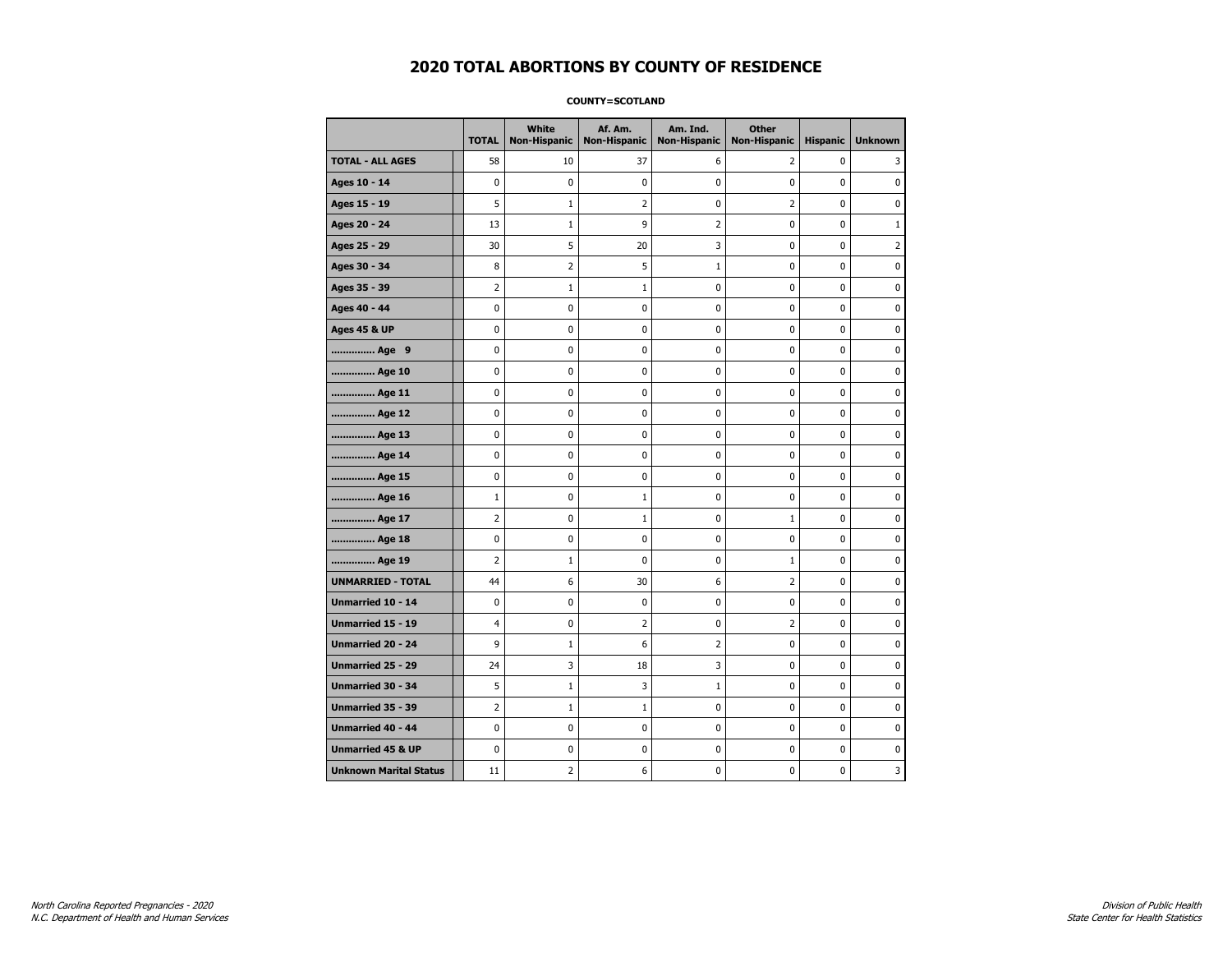#### **COUNTY=SCOTLAND**

|                               | <b>TOTAL</b>   | White<br><b>Non-Hispanic</b> | Af. Am.<br><b>Non-Hispanic</b> | Am. Ind.<br><b>Non-Hispanic</b> | <b>Other</b><br><b>Non-Hispanic</b> | <b>Hispanic</b> | <b>Unknown</b> |
|-------------------------------|----------------|------------------------------|--------------------------------|---------------------------------|-------------------------------------|-----------------|----------------|
| <b>TOTAL - ALL AGES</b>       | 58             | 10                           | 37                             | 6                               | 2                                   | 0               | 3              |
| Ages 10 - 14                  | 0              | $\mathbf 0$                  | 0                              | 0                               | 0                                   | 0               | 0              |
| Ages 15 - 19                  | 5              | $\mathbf{1}$                 | $\overline{2}$                 | 0                               | $\overline{2}$                      | 0               | $\mathbf 0$    |
| Ages 20 - 24                  | 13             | $1\,$                        | 9                              | $\overline{2}$                  | 0                                   | 0               | $\mathbf{1}$   |
| Ages 25 - 29                  | 30             | 5                            | 20                             | 3                               | 0                                   | 0               | $\overline{2}$ |
| Ages 30 - 34                  | 8              | 2                            | 5                              | $\mathbf{1}$                    | 0                                   | 0               | 0              |
| Ages 35 - 39                  | $\overline{2}$ | 1                            | 1                              | 0                               | 0                                   | 0               | 0              |
| Ages 40 - 44                  | 0              | $\mathbf 0$                  | 0                              | 0                               | 0                                   | 0               | $\mathbf 0$    |
| <b>Ages 45 &amp; UP</b>       | 0              | $\mathbf 0$                  | 0                              | 0                               | 0                                   | 0               | $\mathbf 0$    |
| Age 9                         | 0              | 0                            | 0                              | 0                               | 0                                   | 0               | 0              |
| Age 10                        | 0              | $\mathbf 0$                  | 0                              | 0                               | 0                                   | 0               | 0              |
| Age 11                        | 0              | 0                            | 0                              | 0                               | 0                                   | 0               | 0              |
| Age 12                        | 0              | 0                            | 0                              | 0                               | 0                                   | 0               | 0              |
| Age 13                        | 0              | $\mathbf 0$                  | 0                              | 0                               | 0                                   | 0               | $\mathbf 0$    |
| Age 14                        | 0              | 0                            | $\mathbf 0$                    | 0                               | 0                                   | 0               | $\mathbf 0$    |
| Age 15                        | 0              | 0                            | $\pmb{0}$                      | 0                               | 0                                   | 0               | $\pmb{0}$      |
| Age 16                        | $1\,$          | 0                            | $\mathbf{1}$                   | 0                               | 0                                   | 0               | 0              |
| Age 17                        | $\overline{2}$ | 0                            | 1                              | 0                               | 1                                   | 0               | 0              |
| Age 18                        | 0              | $\mathbf 0$                  | 0                              | 0                               | 0                                   | 0               | 0              |
| Age 19                        | $\overline{2}$ | $1\,$                        | 0                              | 0                               | $\mathbf{1}$                        | 0               | $\mathbf 0$    |
| <b>UNMARRIED - TOTAL</b>      | 44             | 6                            | 30                             | 6                               | $\overline{2}$                      | 0               | $\mathbf 0$    |
| Unmarried 10 - 14             | 0              | $\mathbf 0$                  | $\pmb{0}$                      | 0                               | 0                                   | 0               | $\pmb{0}$      |
| Unmarried 15 - 19             | 4              | 0                            | 2                              | 0                               | 2                                   | 0               | 0              |
| Unmarried 20 - 24             | 9              | $\mathbf{1}$                 | 6                              | 2                               | 0                                   | 0               | 0              |
| <b>Unmarried 25 - 29</b>      | 24             | 3                            | 18                             | 3                               | 0                                   | 0               | $\mathbf 0$    |
| <b>Unmarried 30 - 34</b>      | 5              | $1\,$                        | 3                              | $\mathbf 1$                     | 0                                   | 0               | $\mathbf 0$    |
| Unmarried 35 - 39             | $\overline{2}$ | $\mathbf{1}$                 | $\mathbf{1}$                   | 0                               | 0                                   | 0               | $\pmb{0}$      |
| Unmarried 40 - 44             | 0              | 0                            | 0                              | 0                               | 0                                   | 0               | 0              |
| <b>Unmarried 45 &amp; UP</b>  | 0              | 0                            | 0                              | 0                               | 0                                   | 0               | 0              |
| <b>Unknown Marital Status</b> | 11             | 2                            | 6                              | 0                               | 0                                   | 0               | 3              |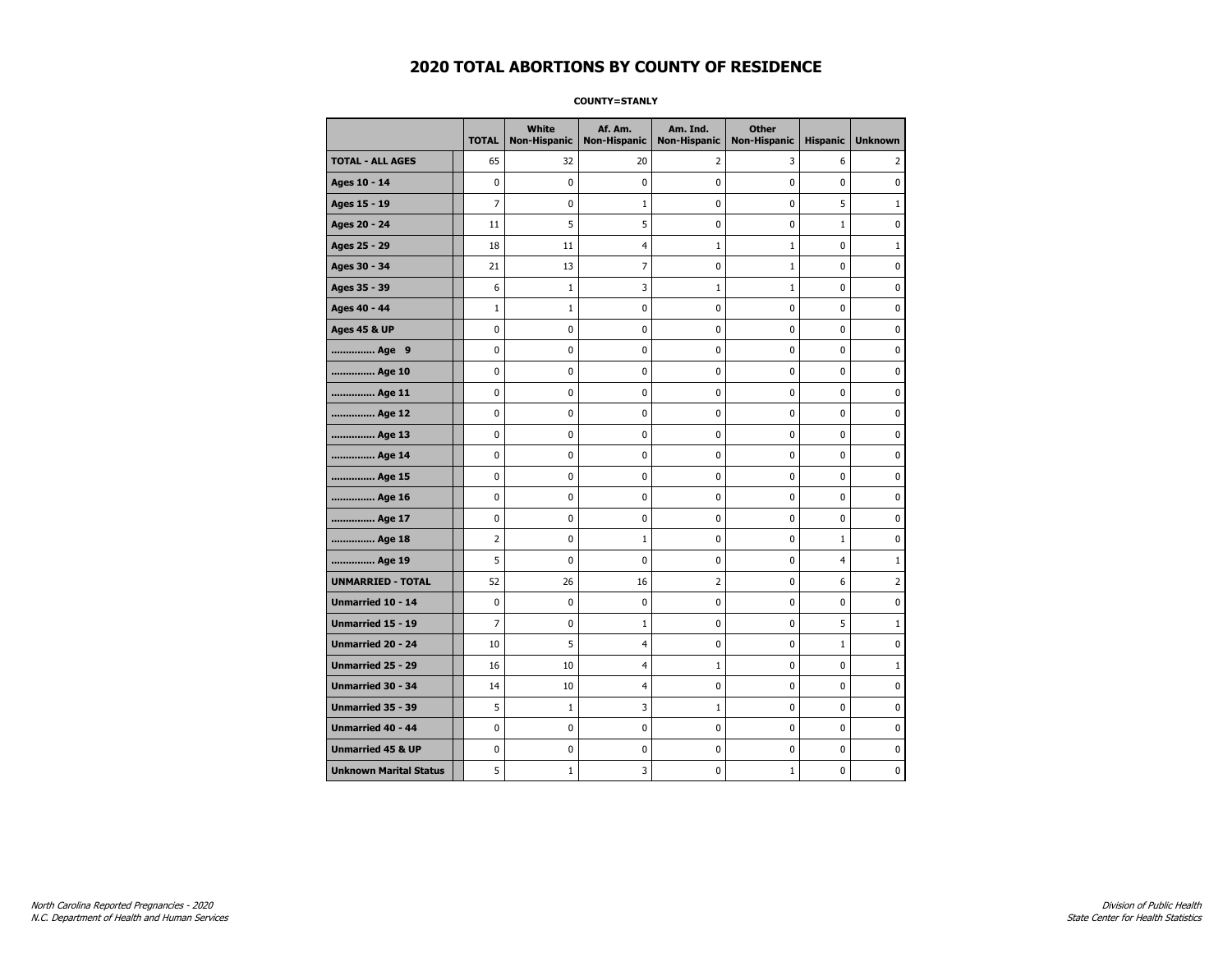**COUNTY=STANLY** 

|                               | <b>TOTAL</b>   | <b>White</b><br>Non-Hispanic | Af. Am.<br><b>Non-Hispanic</b> | Am. Ind.<br><b>Non-Hispanic</b> | <b>Other</b><br><b>Non-Hispanic</b> | <b>Hispanic</b> | <b>Unknown</b> |
|-------------------------------|----------------|------------------------------|--------------------------------|---------------------------------|-------------------------------------|-----------------|----------------|
| <b>TOTAL - ALL AGES</b>       | 65             | 32                           | 20                             | 2                               | 3                                   | 6               | 2              |
| Ages 10 - 14                  | $\mathbf 0$    | 0                            | 0                              | 0                               | $\mathbf 0$                         | 0               | 0              |
| Ages 15 - 19                  | $\overline{7}$ | 0                            | 1                              | $\mathbf 0$                     | $\mathbf 0$                         | 5               | $1\,$          |
| Ages 20 - 24                  | 11             | 5                            | 5                              | 0                               | 0                                   | $\mathbf{1}$    | 0              |
| Ages 25 - 29                  | 18             | 11                           | 4                              | $\mathbf{1}$                    | $\mathbf{1}$                        | 0               | $1\,$          |
| Ages 30 - 34                  | 21             | 13                           | 7                              | 0                               | $\mathbf 1$                         | 0               | 0              |
| Ages 35 - 39                  | 6              | $\mathbf{1}$                 | 3                              | 1                               | $\mathbf{1}$                        | 0               | 0              |
| Ages 40 - 44                  | $\mathbf{1}$   | $\mathbf{1}$                 | 0                              | $\mathbf 0$                     | $\mathbf 0$                         | $\mathbf 0$     | $\pmb{0}$      |
| <b>Ages 45 &amp; UP</b>       | 0              | 0                            | 0                              | 0                               | 0                                   | 0               | 0              |
| Age 9                         | $\mathbf 0$    | 0                            | 0                              | $\mathbf 0$                     | $\mathbf 0$                         | 0               | $\mathbf 0$    |
| Age 10                        | 0              | 0                            | 0                              | 0                               | 0                                   | 0               | 0              |
| Age 11                        | $\mathbf 0$    | 0                            | 0                              | 0                               | 0                                   | 0               | 0              |
| Age 12                        | 0              | 0                            | 0                              | 0                               | 0                                   | 0               | 0              |
| Age 13                        | 0              | 0                            | 0                              | 0                               | 0                                   | 0               | 0              |
| Age 14                        | 0              | 0                            | 0                              | 0                               | 0                                   | 0               | 0              |
| Age 15                        | $\pmb{0}$      | 0                            | 0                              | 0                               | 0                                   | 0               | $\pmb{0}$      |
| Age 16                        | $\mathbf 0$    | $\mathbf 0$                  | $\bf{0}$                       | $\pmb{0}$                       | $\mathbf 0$                         | 0               | $\pmb{0}$      |
| Age 17                        | 0              | 0                            | 0                              | 0                               | 0                                   | 0               | 0              |
| Age 18                        | $\overline{2}$ | 0                            | 1                              | 0                               | 0                                   | $\mathbf{1}$    | $\pmb{0}$      |
| Age 19                        | 5              | 0                            | 0                              | 0                               | 0                                   | 4               | $\mathbf{1}$   |
| <b>UNMARRIED - TOTAL</b>      | 52             | 26                           | 16                             | $\overline{2}$                  | $\mathbf 0$                         | 6               | $\overline{2}$ |
| Unmarried 10 - 14             | 0              | 0                            | 0                              | 0                               | 0                                   | 0               | 0              |
| Unmarried 15 - 19             | $\overline{7}$ | 0                            | $\mathbf{1}$                   | 0                               | 0                                   | 5               | $1\,$          |
| Unmarried 20 - 24             | 10             | 5                            | 4                              | 0                               | $\mathbf 0$                         | 1               | 0              |
| Unmarried 25 - 29             | 16             | 10                           | 4                              | $\mathbf{1}$                    | 0                                   | 0               | $\mathbf{1}$   |
| <b>Unmarried 30 - 34</b>      | 14             | 10                           | 4                              | 0                               | 0                                   | 0               | $\mathbf 0$    |
| <b>Unmarried 35 - 39</b>      | 5              | $1\,$                        | 3                              | $\mathbf{1}$                    | $\mathbf 0$                         | 0               | $\mathbf 0$    |
| <b>Unmarried 40 - 44</b>      | $\mathbf 0$    | $\pmb{0}$                    | $\pmb{0}$                      | $\pmb{0}$                       | $\pmb{0}$                           | $\pmb{0}$       | $\pmb{0}$      |
| <b>Unmarried 45 &amp; UP</b>  | 0              | 0                            | 0                              | 0                               | 0                                   | 0               | 0              |
| <b>Unknown Marital Status</b> | 5              | $\mathbf{1}$                 | 3                              | 0                               | $\mathbf{1}$                        | 0               | 0              |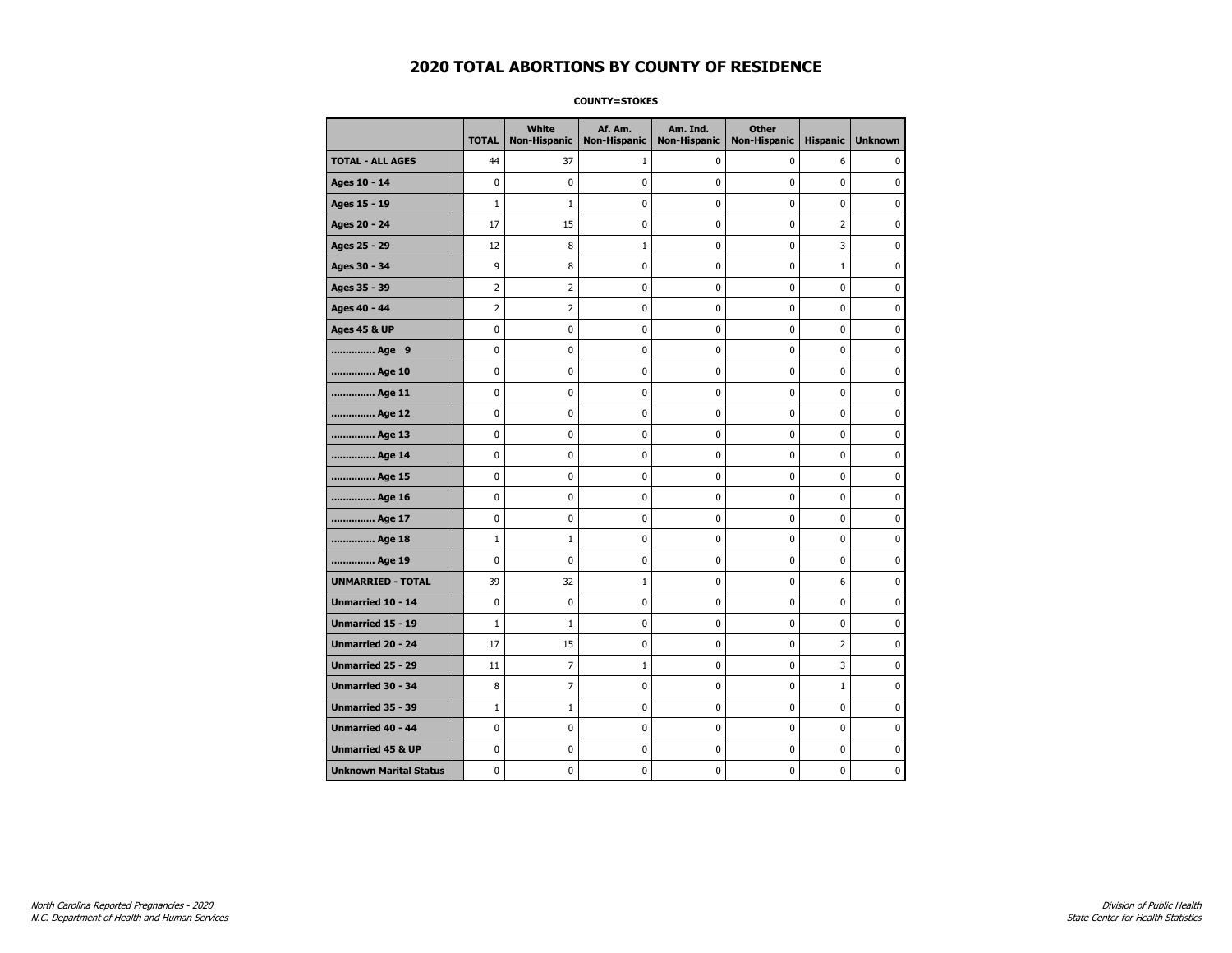**COUNTY=STOKES** 

|                               | <b>TOTAL</b>   | White<br>Non-Hispanic | Af. Am.<br><b>Non-Hispanic</b> | Am. Ind.<br><b>Non-Hispanic</b> | <b>Other</b><br><b>Non-Hispanic</b> | <b>Hispanic</b> | <b>Unknown</b> |
|-------------------------------|----------------|-----------------------|--------------------------------|---------------------------------|-------------------------------------|-----------------|----------------|
| <b>TOTAL - ALL AGES</b>       | 44             | 37                    | 1                              | 0                               | 0                                   | 6               | 0              |
| Ages 10 - 14                  | 0              | $\mathbf 0$           | 0                              | 0                               | 0                                   | 0               | 0              |
| Ages 15 - 19                  | $\mathbf{1}$   | $\mathbf{1}$          | 0                              | 0                               | 0                                   | 0               | $\mathbf 0$    |
| Ages 20 - 24                  | 17             | 15                    | 0                              | 0                               | $\mathbf 0$                         | $\overline{2}$  | $\mathbf 0$    |
| Ages 25 - 29                  | 12             | 8                     | $\mathbf 1$                    | 0                               | $\pmb{0}$                           | 3               | $\pmb{0}$      |
| Ages 30 - 34                  | 9              | 8                     | 0                              | 0                               | 0                                   | $\mathbf 1$     | 0              |
| Ages 35 - 39                  | 2              | 2                     | 0                              | 0                               | 0                                   | 0               | 0              |
| Ages 40 - 44                  | $\overline{2}$ | 2                     | 0                              | 0                               | $\mathbf 0$                         | 0               | $\pmb{0}$      |
| <b>Ages 45 &amp; UP</b>       | 0              | 0                     | 0                              | 0                               | 0                                   | 0               | $\mathbf 0$    |
| Age 9                         | 0              | 0                     | 0                              | 0                               | $\mathbf 0$                         | 0               | $\mathbf 0$    |
| Age 10                        | 0              | 0                     | 0                              | 0                               | $\pmb{0}$                           | 0               | 0              |
| Age 11                        | 0              | 0                     | 0                              | 0                               | 0                                   | 0               | $\mathbf 0$    |
| Age 12                        | 0              | 0                     | 0                              | 0                               | 0                                   | 0               | 0              |
| Age 13                        | 0              | 0                     | 0                              | 0                               | 0                                   | 0               | $\mathbf 0$    |
| Age 14                        | 0              | 0                     | 0                              | 0                               | $\mathbf 0$                         | 0               | $\mathbf 0$    |
| Age 15                        | 0              | 0                     | 0                              | 0                               | $\pmb{0}$                           | 0               | 0              |
| Age 16                        | 0              | $\mathbf 0$           | 0                              | 0                               | $\pmb{0}$                           | 0               | $\mathbf 0$    |
| Age 17                        | 0              | 0                     | 0                              | 0                               | 0                                   | 0               | 0              |
| Age 18                        | $\mathbf{1}$   | $\mathbf{1}$          | 0                              | 0                               | $\pmb{0}$                           | 0               | $\pmb{0}$      |
| Age 19                        | 0              | 0                     | 0                              | 0                               | 0                                   | 0               | $\mathbf 0$    |
| <b>UNMARRIED - TOTAL</b>      | 39             | 32                    | 1                              | 0                               | $\mathbf 0$                         | 6               | $\mathbf 0$    |
| Unmarried 10 - 14             | 0              | 0                     | 0                              | 0                               | $\pmb{0}$                           | 0               | 0              |
| Unmarried 15 - 19             | $\mathbf 1$    | 1                     | 0                              | 0                               | $\pmb{0}$                           | 0               | $\pmb{0}$      |
| Unmarried 20 - 24             | 17             | 15                    | 0                              | 0                               | 0                                   | 2               | 0              |
| Unmarried 25 - 29             | 11             | 7                     | $\mathbf{1}$                   | 0                               | 0                                   | 3               | 0              |
| <b>Unmarried 30 - 34</b>      | 8              | $\overline{7}$        | 0                              | 0                               | $\mathbf 0$                         | $\mathbf{1}$    | $\mathbf 0$    |
| <b>Unmarried 35 - 39</b>      | $1\,$          | 1                     | 0                              | 0                               | $\mathbf 0$                         | 0               | $\mathbf 0$    |
| <b>Unmarried 40 - 44</b>      | 0              | $\pmb{0}$             | 0                              | 0                               | $\pmb{0}$                           | 0               | 0              |
| <b>Unmarried 45 &amp; UP</b>  | 0              | 0                     | 0                              | 0                               | 0                                   | 0               | 0              |
| <b>Unknown Marital Status</b> | 0              | 0                     | 0                              | 0                               | 0                                   | 0               | $\mathbf 0$    |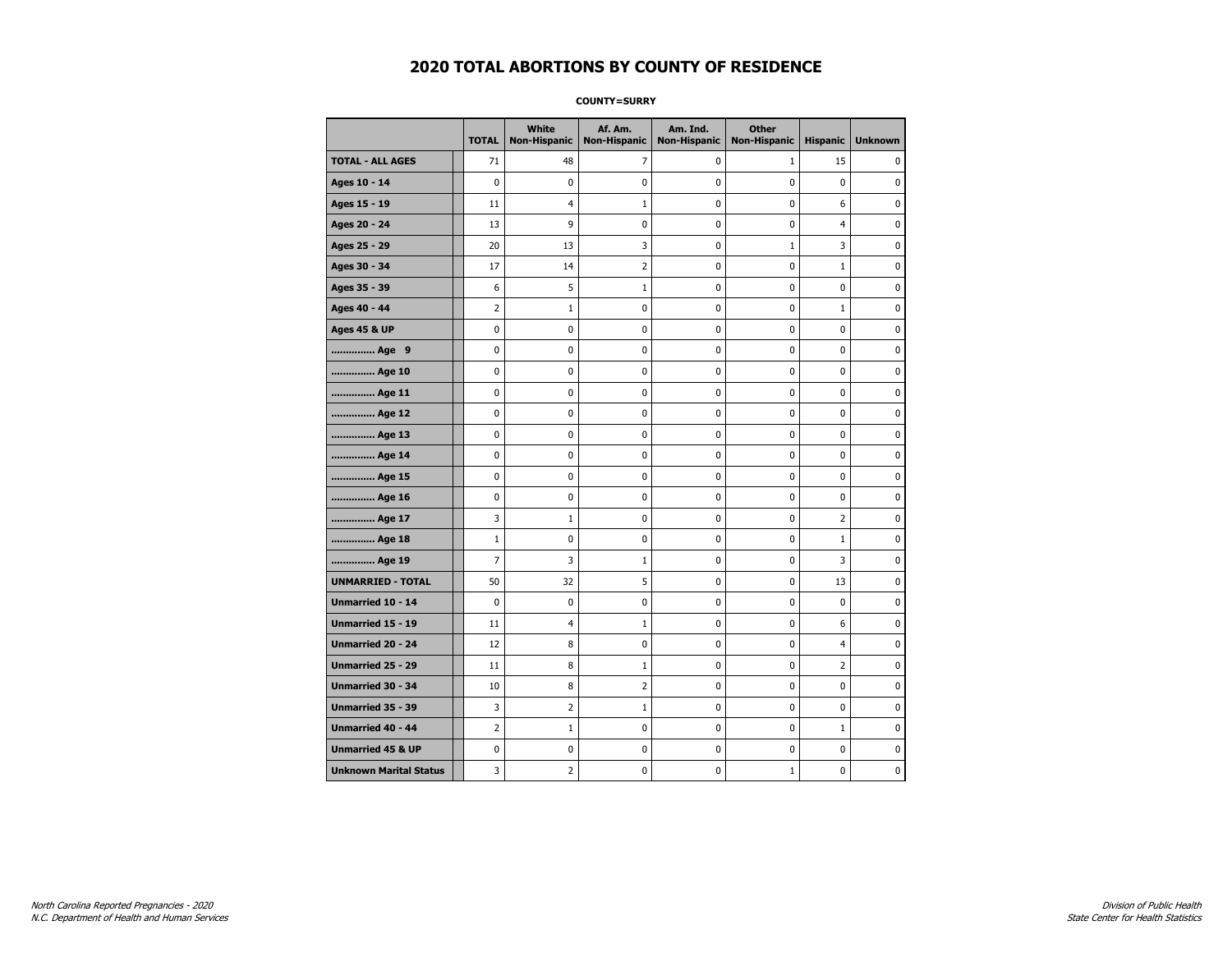**COUNTY=SURRY** 

|                               | <b>TOTAL</b>   | White<br>Non-Hispanic | Af. Am.<br><b>Non-Hispanic</b> | Am. Ind.<br><b>Non-Hispanic</b> | <b>Other</b><br><b>Non-Hispanic</b> | <b>Hispanic</b> | <b>Unknown</b> |
|-------------------------------|----------------|-----------------------|--------------------------------|---------------------------------|-------------------------------------|-----------------|----------------|
| <b>TOTAL - ALL AGES</b>       | 71             | 48                    | 7                              | 0                               | $\mathbf{1}$                        | 15              | 0              |
| Ages 10 - 14                  | 0              | $\mathbf 0$           | 0                              | 0                               | 0                                   | 0               | 0              |
| Ages 15 - 19                  | 11             | 4                     | $1\,$                          | 0                               | $\pmb{0}$                           | 6               | $\mathbf 0$    |
| Ages 20 - 24                  | 13             | 9                     | 0                              | 0                               | $\mathbf 0$                         | 4               | $\mathbf 0$    |
| Ages 25 - 29                  | 20             | 13                    | 3                              | 0                               | $1\,$                               | 3               | $\pmb{0}$      |
| Ages 30 - 34                  | 17             | 14                    | 2                              | 0                               | 0                                   | $\mathbf 1$     | 0              |
| Ages 35 - 39                  | 6              | 5                     | $\mathbf{1}$                   | 0                               | 0                                   | 0               | 0              |
| Ages 40 - 44                  | $\overline{2}$ | $\mathbf{1}$          | 0                              | 0                               | $\mathbf 0$                         | $\mathbf 1$     | $\pmb{0}$      |
| <b>Ages 45 &amp; UP</b>       | 0              | 0                     | 0                              | 0                               | 0                                   | 0               | $\mathbf 0$    |
| Age 9                         | 0              | 0                     | 0                              | 0                               | $\mathbf 0$                         | 0               | $\mathbf 0$    |
| Age 10                        | 0              | 0                     | $\pmb{0}$                      | 0                               | $\pmb{0}$                           | 0               | 0              |
| Age 11                        | 0              | 0                     | 0                              | 0                               | 0                                   | 0               | $\mathbf 0$    |
| Age 12                        | 0              | 0                     | 0                              | 0                               | 0                                   | 0               | 0              |
| Age 13                        | 0              | 0                     | 0                              | 0                               | 0                                   | 0               | $\mathbf 0$    |
| Age 14                        | 0              | 0                     | 0                              | 0                               | $\mathbf 0$                         | 0               | $\mathbf 0$    |
| Age 15                        | 0              | 0                     | $\pmb{0}$                      | 0                               | $\pmb{0}$                           | 0               | $\pmb{0}$      |
| Age 16                        | 0              | 0                     | $\pmb{0}$                      | 0                               | $\pmb{0}$                           | 0               | $\mathbf 0$    |
| Age 17                        | 3              | $\mathbf{1}$          | 0                              | 0                               | 0                                   | 2               | 0              |
| Age 18                        | $\mathbf 1$    | 0                     | $\pmb{0}$                      | 0                               | $\pmb{0}$                           | $\mathbf 1$     | $\pmb{0}$      |
| Age 19                        | $\overline{7}$ | 3                     | $\mathbf{1}$                   | 0                               | 0                                   | 3               | $\mathbf 0$    |
| <b>UNMARRIED - TOTAL</b>      | 50             | 32                    | 5                              | 0                               | 0                                   | 13              | $\mathbf 0$    |
| Unmarried 10 - 14             | 0              | 0                     | $\pmb{0}$                      | 0                               | $\pmb{0}$                           | 0               | 0              |
| Unmarried 15 - 19             | 11             | 4                     | $\mathbf{1}$                   | 0                               | $\pmb{0}$                           | 6               | $\mathbf 0$    |
| Unmarried 20 - 24             | 12             | 8                     | 0                              | 0                               | 0                                   | 4               | 0              |
| <b>Unmarried 25 - 29</b>      | 11             | 8                     | $\mathbf{1}$                   | 0                               | 0                                   | 2               | 0              |
| <b>Unmarried 30 - 34</b>      | 10             | 8                     | $\overline{2}$                 | 0                               | $\mathbf 0$                         | 0               | $\mathbf 0$    |
| Unmarried 35 - 39             | 3              | 2                     | $1\,$                          | 0                               | $\mathbf 0$                         | 0               | $\mathbf 0$    |
| Unmarried 40 - 44             | $\overline{2}$ | $1\,$                 | $\pmb{0}$                      | 0                               | $\pmb{0}$                           | $\mathbf 1$     | 0              |
| <b>Unmarried 45 &amp; UP</b>  | 0              | 0                     | 0                              | 0                               | 0                                   | 0               | 0              |
| <b>Unknown Marital Status</b> | 3              | $\overline{2}$        | 0                              | 0                               | $1\,$                               | 0               | $\mathbf 0$    |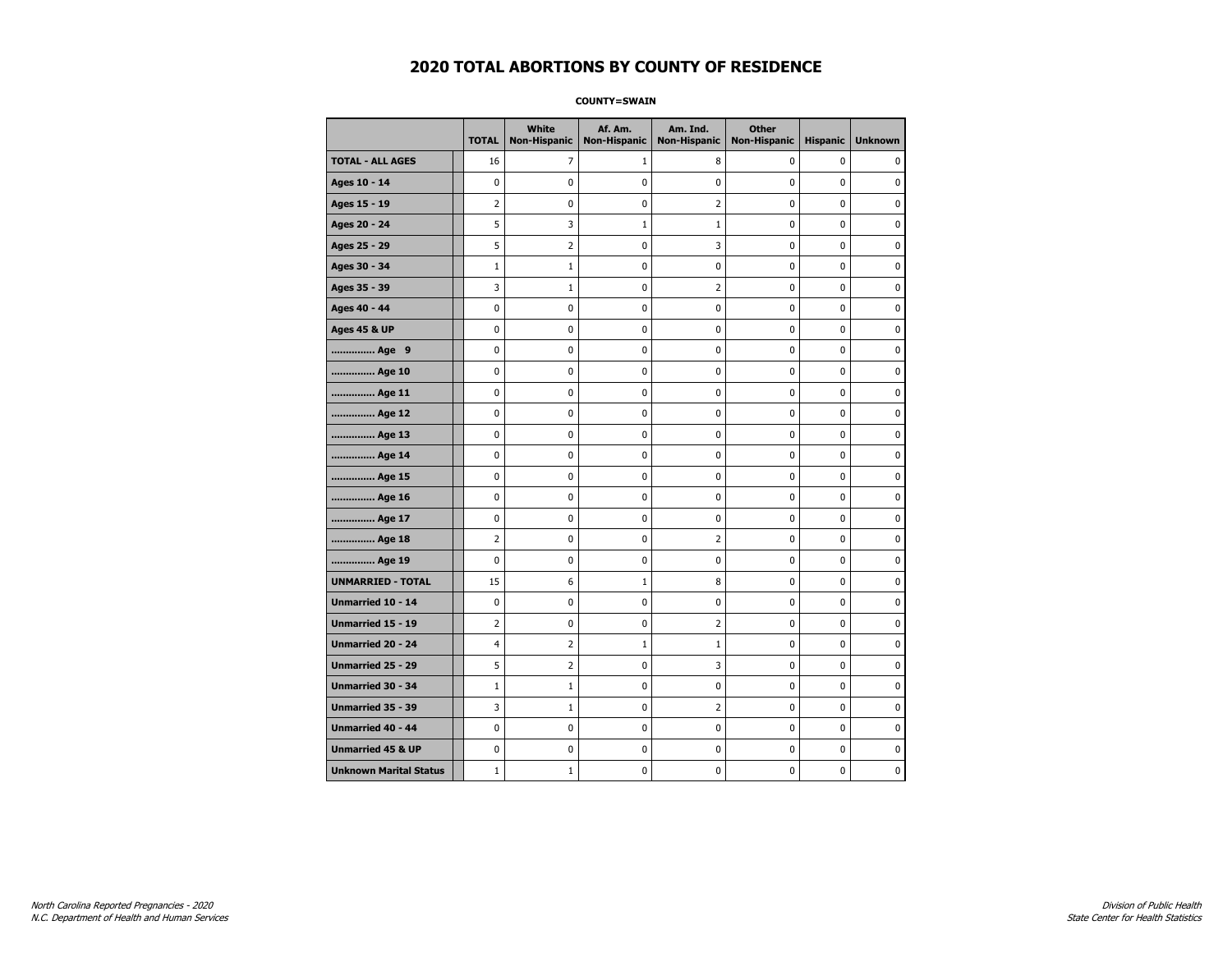**COUNTY=SWAIN** 

|                               | <b>TOTAL</b>   | White<br><b>Non-Hispanic</b> | Af. Am.<br><b>Non-Hispanic</b> | Am. Ind.<br><b>Non-Hispanic</b> | <b>Other</b><br><b>Non-Hispanic</b> | <b>Hispanic</b> | <b>Unknown</b> |
|-------------------------------|----------------|------------------------------|--------------------------------|---------------------------------|-------------------------------------|-----------------|----------------|
| <b>TOTAL - ALL AGES</b>       | 16             | 7                            | 1                              | 8                               | 0                                   | 0               | 0              |
| Ages 10 - 14                  | 0              | 0                            | 0                              | $\mathbf 0$                     | 0                                   | 0               | 0              |
| Ages 15 - 19                  | 2              | 0                            | 0                              | $\overline{2}$                  | $\pmb{0}$                           | 0               | 0              |
| Ages 20 - 24                  | 5              | 3                            | $\mathbf{1}$                   | $\mathbf 1$                     | 0                                   | 0               | 0              |
| Ages 25 - 29                  | 5              | 2                            | 0                              | 3                               | 0                                   | 0               | $\mathbf 0$    |
| Ages 30 - 34                  | $\mathbf{1}$   | 1                            | 0                              | 0                               | $\pmb{0}$                           | 0               | $\mathbf 0$    |
| Ages 35 - 39                  | 3              | $\mathbf{1}$                 | 0                              | $\overline{2}$                  | 0                                   | 0               | $\mathbf 0$    |
| Ages 40 - 44                  | 0              | 0                            | 0                              | 0                               | $\pmb{0}$                           | 0               | $\pmb{0}$      |
| <b>Ages 45 &amp; UP</b>       | 0              | 0                            | 0                              | 0                               | 0                                   | 0               | 0              |
| Age 9                         | 0              | 0                            | 0                              | 0                               | 0                                   | 0               | 0              |
| Age 10                        | 0              | 0                            | 0                              | 0                               | $\mathbf 0$                         | 0               | $\mathbf 0$    |
| Age 11                        | 0              | 0                            | 0                              | 0                               | $\pmb{0}$                           | 0               | 0              |
| Age 12                        | 0              | 0                            | 0                              | 0                               | 0                                   | 0               | 0              |
| Age 13                        | 0              | 0                            | 0                              | 0                               | 0                                   | 0               | $\mathbf 0$    |
| Age 14                        | 0              | 0                            | 0                              | 0                               | $\pmb{0}$                           | 0               | $\mathbf 0$    |
| Age 15                        | 0              | 0                            | 0                              | 0                               | $\pmb{0}$                           | 0               | 0              |
| Age 16                        | $\mathbf 0$    | 0                            | 0                              | 0                               | 0                                   | 0               | 0              |
| Age 17                        | 0              | 0                            | 0                              | 0                               | 0                                   | 0               | 0              |
| Age 18                        | $\overline{2}$ | 0                            | 0                              | $\overline{2}$                  | $\mathbf 0$                         | 0               | $\mathbf 0$    |
| Age 19                        | 0              | 0                            | 0                              | 0                               | $\pmb{0}$                           | 0               | 0              |
| <b>UNMARRIED - TOTAL</b>      | 15             | 6                            | 1                              | 8                               | 0                                   | 0               | 0              |
| Unmarried 10 - 14             | 0              | 0                            | 0                              | 0                               | $\pmb{0}$                           | 0               | $\mathbf 0$    |
| <b>Unmarried 15 - 19</b>      | $\overline{2}$ | 0                            | 0                              | $\overline{2}$                  | 0                                   | 0               | $\mathbf 0$    |
| Unmarried 20 - 24             | 4              | 2                            | $\mathbf 1$                    | $\mathbf 1$                     | $\pmb{0}$                           | 0               | 0              |
| Unmarried 25 - 29             | 5              | 2                            | 0                              | 3                               | 0                                   | 0               | 0              |
| Unmarried 30 - 34             | $\mathbf{1}$   | 1                            | 0                              | 0                               | 0                                   | 0               | 0              |
| Unmarried 35 - 39             | 3              | $\mathbf{1}$                 | 0                              | $\overline{2}$                  | $\pmb{0}$                           | 0               | $\mathbf 0$    |
| Unmarried 40 - 44             | 0              | 0                            | 0                              | 0                               | $\pmb{0}$                           | 0               | 0              |
| <b>Unmarried 45 &amp; UP</b>  | 0              | 0                            | 0                              | 0                               | $\pmb{0}$                           | 0               | 0              |
| <b>Unknown Marital Status</b> | $\mathbf{1}$   | 1                            | 0                              | 0                               | 0                                   | 0               | 0              |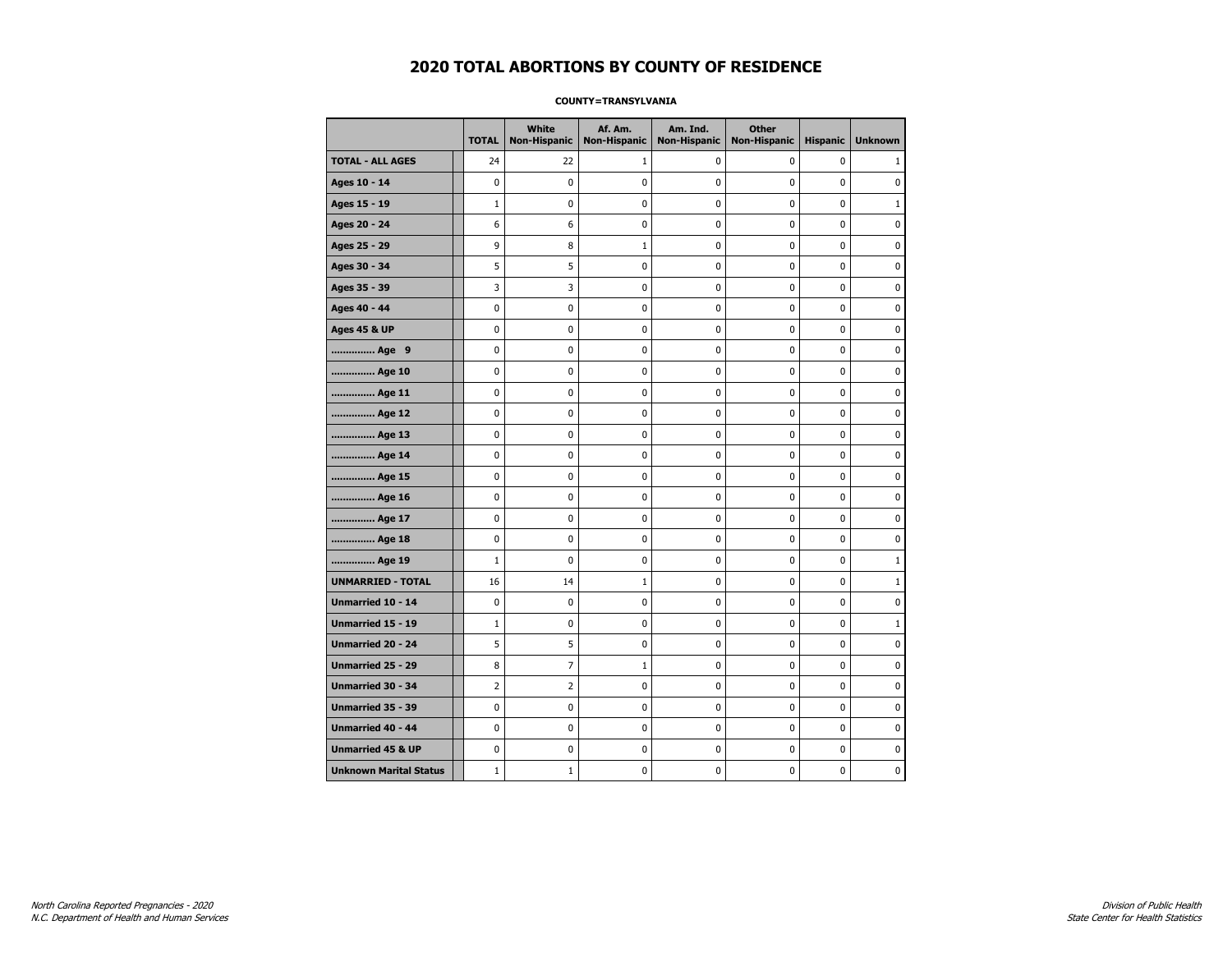#### **COUNTY=TRANSYLVANIA**

|                               | <b>TOTAL</b>   | White<br><b>Non-Hispanic</b> | Af. Am.<br><b>Non-Hispanic</b> | Am. Ind.<br><b>Non-Hispanic</b> | <b>Other</b><br><b>Non-Hispanic</b> | <b>Hispanic</b> | <b>Unknown</b> |
|-------------------------------|----------------|------------------------------|--------------------------------|---------------------------------|-------------------------------------|-----------------|----------------|
| <b>TOTAL - ALL AGES</b>       | 24             | 22                           | 1                              | 0                               | 0                                   | 0               | $\mathbf{1}$   |
| Ages 10 - 14                  | 0              | 0                            | 0                              | 0                               | 0                                   | 0               | 0              |
| Ages 15 - 19                  | $\mathbf{1}$   | 0                            | 0                              | 0                               | $\mathbf 0$                         | 0               | $\mathbf{1}$   |
| Ages 20 - 24                  | 6              | 6                            | 0                              | 0                               | $\mathbf 0$                         | 0               | $\mathbf 0$    |
| Ages 25 - 29                  | 9              | 8                            | $\mathbf 1$                    | 0                               | $\pmb{0}$                           | 0               | $\pmb{0}$      |
| Ages 30 - 34                  | 5              | 5                            | 0                              | 0                               | $\pmb{0}$                           | 0               | 0              |
| Ages 35 - 39                  | 3              | 3                            | 0                              | 0                               | 0                                   | 0               | 0              |
| Ages 40 - 44                  | 0              | 0                            | 0                              | 0                               | 0                                   | 0               | 0              |
| <b>Ages 45 &amp; UP</b>       | 0              | 0                            | 0                              | 0                               | 0                                   | 0               | 0              |
| Age 9                         | 0              | 0                            | 0                              | 0                               | 0                                   | 0               | 0              |
| Age 10                        | 0              | 0                            | 0                              | 0                               | $\mathbf 0$                         | 0               | $\mathbf 0$    |
| Age 11                        | 0              | 0                            | 0                              | 0                               | $\mathbf 0$                         | 0               | $\mathbf 0$    |
| Age 12                        | 0              | 0                            | 0                              | 0                               | 0                                   | 0               | 0              |
| Age 13                        | 0              | 0                            | 0                              | 0                               | 0                                   | 0               | 0              |
| Age 14                        | 0              | 0                            | 0                              | 0                               | 0                                   | 0               | $\mathbf 0$    |
| Age 15                        | 0              | 0                            | 0                              | 0                               | 0                                   | 0               | 0              |
| Age 16                        | 0              | 0                            | 0                              | 0                               | $\pmb{0}$                           | 0               | $\mathbf 0$    |
| Age 17                        | 0              | 0                            | 0                              | 0                               | 0                                   | 0               | $\mathbf 0$    |
| Age 18                        | 0              | 0                            | 0                              | 0                               | $\mathbf 0$                         | 0               | $\mathbf 0$    |
| Age 19                        | $\mathbf 1$    | $\mathbf 0$                  | 0                              | 0                               | $\pmb{0}$                           | 0               | $1\,$          |
| <b>UNMARRIED - TOTAL</b>      | 16             | 14                           | $\mathbf{1}$                   | 0                               | $\pmb{0}$                           | 0               | $\mathbf{1}$   |
| Unmarried 10 - 14             | 0              | 0                            | 0                              | 0                               | $\pmb{0}$                           | 0               | 0              |
| Unmarried 15 - 19             | $\mathbf{1}$   | 0                            | 0                              | 0                               | 0                                   | 0               | $\mathbf{1}$   |
| Unmarried 20 - 24             | 5              | 5                            | 0                              | 0                               | 0                                   | 0               | 0              |
| Unmarried 25 - 29             | 8              | $\overline{7}$               | $\mathbf{1}$                   | 0                               | $\mathbf 0$                         | 0               | $\mathbf 0$    |
| <b>Unmarried 30 - 34</b>      | $\overline{2}$ | $\overline{2}$               | 0                              | 0                               | $\mathbf 0$                         | 0               | $\mathbf 0$    |
| Unmarried 35 - 39             | 0              | 0                            | 0                              | 0                               | $\pmb{0}$                           | 0               | $\pmb{0}$      |
| Unmarried 40 - 44             | 0              | 0                            | 0                              | 0                               | 0                                   | 0               | 0              |
| <b>Unmarried 45 &amp; UP</b>  | 0              | 0                            | 0                              | 0                               | 0                                   | 0               | 0              |
| <b>Unknown Marital Status</b> | $\mathbf{1}$   | 1                            | 0                              | 0                               | 0                                   | 0               | 0              |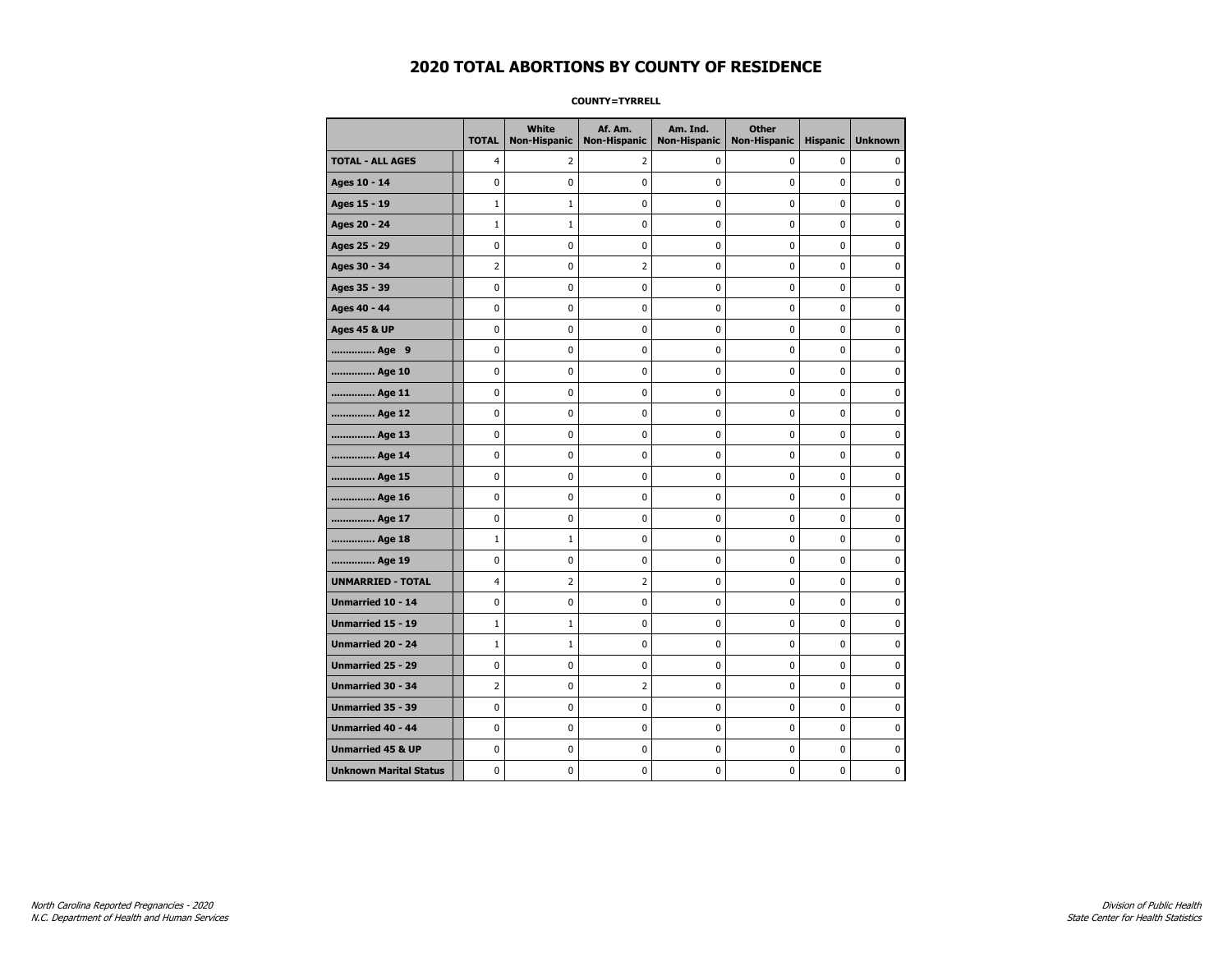**COUNTY=TYRRELL** 

|                               | <b>TOTAL</b>   | White<br>Non-Hispanic | Af. Am.<br><b>Non-Hispanic</b> | Am. Ind.<br><b>Non-Hispanic</b> | <b>Other</b><br>Non-Hispanic | <b>Hispanic</b> | <b>Unknown</b> |
|-------------------------------|----------------|-----------------------|--------------------------------|---------------------------------|------------------------------|-----------------|----------------|
| <b>TOTAL - ALL AGES</b>       | 4              | 2                     | 2                              | 0                               | 0                            | 0               | $\Omega$       |
| Ages 10 - 14                  | 0              | 0                     | 0                              | 0                               | 0                            | 0               | 0              |
| Ages 15 - 19                  | $\mathbf{1}$   | $\mathbf{1}$          | 0                              | 0                               | 0                            | 0               | 0              |
| Ages 20 - 24                  | $\mathbf{1}$   | 1                     | 0                              | 0                               | 0                            | 0               | $\mathbf 0$    |
| Ages 25 - 29                  | 0              | 0                     | 0                              | 0                               | $\mathbf 0$                  | 0               | $\mathbf 0$    |
| Ages 30 - 34                  | $\overline{2}$ | 0                     | 2                              | 0                               | $\pmb{0}$                    | 0               | 0              |
| Ages 35 - 39                  | 0              | 0                     | 0                              | 0                               | 0                            | 0               | 0              |
| Ages 40 - 44                  | 0              | 0                     | 0                              | 0                               | 0                            | 0               | $\mathbf 0$    |
| <b>Ages 45 &amp; UP</b>       | 0              | 0                     | 0                              | 0                               | 0                            | 0               | 0              |
| Age 9                         | 0              | 0                     | 0                              | 0                               | 0                            | 0               | 0              |
| Age 10                        | 0              | 0                     | 0                              | 0                               | $\mathbf 0$                  | 0               | $\mathbf 0$    |
| Age 11                        | 0              | 0                     | 0                              | 0                               | $\mathbf 0$                  | 0               | $\mathbf 0$    |
| Age 12                        | 0              | 0                     | 0                              | 0                               | $\pmb{0}$                    | 0               | $\pmb{0}$      |
| Age 13                        | 0              | 0                     | 0                              | 0                               | $\pmb{0}$                    | 0               | 0              |
| Age 14                        | 0              | 0                     | 0                              | 0                               | 0                            | 0               | 0              |
| Age 15                        | 0              | 0                     | 0                              | 0                               | 0                            | 0               | $\mathbf 0$    |
| Age 16                        | 0              | 0                     | 0                              | 0                               | $\pmb{0}$                    | 0               | $\mathbf 0$    |
| Age 17                        | 0              | 0                     | 0                              | 0                               | 0                            | 0               | 0              |
| Age 18                        | $\mathbf{1}$   | $\mathbf{1}$          | 0                              | 0                               | $\mathbf 0$                  | 0               | $\mathbf 0$    |
| Age 19                        | 0              | 0                     | 0                              | 0                               | $\pmb{0}$                    | 0               | 0              |
| <b>UNMARRIED - TOTAL</b>      | 4              | $\overline{2}$        | 2                              | 0                               | $\pmb{0}$                    | 0               | 0              |
| Unmarried 10 - 14             | 0              | 0                     | 0                              | 0                               | 0                            | 0               | 0              |
| <b>Unmarried 15 - 19</b>      | $\mathbf{1}$   | 1                     | 0                              | 0                               | 0                            | 0               | $\mathbf 0$    |
| <b>Unmarried 20 - 24</b>      | $\mathbf{1}$   | $\mathbf{1}$          | 0                              | 0                               | 0                            | 0               | $\mathbf 0$    |
| Unmarried 25 - 29             | 0              | 0                     | 0                              | 0                               | 0                            | 0               | 0              |
| <b>Unmarried 30 - 34</b>      | $\overline{2}$ | 0                     | $\overline{2}$                 | $\mathbf 0$                     | $\mathbf 0$                  | $\mathbf 0$     | $\mathbf 0$    |
| Unmarried 35 - 39             | $\pmb{0}$      | 0                     | 0                              | 0                               | $\pmb{0}$                    | 0               | 0              |
| <b>Unmarried 40 - 44</b>      | 0              | $\pmb{0}$             | 0                              | $\pmb{0}$                       | $\pmb{0}$                    | $\pmb{0}$       | 0              |
| <b>Unmarried 45 &amp; UP</b>  | 0              | 0                     | 0                              | 0                               | 0                            | 0               | 0              |
| <b>Unknown Marital Status</b> | 0              | 0                     | 0                              | 0                               | 0                            | 0               | $\mathbf 0$    |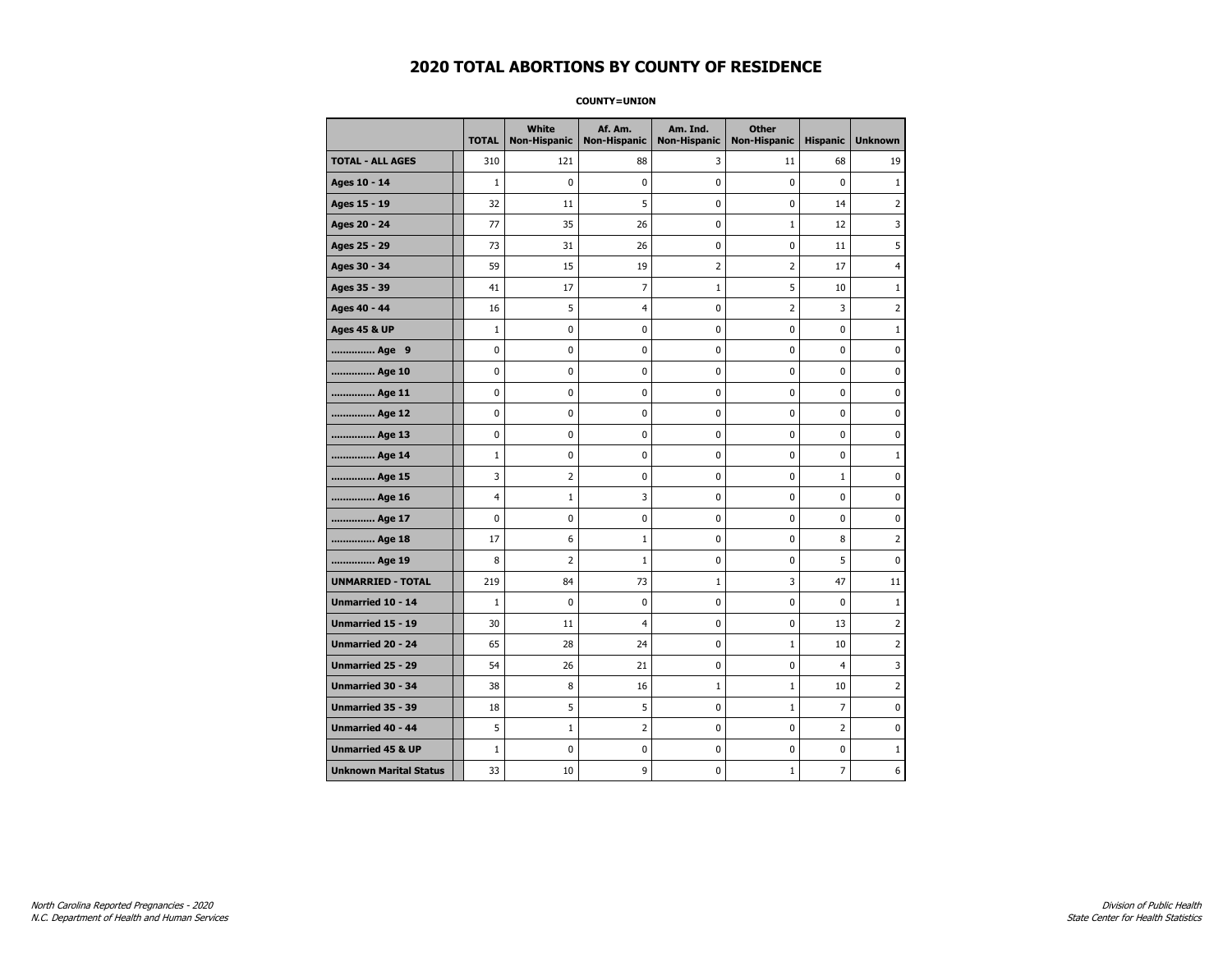**COUNTY=UNION** 

|                               | <b>TOTAL</b> | White<br><b>Non-Hispanic</b> | Af. Am.<br><b>Non-Hispanic</b> | Am. Ind.<br><b>Non-Hispanic</b> | <b>Other</b><br><b>Non-Hispanic</b> | <b>Hispanic</b> | <b>Unknown</b> |
|-------------------------------|--------------|------------------------------|--------------------------------|---------------------------------|-------------------------------------|-----------------|----------------|
| <b>TOTAL - ALL AGES</b>       | 310          | 121                          | 88                             | 3                               | 11                                  | 68              | 19             |
| Ages 10 - 14                  | $1\,$        | $\mathbf 0$                  | 0                              | $\mathbf 0$                     | 0                                   | $\mathbf 0$     | $\mathbf{1}$   |
| Ages 15 - 19                  | 32           | 11                           | 5                              | 0                               | 0                                   | 14              | $\overline{2}$ |
| Ages 20 - 24                  | 77           | 35                           | 26                             | 0                               | $\mathbf 1$                         | 12              | 3              |
| Ages 25 - 29                  | 73           | 31                           | 26                             | 0                               | 0                                   | 11              | 5              |
| Ages 30 - 34                  | 59           | 15                           | 19                             | 2                               | $\overline{2}$                      | 17              | 4              |
| Ages 35 - 39                  | 41           | 17                           | 7                              | $\mathbf{1}$                    | 5                                   | 10              | $\mathbf{1}$   |
| Ages 40 - 44                  | 16           | 5                            | 4                              | 0                               | $\overline{2}$                      | 3               | $\overline{2}$ |
| <b>Ages 45 &amp; UP</b>       | $\mathbf{1}$ | $\pmb{0}$                    | 0                              | 0                               | $\pmb{0}$                           | $\pmb{0}$       | $\mathbf{1}$   |
| Age 9                         | 0            | 0                            | 0                              | 0                               | 0                                   | 0               | 0              |
| Age 10                        | 0            | 0                            | 0                              | 0                               | 0                                   | 0               | 0              |
| Age 11                        | 0            | 0                            | 0                              | 0                               | 0                                   | 0               | $\mathbf 0$    |
| Age 12                        | 0            | 0                            | 0                              | 0                               | 0                                   | 0               | $\mathbf 0$    |
| Age 13                        | 0            | 0                            | 0                              | 0                               | $\pmb{0}$                           | 0               | 0              |
| Age 14                        | $\mathbf{1}$ | 0                            | 0                              | 0                               | 0                                   | 0               | $\mathbf{1}$   |
| Age 15                        | 3            | 2                            | 0                              | 0                               | 0                                   | $\mathbf 1$     | $\mathbf 0$    |
| Age 16                        | 4            | 1                            | 3                              | 0                               | 0                                   | 0               | $\mathbf 0$    |
| Age 17                        | 0            | 0                            | 0                              | 0                               | 0                                   | 0               | $\mathbf 0$    |
| Age 18                        | 17           | 6                            | $\mathbf{1}$                   | 0                               | $\pmb{0}$                           | 8               | $\overline{2}$ |
| Age 19                        | 8            | 2                            | $\mathbf{1}$                   | 0                               | 0                                   | 5               | 0              |
| <b>UNMARRIED - TOTAL</b>      | 219          | 84                           | 73                             | $\mathbf 1$                     | 3                                   | 47              | 11             |
| Unmarried 10 - 14             | $\mathbf{1}$ | $\mathbf 0$                  | 0                              | 0                               | $\pmb{0}$                           | 0               | $\mathbf{1}$   |
| <b>Unmarried 15 - 19</b>      | 30           | 11                           | 4                              | 0                               | 0                                   | 13              | $\overline{2}$ |
| Unmarried 20 - 24             | 65           | 28                           | 24                             | 0                               | $1\,$                               | 10              | $\overline{2}$ |
| Unmarried 25 - 29             | 54           | 26                           | 21                             | 0                               | 0                                   | $\overline{4}$  | 3              |
| <b>Unmarried 30 - 34</b>      | 38           | 8                            | 16                             | $\mathbf 1$                     | $1\,$                               | 10              | $\overline{2}$ |
| Unmarried 35 - 39             | 18           | 5                            | 5                              | 0                               | $1\,$                               | $\overline{7}$  | $\mathbf 0$    |
| <b>Unmarried 40 - 44</b>      | 5            | $\mathbf{1}$                 | $\overline{2}$                 | 0                               | $\pmb{0}$                           | $\overline{2}$  | 0              |
| <b>Unmarried 45 &amp; UP</b>  | $\mathbf 1$  | 0                            | 0                              | 0                               | 0                                   | 0               | $1\,$          |
| <b>Unknown Marital Status</b> | 33           | 10                           | 9                              | 0                               | $1\,$                               | $\overline{7}$  | 6              |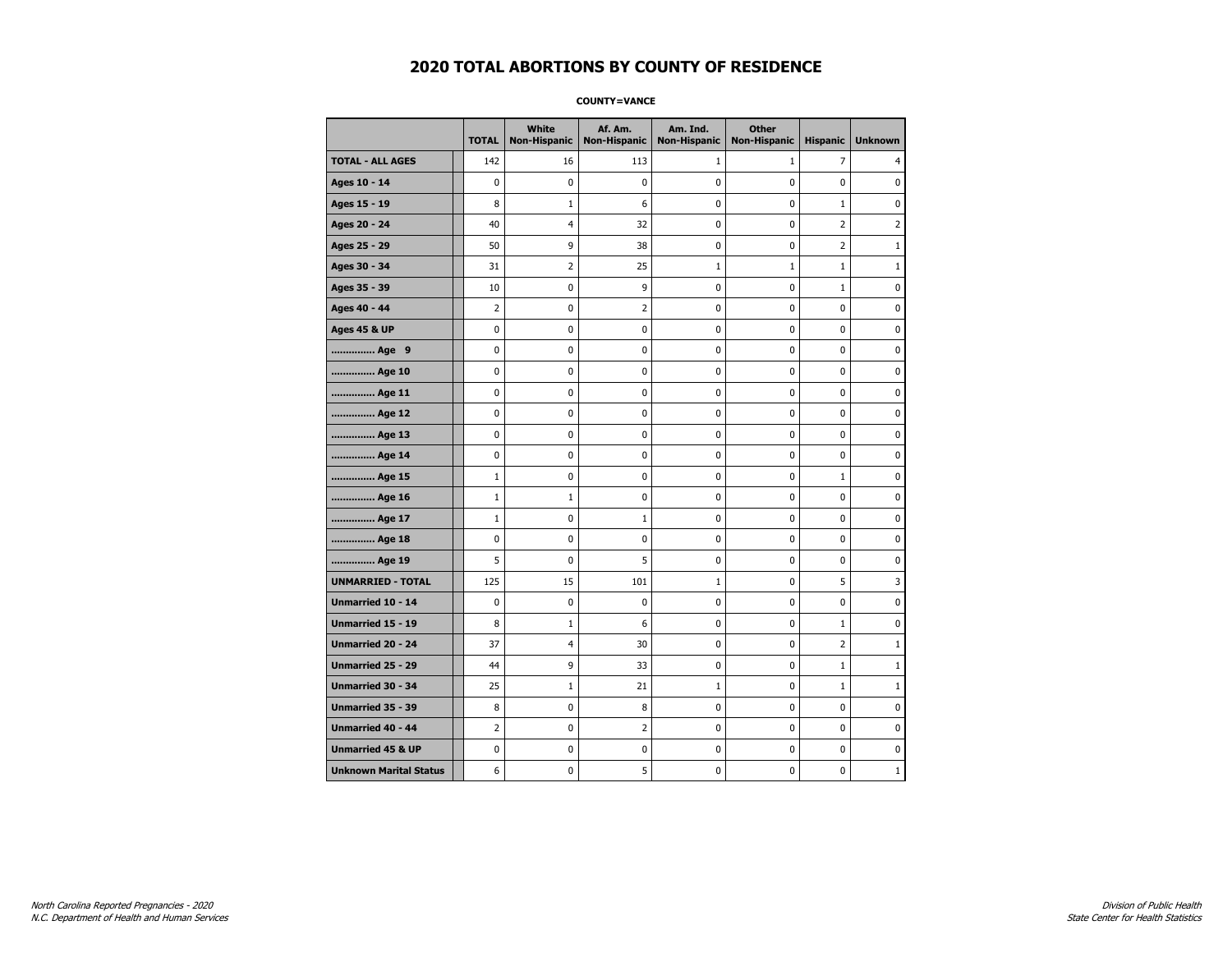#### **COUNTY=VANCE**

|                               | <b>TOTAL</b> | White<br><b>Non-Hispanic</b> | Af. Am.<br><b>Non-Hispanic</b> | Am. Ind.<br><b>Non-Hispanic</b> | <b>Other</b><br><b>Non-Hispanic</b> | <b>Hispanic</b> | <b>Unknown</b> |
|-------------------------------|--------------|------------------------------|--------------------------------|---------------------------------|-------------------------------------|-----------------|----------------|
| <b>TOTAL - ALL AGES</b>       | 142          | 16                           | 113                            | 1                               | $\mathbf{1}$                        | 7               | 4              |
| Ages 10 - 14                  | 0            | 0                            | 0                              | 0                               | 0                                   | 0               | 0              |
| Ages 15 - 19                  | 8            | 1                            | 6                              | 0                               | $\mathbf 0$                         | $\mathbf{1}$    | $\mathbf 0$    |
| Ages 20 - 24                  | 40           | 4                            | 32                             | 0                               | $\mathbf 0$                         | $\overline{2}$  | $\overline{2}$ |
| Ages 25 - 29                  | 50           | 9                            | 38                             | 0                               | $\pmb{0}$                           | $\overline{2}$  | $\mathbf{1}$   |
| Ages 30 - 34                  | 31           | 2                            | 25                             | $\mathbf 1$                     | $\mathbf 1$                         | $\mathbf 1$     | $\mathbf{1}$   |
| Ages 35 - 39                  | 10           | 0                            | 9                              | 0                               | 0                                   | $\mathbf{1}$    | 0              |
| Ages 40 - 44                  | 2            | 0                            | 2                              | 0                               | 0                                   | 0               | 0              |
| <b>Ages 45 &amp; UP</b>       | 0            | 0                            | 0                              | 0                               | 0                                   | 0               | 0              |
| Age 9                         | 0            | 0                            | 0                              | 0                               | 0                                   | 0               | 0              |
| Age 10                        | 0            | 0                            | 0                              | 0                               | $\mathbf 0$                         | 0               | $\mathbf 0$    |
| Age 11                        | 0            | 0                            | 0                              | 0                               | $\mathbf 0$                         | 0               | $\mathbf 0$    |
| Age 12                        | 0            | 0                            | 0                              | 0                               | 0                                   | 0               | 0              |
| Age 13                        | 0            | 0                            | 0                              | 0                               | 0                                   | 0               | 0              |
| Age 14                        | 0            | 0                            | 0                              | 0                               | 0                                   | 0               | $\mathbf 0$    |
| Age 15                        | $\mathbf{1}$ | 0                            | 0                              | 0                               | 0                                   | $\mathbf{1}$    | 0              |
| Age 16                        | $\mathbf{1}$ | $\mathbf{1}$                 | 0                              | 0                               | $\pmb{0}$                           | 0               | $\mathbf 0$    |
| Age 17                        | $\mathbf{1}$ | 0                            | 1                              | 0                               | 0                                   | 0               | $\mathbf 0$    |
| Age 18                        | 0            | 0                            | 0                              | 0                               | $\mathbf 0$                         | 0               | $\mathbf 0$    |
| Age 19                        | 5            | $\mathbf 0$                  | 5                              | 0                               | $\pmb{0}$                           | 0               | $\pmb{0}$      |
| <b>UNMARRIED - TOTAL</b>      | 125          | 15                           | 101                            | $\mathbf 1$                     | $\pmb{0}$                           | 5               | 3              |
| Unmarried 10 - 14             | 0            | 0                            | 0                              | 0                               | $\pmb{0}$                           | 0               | 0              |
| Unmarried 15 - 19             | 8            | 1                            | 6                              | 0                               | 0                                   | $\mathbf{1}$    | 0              |
| Unmarried 20 - 24             | 37           | 4                            | 30                             | 0                               | 0                                   | 2               | $\mathbf{1}$   |
| Unmarried 25 - 29             | 44           | 9                            | 33                             | 0                               | $\mathbf 0$                         | $\mathbf{1}$    | $\mathbf{1}$   |
| <b>Unmarried 30 - 34</b>      | 25           | $\mathbf{1}$                 | 21                             | $\mathbf{1}$                    | 0                                   | $\mathbf{1}$    | $\mathbf{1}$   |
| Unmarried 35 - 39             | 8            | 0                            | 8                              | 0                               | $\pmb{0}$                           | 0               | $\pmb{0}$      |
| Unmarried 40 - 44             | 2            | 0                            | 2                              | 0                               | 0                                   | 0               | 0              |
| <b>Unmarried 45 &amp; UP</b>  | 0            | 0                            | 0                              | 0                               | 0                                   | 0               | 0              |
| <b>Unknown Marital Status</b> | 6            | 0                            | 5                              | 0                               | 0                                   | 0               | $\mathbf{1}$   |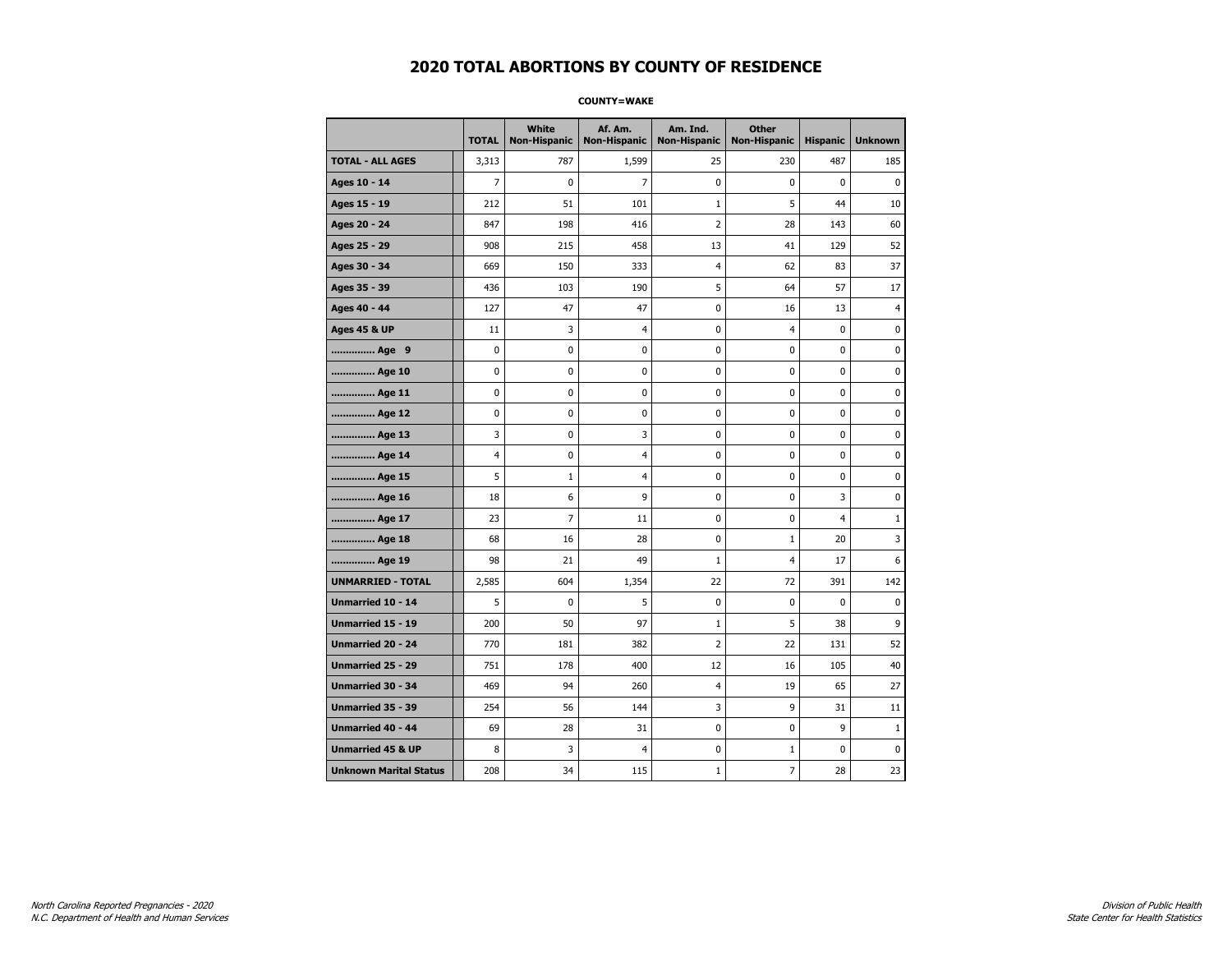#### **COUNTY=WAKE**

|                               | <b>TOTAL</b>   | White<br>Non-Hispanic | Af. Am.<br><b>Non-Hispanic</b> | Am. Ind.<br><b>Non-Hispanic</b> | <b>Other</b><br>Non-Hispanic | <b>Hispanic</b> | <b>Unknown</b> |
|-------------------------------|----------------|-----------------------|--------------------------------|---------------------------------|------------------------------|-----------------|----------------|
| <b>TOTAL - ALL AGES</b>       | 3,313          | 787                   | 1,599                          | 25                              | 230                          | 487             | 185            |
| Ages 10 - 14                  | $\overline{7}$ | $\mathbf 0$           | $\overline{7}$                 | 0                               | $\mathbf 0$                  | 0               | $\mathbf 0$    |
| Ages 15 - 19                  | 212            | 51                    | 101                            | $\mathbf{1}$                    | 5                            | 44              | 10             |
| Ages 20 - 24                  | 847            | 198                   | 416                            | $\overline{2}$                  | 28                           | 143             | 60             |
| Ages 25 - 29                  | 908            | 215                   | 458                            | 13                              | 41                           | 129             | 52             |
| Ages 30 - 34                  | 669            | 150                   | 333                            | 4                               | 62                           | 83              | 37             |
| Ages 35 - 39                  | 436            | 103                   | 190                            | 5                               | 64                           | 57              | 17             |
| Ages 40 - 44                  | 127            | 47                    | 47                             | 0                               | 16                           | 13              | $\overline{4}$ |
| <b>Ages 45 &amp; UP</b>       | 11             | 3                     | $\overline{4}$                 | 0                               | $\overline{4}$               | 0               | $\pmb{0}$      |
| Age 9                         | 0              | 0                     | 0                              | 0                               | $\pmb{0}$                    | 0               | $\pmb{0}$      |
| Age 10                        | 0              | $\mathbf 0$           | $\mathbf 0$                    | 0                               | $\mathbf 0$                  | 0               | $\pmb{0}$      |
| Age 11                        | 0              | 0                     | 0                              | 0                               | 0                            | 0               | $\pmb{0}$      |
| Age 12                        | 0              | 0                     | 0                              | 0                               | $\mathbf 0$                  | 0               | $\pmb{0}$      |
| Age 13                        | 3              | 0                     | 3                              | 0                               | $\mathbf 0$                  | $\mathbf 0$     | $\pmb{0}$      |
| Age 14                        | 4              | 0                     | $\overline{4}$                 | 0                               | $\mathbf 0$                  | 0               | $\mathbf{0}$   |
| Age 15                        | 5              | $\mathbf{1}$          | $\overline{4}$                 | 0                               | $\pmb{0}$                    | 0               | $\pmb{0}$      |
| Age 16                        | 18             | 6                     | 9                              | 0                               | $\pmb{0}$                    | 3               | $\pmb{0}$      |
| Age 17                        | 23             | $\overline{7}$        | 11                             | 0                               | 0                            | 4               | $\mathbf{1}$   |
| Age 18                        | 68             | 16                    | 28                             | 0                               | $1\,$                        | 20              | 3              |
| Age 19                        | 98             | 21                    | 49                             | $\mathbf 1$                     | $\overline{4}$               | 17              | 6              |
| <b>UNMARRIED - TOTAL</b>      | 2,585          | 604                   | 1,354                          | 22                              | 72                           | 391             | 142            |
| Unmarried 10 - 14             | 5              | $\mathbf 0$           | 5                              | 0                               | $\mathbf 0$                  | 0               | $\pmb{0}$      |
| Unmarried 15 - 19             | 200            | 50                    | 97                             | $\mathbf 1$                     | 5                            | 38              | 9              |
| <b>Unmarried 20 - 24</b>      | 770            | 181                   | 382                            | 2                               | 22                           | 131             | 52             |
| Unmarried 25 - 29             | 751            | 178                   | 400                            | 12                              | 16                           | 105             | 40             |
| <b>Unmarried 30 - 34</b>      | 469            | 94                    | 260                            | 4                               | 19                           | 65              | 27             |
| <b>Unmarried 35 - 39</b>      | 254            | 56                    | 144                            | 3                               | 9                            | 31              | 11             |
| <b>Unmarried 40 - 44</b>      | 69             | 28                    | 31                             | 0                               | 0                            | 9               | $1\,$          |
| <b>Unmarried 45 &amp; UP</b>  | 8              | 3                     | 4                              | 0                               | $\mathbf{1}$                 | 0               | $\pmb{0}$      |
| <b>Unknown Marital Status</b> | 208            | 34                    | 115                            | $\mathbf{1}$                    | $\overline{7}$               | 28              | 23             |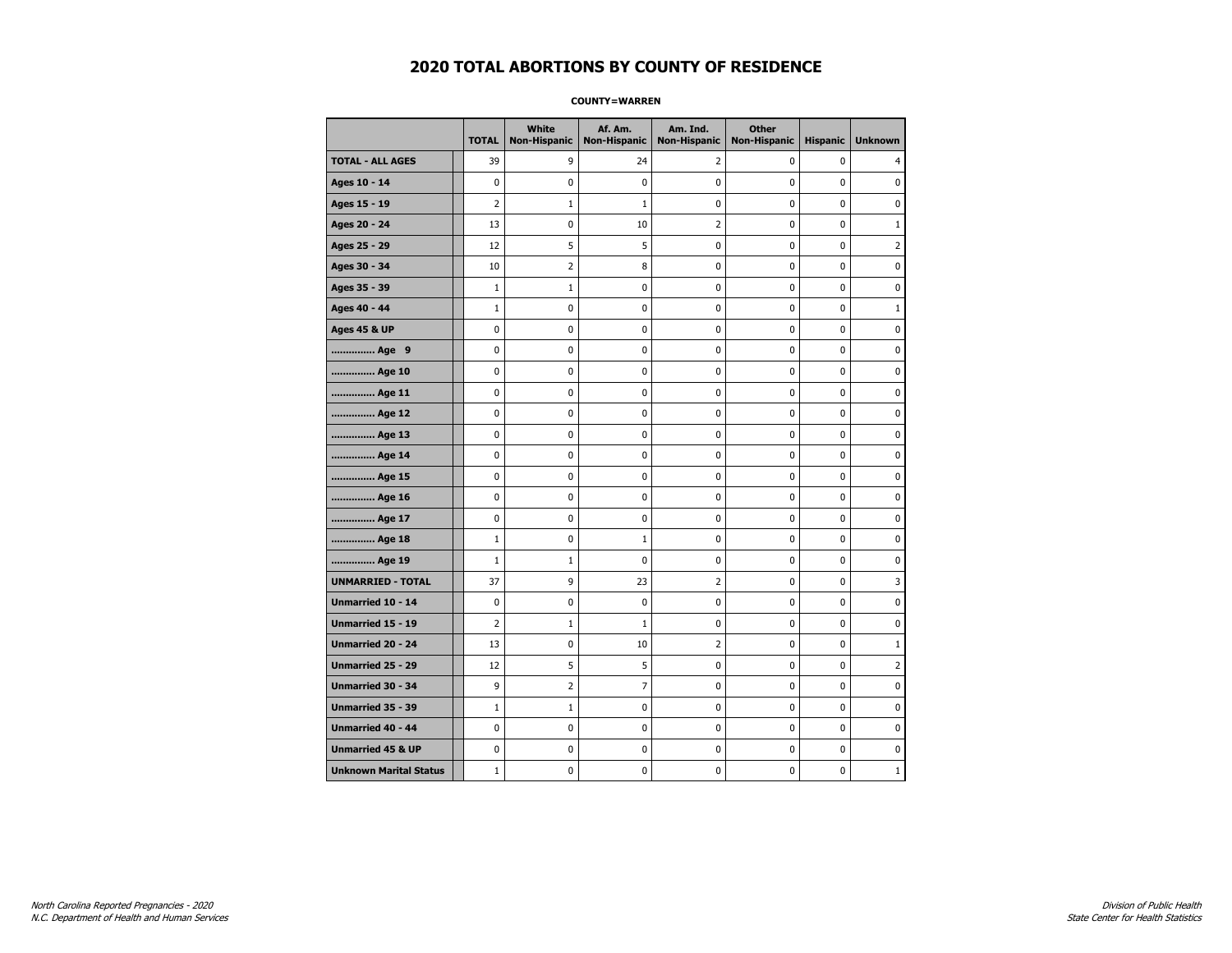#### **COUNTY=WARREN**

|                               | <b>TOTAL</b>   | White<br><b>Non-Hispanic</b> | Af. Am.<br><b>Non-Hispanic</b> | Am. Ind.<br><b>Non-Hispanic</b> | <b>Other</b><br><b>Non-Hispanic</b> | <b>Hispanic</b> | <b>Unknown</b> |
|-------------------------------|----------------|------------------------------|--------------------------------|---------------------------------|-------------------------------------|-----------------|----------------|
| <b>TOTAL - ALL AGES</b>       | 39             | 9                            | 24                             | 2                               | 0                                   | 0               | 4              |
| Ages 10 - 14                  | $\mathbf 0$    | 0                            | 0                              | 0                               | 0                                   | 0               | 0              |
| Ages 15 - 19                  | $\overline{2}$ | $\mathbf{1}$                 | 1                              | 0                               | $\mathbf 0$                         | $\mathbf 0$     | $\mathbf 0$    |
| Ages 20 - 24                  | 13             | 0                            | 10                             | 2                               | 0                                   | 0               | $\mathbf{1}$   |
| Ages 25 - 29                  | 12             | 5                            | 5                              | 0                               | $\mathbf 0$                         | $\mathbf 0$     | $\overline{2}$ |
| Ages 30 - 34                  | 10             | $\overline{2}$               | 8                              | $\mathbf 0$                     | 0                                   | 0               | $\mathbf 0$    |
| Ages 35 - 39                  | $\mathbf{1}$   | $1\,$                        | $\pmb{0}$                      | 0                               | 0                                   | 0               | 0              |
| Ages 40 - 44                  | $\mathbf 1$    | 0                            | 0                              | $\pmb{0}$                       | 0                                   | 0               | $1\,$          |
| <b>Ages 45 &amp; UP</b>       | 0              | 0                            | 0                              | 0                               | 0                                   | 0               | 0              |
| Age 9                         | 0              | 0                            | 0                              | 0                               | 0                                   | 0               | 0              |
| Age 10                        | $\mathbf 0$    | 0                            | 0                              | 0                               | $\mathbf 0$                         | 0               | 0              |
| Age 11                        | $\mathbf 0$    | 0                            | 0                              | 0                               | 0                                   | 0               | 0              |
| Age 12                        | $\mathbf 0$    | 0                            | 0                              | 0                               | 0                                   | 0               | 0              |
| Age 13                        | 0              | $\mathbf 0$                  | 0                              | $\mathbf 0$                     | 0                                   | 0               | $\mathbf 0$    |
| Age 14                        | $\mathbf 0$    | 0                            | $\mathbf 0$                    | $\mathbf 0$                     | 0                                   | 0               | 0              |
| Age 15                        | $\pmb{0}$      | 0                            | $\bf{0}$                       | $\pmb{0}$                       | $\pmb{0}$                           | 0               | $\pmb{0}$      |
| Age 16                        | $\pmb{0}$      | 0                            | 0                              | 0                               | $\pmb{0}$                           | 0               | 0              |
| Age 17                        | 0              | 0                            | 0                              | 0                               | 0                                   | 0               | 0              |
| Age 18                        | $\mathbf{1}$   | 0                            | 1                              | 0                               | 0                                   | 0               | 0              |
| Age 19                        | 1              | 1                            | 0                              | $\pmb{0}$                       | 0                                   | $\mathbf 0$     | 0              |
| <b>UNMARRIED - TOTAL</b>      | 37             | 9                            | 23                             | $\overline{2}$                  | 0                                   | 0               | 3              |
| Unmarried 10 - 14             | $\mathbf 0$    | 0                            | 0                              | 0                               | $\mathbf 0$                         | $\mathbf 0$     | $\pmb{0}$      |
| Unmarried 15 - 19             | $\overline{2}$ | $\mathbf{1}$                 | $\mathbf{1}$                   | 0                               | 0                                   | 0               | 0              |
| <b>Unmarried 20 - 24</b>      | 13             | 0                            | 10                             | $\overline{2}$                  | $\mathbf 0$                         | $\mathbf 0$     | $\mathbf{1}$   |
| Unmarried 25 - 29             | 12             | 5                            | 5                              | 0                               | 0                                   | 0               | $\overline{2}$ |
| Unmarried 30 - 34             | 9              | $\overline{2}$               | $\overline{7}$                 | 0                               | 0                                   | 0               | 0              |
| Unmarried 35 - 39             | $\mathbf{1}$   | 1                            | 0                              | 0                               | 0                                   | 0               | 0              |
| Unmarried 40 - 44             | 0              | 0                            | 0                              | 0                               | 0                                   | 0               | 0              |
| <b>Unmarried 45 &amp; UP</b>  | 0              | 0                            | 0                              | 0                               | 0                                   | 0               | 0              |
| <b>Unknown Marital Status</b> | $\mathbf{1}$   | 0                            | 0                              | 0                               | 0                                   | 0               | $\mathbf{1}$   |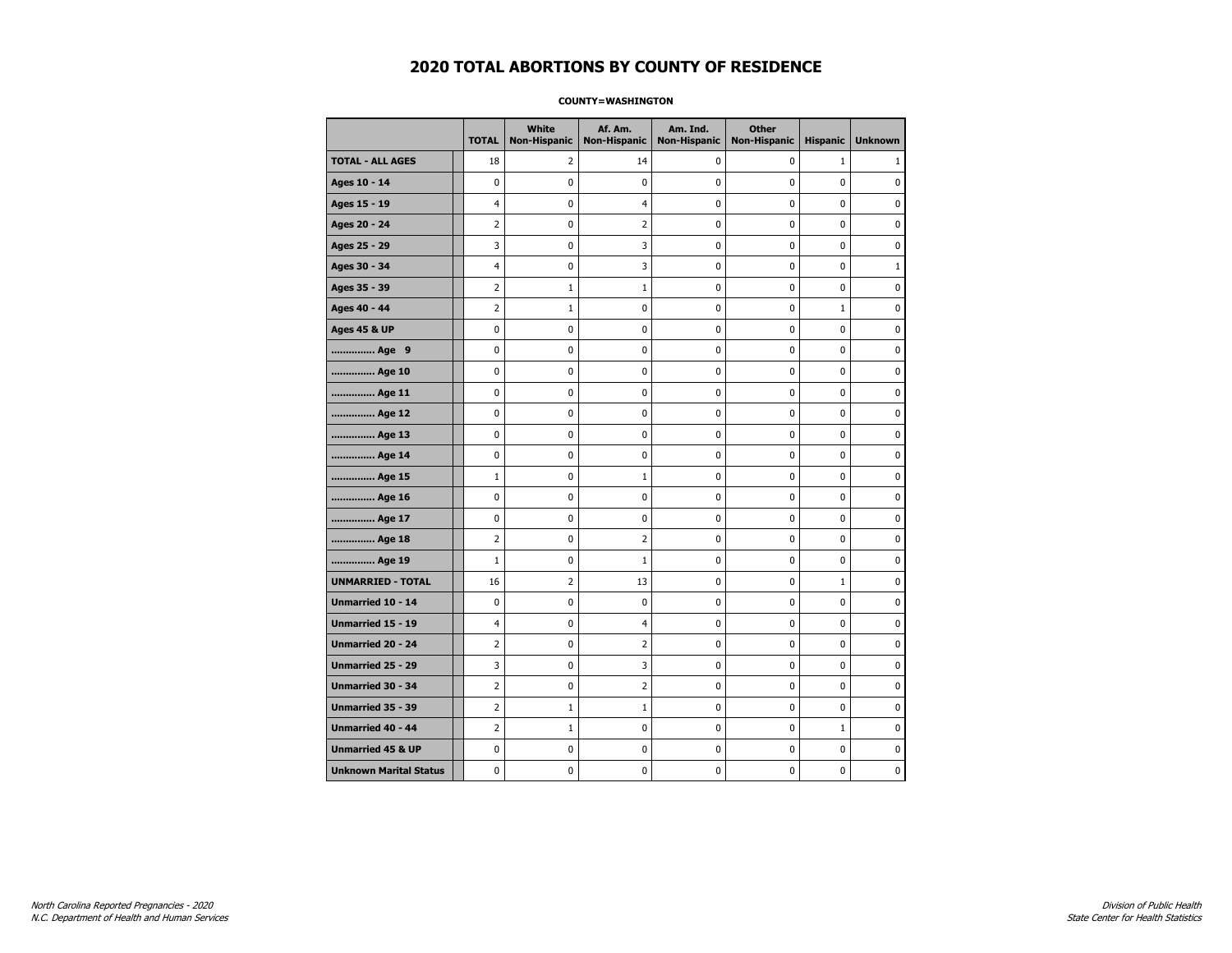#### **COUNTY=WASHINGTON**

|                               | <b>TOTAL</b>   | <b>White</b><br>Non-Hispanic | Af. Am.<br><b>Non-Hispanic</b> | Am. Ind.<br><b>Non-Hispanic</b> | <b>Other</b><br><b>Non-Hispanic</b> | <b>Hispanic</b> | <b>Unknown</b> |
|-------------------------------|----------------|------------------------------|--------------------------------|---------------------------------|-------------------------------------|-----------------|----------------|
| <b>TOTAL - ALL AGES</b>       | 18             | 2                            | 14                             | 0                               | 0                                   | $\mathbf{1}$    | 1              |
| Ages 10 - 14                  | 0              | 0                            | 0                              | $\mathbf 0$                     | 0                                   | $\mathbf 0$     | $\mathbf 0$    |
| Ages 15 - 19                  | 4              | 0                            | $\overline{4}$                 | $\pmb{0}$                       | 0                                   | $\mathbf 0$     | $\pmb{0}$      |
| Ages 20 - 24                  | 2              | 0                            | $\overline{2}$                 | $\pmb{0}$                       | $\pmb{0}$                           | $\pmb{0}$       | 0              |
| Ages 25 - 29                  | 3              | 0                            | 3                              | 0                               | 0                                   | 0               | 0              |
| Ages 30 - 34                  | 4              | 0                            | 3                              | 0                               | 0                                   | $\mathbf 0$     | $\mathbf{1}$   |
| Ages 35 - 39                  | 2              | $\mathbf{1}$                 | $\mathbf{1}$                   | $\mathbf 0$                     | 0                                   | $\mathbf 0$     | 0              |
| Ages 40 - 44                  | 2              | $\mathbf{1}$                 | 0                              | 0                               | $\pmb{0}$                           | $\mathbf{1}$    | 0              |
| <b>Ages 45 &amp; UP</b>       | 0              | $\pmb{0}$                    | 0                              | $\pmb{0}$                       | $\pmb{0}$                           | $\pmb{0}$       | 0              |
| Age 9                         | 0              | 0                            | 0                              | 0                               | 0                                   | 0               | 0              |
| Age 10                        | 0              | 0                            | 0                              | $\mathbf 0$                     | 0                                   | $\mathbf 0$     | 0              |
| Age 11                        | 0              | 0                            | $\mathbf 0$                    | $\pmb{0}$                       | $\mathbf 0$                         | $\mathbf 0$     | 0              |
| Age 12                        | 0              | 0                            | 0                              | 0                               | 0                                   | 0               | 0              |
| Age 13                        | 0              | 0                            | 0                              | 0                               | 0                                   | $\mathbf 0$     | 0              |
| Age 14                        | 0              | 0                            | 0                              | 0                               | 0                                   | 0               | 0              |
| Age 15                        | $\mathbf{1}$   | 0                            | $\mathbf{1}$                   | 0                               | 0                                   | $\mathbf 0$     | 0              |
| Age 16                        | 0              | 0                            | 0                              | $\mathbf 0$                     | 0                                   | $\mathbf 0$     | 0              |
| Age 17                        | 0              | 0                            | 0                              | 0                               | 0                                   | $\mathbf 0$     | 0              |
| Age 18                        | 2              | 0                            | $\overline{2}$                 | 0                               | 0                                   | $\pmb{0}$       | 0              |
| Age 19                        | $\mathbf{1}$   | 0                            | $\mathbf 1$                    | 0                               | 0                                   | $\mathbf{0}$    | 0              |
| <b>UNMARRIED - TOTAL</b>      | 16             | $\overline{2}$               | 13                             | $\pmb{0}$                       | 0                                   | $\mathbf{1}$    | 0              |
| Unmarried 10 - 14             | 0              | $\mathbf 0$                  | $\mathbf 0$                    | $\mathbf 0$                     | 0                                   | $\mathbf 0$     | 0              |
| Unmarried 15 - 19             | 4              | $\pmb{0}$                    | $\overline{4}$                 | $\pmb{0}$                       | $\mathbf 0$                         | $\mathbf 0$     | 0              |
| Unmarried 20 - 24             | 2              | 0                            | 2                              | 0                               | 0                                   | 0               | 0              |
| <b>Unmarried 25 - 29</b>      | 3              | 0                            | 3                              | 0                               | $\mathbf 0$                         | $\mathbf{0}$    | 0              |
| Unmarried 30 - 34             | 2              | 0                            | $\overline{2}$                 | $\pmb{0}$                       | $\pmb{0}$                           | $\mathbf 0$     | 0              |
| <b>Unmarried 35 - 39</b>      | 2              | $\mathbf{1}$                 | $\mathbf{1}$                   | $\mathbf 0$                     | 0                                   | $\mathbf 0$     | 0              |
| <b>Unmarried 40 - 44</b>      | $\overline{2}$ | $\mathbf 1$                  | $\bf{0}$                       | $\pmb{0}$                       | 0                                   | $\mathbf{1}$    | $\mathbf 0$    |
| <b>Unmarried 45 &amp; UP</b>  | 0              | 0                            | 0                              | 0                               | 0                                   | 0               | 0              |
| <b>Unknown Marital Status</b> | 0              | 0                            | 0                              | 0                               | 0                                   | $\mathbf 0$     | 0              |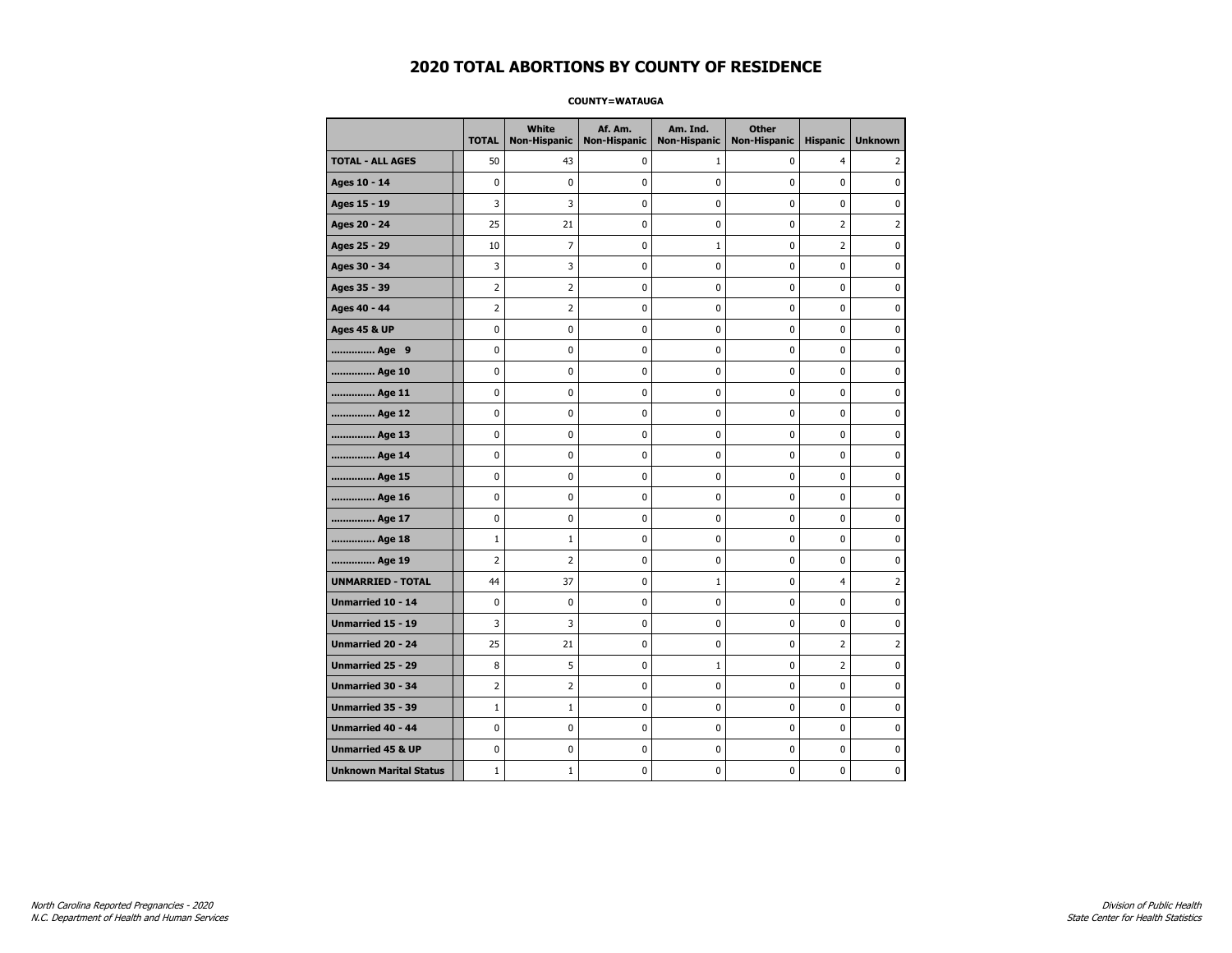#### **COUNTY=WATAUGA**

|                               | <b>TOTAL</b>   | White<br>Non-Hispanic | Af. Am.<br><b>Non-Hispanic</b> | Am. Ind.<br><b>Non-Hispanic</b> | <b>Other</b><br><b>Non-Hispanic</b> | <b>Hispanic</b> | <b>Unknown</b> |
|-------------------------------|----------------|-----------------------|--------------------------------|---------------------------------|-------------------------------------|-----------------|----------------|
| <b>TOTAL - ALL AGES</b>       | 50             | 43                    | 0                              | 1                               | $\mathbf 0$                         | $\overline{4}$  | 2              |
| Ages 10 - 14                  | $\mathbf 0$    | $\mathbf 0$           | $\mathbf 0$                    | $\mathbf 0$                     | $\mathbf 0$                         | $\mathbf 0$     | 0              |
| Ages 15 - 19                  | 3              | 3                     | $\pmb{0}$                      | $\pmb{0}$                       | $\pmb{0}$                           | $\pmb{0}$       | 0              |
| Ages 20 - 24                  | 25             | 21                    | $\pmb{0}$                      | $\pmb{0}$                       | $\pmb{0}$                           | $\overline{2}$  | $\overline{2}$ |
| Ages 25 - 29                  | 10             | 7                     | $\pmb{0}$                      | $\mathbf 1$                     | 0                                   | $\overline{2}$  | 0              |
| Ages 30 - 34                  | 3              | 3                     | $\mathbf 0$                    | $\mathbf 0$                     | $\mathbf 0$                         | $\mathbf 0$     | 0              |
| Ages 35 - 39                  | $\overline{2}$ | $\overline{2}$        | $\mathbf 0$                    | $\mathbf 0$                     | $\mathbf 0$                         | $\mathbf 0$     | 0              |
| Ages 40 - 44                  | $\overline{2}$ | $\overline{2}$        | $\pmb{0}$                      | 0                               | $\pmb{0}$                           | 0               | 0              |
| <b>Ages 45 &amp; UP</b>       | $\pmb{0}$      | 0                     | $\pmb{0}$                      | $\pmb{0}$                       | $\pmb{0}$                           | 0               | 0              |
| Age 9                         | $\mathbf 0$    | 0                     | 0                              | 0                               | $\mathbf 0$                         | 0               | 0              |
| Age 10                        | $\mathbf 0$    | 0                     | $\mathbf 0$                    | $\mathbf 0$                     | $\mathbf 0$                         | $\mathbf 0$     | 0              |
| Age 11                        | $\mathbf 0$    | 0                     | $\mathbf 0$                    | $\pmb{0}$                       | $\mathbf 0$                         | $\mathbf 0$     | 0              |
| Age 12                        | $\pmb{0}$      | 0                     | $\pmb{0}$                      | 0                               | 0                                   | 0               | 0              |
| Age 13                        | $\mathbf 0$    | 0                     | $\mathbf 0$                    | 0                               | $\mathbf 0$                         | $\mathbf 0$     | 0              |
| Age 14                        | 0              | 0                     | $\pmb{0}$                      | 0                               | 0                                   | 0               | 0              |
| Age 15                        | $\mathbf 0$    | 0                     | $\pmb{0}$                      | 0                               | $\mathbf 0$                         | $\mathbf 0$     | 0              |
| Age 16                        | $\mathbf 0$    | 0                     | $\mathbf 0$                    | $\mathbf 0$                     | $\mathbf 0$                         | $\mathbf 0$     | 0              |
| Age 17                        | $\pmb{0}$      | 0                     | 0                              | $\pmb{0}$                       | $\mathbf 0$                         | $\mathbf 0$     | 0              |
| Age 18                        | $1\,$          | $\mathbf{1}$          | $\pmb{0}$                      | 0                               | 0                                   | 0               | 0              |
| Age 19                        | $\overline{2}$ | $\overline{2}$        | $\pmb{0}$                      | 0                               | 0                                   | $\mathbf 0$     | 0              |
| <b>UNMARRIED - TOTAL</b>      | 44             | 37                    | $\mathbf 0$                    | $\mathbf{1}$                    | $\mathbf 0$                         | 4               | 2              |
| Unmarried 10 - 14             | $\mathbf 0$    | 0                     | $\mathbf 0$                    | $\mathbf 0$                     | $\mathbf 0$                         | $\mathbf 0$     | 0              |
| Unmarried 15 - 19             | 3              | 3                     | $\pmb{0}$                      | $\pmb{0}$                       | $\pmb{0}$                           | $\pmb{0}$       | 0              |
| <b>Unmarried 20 - 24</b>      | 25             | 21                    | 0                              | 0                               | 0                                   | 2               | 2              |
| Unmarried 25 - 29             | 8              | 5                     | $\mathbf 0$                    | $1\,$                           | $\mathbf 0$                         | $\overline{2}$  | 0              |
| <b>Unmarried 30 - 34</b>      | $\overline{2}$ | $\overline{2}$        | 0                              | $\pmb{0}$                       | $\pmb{0}$                           | $\pmb{0}$       | 0              |
| <b>Unmarried 35 - 39</b>      | $\mathbf{1}$   | $\mathbf{1}$          | $\mathbf 0$                    | $\mathbf 0$                     | $\mathbf 0$                         | $\mathbf 0$     | $\mathbf{0}$   |
| <b>Unmarried 40 - 44</b>      | $\mathbf 0$    | $\mathbf 0$           | $\pmb{0}$                      | $\pmb{0}$                       | $\pmb{0}$                           | $\mathbf 0$     | 0              |
| <b>Unmarried 45 &amp; UP</b>  | 0              | 0                     | 0                              | 0                               | 0                                   | 0               | 0              |
| <b>Unknown Marital Status</b> | $1\,$          | $\mathbf{1}$          | $\mathbf 0$                    | 0                               | $\mathbf 0$                         | $\mathbf 0$     | 0              |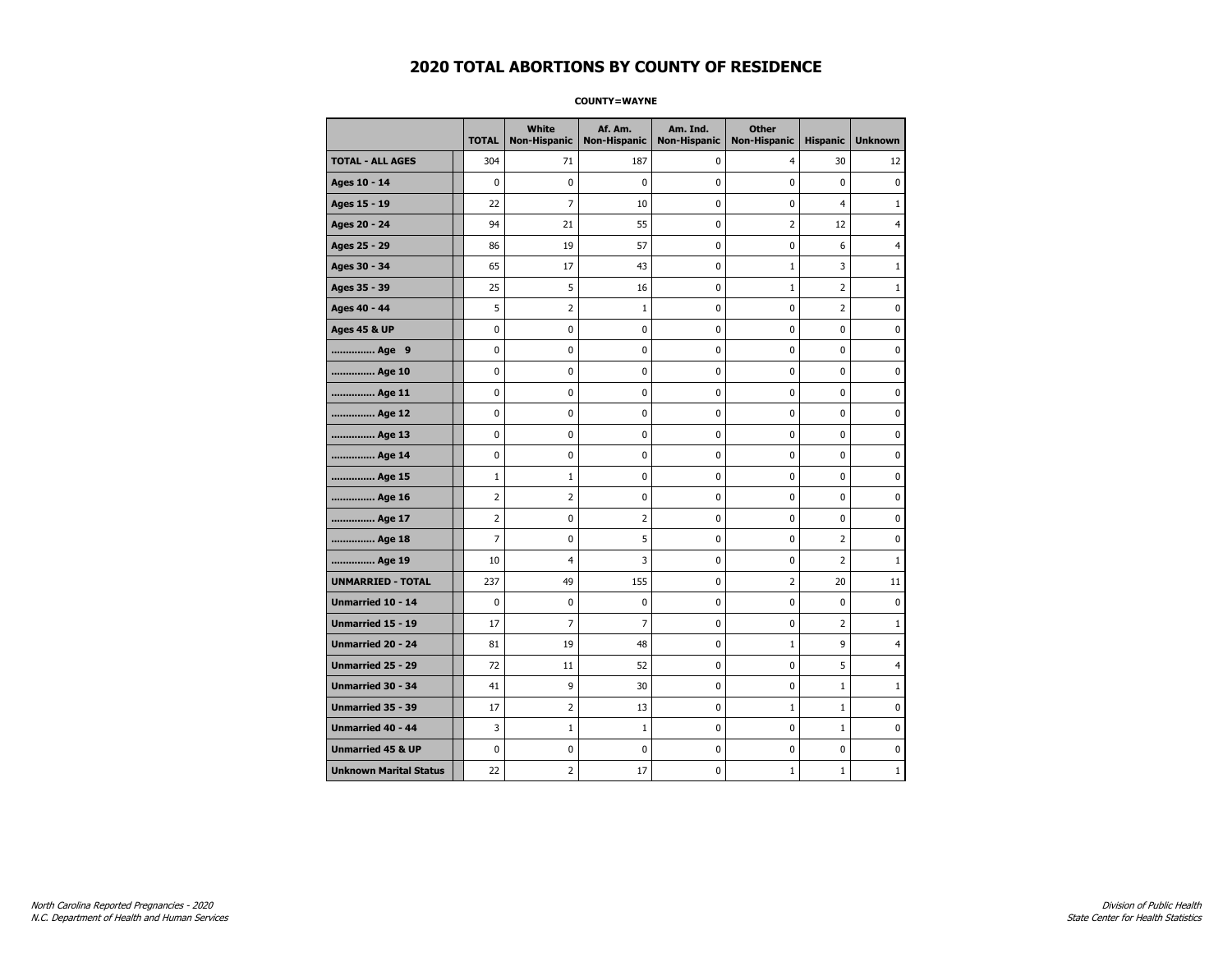#### **COUNTY=WAYNE**

|                               | <b>TOTAL</b>   | <b>White</b><br>Non-Hispanic | Af. Am.<br><b>Non-Hispanic</b> | Am. Ind.<br><b>Non-Hispanic</b> | <b>Other</b><br><b>Non-Hispanic</b> | <b>Hispanic</b> | <b>Unknown</b> |
|-------------------------------|----------------|------------------------------|--------------------------------|---------------------------------|-------------------------------------|-----------------|----------------|
| <b>TOTAL - ALL AGES</b>       | 304            | 71                           | 187                            | 0                               | 4                                   | 30              | 12             |
| Ages 10 - 14                  | $\mathbf 0$    | $\mathbf 0$                  | 0                              | $\mathbf 0$                     | $\mathbf 0$                         | $\mathbf 0$     | $\mathbf{0}$   |
| Ages 15 - 19                  | 22             | $\overline{7}$               | 10                             | 0                               | $\pmb{0}$                           | $\overline{4}$  | $1\,$          |
| Ages 20 - 24                  | 94             | 21                           | 55                             | $\pmb{0}$                       | $\overline{2}$                      | 12              | 4              |
| Ages 25 - 29                  | 86             | 19                           | 57                             | 0                               | 0                                   | 6               | 4              |
| Ages 30 - 34                  | 65             | 17                           | 43                             | 0                               | $\mathbf{1}$                        | 3               | $\mathbf{1}$   |
| Ages 35 - 39                  | 25             | 5                            | 16                             | 0                               | $\mathbf{1}$                        | $\overline{2}$  | 1              |
| Ages 40 - 44                  | 5              | 2                            | $\mathbf 1$                    | 0                               | $\pmb{0}$                           | $\overline{2}$  | 0              |
| <b>Ages 45 &amp; UP</b>       | $\pmb{0}$      | $\pmb{0}$                    | $\bf{0}$                       | $\pmb{0}$                       | $\pmb{0}$                           | $\pmb{0}$       | 0              |
| Age 9                         | 0              | 0                            | 0                              | 0                               | 0                                   | 0               | 0              |
| Age 10                        | $\mathbf 0$    | 0                            | 0                              | $\mathbf 0$                     | $\mathbf 0$                         | $\mathbf 0$     | 0              |
| Age 11                        | 0              | 0                            | 0                              | 0                               | $\mathbf 0$                         | $\mathbf 0$     | 0              |
| Age 12                        | $\pmb{0}$      | 0                            | 0                              | 0                               | $\pmb{0}$                           | 0               | 0              |
| Age 13                        | 0              | 0                            | 0                              | 0                               | 0                                   | $\mathbf 0$     | 0              |
| Age 14                        | 0              | 0                            | 0                              | 0                               | 0                                   | 0               | 0              |
| Age 15                        | $\mathbf 1$    | $\mathbf{1}$                 | 0                              | 0                               | $\mathbf 0$                         | 0               | 0              |
| Age 16                        | $\overline{2}$ | $\overline{2}$               | 0                              | $\mathbf 0$                     | $\mathbf 0$                         | $\mathbf 0$     | 0              |
| Age 17                        | $\overline{2}$ | 0                            | $\overline{2}$                 | 0                               | $\pmb{0}$                           | 0               | 0              |
| Age 18                        | 7              | 0                            | 5                              | $\pmb{0}$                       | 0                                   | $\overline{2}$  | 0              |
| Age 19                        | 10             | 4                            | 3                              | $\pmb{0}$                       | 0                                   | $\overline{2}$  | $\mathbf{1}$   |
| <b>UNMARRIED - TOTAL</b>      | 237            | 49                           | 155                            | 0                               | $\overline{2}$                      | 20              | 11             |
| Unmarried 10 - 14             | $\mathbf 0$    | 0                            | 0                              | $\mathbf 0$                     | $\mathbf 0$                         | $\mathbf 0$     | 0              |
| Unmarried 15 - 19             | 17             | $\overline{7}$               | $\overline{7}$                 | $\pmb{0}$                       | $\pmb{0}$                           | $\mathbf 2$     | $\mathbf 1$    |
| Unmarried 20 - 24             | 81             | 19                           | 48                             | 0                               | $\mathbf{1}$                        | 9               | 4              |
| <b>Unmarried 25 - 29</b>      | 72             | 11                           | 52                             | $\pmb{0}$                       | $\mathbf 0$                         | 5               | 4              |
| Unmarried 30 - 34             | 41             | 9                            | 30                             | $\pmb{0}$                       | $\pmb{0}$                           | $1\,$           | $\mathbf{1}$   |
| <b>Unmarried 35 - 39</b>      | 17             | $\overline{2}$               | 13                             | 0                               | $\mathbf{1}$                        | $\mathbf{1}$    | $\pmb{0}$      |
| Unmarried 40 - 44             | 3              | $\mathbf 1$                  | $\mathbf{1}$                   | $\pmb{0}$                       | $\pmb{0}$                           | $\mathbf 1$     | 0              |
| <b>Unmarried 45 &amp; UP</b>  | 0              | 0                            | 0                              | 0                               | 0                                   | 0               | 0              |
| <b>Unknown Marital Status</b> | 22             | 2                            | 17                             | 0                               | $\mathbf{1}$                        | $\mathbf 1$     | 1              |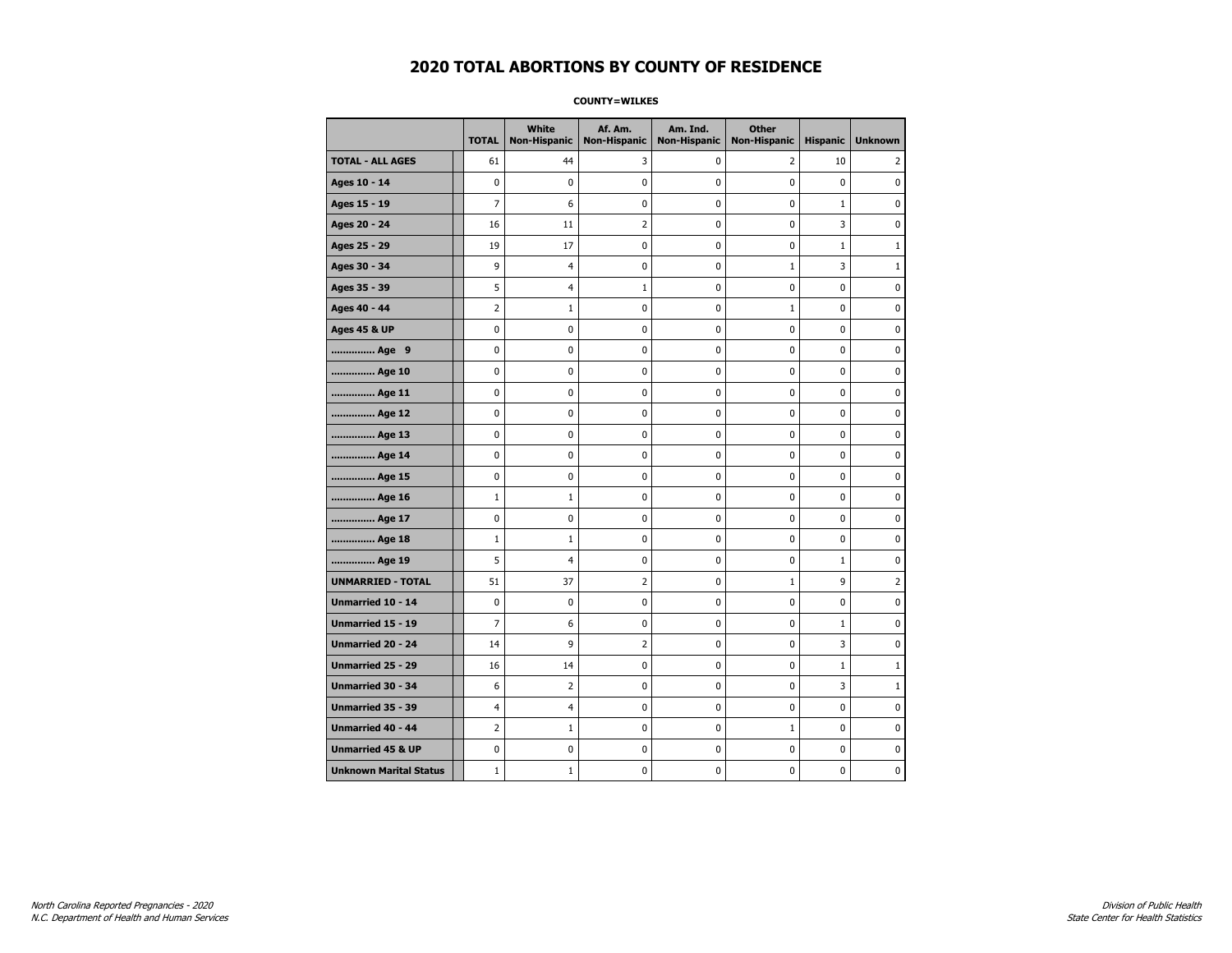**COUNTY=WILKES** 

|                               | <b>TOTAL</b>   | <b>White</b><br>Non-Hispanic | Af. Am.<br><b>Non-Hispanic</b> | Am. Ind.<br><b>Non-Hispanic</b> | <b>Other</b><br><b>Non-Hispanic</b> | <b>Hispanic</b> | <b>Unknown</b> |
|-------------------------------|----------------|------------------------------|--------------------------------|---------------------------------|-------------------------------------|-----------------|----------------|
| <b>TOTAL - ALL AGES</b>       | 61             | 44                           | 3                              | 0                               | 2                                   | 10              | 2              |
| Ages 10 - 14                  | $\mathbf 0$    | 0                            | 0                              | $\pmb{0}$                       | $\mathbf 0$                         | $\mathbf 0$     | 0              |
| Ages 15 - 19                  | $\overline{7}$ | 6                            | 0                              | $\mathbf 0$                     | $\mathbf 0$                         | $\mathbf{1}$    | $\mathbf 0$    |
| Ages 20 - 24                  | 16             | 11                           | 2                              | 0                               | $\pmb{0}$                           | 3               | 0              |
| Ages 25 - 29                  | 19             | 17                           | 0                              | 0                               | $\mathbf 0$                         | $\mathbf{1}$    | $1\,$          |
| Ages 30 - 34                  | 9              | 4                            | 0                              | 0                               | $\mathbf{1}$                        | 3               | $\mathbf{1}$   |
| Ages 35 - 39                  | 5              | $\overline{4}$               | 1                              | 0                               | 0                                   | 0               | 0              |
| Ages 40 - 44                  | $\overline{2}$ | $\mathbf{1}$                 | 0                              | $\mathbf 0$                     | $\mathbf{1}$                        | 0               | $\mathbf 0$    |
| <b>Ages 45 &amp; UP</b>       | $\pmb{0}$      | 0                            | $\bf{0}$                       | $\pmb{0}$                       | 0                                   | 0               | 0              |
| Age 9                         | 0              | 0                            | 0                              | 0                               | 0                                   | 0               | 0              |
| Age 10                        | $\mathbf 0$    | 0                            | 0                              | 0                               | 0                                   | 0               | 0              |
| Age 11                        | $\mathbf 0$    | 0                            | 0                              | 0                               | 0                                   | 0               | 0              |
| Age 12                        | $\mathbf 0$    | 0                            | 0                              | $\mathbf 0$                     | 0                                   | $\mathbf 0$     | 0              |
| Age 13                        | $\pmb{0}$      | 0                            | 0                              | $\pmb{0}$                       | 0                                   | 0               | 0              |
| Age 14                        | 0              | 0                            | 0                              | 0                               | 0                                   | 0               | 0              |
| Age 15                        | $\mathbf 0$    | 0                            | 0                              | $\mathbf 0$                     | 0                                   | 0               | 0              |
| Age 16                        | $\mathbf{1}$   | $\mathbf{1}$                 | 0                              | 0                               | 0                                   | 0               | 0              |
| Age 17                        | $\mathbf 0$    | 0                            | 0                              | $\mathbf 0$                     | 0                                   | 0               | 0              |
| Age 18                        | $\mathbf{1}$   | $\mathbf 1$                  | 0                              | 0                               | 0                                   | 0               | $\pmb{0}$      |
| Age 19                        | 5              | 4                            | 0                              | 0                               | 0                                   | $\mathbf{1}$    | 0              |
| <b>UNMARRIED - TOTAL</b>      | 51             | 37                           | 2                              | 0                               | $\mathbf{1}$                        | 9               | $\overline{2}$ |
| Unmarried 10 - 14             | $\mathbf 0$    | 0                            | 0                              | 0                               | 0                                   | 0               | 0              |
| <b>Unmarried 15 - 19</b>      | $\overline{7}$ | 6                            | 0                              | 0                               | 0                                   | $\mathbf{1}$    | 0              |
| Unmarried 20 - 24             | 14             | 9                            | 2                              | 0                               | $\pmb{0}$                           | 3               | $\pmb{0}$      |
| Unmarried 25 - 29             | 16             | 14                           | 0                              | 0                               | 0                                   | $\mathbf{1}$    | $\mathbf{1}$   |
| <b>Unmarried 30 - 34</b>      | 6              | $\overline{2}$               | 0                              | 0                               | 0                                   | 3               | $\mathbf{1}$   |
| Unmarried 35 - 39             | 4              | $\overline{4}$               | 0                              | 0                               | $\mathbf 0$                         | 0               | $\mathbf 0$    |
| <b>Unmarried 40 - 44</b>      | $\overline{2}$ | $1\,$                        | $\pmb{0}$                      | $\pmb{0}$                       | $1\,$                               | $\pmb{0}$       | $\pmb{0}$      |
| <b>Unmarried 45 &amp; UP</b>  | 0              | 0                            | 0                              | 0                               | 0                                   | 0               | 0              |
| <b>Unknown Marital Status</b> | $\mathbf{1}$   | $\mathbf{1}$                 | 0                              | 0                               | 0                                   | 0               | 0              |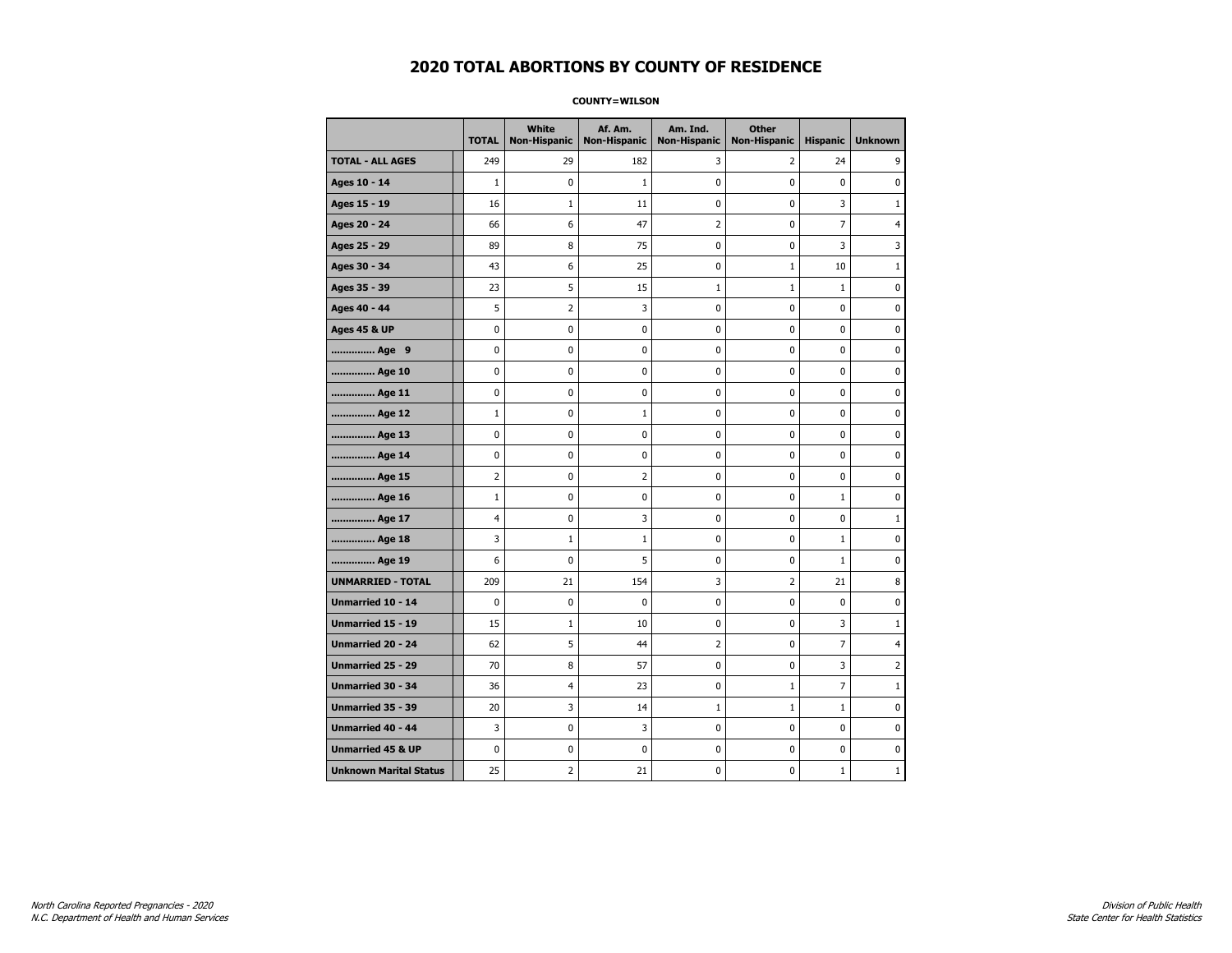#### **COUNTY=WILSON**

|                               | <b>TOTAL</b>   | White<br>Non-Hispanic | Af. Am.<br><b>Non-Hispanic</b> | Am. Ind.<br><b>Non-Hispanic</b> | <b>Other</b><br><b>Non-Hispanic</b> | <b>Hispanic</b> | <b>Unknown</b> |
|-------------------------------|----------------|-----------------------|--------------------------------|---------------------------------|-------------------------------------|-----------------|----------------|
| <b>TOTAL - ALL AGES</b>       | 249            | 29                    | 182                            | 3                               | 2                                   | 24              | 9              |
| Ages 10 - 14                  | $\mathbf{1}$   | 0                     | $\mathbf{1}$                   | $\mathbf 0$                     | $\mathbf 0$                         | $\mathbf 0$     | $\mathbf 0$    |
| Ages 15 - 19                  | 16             | $1\,$                 | 11                             | 0                               | 0                                   | 3               | $\mathbf{1}$   |
| Ages 20 - 24                  | 66             | 6                     | 47                             | $\overline{2}$                  | 0                                   | $\overline{7}$  | 4              |
| Ages 25 - 29                  | 89             | 8                     | 75                             | 0                               | 0                                   | 3               | 3              |
| Ages 30 - 34                  | 43             | 6                     | 25                             | 0                               | $\mathbf{1}$                        | 10              | $\mathbf{1}$   |
| Ages 35 - 39                  | 23             | 5                     | 15                             | 1                               | 1                                   | 1               | 0              |
| Ages 40 - 44                  | 5              | $\overline{2}$        | 3                              | 0                               | 0                                   | 0               | 0              |
| <b>Ages 45 &amp; UP</b>       | $\pmb{0}$      | 0                     | $\pmb{0}$                      | $\pmb{0}$                       | $\pmb{0}$                           | 0               | 0              |
| Age 9                         | 0              | 0                     | 0                              | 0                               | 0                                   | 0               | 0              |
| Age 10                        | $\mathbf 0$    | 0                     | 0                              | $\mathbf 0$                     | 0                                   | 0               | 0              |
| Age 11                        | $\mathbf 0$    | 0                     | $\mathbf 0$                    | $\mathbf 0$                     | $\mathbf 0$                         | 0               | 0              |
| Age 12                        | $\mathbf{1}$   | 0                     | 1                              | 0                               | 0                                   | 0               | 0              |
| Age 13                        | $\mathbf 0$    | 0                     | 0                              | $\mathbf 0$                     | 0                                   | 0               | 0              |
| Age 14                        | 0              | 0                     | 0                              | 0                               | 0                                   | 0               | 0              |
| Age 15                        | 2              | 0                     | 2                              | 0                               | $\mathbf 0$                         | 0               | 0              |
| Age 16                        | $\mathbf{1}$   | 0                     | 0                              | $\mathbf 0$                     | 0                                   | $\mathbf{1}$    | 0              |
| Age 17                        | $\overline{4}$ | $\mathbf 0$           | 3                              | 0                               | 0                                   | 0               | $\mathbf{1}$   |
| Age 18                        | 3              | $\mathbf{1}$          | $\mathbf{1}$                   | $\pmb{0}$                       | 0                                   | $\mathbf{1}$    | 0              |
| Age 19                        | 6              | 0                     | 5                              | 0                               | 0                                   | $\mathbf{1}$    | 0              |
| <b>UNMARRIED - TOTAL</b>      | 209            | 21                    | 154                            | 3                               | $\overline{2}$                      | 21              | 8              |
| Unmarried 10 - 14             | $\mathbf 0$    | 0                     | $\mathbf 0$                    | $\mathbf 0$                     | 0                                   | $\mathbf 0$     | 0              |
| Unmarried 15 - 19             | 15             | $\mathbf 1$           | 10                             | $\pmb{0}$                       | $\pmb{0}$                           | 3               | $\mathbf 1$    |
| <b>Unmarried 20 - 24</b>      | 62             | 5                     | 44                             | 2                               | 0                                   | 7               | 4              |
| Unmarried 25 - 29             | 70             | 8                     | 57                             | 0                               | 0                                   | 3               | $\overline{2}$ |
| <b>Unmarried 30 - 34</b>      | 36             | 4                     | 23                             | $\pmb{0}$                       | $\mathbf{1}$                        | $\overline{7}$  | $\mathbf{1}$   |
| <b>Unmarried 35 - 39</b>      | 20             | 3                     | 14                             | $\mathbf{1}$                    | $\mathbf{1}$                        | $\mathbf{1}$    | 0              |
| <b>Unmarried 40 - 44</b>      | 3              | $\mathbf 0$           | 3                              | 0                               | 0                                   | 0               | $\bf{0}$       |
| <b>Unmarried 45 &amp; UP</b>  | $\mathbf 0$    | 0                     | 0                              | 0                               | 0                                   | 0               | 0              |
| <b>Unknown Marital Status</b> | 25             | 2                     | 21                             | 0                               | 0                                   | $\mathbf{1}$    | $\mathbf 1$    |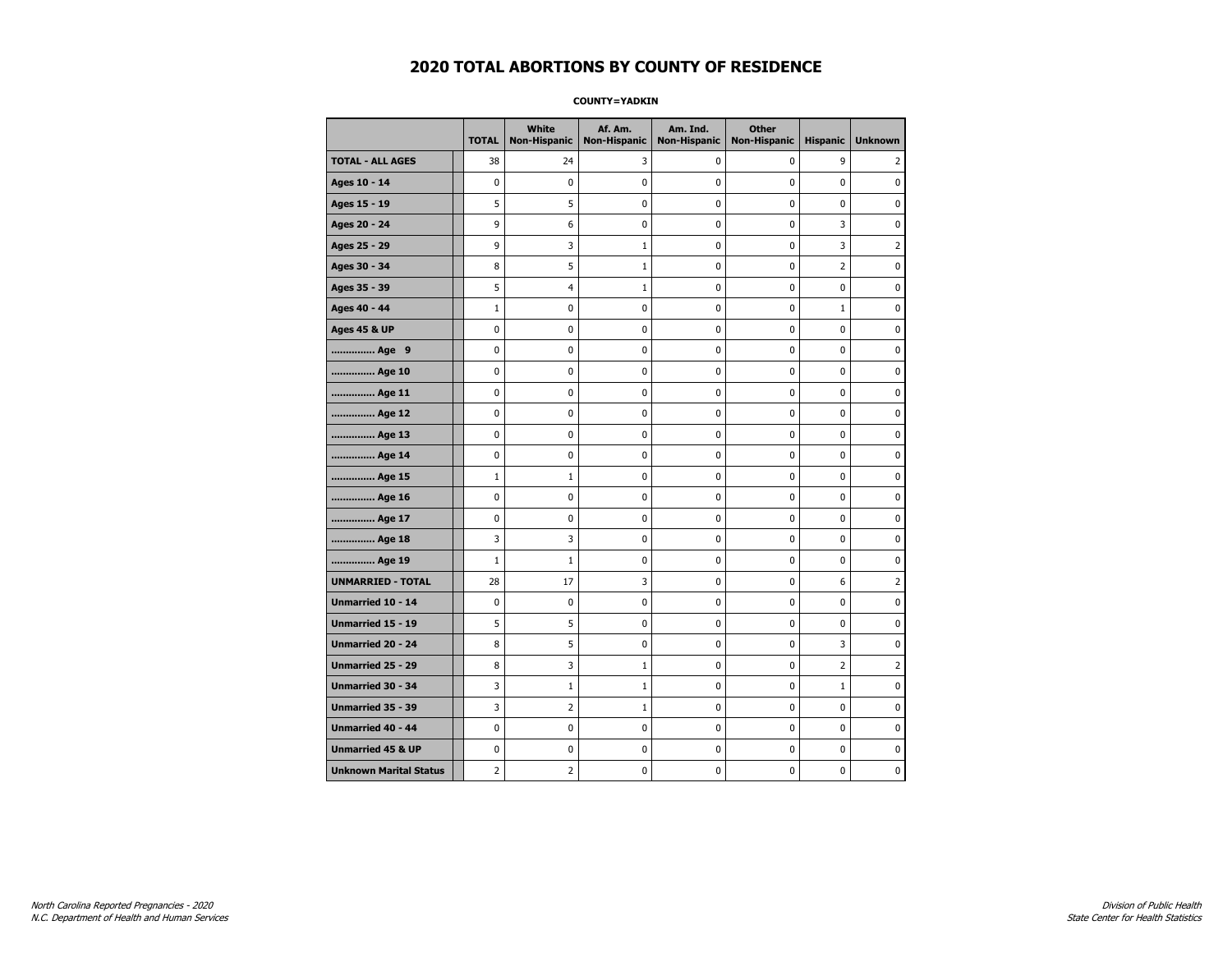**COUNTY=YADKIN** 

|                               | <b>TOTAL</b>   | <b>White</b><br>Non-Hispanic | Af. Am.<br><b>Non-Hispanic</b> | Am. Ind.<br><b>Non-Hispanic</b> | <b>Other</b><br>Non-Hispanic | <b>Hispanic</b> | <b>Unknown</b> |
|-------------------------------|----------------|------------------------------|--------------------------------|---------------------------------|------------------------------|-----------------|----------------|
| <b>TOTAL - ALL AGES</b>       | 38             | 24                           | 3                              | 0                               | 0                            | 9               | 2              |
| Ages 10 - 14                  | $\mathbf 0$    | 0                            | 0                              | 0                               | $\mathbf 0$                  | 0               | 0              |
| Ages 15 - 19                  | 5              | 5                            | 0                              | $\mathbf 0$                     | $\mathbf 0$                  | 0               | 0              |
| Ages 20 - 24                  | 9              | 6                            | 0                              | 0                               | 0                            | 3               | 0              |
| Ages 25 - 29                  | 9              | 3                            | $\mathbf{1}$                   | 0                               | $\mathbf 0$                  | 3               | $\overline{2}$ |
| Ages 30 - 34                  | 8              | 5                            | $\mathbf{1}$                   | 0                               | 0                            | 2               | 0              |
| Ages 35 - 39                  | 5              | 4                            | 1                              | 0                               | 0                            | 0               | 0              |
| Ages 40 - 44                  | $\mathbf{1}$   | 0                            | 0                              | $\mathbf 0$                     | $\mathbf 0$                  | $\mathbf{1}$    | $\mathbf 0$    |
| <b>Ages 45 &amp; UP</b>       | 0              | 0                            | 0                              | 0                               | 0                            | 0               | 0              |
| Age 9                         | $\mathbf 0$    | 0                            | 0                              | $\mathbf 0$                     | $\mathbf 0$                  | 0               | $\mathbf 0$    |
| Age 10                        | 0              | 0                            | 0                              | 0                               | 0                            | 0               | 0              |
| Age 11                        | $\mathbf 0$    | 0                            | 0                              | 0                               | 0                            | 0               | 0              |
| Age 12                        | $\mathbf 0$    | 0                            | 0                              | 0                               | 0                            | 0               | 0              |
| Age 13                        | 0              | 0                            | 0                              | 0                               | 0                            | 0               | 0              |
| Age 14                        | 0              | 0                            | 0                              | 0                               | 0                            | 0               | 0              |
| Age 15                        | $\mathbf{1}$   | $1\,$                        | 0                              | 0                               | 0                            | 0               | $\pmb{0}$      |
| Age 16                        | $\mathbf 0$    | $\mathbf 0$                  | $\bf{0}$                       | $\pmb{0}$                       | $\mathbf 0$                  | 0               | $\pmb{0}$      |
| Age 17                        | $\mathbf 0$    | 0                            | 0                              | 0                               | 0                            | 0               | 0              |
| Age 18                        | 3              | 3                            | 0                              | $\mathbf 0$                     | $\mathbf 0$                  | $\mathbf 0$     | $\pmb{0}$      |
| Age 19                        | $\mathbf{1}$   | 1                            | 0                              | 0                               | 0                            | 0               | 0              |
| <b>UNMARRIED - TOTAL</b>      | 28             | 17                           | 3                              | 0                               | $\mathbf 0$                  | 6               | $\overline{2}$ |
| Unmarried 10 - 14             | 0              | 0                            | 0                              | 0                               | 0                            | 0               | 0              |
| Unmarried 15 - 19             | 5              | 5                            | 0                              | $\pmb{0}$                       | 0                            | 0               | $\pmb{0}$      |
| Unmarried 20 - 24             | 8              | 5                            | 0                              | 0                               | $\mathbf 0$                  | 3               | 0              |
| Unmarried 25 - 29             | 8              | 3                            | 1                              | 0                               | 0                            | 2               | $\overline{2}$ |
| <b>Unmarried 30 - 34</b>      | 3              | $\mathbf{1}$                 | $\mathbf{1}$                   | 0                               | 0                            | $\mathbf{1}$    | $\mathbf 0$    |
| <b>Unmarried 35 - 39</b>      | 3              | $\overline{2}$               | $\mathbf{1}$                   | $\mathbf 0$                     | $\mathbf 0$                  | 0               | $\mathbf 0$    |
| <b>Unmarried 40 - 44</b>      | $\mathbf 0$    | $\pmb{0}$                    | $\pmb{0}$                      | $\pmb{0}$                       | $\pmb{0}$                    | $\pmb{0}$       | $\pmb{0}$      |
| <b>Unmarried 45 &amp; UP</b>  | 0              | 0                            | 0                              | 0                               | 0                            | 0               | 0              |
| <b>Unknown Marital Status</b> | $\overline{2}$ | 2                            | 0                              | 0                               | 0                            | 0               | 0              |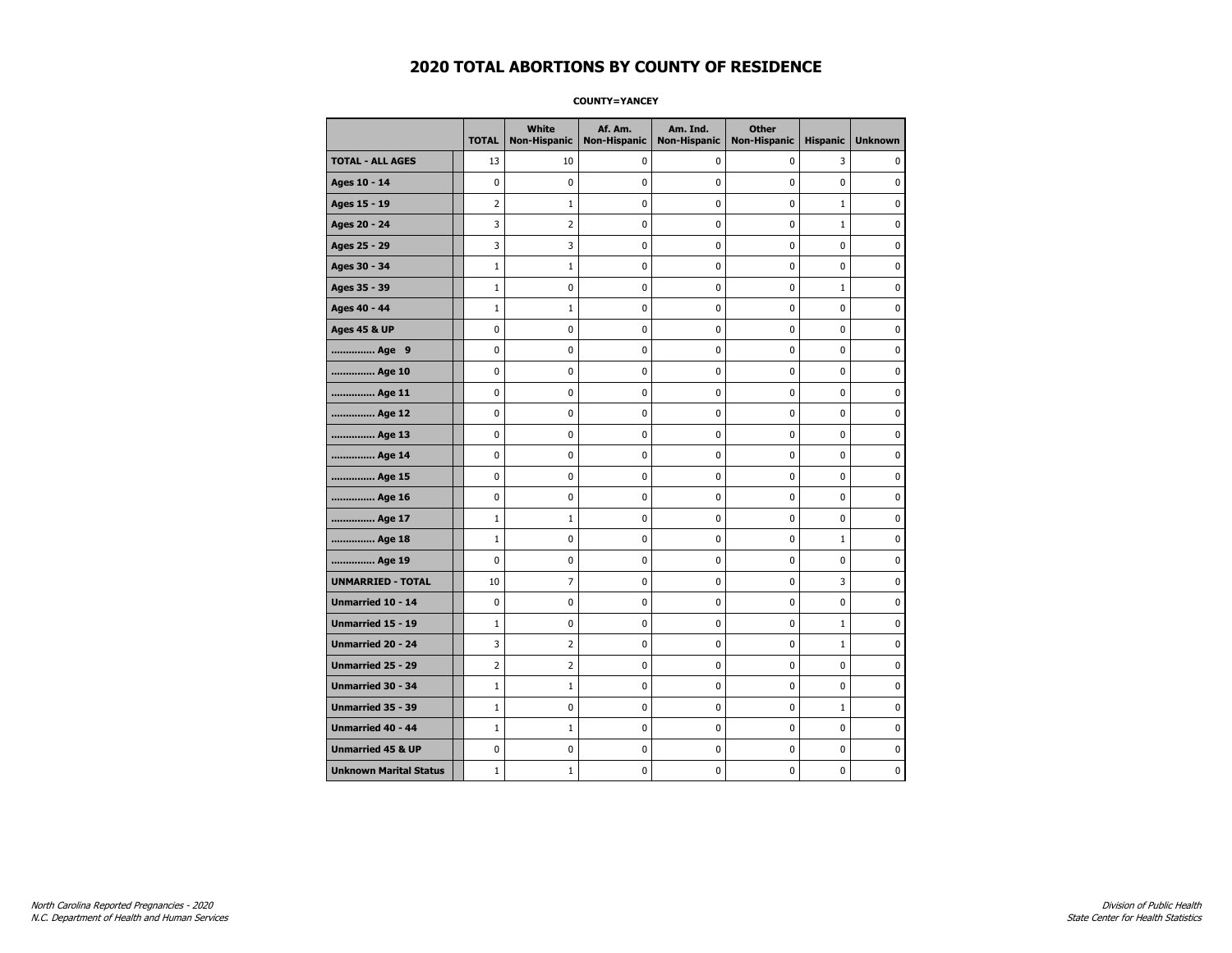**COUNTY=YANCEY** 

|                               | <b>TOTAL</b> | White<br><b>Non-Hispanic</b> | Af. Am.<br><b>Non-Hispanic</b> | Am. Ind.<br><b>Non-Hispanic</b> | <b>Other</b><br><b>Non-Hispanic</b> | <b>Hispanic</b> | <b>Unknown</b> |
|-------------------------------|--------------|------------------------------|--------------------------------|---------------------------------|-------------------------------------|-----------------|----------------|
| <b>TOTAL - ALL AGES</b>       | 13           | 10                           | 0                              | $\mathbf 0$                     | 0                                   | 3               | 0              |
| Ages 10 - 14                  | 0            | $\mathbf{0}$                 | 0                              | $\mathbf 0$                     | 0                                   | 0               | 0              |
| Ages 15 - 19                  | 2            | $\mathbf{1}$                 | 0                              | 0                               | $\pmb{0}$                           | $\mathbf{1}$    | 0              |
| Ages 20 - 24                  | 3            | 2                            | 0                              | 0                               | 0                                   | $\mathbf 1$     | 0              |
| Ages 25 - 29                  | 3            | 3                            | 0                              | 0                               | 0                                   | 0               | $\mathbf 0$    |
| Ages 30 - 34                  | $\mathbf{1}$ | 1                            | 0                              | 0                               | $\pmb{0}$                           | 0               | $\mathbf 0$    |
| Ages 35 - 39                  | $\mathbf{1}$ | 0                            | 0                              | 0                               | 0                                   | $\mathbf{1}$    | $\mathbf 0$    |
| Ages 40 - 44                  | $\mathbf{1}$ | $\mathbf{1}$                 | 0                              | 0                               | $\pmb{0}$                           | 0               | $\pmb{0}$      |
| <b>Ages 45 &amp; UP</b>       | 0            | 0                            | 0                              | 0                               | 0                                   | 0               | 0              |
| Age 9                         | 0            | 0                            | 0                              | 0                               | 0                                   | 0               | $\mathbf 0$    |
| Age 10                        | 0            | 0                            | 0                              | 0                               | $\mathbf 0$                         | 0               | $\mathbf 0$    |
| Age 11                        | 0            | 0                            | 0                              | 0                               | $\pmb{0}$                           | 0               | 0              |
| Age 12                        | 0            | 0                            | 0                              | 0                               | 0                                   | 0               | 0              |
| Age 13                        | 0            | 0                            | 0                              | 0                               | 0                                   | 0               | $\mathbf 0$    |
| Age 14                        | 0            | 0                            | 0                              | 0                               | $\pmb{0}$                           | 0               | $\mathbf 0$    |
| Age 15                        | 0            | 0                            | 0                              | 0                               | $\pmb{0}$                           | 0               | 0              |
| Age 16                        | 0            | 0                            | 0                              | 0                               | 0                                   | 0               | 0              |
| Age 17                        | $\mathbf{1}$ | 1                            | 0                              | 0                               | 0                                   | 0               | 0              |
| Age 18                        | $\mathbf{1}$ | 0                            | 0                              | 0                               | $\mathbf 0$                         | $\mathbf{1}$    | $\mathbf 0$    |
| Age 19                        | 0            | 0                            | 0                              | 0                               | $\pmb{0}$                           | 0               | 0              |
| <b>UNMARRIED - TOTAL</b>      | 10           | 7                            | 0                              | 0                               | 0                                   | 3               | 0              |
| Unmarried 10 - 14             | 0            | 0                            | 0                              | 0                               | $\pmb{0}$                           | 0               | $\mathbf 0$    |
| <b>Unmarried 15 - 19</b>      | $\mathbf{1}$ | 0                            | 0                              | 0                               | 0                                   | $\mathbf{1}$    | $\mathbf 0$    |
| Unmarried 20 - 24             | 3            | 2                            | 0                              | 0                               | $\pmb{0}$                           | $\mathbf 1$     | 0              |
| Unmarried 25 - 29             | 2            | 2                            | 0                              | 0                               | 0                                   | 0               | 0              |
| Unmarried 30 - 34             | $\mathbf{1}$ | 1                            | 0                              | 0                               | 0                                   | 0               | 0              |
| Unmarried 35 - 39             | $\mathbf{1}$ | 0                            | 0                              | 0                               | $\pmb{0}$                           | $\mathbf{1}$    | $\mathbf 0$    |
| Unmarried 40 - 44             | $1\,$        | $1\,$                        | 0                              | 0                               | $\pmb{0}$                           | 0               | 0              |
| <b>Unmarried 45 &amp; UP</b>  | 0            | 0                            | 0                              | 0                               | $\pmb{0}$                           | 0               | 0              |
| <b>Unknown Marital Status</b> | $\mathbf{1}$ | 1                            | 0                              | 0                               | 0                                   | 0               | 0              |